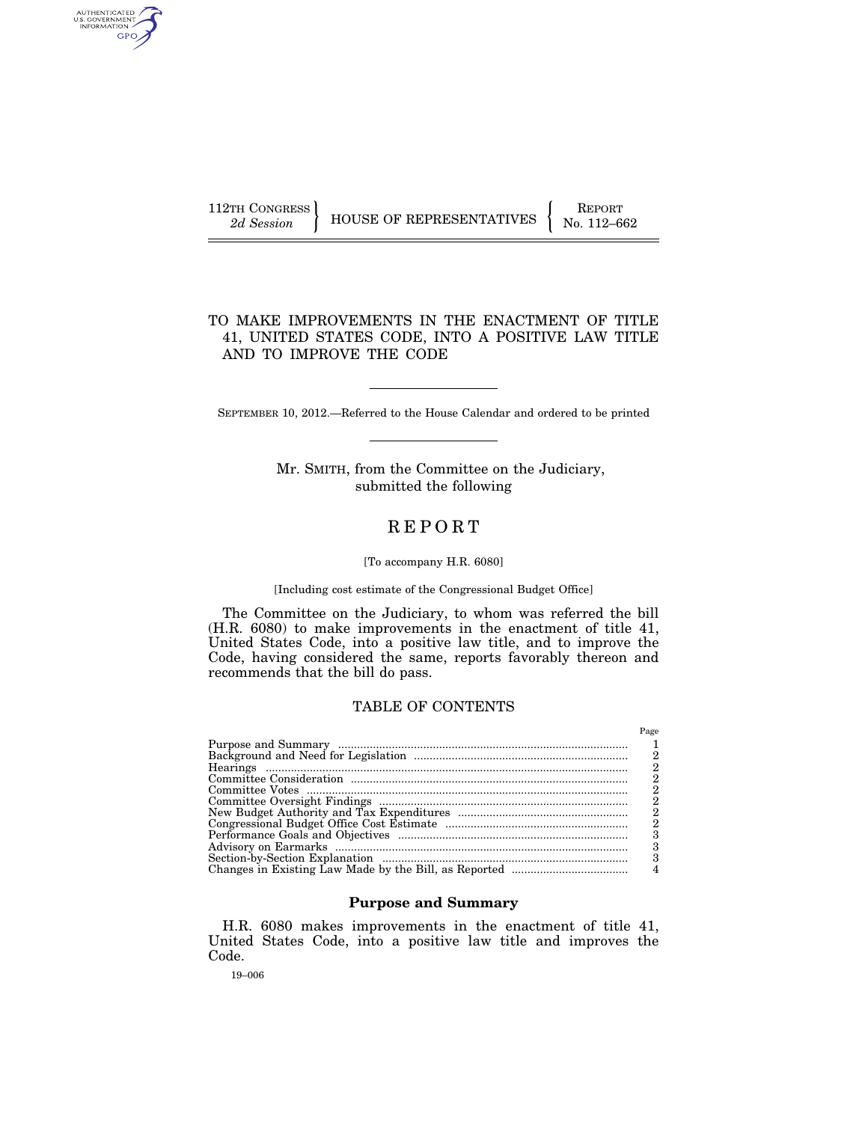AUTHENTICATED<br>U.S. GOVERNMENT<br>INFORMATION GPO

112TH CONGRESS **REPORT 112TH CONGRESS** HOUSE OF REPRESENTATIVES  $\left\{\begin{array}{c} \text{REPORT} \\ \text{No. 112–662} \end{array}\right\}$ 

# TO MAKE IMPROVEMENTS IN THE ENACTMENT OF TITLE 41, UNITED STATES CODE, INTO A POSITIVE LAW TITLE AND TO IMPROVE THE CODE

SEPTEMBER 10, 2012.—Referred to the House Calendar and ordered to be printed

# Mr. SMITH, from the Committee on the Judiciary, submitted the following

# R E P O R T

# [To accompany H.R. 6080]

#### [Including cost estimate of the Congressional Budget Office]

The Committee on the Judiciary, to whom was referred the bill (H.R. 6080) to make improvements in the enactment of title 41, United States Code, into a positive law title, and to improve the Code, having considered the same, reports favorably thereon and recommends that the bill do pass.

### TABLE OF CONTENTS

| Page |
|------|
|      |
|      |
|      |
| 2    |
| 2    |
|      |
| 2    |
|      |
| 2    |
| 3    |
|      |
|      |

# **Purpose and Summary**

H.R. 6080 makes improvements in the enactment of title 41, United States Code, into a positive law title and improves the Code.

19–006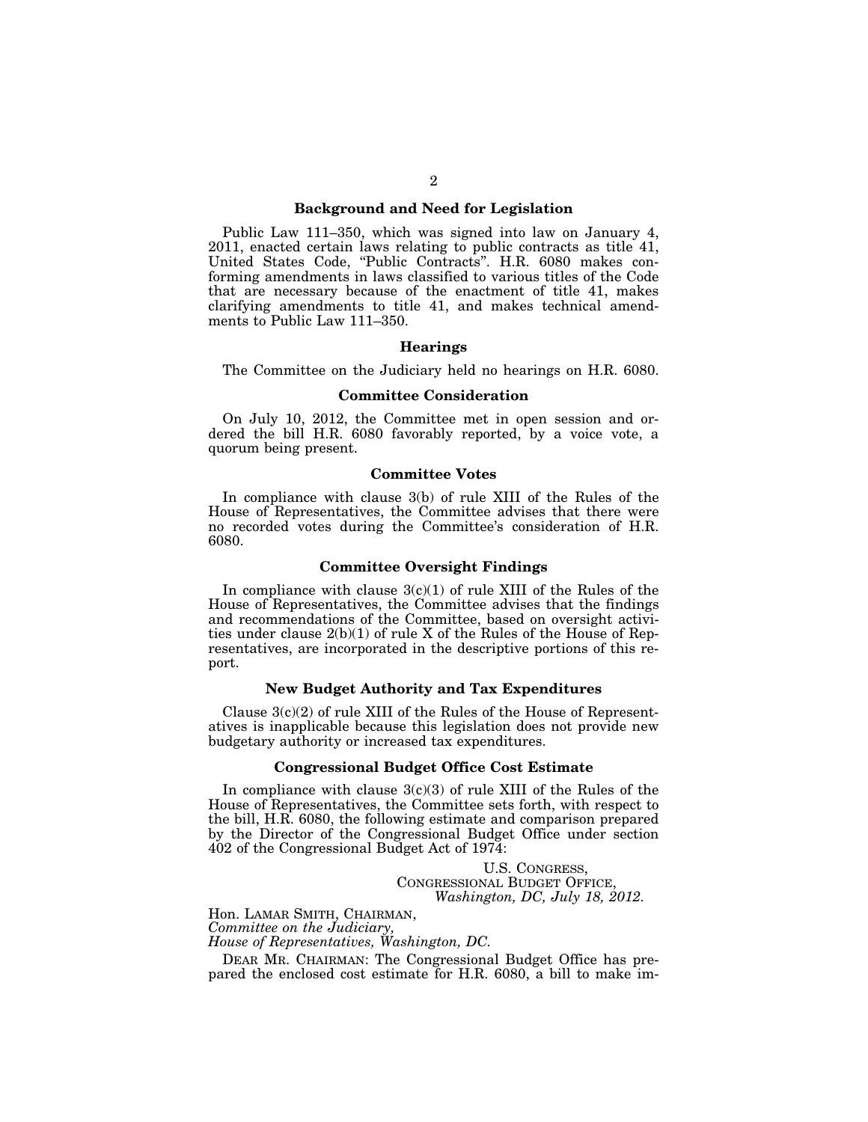# **Background and Need for Legislation**

Public Law 111–350, which was signed into law on January 4, 2011, enacted certain laws relating to public contracts as title 41, United States Code, ''Public Contracts''. H.R. 6080 makes conforming amendments in laws classified to various titles of the Code that are necessary because of the enactment of title 41, makes clarifying amendments to title 41, and makes technical amendments to Public Law 111–350.

#### **Hearings**

The Committee on the Judiciary held no hearings on H.R. 6080.

## **Committee Consideration**

On July 10, 2012, the Committee met in open session and ordered the bill H.R. 6080 favorably reported, by a voice vote, a quorum being present.

# **Committee Votes**

In compliance with clause 3(b) of rule XIII of the Rules of the House of Representatives, the Committee advises that there were no recorded votes during the Committee's consideration of H.R. 6080.

# **Committee Oversight Findings**

In compliance with clause  $3(c)(1)$  of rule XIII of the Rules of the House of Representatives, the Committee advises that the findings and recommendations of the Committee, based on oversight activities under clause 2(b)(1) of rule X of the Rules of the House of Representatives, are incorporated in the descriptive portions of this report.

# **New Budget Authority and Tax Expenditures**

Clause  $3(c)(2)$  of rule XIII of the Rules of the House of Representatives is inapplicable because this legislation does not provide new budgetary authority or increased tax expenditures.

# **Congressional Budget Office Cost Estimate**

In compliance with clause  $3(c)(3)$  of rule XIII of the Rules of the House of Representatives, the Committee sets forth, with respect to the bill, H.R. 6080, the following estimate and comparison prepared by the Director of the Congressional Budget Office under section 402 of the Congressional Budget Act of 1974:

> U.S. CONGRESS,<br>CONGRESSIONAL BUDGET OFFICE, *CONGREGERAL BUDGET Washington, DC, July 18, 2012.*

Hon. LAMAR SMITH, CHAIRMAN, *Committee on the Judiciary, House of Representatives, Washington, DC.* 

DEAR MR. CHAIRMAN: The Congressional Budget Office has prepared the enclosed cost estimate for H.R. 6080, a bill to make im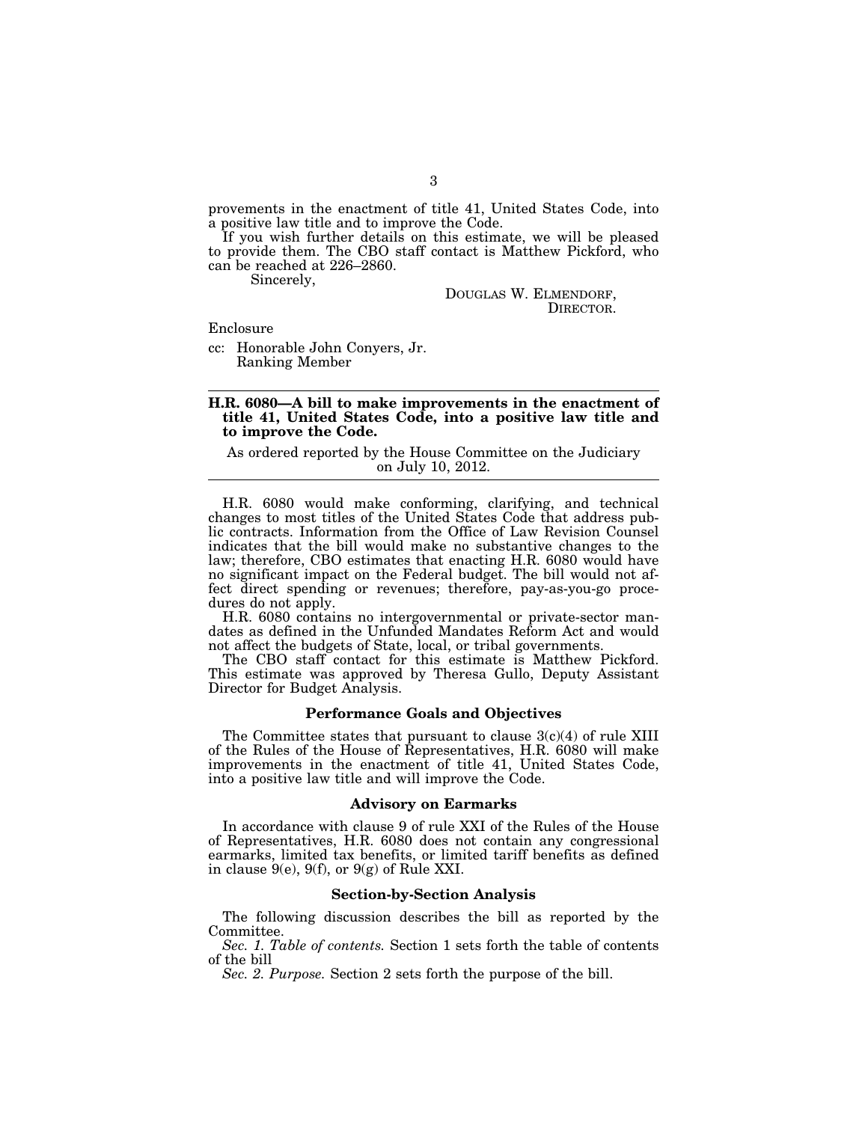provements in the enactment of title 41, United States Code, into a positive law title and to improve the Code.

If you wish further details on this estimate, we will be pleased to provide them. The CBO staff contact is Matthew Pickford, who can be reached at 226–2860.

Sincerely,

DOUGLAS W. ELMENDORF, DIRECTOR.

Enclosure

cc: Honorable John Conyers, Jr. Ranking Member

# **H.R. 6080—A bill to make improvements in the enactment of title 41, United States Code, into a positive law title and to improve the Code.**

As ordered reported by the House Committee on the Judiciary on July 10, 2012.

H.R. 6080 would make conforming, clarifying, and technical changes to most titles of the United States Code that address public contracts. Information from the Office of Law Revision Counsel indicates that the bill would make no substantive changes to the law; therefore, CBO estimates that enacting H.R. 6080 would have no significant impact on the Federal budget. The bill would not affect direct spending or revenues; therefore, pay-as-you-go procedures do not apply.

H.R. 6080 contains no intergovernmental or private-sector mandates as defined in the Unfunded Mandates Reform Act and would not affect the budgets of State, local, or tribal governments.

The CBO staff contact for this estimate is Matthew Pickford. This estimate was approved by Theresa Gullo, Deputy Assistant Director for Budget Analysis.

## **Performance Goals and Objectives**

The Committee states that pursuant to clause  $3(c)(4)$  of rule XIII of the Rules of the House of Representatives, H.R. 6080 will make improvements in the enactment of title 41, United States Code, into a positive law title and will improve the Code.

## **Advisory on Earmarks**

In accordance with clause 9 of rule XXI of the Rules of the House of Representatives, H.R. 6080 does not contain any congressional earmarks, limited tax benefits, or limited tariff benefits as defined in clause 9(e), 9(f), or 9(g) of Rule XXI.

# **Section-by-Section Analysis**

The following discussion describes the bill as reported by the Committee.

*Sec. 1. Table of contents.* Section 1 sets forth the table of contents of the bill

*Sec. 2. Purpose.* Section 2 sets forth the purpose of the bill.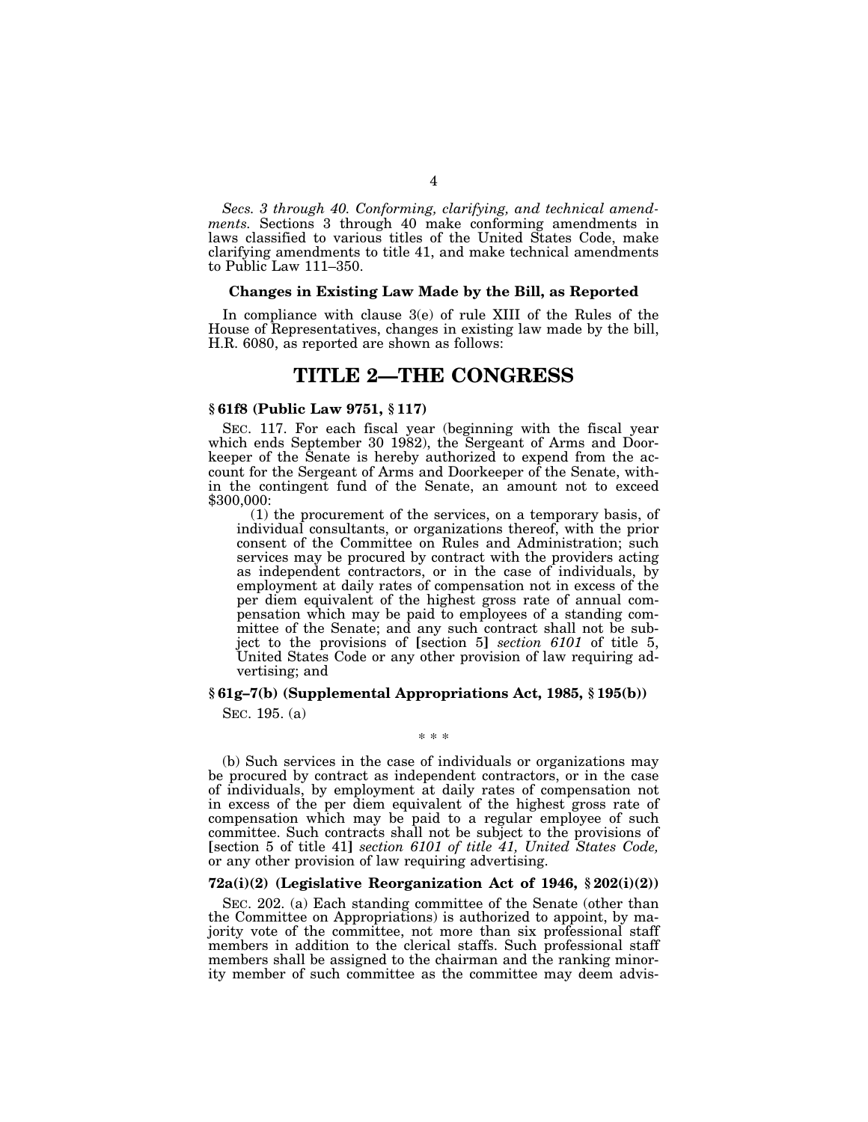*Secs. 3 through 40. Conforming, clarifying, and technical amendments.* Sections 3 through 40 make conforming amendments in laws classified to various titles of the United States Code, make clarifying amendments to title 41, and make technical amendments to Public Law 111–350.

## **Changes in Existing Law Made by the Bill, as Reported**

In compliance with clause 3(e) of rule XIII of the Rules of the House of Representatives, changes in existing law made by the bill, H.R. 6080, as reported are shown as follows:

# **TITLE 2—THE CONGRESS**

### **§ 61f8 (Public Law 9751, § 117)**

SEC. 117. For each fiscal year (beginning with the fiscal year which ends September 30 1982), the Sergeant of Arms and Doorkeeper of the Senate is hereby authorized to expend from the account for the Sergeant of Arms and Doorkeeper of the Senate, within the contingent fund of the Senate, an amount not to exceed \$300,000:

(1) the procurement of the services, on a temporary basis, of individual consultants, or organizations thereof, with the prior consent of the Committee on Rules and Administration; such services may be procured by contract with the providers acting as independent contractors, or in the case of individuals, by employment at daily rates of compensation not in excess of the per diem equivalent of the highest gross rate of annual compensation which may be paid to employees of a standing committee of the Senate; and any such contract shall not be subject to the provisions of **[**section 5**]** *section 6101* of title 5, United States Code or any other provision of law requiring advertising; and

## **§ 61g–7(b) (Supplemental Appropriations Act, 1985, § 195(b))**

\* \* \*

SEC. 195. (a)

(b) Such services in the case of individuals or organizations may be procured by contract as independent contractors, or in the case of individuals, by employment at daily rates of compensation not in excess of the per diem equivalent of the highest gross rate of compensation which may be paid to a regular employee of such committee. Such contracts shall not be subject to the provisions of **[**section 5 of title 41**]** *section 6101 of title 41, United States Code,*  or any other provision of law requiring advertising.

# **72a(i)(2) (Legislative Reorganization Act of 1946, § 202(i)(2))**

SEC. 202. (a) Each standing committee of the Senate (other than the Committee on Appropriations) is authorized to appoint, by majority vote of the committee, not more than six professional staff members in addition to the clerical staffs. Such professional staff members shall be assigned to the chairman and the ranking minority member of such committee as the committee may deem advis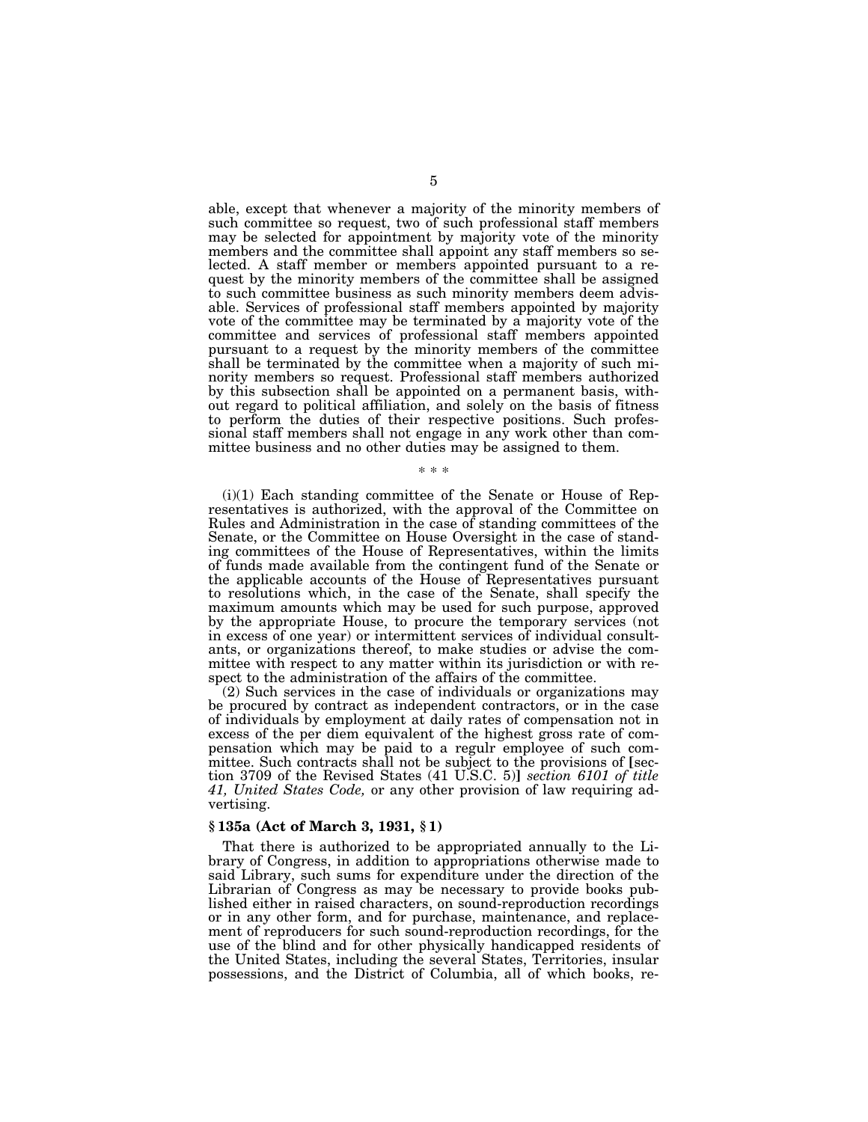able, except that whenever a majority of the minority members of such committee so request, two of such professional staff members may be selected for appointment by majority vote of the minority members and the committee shall appoint any staff members so selected. A staff member or members appointed pursuant to a request by the minority members of the committee shall be assigned to such committee business as such minority members deem advisable. Services of professional staff members appointed by majority vote of the committee may be terminated by a majority vote of the committee and services of professional staff members appointed pursuant to a request by the minority members of the committee shall be terminated by the committee when a majority of such minority members so request. Professional staff members authorized by this subsection shall be appointed on a permanent basis, without regard to political affiliation, and solely on the basis of fitness to perform the duties of their respective positions. Such professional staff members shall not engage in any work other than committee business and no other duties may be assigned to them.

 $(i)(1)$  Each standing committee of the Senate or House of Representatives is authorized, with the approval of the Committee on Rules and Administration in the case of standing committees of the Senate, or the Committee on House Oversight in the case of standing committees of the House of Representatives, within the limits of funds made available from the contingent fund of the Senate or the applicable accounts of the House of Representatives pursuant to resolutions which, in the case of the Senate, shall specify the maximum amounts which may be used for such purpose, approved by the appropriate House, to procure the temporary services (not in excess of one year) or intermittent services of individual consultants, or organizations thereof, to make studies or advise the committee with respect to any matter within its jurisdiction or with respect to the administration of the affairs of the committee.

\* \* \*

(2) Such services in the case of individuals or organizations may be procured by contract as independent contractors, or in the case of individuals by employment at daily rates of compensation not in excess of the per diem equivalent of the highest gross rate of compensation which may be paid to a regulr employee of such committee. Such contracts shall not be subject to the provisions of **[**section 3709 of the Revised States (41 U.S.C. 5)**]** *section 6101 of title 41, United States Code,* or any other provision of law requiring advertising.

# **§ 135a (Act of March 3, 1931, § 1)**

That there is authorized to be appropriated annually to the Library of Congress, in addition to appropriations otherwise made to said Library, such sums for expenditure under the direction of the Librarian of Congress as may be necessary to provide books published either in raised characters, on sound-reproduction recordings or in any other form, and for purchase, maintenance, and replacement of reproducers for such sound-reproduction recordings, for the use of the blind and for other physically handicapped residents of the United States, including the several States, Territories, insular possessions, and the District of Columbia, all of which books, re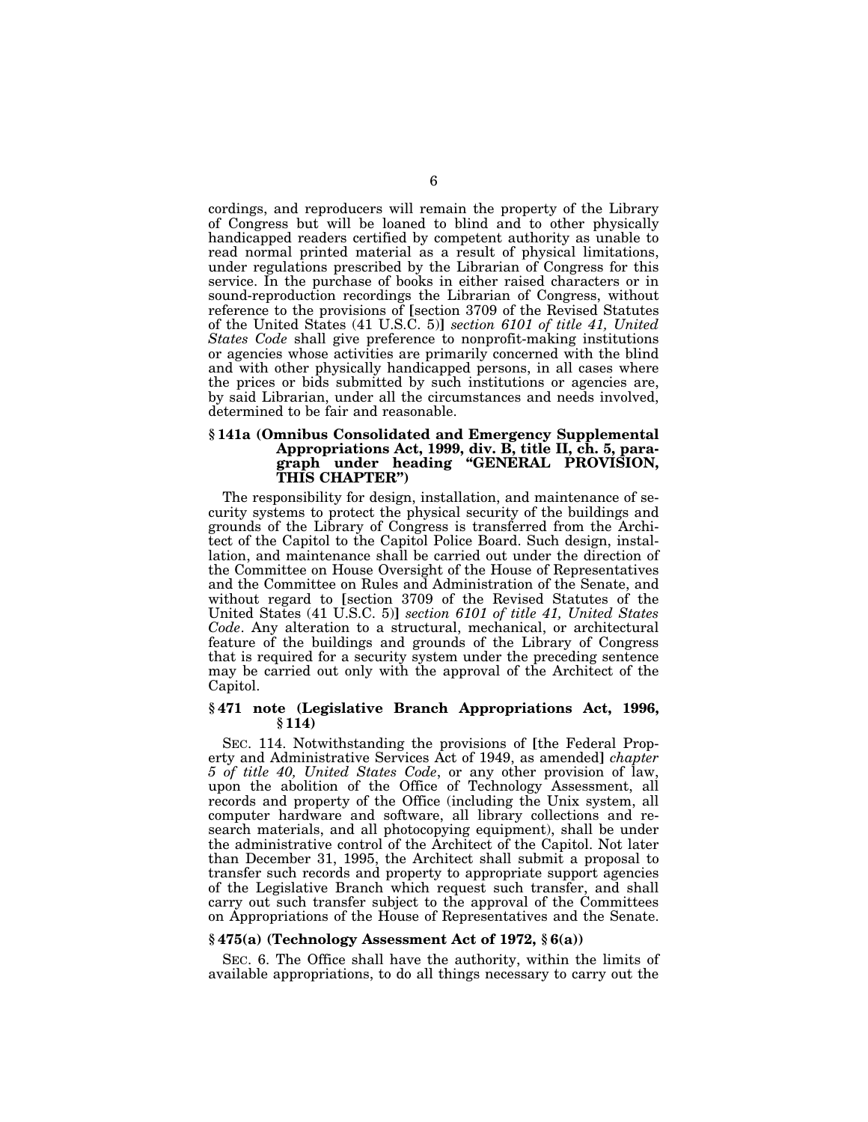cordings, and reproducers will remain the property of the Library of Congress but will be loaned to blind and to other physically handicapped readers certified by competent authority as unable to read normal printed material as a result of physical limitations, under regulations prescribed by the Librarian of Congress for this service. In the purchase of books in either raised characters or in sound-reproduction recordings the Librarian of Congress, without reference to the provisions of **[**section 3709 of the Revised Statutes of the United States (41 U.S.C. 5)**]** *section 6101 of title 41, United States Code* shall give preference to nonprofit-making institutions or agencies whose activities are primarily concerned with the blind and with other physically handicapped persons, in all cases where the prices or bids submitted by such institutions or agencies are, by said Librarian, under all the circumstances and needs involved, determined to be fair and reasonable.

# **§ 141a (Omnibus Consolidated and Emergency Supplemental Appropriations Act, 1999, div. B, title II, ch. 5, paragraph under heading ''GENERAL PROVISION, THIS CHAPTER'')**

The responsibility for design, installation, and maintenance of security systems to protect the physical security of the buildings and grounds of the Library of Congress is transferred from the Architect of the Capitol to the Capitol Police Board. Such design, installation, and maintenance shall be carried out under the direction of the Committee on House Oversight of the House of Representatives and the Committee on Rules and Administration of the Senate, and without regard to **[**section 3709 of the Revised Statutes of the United States (41 U.S.C. 5)**]** *section 6101 of title 41, United States Code*. Any alteration to a structural, mechanical, or architectural feature of the buildings and grounds of the Library of Congress that is required for a security system under the preceding sentence may be carried out only with the approval of the Architect of the Capitol.

# **§ 471 note (Legislative Branch Appropriations Act, 1996, § 114)**

SEC. 114. Notwithstanding the provisions of **[**the Federal Property and Administrative Services Act of 1949, as amended**]** *chapter 5 of title 40, United States Code*, or any other provision of law, upon the abolition of the Office of Technology Assessment, all records and property of the Office (including the Unix system, all computer hardware and software, all library collections and research materials, and all photocopying equipment), shall be under the administrative control of the Architect of the Capitol. Not later than December 31, 1995, the Architect shall submit a proposal to transfer such records and property to appropriate support agencies of the Legislative Branch which request such transfer, and shall carry out such transfer subject to the approval of the Committees on Appropriations of the House of Representatives and the Senate.

# **§ 475(a) (Technology Assessment Act of 1972, § 6(a))**

SEC. 6. The Office shall have the authority, within the limits of available appropriations, to do all things necessary to carry out the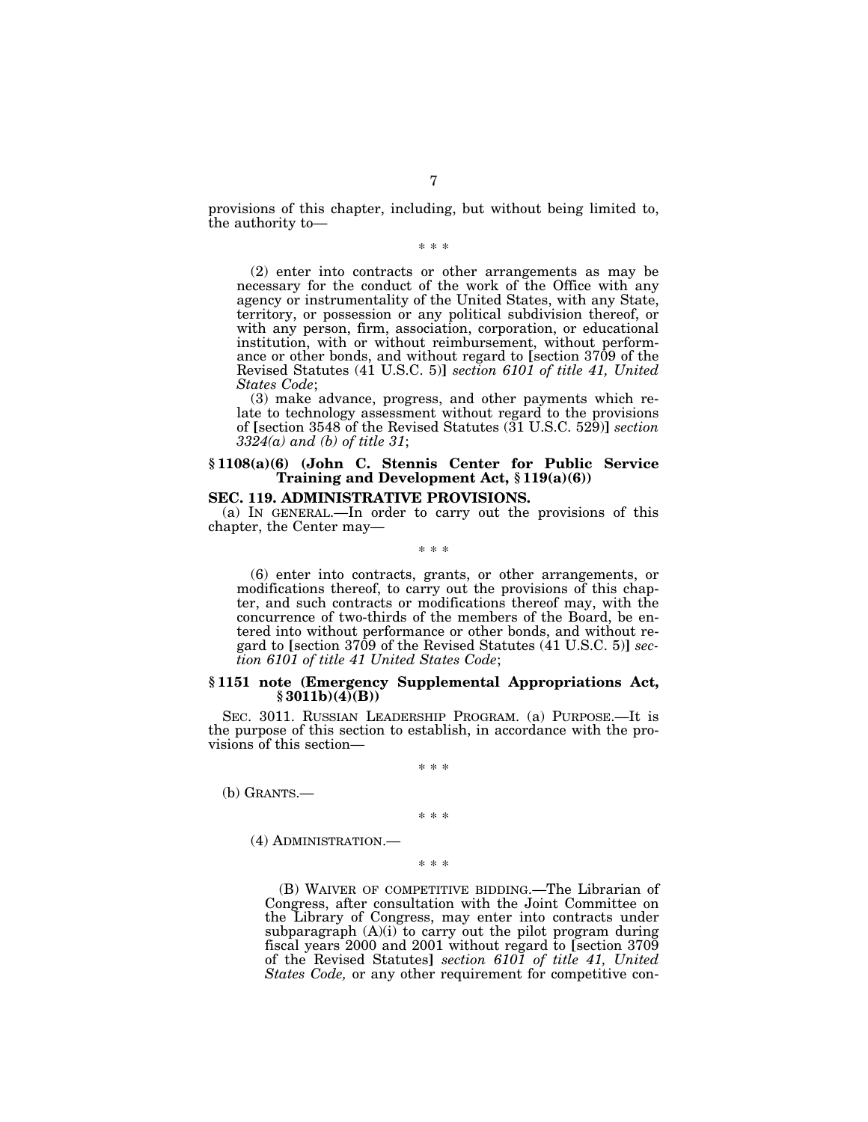provisions of this chapter, including, but without being limited to, the authority to—

\* \* \*

(2) enter into contracts or other arrangements as may be necessary for the conduct of the work of the Office with any agency or instrumentality of the United States, with any State, territory, or possession or any political subdivision thereof, or with any person, firm, association, corporation, or educational institution, with or without reimbursement, without performance or other bonds, and without regard to **[**section 3709 of the Revised Statutes (41 U.S.C. 5)**]** *section 6101 of title 41, United States Code*;

(3) make advance, progress, and other payments which relate to technology assessment without regard to the provisions of **[**section 3548 of the Revised Statutes (31 U.S.C. 529)**]** *section 3324(a) and (b) of title 31*;

# **§ 1108(a)(6) (John C. Stennis Center for Public Service Training and Development Act, § 119(a)(6))**

# **SEC. 119. ADMINISTRATIVE PROVISIONS.**

(a) IN GENERAL.—In order to carry out the provisions of this chapter, the Center may— \* \* \*

(6) enter into contracts, grants, or other arrangements, or modifications thereof, to carry out the provisions of this chapter, and such contracts or modifications thereof may, with the concurrence of two-thirds of the members of the Board, be entered into without performance or other bonds, and without regard to **[**section 3709 of the Revised Statutes (41 U.S.C. 5)**]** *section 6101 of title 41 United States Code*;

# **§ 1151 note (Emergency Supplemental Appropriations Act,**   $§ 3011b)(4)$ <sup>(</sup>B))<sup>2</sup>

SEC. 3011. RUSSIAN LEADERSHIP PROGRAM. (a) PURPOSE.—It is the purpose of this section to establish, in accordance with the provisions of this section—

\* \* \*

(b) GRANTS.—

\* \* \*

(4) ADMINISTRATION.—

\* \* \*

(B) WAIVER OF COMPETITIVE BIDDING.—The Librarian of Congress, after consultation with the Joint Committee on the Library of Congress, may enter into contracts under subparagraph  $(A)(i)$  to carry out the pilot program during fiscal years 2000 and 2001 without regard to **[**section 3709 of the Revised Statutes**]** *section 6101 of title 41, United States Code,* or any other requirement for competitive con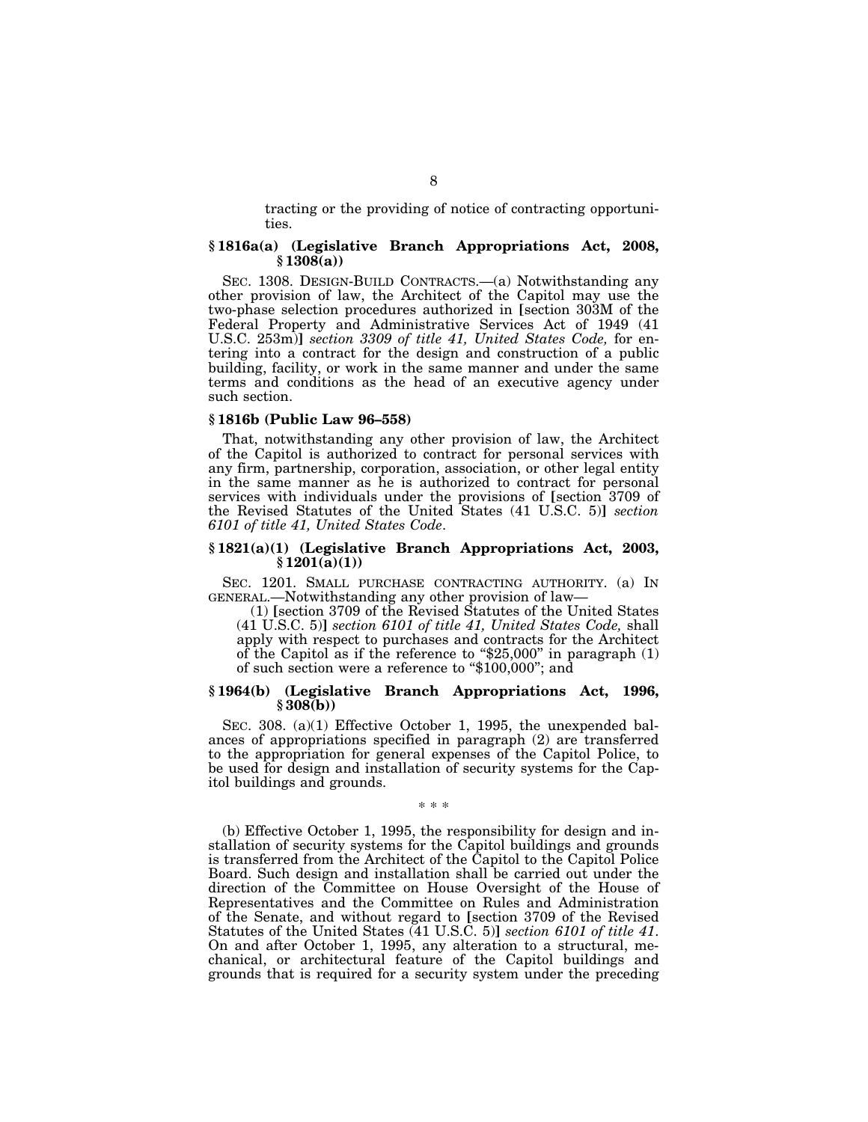tracting or the providing of notice of contracting opportunities.

# **§ 1816a(a) (Legislative Branch Appropriations Act, 2008, § 1308(a))**

SEC. 1308. DESIGN-BUILD CONTRACTS.—(a) Notwithstanding any other provision of law, the Architect of the Capitol may use the two-phase selection procedures authorized in **[**section 303M of the Federal Property and Administrative Services Act of 1949 (41 U.S.C. 253m)**]** *section 3309 of title 41, United States Code,* for entering into a contract for the design and construction of a public building, facility, or work in the same manner and under the same terms and conditions as the head of an executive agency under such section.

# **§ 1816b (Public Law 96–558)**

That, notwithstanding any other provision of law, the Architect of the Capitol is authorized to contract for personal services with any firm, partnership, corporation, association, or other legal entity in the same manner as he is authorized to contract for personal services with individuals under the provisions of **[**section 3709 of the Revised Statutes of the United States (41 U.S.C. 5)**]** *section 6101 of title 41, United States Code*.

# **§ 1821(a)(1) (Legislative Branch Appropriations Act, 2003,**   $$1201(a)(1))$

SEC. 1201. SMALL PURCHASE CONTRACTING AUTHORITY. (a) IN GENERAL.—Notwithstanding any other provision of law—

(1) **[**section 3709 of the Revised Statutes of the United States (41 U.S.C. 5)**]** *section 6101 of title 41, United States Code,* shall apply with respect to purchases and contracts for the Architect of the Capitol as if the reference to " $$25,000"$  in paragraph (1) of such section were a reference to ''\$100,000''; and

## **§ 1964(b) (Legislative Branch Appropriations Act, 1996, § 308(b))**

SEC. 308. (a)(1) Effective October 1, 1995, the unexpended balances of appropriations specified in paragraph (2) are transferred to the appropriation for general expenses of the Capitol Police, to be used for design and installation of security systems for the Capitol buildings and grounds.

## \* \* \*

(b) Effective October 1, 1995, the responsibility for design and installation of security systems for the Capitol buildings and grounds is transferred from the Architect of the Capitol to the Capitol Police Board. Such design and installation shall be carried out under the direction of the Committee on House Oversight of the House of Representatives and the Committee on Rules and Administration of the Senate, and without regard to **[**section 3709 of the Revised Statutes of the United States (41 U.S.C. 5)**]** *section 6101 of title 41*. On and after October 1, 1995, any alteration to a structural, mechanical, or architectural feature of the Capitol buildings and grounds that is required for a security system under the preceding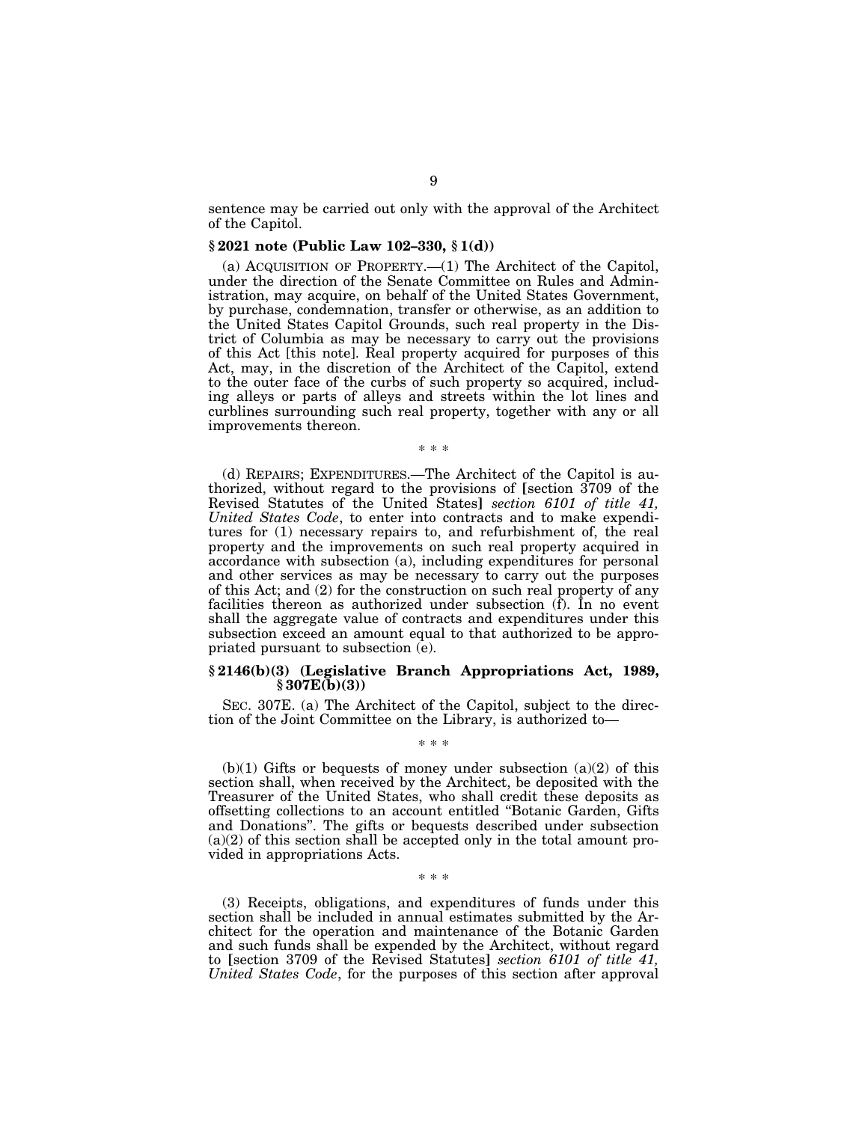sentence may be carried out only with the approval of the Architect of the Capitol.

### **§ 2021 note (Public Law 102–330, § 1(d))**

(a) ACQUISITION OF PROPERTY.—(1) The Architect of the Capitol, under the direction of the Senate Committee on Rules and Administration, may acquire, on behalf of the United States Government, by purchase, condemnation, transfer or otherwise, as an addition to the United States Capitol Grounds, such real property in the District of Columbia as may be necessary to carry out the provisions of this Act [this note]. Real property acquired for purposes of this Act, may, in the discretion of the Architect of the Capitol, extend to the outer face of the curbs of such property so acquired, including alleys or parts of alleys and streets within the lot lines and curblines surrounding such real property, together with any or all improvements thereon.

\* \* \*

(d) REPAIRS; EXPENDITURES.—The Architect of the Capitol is authorized, without regard to the provisions of **[**section 3709 of the Revised Statutes of the United States**]** *section 6101 of title 41, United States Code*, to enter into contracts and to make expenditures for (1) necessary repairs to, and refurbishment of, the real property and the improvements on such real property acquired in accordance with subsection (a), including expenditures for personal and other services as may be necessary to carry out the purposes of this Act; and (2) for the construction on such real property of any facilities thereon as authorized under subsection (f). In no event shall the aggregate value of contracts and expenditures under this subsection exceed an amount equal to that authorized to be appropriated pursuant to subsection (e).

# **§ 2146(b)(3) (Legislative Branch Appropriations Act, 1989, § 307E(b)(3))**

SEC. 307E. (a) The Architect of the Capitol, subject to the direction of the Joint Committee on the Library, is authorized to— \* \* \*

 $(b)(1)$  Gifts or bequests of money under subsection  $(a)(2)$  of this section shall, when received by the Architect, be deposited with the Treasurer of the United States, who shall credit these deposits as offsetting collections to an account entitled ''Botanic Garden, Gifts and Donations''. The gifts or bequests described under subsection  $(a)(2)$  of this section shall be accepted only in the total amount provided in appropriations Acts.

(3) Receipts, obligations, and expenditures of funds under this section shall be included in annual estimates submitted by the Architect for the operation and maintenance of the Botanic Garden and such funds shall be expended by the Architect, without regard to **[**section 3709 of the Revised Statutes**]** *section 6101 of title 41, United States Code*, for the purposes of this section after approval

\* \* \*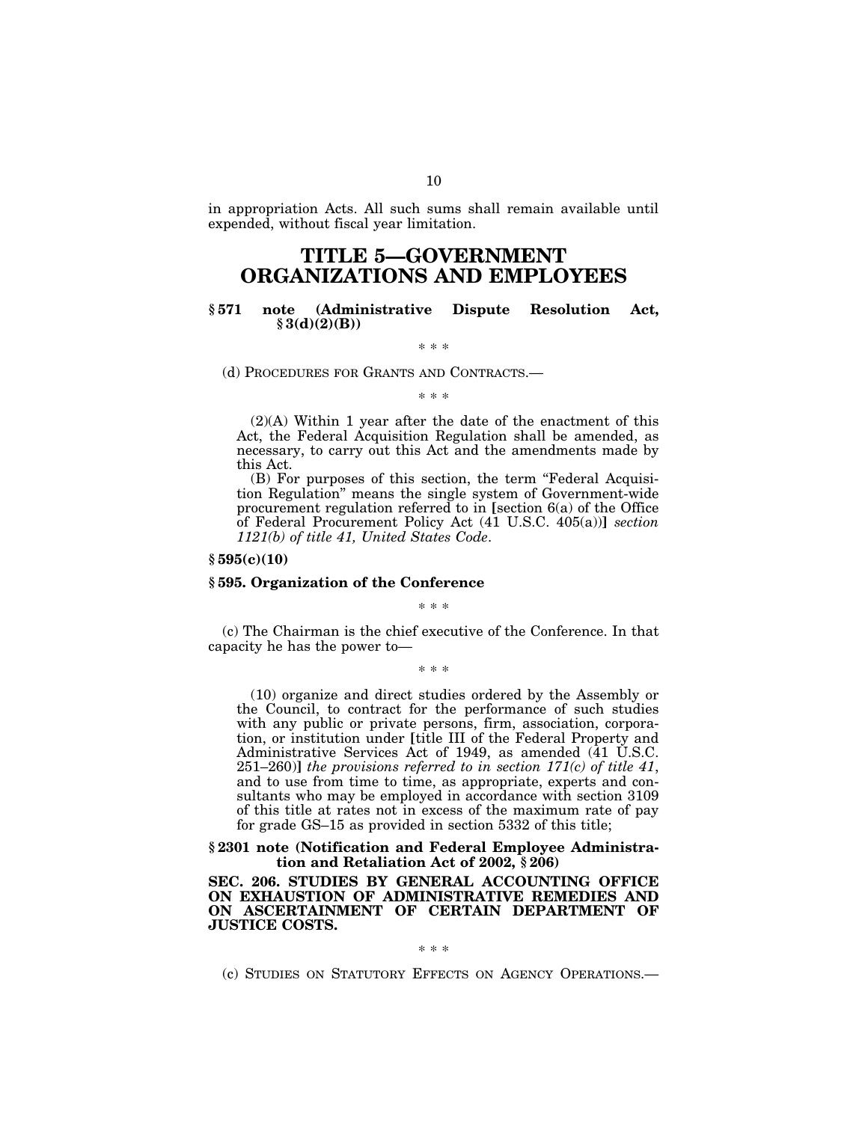in appropriation Acts. All such sums shall remain available until expended, without fiscal year limitation.

# **TITLE 5—GOVERNMENT ORGANIZATIONS AND EMPLOYEES**

## **§ 571 note (Administrative Dispute Resolution Act,**   $§ 3(d)(2)(B))$

\* \* \*

(d) PROCEDURES FOR GRANTS AND CONTRACTS.—

\* \* \*

(2)(A) Within 1 year after the date of the enactment of this Act, the Federal Acquisition Regulation shall be amended, as necessary, to carry out this Act and the amendments made by this Act.

(B) For purposes of this section, the term ''Federal Acquisition Regulation'' means the single system of Government-wide procurement regulation referred to in **[**section 6(a) of the Office of Federal Procurement Policy Act (41 U.S.C. 405(a))**]** *section 1121(b) of title 41, United States Code*.

**§ 595(c)(10)** 

### **§ 595. Organization of the Conference**

\* \* \*

(c) The Chairman is the chief executive of the Conference. In that capacity he has the power to—

\* \* \*

(10) organize and direct studies ordered by the Assembly or the Council, to contract for the performance of such studies with any public or private persons, firm, association, corporation, or institution under **[**title III of the Federal Property and Administrative Services Act of 1949, as amended (41 U.S.C. 251–260)**]** *the provisions referred to in section 171(c) of title 41*, and to use from time to time, as appropriate, experts and consultants who may be employed in accordance with section 3109 of this title at rates not in excess of the maximum rate of pay for grade GS–15 as provided in section 5332 of this title;

# **§ 2301 note (Notification and Federal Employee Administration and Retaliation Act of 2002, § 206)**

**SEC. 206. STUDIES BY GENERAL ACCOUNTING OFFICE ON EXHAUSTION OF ADMINISTRATIVE REMEDIES AND ON ASCERTAINMENT OF CERTAIN DEPARTMENT OF JUSTICE COSTS.** 

(c) STUDIES ON STATUTORY EFFECTS ON AGENCY OPERATIONS.—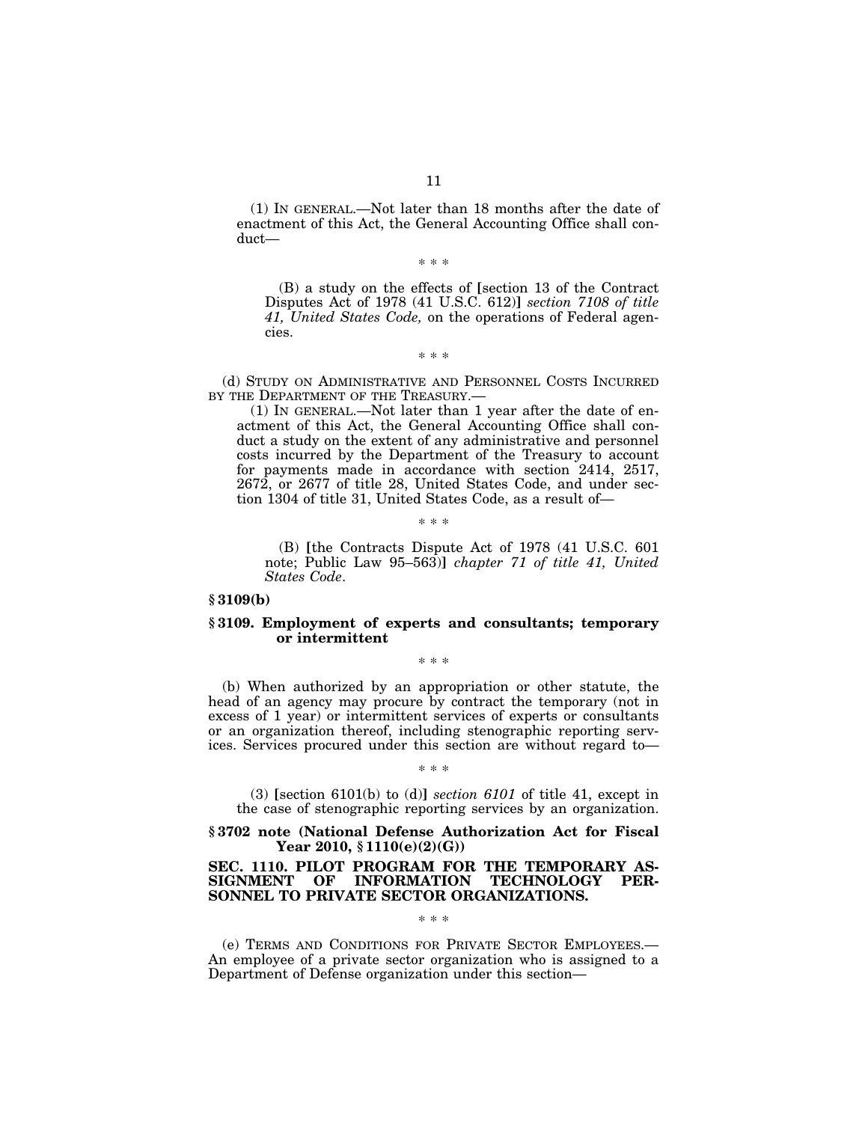(1) IN GENERAL.—Not later than 18 months after the date of enactment of this Act, the General Accounting Office shall conduct—

\* \* \*

(B) a study on the effects of **[**section 13 of the Contract Disputes Act of 1978 (41 U.S.C. 612)**]** *section 7108 of title 41, United States Code,* on the operations of Federal agencies.

\* \* \*

(d) STUDY ON ADMINISTRATIVE AND PERSONNEL COSTS INCURRED BY THE DEPARTMENT OF THE TREASURY.-

(1) IN GENERAL.—Not later than 1 year after the date of enactment of this Act, the General Accounting Office shall conduct a study on the extent of any administrative and personnel costs incurred by the Department of the Treasury to account for payments made in accordance with section 2414, 2517, 2672, or 2677 of title 28, United States Code, and under section 1304 of title 31, United States Code, as a result of—

\* \* \*

(B) **[**the Contracts Dispute Act of 1978 (41 U.S.C. 601 note; Public Law 95–563)**]** *chapter 71 of title 41, United States Code*.

# **§ 3109(b)**

# **§ 3109. Employment of experts and consultants; temporary or intermittent**

\* \* \*

(b) When authorized by an appropriation or other statute, the head of an agency may procure by contract the temporary (not in excess of 1 year) or intermittent services of experts or consultants or an organization thereof, including stenographic reporting services. Services procured under this section are without regard to—

# \* \* \*

(3) **[**section 6101(b) to (d)**]** *section 6101* of title 41, except in the case of stenographic reporting services by an organization.

# **§ 3702 note (National Defense Authorization Act for Fiscal Year 2010, § 1110(e)(2)(G))**

# **SEC. 1110. PILOT PROGRAM FOR THE TEMPORARY AS-SIGNMENT OF INFORMATION TECHNOLOGY PER-SONNEL TO PRIVATE SECTOR ORGANIZATIONS.**

\* \* \*

(e) TERMS AND CONDITIONS FOR PRIVATE SECTOR EMPLOYEES.— An employee of a private sector organization who is assigned to a Department of Defense organization under this section—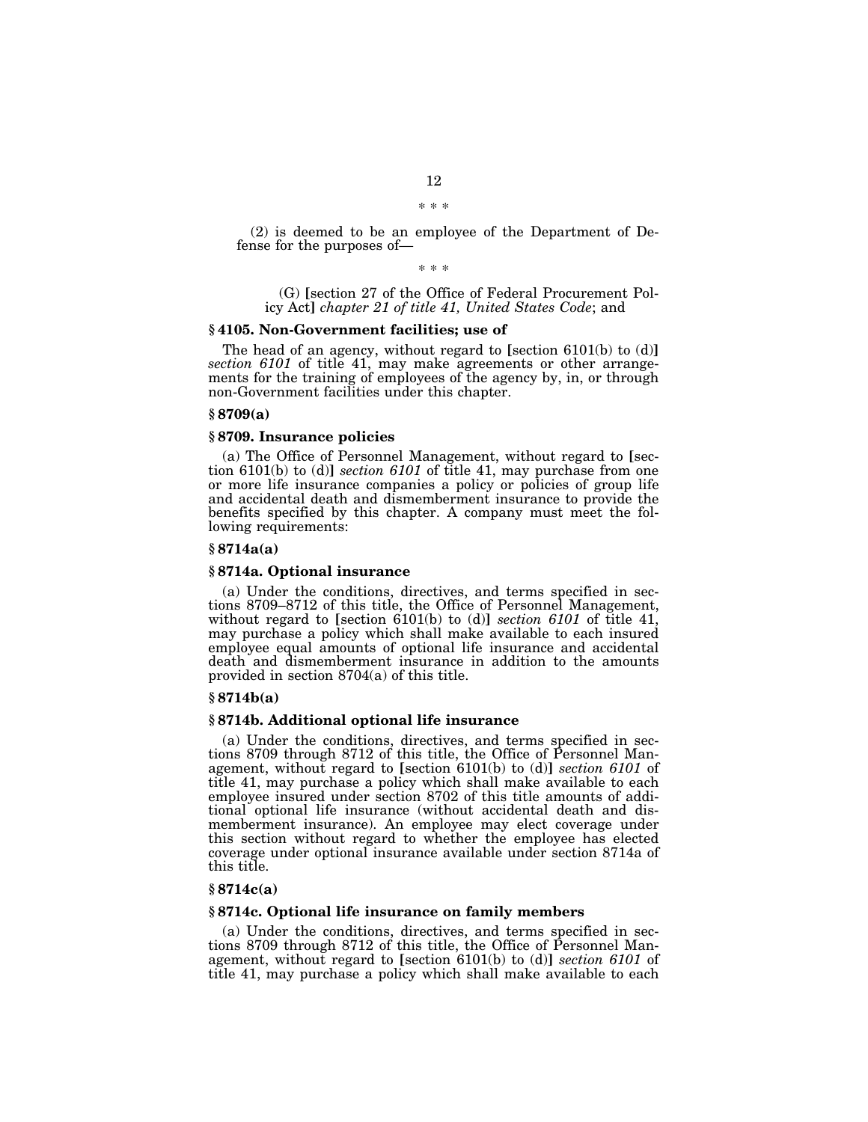(2) is deemed to be an employee of the Department of Defense for the purposes of—

\* \* \*

(G) **[**section 27 of the Office of Federal Procurement Policy Act**]** *chapter 21 of title 41, United States Code*; and

#### **§ 4105. Non-Government facilities; use of**

The head of an agency, without regard to **[**section 6101(b) to (d)**]**  *section 6101* of title 41, may make agreements or other arrangements for the training of employees of the agency by, in, or through non-Government facilities under this chapter.

#### **§ 8709(a)**

# **§ 8709. Insurance policies**

(a) The Office of Personnel Management, without regard to **[**section 6101(b) to (d)**]** *section 6101* of title 41, may purchase from one or more life insurance companies a policy or policies of group life and accidental death and dismemberment insurance to provide the benefits specified by this chapter. A company must meet the following requirements:

#### **§ 8714a(a)**

#### **§ 8714a. Optional insurance**

(a) Under the conditions, directives, and terms specified in sections 8709–8712 of this title, the Office of Personnel Management, without regard to **[**section 6101(b) to (d)**]** *section 6101* of title 41, may purchase a policy which shall make available to each insured employee equal amounts of optional life insurance and accidental death and dismemberment insurance in addition to the amounts provided in section 8704(a) of this title.

#### **§ 8714b(a)**

#### **§ 8714b. Additional optional life insurance**

(a) Under the conditions, directives, and terms specified in sections 8709 through 8712 of this title, the Office of Personnel Management, without regard to **[**section 6101(b) to (d)**]** *section 6101* of title 41, may purchase a policy which shall make available to each employee insured under section 8702 of this title amounts of additional optional life insurance (without accidental death and dismemberment insurance). An employee may elect coverage under this section without regard to whether the employee has elected coverage under optional insurance available under section 8714a of this title.

# **§ 8714c(a)**

# **§ 8714c. Optional life insurance on family members**

(a) Under the conditions, directives, and terms specified in sections 8709 through 8712 of this title, the Office of Personnel Management, without regard to **[**section 6101(b) to (d)**]** *section 6101* of title 41, may purchase a policy which shall make available to each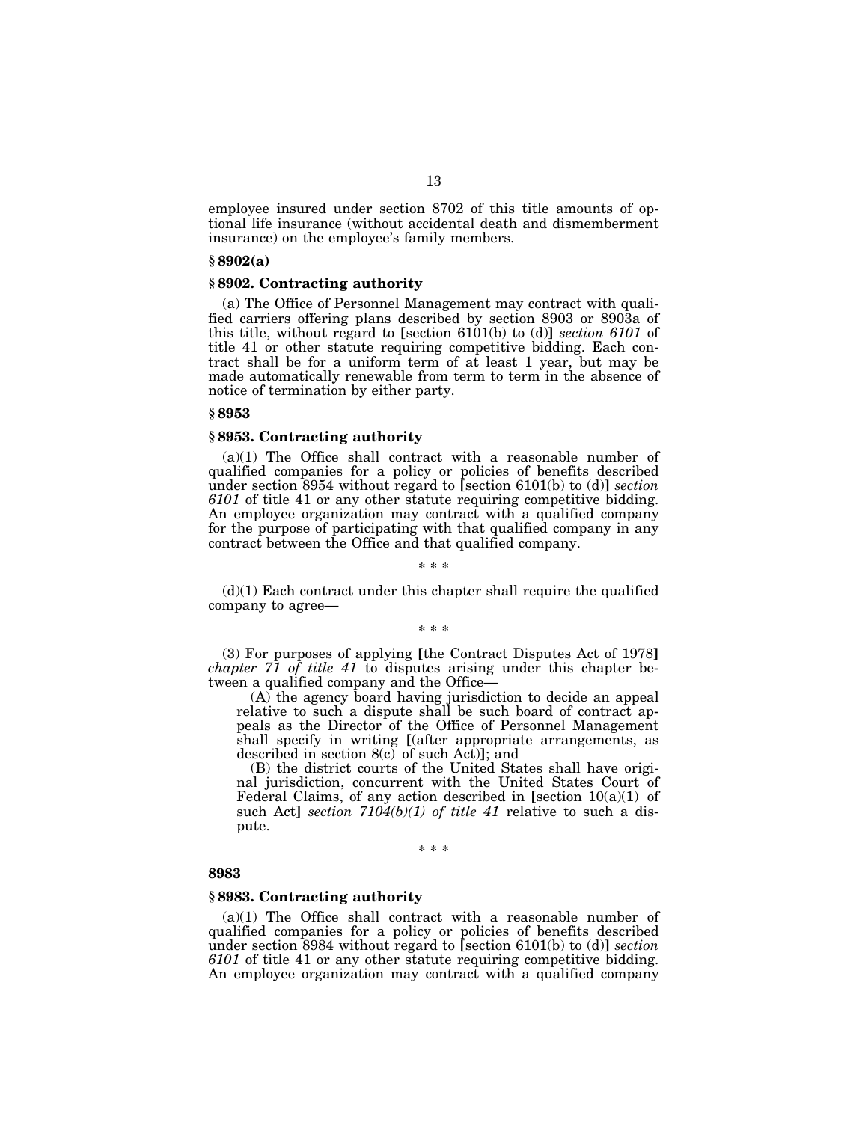employee insured under section 8702 of this title amounts of optional life insurance (without accidental death and dismemberment insurance) on the employee's family members.

# **§ 8902(a)**

# **§ 8902. Contracting authority**

(a) The Office of Personnel Management may contract with qualified carriers offering plans described by section 8903 or 8903a of this title, without regard to **[**section 6101(b) to (d)**]** *section 6101* of title 41 or other statute requiring competitive bidding. Each contract shall be for a uniform term of at least 1 year, but may be made automatically renewable from term to term in the absence of notice of termination by either party.

#### **§ 8953**

## **§ 8953. Contracting authority**

 $(a)(1)$  The Office shall contract with a reasonable number of qualified companies for a policy or policies of benefits described under section 8954 without regard to **[**section 6101(b) to (d)**]** *section 6101* of title 41 or any other statute requiring competitive bidding. An employee organization may contract with a qualified company for the purpose of participating with that qualified company in any contract between the Office and that qualified company.

\* \* \*

 $(d)(1)$  Each contract under this chapter shall require the qualified company to agree—

#### \* \* \*

(3) For purposes of applying **[**the Contract Disputes Act of 1978**]**  *chapter 71 of title 41* to disputes arising under this chapter between a qualified company and the Office—

(A) the agency board having jurisdiction to decide an appeal relative to such a dispute shall be such board of contract appeals as the Director of the Office of Personnel Management shall specify in writing **[**(after appropriate arrangements, as described in section 8(c) of such Act)**]**; and

(B) the district courts of the United States shall have original jurisdiction, concurrent with the United States Court of Federal Claims, of any action described in **[**section 10(a)(1) of such Act**]** *section 7104(b)(1) of title 41* relative to such a dispute.

\* \* \*

# **8983**

# **§ 8983. Contracting authority**

 $(a)(1)$  The Office shall contract with a reasonable number of qualified companies for a policy or policies of benefits described under section 8984 without regard to **[**section 6101(b) to (d)**]** *section 6101* of title 41 or any other statute requiring competitive bidding. An employee organization may contract with a qualified company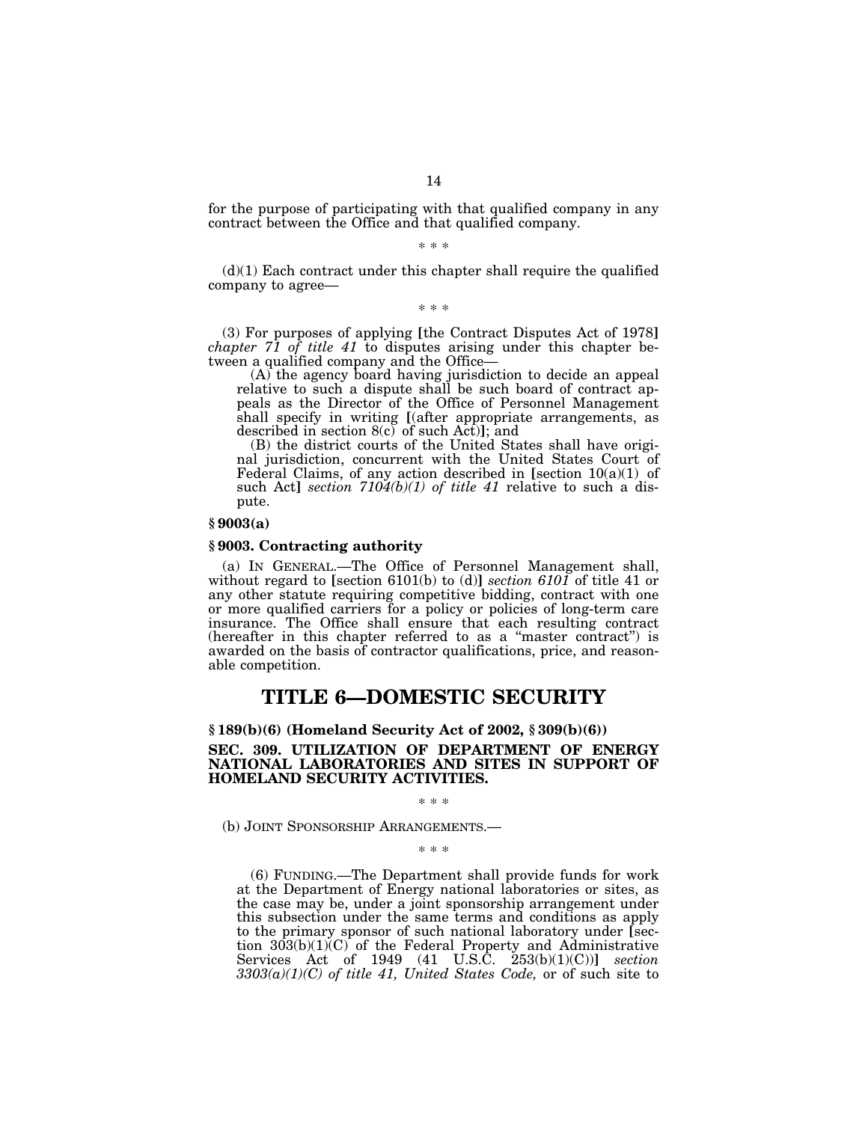for the purpose of participating with that qualified company in any contract between the Office and that qualified company.

## \* \* \*

 $(d)(1)$  Each contract under this chapter shall require the qualified company to agree—

\* \* \*

(3) For purposes of applying **[**the Contract Disputes Act of 1978**]**  *chapter 71 of title 41* to disputes arising under this chapter between a qualified company and the Office—

(A) the agency board having jurisdiction to decide an appeal relative to such a dispute shall be such board of contract appeals as the Director of the Office of Personnel Management shall specify in writing **[**(after appropriate arrangements, as described in section 8(c) of such Act)**]**; and

(B) the district courts of the United States shall have original jurisdiction, concurrent with the United States Court of Federal Claims, of any action described in **[**section 10(a)(1) of such Act**]** *section 7104(b)(1) of title 41* relative to such a dispute.

### **§ 9003(a)**

## **§ 9003. Contracting authority**

(a) IN GENERAL.—The Office of Personnel Management shall, without regard to **[**section 6101(b) to (d)**]** *section 6101* of title 41 or any other statute requiring competitive bidding, contract with one or more qualified carriers for a policy or policies of long-term care insurance. The Office shall ensure that each resulting contract (hereafter in this chapter referred to as a ''master contract'') is awarded on the basis of contractor qualifications, price, and reasonable competition.

# **TITLE 6—DOMESTIC SECURITY**

# **§ 189(b)(6) (Homeland Security Act of 2002, § 309(b)(6)) SEC. 309. UTILIZATION OF DEPARTMENT OF ENERGY NATIONAL LABORATORIES AND SITES IN SUPPORT OF HOMELAND SECURITY ACTIVITIES.**

# \* \* \*

(b) JOINT SPONSORSHIP ARRANGEMENTS.—

\* \* \*

(6) FUNDING.—The Department shall provide funds for work at the Department of Energy national laboratories or sites, as the case may be, under a joint sponsorship arrangement under this subsection under the same terms and conditions as apply to the primary sponsor of such national laboratory under **[**section  $303(b)(1)(C)$  of the Federal Property and Administrative Services Act of 1949 (41 U.S.C. 253(b)(1)(C))**]** *section 3303(a)(1)(C) of title 41, United States Code,* or of such site to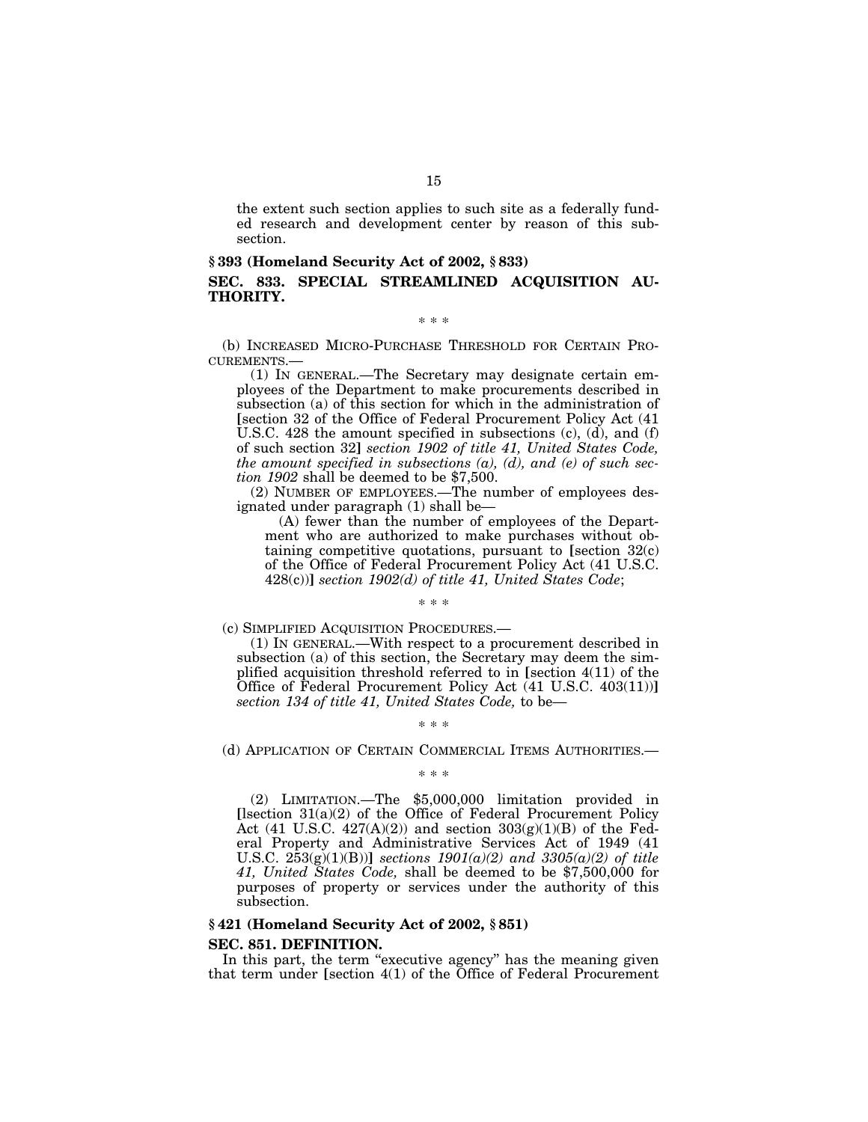the extent such section applies to such site as a federally funded research and development center by reason of this subsection.

# **§ 393 (Homeland Security Act of 2002, § 833)**

# **SEC. 833. SPECIAL STREAMLINED ACQUISITION AU-THORITY.**

## \* \* \*

(b) INCREASED MICRO-PURCHASE THRESHOLD FOR CERTAIN PRO-CUREMENTS.—

(1) IN GENERAL.—The Secretary may designate certain employees of the Department to make procurements described in subsection (a) of this section for which in the administration of **[**section 32 of the Office of Federal Procurement Policy Act (41 U.S.C. 428 the amount specified in subsections (c), (d), and (f) of such section 32**]** *section 1902 of title 41, United States Code, the amount specified in subsections (a), (d), and (e) of such section 1902* shall be deemed to be \$7,500.

(2) NUMBER OF EMPLOYEES.—The number of employees designated under paragraph (1) shall be—

(A) fewer than the number of employees of the Department who are authorized to make purchases without obtaining competitive quotations, pursuant to **[**section 32(c) of the Office of Federal Procurement Policy Act (41 U.S.C. 428(c))**]** *section 1902(d) of title 41, United States Code*;

#### \* \* \*

(c) SIMPLIFIED ACQUISITION PROCEDURES.—

(1) IN GENERAL.—With respect to a procurement described in subsection (a) of this section, the Secretary may deem the simplified acquisition threshold referred to in **[**section 4(11) of the Office of Federal Procurement Policy Act (41 U.S.C. 403(11))**]**  *section 134 of title 41, United States Code,* to be—

\* \* \*

(2) LIMITATION.—The \$5,000,000 limitation provided in **[**lsection 31(a)(2) of the Office of Federal Procurement Policy Act (41 U.S.C. 427(A)(2)) and section  $303(g)(1)(B)$  of the Federal Property and Administrative Services Act of 1949 (41 U.S.C. 253(g)(1)(B))**]** *sections 1901(a)(2) and 3305(a)(2) of title 41, United States Code,* shall be deemed to be \$7,500,000 for purposes of property or services under the authority of this subsection.

# **§ 421 (Homeland Security Act of 2002, § 851)**

#### **SEC. 851. DEFINITION.**

In this part, the term "executive agency" has the meaning given that term under **[**section 4(1) of the Office of Federal Procurement

<sup>\* \* \*</sup>  (d) APPLICATION OF CERTAIN COMMERCIAL ITEMS AUTHORITIES.—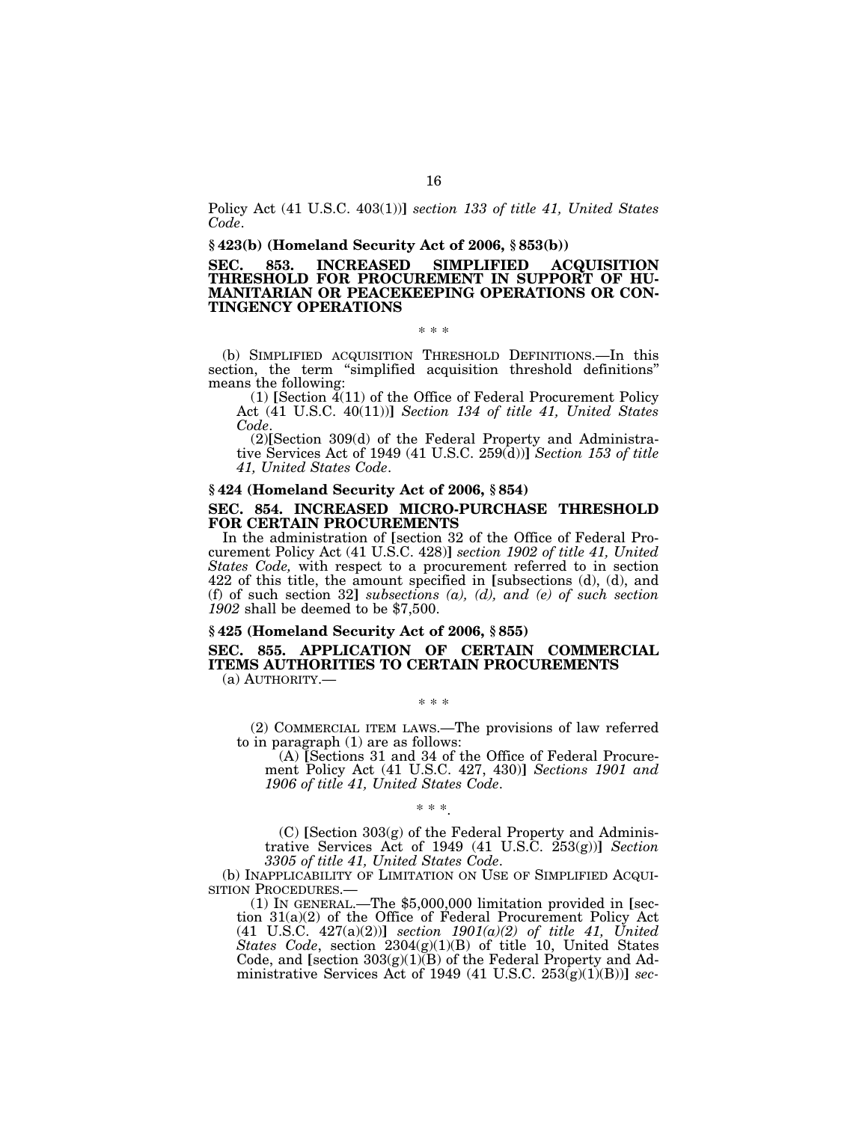Policy Act (41 U.S.C. 403(1))**]** *section 133 of title 41, United States Code*.

#### **§ 423(b) (Homeland Security Act of 2006, § 853(b))**

**SEC. 853. INCREASED SIMPLIFIED ACQUISITION THRESHOLD FOR PROCUREMENT IN SUPPORT OF HU-MANITARIAN OR PEACEKEEPING OPERATIONS OR CON-TINGENCY OPERATIONS** 

#### \* \* \*

(b) SIMPLIFIED ACQUISITION THRESHOLD DEFINITIONS.—In this section, the term "simplified acquisition threshold definitions" means the following:

 $(1)$  [Section  $\overline{4}(11)$  of the Office of Federal Procurement Policy Act (41 U.S.C. 40(11))**]** *Section 134 of title 41, United States* 

*Code*. (2)**[**Section 309(d) of the Federal Property and Administrative Services Act of 1949 (41 U.S.C. 259(d))**]** *Section 153 of title 41, United States Code*.

# **§ 424 (Homeland Security Act of 2006, § 854)**

# **SEC. 854. INCREASED MICRO-PURCHASE THRESHOLD FOR CERTAIN PROCUREMENTS**

In the administration of **[**section 32 of the Office of Federal Procurement Policy Act (41 U.S.C. 428)**]** *section 1902 of title 41, United States Code,* with respect to a procurement referred to in section 422 of this title, the amount specified in **[**subsections (d), (d), and (f) of such section 32**]** *subsections (a), (d), and (e) of such section 1902* shall be deemed to be \$7,500.

# **§ 425 (Homeland Security Act of 2006, § 855)**

# **SEC. 855. APPLICATION OF CERTAIN COMMERCIAL ITEMS AUTHORITIES TO CERTAIN PROCUREMENTS**

(a) AUTHORITY.—

#### \* \* \*

(2) COMMERCIAL ITEM LAWS.—The provisions of law referred to in paragraph (1) are as follows:

(A) **[**Sections 31 and 34 of the Office of Federal Procurement Policy Act (41 U.S.C. 427, 430)**]** *Sections 1901 and 1906 of title 41, United States Code*.

#### \* \* \*.

(C) **[**Section 303(g) of the Federal Property and Administrative Services Act of 1949 (41 U.S.C. 253(g))**]** *Section 3305 of title 41, United States Code*.

(b) INAPPLICABILITY OF LIMITATION ON USE OF SIMPLIFIED ACQUI-SITION PROCEDURES.

(1) IN GENERAL.—The \$5,000,000 limitation provided in **[**section 31(a)(2) of the Office of Federal Procurement Policy Act (41 U.S.C. 427(a)(2))**]** *section 1901(a)(2) of title 41, United States Code*, section 2304(g)(1)(B) of title 10, United States Code, and **[**section 303(g)(1)(B) of the Federal Property and Administrative Services Act of 1949 (41 U.S.C. 253(g)(1)(B))**]** *sec-*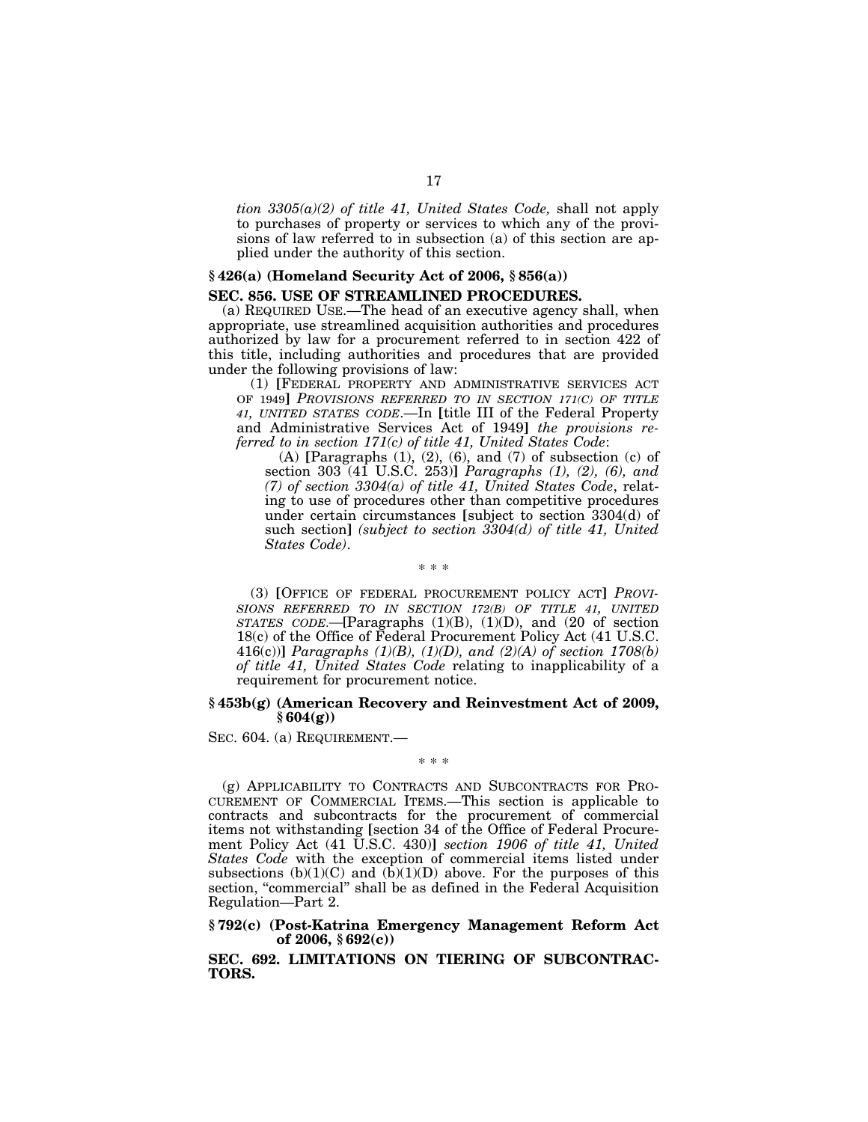*tion 3305(a)(2) of title 41, United States Code,* shall not apply to purchases of property or services to which any of the provisions of law referred to in subsection (a) of this section are applied under the authority of this section.

# **§ 426(a) (Homeland Security Act of 2006, § 856(a))**

## **SEC. 856. USE OF STREAMLINED PROCEDURES.**

(a) REQUIRED USE.—The head of an executive agency shall, when appropriate, use streamlined acquisition authorities and procedures authorized by law for a procurement referred to in section 422 of this title, including authorities and procedures that are provided under the following provisions of law:

(1) **[**FEDERAL PROPERTY AND ADMINISTRATIVE SERVICES ACT OF 1949**]** *PROVISIONS REFERRED TO IN SECTION 171(C) OF TITLE 41, UNITED STATES CODE*.—In **[**title III of the Federal Property and Administrative Services Act of 1949**]** *the provisions referred to in section 171(c) of title 41, United States Code*:

(A) **[**Paragraphs (1), (2), (6), and (7) of subsection (c) of section 303 (41 U.S.C. 253)**]** *Paragraphs (1), (2), (6), and (7) of section 3304(a) of title 41, United States Code*, relating to use of procedures other than competitive procedures under certain circumstances **[**subject to section 3304(d) of such section**]** *(subject to section 3304(d) of title 41, United States Code)*.

\* \* \*

(3) **[**OFFICE OF FEDERAL PROCUREMENT POLICY ACT**]** *PROVI-SIONS REFERRED TO IN SECTION 172(B) OF TITLE 41, UNITED STATES CODE*.—**[**Paragraphs (1)(B), (1)(D), and (20 of section 18(c) of the Office of Federal Procurement Policy Act (41 U.S.C. 416(c))**]** *Paragraphs (1)(B), (1)(D), and (2)(A) of section 1708(b) of title 41, United States Code* relating to inapplicability of a requirement for procurement notice.

# **§ 453b(g) (American Recovery and Reinvestment Act of 2009, § 604(g))**

SEC. 604. (a) REQUIREMENT.—

#### \* \* \*

(g) APPLICABILITY TO CONTRACTS AND SUBCONTRACTS FOR PRO-CUREMENT OF COMMERCIAL ITEMS.—This section is applicable to contracts and subcontracts for the procurement of commercial items not withstanding **[**section 34 of the Office of Federal Procurement Policy Act (41 U.S.C. 430)**]** *section 1906 of title 41, United States Code* with the exception of commercial items listed under subsections  $(b)(1)(C)$  and  $(b)(1)(D)$  above. For the purposes of this section, "commercial" shall be as defined in the Federal Acquisition Regulation—Part 2.

# **§ 792(c) (Post-Katrina Emergency Management Reform Act of 2006, § 692(c))**

**SEC. 692. LIMITATIONS ON TIERING OF SUBCONTRAC-TORS.**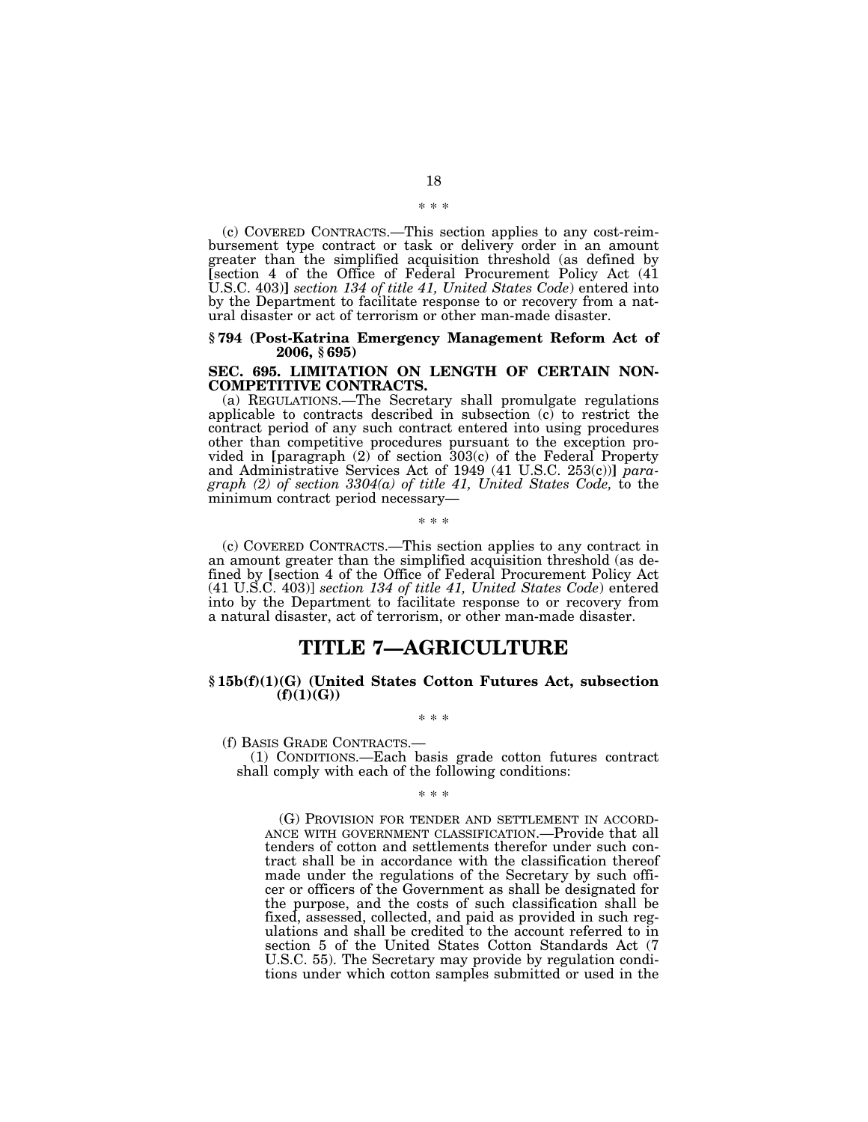(c) COVERED CONTRACTS.—This section applies to any cost-reimbursement type contract or task or delivery order in an amount greater than the simplified acquisition threshold (as defined by **[**section 4 of the Office of Federal Procurement Policy Act (41 U.S.C. 403)**]** *section 134 of title 41, United States Code*) entered into by the Department to facilitate response to or recovery from a natural disaster or act of terrorism or other man-made disaster.

#### **§ 794 (Post-Katrina Emergency Management Reform Act of 2006, § 695)**

# **SEC. 695. LIMITATION ON LENGTH OF CERTAIN NON-COMPETITIVE CONTRACTS.**

(a) REGULATIONS.—The Secretary shall promulgate regulations applicable to contracts described in subsection (c) to restrict the contract period of any such contract entered into using procedures other than competitive procedures pursuant to the exception provided in **[**paragraph (2) of section 303(c) of the Federal Property and Administrative Services Act of 1949 (41 U.S.C. 253(c))**]** *paragraph (2) of section 3304(a) of title 41, United States Code,* to the minimum contract period necessary—

#### \* \* \*

(c) COVERED CONTRACTS.—This section applies to any contract in an amount greater than the simplified acquisition threshold (as defined by [section 4 of the Office of Federal Procurement Policy Act (41 U.S.C. 403)] *section 134 of title 41, United States Code*) entered into by the Department to facilitate response to or recovery from a natural disaster, act of terrorism, or other man-made disaster.

# **TITLE 7—AGRICULTURE**

## **§ 15b(f)(1)(G) (United States Cotton Futures Act, subsection**   $(f)(1)(G))$

#### \* \* \*

(f) BASIS GRADE CONTRACTS.— (1) CONDITIONS.—Each basis grade cotton futures contract shall comply with each of the following conditions:

### \* \* \*

(G) PROVISION FOR TENDER AND SETTLEMENT IN ACCORD-<br>ANCE WITH GOVERNMENT CLASSIFICATION.—Provide that all tenders of cotton and settlements therefor under such contract shall be in accordance with the classification thereof made under the regulations of the Secretary by such officer or officers of the Government as shall be designated for the purpose, and the costs of such classification shall be fixed, assessed, collected, and paid as provided in such regulations and shall be credited to the account referred to in section 5 of the United States Cotton Standards Act (7 U.S.C. 55). The Secretary may provide by regulation conditions under which cotton samples submitted or used in the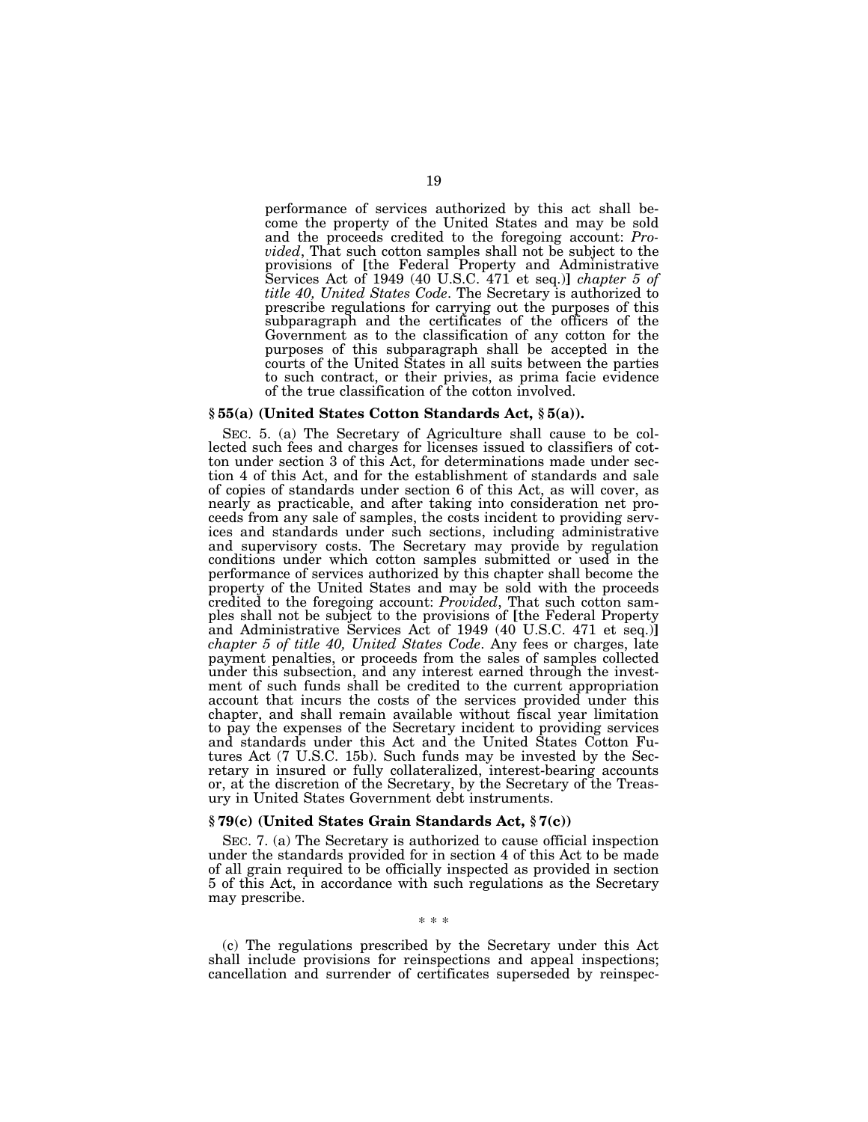performance of services authorized by this act shall become the property of the United States and may be sold and the proceeds credited to the foregoing account: *Provided*, That such cotton samples shall not be subject to the provisions of **[**the Federal Property and Administrative Services Act of 1949 (40 U.S.C. 471 et seq.)**]** *chapter 5 of title 40, United States Code*. The Secretary is authorized to prescribe regulations for carrying out the purposes of this subparagraph and the certificates of the officers of the Government as to the classification of any cotton for the purposes of this subparagraph shall be accepted in the courts of the United States in all suits between the parties to such contract, or their privies, as prima facie evidence of the true classification of the cotton involved.

#### **§ 55(a) (United States Cotton Standards Act, § 5(a)).**

SEC. 5. (a) The Secretary of Agriculture shall cause to be collected such fees and charges for licenses issued to classifiers of cotton under section 3 of this Act, for determinations made under section 4 of this Act, and for the establishment of standards and sale of copies of standards under section 6 of this Act, as will cover, as nearly as practicable, and after taking into consideration net proceeds from any sale of samples, the costs incident to providing services and standards under such sections, including administrative and supervisory costs. The Secretary may provide by regulation conditions under which cotton samples submitted or used in the performance of services authorized by this chapter shall become the property of the United States and may be sold with the proceeds credited to the foregoing account: *Provided*, That such cotton samples shall not be subject to the provisions of **[**the Federal Property and Administrative Services Act of 1949 (40 U.S.C. 471 et seq.)**]**  *chapter 5 of title 40, United States Code*. Any fees or charges, late payment penalties, or proceeds from the sales of samples collected under this subsection, and any interest earned through the investment of such funds shall be credited to the current appropriation account that incurs the costs of the services provided under this chapter, and shall remain available without fiscal year limitation to pay the expenses of the Secretary incident to providing services and standards under this Act and the United States Cotton Futures Act (7 U.S.C. 15b). Such funds may be invested by the Secretary in insured or fully collateralized, interest-bearing accounts or, at the discretion of the Secretary, by the Secretary of the Treasury in United States Government debt instruments.

#### **§ 79(c) (United States Grain Standards Act, § 7(c))**

SEC. 7. (a) The Secretary is authorized to cause official inspection under the standards provided for in section 4 of this Act to be made of all grain required to be officially inspected as provided in section 5 of this Act, in accordance with such regulations as the Secretary may prescribe.

(c) The regulations prescribed by the Secretary under this Act shall include provisions for reinspections and appeal inspections; cancellation and surrender of certificates superseded by reinspec-

\* \* \*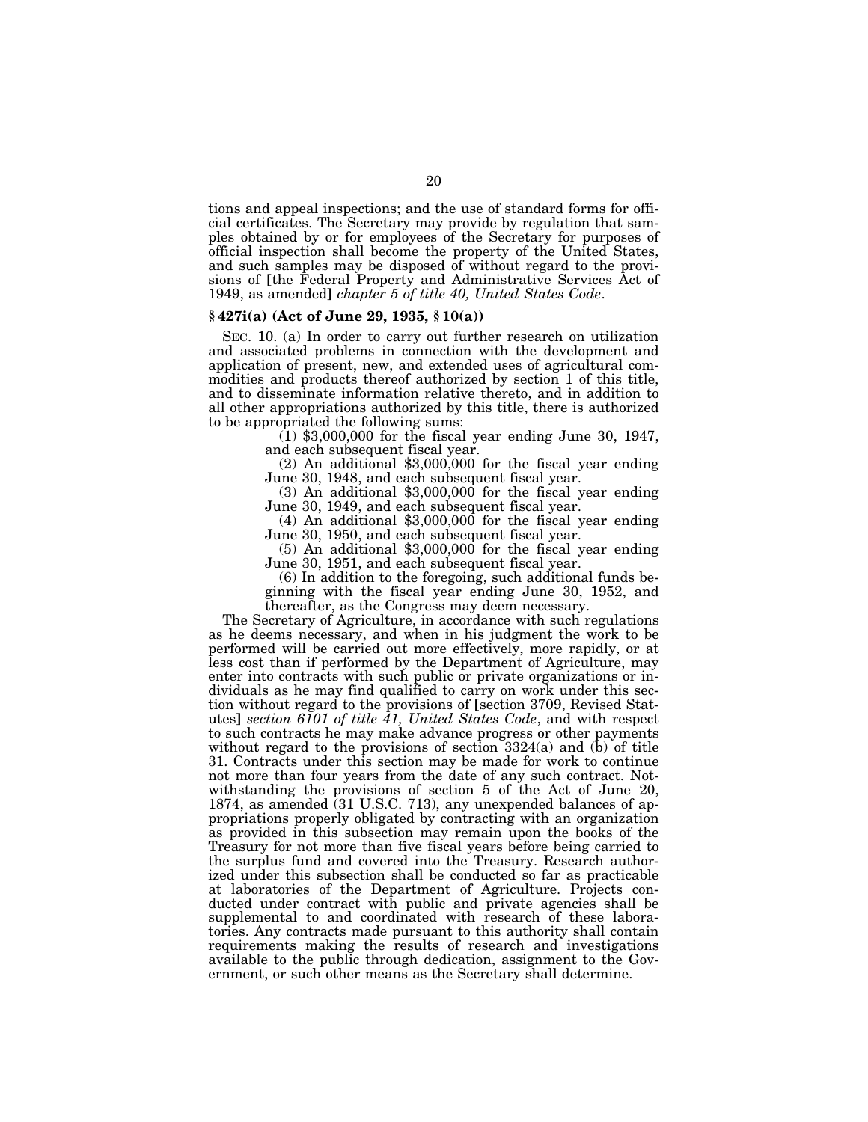tions and appeal inspections; and the use of standard forms for official certificates. The Secretary may provide by regulation that samples obtained by or for employees of the Secretary for purposes of official inspection shall become the property of the United States, and such samples may be disposed of without regard to the provisions of **[**the Federal Property and Administrative Services Act of 1949, as amended**]** *chapter 5 of title 40, United States Code*.

# **§ 427i(a) (Act of June 29, 1935, § 10(a))**

SEC. 10. (a) In order to carry out further research on utilization and associated problems in connection with the development and application of present, new, and extended uses of agricultural commodities and products thereof authorized by section 1 of this title, and to disseminate information relative thereto, and in addition to all other appropriations authorized by this title, there is authorized

to be appropriated the following sums:<br>
(1) \$3,000,000 for the fiscal year ending June 30, 1947,<br>
and each subsequent fiscal year.

(2) An additional  $$3,000,000$  for the fiscal year ending June 30, 1948, and each subsequent fiscal year.

(3) An additional  $$3,000,000$  for the fiscal year ending June 30, 1949, and each subsequent fiscal year.

(4) An additional  $$3,000,000$  for the fiscal year ending June 30, 1950, and each subsequent fiscal year.

 $(5)$  An additional \$3,000,000 for the fiscal year ending June 30, 1951, and each subsequent fiscal year.

(6) In addition to the foregoing, such additional funds beginning with the fiscal year ending June 30, 1952, and thereafter, as the Congress may deem necessary.

The Secretary of Agriculture, in accordance with such regulations as he deems necessary, and when in his judgment the work to be performed will be carried out more effectively, more rapidly, or at less cost than if performed by the Department of Agriculture, may enter into contracts with such public or private organizations or individuals as he may find qualified to carry on work under this section without regard to the provisions of **[**section 3709, Revised Statutes**]** *section 6101 of title 41, United States Code*, and with respect to such contracts he may make advance progress or other payments without regard to the provisions of section  $3324(a)$  and  $(b)$  of title 31. Contracts under this section may be made for work to continue not more than four years from the date of any such contract. Notwithstanding the provisions of section 5 of the Act of June 20, 1874, as amended (31 U.S.C. 713), any unexpended balances of appropriations properly obligated by contracting with an organization as provided in this subsection may remain upon the books of the Treasury for not more than five fiscal years before being carried to the surplus fund and covered into the Treasury. Research authorized under this subsection shall be conducted so far as practicable at laboratories of the Department of Agriculture. Projects conducted under contract with public and private agencies shall be supplemental to and coordinated with research of these laboratories. Any contracts made pursuant to this authority shall contain requirements making the results of research and investigations available to the public through dedication, assignment to the Government, or such other means as the Secretary shall determine.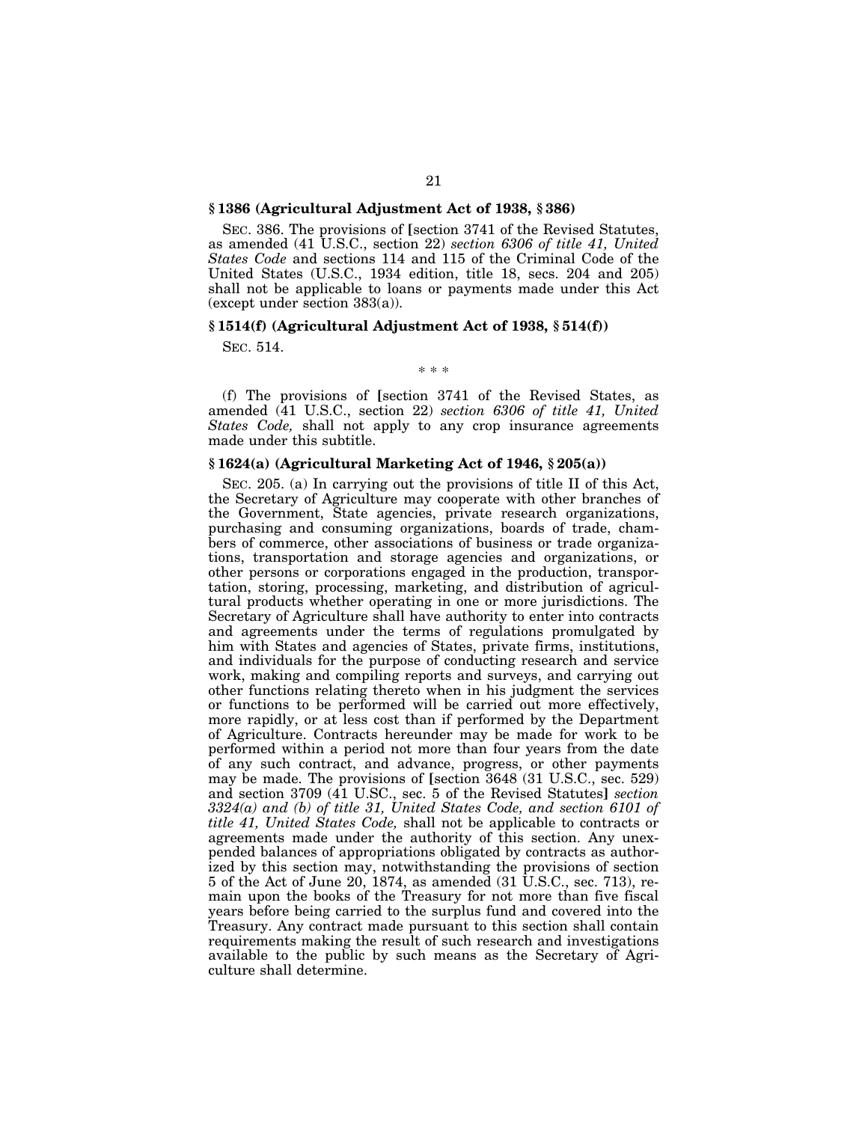## **§ 1386 (Agricultural Adjustment Act of 1938, § 386)**

SEC. 386. The provisions of **[**section 3741 of the Revised Statutes, as amended (41 U.S.C., section 22) *section 6306 of title 41, United States Code* and sections 114 and 115 of the Criminal Code of the United States (U.S.C., 1934 edition, title 18, secs. 204 and 205) shall not be applicable to loans or payments made under this Act (except under section 383(a)).

## **§ 1514(f) (Agricultural Adjustment Act of 1938, § 514(f))**

SEC. 514.

#### \* \* \*

(f) The provisions of **[**section 3741 of the Revised States, as amended (41 U.S.C., section 22) *section 6306 of title 41, United States Code,* shall not apply to any crop insurance agreements made under this subtitle.

# **§ 1624(a) (Agricultural Marketing Act of 1946, § 205(a))**

SEC. 205. (a) In carrying out the provisions of title II of this Act, the Secretary of Agriculture may cooperate with other branches of the Government, State agencies, private research organizations, purchasing and consuming organizations, boards of trade, chambers of commerce, other associations of business or trade organizations, transportation and storage agencies and organizations, or other persons or corporations engaged in the production, transportation, storing, processing, marketing, and distribution of agricultural products whether operating in one or more jurisdictions. The Secretary of Agriculture shall have authority to enter into contracts and agreements under the terms of regulations promulgated by him with States and agencies of States, private firms, institutions, and individuals for the purpose of conducting research and service work, making and compiling reports and surveys, and carrying out other functions relating thereto when in his judgment the services or functions to be performed will be carried out more effectively, more rapidly, or at less cost than if performed by the Department of Agriculture. Contracts hereunder may be made for work to be performed within a period not more than four years from the date of any such contract, and advance, progress, or other payments may be made. The provisions of **[**section 3648 (31 U.S.C., sec. 529) and section 3709 (41 U.SC., sec. 5 of the Revised Statutes**]** *section 3324(a) and (b) of title 31, United States Code, and section 6101 of title 41, United States Code,* shall not be applicable to contracts or agreements made under the authority of this section. Any unexpended balances of appropriations obligated by contracts as authorized by this section may, notwithstanding the provisions of section 5 of the Act of June 20, 1874, as amended (31 U.S.C., sec. 713), remain upon the books of the Treasury for not more than five fiscal years before being carried to the surplus fund and covered into the Treasury. Any contract made pursuant to this section shall contain requirements making the result of such research and investigations available to the public by such means as the Secretary of Agriculture shall determine.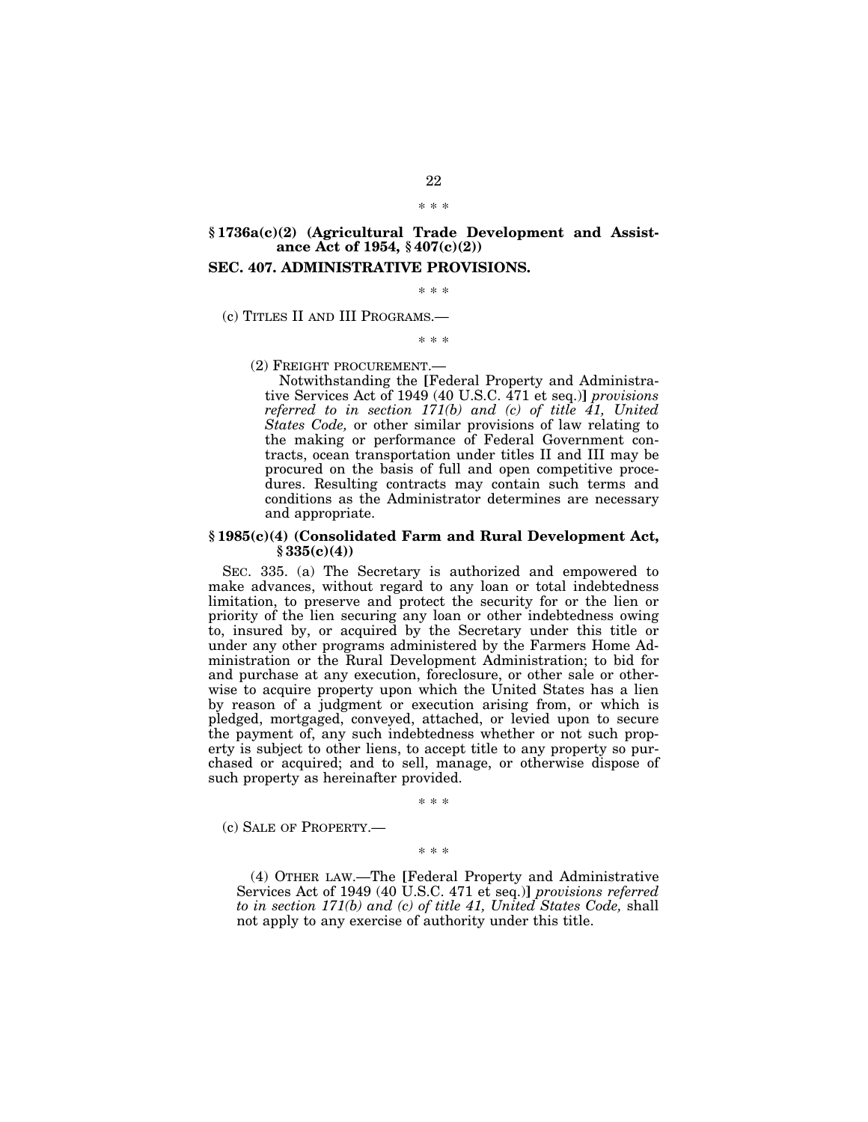# **§ 1736a(c)(2) (Agricultural Trade Development and Assistance Act of 1954, § 407(c)(2))**

# **SEC. 407. ADMINISTRATIVE PROVISIONS.**

\* \* \*

(c) TITLES II AND III PROGRAMS.—

\* \* \*

(2) FREIGHT PROCUREMENT.—

Notwithstanding the **[**Federal Property and Administrative Services Act of 1949 (40 U.S.C. 471 et seq.)**]** *provisions referred to in section 171(b) and (c) of title 41, United States Code,* or other similar provisions of law relating to the making or performance of Federal Government contracts, ocean transportation under titles II and III may be procured on the basis of full and open competitive procedures. Resulting contracts may contain such terms and conditions as the Administrator determines are necessary and appropriate.

## **§ 1985(c)(4) (Consolidated Farm and Rural Development Act, § 335(c)(4))**

SEC. 335. (a) The Secretary is authorized and empowered to make advances, without regard to any loan or total indebtedness limitation, to preserve and protect the security for or the lien or priority of the lien securing any loan or other indebtedness owing to, insured by, or acquired by the Secretary under this title or under any other programs administered by the Farmers Home Administration or the Rural Development Administration; to bid for and purchase at any execution, foreclosure, or other sale or otherwise to acquire property upon which the United States has a lien by reason of a judgment or execution arising from, or which is pledged, mortgaged, conveyed, attached, or levied upon to secure the payment of, any such indebtedness whether or not such property is subject to other liens, to accept title to any property so purchased or acquired; and to sell, manage, or otherwise dispose of such property as hereinafter provided.

\* \* \*

(c) SALE OF PROPERTY.—

\* \* \*

(4) OTHER LAW.—The **[**Federal Property and Administrative Services Act of 1949 (40 U.S.C. 471 et seq.)**]** *provisions referred to in section 171(b) and (c) of title 41, United States Code,* shall not apply to any exercise of authority under this title.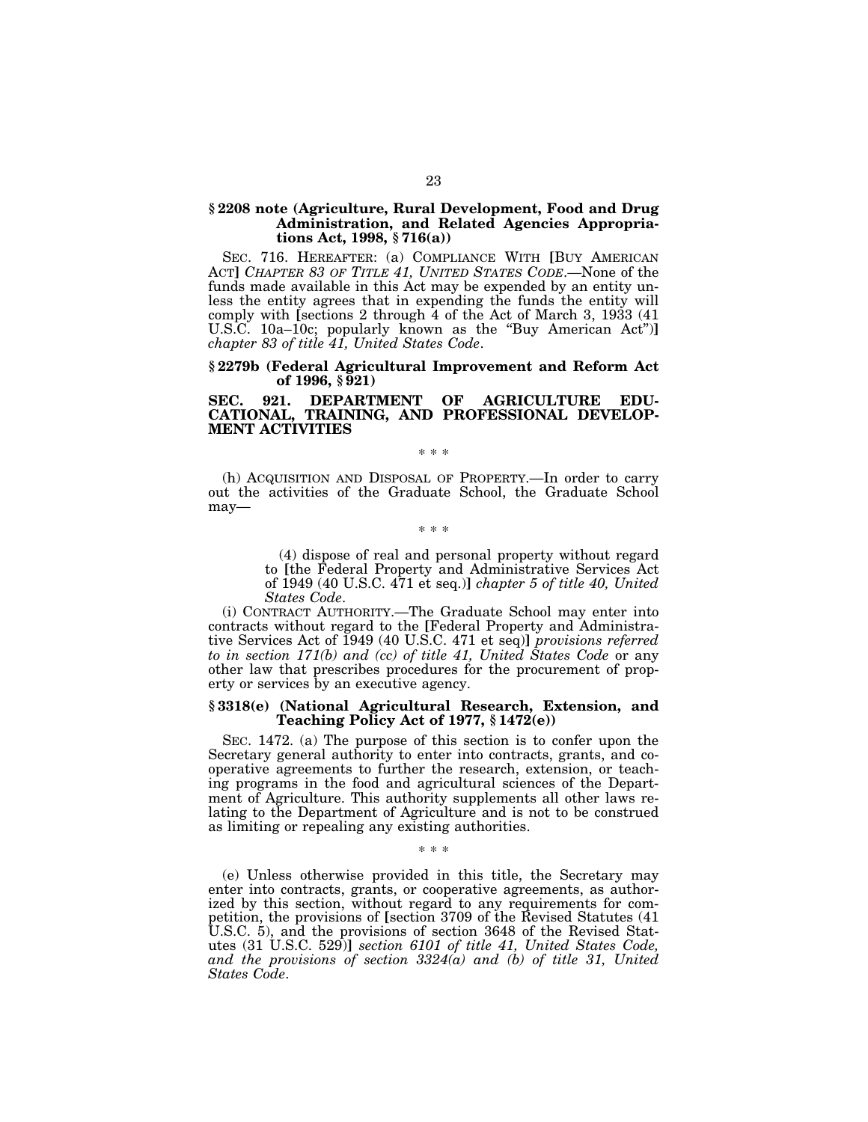# **§ 2208 note (Agriculture, Rural Development, Food and Drug Administration, and Related Agencies Appropriations Act, 1998, § 716(a))**

SEC. 716. HEREAFTER: (a) COMPLIANCE WITH **[**BUY AMERICAN ACT**]** *CHAPTER 83 OF TITLE 41, UNITED STATES CODE*.—None of the funds made available in this Act may be expended by an entity unless the entity agrees that in expending the funds the entity will comply with **[**sections 2 through 4 of the Act of March 3, 1933 (41 U.S.C. 10a–10c; popularly known as the ''Buy American Act'')**]**  *chapter 83 of title 41, United States Code*.

## **§ 2279b (Federal Agricultural Improvement and Reform Act of 1996, § 921)**

# **SEC. 921. DEPARTMENT OF AGRICULTURE EDU-CATIONAL, TRAINING, AND PROFESSIONAL DEVELOP-MENT ACTIVITIES**

## \* \* \*

(h) ACQUISITION AND DISPOSAL OF PROPERTY.—In order to carry out the activities of the Graduate School, the Graduate School may—

# \* \* \*

(4) dispose of real and personal property without regard to **[**the Federal Property and Administrative Services Act of 1949 (40 U.S.C. 471 et seq.)**]** *chapter 5 of title 40, United States Code*.

(i) CONTRACT AUTHORITY.—The Graduate School may enter into contracts without regard to the **[**Federal Property and Administrative Services Act of 1949 (40 U.S.C. 471 et seq)**]** *provisions referred to in section 171(b) and (cc) of title 41, United States Code* or any other law that prescribes procedures for the procurement of property or services by an executive agency.

#### **§ 3318(e) (National Agricultural Research, Extension, and Teaching Policy Act of 1977, § 1472(e))**

SEC. 1472. (a) The purpose of this section is to confer upon the Secretary general authority to enter into contracts, grants, and cooperative agreements to further the research, extension, or teaching programs in the food and agricultural sciences of the Department of Agriculture. This authority supplements all other laws relating to the Department of Agriculture and is not to be construed as limiting or repealing any existing authorities.

#### \* \* \*

(e) Unless otherwise provided in this title, the Secretary may enter into contracts, grants, or cooperative agreements, as authorized by this section, without regard to any requirements for competition, the provisions of **[**section 3709 of the Revised Statutes (41 U.S.C. 5), and the provisions of section 3648 of the Revised Statutes (31 U.S.C. 529)**]** *section 6101 of title 41, United States Code,*  and the provisions of section 3324(a) and (b) of title 31, United *States Code*.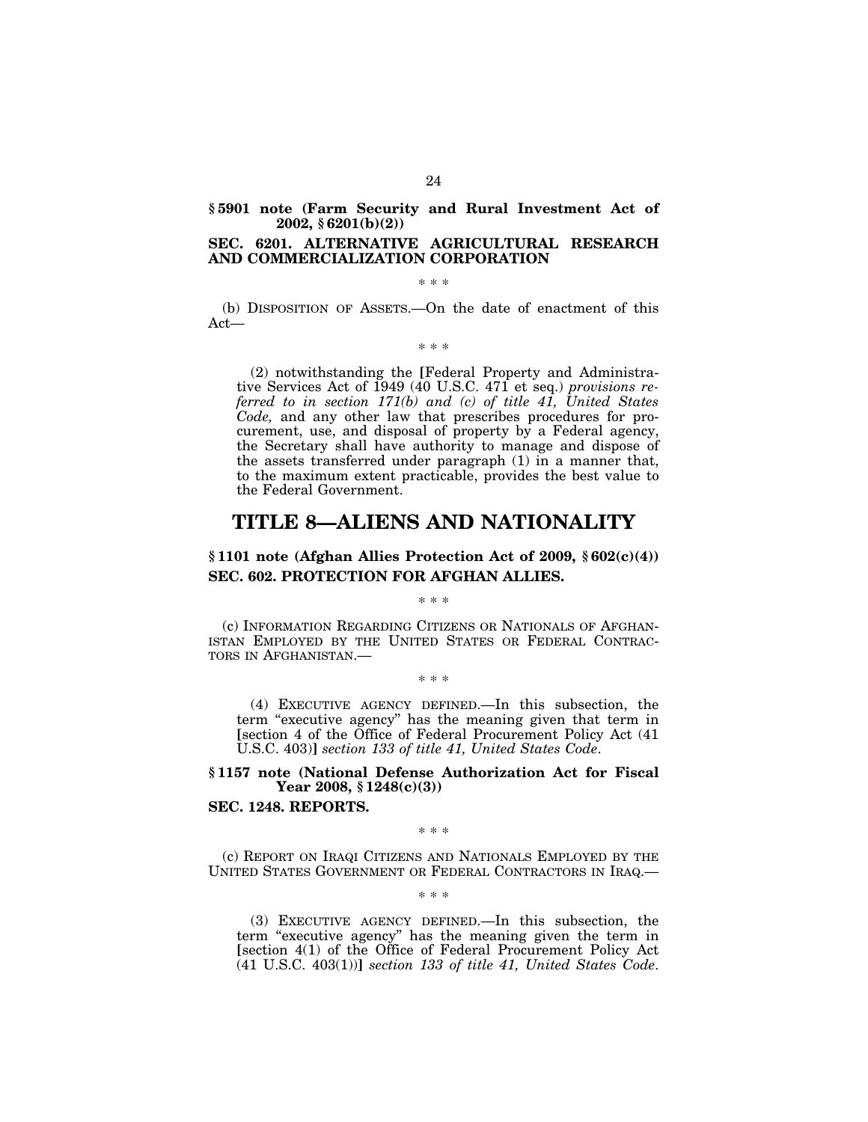**§ 5901 note (Farm Security and Rural Investment Act of 2002, § 6201(b)(2))** 

# **SEC. 6201. ALTERNATIVE AGRICULTURAL RESEARCH AND COMMERCIALIZATION CORPORATION**

\* \* \*

(b) DISPOSITION OF ASSETS.—On the date of enactment of this Act—

\* \* \*

(2) notwithstanding the **[**Federal Property and Administrative Services Act of 1949 (40 U.S.C. 471 et seq.) *provisions referred to in section 171(b) and (c) of title 41, United States Code,* and any other law that prescribes procedures for procurement, use, and disposal of property by a Federal agency, the Secretary shall have authority to manage and dispose of the assets transferred under paragraph (1) in a manner that, to the maximum extent practicable, provides the best value to the Federal Government.

# **TITLE 8—ALIENS AND NATIONALITY**

# **§ 1101 note (Afghan Allies Protection Act of 2009, § 602(c)(4)) SEC. 602. PROTECTION FOR AFGHAN ALLIES.**

### \* \* \*

(c) INFORMATION REGARDING CITIZENS OR NATIONALS OF AFGHAN-ISTAN EMPLOYED BY THE UNITED STATES OR FEDERAL CONTRAC-TORS IN AFGHANISTAN.—

\* \* \*

(4) EXECUTIVE AGENCY DEFINED.—In this subsection, the term "executive agency" has the meaning given that term in **[**section 4 of the Office of Federal Procurement Policy Act (41 U.S.C. 403)**]** *section 133 of title 41, United States Code*.

# **§ 1157 note (National Defense Authorization Act for Fiscal Year 2008, § 1248(c)(3))**

# **SEC. 1248. REPORTS.**

#### \* \* \*

(c) REPORT ON IRAQI CITIZENS AND NATIONALS EMPLOYED BY THE UNITED STATES GOVERNMENT OR FEDERAL CONTRACTORS IN IRAQ.—

\* \* \*

(3) EXECUTIVE AGENCY DEFINED.—In this subsection, the term "executive agency" has the meaning given the term in **[**section 4(1) of the Office of Federal Procurement Policy Act (41 U.S.C. 403(1))**]** *section 133 of title 41, United States Code*.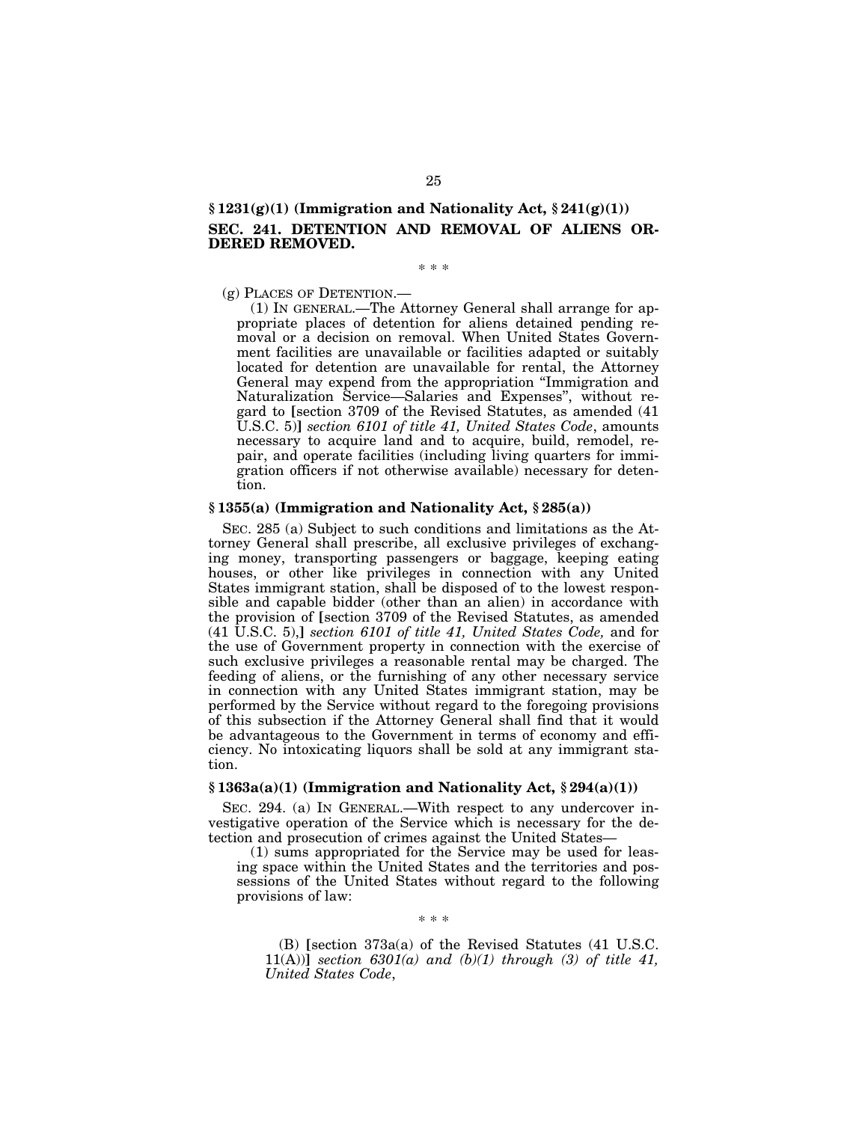# **§ 1231(g)(1) (Immigration and Nationality Act, § 241(g)(1)) SEC. 241. DETENTION AND REMOVAL OF ALIENS OR-DERED REMOVED.**

\* \* \*

(g) PLACES OF DETENTION.—

(1) IN GENERAL.—The Attorney General shall arrange for appropriate places of detention for aliens detained pending removal or a decision on removal. When United States Government facilities are unavailable or facilities adapted or suitably located for detention are unavailable for rental, the Attorney General may expend from the appropriation "Immigration and Naturalization Service—Salaries and Expenses'', without regard to *[section 3709 of the Revised Statutes, as amended (41* U.S.C. 5)**]** *section 6101 of title 41, United States Code*, amounts necessary to acquire land and to acquire, build, remodel, repair, and operate facilities (including living quarters for immigration officers if not otherwise available) necessary for detention.

# **§ 1355(a) (Immigration and Nationality Act, § 285(a))**

SEC. 285 (a) Subject to such conditions and limitations as the Attorney General shall prescribe, all exclusive privileges of exchanging money, transporting passengers or baggage, keeping eating houses, or other like privileges in connection with any United States immigrant station, shall be disposed of to the lowest responsible and capable bidder (other than an alien) in accordance with the provision of **[**section 3709 of the Revised Statutes, as amended (41 U.S.C. 5),**]** *section 6101 of title 41, United States Code,* and for the use of Government property in connection with the exercise of such exclusive privileges a reasonable rental may be charged. The feeding of aliens, or the furnishing of any other necessary service in connection with any United States immigrant station, may be performed by the Service without regard to the foregoing provisions of this subsection if the Attorney General shall find that it would be advantageous to the Government in terms of economy and efficiency. No intoxicating liquors shall be sold at any immigrant station.

# **§ 1363a(a)(1) (Immigration and Nationality Act, § 294(a)(1))**

SEC. 294. (a) IN GENERAL.—With respect to any undercover investigative operation of the Service which is necessary for the detection and prosecution of crimes against the United States—

\* \* \*

(1) sums appropriated for the Service may be used for leasing space within the United States and the territories and possessions of the United States without regard to the following provisions of law:

(B) **[**section 373a(a) of the Revised Statutes (41 U.S.C. 11(A))**]** *section 6301(a) and (b)(1) through (3) of title 41, United States Code*,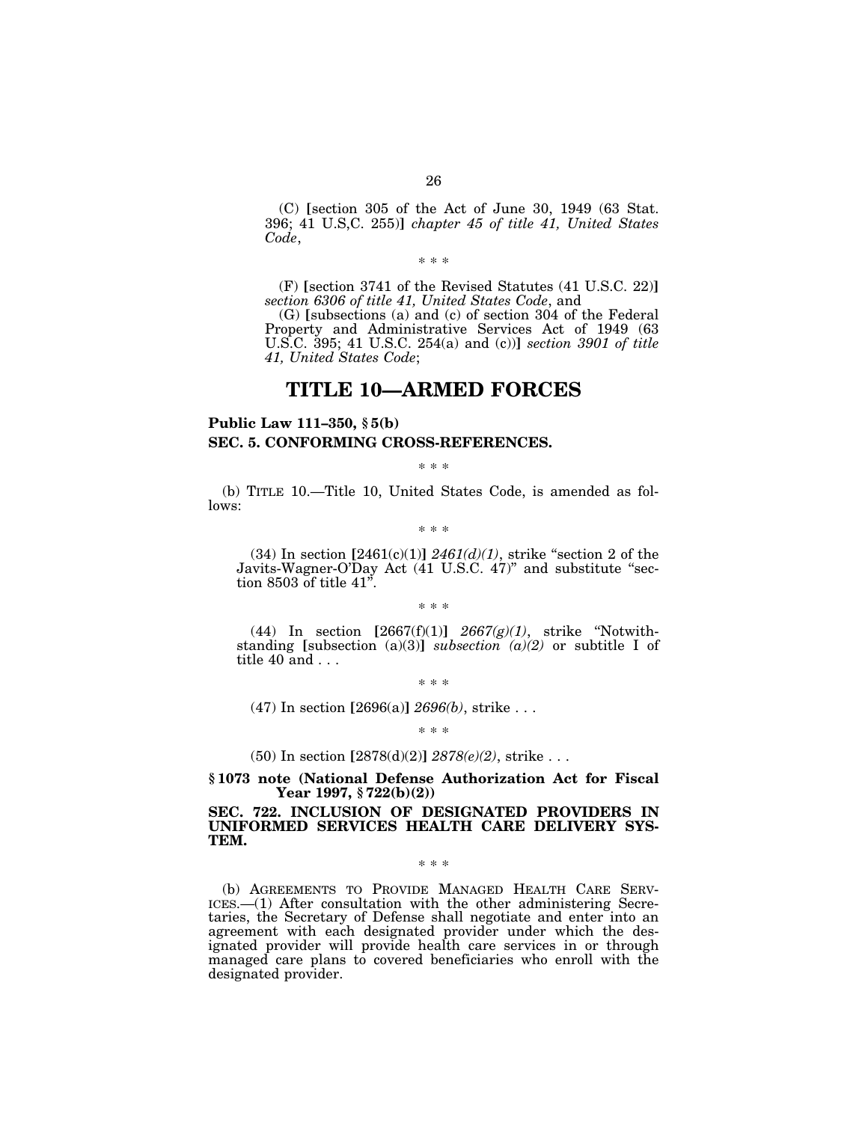(C) **[**section 305 of the Act of June 30, 1949 (63 Stat. 396; 41 U.S,C. 255)**]** *chapter 45 of title 41, United States Code*,

\* \* \*

(F) **[**section 3741 of the Revised Statutes (41 U.S.C. 22)**]**  *section 6306 of title 41, United States Code*, and

(G) **[**subsections (a) and (c) of section 304 of the Federal Property and Administrative Services Act of 1949 (63 U.S.C. 395; 41 U.S.C. 254(a) and (c))**]** *section 3901 of title 41, United States Code*;

# **TITLE 10—ARMED FORCES**

# **Public Law 111–350, § 5(b) SEC. 5. CONFORMING CROSS-REFERENCES.**

\* \* \*

(b) TITLE 10.—Title 10, United States Code, is amended as follows:

\* \* \*

(34) In section **[**2461(c)(1)**]** *2461(d)(1)*, strike ''section 2 of the Javits-Wagner-O'Day Act (41 U.S.C. 47)'' and substitute ''section 8503 of title 41''.

# \* \* \*

(44) In section **[**2667(f)(1)**]** *2667(g)(1)*, strike ''Notwithstanding **[**subsection (a)(3)**]** *subsection (a)(2)* or subtitle I of title 40 and . . .

\* \* \*

(47) In section **[**2696(a)**]** *2696(b)*, strike . . .

\* \* \*

(50) In section **[**2878(d)(2)**]** *2878(e)(2)*, strike . . .

**§ 1073 note (National Defense Authorization Act for Fiscal Year 1997, § 722(b)(2))** 

**SEC. 722. INCLUSION OF DESIGNATED PROVIDERS IN UNIFORMED SERVICES HEALTH CARE DELIVERY SYS-TEM.** 

\* \* \*

(b) AGREEMENTS TO PROVIDE MANAGED HEALTH CARE SERV-ICES.—(1) After consultation with the other administering Secretaries, the Secretary of Defense shall negotiate and enter into an agreement with each designated provider under which the designated provider will provide health care services in or through managed care plans to covered beneficiaries who enroll with the designated provider.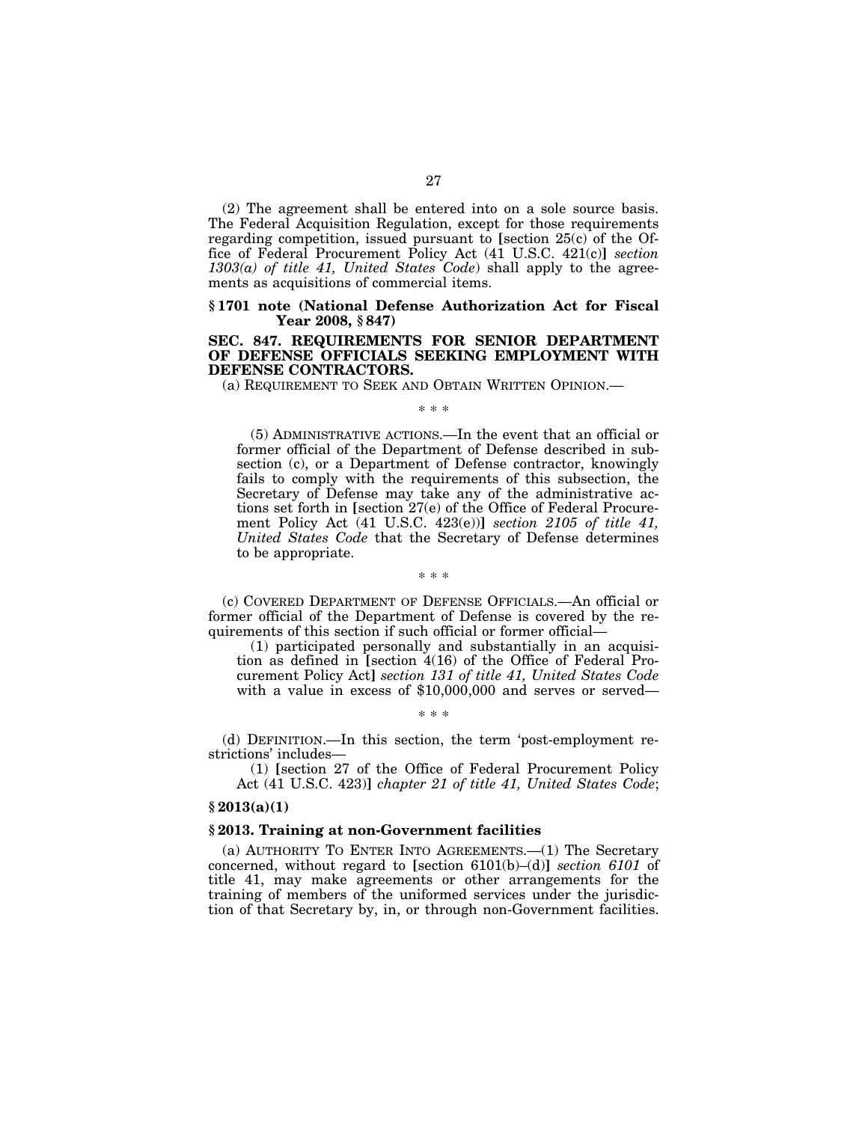(2) The agreement shall be entered into on a sole source basis. The Federal Acquisition Regulation, except for those requirements regarding competition, issued pursuant to **[**section 25(c) of the Office of Federal Procurement Policy Act (41 U.S.C. 421(c)**]** *section 1303(a) of title 41, United States Code*) shall apply to the agreements as acquisitions of commercial items.

## **§ 1701 note (National Defense Authorization Act for Fiscal Year 2008, § 847)**

# **SEC. 847. REQUIREMENTS FOR SENIOR DEPARTMENT OF DEFENSE OFFICIALS SEEKING EMPLOYMENT WITH DEFENSE CONTRACTORS.**

(a) REQUIREMENT TO SEEK AND OBTAIN WRITTEN OPINION.—

#### \* \* \*

(5) ADMINISTRATIVE ACTIONS.—In the event that an official or former official of the Department of Defense described in subsection (c), or a Department of Defense contractor, knowingly fails to comply with the requirements of this subsection, the Secretary of Defense may take any of the administrative actions set forth in **[**section 27(e) of the Office of Federal Procurement Policy Act (41 U.S.C. 423(e))**]** *section 2105 of title 41, United States Code* that the Secretary of Defense determines to be appropriate.

#### \* \* \*

(c) COVERED DEPARTMENT OF DEFENSE OFFICIALS.—An official or former official of the Department of Defense is covered by the requirements of this section if such official or former official—

(1) participated personally and substantially in an acquisition as defined in **[**section 4(16) of the Office of Federal Procurement Policy Act**]** *section 131 of title 41, United States Code*  with a value in excess of \$10,000,000 and serves or served—

\* \* \*

(d) DEFINITION.—In this section, the term 'post-employment restrictions' includes—

(1) **[**section 27 of the Office of Federal Procurement Policy Act (41 U.S.C. 423)**]** *chapter 21 of title 41, United States Code*;

#### **§ 2013(a)(1)**

## **§ 2013. Training at non-Government facilities**

(a) AUTHORITY TO ENTER INTO AGREEMENTS.—(1) The Secretary concerned, without regard to **[**section 6101(b)–(d)**]** *section 6101* of title 41, may make agreements or other arrangements for the training of members of the uniformed services under the jurisdiction of that Secretary by, in, or through non-Government facilities.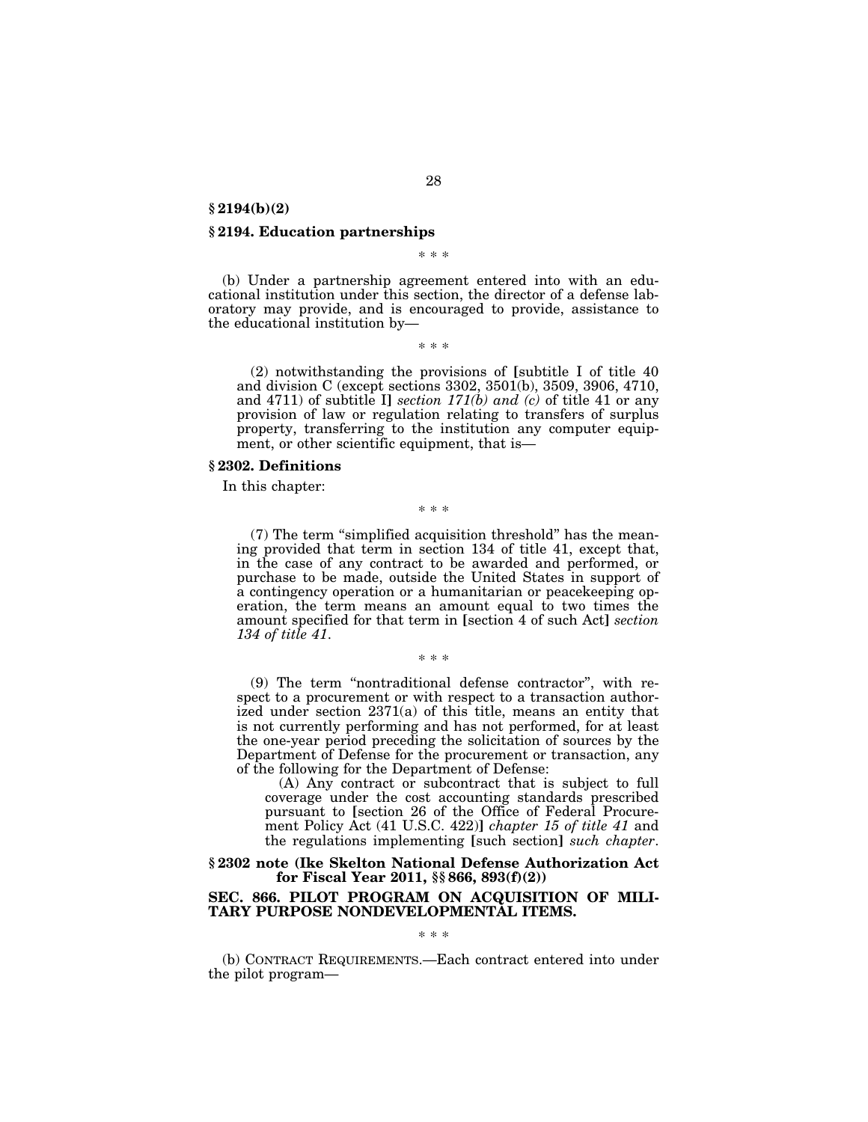**§ 2194(b)(2)** 

# **§ 2194. Education partnerships**

\* \* \*

(b) Under a partnership agreement entered into with an educational institution under this section, the director of a defense laboratory may provide, and is encouraged to provide, assistance to the educational institution by—

\* \* \*

(2) notwithstanding the provisions of **[**subtitle I of title 40 and division C (except sections 3302, 3501(b), 3509, 3906, 4710, and 4711) of subtitle I**]** *section 171(b) and (c)* of title 41 or any provision of law or regulation relating to transfers of surplus property, transferring to the institution any computer equipment, or other scientific equipment, that is—

#### **§ 2302. Definitions**

In this chapter:

#### \* \* \*

(7) The term ''simplified acquisition threshold'' has the meaning provided that term in section 134 of title 41, except that, in the case of any contract to be awarded and performed, or purchase to be made, outside the United States in support of a contingency operation or a humanitarian or peacekeeping operation, the term means an amount equal to two times the amount specified for that term in **[**section 4 of such Act**]** *section 134 of title 41*.

\* \* \*

(9) The term ''nontraditional defense contractor'', with respect to a procurement or with respect to a transaction authorized under section 2371(a) of this title, means an entity that is not currently performing and has not performed, for at least the one-year period preceding the solicitation of sources by the Department of Defense for the procurement or transaction, any of the following for the Department of Defense:

(A) Any contract or subcontract that is subject to full coverage under the cost accounting standards prescribed pursuant to **[**section 26 of the Office of Federal Procurement Policy Act (41 U.S.C. 422)**]** *chapter 15 of title 41* and the regulations implementing **[**such section**]** *such chapter*.

# **§ 2302 note (Ike Skelton National Defense Authorization Act for Fiscal Year 2011, §§ 866, 893(f)(2))**

# **SEC. 866. PILOT PROGRAM ON ACQUISITION OF MILI-TARY PURPOSE NONDEVELOPMENTAL ITEMS.**

\* \* \*

(b) CONTRACT REQUIREMENTS.—Each contract entered into under the pilot program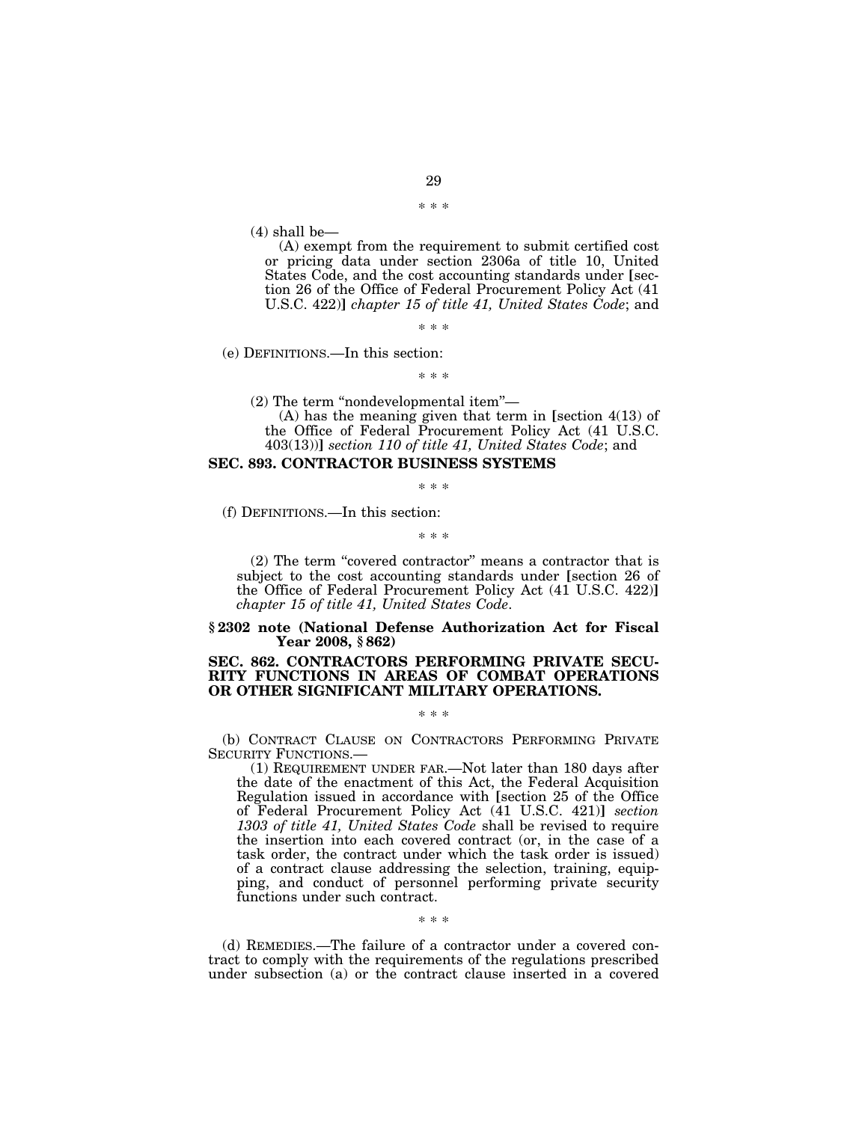\* \* \*

(4) shall be—

(A) exempt from the requirement to submit certified cost or pricing data under section 2306a of title 10, United States Code, and the cost accounting standards under **[**section 26 of the Office of Federal Procurement Policy Act (41 U.S.C. 422)**]** *chapter 15 of title 41, United States Code*; and

\* \* \*

(e) DEFINITIONS.—In this section:

\* \* \*

(2) The term ''nondevelopmental item''—

(A) has the meaning given that term in **[**section 4(13) of the Office of Federal Procurement Policy Act (41 U.S.C. 403(13))**]** *section 110 of title 41, United States Code*; and

# **SEC. 893. CONTRACTOR BUSINESS SYSTEMS**

\* \* \*

(f) DEFINITIONS.—In this section:

\* \* \*

(2) The term ''covered contractor'' means a contractor that is subject to the cost accounting standards under **[**section 26 of the Office of Federal Procurement Policy Act (41 U.S.C. 422)**]**  *chapter 15 of title 41, United States Code*.

#### **§ 2302 note (National Defense Authorization Act for Fiscal Year 2008, § 862)**

# **SEC. 862. CONTRACTORS PERFORMING PRIVATE SECU-RITY FUNCTIONS IN AREAS OF COMBAT OPERATIONS OR OTHER SIGNIFICANT MILITARY OPERATIONS.**

\* \* \*

(b) CONTRACT CLAUSE ON CONTRACTORS PERFORMING PRIVATE SECURITY FUNCTIONS.—

(1) REQUIREMENT UNDER FAR.—Not later than 180 days after the date of the enactment of this Act, the Federal Acquisition Regulation issued in accordance with **[**section 25 of the Office of Federal Procurement Policy Act (41 U.S.C. 421)**]** *section 1303 of title 41, United States Code* shall be revised to require the insertion into each covered contract (or, in the case of a task order, the contract under which the task order is issued) of a contract clause addressing the selection, training, equipping, and conduct of personnel performing private security functions under such contract.

(d) REMEDIES.—The failure of a contractor under a covered contract to comply with the requirements of the regulations prescribed under subsection (a) or the contract clause inserted in a covered

\* \* \*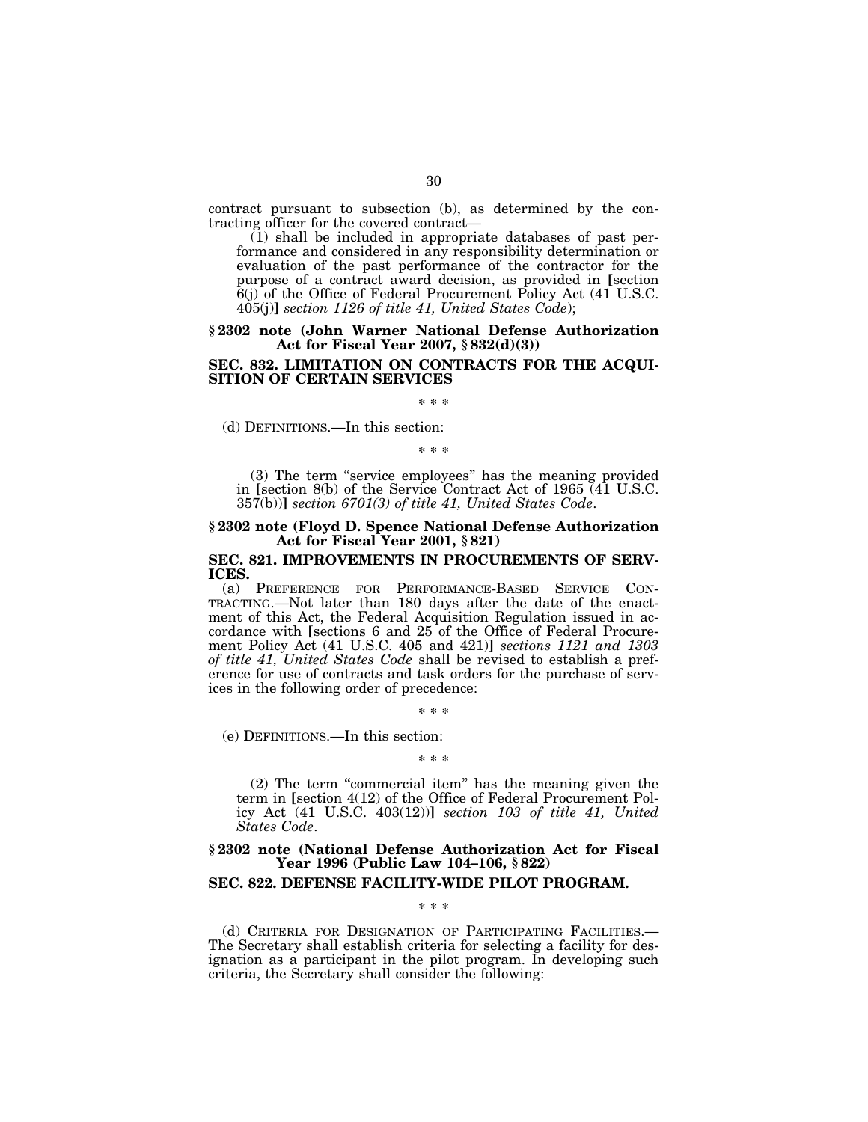contract pursuant to subsection (b), as determined by the contracting officer for the covered contract—

(1) shall be included in appropriate databases of past performance and considered in any responsibility determination or evaluation of the past performance of the contractor for the purpose of a contract award decision, as provided in **[**section  $\tilde{6}(j)$  of the Office of Federal Procurement Policy Act (41 U.S.C. 405(j)**]** *section 1126 of title 41, United States Code*);

## **§ 2302 note (John Warner National Defense Authorization Act for Fiscal Year 2007, § 832(d)(3))**

# **SEC. 832. LIMITATION ON CONTRACTS FOR THE ACQUI-SITION OF CERTAIN SERVICES**

\* \* \*

(d) DEFINITIONS.—In this section:

\* \* \*

(3) The term ''service employees'' has the meaning provided in **[**section 8(b) of the Service Contract Act of 1965 (41 U.S.C. 357(b))**]** *section 6701(3) of title 41, United States Code*.

# **§ 2302 note (Floyd D. Spence National Defense Authorization Act for Fiscal Year 2001, § 821)**

# **SEC. 821. IMPROVEMENTS IN PROCUREMENTS OF SERV-ICES.**

(a) PREFERENCE FOR PERFORMANCE-BASED SERVICE CON-TRACTING.—Not later than 180 days after the date of the enactment of this Act, the Federal Acquisition Regulation issued in accordance with **[**sections 6 and 25 of the Office of Federal Procurement Policy Act (41 U.S.C. 405 and 421)**]** *sections 1121 and 1303 of title 41, United States Code* shall be revised to establish a preference for use of contracts and task orders for the purchase of services in the following order of precedence:

\* \* \*

(e) DEFINITIONS.—In this section:

\* \* \*

 $(2)$  The term "commercial item" has the meaning given the term in **[**section 4(12) of the Office of Federal Procurement Policy Act (41 U.S.C. 403(12))**]** *section 103 of title 41, United States Code*.

# **§ 2302 note (National Defense Authorization Act for Fiscal Year 1996 (Public Law 104–106, § 822)**

## **SEC. 822. DEFENSE FACILITY-WIDE PILOT PROGRAM.**

#### \* \* \*

(d) CRITERIA FOR DESIGNATION OF PARTICIPATING FACILITIES.— The Secretary shall establish criteria for selecting a facility for designation as a participant in the pilot program. In developing such criteria, the Secretary shall consider the following: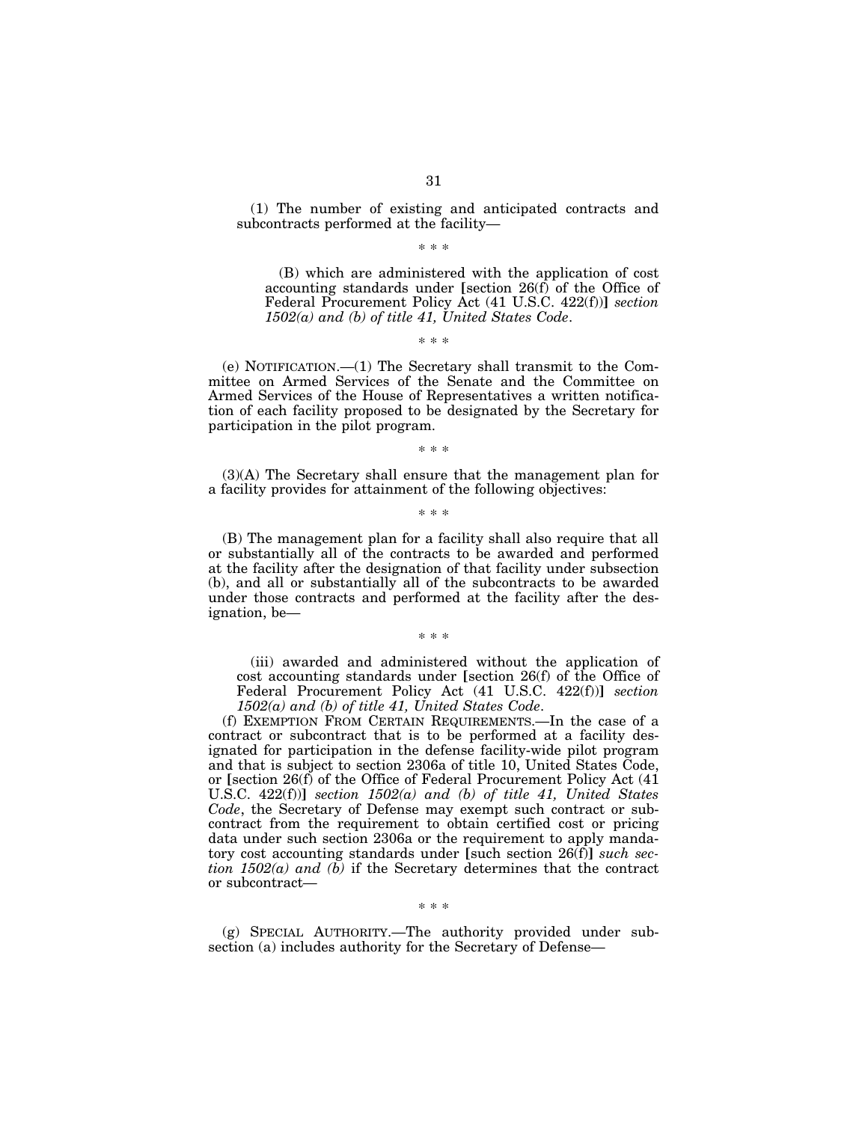(1) The number of existing and anticipated contracts and subcontracts performed at the facility—

#### \* \* \*

(B) which are administered with the application of cost accounting standards under **[**section 26(f) of the Office of Federal Procurement Policy Act (41 U.S.C. 422(f))**]** *section 1502(a) and (b) of title 41, United States Code*.

# \* \* \*

(e) NOTIFICATION.—(1) The Secretary shall transmit to the Committee on Armed Services of the Senate and the Committee on Armed Services of the House of Representatives a written notification of each facility proposed to be designated by the Secretary for participation in the pilot program.

#### \* \* \*

(3)(A) The Secretary shall ensure that the management plan for a facility provides for attainment of the following objectives:

### \* \* \*

(B) The management plan for a facility shall also require that all or substantially all of the contracts to be awarded and performed at the facility after the designation of that facility under subsection (b), and all or substantially all of the subcontracts to be awarded under those contracts and performed at the facility after the designation, be—

#### \* \* \*

(iii) awarded and administered without the application of cost accounting standards under **[**section 26(f) of the Office of Federal Procurement Policy Act (41 U.S.C. 422(f))**]** *section 1502(a) and (b) of title 41, United States Code*.

(f) EXEMPTION FROM CERTAIN REQUIREMENTS.—In the case of a contract or subcontract that is to be performed at a facility designated for participation in the defense facility-wide pilot program and that is subject to section 2306a of title 10, United States Code, or **[**section 26(f) of the Office of Federal Procurement Policy Act (41 U.S.C. 422(f))**]** *section 1502(a) and (b) of title 41, United States Code*, the Secretary of Defense may exempt such contract or subcontract from the requirement to obtain certified cost or pricing data under such section 2306a or the requirement to apply mandatory cost accounting standards under **[**such section 26(f)**]** *such section 1502(a) and (b)* if the Secretary determines that the contract or subcontract—

# \* \* \*

(g) SPECIAL AUTHORITY.—The authority provided under subsection (a) includes authority for the Secretary of Defense—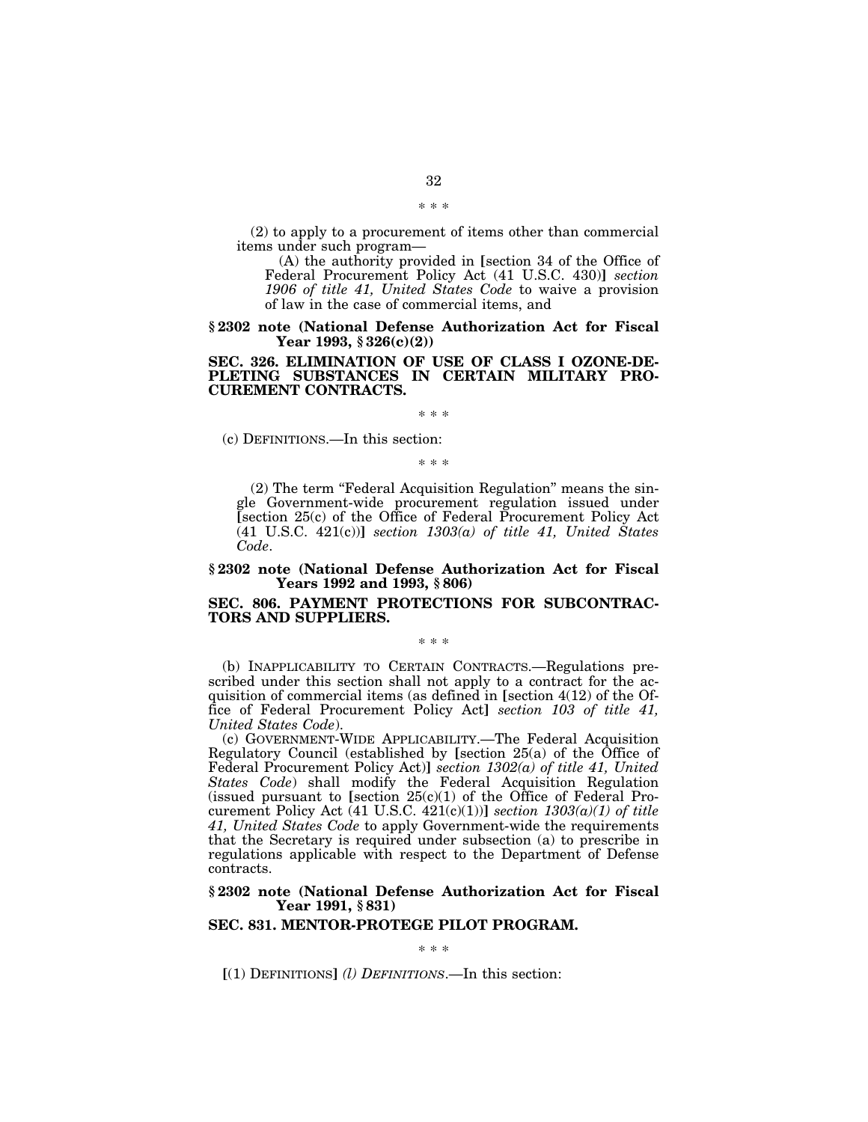(2) to apply to a procurement of items other than commercial items under such program—

(A) the authority provided in **[**section 34 of the Office of Federal Procurement Policy Act (41 U.S.C. 430)**]** *section 1906 of title 41, United States Code* to waive a provision of law in the case of commercial items, and

## **§ 2302 note (National Defense Authorization Act for Fiscal Year 1993, § 326(c)(2))**

## **SEC. 326. ELIMINATION OF USE OF CLASS I OZONE-DE-PLETING SUBSTANCES IN CERTAIN MILITARY PRO-CUREMENT CONTRACTS.**

\* \* \*

(c) DEFINITIONS.—In this section:

\* \* \*

(2) The term ''Federal Acquisition Regulation'' means the single Government-wide procurement regulation issued under **[**section 25(c) of the Office of Federal Procurement Policy Act (41 U.S.C. 421(c))**]** *section 1303(a) of title 41, United States Code*.

# **§ 2302 note (National Defense Authorization Act for Fiscal Years 1992 and 1993, § 806)**

# **SEC. 806. PAYMENT PROTECTIONS FOR SUBCONTRAC-TORS AND SUPPLIERS.**

\* \* \*

(b) INAPPLICABILITY TO CERTAIN CONTRACTS.—Regulations prescribed under this section shall not apply to a contract for the acquisition of commercial items (as defined in **[**section 4(12) of the Office of Federal Procurement Policy Act**]** *section 103 of title 41, United States Code*).

(c) GOVERNMENT-WIDE APPLICABILITY.—The Federal Acquisition Regulatory Council (established by **[**section 25(a) of the Office of Federal Procurement Policy Act)**]** *section 1302(a) of title 41, United States Code*) shall modify the Federal Acquisition Regulation (issued pursuant to  $[section 25(c)(1)$  of the Office of Federal Procurement Policy Act (41 U.S.C. 421(c)(1))**]** *section 1303(a)(1) of title 41, United States Code* to apply Government-wide the requirements that the Secretary is required under subsection (a) to prescribe in regulations applicable with respect to the Department of Defense contracts.

# **§ 2302 note (National Defense Authorization Act for Fiscal Year 1991, § 831)**

# **SEC. 831. MENTOR-PROTEGE PILOT PROGRAM.**

\* \* \*

**[**(1) DEFINITIONS**]** *(l) DEFINITIONS*.—In this section: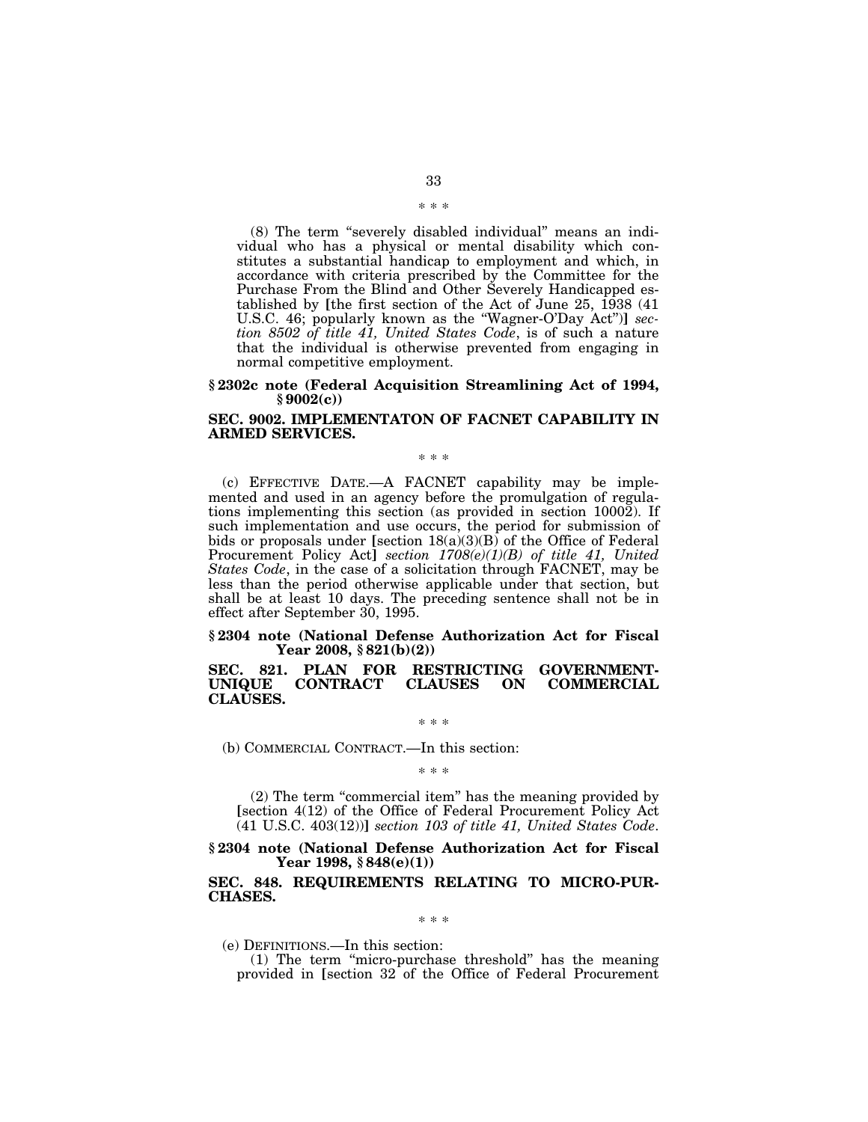(8) The term ''severely disabled individual'' means an individual who has a physical or mental disability which constitutes a substantial handicap to employment and which, in accordance with criteria prescribed by the Committee for the Purchase From the Blind and Other Severely Handicapped established by **[**the first section of the Act of June 25, 1938 (41 U.S.C. 46; popularly known as the ''Wagner-O'Day Act'')**]** *section 8502 of title 41, United States Code*, is of such a nature that the individual is otherwise prevented from engaging in normal competitive employment.

## **§ 2302c note (Federal Acquisition Streamlining Act of 1994, § 9002(c))**

# **SEC. 9002. IMPLEMENTATON OF FACNET CAPABILITY IN ARMED SERVICES.**

\* \* \*

(c) EFFECTIVE DATE.—A FACNET capability may be implemented and used in an agency before the promulgation of regulations implementing this section (as provided in section 10002). If such implementation and use occurs, the period for submission of bids or proposals under **[**section 18(a)(3)(B) of the Office of Federal Procurement Policy Act**]** *section 1708(e)(1)(B) of title 41, United States Code*, in the case of a solicitation through FACNET, may be less than the period otherwise applicable under that section, but shall be at least 10 days. The preceding sentence shall not be in effect after September 30, 1995.

# **§ 2304 note (National Defense Authorization Act for Fiscal Year 2008, § 821(b)(2))**

**SEC. 821. PLAN FOR RESTRICTING GOVERNMENT-COMMERCIAL CLAUSES.** 

\* \* \*

(b) COMMERCIAL CONTRACT.—In this section:

\* \* \*

(2) The term "commercial item" has the meaning provided by **[**section 4(12) of the Office of Federal Procurement Policy Act (41 U.S.C. 403(12))**]** *section 103 of title 41, United States Code*.

# **§ 2304 note (National Defense Authorization Act for Fiscal Year 1998, § 848(e)(1))**

**SEC. 848. REQUIREMENTS RELATING TO MICRO-PUR-CHASES.** 

\* \* \*

(e) DEFINITIONS.—In this section:

(1) The term ''micro-purchase threshold'' has the meaning provided in **[**section 32 of the Office of Federal Procurement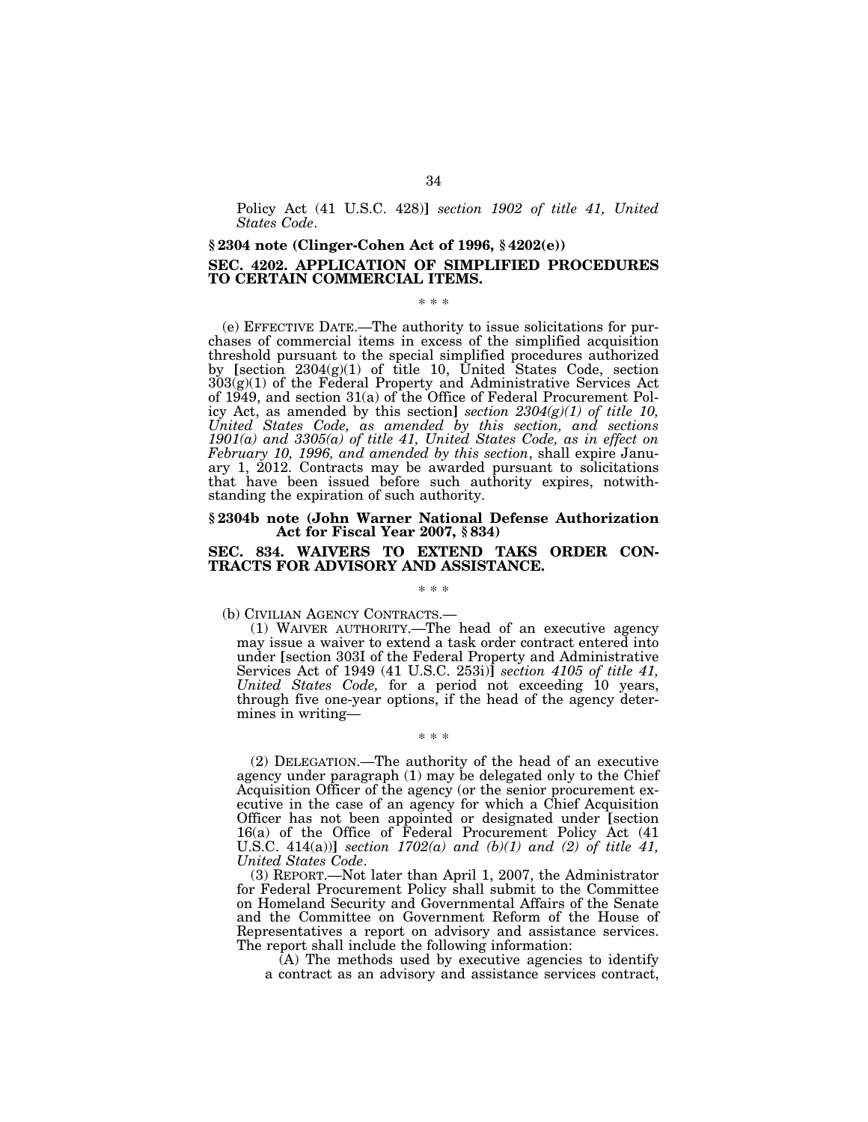Policy Act (41 U.S.C. 428)**]** *section 1902 of title 41, United States Code*.

# **§ 2304 note (Clinger-Cohen Act of 1996, § 4202(e)) SEC. 4202. APPLICATION OF SIMPLIFIED PROCEDURES TO CERTAIN COMMERCIAL ITEMS.**

#### \* \* \*

(e) EFFECTIVE DATE.—The authority to issue solicitations for purchases of commercial items in excess of the simplified acquisition threshold pursuant to the special simplified procedures authorized by **[**section 2304(g)(1) of title 10, United States Code, section  $303(g)(1)$  of the Federal Property and Administrative Services Act of 1949, and section 31(a) of the Office of Federal Procurement Policy Act, as amended by this section**]** *section 2304(g)(1) of title 10, United States Code, as amended by this section, and sections 1901(a) and 3305(a) of title 41, United States Code, as in effect on February 10, 1996, and amended by this section*, shall expire January 1, 2012. Contracts may be awarded pursuant to solicitations that have been issued before such authority expires, notwithstanding the expiration of such authority.

### **§ 2304b note (John Warner National Defense Authorization Act for Fiscal Year 2007, § 834)**

# **SEC. 834. WAIVERS TO EXTEND TAKS ORDER CON-TRACTS FOR ADVISORY AND ASSISTANCE.**

#### \* \* \*

# (b) CIVILIAN AGENCY CONTRACTS.—

(1) WAIVER AUTHORITY.—The head of an executive agency may issue a waiver to extend a task order contract entered into under **[**section 303I of the Federal Property and Administrative Services Act of 1949 (41 U.S.C. 253i)**]** *section 4105 of title 41, United States Code,* for a period not exceeding 10 years, through five one-year options, if the head of the agency determines in writing—

# \* \* \*

(2) DELEGATION.—The authority of the head of an executive agency under paragraph (1) may be delegated only to the Chief Acquisition Officer of the agency (or the senior procurement executive in the case of an agency for which a Chief Acquisition Officer has not been appointed or designated under **[**section 16(a) of the Office of Federal Procurement Policy Act (41 U.S.C. 414(a))**]** *section 1702(a) and (b)(1) and (2) of title 41, United States Code*.

(3) REPORT.—Not later than April 1, 2007, the Administrator for Federal Procurement Policy shall submit to the Committee on Homeland Security and Governmental Affairs of the Senate and the Committee on Government Reform of the House of Representatives a report on advisory and assistance services. The report shall include the following information:

(A) The methods used by executive agencies to identify a contract as an advisory and assistance services contract,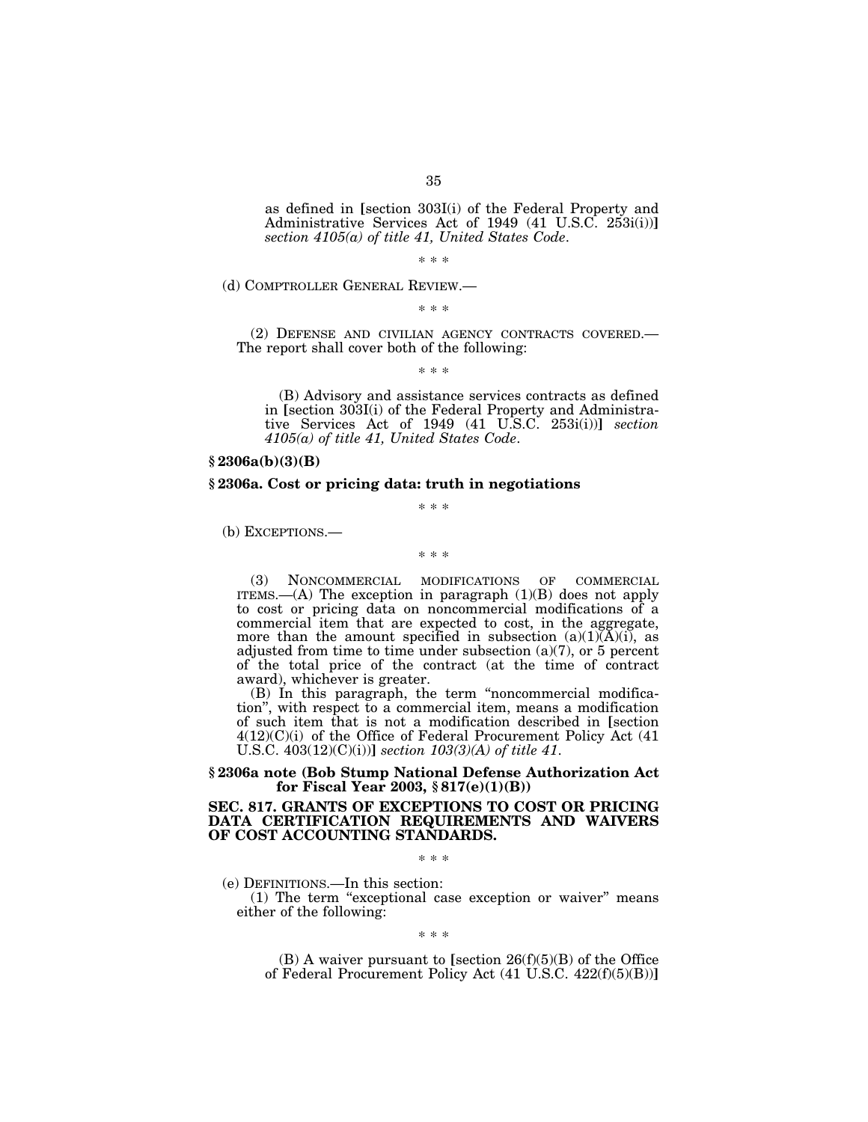as defined in **[**section 303I(i) of the Federal Property and Administrative Services Act of 1949 (41 U.S.C. 253i(i))**]**  *section 4105(a) of title 41, United States Code*.

\* \* \*

(d) COMPTROLLER GENERAL REVIEW.—

\* \* \*

(2) DEFENSE AND CIVILIAN AGENCY CONTRACTS COVERED.— The report shall cover both of the following:

\* \* \*

(B) Advisory and assistance services contracts as defined in **[**section 303I(i) of the Federal Property and Administrative Services Act of 1949 (41 U.S.C. 253i(i))**]** *section 4105(a) of title 41, United States Code*.

# **§ 2306a(b)(3)(B)**

# **§ 2306a. Cost or pricing data: truth in negotiations**

\* \* \*

(b) EXCEPTIONS.—

#### \* \* \*

(3) NONCOMMERCIAL MODIFICATIONS OF COMMERCIAL ITEMS. $-(A)$  The exception in paragraph  $(1)(B)$  does not apply to cost or pricing data on noncommercial modifications of a commercial item that are expected to cost, in the aggregate, more than the amount specified in subsection  $(a)(1)(\breve{A})(i)$ , as adjusted from time to time under subsection (a)(7), or 5 percent of the total price of the contract (at the time of contract award), whichever is greater.

(B) In this paragraph, the term ''noncommercial modification'', with respect to a commercial item, means a modification of such item that is not a modification described in **[**section  $4(12)(C)(i)$  of the Office of Federal Procurement Policy Act (41) U.S.C. 403(12)(C)(i))**]** *section 103(3)(A) of title 41*.

# **§ 2306a note (Bob Stump National Defense Authorization Act for Fiscal Year 2003, § 817(e)(1)(B))**

# **SEC. 817. GRANTS OF EXCEPTIONS TO COST OR PRICING DATA CERTIFICATION REQUIREMENTS AND WAIVERS OF COST ACCOUNTING STANDARDS.**

#### \* \* \*

(e) DEFINITIONS.—In this section:

(1) The term ''exceptional case exception or waiver'' means either of the following:

### \* \* \*

(B) A waiver pursuant to **[**section 26(f)(5)(B) of the Office of Federal Procurement Policy Act (41 U.S.C. 422(f)(5)(B))**]**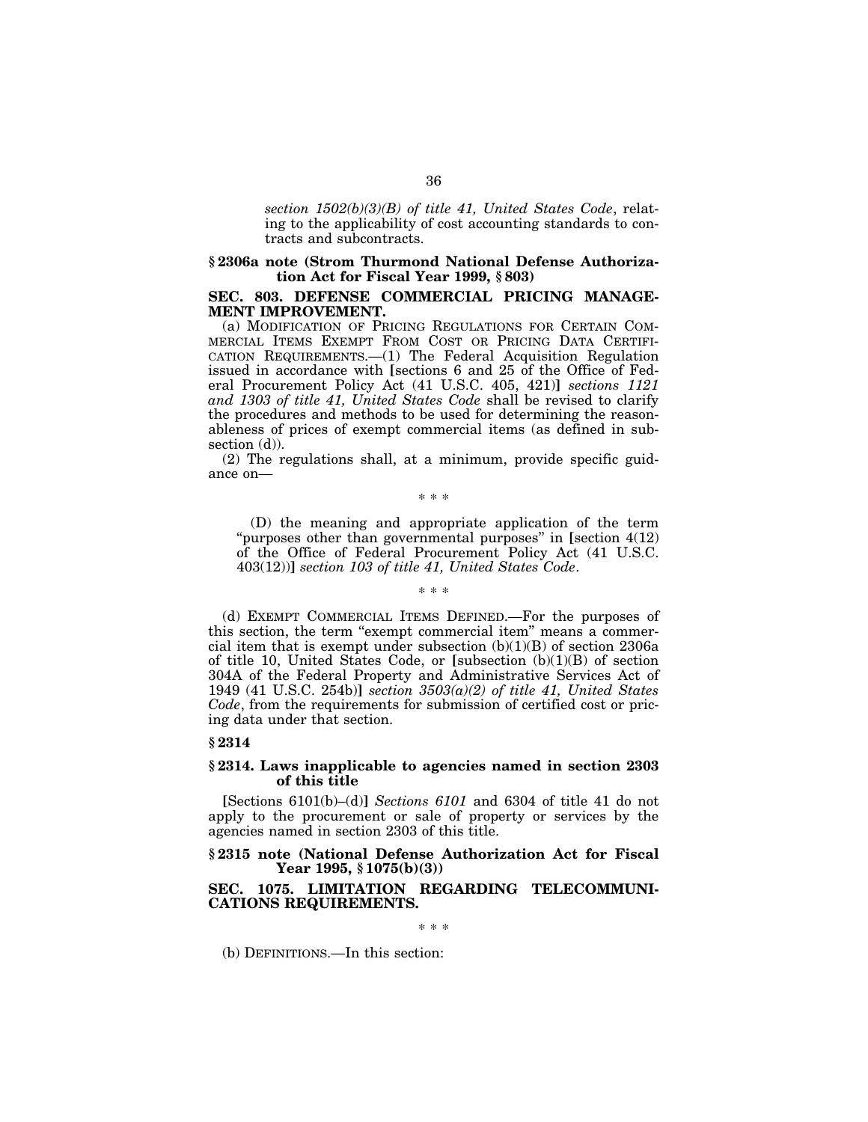*section 1502(b)(3)(B) of title 41, United States Code*, relating to the applicability of cost accounting standards to contracts and subcontracts.

# **§ 2306a note (Strom Thurmond National Defense Authorization Act for Fiscal Year 1999, § 803)**

# **SEC. 803. DEFENSE COMMERCIAL PRICING MANAGE-MENT IMPROVEMENT.**

(a) MODIFICATION OF PRICING REGULATIONS FOR CERTAIN COM-MERCIAL ITEMS EXEMPT FROM COST OR PRICING DATA CERTIFI-CATION REQUIREMENTS.—(1) The Federal Acquisition Regulation issued in accordance with **[**sections 6 and 25 of the Office of Federal Procurement Policy Act (41 U.S.C. 405, 421)**]** *sections 1121 and 1303 of title 41, United States Code* shall be revised to clarify the procedures and methods to be used for determining the reasonableness of prices of exempt commercial items (as defined in subsection (d)).

(2) The regulations shall, at a minimum, provide specific guidance on—

\* \* \*

(D) the meaning and appropriate application of the term ''purposes other than governmental purposes'' in **[**section 4(12) of the Office of Federal Procurement Policy Act (41 U.S.C. 403(12))**]** *section 103 of title 41, United States Code*.

#### \* \* \*

(d) EXEMPT COMMERCIAL ITEMS DEFINED.—For the purposes of this section, the term "exempt commercial item" means a commercial item that is exempt under subsection  $(b)(1)(B)$  of section 2306a of title 10, United States Code, or **[**subsection (b)(1)(B) of section 304A of the Federal Property and Administrative Services Act of 1949 (41 U.S.C. 254b)**]** *section 3503(a)(2) of title 41, United States Code*, from the requirements for submission of certified cost or pricing data under that section.

## **§ 2314**

# **§ 2314. Laws inapplicable to agencies named in section 2303 of this title**

**[**Sections 6101(b)–(d)**]** *Sections 6101* and 6304 of title 41 do not apply to the procurement or sale of property or services by the agencies named in section 2303 of this title.

# **§ 2315 note (National Defense Authorization Act for Fiscal Year 1995, § 1075(b)(3))**

# **SEC. 1075. LIMITATION REGARDING TELECOMMUNI-CATIONS REQUIREMENTS.**

\* \* \*

(b) DEFINITIONS.—In this section: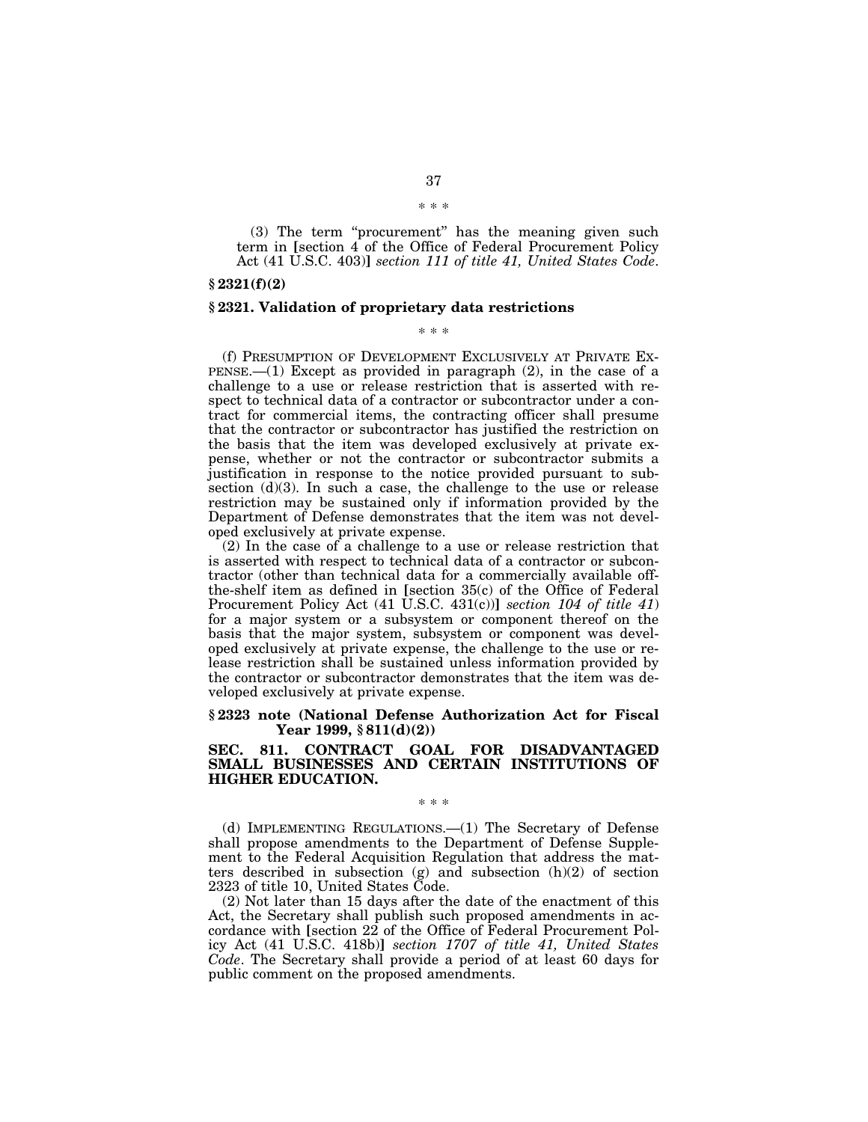(3) The term "procurement" has the meaning given such term in **[**section 4 of the Office of Federal Procurement Policy Act (41 U.S.C. 403)**]** *section 111 of title 41, United States Code*.

## **§ 2321(f)(2)**

## **§ 2321. Validation of proprietary data restrictions**

#### \* \* \*

(f) PRESUMPTION OF DEVELOPMENT EXCLUSIVELY AT PRIVATE EX- $PENSE. (1) Except as provided in paragraph (2), in the case of a$ challenge to a use or release restriction that is asserted with respect to technical data of a contractor or subcontractor under a contract for commercial items, the contracting officer shall presume that the contractor or subcontractor has justified the restriction on the basis that the item was developed exclusively at private expense, whether or not the contractor or subcontractor submits a justification in response to the notice provided pursuant to subsection (d)(3). In such a case, the challenge to the use or release restriction may be sustained only if information provided by the Department of Defense demonstrates that the item was not developed exclusively at private expense.

(2) In the case of a challenge to a use or release restriction that is asserted with respect to technical data of a contractor or subcontractor (other than technical data for a commercially available offthe-shelf item as defined in **[**section 35(c) of the Office of Federal Procurement Policy Act (41 U.S.C. 431(c))**]** *section 104 of title 41*) for a major system or a subsystem or component thereof on the basis that the major system, subsystem or component was developed exclusively at private expense, the challenge to the use or release restriction shall be sustained unless information provided by the contractor or subcontractor demonstrates that the item was developed exclusively at private expense.

# **§ 2323 note (National Defense Authorization Act for Fiscal Year 1999, § 811(d)(2))**

# **SEC. 811. CONTRACT GOAL FOR DISADVANTAGED SMALL BUSINESSES AND CERTAIN INSTITUTIONS OF HIGHER EDUCATION.**

\* \* \*

(d) IMPLEMENTING REGULATIONS.—(1) The Secretary of Defense shall propose amendments to the Department of Defense Supplement to the Federal Acquisition Regulation that address the matters described in subsection (g) and subsection (h)(2) of section 2323 of title 10, United States Code.

(2) Not later than 15 days after the date of the enactment of this Act, the Secretary shall publish such proposed amendments in accordance with **[**section 22 of the Office of Federal Procurement Policy Act (41 U.S.C. 418b)**]** *section 1707 of title 41, United States Code*. The Secretary shall provide a period of at least 60 days for public comment on the proposed amendments.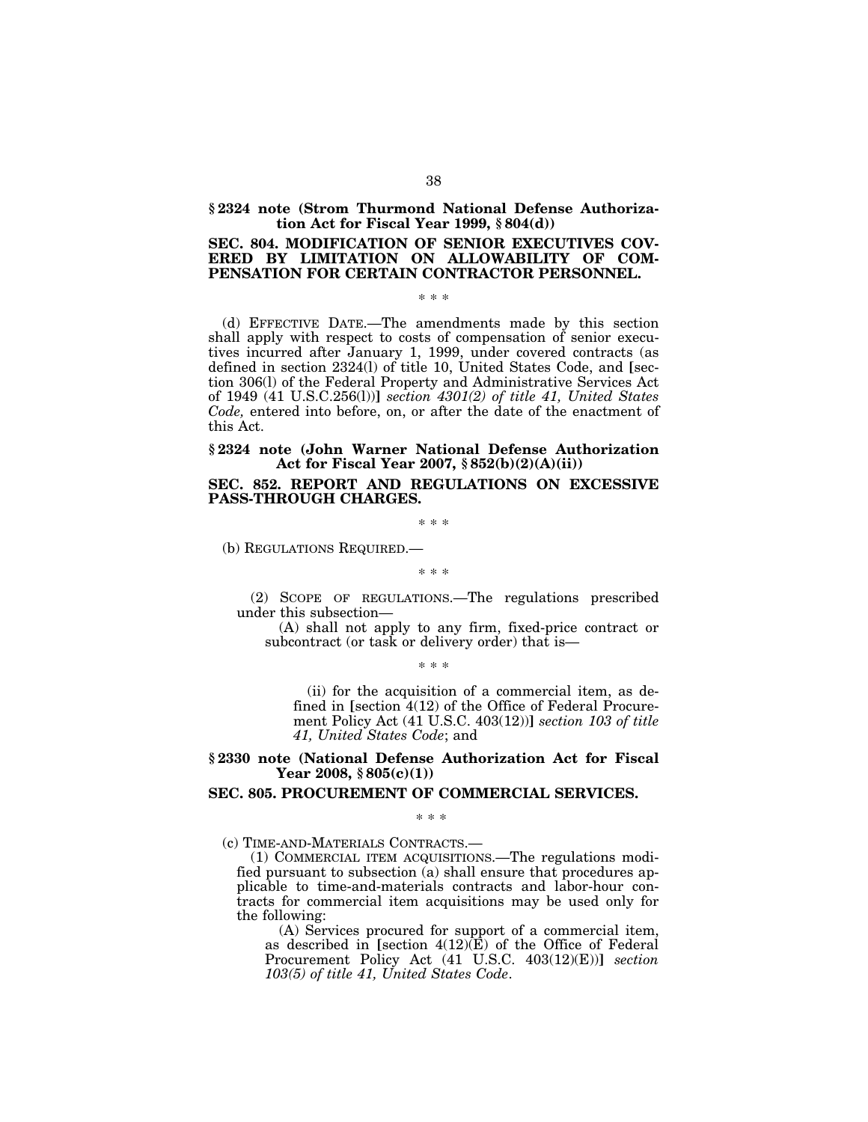**§ 2324 note (Strom Thurmond National Defense Authorization Act for Fiscal Year 1999, § 804(d))** 

# **SEC. 804. MODIFICATION OF SENIOR EXECUTIVES COV-ERED BY LIMITATION ON ALLOWABILITY OF COM-PENSATION FOR CERTAIN CONTRACTOR PERSONNEL.**

#### \* \* \*

(d) EFFECTIVE DATE.—The amendments made by this section shall apply with respect to costs of compensation of senior executives incurred after January 1, 1999, under covered contracts (as defined in section 2324(l) of title 10, United States Code, and **[**section 306(l) of the Federal Property and Administrative Services Act of 1949 (41 U.S.C.256(l))**]** *section 4301(2) of title 41, United States Code,* entered into before, on, or after the date of the enactment of this Act.

# **§ 2324 note (John Warner National Defense Authorization Act for Fiscal Year 2007, § 852(b)(2)(A)(ii))**

# **SEC. 852. REPORT AND REGULATIONS ON EXCESSIVE PASS-THROUGH CHARGES.**

\* \* \*

(b) REGULATIONS REQUIRED.—

#### \* \* \*

(2) SCOPE OF REGULATIONS.—The regulations prescribed under this subsection—

(A) shall not apply to any firm, fixed-price contract or subcontract (or task or delivery order) that is—

\* \* \*

(ii) for the acquisition of a commercial item, as defined in [section 4(12) of the Office of Federal Procurement Policy Act (41 U.S.C. 403(12))**]** *section 103 of title 41, United States Code*; and

# **§ 2330 note (National Defense Authorization Act for Fiscal Year 2008, § 805(c)(1))**

# **SEC. 805. PROCUREMENT OF COMMERCIAL SERVICES.**

\* \* \*

(c) TIME-AND-MATERIALS CONTRACTS.—

(1) COMMERCIAL ITEM ACQUISITIONS.—The regulations modified pursuant to subsection (a) shall ensure that procedures applicable to time-and-materials contracts and labor-hour contracts for commercial item acquisitions may be used only for the following:

(A) Services procured for support of a commercial item, as described in **[**section 4(12)(E) of the Office of Federal Procurement Policy Act (41 U.S.C. 403(12)(E))**]** *section 103(5) of title 41, United States Code*.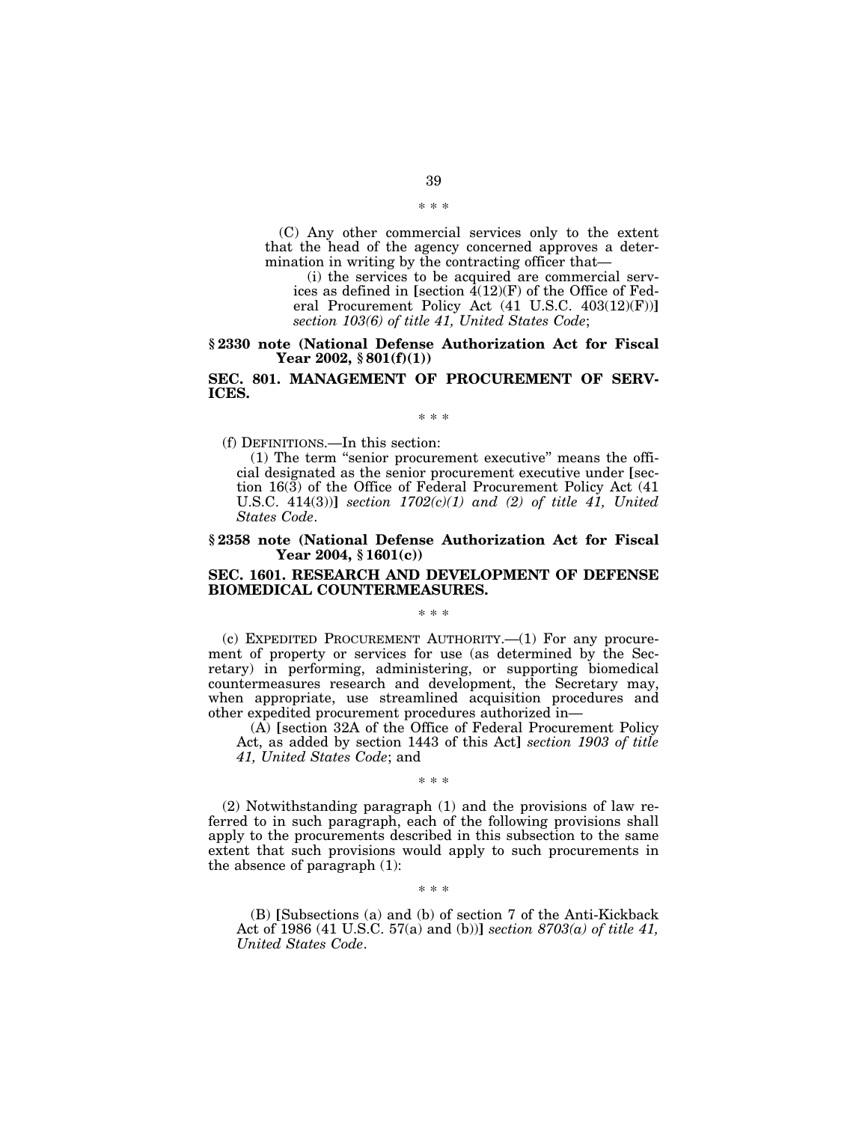(C) Any other commercial services only to the extent that the head of the agency concerned approves a determination in writing by the contracting officer that—

(i) the services to be acquired are commercial services as defined in **[**section 4(12)(F) of the Office of Federal Procurement Policy Act (41 U.S.C. 403(12)(F))**]**  *section 103(6) of title 41, United States Code*;

# **§ 2330 note (National Defense Authorization Act for Fiscal Year 2002, § 801(f)(1))**

# **SEC. 801. MANAGEMENT OF PROCUREMENT OF SERV-ICES.**

#### \* \* \*

(f) DEFINITIONS.—In this section:

(1) The term ''senior procurement executive'' means the official designated as the senior procurement executive under **[**section 16(3) of the Office of Federal Procurement Policy Act (41 U.S.C. 414(3))**]** *section 1702(c)(1) and (2) of title 41, United States Code*.

## **§ 2358 note (National Defense Authorization Act for Fiscal Year 2004, § 1601(c))**

# **SEC. 1601. RESEARCH AND DEVELOPMENT OF DEFENSE BIOMEDICAL COUNTERMEASURES.**

#### \* \* \*

(c) EXPEDITED PROCUREMENT AUTHORITY.  $-(1)$  For any procurement of property or services for use (as determined by the Secretary) in performing, administering, or supporting biomedical countermeasures research and development, the Secretary may, when appropriate, use streamlined acquisition procedures and other expedited procurement procedures authorized in—

(A) **[**section 32A of the Office of Federal Procurement Policy Act, as added by section 1443 of this Act**]** *section 1903 of title 41, United States Code*; and

#### \* \* \*

(2) Notwithstanding paragraph (1) and the provisions of law referred to in such paragraph, each of the following provisions shall apply to the procurements described in this subsection to the same extent that such provisions would apply to such procurements in the absence of paragraph (1):

\* \* \*

(B) **[**Subsections (a) and (b) of section 7 of the Anti-Kickback Act of 1986 (41 U.S.C. 57(a) and (b))**]** *section 8703(a) of title 41, United States Code*.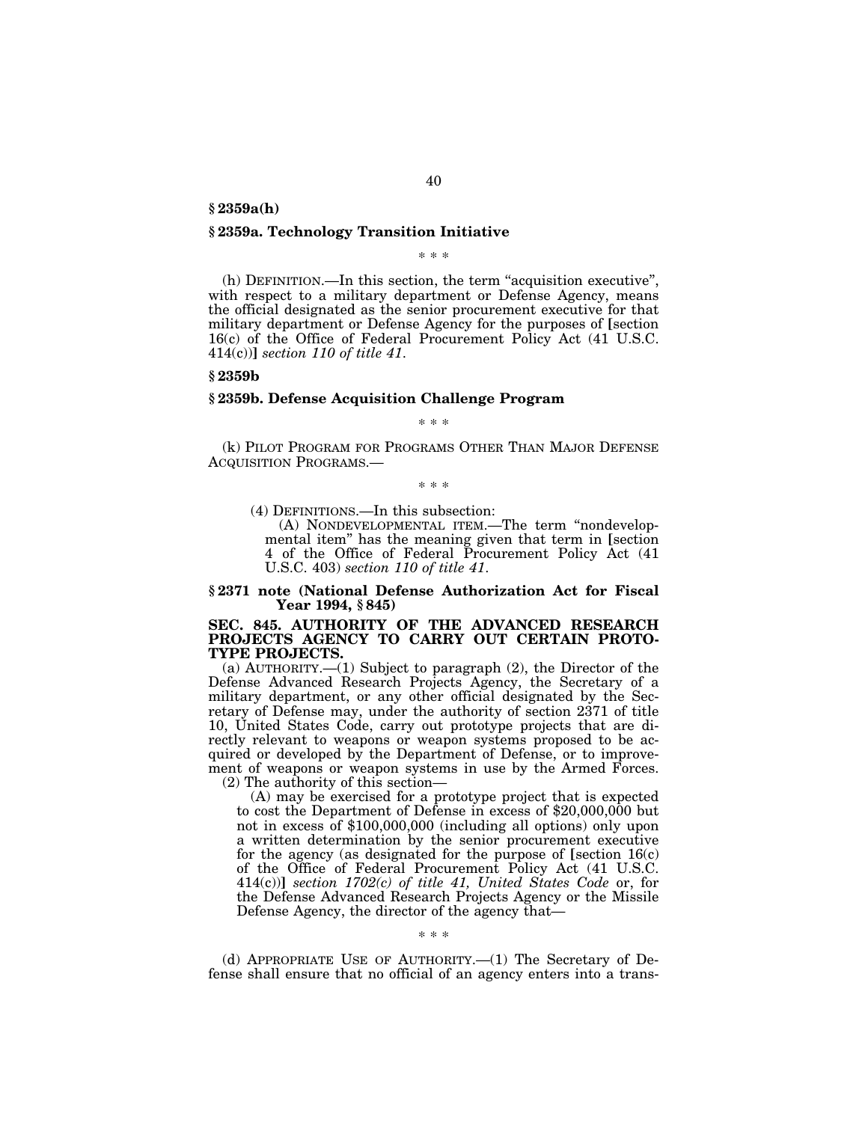**§ 2359a(h)** 

# **§ 2359a. Technology Transition Initiative**

\* \* \*

(h) DEFINITION.—In this section, the term ''acquisition executive'', with respect to a military department or Defense Agency, means the official designated as the senior procurement executive for that military department or Defense Agency for the purposes of **[**section 16(c) of the Office of Federal Procurement Policy Act (41 U.S.C. 414(c))**]** *section 110 of title 41*.

# **§ 2359b**

## **§ 2359b. Defense Acquisition Challenge Program**

\* \* \*

(k) PILOT PROGRAM FOR PROGRAMS OTHER THAN MAJOR DEFENSE ACQUISITION PROGRAMS.—

\* \* \*

(4) DEFINITIONS.—In this subsection:

(A) NONDEVELOPMENTAL ITEM.—The term ''nondevelopmental item'' has the meaning given that term in **[**section 4 of the Office of Federal Procurement Policy Act (41 U.S.C. 403) *section 110 of title 41*.

## **§ 2371 note (National Defense Authorization Act for Fiscal Year 1994, § 845)**

# **SEC. 845. AUTHORITY OF THE ADVANCED RESEARCH PROJECTS AGENCY TO CARRY OUT CERTAIN PROTO-TYPE PROJECTS.**

(a)  $\text{AUTHORITY}$ , (1) Subject to paragraph (2), the Director of the Defense Advanced Research Projects Agency, the Secretary of a military department, or any other official designated by the Secretary of Defense may, under the authority of section 2371 of title 10, United States Code, carry out prototype projects that are directly relevant to weapons or weapon systems proposed to be acquired or developed by the Department of Defense, or to improvement of weapons or weapon systems in use by the Armed Forces. (2) The authority of this section—

(A) may be exercised for a prototype project that is expected to cost the Department of Defense in excess of \$20,000,000 but not in excess of \$100,000,000 (including all options) only upon a written determination by the senior procurement executive for the agency (as designated for the purpose of **[**section 16(c) of the Office of Federal Procurement Policy Act (41 U.S.C. 414(c))**]** *section 1702(c) of title 41, United States Code* or, for the Defense Advanced Research Projects Agency or the Missile Defense Agency, the director of the agency that—

(d) APPROPRIATE USE OF AUTHORITY.—(1) The Secretary of Defense shall ensure that no official of an agency enters into a trans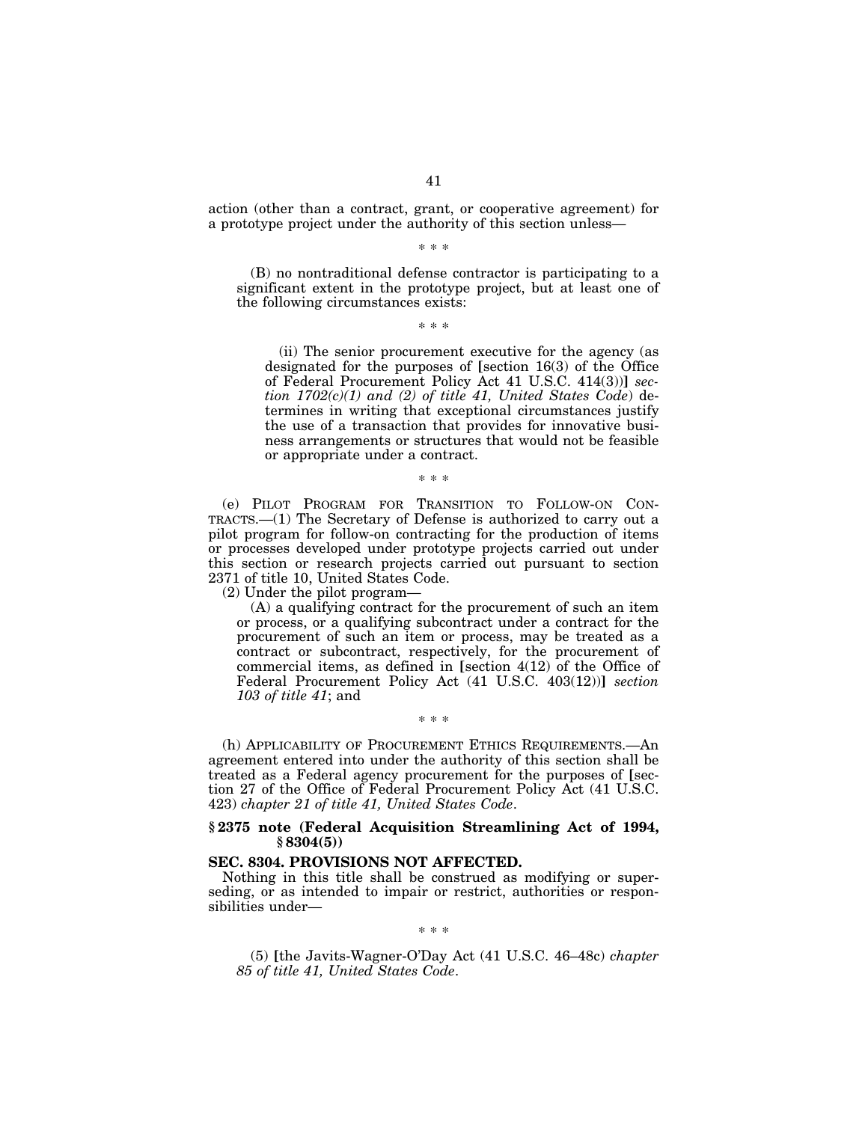action (other than a contract, grant, or cooperative agreement) for a prototype project under the authority of this section unless—

# \* \* \*

(B) no nontraditional defense contractor is participating to a significant extent in the prototype project, but at least one of the following circumstances exists:

# \* \* \*

(ii) The senior procurement executive for the agency (as designated for the purposes of **[**section 16(3) of the Office of Federal Procurement Policy Act 41 U.S.C. 414(3))**]** *section 1702(c)(1) and (2) of title 41, United States Code*) determines in writing that exceptional circumstances justify the use of a transaction that provides for innovative business arrangements or structures that would not be feasible or appropriate under a contract.

\* \* \*

(e) PILOT PROGRAM FOR TRANSITION TO FOLLOW-ON CON-TRACTS.—(1) The Secretary of Defense is authorized to carry out a pilot program for follow-on contracting for the production of items or processes developed under prototype projects carried out under this section or research projects carried out pursuant to section 2371 of title 10, United States Code.

(2) Under the pilot program—

(A) a qualifying contract for the procurement of such an item or process, or a qualifying subcontract under a contract for the procurement of such an item or process, may be treated as a contract or subcontract, respectively, for the procurement of commercial items, as defined in **[**section 4(12) of the Office of Federal Procurement Policy Act (41 U.S.C. 403(12))**]** *section 103 of title 41*; and

\* \* \*

(h) APPLICABILITY OF PROCUREMENT ETHICS REQUIREMENTS.—An agreement entered into under the authority of this section shall be treated as a Federal agency procurement for the purposes of **[**section 27 of the Office of Federal Procurement Policy Act (41 U.S.C. 423) *chapter 21 of title 41, United States Code*.

# **§ 2375 note (Federal Acquisition Streamlining Act of 1994, § 8304(5))**

## **SEC. 8304. PROVISIONS NOT AFFECTED.**

Nothing in this title shall be construed as modifying or superseding, or as intended to impair or restrict, authorities or responsibilities under—

(5) **[**the Javits-Wagner-O'Day Act (41 U.S.C. 46–48c) *chapter 85 of title 41, United States Code*.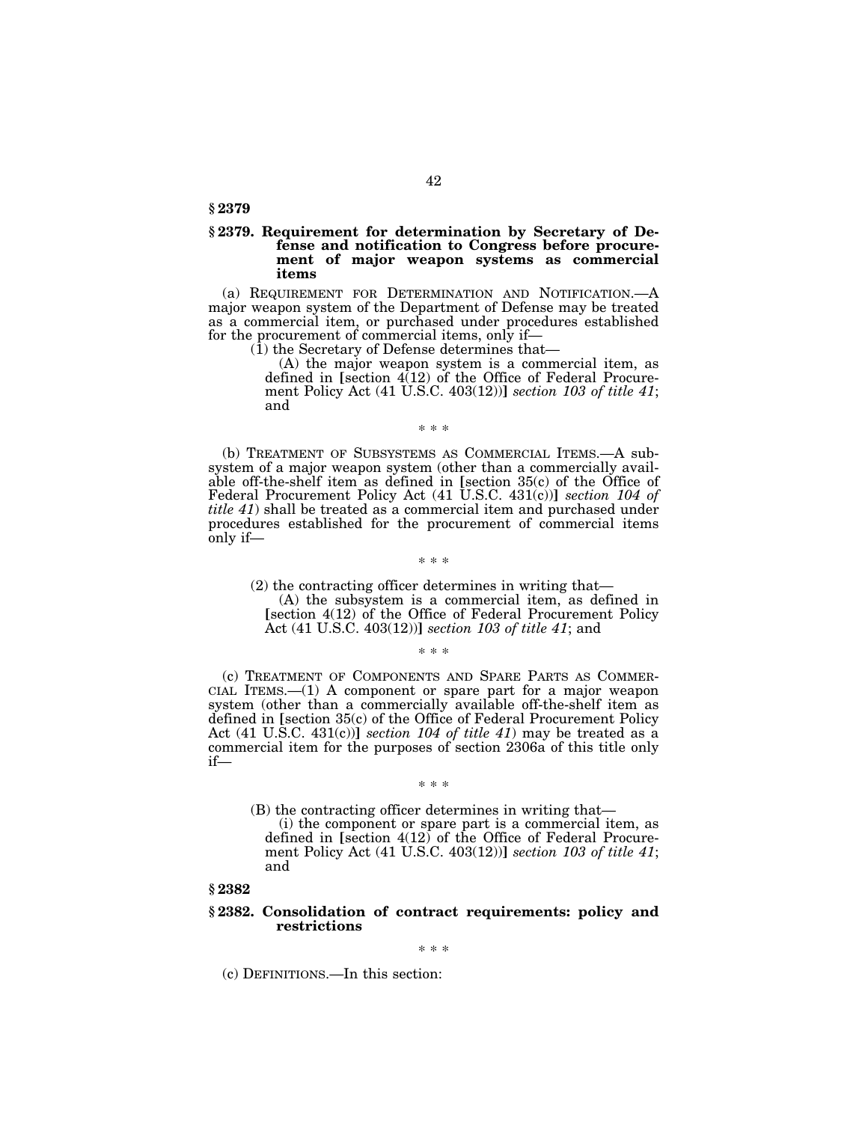**§ 2379** 

# **§ 2379. Requirement for determination by Secretary of Defense and notification to Congress before procurement of major weapon systems as commercial items**

(a) REQUIREMENT FOR DETERMINATION AND NOTIFICATION.—A major weapon system of the Department of Defense may be treated as a commercial item, or purchased under procedures established for the procurement of commercial items, only if—

 $(1)$  the Secretary of Defense determines that—

(A) the major weapon system is a commercial item, as defined in [section 4(12) of the Office of Federal Procurement Policy Act (41 U.S.C. 403(12))**]** *section 103 of title 41*; and

\* \* \*

(b) TREATMENT OF SUBSYSTEMS AS COMMERCIAL ITEMS.—A subsystem of a major weapon system (other than a commercially available off-the-shelf item as defined in **[**section 35(c) of the Office of Federal Procurement Policy Act (41 U.S.C. 431(c))**]** *section 104 of title 41*) shall be treated as a commercial item and purchased under procedures established for the procurement of commercial items only if—

#### \* \* \*

(2) the contracting officer determines in writing that— (A) the subsystem is a commercial item, as defined in **[**section 4(12) of the Office of Federal Procurement Policy Act (41 U.S.C. 403(12))**]** *section 103 of title 41*; and

#### \* \* \*

(c) TREATMENT OF COMPONENTS AND SPARE PARTS AS COMMER-CIAL ITEMS.—(1) A component or spare part for a major weapon system (other than a commercially available off-the-shelf item as defined in **[**section 35(c) of the Office of Federal Procurement Policy Act (41 U.S.C. 431(c))**]** *section 104 of title 41*) may be treated as a commercial item for the purposes of section 2306a of this title only if—

#### \* \* \*

(B) the contracting officer determines in writing that—

(i) the component or spare part is a commercial item, as defined in **[**section 4(12) of the Office of Federal Procurement Policy Act (41 U.S.C. 403(12))**]** *section 103 of title 41*; and

# **§ 2382**

#### **§ 2382. Consolidation of contract requirements: policy and restrictions**

(c) DEFINITIONS.—In this section: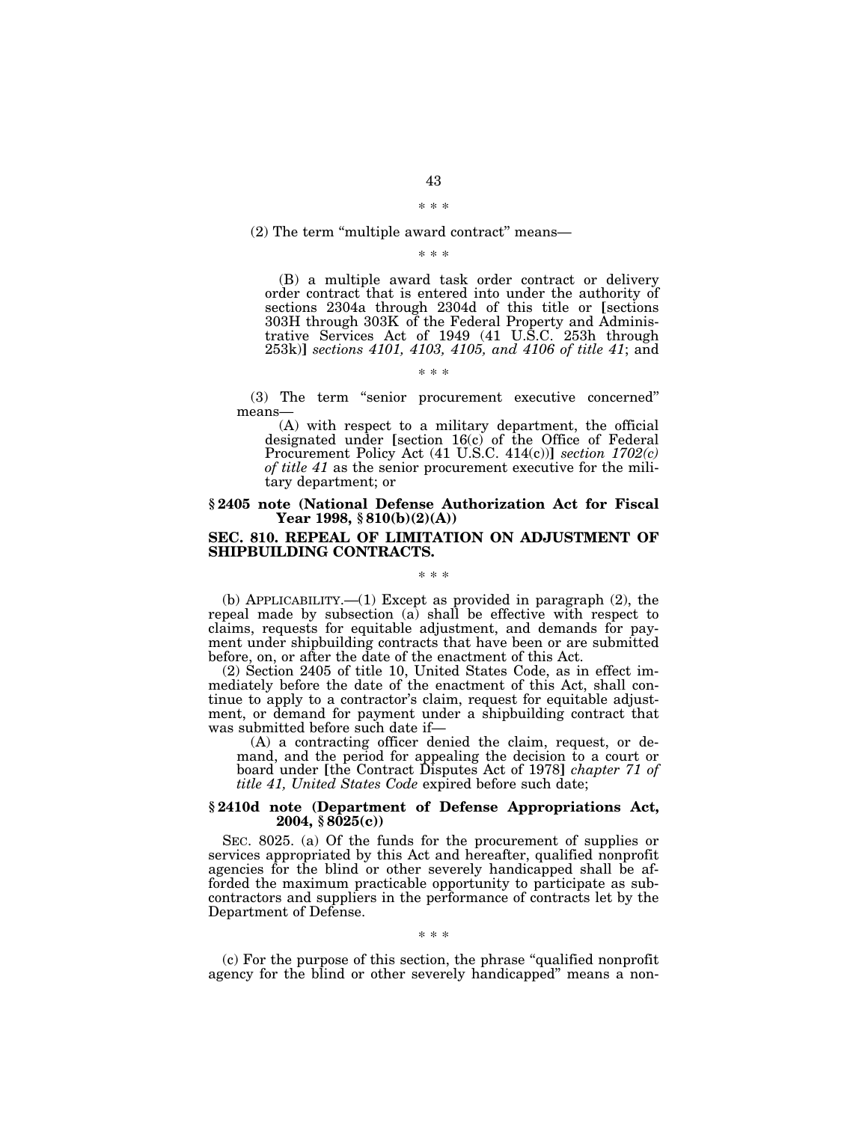(2) The term ''multiple award contract'' means—

#### \* \* \*

(B) a multiple award task order contract or delivery order contract that is entered into under the authority of sections 2304a through 2304d of this title or **[**sections 303H through 303K of the Federal Property and Administrative Services Act of 1949 (41 U.S.C. 253h through 253k)**]** *sections 4101, 4103, 4105, and 4106 of title 41*; and

(3) The term ''senior procurement executive concerned'' means—

(A) with respect to a military department, the official designated under **[**section 16(c) of the Office of Federal Procurement Policy Act (41 U.S.C. 414(c))**]** *section 1702(c) of title 41* as the senior procurement executive for the military department; or

## **§ 2405 note (National Defense Authorization Act for Fiscal Year 1998, § 810(b)(2)(A))**

# **SEC. 810. REPEAL OF LIMITATION ON ADJUSTMENT OF SHIPBUILDING CONTRACTS.**

#### \* \* \*

(b) APPLICABILITY.—(1) Except as provided in paragraph (2), the repeal made by subsection (a) shall be effective with respect to claims, requests for equitable adjustment, and demands for payment under shipbuilding contracts that have been or are submitted before, on, or after the date of the enactment of this Act.

(2) Section 2405 of title 10, United States Code, as in effect immediately before the date of the enactment of this Act, shall continue to apply to a contractor's claim, request for equitable adjustment, or demand for payment under a shipbuilding contract that was submitted before such date if—

(A) a contracting officer denied the claim, request, or demand, and the period for appealing the decision to a court or board under **[**the Contract Disputes Act of 1978**]** *chapter 71 of title 41, United States Code* expired before such date;

#### **§ 2410d note (Department of Defense Appropriations Act, 2004, § 8025(c))**

SEC. 8025. (a) Of the funds for the procurement of supplies or services appropriated by this Act and hereafter, qualified nonprofit agencies for the blind or other severely handicapped shall be afforded the maximum practicable opportunity to participate as subcontractors and suppliers in the performance of contracts let by the Department of Defense.

(c) For the purpose of this section, the phrase ''qualified nonprofit agency for the blind or other severely handicapped'' means a non-

<sup>\* \* \*</sup>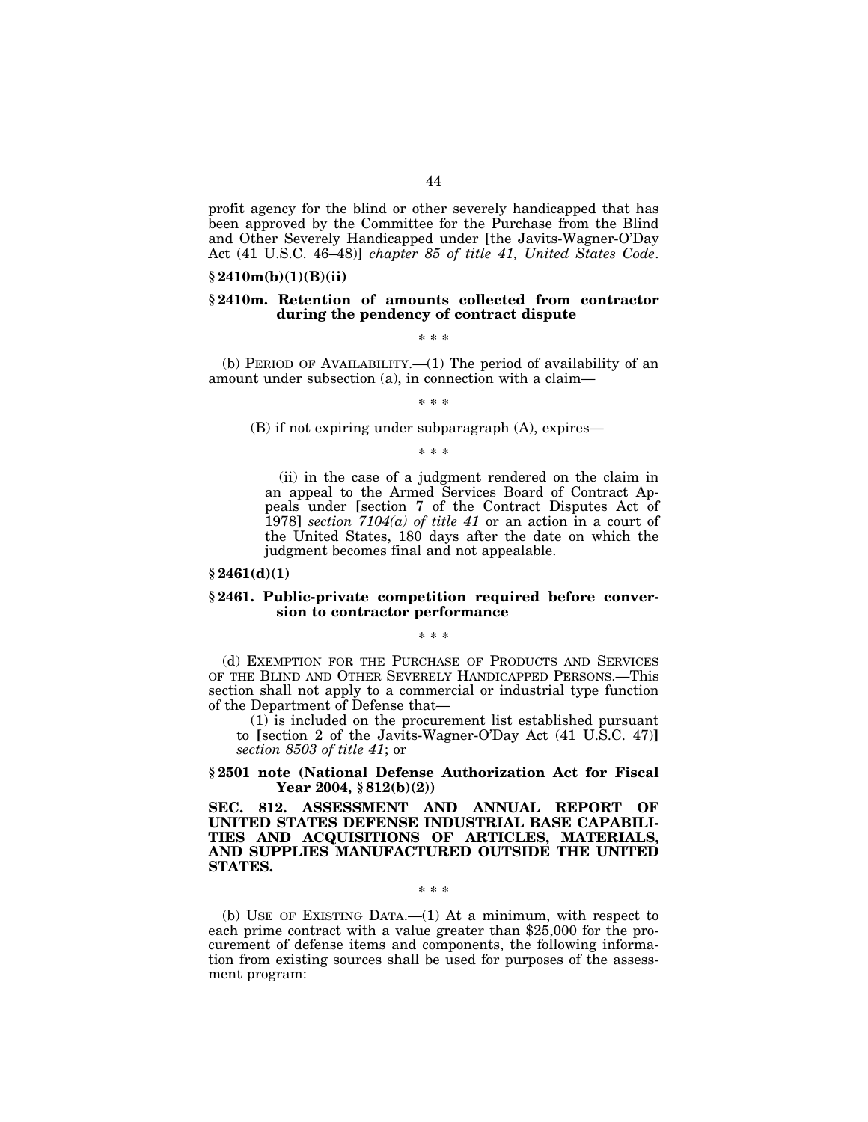profit agency for the blind or other severely handicapped that has been approved by the Committee for the Purchase from the Blind and Other Severely Handicapped under **[**the Javits-Wagner-O'Day Act (41 U.S.C. 46–48)**]** *chapter 85 of title 41, United States Code*.

#### **§ 2410m(b)(1)(B)(ii)**

# **§ 2410m. Retention of amounts collected from contractor during the pendency of contract dispute**

\* \* \*

(b) PERIOD OF AVAILABILITY.—(1) The period of availability of an amount under subsection (a), in connection with a claim—

\* \* \*

(B) if not expiring under subparagraph (A), expires—

\* \* \*

(ii) in the case of a judgment rendered on the claim in an appeal to the Armed Services Board of Contract Appeals under **[**section 7 of the Contract Disputes Act of 1978**]** *section 7104(a) of title 41* or an action in a court of the United States, 180 days after the date on which the judgment becomes final and not appealable.

## **§ 2461(d)(1)**

# **§ 2461. Public-private competition required before conversion to contractor performance**

\* \* \*

(d) EXEMPTION FOR THE PURCHASE OF PRODUCTS AND SERVICES OF THE BLIND AND OTHER SEVERELY HANDICAPPED PERSONS.—This section shall not apply to a commercial or industrial type function of the Department of Defense that—

(1) is included on the procurement list established pursuant to **[**section 2 of the Javits-Wagner-O'Day Act (41 U.S.C. 47)**]**  *section 8503 of title 41*; or

# **§ 2501 note (National Defense Authorization Act for Fiscal Year 2004, § 812(b)(2))**

**SEC. 812. ASSESSMENT AND ANNUAL REPORT OF UNITED STATES DEFENSE INDUSTRIAL BASE CAPABILI-TIES AND ACQUISITIONS OF ARTICLES, MATERIALS, AND SUPPLIES MANUFACTURED OUTSIDE THE UNITED STATES.** 

\* \* \*

(b) USE OF EXISTING DATA.—(1) At a minimum, with respect to each prime contract with a value greater than \$25,000 for the procurement of defense items and components, the following information from existing sources shall be used for purposes of the assessment program: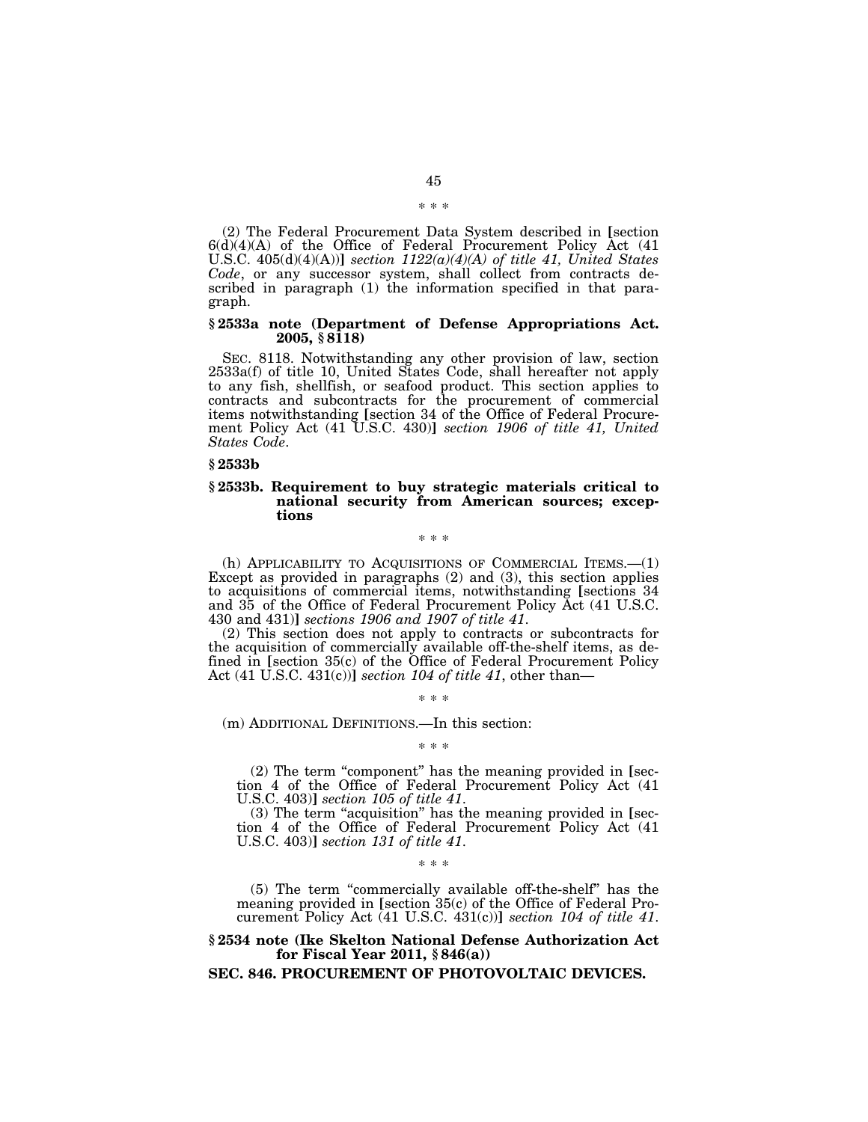(2) The Federal Procurement Data System described in **[**section 6(d)(4)(A) of the Office of Federal Procurement Policy Act (41 U.S.C. 405(d)(4)(A))**]** *section 1122(a)(4)(A) of title 41, United States Code*, or any successor system, shall collect from contracts described in paragraph (1) the information specified in that paragraph.

## **§ 2533a note (Department of Defense Appropriations Act. 2005, § 8118)**

SEC. 8118. Notwithstanding any other provision of law, section 2533a(f) of title 10, United States Code, shall hereafter not apply to any fish, shellfish, or seafood product. This section applies to contracts and subcontracts for the procurement of commercial items notwithstanding **[**section 34 of the Office of Federal Procurement Policy Act (41 U.S.C. 430)**]** *section 1906 of title 41, United States Code*.

## **§ 2533b**

# **§ 2533b. Requirement to buy strategic materials critical to national security from American sources; exceptions**

#### \* \* \*

(h) APPLICABILITY TO ACQUISITIONS OF COMMERCIAL ITEMS.—(1) Except as provided in paragraphs (2) and (3), this section applies to acquisitions of commercial items, notwithstanding **[**sections 34 and 35 of the Office of Federal Procurement Policy Act (41 U.S.C.

430 and 431)**]** *sections 1906 and 1907 of title 41*. (2) This section does not apply to contracts or subcontracts for the acquisition of commercially available off-the-shelf items, as defined in **[**section 35(c) of the Office of Federal Procurement Policy Act (41 U.S.C. 431(c))**]** *section 104 of title 41*, other than—

#### \* \* \*

(m) ADDITIONAL DEFINITIONS.—In this section:

\* \* \*

(2) The term ''component'' has the meaning provided in **[**section 4 of the Office of Federal Procurement Policy Act (41 U.S.C. 403)] section 105 of title 41. U.S.C. 403)**]** *section 105 of title 41*. (3) The term ''acquisition'' has the meaning provided in **[**sec-

tion 4 of the Office of Federal Procurement Policy Act (41 U.S.C. 403)**]** *section 131 of title 41*.

\* \* \*

(5) The term ''commercially available off-the-shelf'' has the meaning provided in **[**section 35(c) of the Office of Federal Procurement Policy Act (41 U.S.C. 431(c))**]** *section 104 of title 41*.

# **§ 2534 note (Ike Skelton National Defense Authorization Act for Fiscal Year 2011, § 846(a))**

# **SEC. 846. PROCUREMENT OF PHOTOVOLTAIC DEVICES.**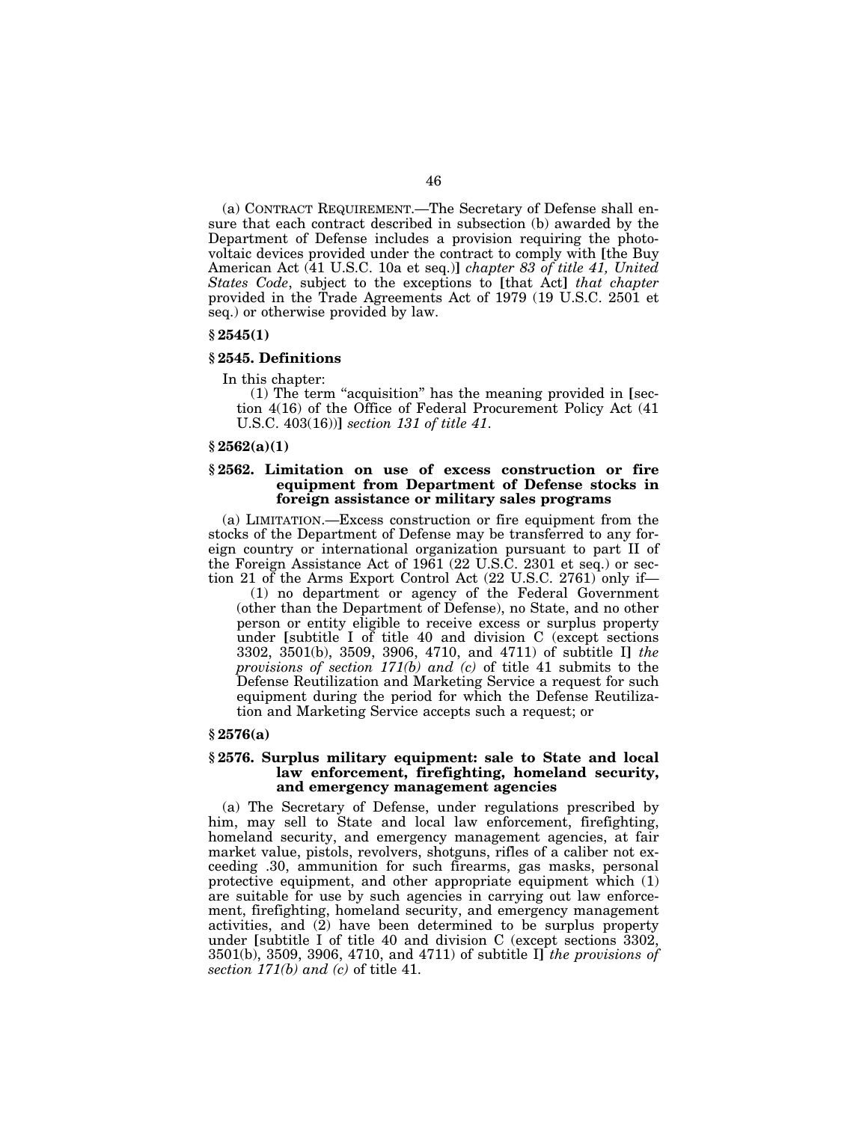(a) CONTRACT REQUIREMENT.—The Secretary of Defense shall ensure that each contract described in subsection (b) awarded by the Department of Defense includes a provision requiring the photovoltaic devices provided under the contract to comply with **[**the Buy American Act (41 U.S.C. 10a et seq.)**]** *chapter 83 of title 41, United States Code*, subject to the exceptions to **[**that Act**]** *that chapter*  provided in the Trade Agreements Act of 1979 (19 U.S.C. 2501 et seq.) or otherwise provided by law.

## **§ 2545(1)**

# **§ 2545. Definitions**

In this chapter:

(1) The term ''acquisition'' has the meaning provided in **[**section 4(16) of the Office of Federal Procurement Policy Act (41 U.S.C. 403(16))**]** *section 131 of title 41*.

### **§ 2562(a)(1)**

# **§ 2562. Limitation on use of excess construction or fire equipment from Department of Defense stocks in foreign assistance or military sales programs**

(a) LIMITATION.—Excess construction or fire equipment from the stocks of the Department of Defense may be transferred to any foreign country or international organization pursuant to part II of the Foreign Assistance Act of 1961 (22 U.S.C. 2301 et seq.) or section 21 of the Arms Export Control Act (22 U.S.C. 2761) only if—

(1) no department or agency of the Federal Government (other than the Department of Defense), no State, and no other person or entity eligible to receive excess or surplus property under **[**subtitle I of title 40 and division C (except sections 3302, 3501(b), 3509, 3906, 4710, and 4711) of subtitle I**]** *the provisions of section 171(b) and (c)* of title 41 submits to the Defense Reutilization and Marketing Service a request for such equipment during the period for which the Defense Reutilization and Marketing Service accepts such a request; or

# **§ 2576(a)**

# **§ 2576. Surplus military equipment: sale to State and local law enforcement, firefighting, homeland security, and emergency management agencies**

(a) The Secretary of Defense, under regulations prescribed by him, may sell to State and local law enforcement, firefighting, homeland security, and emergency management agencies, at fair market value, pistols, revolvers, shotguns, rifles of a caliber not exceeding .30, ammunition for such firearms, gas masks, personal protective equipment, and other appropriate equipment which (1) are suitable for use by such agencies in carrying out law enforcement, firefighting, homeland security, and emergency management activities, and  $(2)$  have been determined to be surplus property under **[**subtitle I of title 40 and division C (except sections 3302, 3501(b), 3509, 3906, 4710, and 4711) of subtitle I**]** *the provisions of section 171(b) and (c)* of title 41.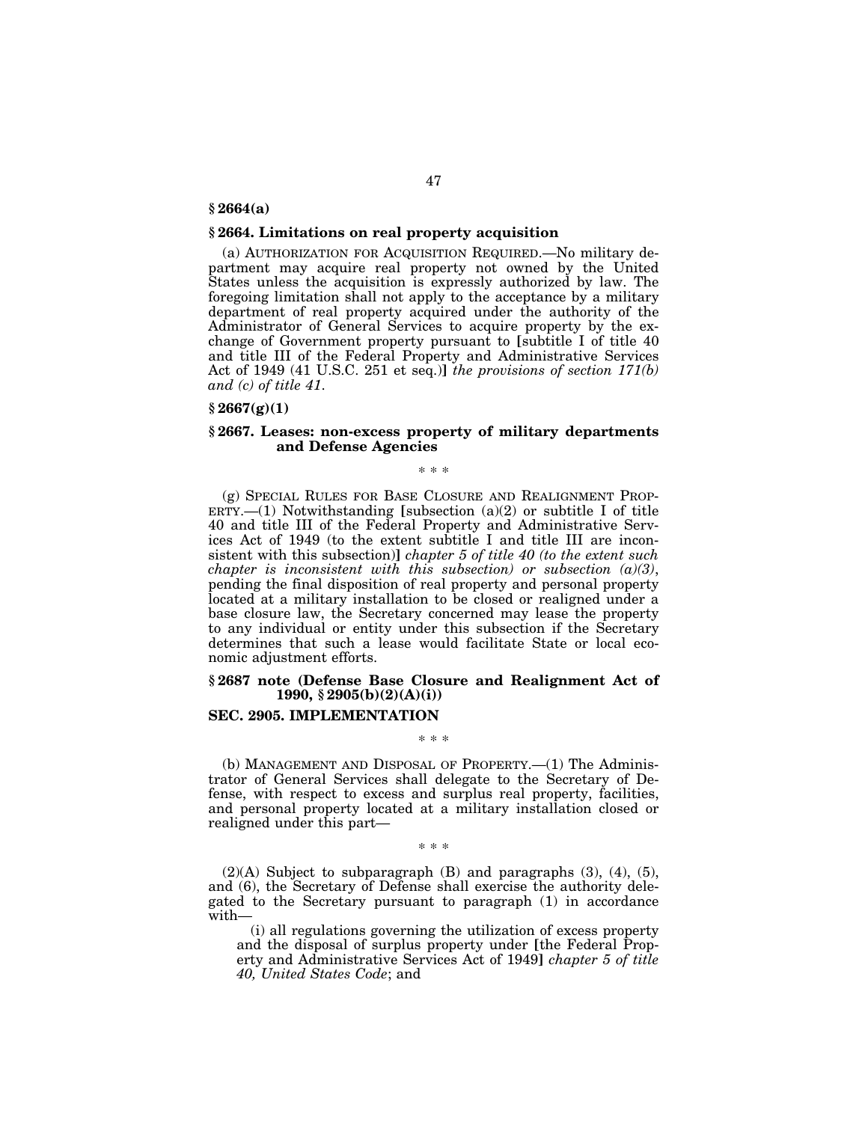**§ 2664(a)** 

# **§ 2664. Limitations on real property acquisition**

(a) AUTHORIZATION FOR ACQUISITION REQUIRED.—No military department may acquire real property not owned by the United States unless the acquisition is expressly authorized by law. The foregoing limitation shall not apply to the acceptance by a military department of real property acquired under the authority of the Administrator of General Services to acquire property by the exchange of Government property pursuant to **[**subtitle I of title 40 and title III of the Federal Property and Administrative Services Act of 1949 (41 U.S.C. 251 et seq.)**]** *the provisions of section 171(b) and (c) of title 41*.

# **§ 2667(g)(1)**

# **§ 2667. Leases: non-excess property of military departments and Defense Agencies**

\* \* \*

(g) SPECIAL RULES FOR BASE CLOSURE AND REALIGNMENT PROP-ERTY.— $(1)$  Notwithstanding [subsection  $(a)(2)$  or subtitle I of title 40 and title III of the Federal Property and Administrative Services Act of 1949 (to the extent subtitle I and title III are inconsistent with this subsection)**]** *chapter 5 of title 40 (to the extent such chapter is inconsistent with this subsection) or subsection (a)(3)*, pending the final disposition of real property and personal property located at a military installation to be closed or realigned under a base closure law, the Secretary concerned may lease the property to any individual or entity under this subsection if the Secretary determines that such a lease would facilitate State or local economic adjustment efforts.

# **§ 2687 note (Defense Base Closure and Realignment Act of 1990, § 2905(b)(2)(A)(i))**

\* \* \*

# **SEC. 2905. IMPLEMENTATION**

(b) MANAGEMENT AND DISPOSAL OF PROPERTY.—(1) The Administrator of General Services shall delegate to the Secretary of Defense, with respect to excess and surplus real property, facilities, and personal property located at a military installation closed or realigned under this part—

\* \* \*

 $(2)(A)$  Subject to subparagraph  $(B)$  and paragraphs  $(3)$ ,  $(4)$ ,  $(5)$ , and (6), the Secretary of Defense shall exercise the authority delegated to the Secretary pursuant to paragraph (1) in accordance with—

(i) all regulations governing the utilization of excess property and the disposal of surplus property under **[**the Federal Property and Administrative Services Act of 1949**]** *chapter 5 of title 40, United States Code*; and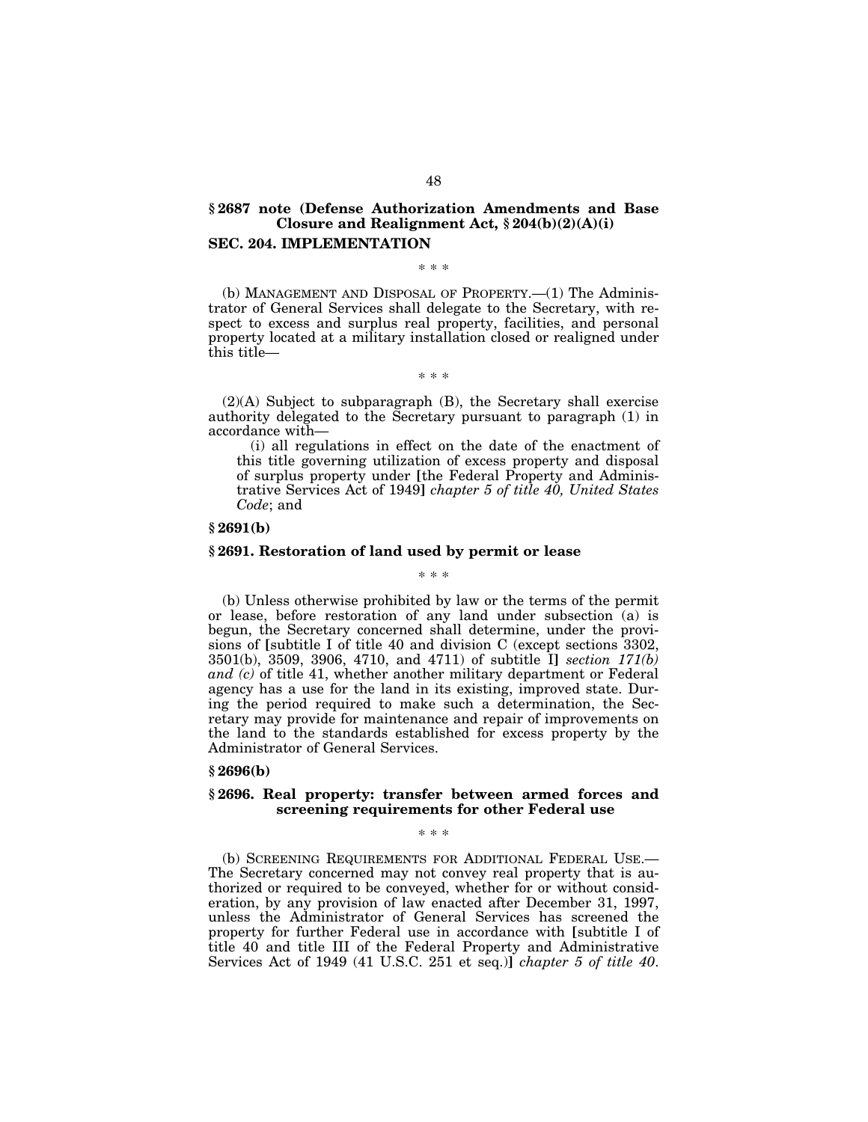# **§ 2687 note (Defense Authorization Amendments and Base Closure and Realignment Act, § 204(b)(2)(A)(i)**

# **SEC. 204. IMPLEMENTATION**

#### \* \* \*

(b) MANAGEMENT AND DISPOSAL OF PROPERTY.—(1) The Administrator of General Services shall delegate to the Secretary, with respect to excess and surplus real property, facilities, and personal property located at a military installation closed or realigned under this title—

\* \* \*

(2)(A) Subject to subparagraph (B), the Secretary shall exercise authority delegated to the Secretary pursuant to paragraph (1) in accordance with—

(i) all regulations in effect on the date of the enactment of this title governing utilization of excess property and disposal of surplus property under **[**the Federal Property and Administrative Services Act of 1949**]** *chapter 5 of title 40, United States Code*; and

# **§ 2691(b)**

## **§ 2691. Restoration of land used by permit or lease**

#### \* \* \*

(b) Unless otherwise prohibited by law or the terms of the permit or lease, before restoration of any land under subsection (a) is begun, the Secretary concerned shall determine, under the provisions of **[**subtitle I of title 40 and division C (except sections 3302, 3501(b), 3509, 3906, 4710, and 4711) of subtitle I**]** *section 171(b) and (c)* of title 41, whether another military department or Federal agency has a use for the land in its existing, improved state. During the period required to make such a determination, the Secretary may provide for maintenance and repair of improvements on the land to the standards established for excess property by the Administrator of General Services.

#### **§ 2696(b)**

# **§ 2696. Real property: transfer between armed forces and screening requirements for other Federal use**

# \* \* \*

(b) SCREENING REQUIREMENTS FOR ADDITIONAL FEDERAL USE.— The Secretary concerned may not convey real property that is authorized or required to be conveyed, whether for or without consideration, by any provision of law enacted after December 31, 1997, unless the Administrator of General Services has screened the property for further Federal use in accordance with **[**subtitle I of title 40 and title III of the Federal Property and Administrative Services Act of 1949 (41 U.S.C. 251 et seq.)**]** *chapter 5 of title 40*.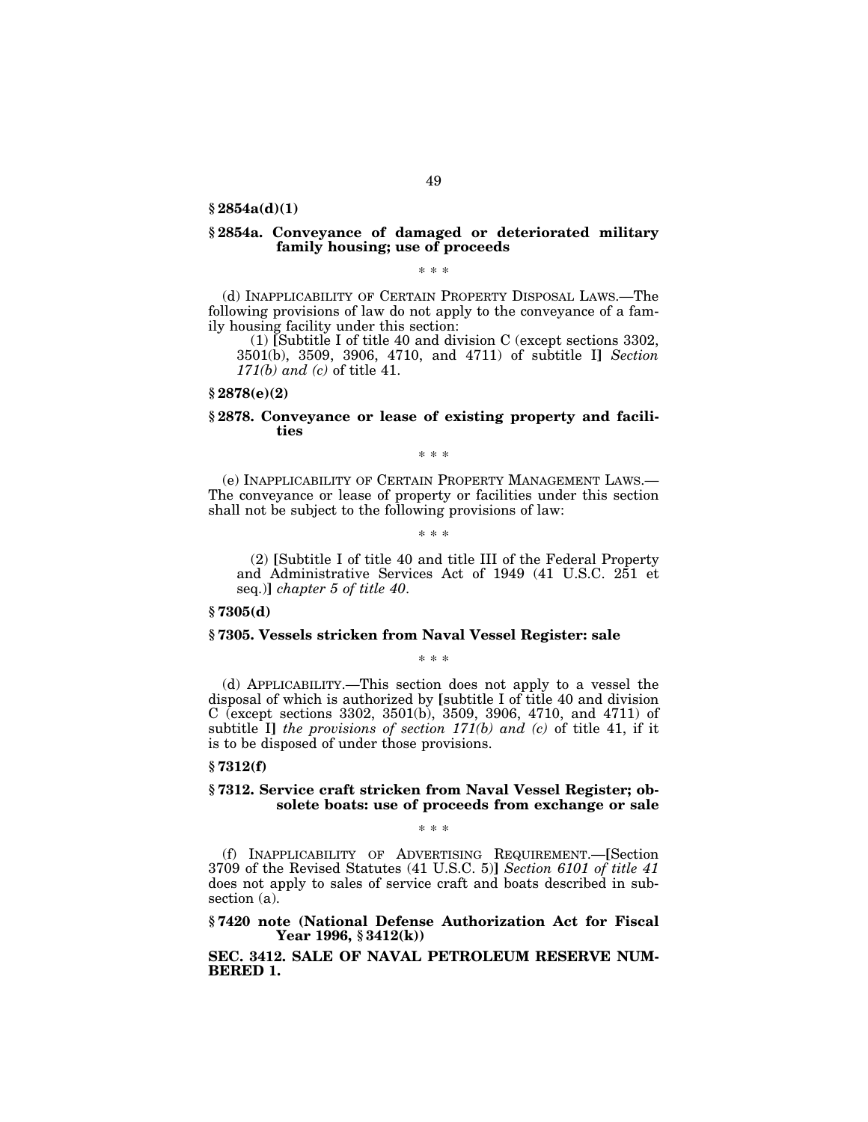## **§ 2854a(d)(1)**

# **§ 2854a. Conveyance of damaged or deteriorated military family housing; use of proceeds**

#### \* \* \*

(d) INAPPLICABILITY OF CERTAIN PROPERTY DISPOSAL LAWS.—The following provisions of law do not apply to the conveyance of a family housing facility under this section:

(1) **[**Subtitle I of title 40 and division C (except sections 3302, 3501(b), 3509, 3906, 4710, and 4711) of subtitle I**]** *Section 171(b) and (c)* of title 41.

#### **§ 2878(e)(2)**

# **§ 2878. Conveyance or lease of existing property and facilities**

# \* \* \*

(e) INAPPLICABILITY OF CERTAIN PROPERTY MANAGEMENT LAWS.— The conveyance or lease of property or facilities under this section shall not be subject to the following provisions of law:

\* \* \*

(2) **[**Subtitle I of title 40 and title III of the Federal Property and Administrative Services Act of 1949 (41 U.S.C. 251 et seq.)**]** *chapter 5 of title 40*.

## **§ 7305(d)**

#### **§ 7305. Vessels stricken from Naval Vessel Register: sale**

\* \* \*

(d) APPLICABILITY.—This section does not apply to a vessel the disposal of which is authorized by **[**subtitle I of title 40 and division C (except sections 3302, 3501(b), 3509, 3906, 4710, and 4711) of subtitle I**]** *the provisions of section 171(b) and (c)* of title 41, if it is to be disposed of under those provisions.

#### **§ 7312(f)**

# **§ 7312. Service craft stricken from Naval Vessel Register; obsolete boats: use of proceeds from exchange or sale**

#### \* \* \*

(f) INAPPLICABILITY OF ADVERTISING REQUIREMENT.—**[**Section 3709 of the Revised Statutes (41 U.S.C. 5)**]** *Section 6101 of title 41*  does not apply to sales of service craft and boats described in subsection (a).

**§ 7420 note (National Defense Authorization Act for Fiscal Year 1996, § 3412(k))** 

# **SEC. 3412. SALE OF NAVAL PETROLEUM RESERVE NUM-BERED 1.**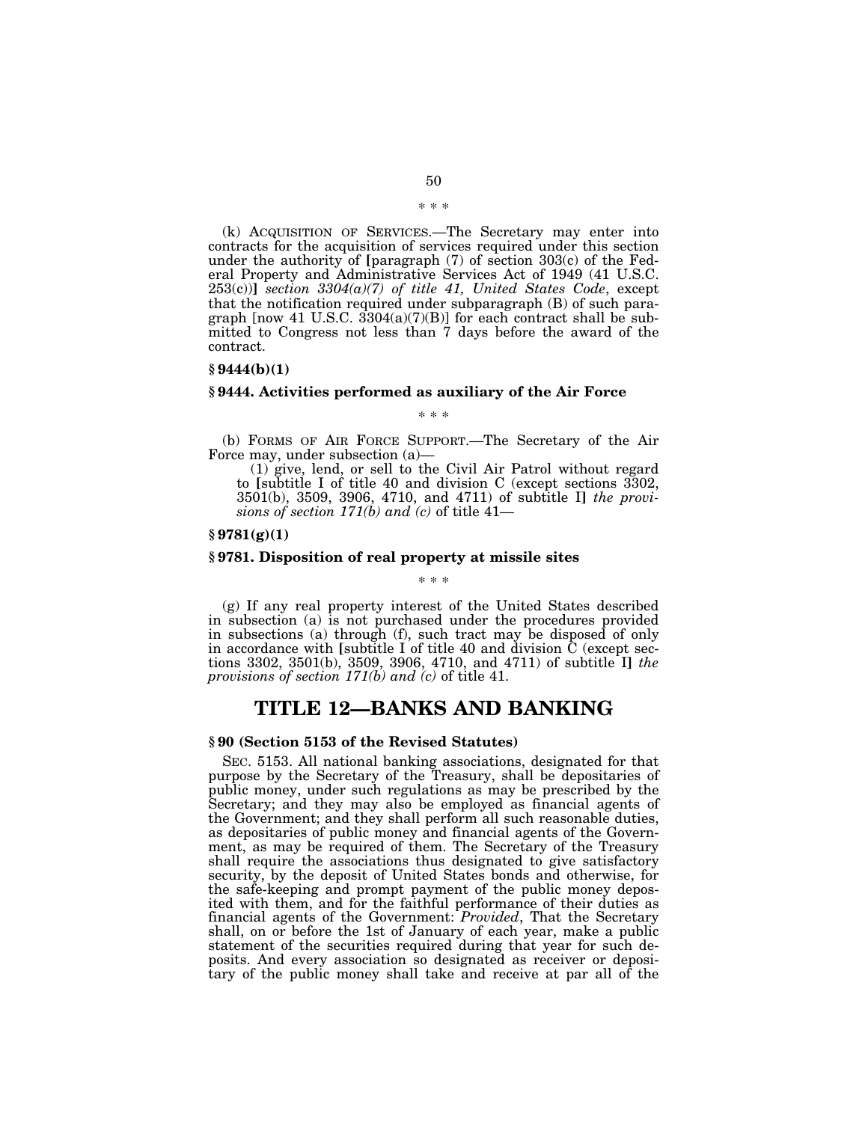(k) ACQUISITION OF SERVICES.—The Secretary may enter into contracts for the acquisition of services required under this section under the authority of **[**paragraph (7) of section 303(c) of the Federal Property and Administrative Services Act of 1949 (41 U.S.C. 253(c))**]** *section 3304(a)(7) of title 41, United States Code*, except that the notification required under subparagraph (B) of such paragraph [now 41 U.S.C.  $3304(a)(7)(B)$ ] for each contract shall be submitted to Congress not less than 7 days before the award of the contract.

#### **§ 9444(b)(1)**

#### **§ 9444. Activities performed as auxiliary of the Air Force**

\* \* \*

(b) FORMS OF AIR FORCE SUPPORT.—The Secretary of the Air Force may, under subsection (a)—

(1) give, lend, or sell to the Civil Air Patrol without regard to **[**subtitle I of title 40 and division C (except sections 3302, 3501(b), 3509, 3906, 4710, and 4711) of subtitle I**]** *the provisions of section 171(b) and (c)* of title 41—

## **§ 9781(g)(1)**

#### **§ 9781. Disposition of real property at missile sites**

# \* \* \*

(g) If any real property interest of the United States described in subsection (a) is not purchased under the procedures provided in subsections (a) through (f), such tract may be disposed of only in accordance with **[**subtitle I of title 40 and division C (except sections 3302, 3501(b), 3509, 3906, 4710, and 4711) of subtitle I**]** *the provisions of section 171(b) and (c)* of title 41.

# **TITLE 12—BANKS AND BANKING**

# **§ 90 (Section 5153 of the Revised Statutes)**

SEC. 5153. All national banking associations, designated for that purpose by the Secretary of the Treasury, shall be depositaries of public money, under such regulations as may be prescribed by the Secretary; and they may also be employed as financial agents of the Government; and they shall perform all such reasonable duties, as depositaries of public money and financial agents of the Government, as may be required of them. The Secretary of the Treasury shall require the associations thus designated to give satisfactory security, by the deposit of United States bonds and otherwise, for the safe-keeping and prompt payment of the public money deposited with them, and for the faithful performance of their duties as financial agents of the Government: *Provided*, That the Secretary shall, on or before the 1st of January of each year, make a public statement of the securities required during that year for such deposits. And every association so designated as receiver or depositary of the public money shall take and receive at par all of the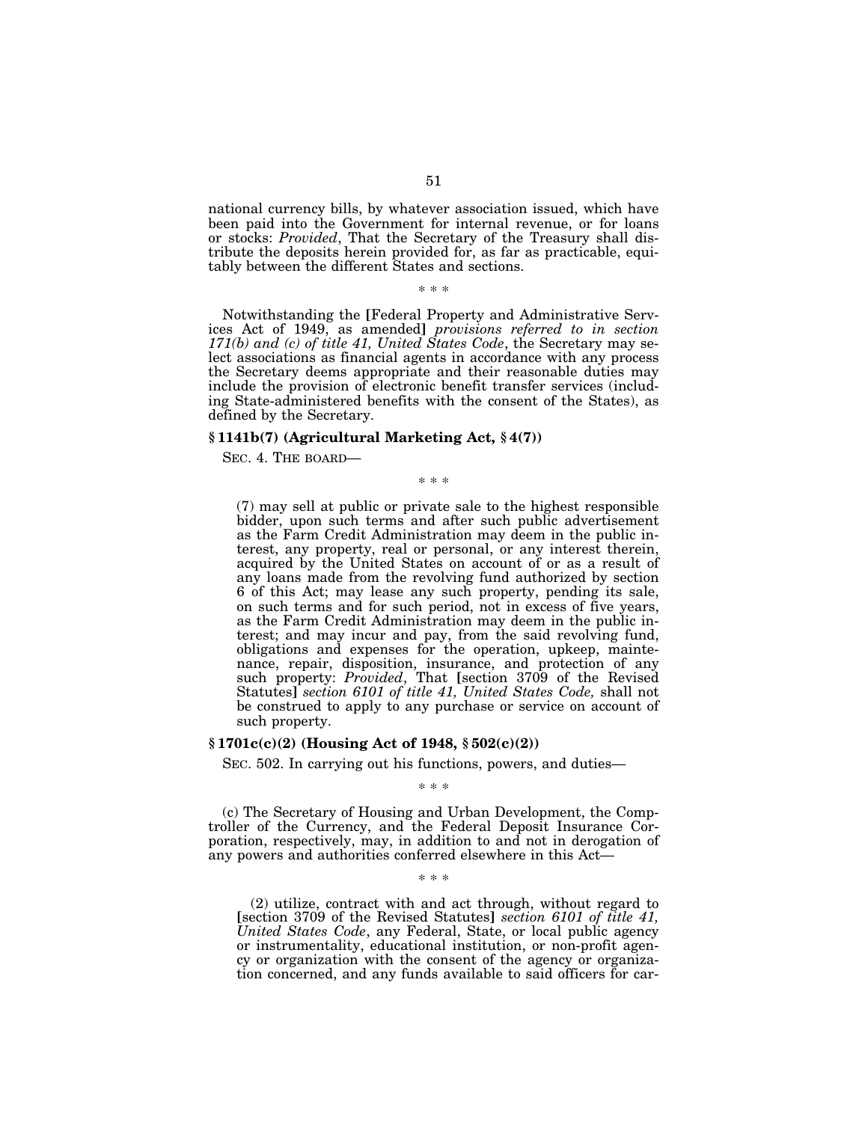national currency bills, by whatever association issued, which have been paid into the Government for internal revenue, or for loans or stocks: *Provided*, That the Secretary of the Treasury shall distribute the deposits herein provided for, as far as practicable, equitably between the different States and sections.

\* \* \*

Notwithstanding the **[**Federal Property and Administrative Services Act of 1949, as amended**]** *provisions referred to in section 171(b) and (c) of title 41, United States Code*, the Secretary may select associations as financial agents in accordance with any process the Secretary deems appropriate and their reasonable duties may include the provision of electronic benefit transfer services (including State-administered benefits with the consent of the States), as defined by the Secretary.

## **§ 1141b(7) (Agricultural Marketing Act, § 4(7))**

SEC. 4. THE BOARD—

\* \* \*

(7) may sell at public or private sale to the highest responsible bidder, upon such terms and after such public advertisement as the Farm Credit Administration may deem in the public interest, any property, real or personal, or any interest therein, acquired by the United States on account of or as a result of any loans made from the revolving fund authorized by section 6 of this Act; may lease any such property, pending its sale, on such terms and for such period, not in excess of five years, as the Farm Credit Administration may deem in the public interest; and may incur and pay, from the said revolving fund, obligations and expenses for the operation, upkeep, maintenance, repair, disposition, insurance, and protection of any such property: *Provided*, That **[**section 3709 of the Revised Statutes**]** *section 6101 of title 41, United States Code,* shall not be construed to apply to any purchase or service on account of such property.

#### **§ 1701c(c)(2) (Housing Act of 1948, § 502(c)(2))**

SEC. 502. In carrying out his functions, powers, and duties—

\* \* \*

(c) The Secretary of Housing and Urban Development, the Comptroller of the Currency, and the Federal Deposit Insurance Corporation, respectively, may, in addition to and not in derogation of any powers and authorities conferred elsewhere in this Act—

\* \* \*

(2) utilize, contract with and act through, without regard to **[**section 3709 of the Revised Statutes**]** *section 6101 of title 41, United States Code*, any Federal, State, or local public agency or instrumentality, educational institution, or non-profit agency or organization with the consent of the agency or organization concerned, and any funds available to said officers for car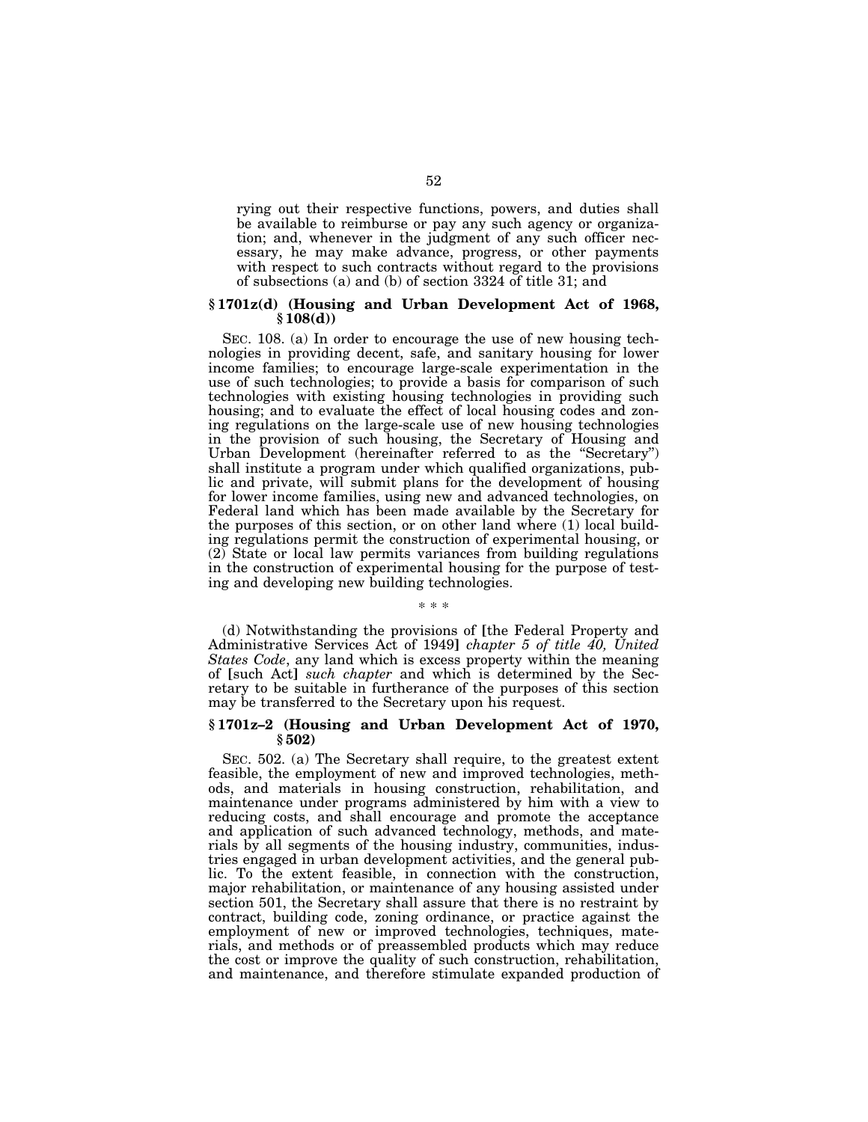rying out their respective functions, powers, and duties shall be available to reimburse or pay any such agency or organization; and, whenever in the judgment of any such officer necessary, he may make advance, progress, or other payments with respect to such contracts without regard to the provisions of subsections (a) and (b) of section 3324 of title 31; and

# **§ 1701z(d) (Housing and Urban Development Act of 1968, § 108(d))**

SEC. 108. (a) In order to encourage the use of new housing technologies in providing decent, safe, and sanitary housing for lower income families; to encourage large-scale experimentation in the use of such technologies; to provide a basis for comparison of such technologies with existing housing technologies in providing such housing; and to evaluate the effect of local housing codes and zoning regulations on the large-scale use of new housing technologies in the provision of such housing, the Secretary of Housing and Urban Development (hereinafter referred to as the ''Secretary'') shall institute a program under which qualified organizations, public and private, will submit plans for the development of housing for lower income families, using new and advanced technologies, on Federal land which has been made available by the Secretary for the purposes of this section, or on other land where (1) local building regulations permit the construction of experimental housing, or (2) State or local law permits variances from building regulations in the construction of experimental housing for the purpose of testing and developing new building technologies.

\* \* \*

(d) Notwithstanding the provisions of **[**the Federal Property and Administrative Services Act of 1949**]** *chapter 5 of title 40, United States Code*, any land which is excess property within the meaning of **[**such Act**]** *such chapter* and which is determined by the Secretary to be suitable in furtherance of the purposes of this section may be transferred to the Secretary upon his request.

# **§ 1701z–2 (Housing and Urban Development Act of 1970, § 502)**

SEC. 502. (a) The Secretary shall require, to the greatest extent feasible, the employment of new and improved technologies, methods, and materials in housing construction, rehabilitation, and maintenance under programs administered by him with a view to reducing costs, and shall encourage and promote the acceptance and application of such advanced technology, methods, and materials by all segments of the housing industry, communities, industries engaged in urban development activities, and the general public. To the extent feasible, in connection with the construction, major rehabilitation, or maintenance of any housing assisted under section 501, the Secretary shall assure that there is no restraint by contract, building code, zoning ordinance, or practice against the employment of new or improved technologies, techniques, materials, and methods or of preassembled products which may reduce the cost or improve the quality of such construction, rehabilitation, and maintenance, and therefore stimulate expanded production of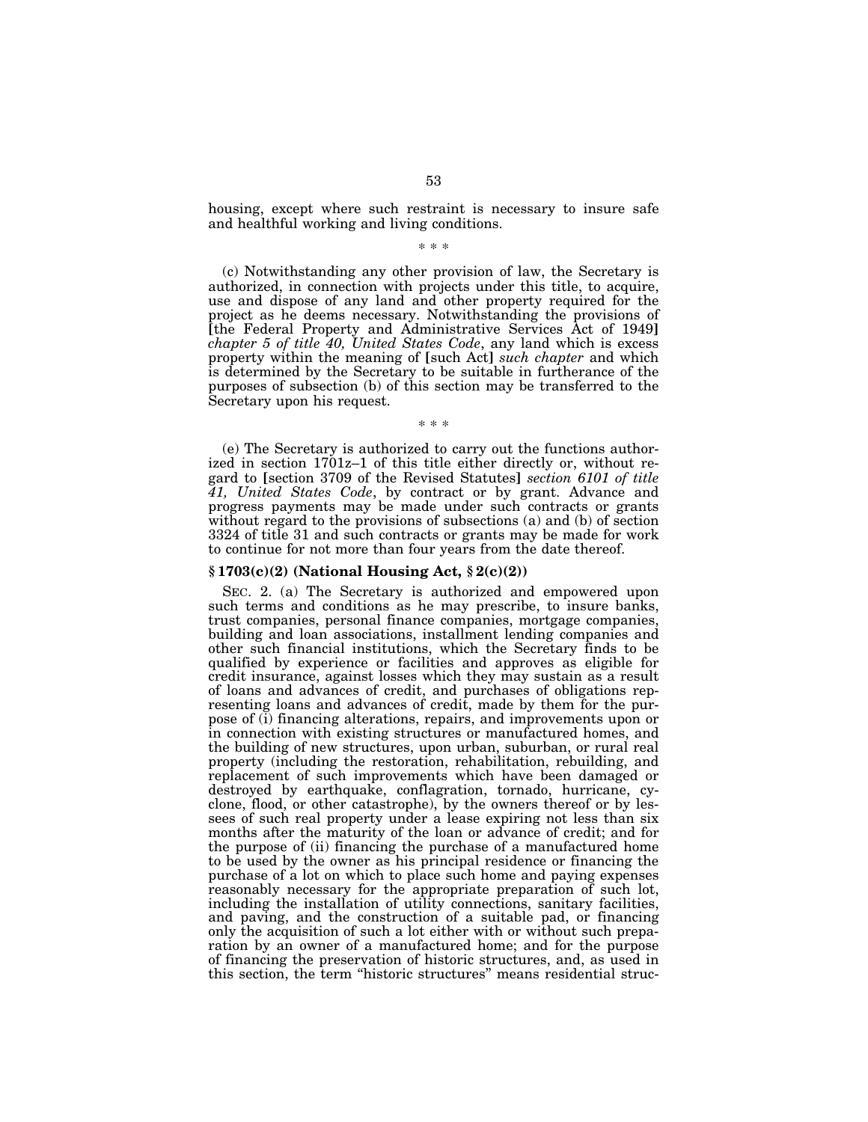housing, except where such restraint is necessary to insure safe and healthful working and living conditions.

#### \* \* \*

(c) Notwithstanding any other provision of law, the Secretary is authorized, in connection with projects under this title, to acquire, use and dispose of any land and other property required for the project as he deems necessary. Notwithstanding the provisions of **[**the Federal Property and Administrative Services Act of 1949**]**  *chapter 5 of title 40, United States Code*, any land which is excess property within the meaning of **[**such Act**]** *such chapter* and which is determined by the Secretary to be suitable in furtherance of the purposes of subsection (b) of this section may be transferred to the Secretary upon his request.

\* \* \*

(e) The Secretary is authorized to carry out the functions authorized in section 1701z–1 of this title either directly or, without regard to **[**section 3709 of the Revised Statutes**]** *section 6101 of title 41, United States Code*, by contract or by grant. Advance and progress payments may be made under such contracts or grants without regard to the provisions of subsections (a) and (b) of section 3324 of title 31 and such contracts or grants may be made for work to continue for not more than four years from the date thereof.

#### **§ 1703(c)(2) (National Housing Act, § 2(c)(2))**

SEC. 2. (a) The Secretary is authorized and empowered upon such terms and conditions as he may prescribe, to insure banks, trust companies, personal finance companies, mortgage companies, building and loan associations, installment lending companies and other such financial institutions, which the Secretary finds to be qualified by experience or facilities and approves as eligible for credit insurance, against losses which they may sustain as a result of loans and advances of credit, and purchases of obligations representing loans and advances of credit, made by them for the purpose of (i) financing alterations, repairs, and improvements upon or in connection with existing structures or manufactured homes, and the building of new structures, upon urban, suburban, or rural real property (including the restoration, rehabilitation, rebuilding, and replacement of such improvements which have been damaged or destroyed by earthquake, conflagration, tornado, hurricane, cyclone, flood, or other catastrophe), by the owners thereof or by lessees of such real property under a lease expiring not less than six months after the maturity of the loan or advance of credit; and for the purpose of (ii) financing the purchase of a manufactured home to be used by the owner as his principal residence or financing the purchase of a lot on which to place such home and paying expenses reasonably necessary for the appropriate preparation of such lot, including the installation of utility connections, sanitary facilities, and paving, and the construction of a suitable pad, or financing only the acquisition of such a lot either with or without such preparation by an owner of a manufactured home; and for the purpose of financing the preservation of historic structures, and, as used in this section, the term ''historic structures'' means residential struc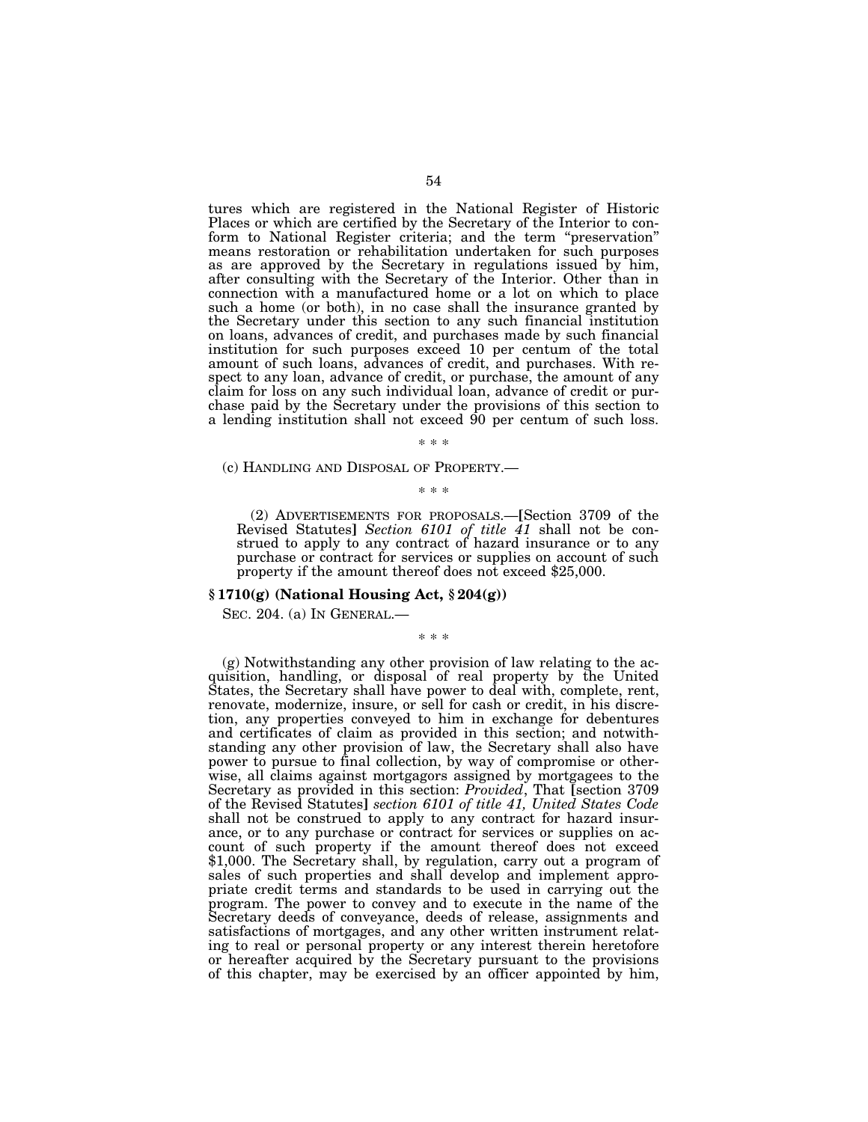tures which are registered in the National Register of Historic Places or which are certified by the Secretary of the Interior to conform to National Register criteria; and the term "preservation" means restoration or rehabilitation undertaken for such purposes as are approved by the Secretary in regulations issued by him, after consulting with the Secretary of the Interior. Other than in connection with a manufactured home or a lot on which to place such a home (or both), in no case shall the insurance granted by the Secretary under this section to any such financial institution on loans, advances of credit, and purchases made by such financial institution for such purposes exceed 10 per centum of the total amount of such loans, advances of credit, and purchases. With respect to any loan, advance of credit, or purchase, the amount of any claim for loss on any such individual loan, advance of credit or purchase paid by the Secretary under the provisions of this section to a lending institution shall not exceed 90 per centum of such loss.

# \* \* \*

## (c) HANDLING AND DISPOSAL OF PROPERTY.—

## \* \* \*

(2) ADVERTISEMENTS FOR PROPOSALS.—**[**Section 3709 of the Revised Statutes**]** *Section 6101 of title 41* shall not be construed to apply to any contract of hazard insurance or to any purchase or contract for services or supplies on account of such property if the amount thereof does not exceed \$25,000.

## **§ 1710(g) (National Housing Act, § 204(g))**

SEC. 204. (a) IN GENERAL.—

#### \* \* \*

(g) Notwithstanding any other provision of law relating to the acquisition, handling, or disposal of real property by the United States, the Secretary shall have power to deal with, complete, rent, renovate, modernize, insure, or sell for cash or credit, in his discretion, any properties conveyed to him in exchange for debentures and certificates of claim as provided in this section; and notwithstanding any other provision of law, the Secretary shall also have power to pursue to final collection, by way of compromise or otherwise, all claims against mortgagors assigned by mortgagees to the Secretary as provided in this section: *Provided*, That **[**section 3709 of the Revised Statutes**]** *section 6101 of title 41, United States Code*  shall not be construed to apply to any contract for hazard insurance, or to any purchase or contract for services or supplies on account of such property if the amount thereof does not exceed \$1,000. The Secretary shall, by regulation, carry out a program of sales of such properties and shall develop and implement appropriate credit terms and standards to be used in carrying out the program. The power to convey and to execute in the name of the Secretary deeds of conveyance, deeds of release, assignments and satisfactions of mortgages, and any other written instrument relating to real or personal property or any interest therein heretofore or hereafter acquired by the Secretary pursuant to the provisions of this chapter, may be exercised by an officer appointed by him,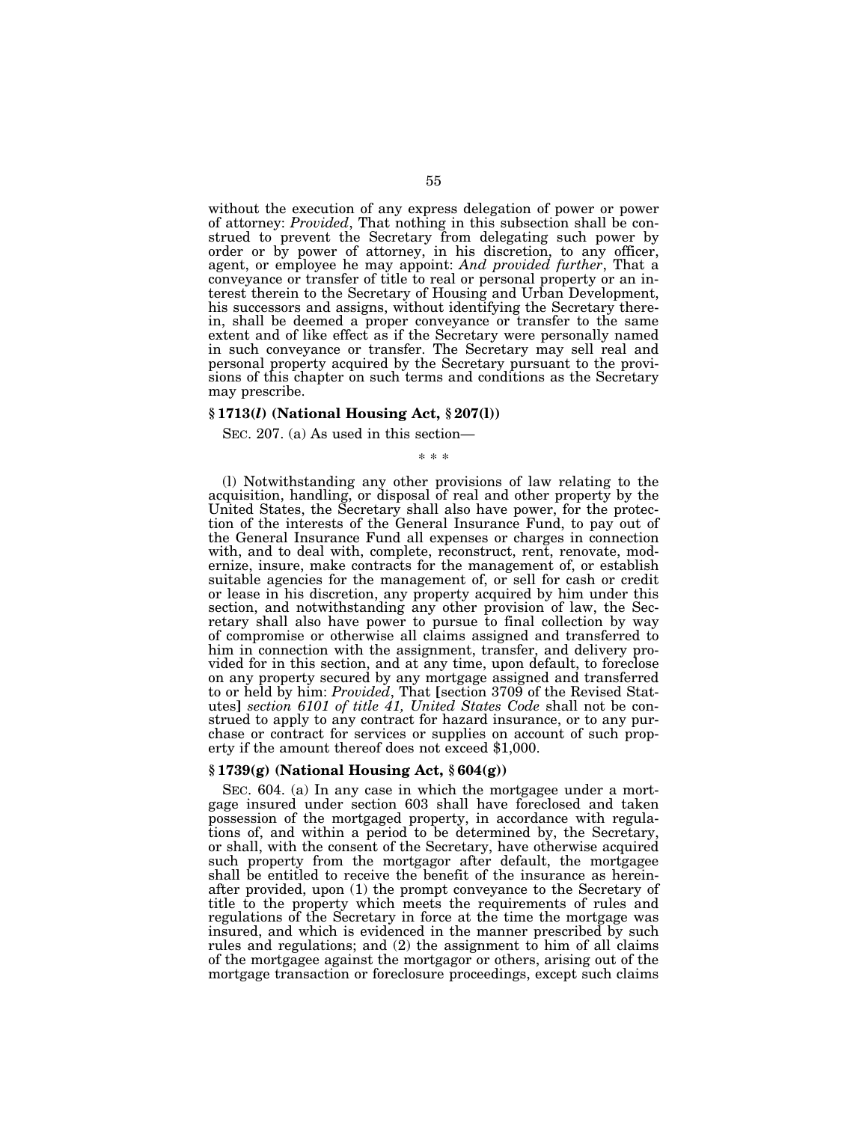without the execution of any express delegation of power or power of attorney: *Provided*, That nothing in this subsection shall be construed to prevent the Secretary from delegating such power by order or by power of attorney, in his discretion, to any officer, agent, or employee he may appoint: *And provided further*, That a conveyance or transfer of title to real or personal property or an interest therein to the Secretary of Housing and Urban Development, his successors and assigns, without identifying the Secretary therein, shall be deemed a proper conveyance or transfer to the same extent and of like effect as if the Secretary were personally named in such conveyance or transfer. The Secretary may sell real and personal property acquired by the Secretary pursuant to the provisions of this chapter on such terms and conditions as the Secretary may prescribe.

## **§ 1713(***l***) (National Housing Act, § 207(l))**

SEC. 207. (a) As used in this section—

\* \* \*

(l) Notwithstanding any other provisions of law relating to the acquisition, handling, or disposal of real and other property by the United States, the Secretary shall also have power, for the protection of the interests of the General Insurance Fund, to pay out of the General Insurance Fund all expenses or charges in connection with, and to deal with, complete, reconstruct, rent, renovate, modernize, insure, make contracts for the management of, or establish suitable agencies for the management of, or sell for cash or credit or lease in his discretion, any property acquired by him under this section, and notwithstanding any other provision of law, the Secretary shall also have power to pursue to final collection by way of compromise or otherwise all claims assigned and transferred to him in connection with the assignment, transfer, and delivery provided for in this section, and at any time, upon default, to foreclose on any property secured by any mortgage assigned and transferred to or held by him: *Provided*, That **[**section 3709 of the Revised Statutes**]** *section 6101 of title 41, United States Code* shall not be construed to apply to any contract for hazard insurance, or to any purchase or contract for services or supplies on account of such property if the amount thereof does not exceed \$1,000.

## **§ 1739(g) (National Housing Act, § 604(g))**

SEC. 604. (a) In any case in which the mortgagee under a mortgage insured under section 603 shall have foreclosed and taken possession of the mortgaged property, in accordance with regulations of, and within a period to be determined by, the Secretary, or shall, with the consent of the Secretary, have otherwise acquired such property from the mortgagor after default, the mortgagee shall be entitled to receive the benefit of the insurance as hereinafter provided, upon (1) the prompt conveyance to the Secretary of title to the property which meets the requirements of rules and regulations of the Secretary in force at the time the mortgage was insured, and which is evidenced in the manner prescribed by such rules and regulations; and (2) the assignment to him of all claims of the mortgagee against the mortgagor or others, arising out of the mortgage transaction or foreclosure proceedings, except such claims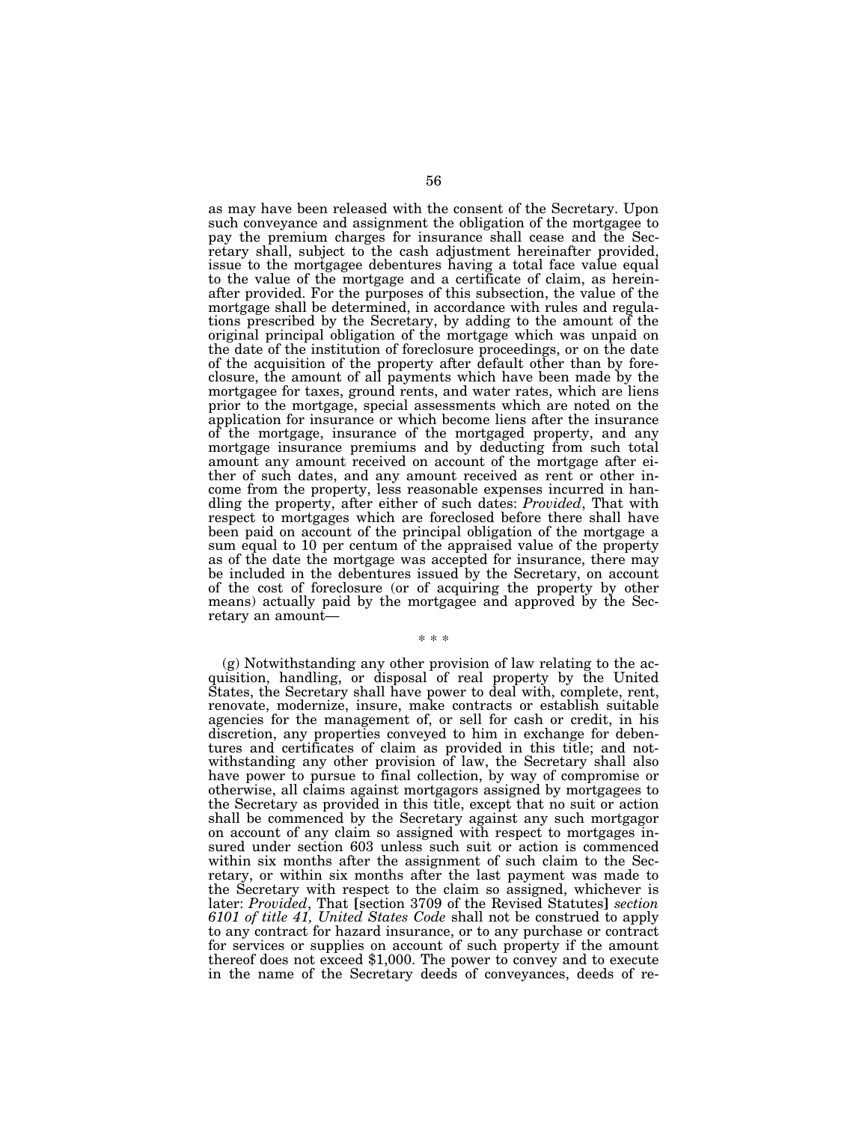as may have been released with the consent of the Secretary. Upon such conveyance and assignment the obligation of the mortgagee to pay the premium charges for insurance shall cease and the Secretary shall, subject to the cash adjustment hereinafter provided, issue to the mortgagee debentures having a total face value equal to the value of the mortgage and a certificate of claim, as hereinafter provided. For the purposes of this subsection, the value of the mortgage shall be determined, in accordance with rules and regulations prescribed by the Secretary, by adding to the amount of the original principal obligation of the mortgage which was unpaid on the date of the institution of foreclosure proceedings, or on the date of the acquisition of the property after default other than by foreclosure, the amount of all payments which have been made by the mortgagee for taxes, ground rents, and water rates, which are liens prior to the mortgage, special assessments which are noted on the application for insurance or which become liens after the insurance of the mortgage, insurance of the mortgaged property, and any mortgage insurance premiums and by deducting from such total amount any amount received on account of the mortgage after either of such dates, and any amount received as rent or other income from the property, less reasonable expenses incurred in handling the property, after either of such dates: *Provided*, That with respect to mortgages which are foreclosed before there shall have been paid on account of the principal obligation of the mortgage a sum equal to 10 per centum of the appraised value of the property as of the date the mortgage was accepted for insurance, there may be included in the debentures issued by the Secretary, on account of the cost of foreclosure (or of acquiring the property by other means) actually paid by the mortgagee and approved by the Secretary an amount—

(g) Notwithstanding any other provision of law relating to the acquisition, handling, or disposal of real property by the United States, the Secretary shall have power to deal with, complete, rent, renovate, modernize, insure, make contracts or establish suitable agencies for the management of, or sell for cash or credit, in his discretion, any properties conveyed to him in exchange for debentures and certificates of claim as provided in this title; and notwithstanding any other provision of law, the Secretary shall also have power to pursue to final collection, by way of compromise or otherwise, all claims against mortgagors assigned by mortgagees to the Secretary as provided in this title, except that no suit or action shall be commenced by the Secretary against any such mortgagor on account of any claim so assigned with respect to mortgages insured under section 603 unless such suit or action is commenced within six months after the assignment of such claim to the Secretary, or within six months after the last payment was made to the Secretary with respect to the claim so assigned, whichever is later: *Provided*, That **[**section 3709 of the Revised Statutes**]** *section 6101 of title 41, United States Code* shall not be construed to apply to any contract for hazard insurance, or to any purchase or contract for services or supplies on account of such property if the amount thereof does not exceed \$1,000. The power to convey and to execute in the name of the Secretary deeds of conveyances, deeds of re-

\* \* \*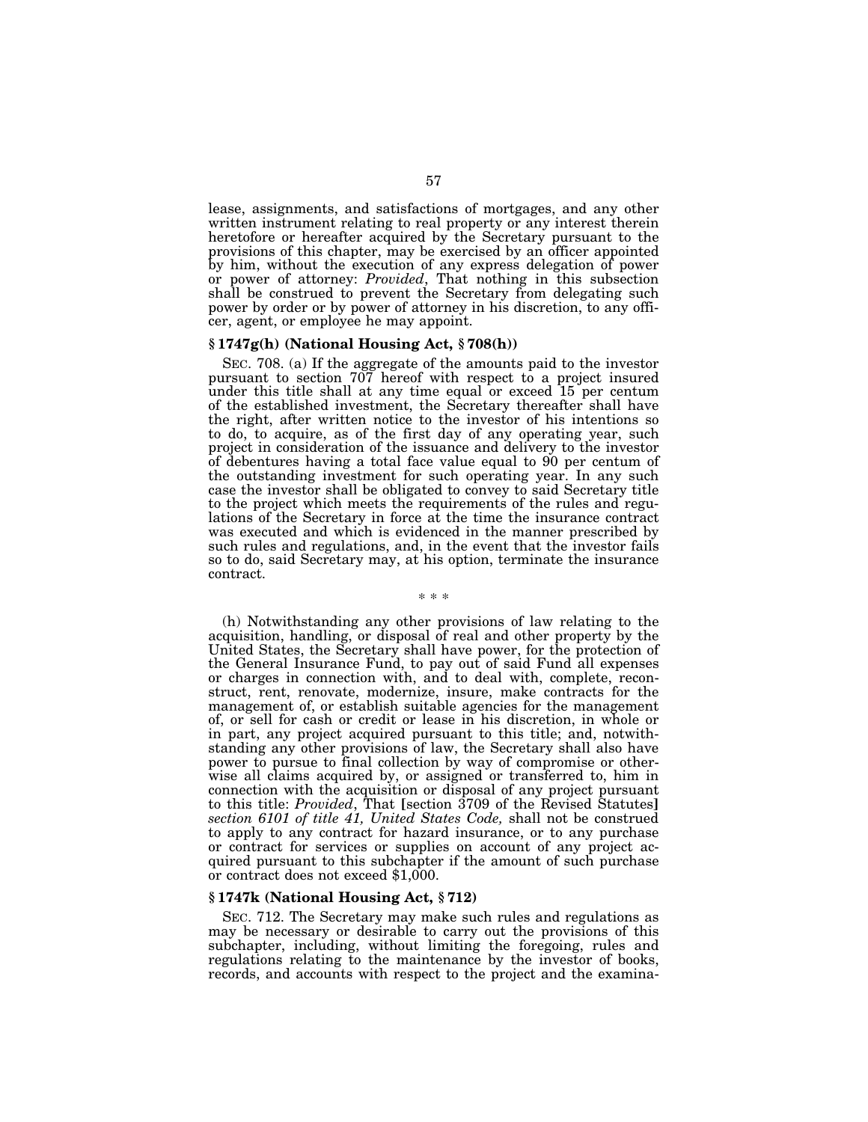lease, assignments, and satisfactions of mortgages, and any other written instrument relating to real property or any interest therein heretofore or hereafter acquired by the Secretary pursuant to the provisions of this chapter, may be exercised by an officer appointed by him, without the execution of any express delegation of power or power of attorney: *Provided*, That nothing in this subsection shall be construed to prevent the Secretary from delegating such power by order or by power of attorney in his discretion, to any officer, agent, or employee he may appoint.

#### **§ 1747g(h) (National Housing Act, § 708(h))**

SEC. 708. (a) If the aggregate of the amounts paid to the investor pursuant to section 707 hereof with respect to a project insured under this title shall at any time equal or exceed 15 per centum of the established investment, the Secretary thereafter shall have the right, after written notice to the investor of his intentions so to do, to acquire, as of the first day of any operating year, such project in consideration of the issuance and delivery to the investor of debentures having a total face value equal to 90 per centum of the outstanding investment for such operating year. In any such case the investor shall be obligated to convey to said Secretary title to the project which meets the requirements of the rules and regulations of the Secretary in force at the time the insurance contract was executed and which is evidenced in the manner prescribed by such rules and regulations, and, in the event that the investor fails so to do, said Secretary may, at his option, terminate the insurance contract.

\* \* \*

(h) Notwithstanding any other provisions of law relating to the acquisition, handling, or disposal of real and other property by the United States, the Secretary shall have power, for the protection of the General Insurance Fund, to pay out of said Fund all expenses or charges in connection with, and to deal with, complete, reconstruct, rent, renovate, modernize, insure, make contracts for the management of, or establish suitable agencies for the management of, or sell for cash or credit or lease in his discretion, in whole or in part, any project acquired pursuant to this title; and, notwithstanding any other provisions of law, the Secretary shall also have power to pursue to final collection by way of compromise or otherwise all claims acquired by, or assigned or transferred to, him in connection with the acquisition or disposal of any project pursuant to this title: *Provided*, That **[**section 3709 of the Revised Statutes**]**  *section 6101 of title 41, United States Code,* shall not be construed to apply to any contract for hazard insurance, or to any purchase or contract for services or supplies on account of any project acquired pursuant to this subchapter if the amount of such purchase or contract does not exceed \$1,000.

#### **§ 1747k (National Housing Act, § 712)**

SEC. 712. The Secretary may make such rules and regulations as may be necessary or desirable to carry out the provisions of this subchapter, including, without limiting the foregoing, rules and regulations relating to the maintenance by the investor of books, records, and accounts with respect to the project and the examina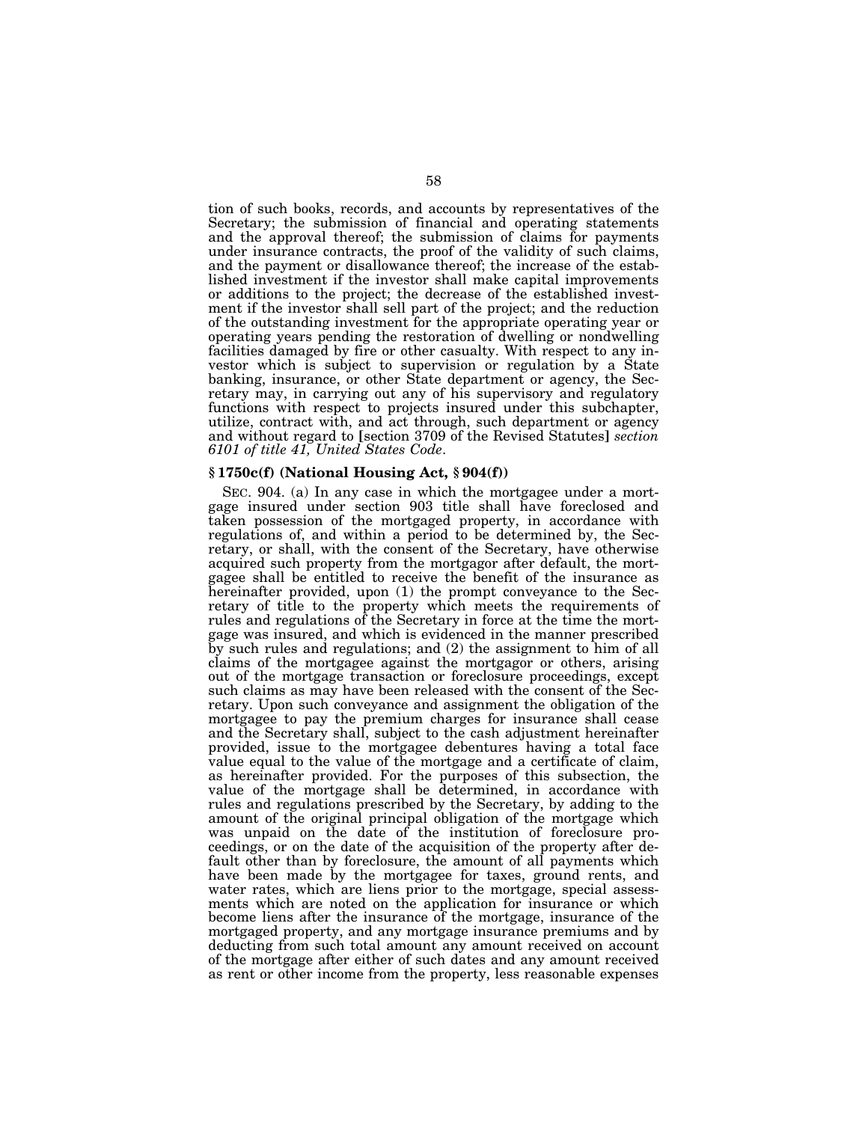tion of such books, records, and accounts by representatives of the Secretary; the submission of financial and operating statements and the approval thereof; the submission of claims for payments under insurance contracts, the proof of the validity of such claims, and the payment or disallowance thereof; the increase of the established investment if the investor shall make capital improvements or additions to the project; the decrease of the established investment if the investor shall sell part of the project; and the reduction of the outstanding investment for the appropriate operating year or operating years pending the restoration of dwelling or nondwelling facilities damaged by fire or other casualty. With respect to any investor which is subject to supervision or regulation by a State banking, insurance, or other State department or agency, the Secretary may, in carrying out any of his supervisory and regulatory functions with respect to projects insured under this subchapter, utilize, contract with, and act through, such department or agency and without regard to **[**section 3709 of the Revised Statutes**]** *section 6101 of title 41, United States Code*.

#### **§ 1750c(f) (National Housing Act, § 904(f))**

SEC. 904. (a) In any case in which the mortgagee under a mortgage insured under section 903 title shall have foreclosed and taken possession of the mortgaged property, in accordance with regulations of, and within a period to be determined by, the Secretary, or shall, with the consent of the Secretary, have otherwise acquired such property from the mortgagor after default, the mortgagee shall be entitled to receive the benefit of the insurance as hereinafter provided, upon (1) the prompt conveyance to the Secretary of title to the property which meets the requirements of rules and regulations of the Secretary in force at the time the mortgage was insured, and which is evidenced in the manner prescribed by such rules and regulations; and (2) the assignment to him of all claims of the mortgagee against the mortgagor or others, arising out of the mortgage transaction or foreclosure proceedings, except such claims as may have been released with the consent of the Secretary. Upon such conveyance and assignment the obligation of the mortgagee to pay the premium charges for insurance shall cease and the Secretary shall, subject to the cash adjustment hereinafter provided, issue to the mortgagee debentures having a total face value equal to the value of the mortgage and a certificate of claim, as hereinafter provided. For the purposes of this subsection, the value of the mortgage shall be determined, in accordance with rules and regulations prescribed by the Secretary, by adding to the amount of the original principal obligation of the mortgage which was unpaid on the date of the institution of foreclosure proceedings, or on the date of the acquisition of the property after default other than by foreclosure, the amount of all payments which have been made by the mortgagee for taxes, ground rents, and water rates, which are liens prior to the mortgage, special assessments which are noted on the application for insurance or which become liens after the insurance of the mortgage, insurance of the mortgaged property, and any mortgage insurance premiums and by deducting from such total amount any amount received on account of the mortgage after either of such dates and any amount received as rent or other income from the property, less reasonable expenses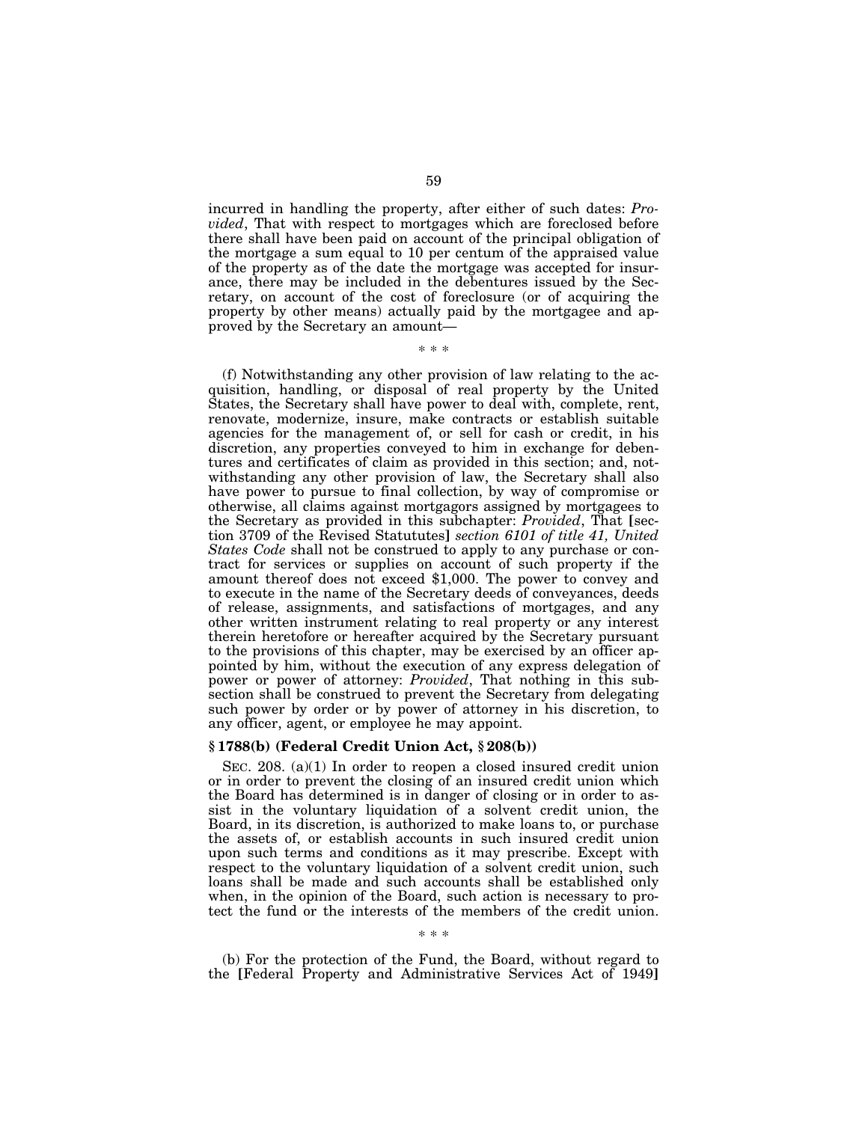incurred in handling the property, after either of such dates: *Provided*, That with respect to mortgages which are foreclosed before there shall have been paid on account of the principal obligation of the mortgage a sum equal to 10 per centum of the appraised value of the property as of the date the mortgage was accepted for insurance, there may be included in the debentures issued by the Secretary, on account of the cost of foreclosure (or of acquiring the property by other means) actually paid by the mortgagee and approved by the Secretary an amount—

\* \* \*

(f) Notwithstanding any other provision of law relating to the acquisition, handling, or disposal of real property by the United States, the Secretary shall have power to deal with, complete, rent, renovate, modernize, insure, make contracts or establish suitable agencies for the management of, or sell for cash or credit, in his discretion, any properties conveyed to him in exchange for debentures and certificates of claim as provided in this section; and, notwithstanding any other provision of law, the Secretary shall also have power to pursue to final collection, by way of compromise or otherwise, all claims against mortgagors assigned by mortgagees to the Secretary as provided in this subchapter: *Provided*, That **[**section 3709 of the Revised Statututes**]** *section 6101 of title 41, United States Code* shall not be construed to apply to any purchase or contract for services or supplies on account of such property if the amount thereof does not exceed \$1,000. The power to convey and to execute in the name of the Secretary deeds of conveyances, deeds of release, assignments, and satisfactions of mortgages, and any other written instrument relating to real property or any interest therein heretofore or hereafter acquired by the Secretary pursuant to the provisions of this chapter, may be exercised by an officer appointed by him, without the execution of any express delegation of power or power of attorney: *Provided*, That nothing in this subsection shall be construed to prevent the Secretary from delegating such power by order or by power of attorney in his discretion, to any officer, agent, or employee he may appoint.

## **§ 1788(b) (Federal Credit Union Act, § 208(b))**

SEC. 208. (a)(1) In order to reopen a closed insured credit union or in order to prevent the closing of an insured credit union which the Board has determined is in danger of closing or in order to assist in the voluntary liquidation of a solvent credit union, the Board, in its discretion, is authorized to make loans to, or purchase the assets of, or establish accounts in such insured credit union upon such terms and conditions as it may prescribe. Except with respect to the voluntary liquidation of a solvent credit union, such loans shall be made and such accounts shall be established only when, in the opinion of the Board, such action is necessary to protect the fund or the interests of the members of the credit union.

\* \* \*

(b) For the protection of the Fund, the Board, without regard to the **[**Federal Property and Administrative Services Act of 1949**]**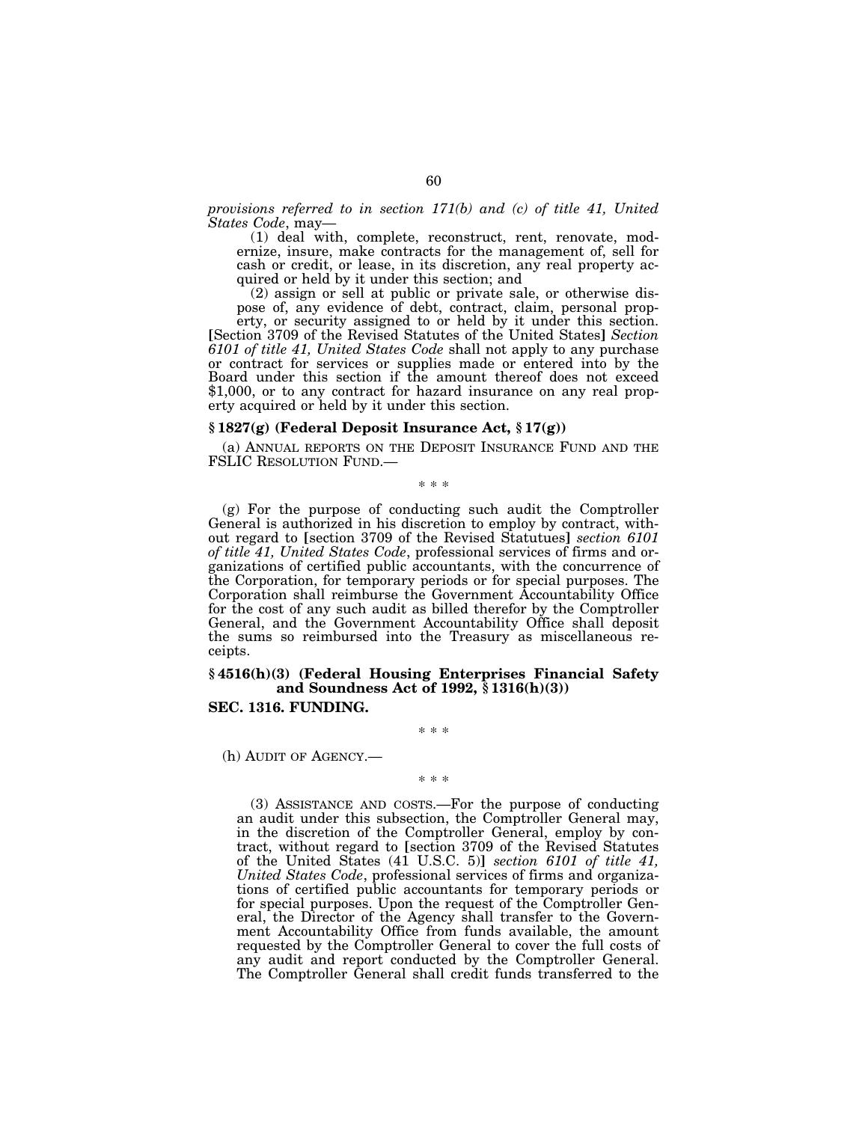*provisions referred to in section 171(b) and (c) of title 41, United States Code*, may—

(1) deal with, complete, reconstruct, rent, renovate, modernize, insure, make contracts for the management of, sell for cash or credit, or lease, in its discretion, any real property acquired or held by it under this section; and

(2) assign or sell at public or private sale, or otherwise dispose of, any evidence of debt, contract, claim, personal property, or security assigned to or held by it under this section. **[**Section 3709 of the Revised Statutes of the United States**]** *Section 6101 of title 41, United States Code* shall not apply to any purchase or contract for services or supplies made or entered into by the Board under this section if the amount thereof does not exceed \$1,000, or to any contract for hazard insurance on any real property acquired or held by it under this section.

# **§ 1827(g) (Federal Deposit Insurance Act, § 17(g))**

(a) ANNUAL REPORTS ON THE DEPOSIT INSURANCE FUND AND THE FSLIC RESOLUTION FUND.—

\* \* \*

(g) For the purpose of conducting such audit the Comptroller General is authorized in his discretion to employ by contract, without regard to **[**section 3709 of the Revised Statutues**]** *section 6101 of title 41, United States Code*, professional services of firms and organizations of certified public accountants, with the concurrence of the Corporation, for temporary periods or for special purposes. The Corporation shall reimburse the Government Accountability Office for the cost of any such audit as billed therefor by the Comptroller General, and the Government Accountability Office shall deposit the sums so reimbursed into the Treasury as miscellaneous receipts.

# **§ 4516(h)(3) (Federal Housing Enterprises Financial Safety and Soundness Act of 1992, § 1316(h)(3))**

# **SEC. 1316. FUNDING.**

\* \* \*

(h) AUDIT OF AGENCY.—

\* \* \*

(3) ASSISTANCE AND COSTS.—For the purpose of conducting an audit under this subsection, the Comptroller General may, in the discretion of the Comptroller General, employ by contract, without regard to **[**section 3709 of the Revised Statutes of the United States (41 U.S.C. 5)**]** *section 6101 of title 41, United States Code*, professional services of firms and organizations of certified public accountants for temporary periods or for special purposes. Upon the request of the Comptroller General, the Director of the Agency shall transfer to the Government Accountability Office from funds available, the amount requested by the Comptroller General to cover the full costs of any audit and report conducted by the Comptroller General. The Comptroller General shall credit funds transferred to the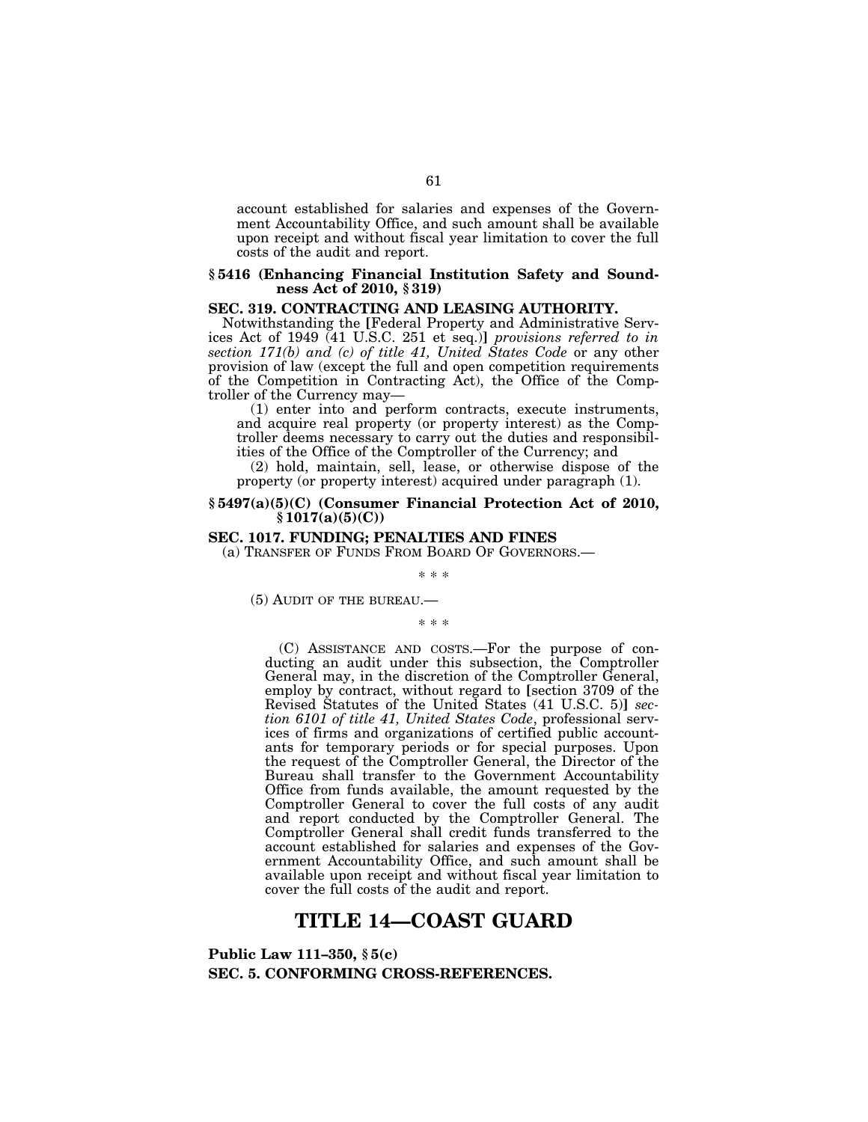account established for salaries and expenses of the Government Accountability Office, and such amount shall be available upon receipt and without fiscal year limitation to cover the full costs of the audit and report.

# **§ 5416 (Enhancing Financial Institution Safety and Soundness Act of 2010, § 319)**

# **SEC. 319. CONTRACTING AND LEASING AUTHORITY.**

Notwithstanding the **[**Federal Property and Administrative Services Act of 1949 (41 U.S.C. 251 et seq.)**]** *provisions referred to in section 171(b) and (c) of title 41, United States Code* or any other provision of law (except the full and open competition requirements of the Competition in Contracting Act), the Office of the Comptroller of the Currency may—

(1) enter into and perform contracts, execute instruments, and acquire real property (or property interest) as the Comptroller deems necessary to carry out the duties and responsibilities of the Office of the Comptroller of the Currency; and

(2) hold, maintain, sell, lease, or otherwise dispose of the property (or property interest) acquired under paragraph (1).

## **§ 5497(a)(5)(C) (Consumer Financial Protection Act of 2010,**   $§ 1017(a)(5)(C))$

#### **SEC. 1017. FUNDING; PENALTIES AND FINES**

(a) TRANSFER OF FUNDS FROM BOARD OF GOVERNORS.—

\* \* \*

(5) AUDIT OF THE BUREAU.—

# \* \* \*

(C) ASSISTANCE AND COSTS.—For the purpose of conducting an audit under this subsection, the Comptroller General may, in the discretion of the Comptroller General, employ by contract, without regard to **[**section 3709 of the Revised Statutes of the United States (41 U.S.C. 5)**]** *section 6101 of title 41, United States Code*, professional services of firms and organizations of certified public accountants for temporary periods or for special purposes. Upon the request of the Comptroller General, the Director of the Bureau shall transfer to the Government Accountability Office from funds available, the amount requested by the Comptroller General to cover the full costs of any audit and report conducted by the Comptroller General. The Comptroller General shall credit funds transferred to the account established for salaries and expenses of the Government Accountability Office, and such amount shall be available upon receipt and without fiscal year limitation to cover the full costs of the audit and report.

# **TITLE 14—COAST GUARD**

**Public Law 111–350, § 5(c) SEC. 5. CONFORMING CROSS-REFERENCES.**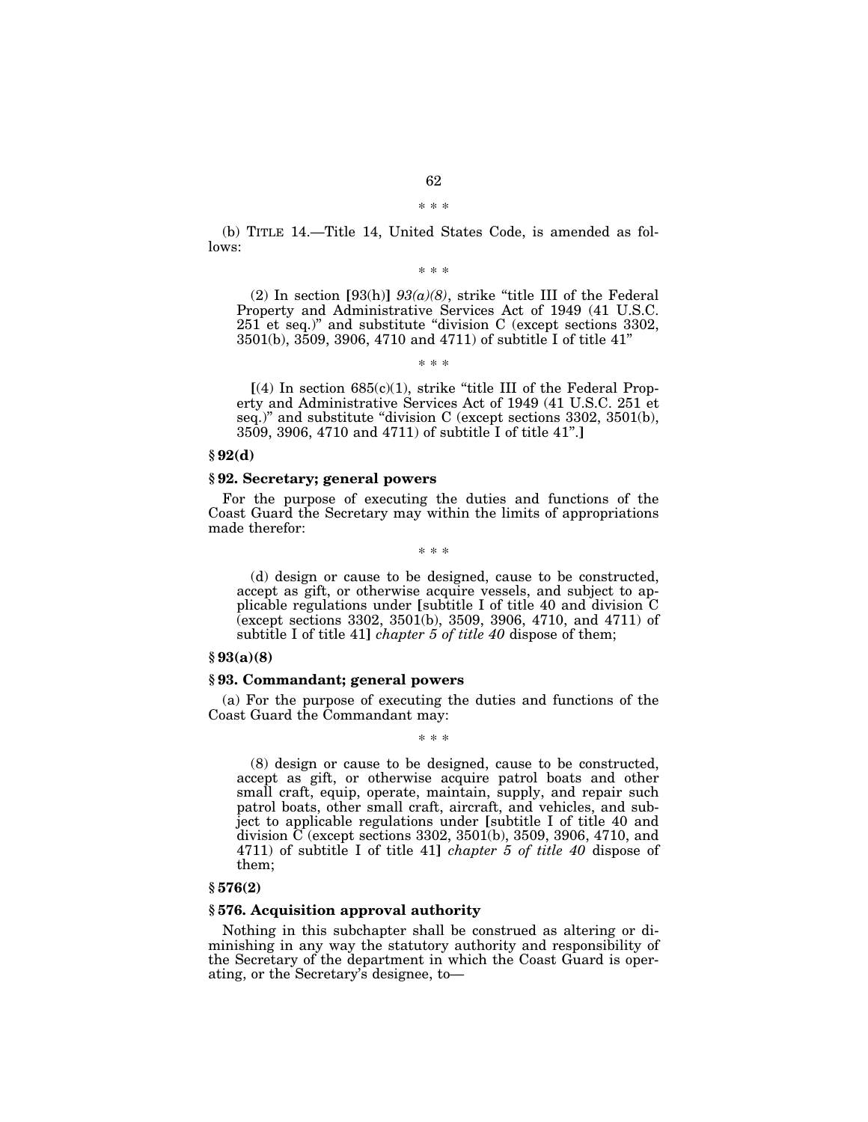(b) TITLE 14.—Title 14, United States Code, is amended as follows:

\* \* \*

(2) In section  $[93(h)]$   $93(a)(8)$ , strike "title III of the Federal Property and Administrative Services Act of 1949 (41 U.S.C.  $251$  et seq.)" and substitute "division C (except sections 3302, 3501(b), 3509, 3906, 4710 and 4711) of subtitle I of title 41''

\* \* \*

 $[(4)$  In section  $685(c)(1)$ , strike "title III of the Federal Property and Administrative Services Act of 1949 (41 U.S.C. 251 et seq.)" and substitute "division C (except sections 3302, 3501(b), 3509, 3906, 4710 and 4711) of subtitle I of title 41''.**]** 

#### **§ 92(d)**

#### **§ 92. Secretary; general powers**

For the purpose of executing the duties and functions of the Coast Guard the Secretary may within the limits of appropriations made therefor:

\* \* \*

(d) design or cause to be designed, cause to be constructed, accept as gift, or otherwise acquire vessels, and subject to applicable regulations under **[**subtitle I of title 40 and division C (except sections 3302, 3501(b), 3509, 3906, 4710, and 4711) of subtitle I of title 41**]** *chapter 5 of title 40* dispose of them;

#### **§ 93(a)(8)**

## **§ 93. Commandant; general powers**

(a) For the purpose of executing the duties and functions of the Coast Guard the Commandant may:

\* \* \*

(8) design or cause to be designed, cause to be constructed, accept as gift, or otherwise acquire patrol boats and other small craft, equip, operate, maintain, supply, and repair such patrol boats, other small craft, aircraft, and vehicles, and subject to applicable regulations under **[**subtitle I of title 40 and division  $\dot{C}$  (except sections 3302, 3501(b), 3509, 3906, 4710, and 4711) of subtitle I of title 41**]** *chapter 5 of title 40* dispose of them;

# **§ 576(2)**

# **§ 576. Acquisition approval authority**

Nothing in this subchapter shall be construed as altering or diminishing in any way the statutory authority and responsibility of the Secretary of the department in which the Coast Guard is operating, or the Secretary's designee, to—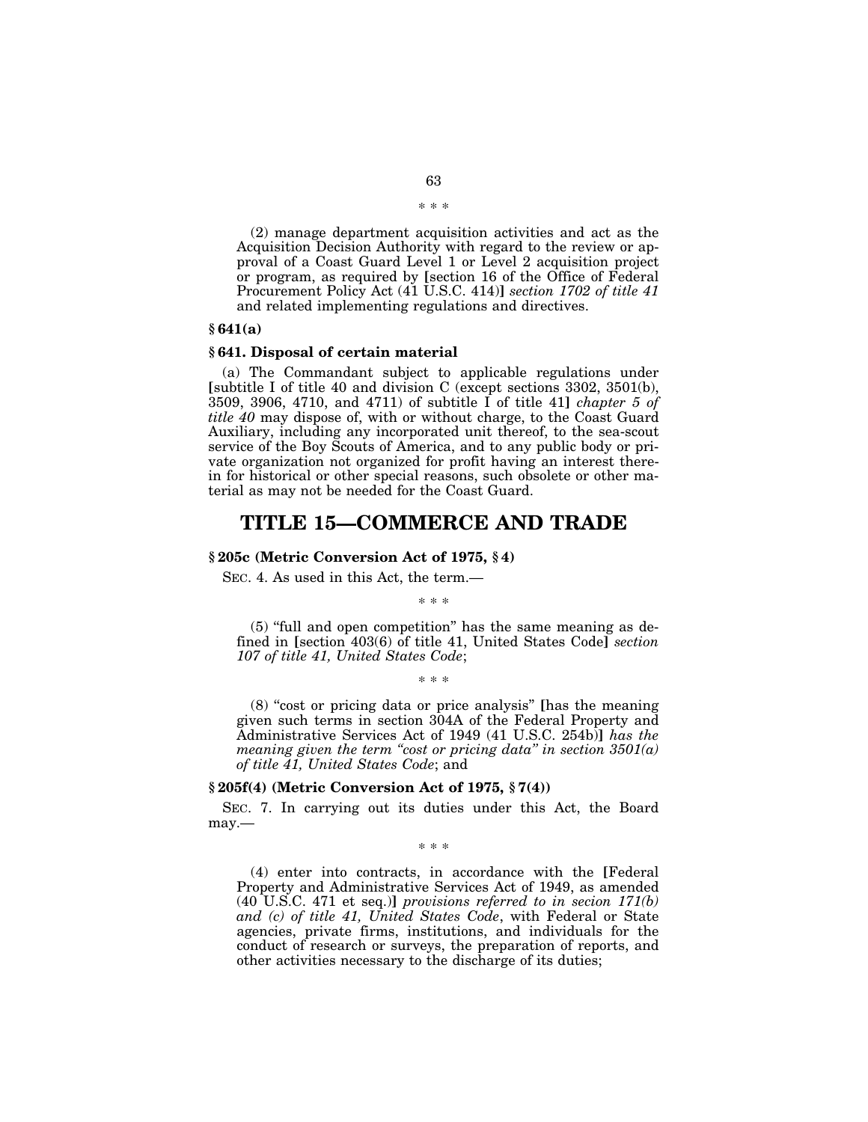(2) manage department acquisition activities and act as the Acquisition Decision Authority with regard to the review or approval of a Coast Guard Level 1 or Level 2 acquisition project or program, as required by **[**section 16 of the Office of Federal Procurement Policy Act (41 U.S.C. 414)**]** *section 1702 of title 41*  and related implementing regulations and directives.

#### **§ 641(a)**

## **§ 641. Disposal of certain material**

(a) The Commandant subject to applicable regulations under **[**subtitle I of title 40 and division C (except sections 3302, 3501(b), 3509, 3906, 4710, and 4711) of subtitle I of title 41**]** *chapter 5 of title 40* may dispose of, with or without charge, to the Coast Guard Auxiliary, including any incorporated unit thereof, to the sea-scout service of the Boy Scouts of America, and to any public body or private organization not organized for profit having an interest therein for historical or other special reasons, such obsolete or other material as may not be needed for the Coast Guard.

# **TITLE 15—COMMERCE AND TRADE**

# **§ 205c (Metric Conversion Act of 1975, § 4)**

SEC. 4. As used in this Act, the term.—

\* \* \*

 $(5)$  "full and open competition" has the same meaning as defined in **[**section 403(6) of title 41, United States Code**]** *section 107 of title 41, United States Code*;

\* \* \*

(8) ''cost or pricing data or price analysis'' **[**has the meaning given such terms in section 304A of the Federal Property and Administrative Services Act of 1949 (41 U.S.C. 254b)**]** *has the meaning given the term ''cost or pricing data'' in section 3501(a) of title 41, United States Code*; and

## **§ 205f(4) (Metric Conversion Act of 1975, § 7(4))**

SEC. 7. In carrying out its duties under this Act, the Board may.—

\* \* \*

(4) enter into contracts, in accordance with the **[**Federal Property and Administrative Services Act of 1949, as amended (40 U.S.C. 471 et seq.)**]** *provisions referred to in secion 171(b) and (c) of title 41, United States Code*, with Federal or State agencies, private firms, institutions, and individuals for the conduct of research or surveys, the preparation of reports, and other activities necessary to the discharge of its duties;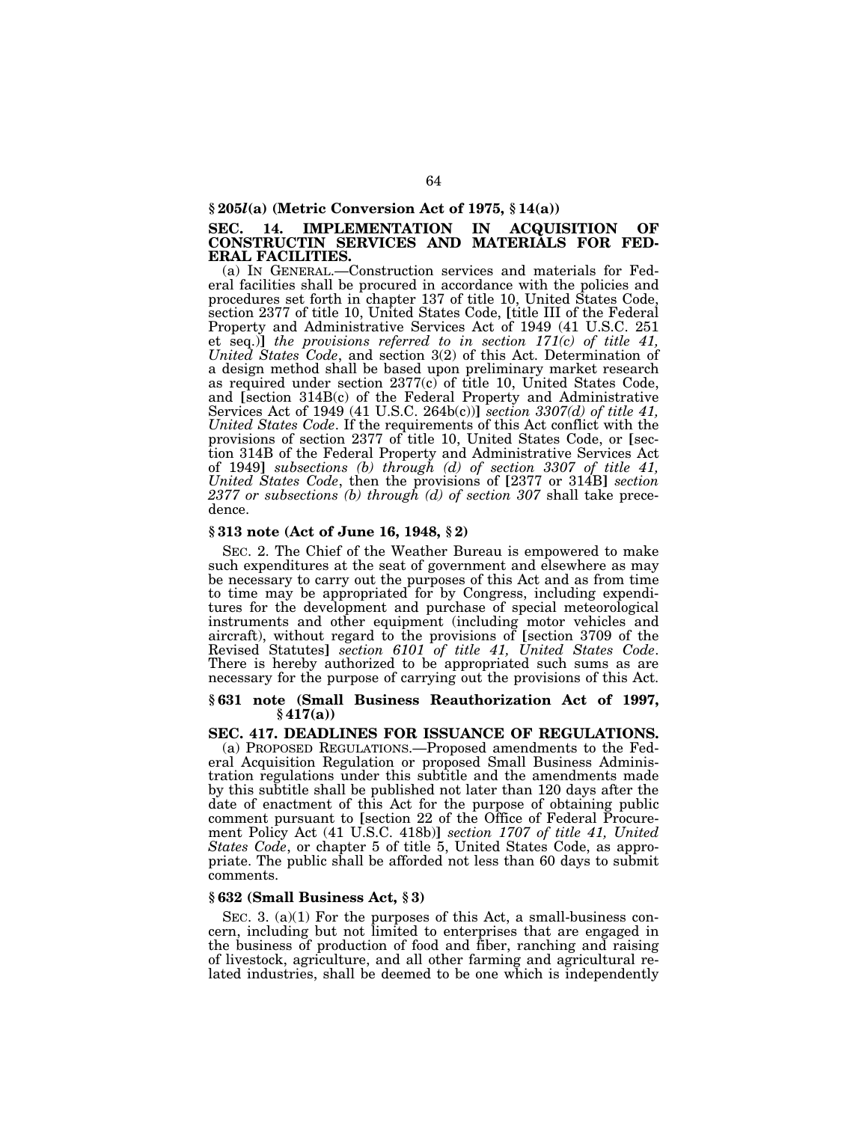#### **§ 205***l***(a) (Metric Conversion Act of 1975, § 14(a))**

# **SEC. 14. IMPLEMENTATION IN ACQUISITION OF CONSTRUCTIN SERVICES AND MATERIALS FOR FED-ERAL FACILITIES.**

(a) IN GENERAL.—Construction services and materials for Federal facilities shall be procured in accordance with the policies and procedures set forth in chapter 137 of title 10, United States Code, section 2377 of title 10, United States Code, **[**title III of the Federal Property and Administrative Services Act of 1949 (41 U.S.C. 251 et seq.)**]** *the provisions referred to in section 171(c) of title 41, United States Code*, and section 3(2) of this Act. Determination of a design method shall be based upon preliminary market research as required under section 2377(c) of title 10, United States Code, and **[**section 314B(c) of the Federal Property and Administrative Services Act of 1949 (41 U.S.C. 264b(c))**]** *section 3307(d) of title 41, United States Code*. If the requirements of this Act conflict with the provisions of section 2377 of title 10, United States Code, or **[**section 314B of the Federal Property and Administrative Services Act of 1949**]** *subsections (b) through (d) of section 3307 of title 41, United States Code*, then the provisions of **[**2377 or 314B**]** *section 2377 or subsections (b) through (d) of section 307* shall take precedence.

#### **§ 313 note (Act of June 16, 1948, § 2)**

SEC. 2. The Chief of the Weather Bureau is empowered to make such expenditures at the seat of government and elsewhere as may be necessary to carry out the purposes of this Act and as from time to time may be appropriated for by Congress, including expenditures for the development and purchase of special meteorological instruments and other equipment (including motor vehicles and aircraft), without regard to the provisions of **[**section 3709 of the Revised Statutes**]** *section 6101 of title 41, United States Code*. There is hereby authorized to be appropriated such sums as are necessary for the purpose of carrying out the provisions of this Act.

#### **§ 631 note (Small Business Reauthorization Act of 1997, § 417(a))**

# **SEC. 417. DEADLINES FOR ISSUANCE OF REGULATIONS.**

(a) PROPOSED REGULATIONS.—Proposed amendments to the Federal Acquisition Regulation or proposed Small Business Administration regulations under this subtitle and the amendments made by this subtitle shall be published not later than 120 days after the date of enactment of this Act for the purpose of obtaining public comment pursuant to **[**section 22 of the Office of Federal Procurement Policy Act (41 U.S.C. 418b)**]** *section 1707 of title 41, United States Code*, or chapter 5 of title 5, United States Code, as appropriate. The public shall be afforded not less than 60 days to submit comments.

#### **§ 632 (Small Business Act, § 3)**

SEC. 3. (a)(1) For the purposes of this Act, a small-business concern, including but not limited to enterprises that are engaged in the business of production of food and fiber, ranching and raising of livestock, agriculture, and all other farming and agricultural related industries, shall be deemed to be one which is independently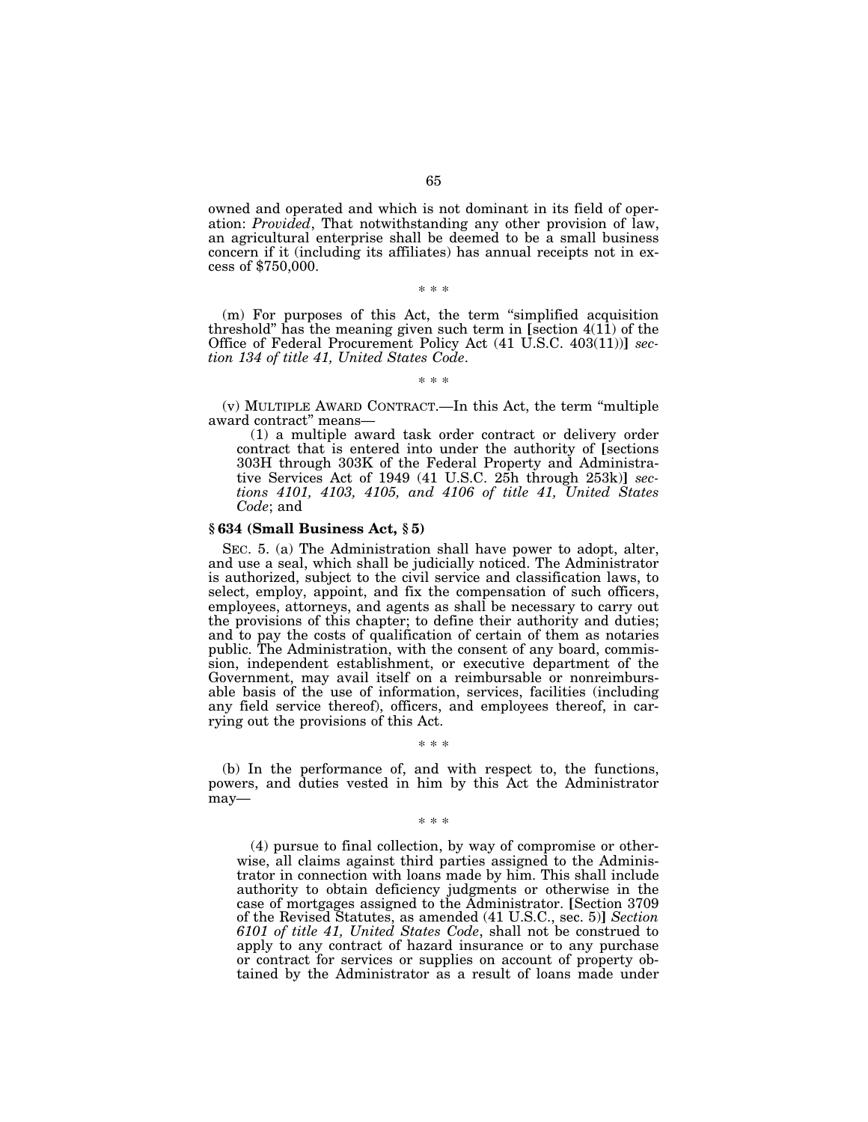owned and operated and which is not dominant in its field of operation: *Provided*, That notwithstanding any other provision of law, an agricultural enterprise shall be deemed to be a small business concern if it (including its affiliates) has annual receipts not in excess of \$750,000.

\* \* \*

(m) For purposes of this Act, the term ''simplified acquisition threshold'' has the meaning given such term in **[**section 4(11) of the Office of Federal Procurement Policy Act (41 U.S.C. 403(11))**]** *section 134 of title 41, United States Code*.

\* \* \*

(v) MULTIPLE AWARD CONTRACT.—In this Act, the term ''multiple award contract'' means—

(1) a multiple award task order contract or delivery order contract that is entered into under the authority of **[**sections 303H through 303K of the Federal Property and Administrative Services Act of 1949 (41 U.S.C. 25h through 253k)**]** *sections 4101, 4103, 4105, and 4106 of title 41, United States Code*; and

## **§ 634 (Small Business Act, § 5)**

SEC. 5. (a) The Administration shall have power to adopt, alter, and use a seal, which shall be judicially noticed. The Administrator is authorized, subject to the civil service and classification laws, to select, employ, appoint, and fix the compensation of such officers, employees, attorneys, and agents as shall be necessary to carry out the provisions of this chapter; to define their authority and duties; and to pay the costs of qualification of certain of them as notaries public. The Administration, with the consent of any board, commission, independent establishment, or executive department of the Government, may avail itself on a reimbursable or nonreimbursable basis of the use of information, services, facilities (including any field service thereof), officers, and employees thereof, in carrying out the provisions of this Act.

#### \* \* \*

(b) In the performance of, and with respect to, the functions, powers, and duties vested in him by this Act the Administrator may—

\* \* \*

(4) pursue to final collection, by way of compromise or otherwise, all claims against third parties assigned to the Administrator in connection with loans made by him. This shall include authority to obtain deficiency judgments or otherwise in the case of mortgages assigned to the Administrator. **[**Section 3709 of the Revised Statutes, as amended (41 U.S.C., sec. 5)**]** *Section 6101 of title 41, United States Code*, shall not be construed to apply to any contract of hazard insurance or to any purchase or contract for services or supplies on account of property obtained by the Administrator as a result of loans made under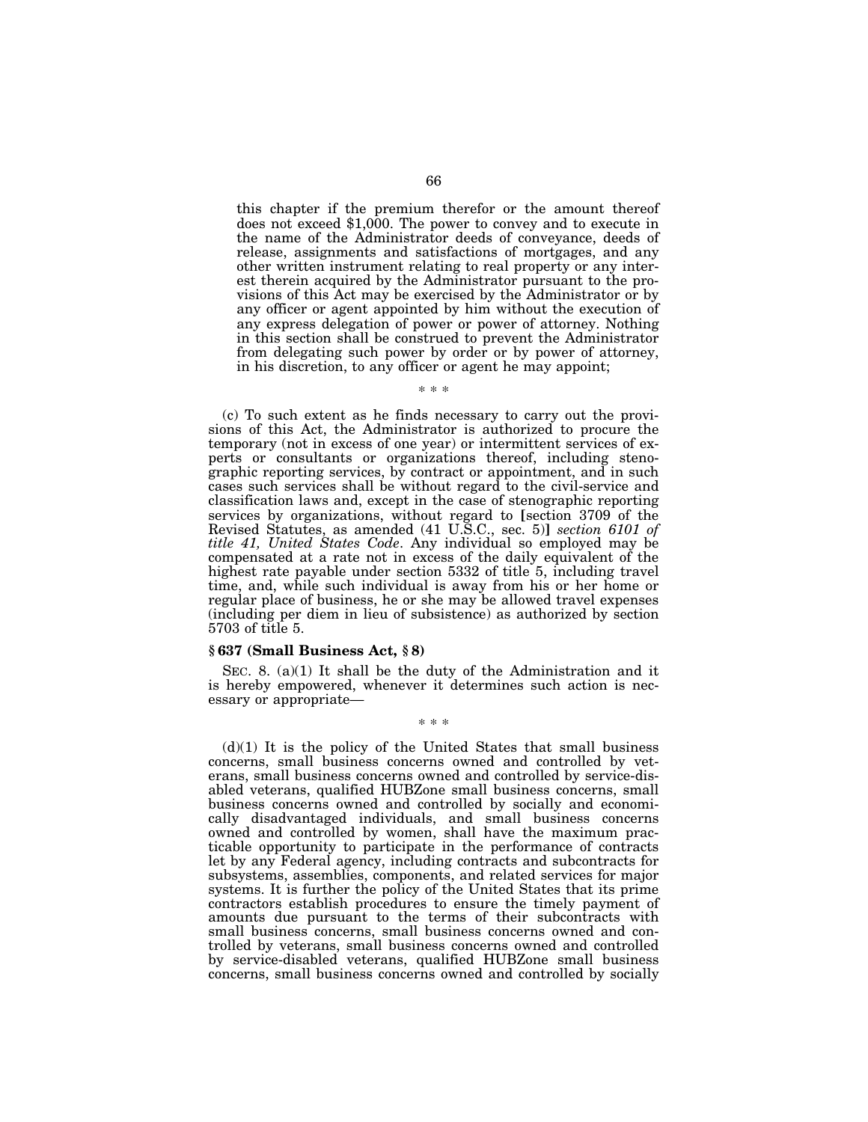this chapter if the premium therefor or the amount thereof does not exceed \$1,000. The power to convey and to execute in the name of the Administrator deeds of conveyance, deeds of release, assignments and satisfactions of mortgages, and any other written instrument relating to real property or any interest therein acquired by the Administrator pursuant to the provisions of this Act may be exercised by the Administrator or by any officer or agent appointed by him without the execution of any express delegation of power or power of attorney. Nothing in this section shall be construed to prevent the Administrator from delegating such power by order or by power of attorney, in his discretion, to any officer or agent he may appoint;

# \* \* \*

(c) To such extent as he finds necessary to carry out the provisions of this Act, the Administrator is authorized to procure the temporary (not in excess of one year) or intermittent services of experts or consultants or organizations thereof, including stenographic reporting services, by contract or appointment, and in such cases such services shall be without regard to the civil-service and classification laws and, except in the case of stenographic reporting services by organizations, without regard to **[**section 3709 of the Revised Statutes, as amended (41 U.S.C., sec. 5)**]** *section 6101 of title 41, United States Code*. Any individual so employed may be compensated at a rate not in excess of the daily equivalent of the highest rate payable under section 5332 of title 5, including travel time, and, while such individual is away from his or her home or regular place of business, he or she may be allowed travel expenses (including per diem in lieu of subsistence) as authorized by section 5703 of title 5.

#### **§ 637 (Small Business Act, § 8)**

SEC. 8. (a)(1) It shall be the duty of the Administration and it is hereby empowered, whenever it determines such action is necessary or appropriate—

#### \* \* \*

 $(d)(1)$  It is the policy of the United States that small business concerns, small business concerns owned and controlled by veterans, small business concerns owned and controlled by service-disabled veterans, qualified HUBZone small business concerns, small business concerns owned and controlled by socially and economically disadvantaged individuals, and small business concerns owned and controlled by women, shall have the maximum practicable opportunity to participate in the performance of contracts let by any Federal agency, including contracts and subcontracts for subsystems, assemblies, components, and related services for major systems. It is further the policy of the United States that its prime contractors establish procedures to ensure the timely payment of amounts due pursuant to the terms of their subcontracts with small business concerns, small business concerns owned and controlled by veterans, small business concerns owned and controlled by service-disabled veterans, qualified HUBZone small business concerns, small business concerns owned and controlled by socially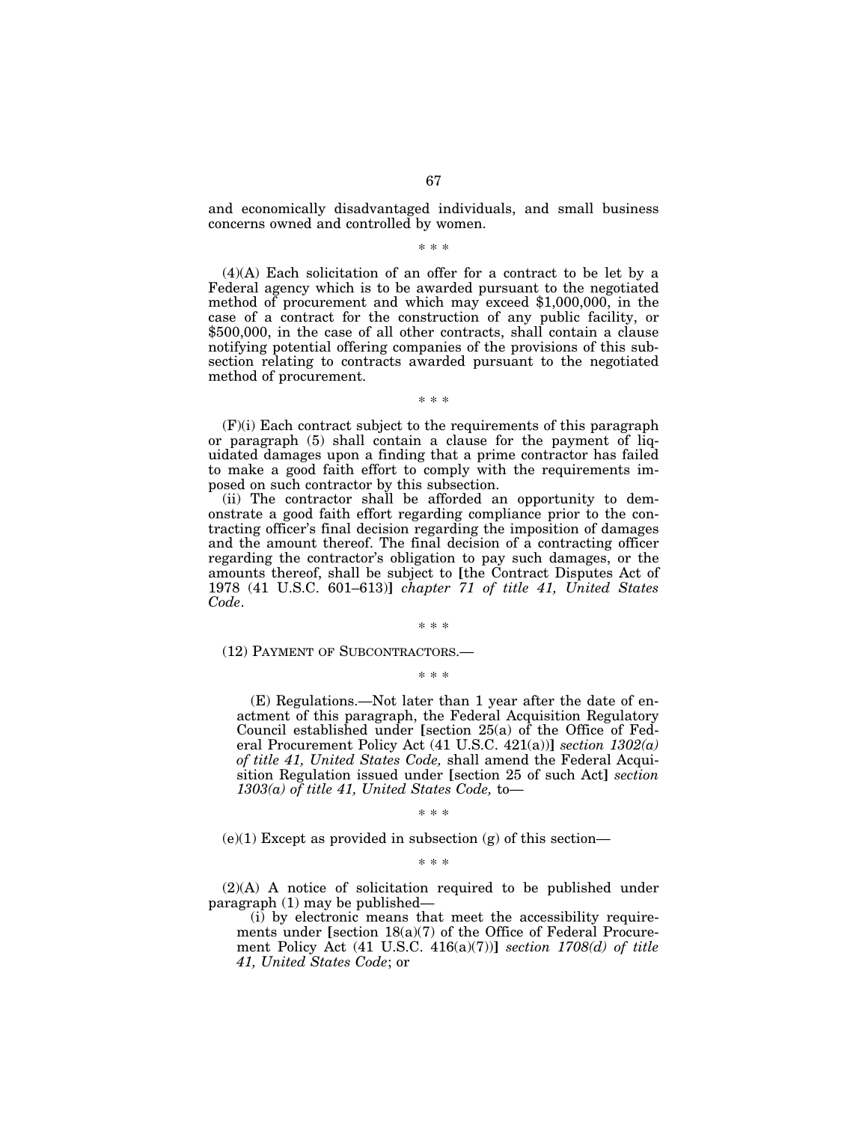and economically disadvantaged individuals, and small business concerns owned and controlled by women.

## \* \* \*

(4)(A) Each solicitation of an offer for a contract to be let by a Federal agency which is to be awarded pursuant to the negotiated method of procurement and which may exceed \$1,000,000, in the case of a contract for the construction of any public facility, or \$500,000, in the case of all other contracts, shall contain a clause notifying potential offering companies of the provisions of this subsection relating to contracts awarded pursuant to the negotiated method of procurement.

\* \* \*

(F)(i) Each contract subject to the requirements of this paragraph or paragraph (5) shall contain a clause for the payment of liquidated damages upon a finding that a prime contractor has failed to make a good faith effort to comply with the requirements imposed on such contractor by this subsection.

(ii) The contractor shall be afforded an opportunity to demonstrate a good faith effort regarding compliance prior to the contracting officer's final decision regarding the imposition of damages and the amount thereof. The final decision of a contracting officer regarding the contractor's obligation to pay such damages, or the amounts thereof, shall be subject to **[**the Contract Disputes Act of 1978 (41 U.S.C. 601–613)**]** *chapter 71 of title 41, United States Code*.

\* \* \*

(12) PAYMENT OF SUBCONTRACTORS.—

\* \* \*

(E) Regulations.—Not later than 1 year after the date of enactment of this paragraph, the Federal Acquisition Regulatory Council established under **[**section 25(a) of the Office of Federal Procurement Policy Act (41 U.S.C. 421(a))**]** *section 1302(a) of title 41, United States Code,* shall amend the Federal Acquisition Regulation issued under **[**section 25 of such Act**]** *section 1303(a) of title 41, United States Code,* to—

#### \* \* \*

(e)(1) Except as provided in subsection (g) of this section—

\* \* \*

(2)(A) A notice of solicitation required to be published under paragraph (1) may be published—

(i) by electronic means that meet the accessibility requirements under **[**section 18(a)(7) of the Office of Federal Procurement Policy Act (41 U.S.C. 416(a)(7))**]** *section 1708(d) of title 41, United States Code*; or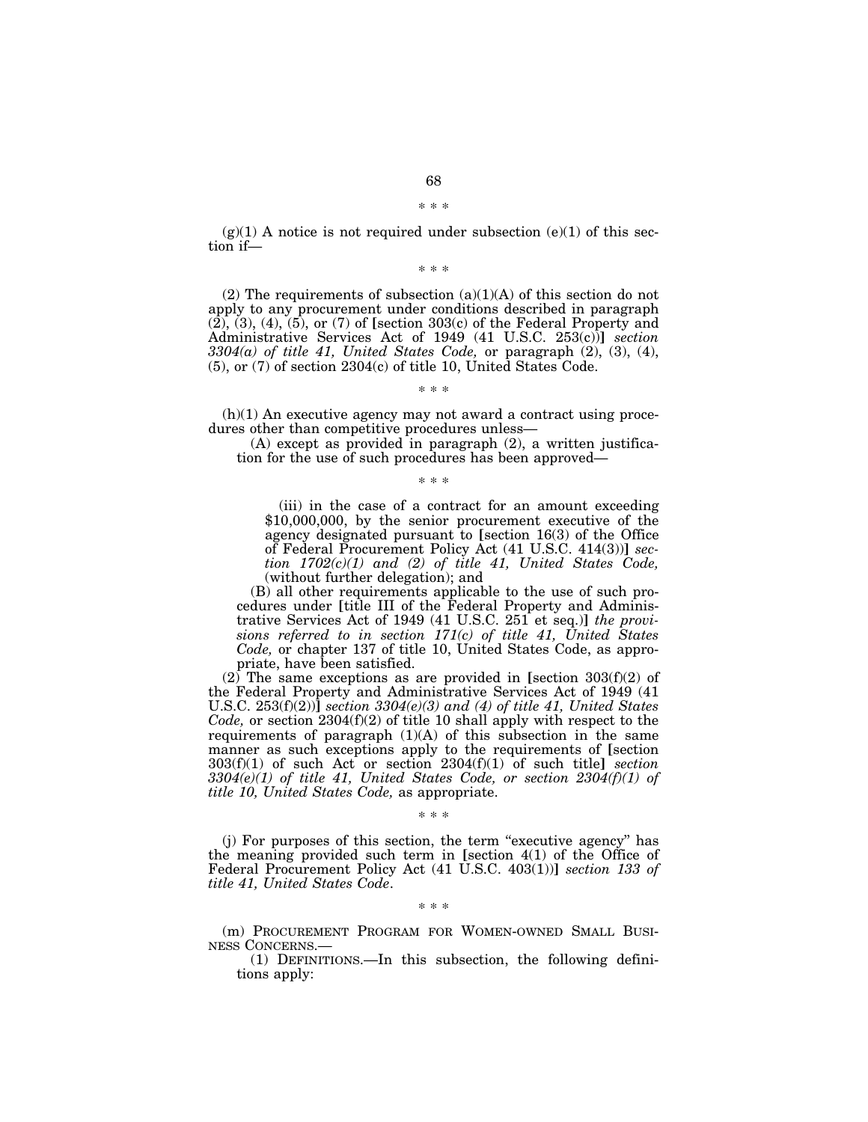$(g)(1)$  A notice is not required under subsection  $(e)(1)$  of this section if—

\* \* \*

(2) The requirements of subsection  $(a)(1)(A)$  of this section do not apply to any procurement under conditions described in paragraph (2), (3), (4), (5), or (7) of **[**section 303(c) of the Federal Property and Administrative Services Act of 1949 (41 U.S.C. 253(c))**]** *section 3304(a) of title 41, United States Code,* or paragraph (2), (3), (4), (5), or (7) of section 2304(c) of title 10, United States Code.

#### \* \* \*

 $(h)(1)$  An executive agency may not award a contract using procedures other than competitive procedures unless—

(A) except as provided in paragraph (2), a written justification for the use of such procedures has been approved—

#### \* \* \*

(iii) in the case of a contract for an amount exceeding \$10,000,000, by the senior procurement executive of the agency designated pursuant to **[**section 16(3) of the Office of Federal Procurement Policy Act (41 U.S.C. 414(3))**]** *section 1702(c)(1) and (2) of title 41, United States Code,*  (without further delegation); and

(B) all other requirements applicable to the use of such procedures under **[**title III of the Federal Property and Administrative Services Act of 1949 (41 U.S.C. 251 et seq.)**]** *the provisions referred to in section 171(c) of title 41, United States Code,* or chapter 137 of title 10, United States Code, as appropriate, have been satisfied.

(2) The same exceptions as are provided in **[**section 303(f)(2) of the Federal Property and Administrative Services Act of 1949 (41 U.S.C. 253(f)(2))**]** *section 3304(e)(3) and (4) of title 41, United States Code,* or section 2304(f)(2) of title 10 shall apply with respect to the requirements of paragraph  $(1)(A)$  of this subsection in the same manner as such exceptions apply to the requirements of **[**section 303(f)(1) of such Act or section 2304(f)(1) of such title**]** *section 3304(e)(1) of title 41, United States Code, or section 2304(f)(1) of title 10, United States Code,* as appropriate.

#### \* \* \*

(j) For purposes of this section, the term "executive agency" has the meaning provided such term in **[**section 4(1) of the Office of Federal Procurement Policy Act (41 U.S.C. 403(1))**]** *section 133 of title 41, United States Code*.

\* \* \*

(m) PROCUREMENT PROGRAM FOR WOMEN-OWNED SMALL BUSI-NESS CONCERNS.—

(1) DEFINITIONS.—In this subsection, the following definitions apply: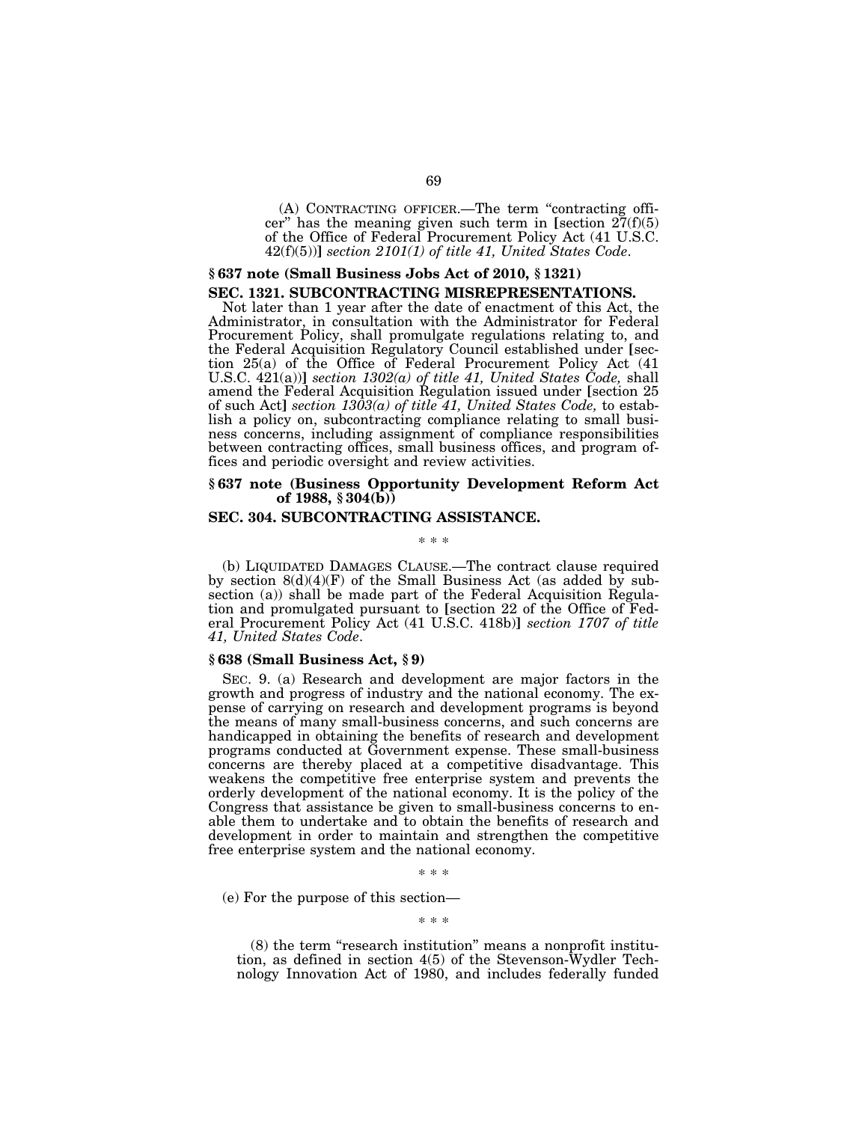(A) CONTRACTING OFFICER.—The term ''contracting officer'' has the meaning given such term in **[**section 27(f)(5) of the Office of Federal Procurement Policy Act (41 U.S.C. 42(f)(5))**]** *section 2101(1) of title 41, United States Code*.

# **§ 637 note (Small Business Jobs Act of 2010, § 1321)**

## **SEC. 1321. SUBCONTRACTING MISREPRESENTATIONS.**

Not later than 1 year after the date of enactment of this Act, the Administrator, in consultation with the Administrator for Federal Procurement Policy, shall promulgate regulations relating to, and the Federal Acquisition Regulatory Council established under **[**section 25(a) of the Office of Federal Procurement Policy Act (41 U.S.C. 421(a))**]** *section 1302(a) of title 41, United States Code,* shall amend the Federal Acquisition Regulation issued under **[**section 25 of such Act**]** *section 1303(a) of title 41, United States Code,* to establish a policy on, subcontracting compliance relating to small business concerns, including assignment of compliance responsibilities between contracting offices, small business offices, and program offices and periodic oversight and review activities.

# **§ 637 note (Business Opportunity Development Reform Act of 1988, § 304(b))**

# **SEC. 304. SUBCONTRACTING ASSISTANCE.**

\* \* \*

(b) LIQUIDATED DAMAGES CLAUSE.—The contract clause required by section  $8(d)(4)(F)$  of the Small Business Act (as added by subsection (a)) shall be made part of the Federal Acquisition Regulation and promulgated pursuant to **[**section 22 of the Office of Federal Procurement Policy Act (41 U.S.C. 418b)**]** *section 1707 of title 41, United States Code*.

#### **§ 638 (Small Business Act, § 9)**

SEC. 9. (a) Research and development are major factors in the growth and progress of industry and the national economy. The expense of carrying on research and development programs is beyond the means of many small-business concerns, and such concerns are handicapped in obtaining the benefits of research and development programs conducted at Government expense. These small-business concerns are thereby placed at a competitive disadvantage. This weakens the competitive free enterprise system and prevents the orderly development of the national economy. It is the policy of the Congress that assistance be given to small-business concerns to enable them to undertake and to obtain the benefits of research and development in order to maintain and strengthen the competitive free enterprise system and the national economy.

\* \* \*

(e) For the purpose of this section—

\* \* \*

 $(8)$  the term "research institution" means a nonprofit institution, as defined in section 4(5) of the Stevenson-Wydler Technology Innovation Act of 1980, and includes federally funded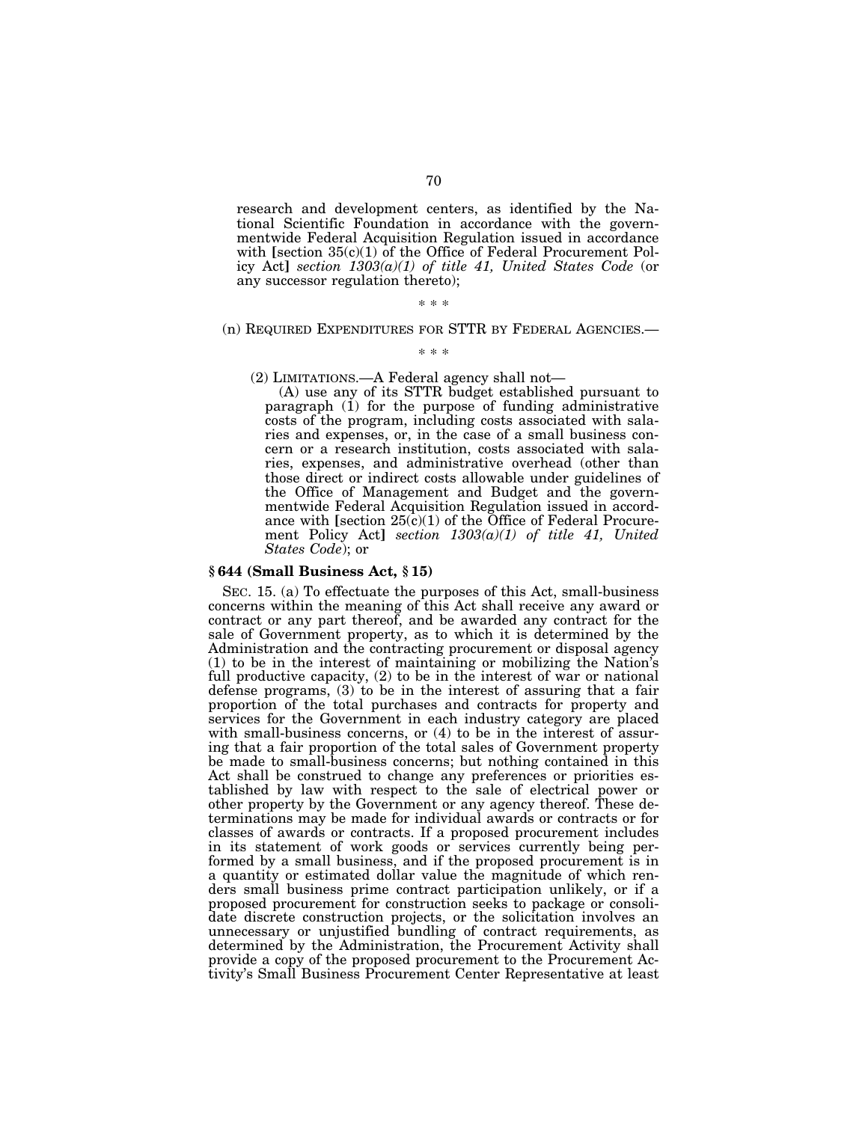research and development centers, as identified by the National Scientific Foundation in accordance with the governmentwide Federal Acquisition Regulation issued in accordance with [section 35(c)(1) of the Office of Federal Procurement Policy Act**]** *section 1303(a)(1) of title 41, United States Code* (or any successor regulation thereto);

\* \* \*

## (n) REQUIRED EXPENDITURES FOR STTR BY FEDERAL AGENCIES.—

\* \* \*

(2) LIMITATIONS.—A Federal agency shall not—

(A) use any of its STTR budget established pursuant to paragraph (1) for the purpose of funding administrative costs of the program, including costs associated with salaries and expenses, or, in the case of a small business concern or a research institution, costs associated with salaries, expenses, and administrative overhead (other than those direct or indirect costs allowable under guidelines of the Office of Management and Budget and the governmentwide Federal Acquisition Regulation issued in accordance with [section 25(c)(1) of the Office of Federal Procurement Policy Act**]** *section 1303(a)(1) of title 41, United States Code*); or

# **§ 644 (Small Business Act, § 15)**

SEC. 15. (a) To effectuate the purposes of this Act, small-business concerns within the meaning of this Act shall receive any award or contract or any part thereof, and be awarded any contract for the sale of Government property, as to which it is determined by the Administration and the contracting procurement or disposal agency (1) to be in the interest of maintaining or mobilizing the Nation's full productive capacity, (2) to be in the interest of war or national defense programs, (3) to be in the interest of assuring that a fair proportion of the total purchases and contracts for property and services for the Government in each industry category are placed with small-business concerns, or  $(4)$  to be in the interest of assuring that a fair proportion of the total sales of Government property be made to small-business concerns; but nothing contained in this Act shall be construed to change any preferences or priorities established by law with respect to the sale of electrical power or other property by the Government or any agency thereof. These determinations may be made for individual awards or contracts or for classes of awards or contracts. If a proposed procurement includes in its statement of work goods or services currently being performed by a small business, and if the proposed procurement is in a quantity or estimated dollar value the magnitude of which renders small business prime contract participation unlikely, or if a proposed procurement for construction seeks to package or consolidate discrete construction projects, or the solicitation involves an unnecessary or unjustified bundling of contract requirements, as determined by the Administration, the Procurement Activity shall provide a copy of the proposed procurement to the Procurement Activity's Small Business Procurement Center Representative at least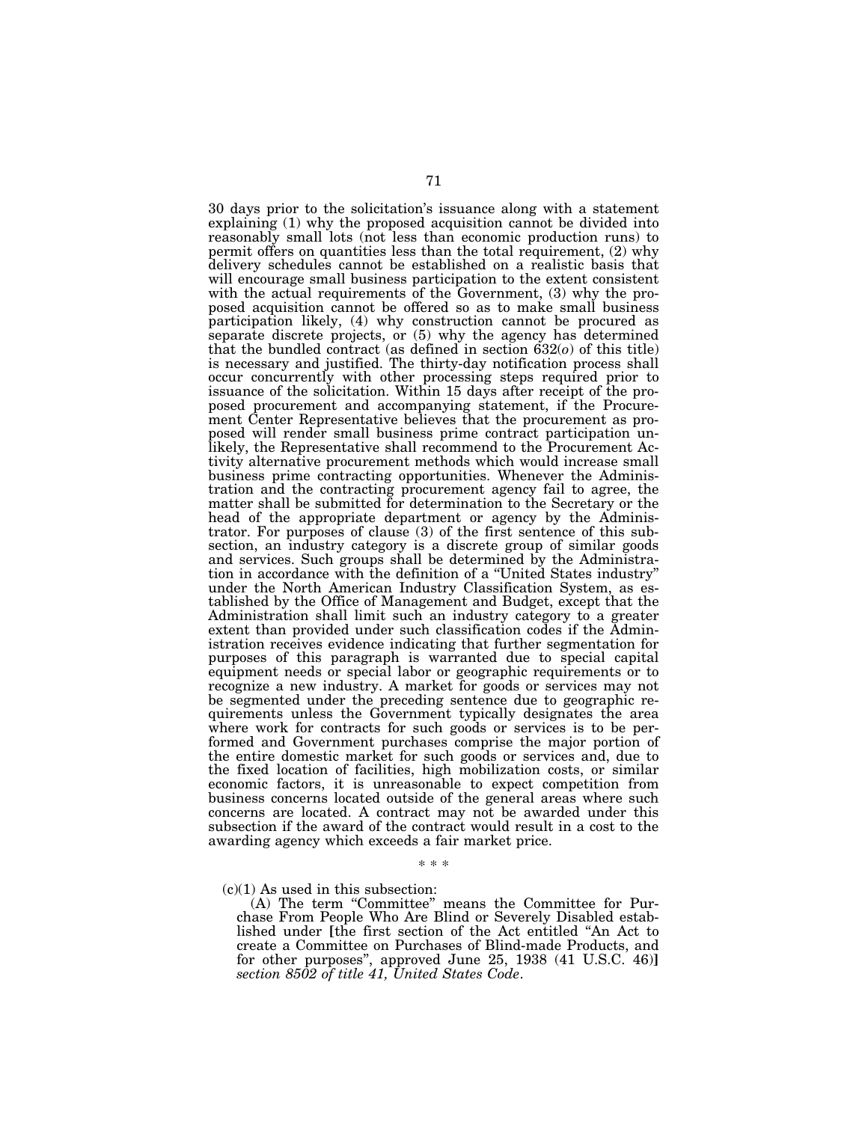30 days prior to the solicitation's issuance along with a statement explaining (1) why the proposed acquisition cannot be divided into reasonably small lots (not less than economic production runs) to permit offers on quantities less than the total requirement, (2) why delivery schedules cannot be established on a realistic basis that will encourage small business participation to the extent consistent with the actual requirements of the Government,  $(3)$  why the proposed acquisition cannot be offered so as to make small business participation likely, (4) why construction cannot be procured as separate discrete projects, or (5) why the agency has determined that the bundled contract (as defined in section 632(*o*) of this title) is necessary and justified. The thirty-day notification process shall occur concurrently with other processing steps required prior to issuance of the solicitation. Within 15 days after receipt of the proposed procurement and accompanying statement, if the Procurement Center Representative believes that the procurement as proposed will render small business prime contract participation unlikely, the Representative shall recommend to the Procurement Activity alternative procurement methods which would increase small business prime contracting opportunities. Whenever the Administration and the contracting procurement agency fail to agree, the matter shall be submitted for determination to the Secretary or the head of the appropriate department or agency by the Administrator. For purposes of clause (3) of the first sentence of this subsection, an industry category is a discrete group of similar goods and services. Such groups shall be determined by the Administration in accordance with the definition of a ''United States industry'' under the North American Industry Classification System, as established by the Office of Management and Budget, except that the Administration shall limit such an industry category to a greater extent than provided under such classification codes if the Administration receives evidence indicating that further segmentation for purposes of this paragraph is warranted due to special capital equipment needs or special labor or geographic requirements or to recognize a new industry. A market for goods or services may not be segmented under the preceding sentence due to geographic requirements unless the Government typically designates the area where work for contracts for such goods or services is to be performed and Government purchases comprise the major portion of the entire domestic market for such goods or services and, due to the fixed location of facilities, high mobilization costs, or similar economic factors, it is unreasonable to expect competition from business concerns located outside of the general areas where such concerns are located. A contract may not be awarded under this subsection if the award of the contract would result in a cost to the awarding agency which exceeds a fair market price.

 $(c)(1)$  As used in this subsection:

(A) The term ''Committee'' means the Committee for Purchase From People Who Are Blind or Severely Disabled established under **[**the first section of the Act entitled ''An Act to create a Committee on Purchases of Blind-made Products, and for other purposes'', approved June 25, 1938 (41 U.S.C. 46)**]**  *section 8502 of title 41, United States Code*.

\* \* \*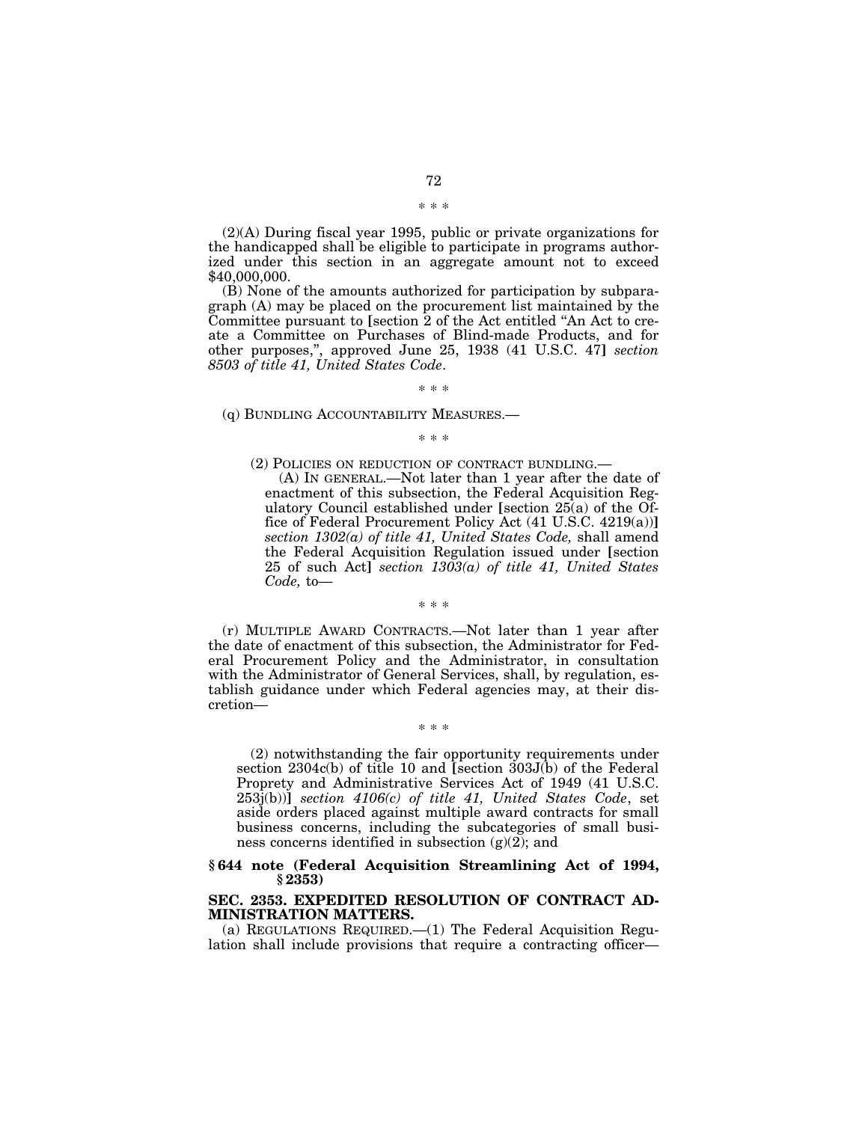(2)(A) During fiscal year 1995, public or private organizations for the handicapped shall be eligible to participate in programs authorized under this section in an aggregate amount not to exceed \$40,000,000.

(B) None of the amounts authorized for participation by subparagraph (A) may be placed on the procurement list maintained by the Committee pursuant to **[**section 2 of the Act entitled ''An Act to create a Committee on Purchases of Blind-made Products, and for other purposes,'', approved June 25, 1938 (41 U.S.C. 47**]** *section 8503 of title 41, United States Code*.

#### \* \* \*

# (q) BUNDLING ACCOUNTABILITY MEASURES.—

#### \* \* \*

(2) POLICIES ON REDUCTION OF CONTRACT BUNDLING.—

(A) IN GENERAL.—Not later than 1 year after the date of enactment of this subsection, the Federal Acquisition Regulatory Council established under **[**section 25(a) of the Office of Federal Procurement Policy Act (41 U.S.C. 4219(a))**]**  *section 1302(a) of title 41, United States Code,* shall amend the Federal Acquisition Regulation issued under **[**section 25 of such Act**]** *section 1303(a) of title 41, United States Code,* to—

\* \* \*

(r) MULTIPLE AWARD CONTRACTS.—Not later than 1 year after the date of enactment of this subsection, the Administrator for Federal Procurement Policy and the Administrator, in consultation with the Administrator of General Services, shall, by regulation, establish guidance under which Federal agencies may, at their discretion—

\* \* \*

(2) notwithstanding the fair opportunity requirements under section 2304c(b) of title 10 and **[**section 303J(b) of the Federal Proprety and Administrative Services Act of 1949 (41 U.S.C. 253j(b))**]** *section 4106(c) of title 41, United States Code*, set aside orders placed against multiple award contracts for small business concerns, including the subcategories of small business concerns identified in subsection  $(g)(2)$ ; and

# **§ 644 note (Federal Acquisition Streamlining Act of 1994, § 2353)**

# **SEC. 2353. EXPEDITED RESOLUTION OF CONTRACT AD-MINISTRATION MATTERS.**

(a) REGULATIONS REQUIRED.—(1) The Federal Acquisition Regulation shall include provisions that require a contracting officer—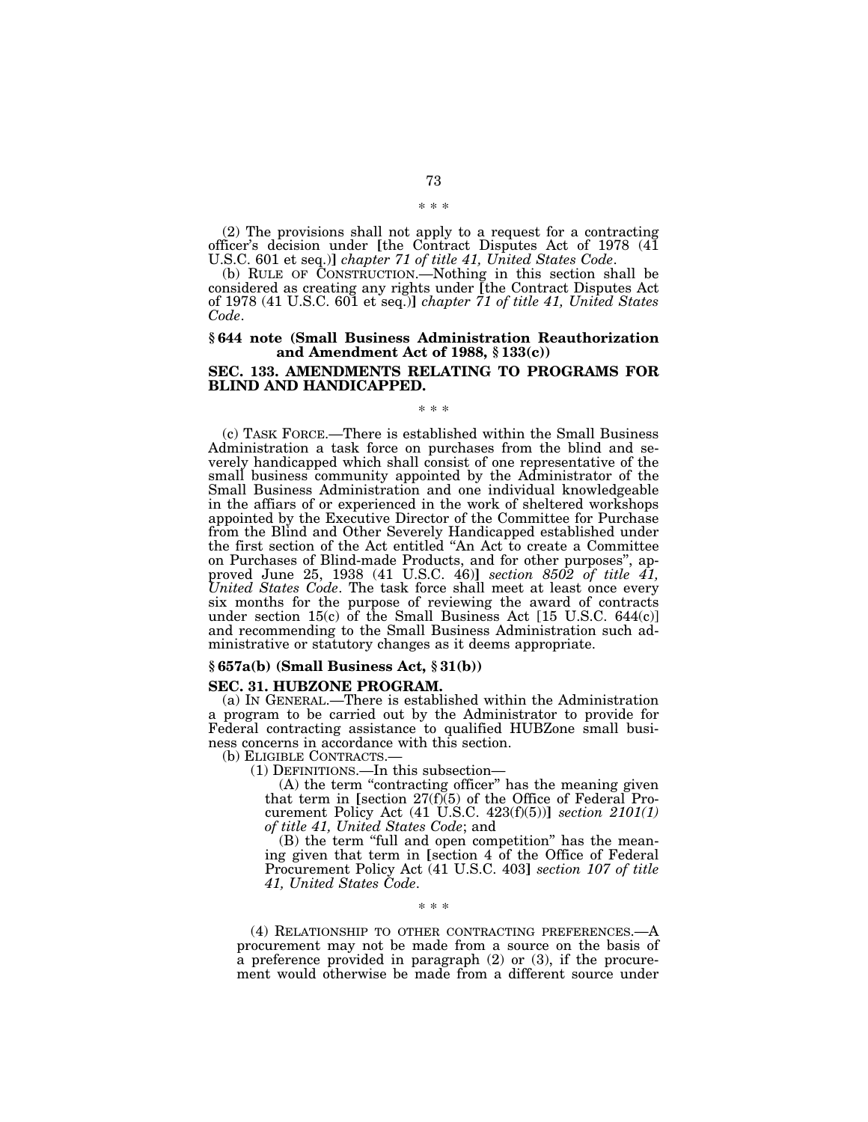(2) The provisions shall not apply to a request for a contracting officer's decision under [the Contract Disputes Act of 1978 (41 U.S.C. 601 et seq.)] *chapter 71 of title 41, United States Code*.

(b) RULE OF CONSTRUCTION.—Nothing in this section shall be considered as creating any rights under **[**the Contract Disputes Act of 1978 (41 U.S.C. 601 et seq.)**]** *chapter 71 of title 41, United States Code*.

#### **§ 644 note (Small Business Administration Reauthorization and Amendment Act of 1988, § 133(c))**

## **SEC. 133. AMENDMENTS RELATING TO PROGRAMS FOR BLIND AND HANDICAPPED.**

#### \* \* \*

(c) TASK FORCE.—There is established within the Small Business Administration a task force on purchases from the blind and severely handicapped which shall consist of one representative of the small business community appointed by the Administrator of the Small Business Administration and one individual knowledgeable in the affiars of or experienced in the work of sheltered workshops appointed by the Executive Director of the Committee for Purchase from the Blind and Other Severely Handicapped established under the first section of the Act entitled ''An Act to create a Committee on Purchases of Blind-made Products, and for other purposes'', approved June 25, 1938 (41 U.S.C. 46)**]** *section 8502 of title 41, United States Code*. The task force shall meet at least once every six months for the purpose of reviewing the award of contracts under section 15(c) of the Small Business Act [15 U.S.C. 644(c)] and recommending to the Small Business Administration such administrative or statutory changes as it deems appropriate.

#### **§ 657a(b) (Small Business Act, § 31(b))**

#### **SEC. 31. HUBZONE PROGRAM.**

(a) IN GENERAL.—There is established within the Administration a program to be carried out by the Administrator to provide for Federal contracting assistance to qualified HUBZone small business concerns in accordance with this section.<br>(b) ELIGIBLE CONTRACTS.—

(b) ELIGIBLE CONTRACTS.— (1) DEFINITIONS.—In this subsection—

(A) the term ''contracting officer'' has the meaning given that term in **[**section 27(f)(5) of the Office of Federal Procurement Policy Act (41 U.S.C. 423(f)(5))**]** *section 2101(1) of title 41, United States Code*; and

(B) the term "full and open competition" has the meaning given that term in **[**section 4 of the Office of Federal Procurement Policy Act (41 U.S.C. 403**]** *section 107 of title 41, United States Code*.

\* \* \*

(4) RELATIONSHIP TO OTHER CONTRACTING PREFERENCES.—A procurement may not be made from a source on the basis of a preference provided in paragraph (2) or (3), if the procurement would otherwise be made from a different source under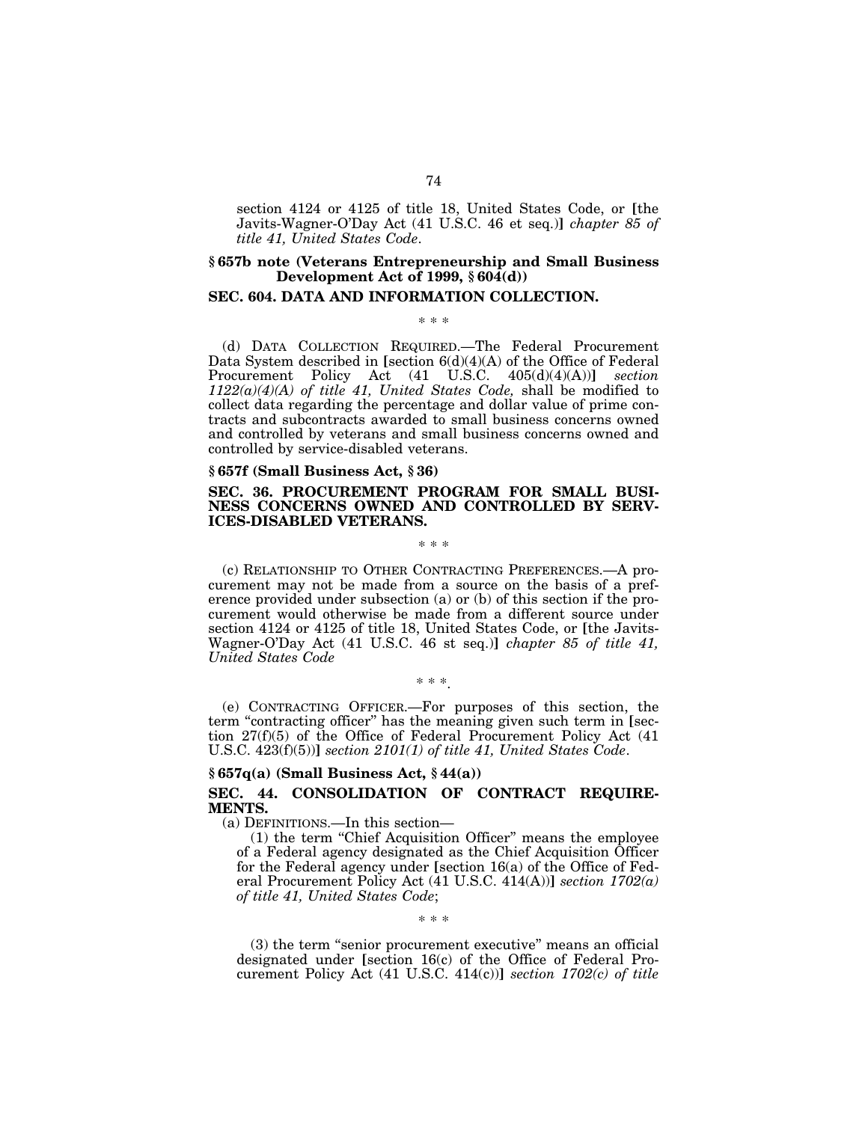section 4124 or 4125 of title 18, United States Code, or **[**the Javits-Wagner-O'Day Act (41 U.S.C. 46 et seq.)**]** *chapter 85 of title 41, United States Code*.

#### **§ 657b note (Veterans Entrepreneurship and Small Business Development Act of 1999, § 604(d))**

## **SEC. 604. DATA AND INFORMATION COLLECTION.**

#### \* \* \*

(d) DATA COLLECTION REQUIRED.—The Federal Procurement Data System described in **[**section 6(d)(4)(A) of the Office of Federal Procurement Policy Act (41 U.S.C. 405(d)(4)(A))**]** *section 1122(a)(4)(A) of title 41, United States Code,* shall be modified to collect data regarding the percentage and dollar value of prime contracts and subcontracts awarded to small business concerns owned and controlled by veterans and small business concerns owned and controlled by service-disabled veterans.

## **§ 657f (Small Business Act, § 36)**

## **SEC. 36. PROCUREMENT PROGRAM FOR SMALL BUSI-NESS CONCERNS OWNED AND CONTROLLED BY SERV-ICES-DISABLED VETERANS.**

\* \* \*

(c) RELATIONSHIP TO OTHER CONTRACTING PREFERENCES.—A procurement may not be made from a source on the basis of a preference provided under subsection (a) or (b) of this section if the procurement would otherwise be made from a different source under section 4124 or 4125 of title 18, United States Code, or **[**the Javits-Wagner-O'Day Act (41 U.S.C. 46 st seq.)**]** *chapter 85 of title 41, United States Code* 

\* \* \*.

(e) CONTRACTING OFFICER.—For purposes of this section, the term ''contracting officer'' has the meaning given such term in **[**section  $27(f)(5)$  of the Office of Federal Procurement Policy Act  $(41)$ U.S.C. 423(f)(5))**]** *section 2101(1) of title 41, United States Code*.

#### **§ 657q(a) (Small Business Act, § 44(a))**

## **SEC. 44. CONSOLIDATION OF CONTRACT REQUIRE-MENTS.**

(a) DEFINITIONS.—In this section—

(1) the term "Chief Acquisition Officer" means the employee of a Federal agency designated as the Chief Acquisition Officer for the Federal agency under **[**section 16(a) of the Office of Federal Procurement Policy Act (41 U.S.C. 414(A))**]** *section 1702(a) of title 41, United States Code*;

\* \* \*

(3) the term ''senior procurement executive'' means an official designated under **[**section 16(c) of the Office of Federal Procurement Policy Act (41 U.S.C. 414(c))**]** *section 1702(c) of title*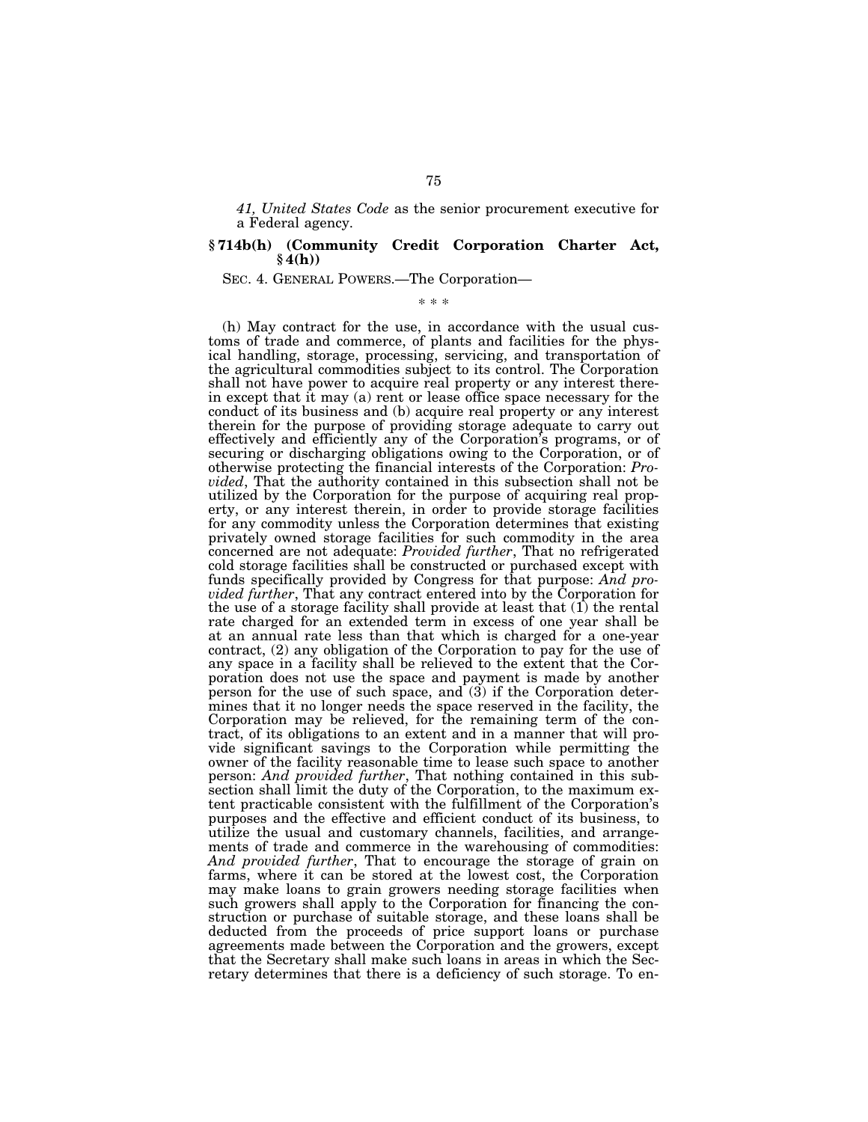*41, United States Code* as the senior procurement executive for a Federal agency.

#### **§ 714b(h) (Community Credit Corporation Charter Act, § 4(h))**

SEC. 4. GENERAL POWERS.—The Corporation—

\* \* \*

(h) May contract for the use, in accordance with the usual customs of trade and commerce, of plants and facilities for the physical handling, storage, processing, servicing, and transportation of the agricultural commodities subject to its control. The Corporation shall not have power to acquire real property or any interest therein except that it may (a) rent or lease office space necessary for the conduct of its business and (b) acquire real property or any interest therein for the purpose of providing storage adequate to carry out effectively and efficiently any of the Corporation's programs, or of securing or discharging obligations owing to the Corporation, or of otherwise protecting the financial interests of the Corporation: *Provided*, That the authority contained in this subsection shall not be utilized by the Corporation for the purpose of acquiring real property, or any interest therein, in order to provide storage facilities for any commodity unless the Corporation determines that existing privately owned storage facilities for such commodity in the area concerned are not adequate: *Provided further*, That no refrigerated cold storage facilities shall be constructed or purchased except with funds specifically provided by Congress for that purpose: *And provided further*, That any contract entered into by the Corporation for the use of a storage facility shall provide at least that (1) the rental rate charged for an extended term in excess of one year shall be at an annual rate less than that which is charged for a one-year contract, (2) any obligation of the Corporation to pay for the use of any space in a facility shall be relieved to the extent that the Corporation does not use the space and payment is made by another person for the use of such space, and  $(3)$  if the Corporation determines that it no longer needs the space reserved in the facility, the Corporation may be relieved, for the remaining term of the contract, of its obligations to an extent and in a manner that will provide significant savings to the Corporation while permitting the owner of the facility reasonable time to lease such space to another person: *And provided further*, That nothing contained in this subsection shall limit the duty of the Corporation, to the maximum extent practicable consistent with the fulfillment of the Corporation's purposes and the effective and efficient conduct of its business, to utilize the usual and customary channels, facilities, and arrangements of trade and commerce in the warehousing of commodities: *And provided further*, That to encourage the storage of grain on farms, where it can be stored at the lowest cost, the Corporation may make loans to grain growers needing storage facilities when such growers shall apply to the Corporation for financing the construction or purchase of suitable storage, and these loans shall be deducted from the proceeds of price support loans or purchase agreements made between the Corporation and the growers, except that the Secretary shall make such loans in areas in which the Secretary determines that there is a deficiency of such storage. To en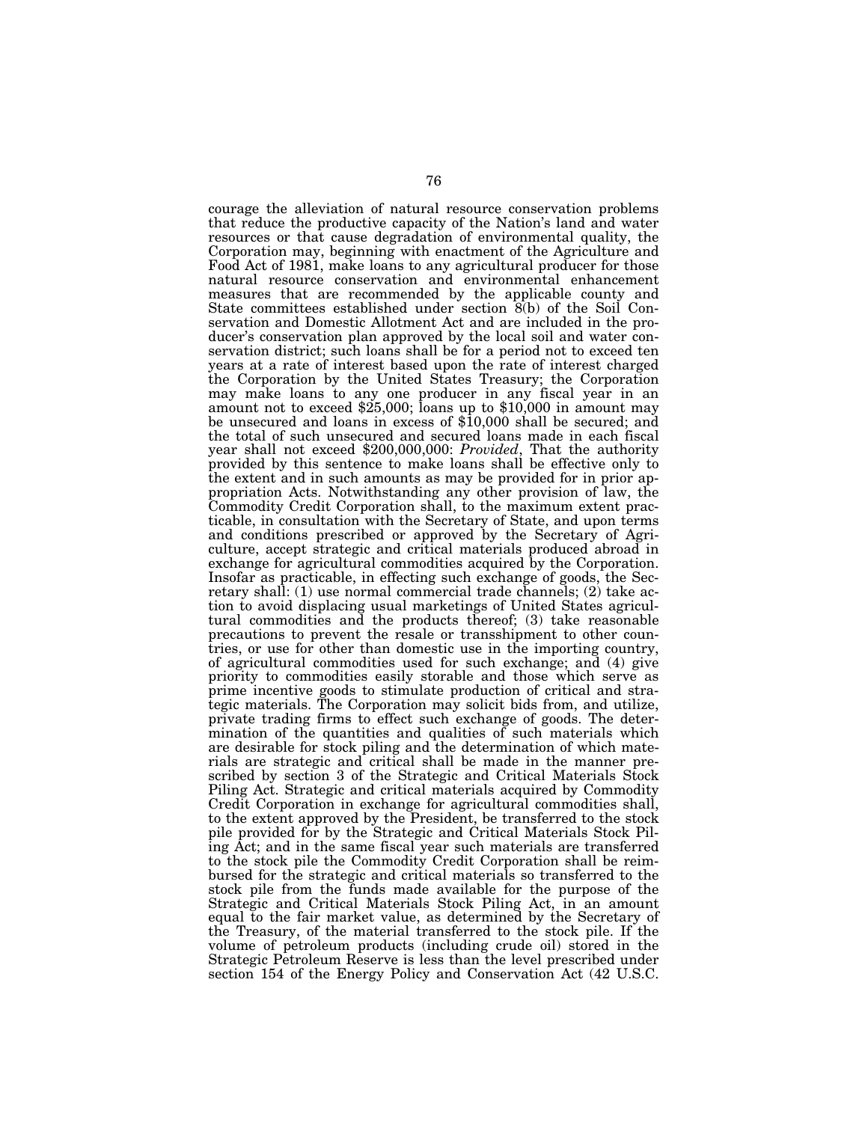courage the alleviation of natural resource conservation problems that reduce the productive capacity of the Nation's land and water resources or that cause degradation of environmental quality, the Corporation may, beginning with enactment of the Agriculture and Food Act of 1981, make loans to any agricultural producer for those natural resource conservation and environmental enhancement measures that are recommended by the applicable county and State committees established under section 8(b) of the Soil Conservation and Domestic Allotment Act and are included in the producer's conservation plan approved by the local soil and water conservation district; such loans shall be for a period not to exceed ten years at a rate of interest based upon the rate of interest charged the Corporation by the United States Treasury; the Corporation may make loans to any one producer in any fiscal year in an amount not to exceed \$25,000; loans up to \$10,000 in amount may be unsecured and loans in excess of \$10,000 shall be secured; and the total of such unsecured and secured loans made in each fiscal year shall not exceed \$200,000,000: *Provided*, That the authority provided by this sentence to make loans shall be effective only to the extent and in such amounts as may be provided for in prior appropriation Acts. Notwithstanding any other provision of law, the Commodity Credit Corporation shall, to the maximum extent practicable, in consultation with the Secretary of State, and upon terms and conditions prescribed or approved by the Secretary of Agriculture, accept strategic and critical materials produced abroad in exchange for agricultural commodities acquired by the Corporation. Insofar as practicable, in effecting such exchange of goods, the Secretary shall: (1) use normal commercial trade channels; (2) take action to avoid displacing usual marketings of United States agricultural commodities and the products thereof; (3) take reasonable precautions to prevent the resale or transshipment to other countries, or use for other than domestic use in the importing country, of agricultural commodities used for such exchange; and (4) give priority to commodities easily storable and those which serve as prime incentive goods to stimulate production of critical and strategic materials. The Corporation may solicit bids from, and utilize, private trading firms to effect such exchange of goods. The determination of the quantities and qualities of such materials which are desirable for stock piling and the determination of which materials are strategic and critical shall be made in the manner prescribed by section 3 of the Strategic and Critical Materials Stock Piling Act. Strategic and critical materials acquired by Commodity Credit Corporation in exchange for agricultural commodities shall, to the extent approved by the President, be transferred to the stock pile provided for by the Strategic and Critical Materials Stock Piling Act; and in the same fiscal year such materials are transferred to the stock pile the Commodity Credit Corporation shall be reimbursed for the strategic and critical materials so transferred to the stock pile from the funds made available for the purpose of the Strategic and Critical Materials Stock Piling Act, in an amount equal to the fair market value, as determined by the Secretary of the Treasury, of the material transferred to the stock pile. If the volume of petroleum products (including crude oil) stored in the Strategic Petroleum Reserve is less than the level prescribed under section 154 of the Energy Policy and Conservation Act (42 U.S.C.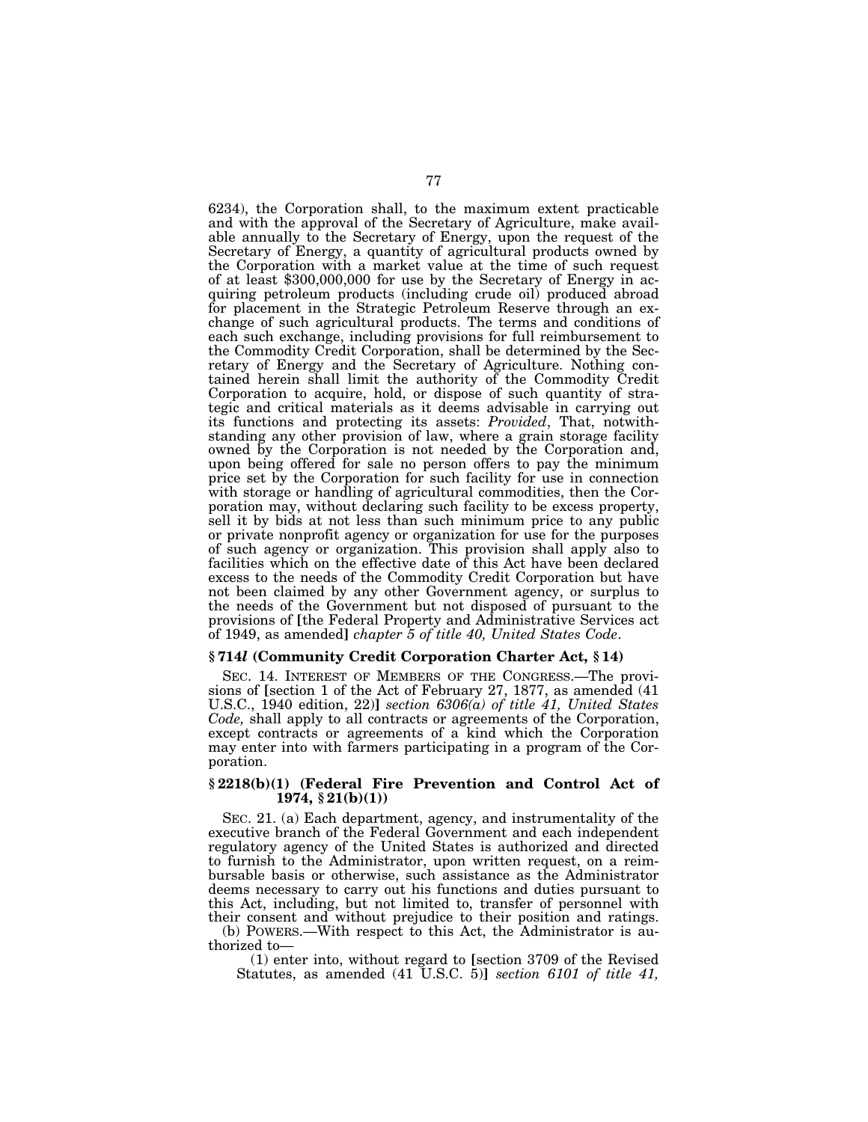6234), the Corporation shall, to the maximum extent practicable and with the approval of the Secretary of Agriculture, make available annually to the Secretary of Energy, upon the request of the Secretary of Energy, a quantity of agricultural products owned by the Corporation with a market value at the time of such request of at least \$300,000,000 for use by the Secretary of Energy in acquiring petroleum products (including crude oil) produced abroad for placement in the Strategic Petroleum Reserve through an exchange of such agricultural products. The terms and conditions of each such exchange, including provisions for full reimbursement to the Commodity Credit Corporation, shall be determined by the Secretary of Energy and the Secretary of Agriculture. Nothing contained herein shall limit the authority of the Commodity Credit Corporation to acquire, hold, or dispose of such quantity of strategic and critical materials as it deems advisable in carrying out its functions and protecting its assets: *Provided*, That, notwithstanding any other provision of law, where a grain storage facility owned by the Corporation is not needed by the Corporation and, upon being offered for sale no person offers to pay the minimum price set by the Corporation for such facility for use in connection with storage or handling of agricultural commodities, then the Corporation may, without declaring such facility to be excess property, sell it by bids at not less than such minimum price to any public or private nonprofit agency or organization for use for the purposes of such agency or organization. This provision shall apply also to facilities which on the effective date of this Act have been declared excess to the needs of the Commodity Credit Corporation but have not been claimed by any other Government agency, or surplus to the needs of the Government but not disposed of pursuant to the provisions of **[**the Federal Property and Administrative Services act of 1949, as amended**]** *chapter 5 of title 40, United States Code*.

#### **§ 714***l* **(Community Credit Corporation Charter Act, § 14)**

SEC. 14. INTEREST OF MEMBERS OF THE CONGRESS.—The provisions of **[**section 1 of the Act of February 27, 1877, as amended (41 U.S.C., 1940 edition, 22)**]** *section 6306(a) of title 41, United States Code,* shall apply to all contracts or agreements of the Corporation, except contracts or agreements of a kind which the Corporation may enter into with farmers participating in a program of the Corporation.

#### **§ 2218(b)(1) (Federal Fire Prevention and Control Act of 1974, § 21(b)(1))**

SEC. 21. (a) Each department, agency, and instrumentality of the executive branch of the Federal Government and each independent regulatory agency of the United States is authorized and directed to furnish to the Administrator, upon written request, on a reimbursable basis or otherwise, such assistance as the Administrator deems necessary to carry out his functions and duties pursuant to this Act, including, but not limited to, transfer of personnel with their consent and without prejudice to their position and ratings.

(b) POWERS.—With respect to this Act, the Administrator is authorized to—

(1) enter into, without regard to **[**section 3709 of the Revised Statutes, as amended (41 U.S.C. 5)**]** *section 6101 of title 41,*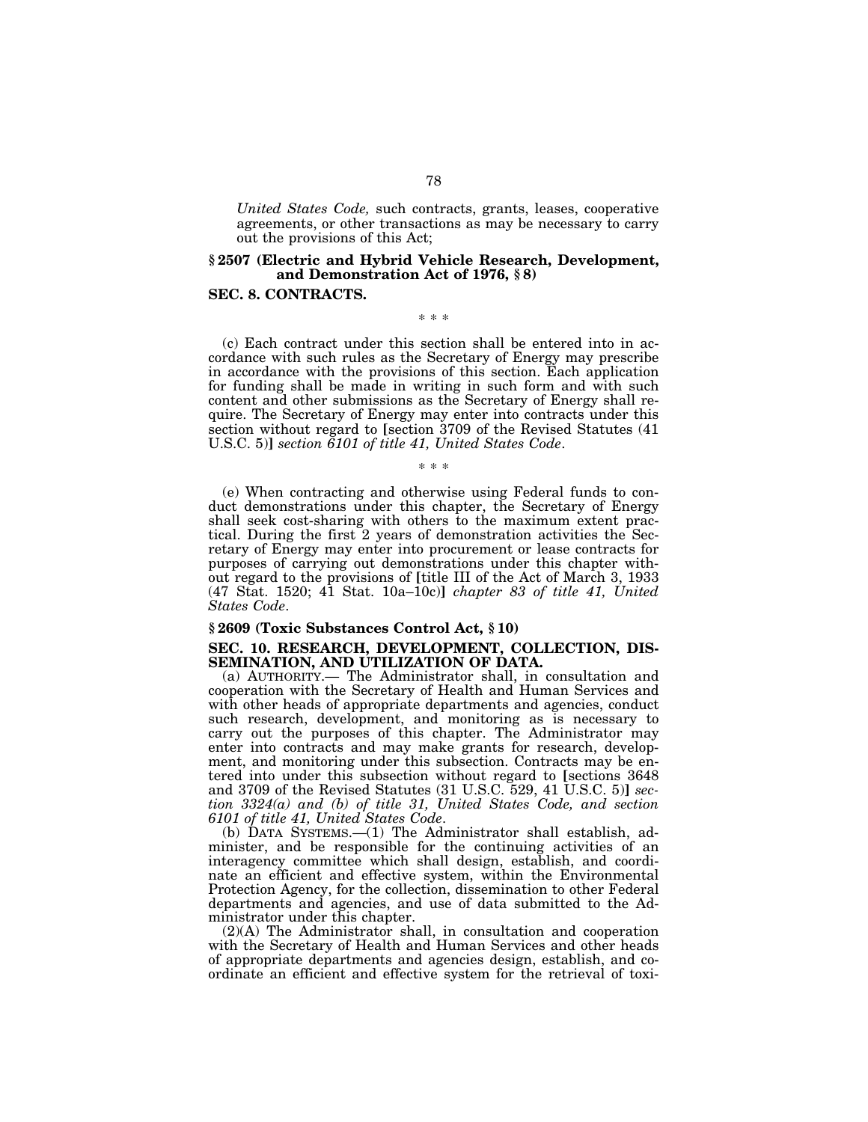*United States Code,* such contracts, grants, leases, cooperative agreements, or other transactions as may be necessary to carry out the provisions of this Act;

#### **§ 2507 (Electric and Hybrid Vehicle Research, Development, and Demonstration Act of 1976, § 8)**

#### **SEC. 8. CONTRACTS.**

\* \* \*

(c) Each contract under this section shall be entered into in accordance with such rules as the Secretary of Energy may prescribe in accordance with the provisions of this section. Each application for funding shall be made in writing in such form and with such content and other submissions as the Secretary of Energy shall require. The Secretary of Energy may enter into contracts under this section without regard to **[**section 3709 of the Revised Statutes (41 U.S.C. 5)**]** *section 6101 of title 41, United States Code*.

#### \* \* \*

(e) When contracting and otherwise using Federal funds to conduct demonstrations under this chapter, the Secretary of Energy shall seek cost-sharing with others to the maximum extent practical. During the first 2 years of demonstration activities the Secretary of Energy may enter into procurement or lease contracts for purposes of carrying out demonstrations under this chapter without regard to the provisions of **[**title III of the Act of March 3, 1933 (47 Stat. 1520; 41 Stat. 10a–10c)**]** *chapter 83 of title 41, United States Code*.

#### **§ 2609 (Toxic Substances Control Act, § 10)**

## **SEC. 10. RESEARCH, DEVELOPMENT, COLLECTION, DIS-SEMINATION, AND UTILIZATION OF DATA.**

(a) AUTHORITY.— The Administrator shall, in consultation and cooperation with the Secretary of Health and Human Services and with other heads of appropriate departments and agencies, conduct such research, development, and monitoring as is necessary to carry out the purposes of this chapter. The Administrator may enter into contracts and may make grants for research, development, and monitoring under this subsection. Contracts may be entered into under this subsection without regard to **[**sections 3648 and 3709 of the Revised Statutes (31 U.S.C. 529, 41 U.S.C. 5)**]** *section 3324(a) and (b) of title 31, United States Code, and section 6101 of title 41, United States Code*.

(b) DATA SYSTEMS.—(1) The Administrator shall establish, administer, and be responsible for the continuing activities of an interagency committee which shall design, establish, and coordinate an efficient and effective system, within the Environmental Protection Agency, for the collection, dissemination to other Federal departments and agencies, and use of data submitted to the Administrator under this chapter.

(2)(A) The Administrator shall, in consultation and cooperation with the Secretary of Health and Human Services and other heads of appropriate departments and agencies design, establish, and coordinate an efficient and effective system for the retrieval of toxi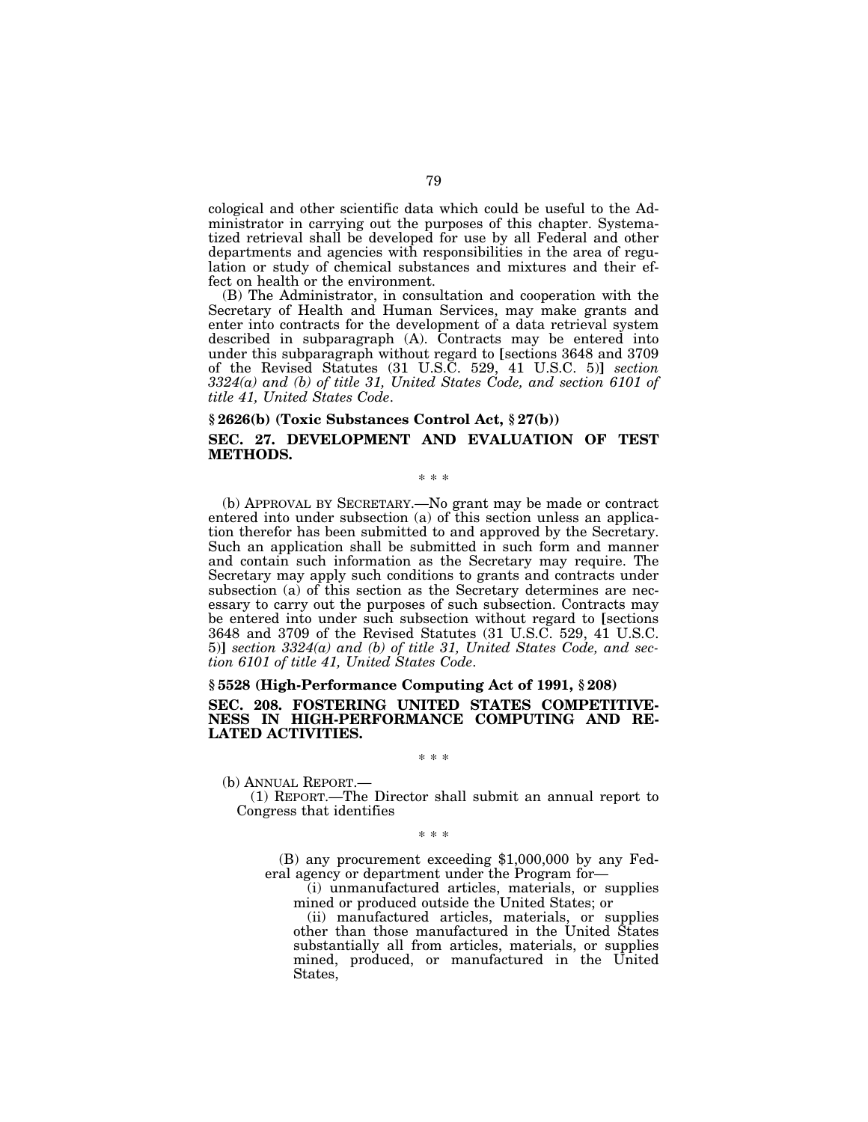cological and other scientific data which could be useful to the Administrator in carrying out the purposes of this chapter. Systematized retrieval shall be developed for use by all Federal and other departments and agencies with responsibilities in the area of regulation or study of chemical substances and mixtures and their effect on health or the environment.

(B) The Administrator, in consultation and cooperation with the Secretary of Health and Human Services, may make grants and enter into contracts for the development of a data retrieval system described in subparagraph (A). Contracts may be entered into under this subparagraph without regard to **[**sections 3648 and 3709 of the Revised Statutes (31 U.S.C. 529, 41 U.S.C. 5)**]** *section 3324(a) and (b) of title 31, United States Code, and section 6101 of title 41, United States Code*.

#### **§ 2626(b) (Toxic Substances Control Act, § 27(b))**

## **SEC. 27. DEVELOPMENT AND EVALUATION OF TEST METHODS.**

\* \* \*

(b) APPROVAL BY SECRETARY.—No grant may be made or contract entered into under subsection (a) of this section unless an application therefor has been submitted to and approved by the Secretary. Such an application shall be submitted in such form and manner and contain such information as the Secretary may require. The Secretary may apply such conditions to grants and contracts under subsection (a) of this section as the Secretary determines are necessary to carry out the purposes of such subsection. Contracts may be entered into under such subsection without regard to **[**sections 3648 and 3709 of the Revised Statutes (31 U.S.C. 529, 41 U.S.C. 5)**]** *section 3324(a) and (b) of title 31, United States Code, and section 6101 of title 41, United States Code*.

# **§ 5528 (High-Performance Computing Act of 1991, § 208) SEC. 208. FOSTERING UNITED STATES COMPETITIVE-NESS IN HIGH-PERFORMANCE COMPUTING AND RE-LATED ACTIVITIES.**

\* \* \*

(b) ANNUAL REPORT.—

(1) REPORT.—The Director shall submit an annual report to Congress that identifies

\* \* \*

(B) any procurement exceeding \$1,000,000 by any Federal agency or department under the Program for—

(i) unmanufactured articles, materials, or supplies mined or produced outside the United States; or

(ii) manufactured articles, materials, or supplies other than those manufactured in the United States substantially all from articles, materials, or supplies mined, produced, or manufactured in the United States,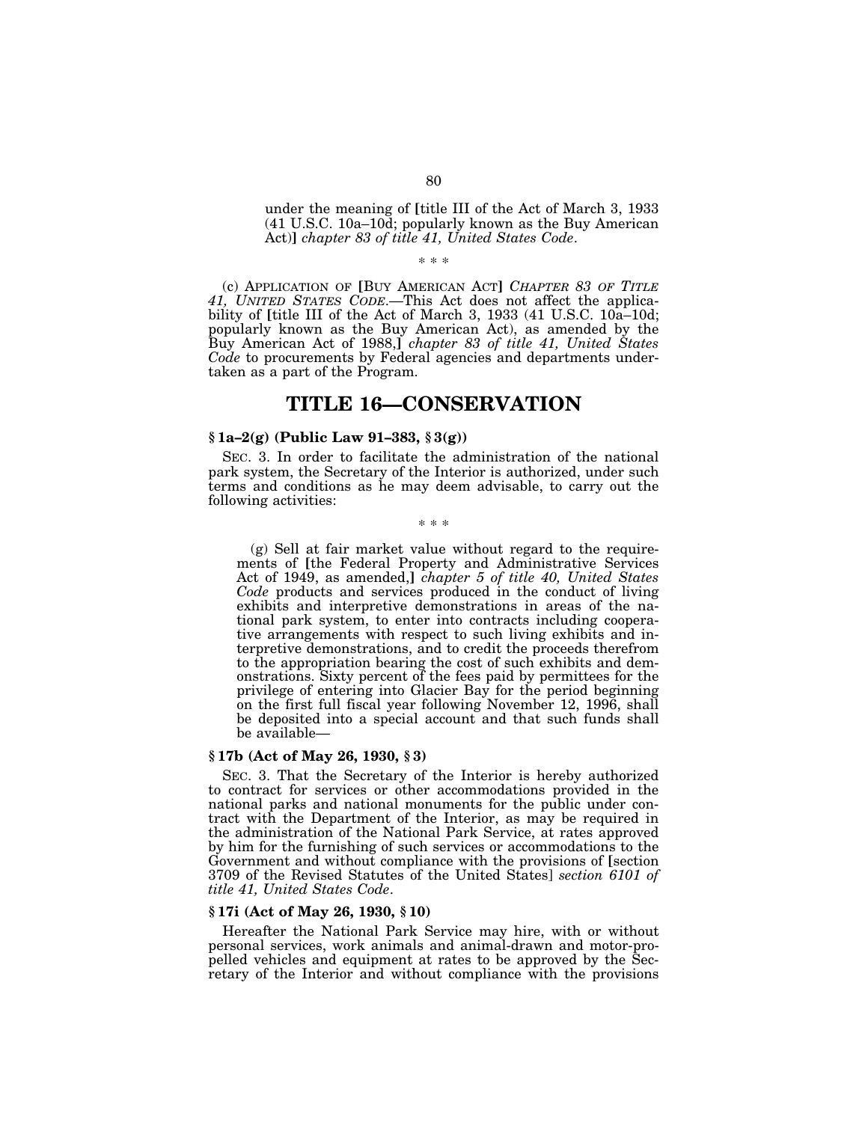under the meaning of **[**title III of the Act of March 3, 1933 (41 U.S.C. 10a–10d; popularly known as the Buy American Act)**]** *chapter 83 of title 41, United States Code*.

\* \* \*

(c) APPLICATION OF **[**BUY AMERICAN ACT**]** *CHAPTER 83 OF TITLE 41, UNITED STATES CODE*.—This Act does not affect the applicability of **[**title III of the Act of March 3, 1933 (41 U.S.C. 10a–10d; popularly known as the Buy American Act), as amended by the Buy American Act of 1988,**]** *chapter 83 of title 41, United States Code* to procurements by Federal agencies and departments undertaken as a part of the Program.

# **TITLE 16—CONSERVATION**

#### **§ 1a–2(g) (Public Law 91–383, § 3(g))**

SEC. 3. In order to facilitate the administration of the national park system, the Secretary of the Interior is authorized, under such terms and conditions as he may deem advisable, to carry out the following activities:

\* \* \*

(g) Sell at fair market value without regard to the requirements of **[**the Federal Property and Administrative Services Act of 1949, as amended,**]** *chapter 5 of title 40, United States Code* products and services produced in the conduct of living exhibits and interpretive demonstrations in areas of the national park system, to enter into contracts including cooperative arrangements with respect to such living exhibits and interpretive demonstrations, and to credit the proceeds therefrom to the appropriation bearing the cost of such exhibits and demonstrations. Sixty percent of the fees paid by permittees for the privilege of entering into Glacier Bay for the period beginning on the first full fiscal year following November 12, 1996, shall be deposited into a special account and that such funds shall be available—

#### **§ 17b (Act of May 26, 1930, § 3)**

SEC. 3. That the Secretary of the Interior is hereby authorized to contract for services or other accommodations provided in the national parks and national monuments for the public under contract with the Department of the Interior, as may be required in the administration of the National Park Service, at rates approved by him for the furnishing of such services or accommodations to the Government and without compliance with the provisions of **[**section 3709 of the Revised Statutes of the United States] *section 6101 of title 41, United States Code*.

### **§ 17i (Act of May 26, 1930, § 10)**

Hereafter the National Park Service may hire, with or without personal services, work animals and animal-drawn and motor-propelled vehicles and equipment at rates to be approved by the Secretary of the Interior and without compliance with the provisions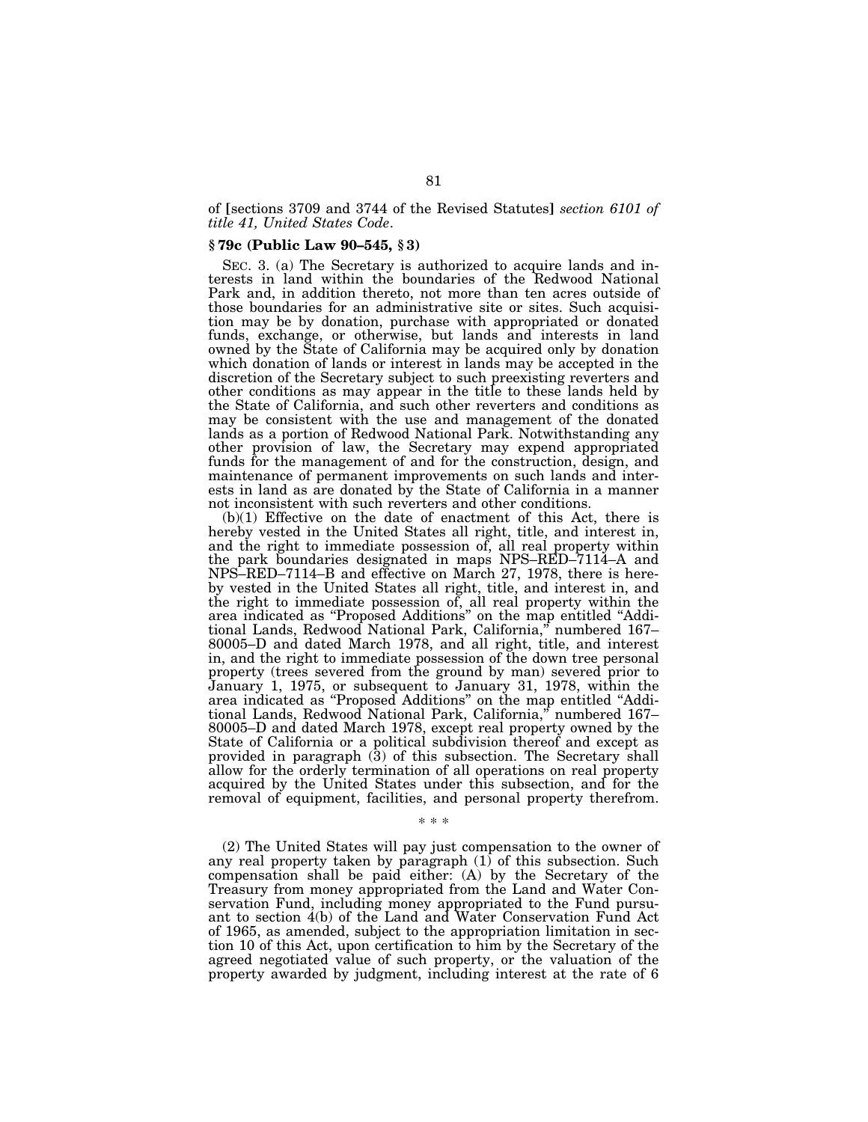of **[**sections 3709 and 3744 of the Revised Statutes**]** *section 6101 of title 41, United States Code*.

#### **§ 79c (Public Law 90–545, § 3)**

SEC. 3. (a) The Secretary is authorized to acquire lands and interests in land within the boundaries of the Redwood National Park and, in addition thereto, not more than ten acres outside of those boundaries for an administrative site or sites. Such acquisition may be by donation, purchase with appropriated or donated funds, exchange, or otherwise, but lands and interests in land owned by the State of California may be acquired only by donation which donation of lands or interest in lands may be accepted in the discretion of the Secretary subject to such preexisting reverters and other conditions as may appear in the title to these lands held by the State of California, and such other reverters and conditions as may be consistent with the use and management of the donated lands as a portion of Redwood National Park. Notwithstanding any other provision of law, the Secretary may expend appropriated funds for the management of and for the construction, design, and maintenance of permanent improvements on such lands and interests in land as are donated by the State of California in a manner not inconsistent with such reverters and other conditions.

(b)(1) Effective on the date of enactment of this Act, there is hereby vested in the United States all right, title, and interest in, and the right to immediate possession of, all real property within the park boundaries designated in maps NPS–RED–7114–A and NPS–RED–7114–B and effective on March 27, 1978, there is hereby vested in the United States all right, title, and interest in, and the right to immediate possession of, all real property within the area indicated as ''Proposed Additions'' on the map entitled ''Additional Lands, Redwood National Park, California,'' numbered 167– 80005–D and dated March 1978, and all right, title, and interest in, and the right to immediate possession of the down tree personal property (trees severed from the ground by man) severed prior to January 1, 1975, or subsequent to January 31, 1978, within the area indicated as ''Proposed Additions'' on the map entitled ''Additional Lands, Redwood National Park, California,'' numbered 167– 80005–D and dated March 1978, except real property owned by the State of California or a political subdivision thereof and except as provided in paragraph  $(3)$  of this subsection. The Secretary shall allow for the orderly termination of all operations on real property acquired by the United States under this subsection, and for the removal of equipment, facilities, and personal property therefrom.

\* \* \*

(2) The United States will pay just compensation to the owner of any real property taken by paragraph (1) of this subsection. Such compensation shall be paid either: (A) by the Secretary of the Treasury from money appropriated from the Land and Water Conservation Fund, including money appropriated to the Fund pursuant to section 4(b) of the Land and Water Conservation Fund Act of 1965, as amended, subject to the appropriation limitation in section 10 of this Act, upon certification to him by the Secretary of the agreed negotiated value of such property, or the valuation of the property awarded by judgment, including interest at the rate of 6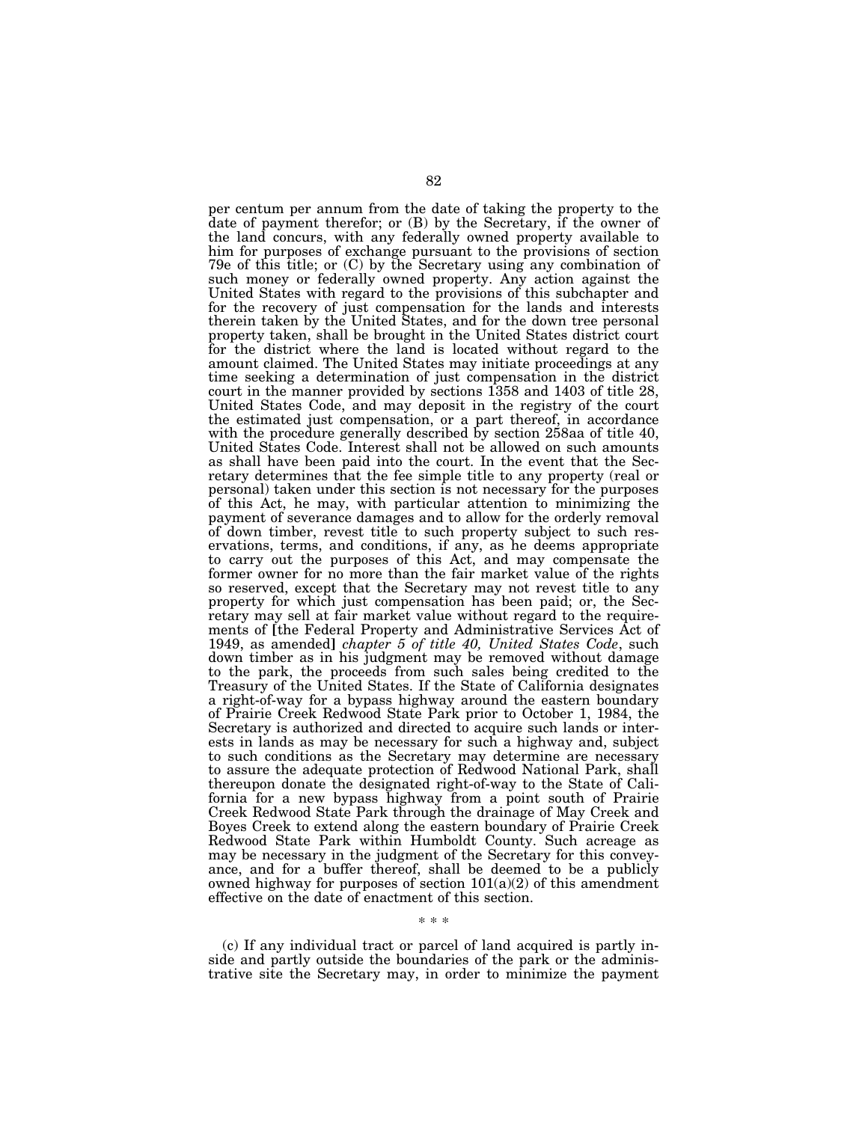per centum per annum from the date of taking the property to the date of payment therefor; or (B) by the Secretary, if the owner of the land concurs, with any federally owned property available to him for purposes of exchange pursuant to the provisions of section 79e of this title; or (C) by the Secretary using any combination of such money or federally owned property. Any action against the United States with regard to the provisions of this subchapter and for the recovery of just compensation for the lands and interests therein taken by the United States, and for the down tree personal property taken, shall be brought in the United States district court for the district where the land is located without regard to the amount claimed. The United States may initiate proceedings at any time seeking a determination of just compensation in the district court in the manner provided by sections 1358 and 1403 of title 28, United States Code, and may deposit in the registry of the court the estimated just compensation, or a part thereof, in accordance with the procedure generally described by section 258aa of title 40, United States Code. Interest shall not be allowed on such amounts as shall have been paid into the court. In the event that the Secretary determines that the fee simple title to any property (real or personal) taken under this section is not necessary for the purposes of this Act, he may, with particular attention to minimizing the payment of severance damages and to allow for the orderly removal of down timber, revest title to such property subject to such reservations, terms, and conditions, if any, as he deems appropriate to carry out the purposes of this Act, and may compensate the former owner for no more than the fair market value of the rights so reserved, except that the Secretary may not revest title to any property for which just compensation has been paid; or, the Secretary may sell at fair market value without regard to the requirements of **[**the Federal Property and Administrative Services Act of 1949, as amended**]** *chapter 5 of title 40, United States Code*, such down timber as in his judgment may be removed without damage to the park, the proceeds from such sales being credited to the Treasury of the United States. If the State of California designates a right-of-way for a bypass highway around the eastern boundary of Prairie Creek Redwood State Park prior to October 1, 1984, the Secretary is authorized and directed to acquire such lands or interests in lands as may be necessary for such a highway and, subject to such conditions as the Secretary may determine are necessary to assure the adequate protection of Redwood National Park, shall thereupon donate the designated right-of-way to the State of California for a new bypass highway from a point south of Prairie Creek Redwood State Park through the drainage of May Creek and Boyes Creek to extend along the eastern boundary of Prairie Creek Redwood State Park within Humboldt County. Such acreage as may be necessary in the judgment of the Secretary for this conveyance, and for a buffer thereof, shall be deemed to be a publicly owned highway for purposes of section  $101(a)(2)$  of this amendment effective on the date of enactment of this section.

(c) If any individual tract or parcel of land acquired is partly inside and partly outside the boundaries of the park or the administrative site the Secretary may, in order to minimize the payment

\* \* \*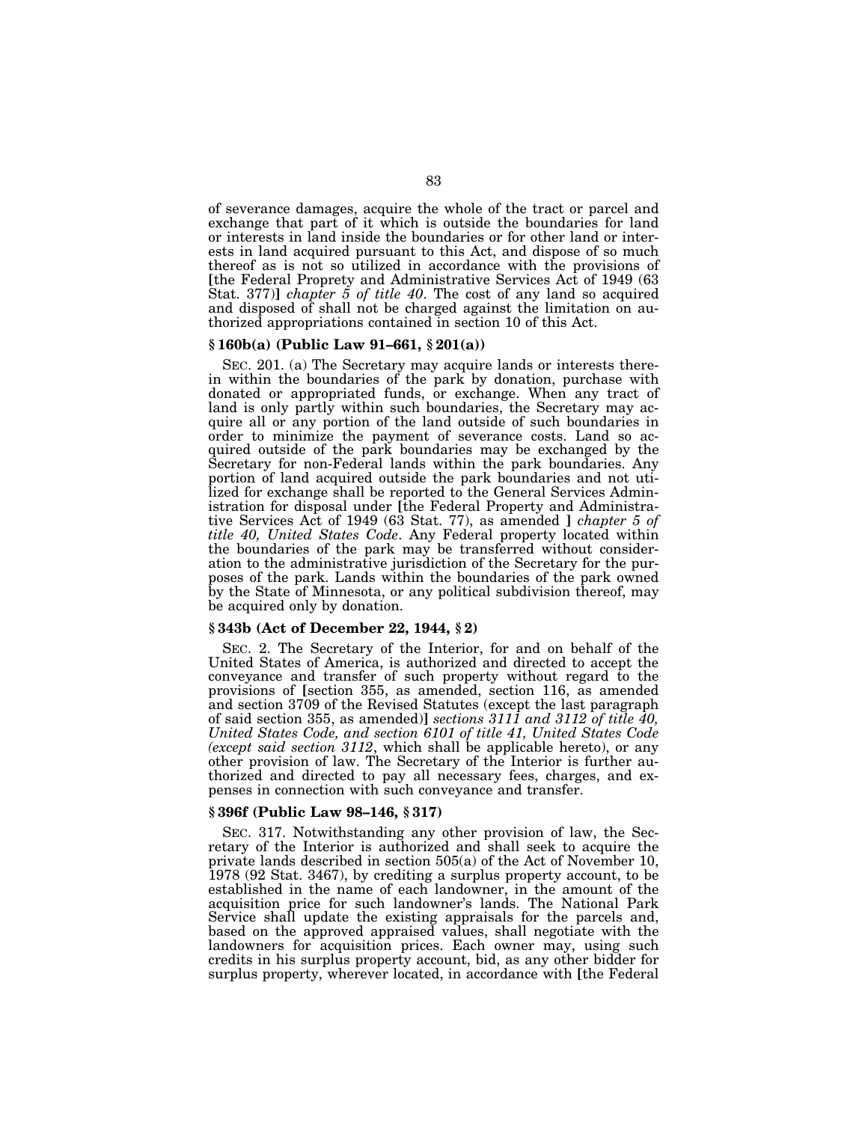of severance damages, acquire the whole of the tract or parcel and exchange that part of it which is outside the boundaries for land or interests in land inside the boundaries or for other land or interests in land acquired pursuant to this Act, and dispose of so much thereof as is not so utilized in accordance with the provisions of **[**the Federal Proprety and Administrative Services Act of 1949 (63 Stat. 377)**]** *chapter 5 of title 40*. The cost of any land so acquired and disposed of shall not be charged against the limitation on authorized appropriations contained in section 10 of this Act.

#### **§ 160b(a) (Public Law 91–661, § 201(a))**

SEC. 201. (a) The Secretary may acquire lands or interests therein within the boundaries of the park by donation, purchase with donated or appropriated funds, or exchange. When any tract of land is only partly within such boundaries, the Secretary may acquire all or any portion of the land outside of such boundaries in order to minimize the payment of severance costs. Land so acquired outside of the park boundaries may be exchanged by the Secretary for non-Federal lands within the park boundaries. Any portion of land acquired outside the park boundaries and not utilized for exchange shall be reported to the General Services Administration for disposal under **[**the Federal Property and Administrative Services Act of 1949 (63 Stat. 77), as amended **]** *chapter 5 of title 40, United States Code*. Any Federal property located within the boundaries of the park may be transferred without consideration to the administrative jurisdiction of the Secretary for the purposes of the park. Lands within the boundaries of the park owned by the State of Minnesota, or any political subdivision thereof, may be acquired only by donation.

#### **§ 343b (Act of December 22, 1944, § 2)**

SEC. 2. The Secretary of the Interior, for and on behalf of the United States of America, is authorized and directed to accept the conveyance and transfer of such property without regard to the provisions of **[**section 355, as amended, section 116, as amended and section 3709 of the Revised Statutes (except the last paragraph of said section 355, as amended)**]** *sections 3111 and 3112 of title 40, United States Code, and section 6101 of title 41, United States Code (except said section 3112*, which shall be applicable hereto), or any other provision of law. The Secretary of the Interior is further authorized and directed to pay all necessary fees, charges, and expenses in connection with such conveyance and transfer.

#### **§ 396f (Public Law 98–146, § 317)**

SEC. 317. Notwithstanding any other provision of law, the Secretary of the Interior is authorized and shall seek to acquire the private lands described in section 505(a) of the Act of November 10, 1978 (92 Stat. 3467), by crediting a surplus property account, to be established in the name of each landowner, in the amount of the acquisition price for such landowner's lands. The National Park Service shall update the existing appraisals for the parcels and, based on the approved appraised values, shall negotiate with the landowners for acquisition prices. Each owner may, using such credits in his surplus property account, bid, as any other bidder for surplus property, wherever located, in accordance with **[**the Federal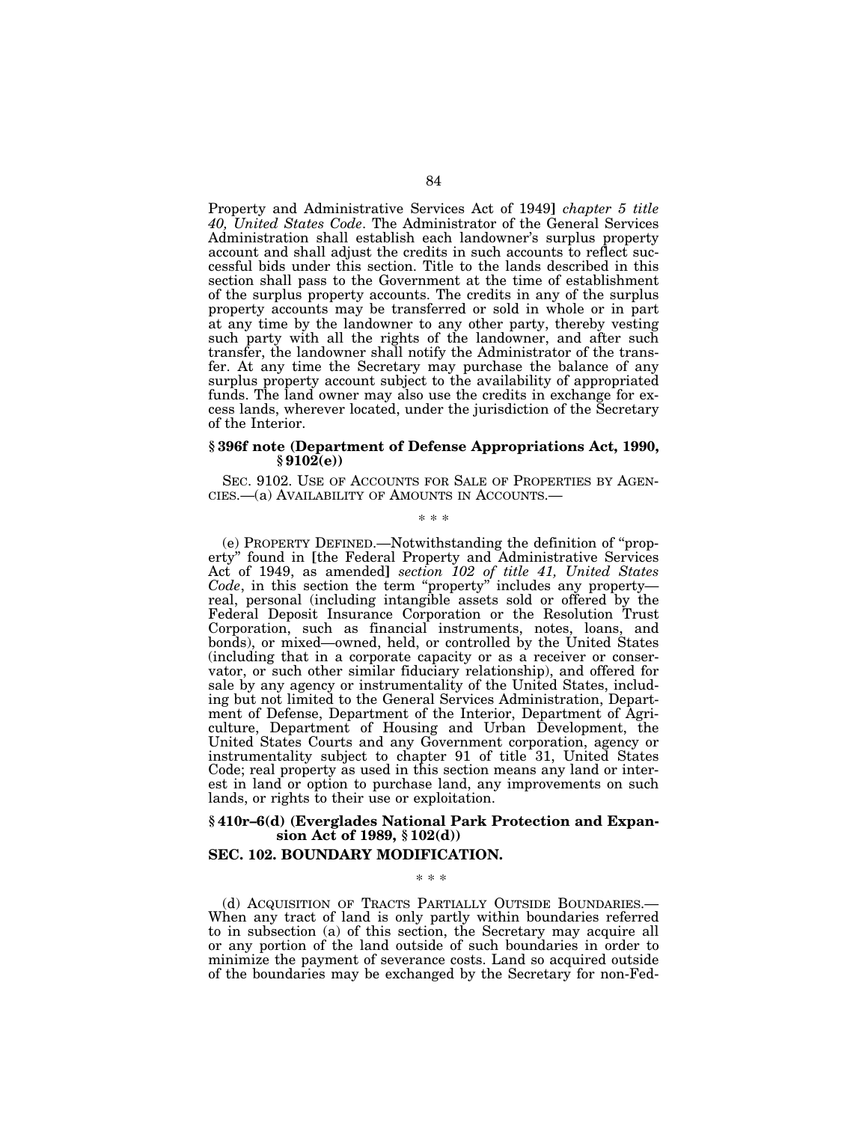Property and Administrative Services Act of 1949**]** *chapter 5 title 40, United States Code*. The Administrator of the General Services Administration shall establish each landowner's surplus property account and shall adjust the credits in such accounts to reflect successful bids under this section. Title to the lands described in this section shall pass to the Government at the time of establishment of the surplus property accounts. The credits in any of the surplus property accounts may be transferred or sold in whole or in part at any time by the landowner to any other party, thereby vesting such party with all the rights of the landowner, and after such transfer, the landowner shall notify the Administrator of the transfer. At any time the Secretary may purchase the balance of any surplus property account subject to the availability of appropriated funds. The land owner may also use the credits in exchange for excess lands, wherever located, under the jurisdiction of the Secretary of the Interior.

#### **§ 396f note (Department of Defense Appropriations Act, 1990,**   $$9102(e)$

SEC. 9102. USE OF ACCOUNTS FOR SALE OF PROPERTIES BY AGEN-CIES.—(a) AVAILABILITY OF AMOUNTS IN ACCOUNTS.— \* \* \*

(e) PROPERTY DEFINED.—Notwithstanding the definition of ''property'' found in **[**the Federal Property and Administrative Services Act of 1949, as amended**]** *section 102 of title 41, United States Code*, in this section the term ''property'' includes any property real, personal (including intangible assets sold or offered by the Federal Deposit Insurance Corporation or the Resolution Trust Corporation, such as financial instruments, notes, loans, and bonds), or mixed—owned, held, or controlled by the United States (including that in a corporate capacity or as a receiver or conservator, or such other similar fiduciary relationship), and offered for sale by any agency or instrumentality of the United States, including but not limited to the General Services Administration, Department of Defense, Department of the Interior, Department of Agriculture, Department of Housing and Urban Development, the United States Courts and any Government corporation, agency or instrumentality subject to chapter 91 of title 31, United States Code; real property as used in this section means any land or interest in land or option to purchase land, any improvements on such lands, or rights to their use or exploitation.

#### **§ 410r–6(d) (Everglades National Park Protection and Expansion Act of 1989, § 102(d))**

#### **SEC. 102. BOUNDARY MODIFICATION.**

\* \* \*

(d) ACQUISITION OF TRACTS PARTIALLY OUTSIDE BOUNDARIES.— When any tract of land is only partly within boundaries referred to in subsection (a) of this section, the Secretary may acquire all or any portion of the land outside of such boundaries in order to minimize the payment of severance costs. Land so acquired outside of the boundaries may be exchanged by the Secretary for non-Fed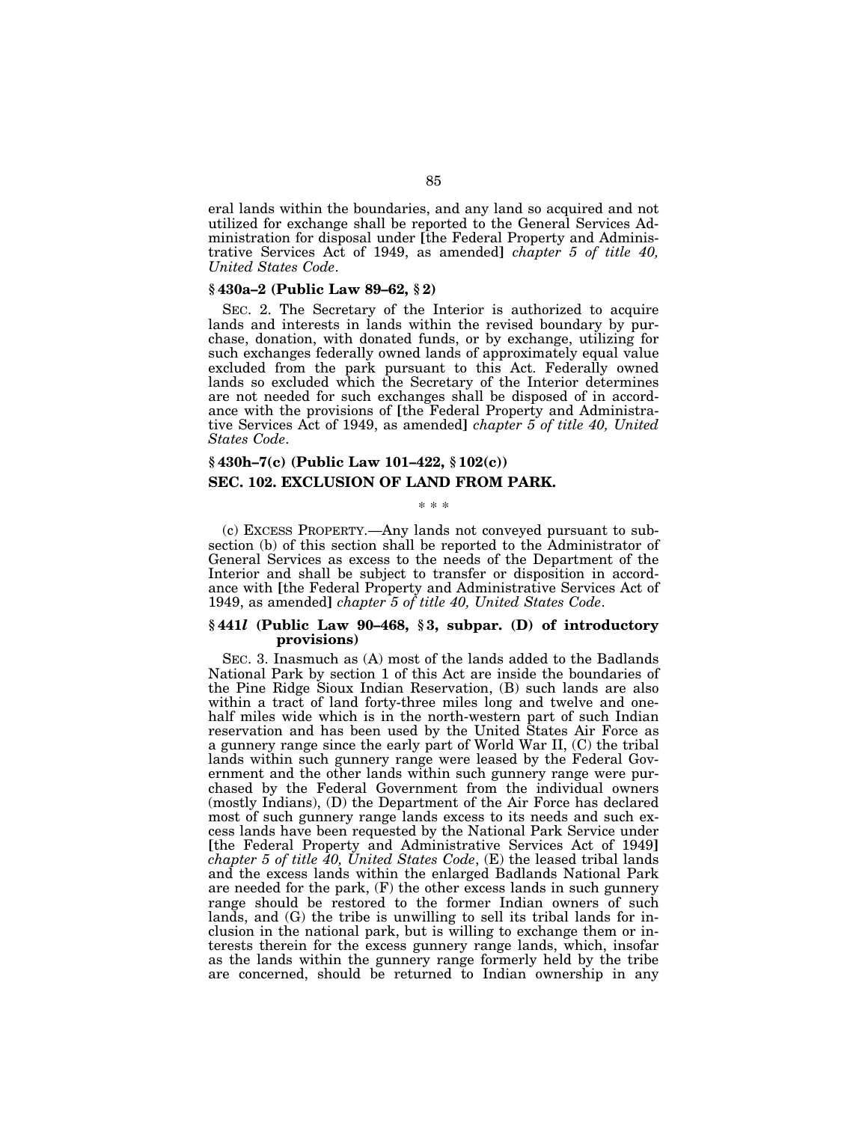eral lands within the boundaries, and any land so acquired and not utilized for exchange shall be reported to the General Services Administration for disposal under **[**the Federal Property and Administrative Services Act of 1949, as amended**]** *chapter 5 of title 40, United States Code*.

#### **§ 430a–2 (Public Law 89–62, § 2)**

SEC. 2. The Secretary of the Interior is authorized to acquire lands and interests in lands within the revised boundary by purchase, donation, with donated funds, or by exchange, utilizing for such exchanges federally owned lands of approximately equal value excluded from the park pursuant to this Act. Federally owned lands so excluded which the Secretary of the Interior determines are not needed for such exchanges shall be disposed of in accordance with the provisions of **[**the Federal Property and Administrative Services Act of 1949, as amended**]** *chapter 5 of title 40, United States Code*.

# **§ 430h–7(c) (Public Law 101–422, § 102(c)) SEC. 102. EXCLUSION OF LAND FROM PARK.**

#### \* \* \*

(c) EXCESS PROPERTY.—Any lands not conveyed pursuant to subsection (b) of this section shall be reported to the Administrator of General Services as excess to the needs of the Department of the Interior and shall be subject to transfer or disposition in accordance with **[**the Federal Property and Administrative Services Act of 1949, as amended**]** *chapter 5 of title 40, United States Code*.

#### **§ 441***l* **(Public Law 90–468, § 3, subpar. (D) of introductory provisions)**

SEC. 3. Inasmuch as (A) most of the lands added to the Badlands National Park by section 1 of this Act are inside the boundaries of the Pine Ridge Sioux Indian Reservation, (B) such lands are also within a tract of land forty-three miles long and twelve and onehalf miles wide which is in the north-western part of such Indian reservation and has been used by the United States Air Force as a gunnery range since the early part of World War II, (C) the tribal lands within such gunnery range were leased by the Federal Government and the other lands within such gunnery range were purchased by the Federal Government from the individual owners (mostly Indians), (D) the Department of the Air Force has declared most of such gunnery range lands excess to its needs and such excess lands have been requested by the National Park Service under **[**the Federal Property and Administrative Services Act of 1949**]**  *chapter 5 of title 40, United States Code*, (E) the leased tribal lands and the excess lands within the enlarged Badlands National Park are needed for the park, (F) the other excess lands in such gunnery range should be restored to the former Indian owners of such lands, and (G) the tribe is unwilling to sell its tribal lands for inclusion in the national park, but is willing to exchange them or interests therein for the excess gunnery range lands, which, insofar as the lands within the gunnery range formerly held by the tribe are concerned, should be returned to Indian ownership in any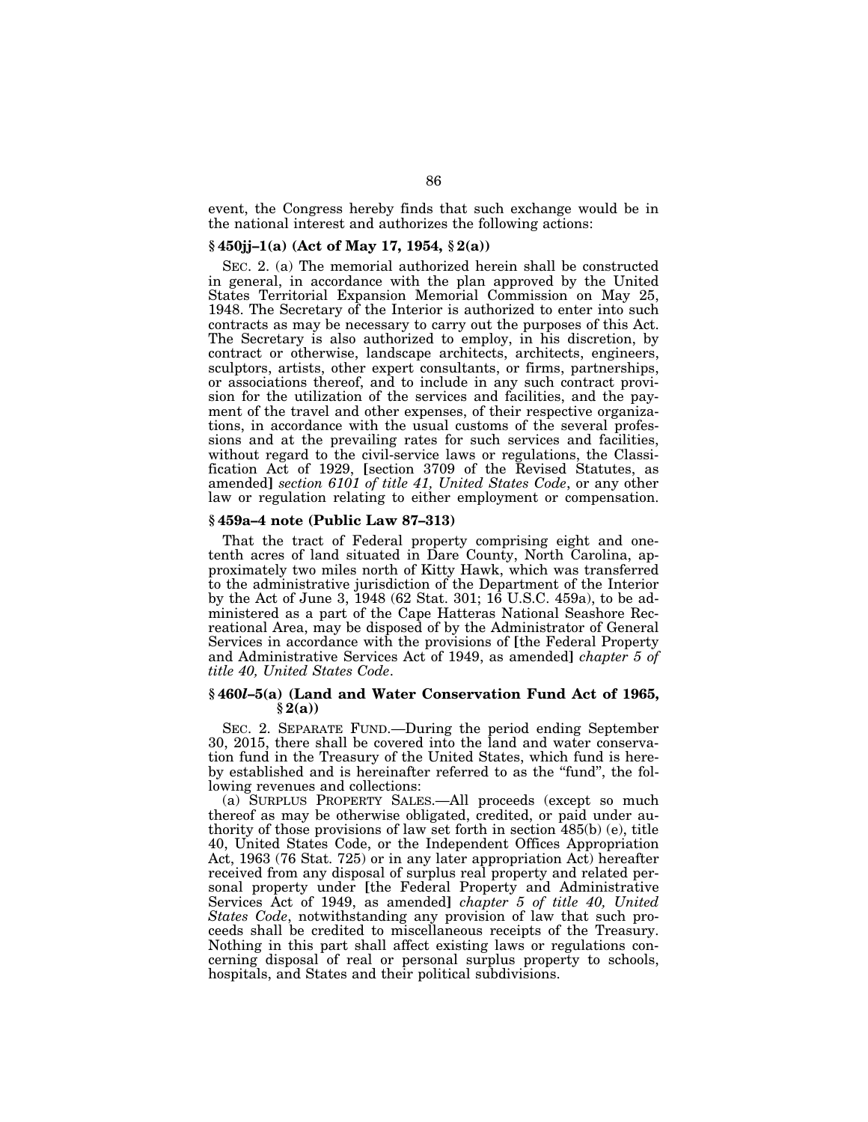event, the Congress hereby finds that such exchange would be in the national interest and authorizes the following actions:

#### **§ 450jj–1(a) (Act of May 17, 1954, § 2(a))**

SEC. 2. (a) The memorial authorized herein shall be constructed in general, in accordance with the plan approved by the United States Territorial Expansion Memorial Commission on May 25, 1948. The Secretary of the Interior is authorized to enter into such contracts as may be necessary to carry out the purposes of this Act. The Secretary is also authorized to employ, in his discretion, by contract or otherwise, landscape architects, architects, engineers, sculptors, artists, other expert consultants, or firms, partnerships, or associations thereof, and to include in any such contract provision for the utilization of the services and facilities, and the payment of the travel and other expenses, of their respective organizations, in accordance with the usual customs of the several professions and at the prevailing rates for such services and facilities, without regard to the civil-service laws or regulations, the Classification Act of 1929, **[**section 3709 of the Revised Statutes, as amended**]** *section 6101 of title 41, United States Code*, or any other law or regulation relating to either employment or compensation.

#### **§ 459a–4 note (Public Law 87–313)**

That the tract of Federal property comprising eight and onetenth acres of land situated in Dare County, North Carolina, approximately two miles north of Kitty Hawk, which was transferred to the administrative jurisdiction of the Department of the Interior by the Act of June 3, 1948 (62 Stat. 301; 16 U.S.C. 459a), to be administered as a part of the Cape Hatteras National Seashore Recreational Area, may be disposed of by the Administrator of General Services in accordance with the provisions of **[**the Federal Property and Administrative Services Act of 1949, as amended**]** *chapter 5 of title 40, United States Code*.

#### **§ 460***l***–5(a) (Land and Water Conservation Fund Act of 1965,**   $\S$  2(a))

SEC. 2. SEPARATE FUND.—During the period ending September 30, 2015, there shall be covered into the land and water conservation fund in the Treasury of the United States, which fund is hereby established and is hereinafter referred to as the ''fund'', the following revenues and collections:

(a) SURPLUS PROPERTY SALES.—All proceeds (except so much thereof as may be otherwise obligated, credited, or paid under authority of those provisions of law set forth in section 485(b) (e), title 40, United States Code, or the Independent Offices Appropriation Act, 1963 (76 Stat. 725) or in any later appropriation Act) hereafter received from any disposal of surplus real property and related personal property under **[**the Federal Property and Administrative Services Act of 1949, as amended**]** *chapter 5 of title 40, United States Code*, notwithstanding any provision of law that such proceeds shall be credited to miscellaneous receipts of the Treasury. Nothing in this part shall affect existing laws or regulations concerning disposal of real or personal surplus property to schools, hospitals, and States and their political subdivisions.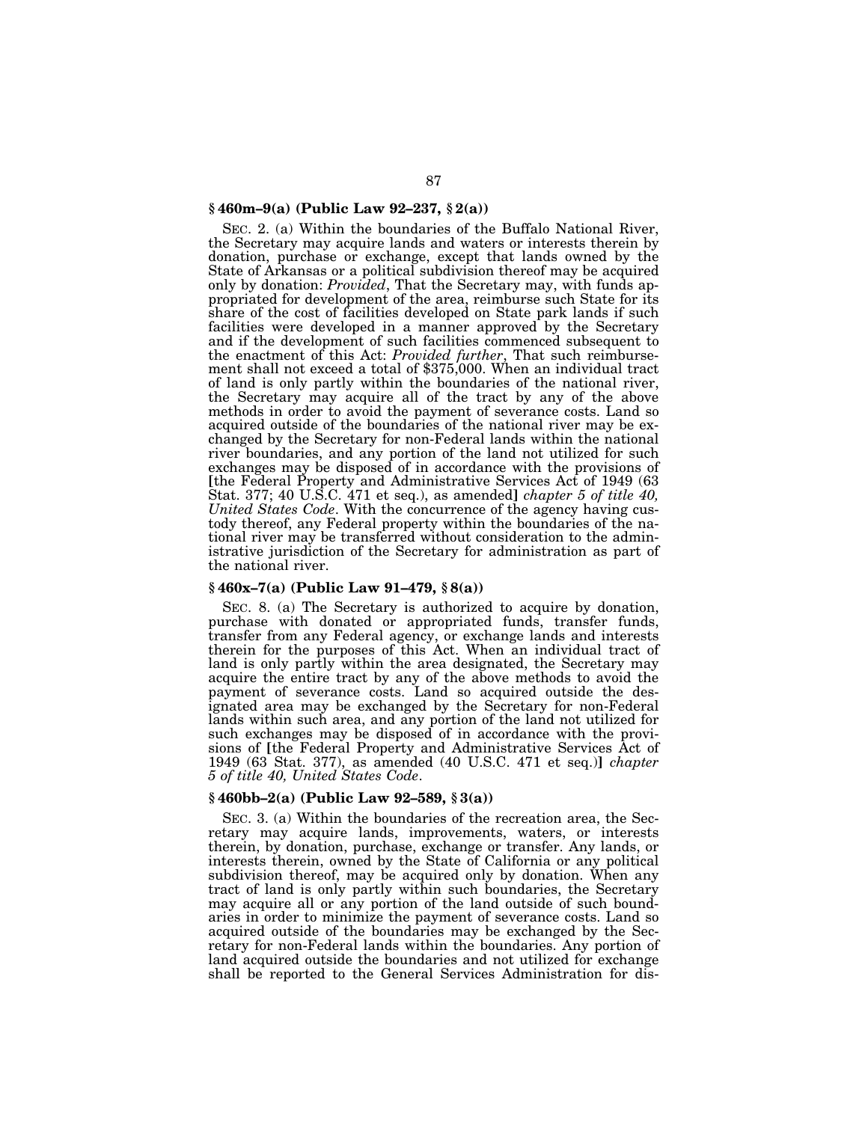#### **§ 460m–9(a) (Public Law 92–237, § 2(a))**

SEC. 2. (a) Within the boundaries of the Buffalo National River, the Secretary may acquire lands and waters or interests therein by donation, purchase or exchange, except that lands owned by the State of Arkansas or a political subdivision thereof may be acquired only by donation: *Provided*, That the Secretary may, with funds appropriated for development of the area, reimburse such State for its share of the cost of facilities developed on State park lands if such facilities were developed in a manner approved by the Secretary and if the development of such facilities commenced subsequent to the enactment of this Act: *Provided further*, That such reimbursement shall not exceed a total of \$375,000. When an individual tract of land is only partly within the boundaries of the national river, the Secretary may acquire all of the tract by any of the above methods in order to avoid the payment of severance costs. Land so acquired outside of the boundaries of the national river may be exchanged by the Secretary for non-Federal lands within the national river boundaries, and any portion of the land not utilized for such exchanges may be disposed of in accordance with the provisions of **[**the Federal Property and Administrative Services Act of 1949 (63 Stat. 377; 40 U.S.C. 471 et seq.), as amended**]** *chapter 5 of title 40, United States Code*. With the concurrence of the agency having custody thereof, any Federal property within the boundaries of the national river may be transferred without consideration to the administrative jurisdiction of the Secretary for administration as part of the national river.

#### **§ 460x–7(a) (Public Law 91–479, § 8(a))**

SEC. 8. (a) The Secretary is authorized to acquire by donation, purchase with donated or appropriated funds, transfer funds, transfer from any Federal agency, or exchange lands and interests therein for the purposes of this Act. When an individual tract of land is only partly within the area designated, the Secretary may acquire the entire tract by any of the above methods to avoid the payment of severance costs. Land so acquired outside the designated area may be exchanged by the Secretary for non-Federal lands within such area, and any portion of the land not utilized for such exchanges may be disposed of in accordance with the provisions of **[**the Federal Property and Administrative Services Act of 1949 (63 Stat. 377), as amended (40 U.S.C. 471 et seq.)**]** *chapter 5 of title 40, United States Code*.

#### **§ 460bb–2(a) (Public Law 92–589, § 3(a))**

SEC. 3. (a) Within the boundaries of the recreation area, the Secretary may acquire lands, improvements, waters, or interests therein, by donation, purchase, exchange or transfer. Any lands, or interests therein, owned by the State of California or any political subdivision thereof, may be acquired only by donation. When any tract of land is only partly within such boundaries, the Secretary may acquire all or any portion of the land outside of such boundaries in order to minimize the payment of severance costs. Land so acquired outside of the boundaries may be exchanged by the Secretary for non-Federal lands within the boundaries. Any portion of land acquired outside the boundaries and not utilized for exchange shall be reported to the General Services Administration for dis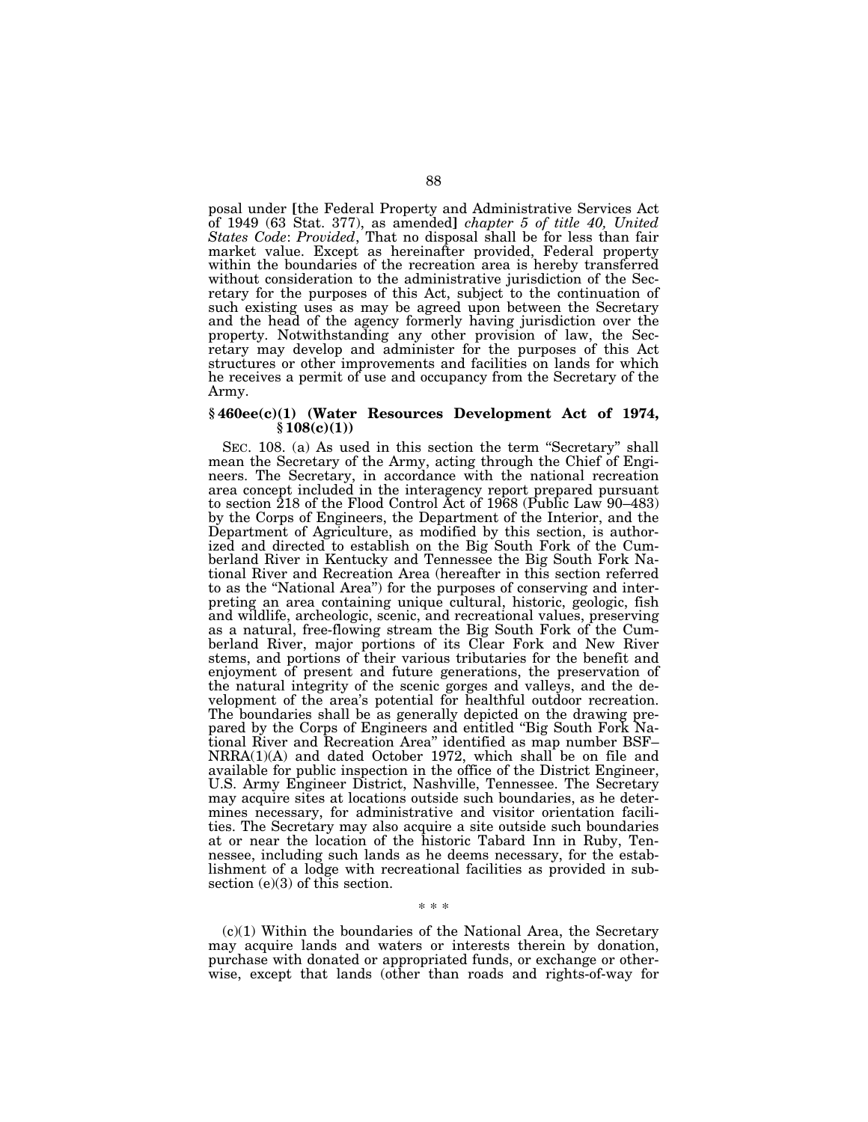posal under **[**the Federal Property and Administrative Services Act of 1949 (63 Stat. 377), as amended**]** *chapter 5 of title 40, United States Code*: *Provided*, That no disposal shall be for less than fair market value. Except as hereinafter provided, Federal property within the boundaries of the recreation area is hereby transferred without consideration to the administrative jurisdiction of the Secretary for the purposes of this Act, subject to the continuation of such existing uses as may be agreed upon between the Secretary and the head of the agency formerly having jurisdiction over the property. Notwithstanding any other provision of law, the Secretary may develop and administer for the purposes of this Act structures or other improvements and facilities on lands for which he receives a permit of use and occupancy from the Secretary of the Army.

#### **§ 460ee(c)(1) (Water Resources Development Act of 1974, § 108(c)(1))**

SEC. 108. (a) As used in this section the term "Secretary" shall mean the Secretary of the Army, acting through the Chief of Engineers. The Secretary, in accordance with the national recreation area concept included in the interagency report prepared pursuant to section 218 of the Flood Control Act of 1968 (Public Law 90–483) by the Corps of Engineers, the Department of the Interior, and the Department of Agriculture, as modified by this section, is authorized and directed to establish on the Big South Fork of the Cumberland River in Kentucky and Tennessee the Big South Fork National River and Recreation Area (hereafter in this section referred to as the ''National Area'') for the purposes of conserving and interpreting an area containing unique cultural, historic, geologic, fish and wildlife, archeologic, scenic, and recreational values, preserving as a natural, free-flowing stream the Big South Fork of the Cumberland River, major portions of its Clear Fork and New River stems, and portions of their various tributaries for the benefit and enjoyment of present and future generations, the preservation of the natural integrity of the scenic gorges and valleys, and the development of the area's potential for healthful outdoor recreation. The boundaries shall be as generally depicted on the drawing prepared by the Corps of Engineers and entitled ''Big South Fork National River and Recreation Area'' identified as map number BSF–  $NRRA(1)(A)$  and dated October 1972, which shall be on file and available for public inspection in the office of the District Engineer, U.S. Army Engineer District, Nashville, Tennessee. The Secretary may acquire sites at locations outside such boundaries, as he determines necessary, for administrative and visitor orientation facilities. The Secretary may also acquire a site outside such boundaries at or near the location of the historic Tabard Inn in Ruby, Tennessee, including such lands as he deems necessary, for the establishment of a lodge with recreational facilities as provided in subsection (e)(3) of this section.

\* \* \*

 $(c)(1)$  Within the boundaries of the National Area, the Secretary may acquire lands and waters or interests therein by donation, purchase with donated or appropriated funds, or exchange or otherwise, except that lands (other than roads and rights-of-way for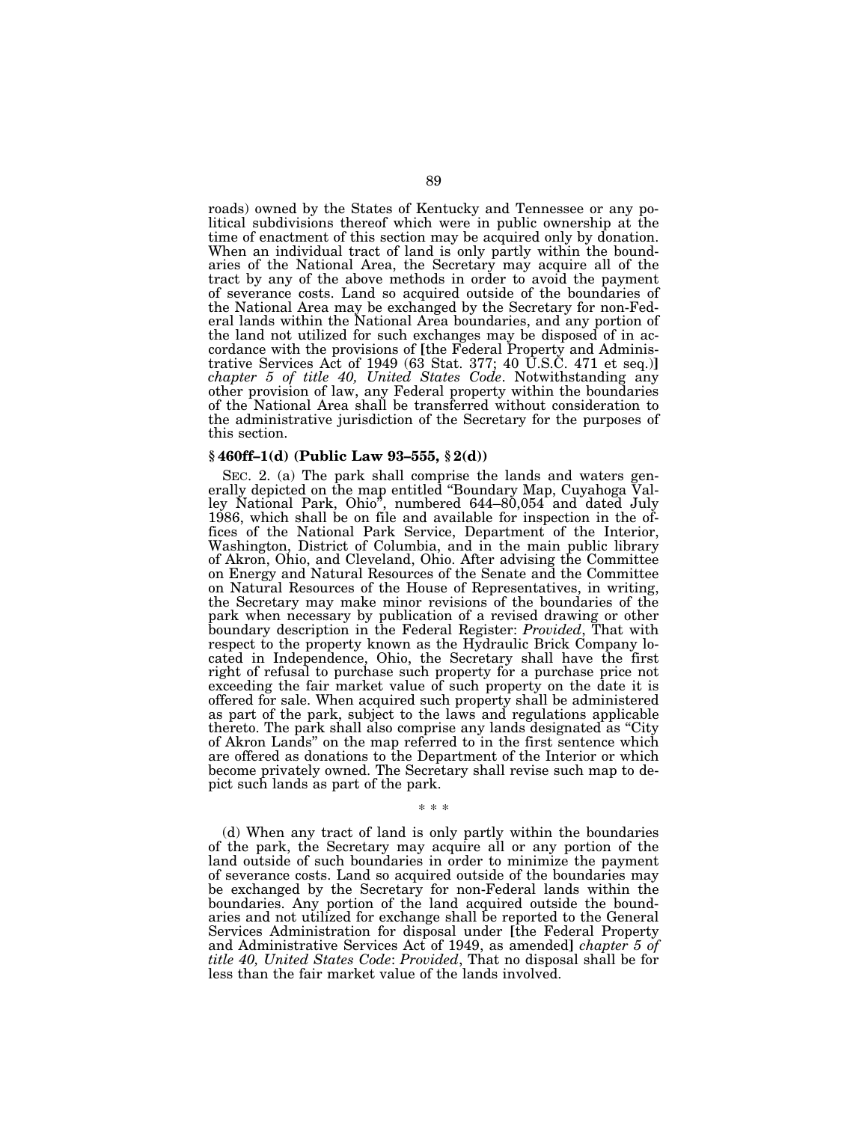roads) owned by the States of Kentucky and Tennessee or any political subdivisions thereof which were in public ownership at the time of enactment of this section may be acquired only by donation. When an individual tract of land is only partly within the boundaries of the National Area, the Secretary may acquire all of the tract by any of the above methods in order to avoid the payment of severance costs. Land so acquired outside of the boundaries of the National Area may be exchanged by the Secretary for non-Federal lands within the National Area boundaries, and any portion of the land not utilized for such exchanges may be disposed of in accordance with the provisions of **[**the Federal Property and Administrative Services Act of 1949 (63 Stat. 377; 40 U.S.C. 471 et seq.)**]**  *chapter 5 of title 40, United States Code*. Notwithstanding any other provision of law, any Federal property within the boundaries of the National Area shall be transferred without consideration to the administrative jurisdiction of the Secretary for the purposes of this section.

#### **§ 460ff–1(d) (Public Law 93–555, § 2(d))**

SEC. 2. (a) The park shall comprise the lands and waters generally depicted on the map entitled ''Boundary Map, Cuyahoga Valley National Park, Ohio'', numbered 644–80,054 and dated July 1986, which shall be on file and available for inspection in the offices of the National Park Service, Department of the Interior, Washington, District of Columbia, and in the main public library of Akron, Ohio, and Cleveland, Ohio. After advising the Committee on Energy and Natural Resources of the Senate and the Committee on Natural Resources of the House of Representatives, in writing, the Secretary may make minor revisions of the boundaries of the park when necessary by publication of a revised drawing or other boundary description in the Federal Register: *Provided*, That with respect to the property known as the Hydraulic Brick Company located in Independence, Ohio, the Secretary shall have the first right of refusal to purchase such property for a purchase price not exceeding the fair market value of such property on the date it is offered for sale. When acquired such property shall be administered as part of the park, subject to the laws and regulations applicable thereto. The park shall also comprise any lands designated as ''City of Akron Lands'' on the map referred to in the first sentence which are offered as donations to the Department of the Interior or which become privately owned. The Secretary shall revise such map to depict such lands as part of the park.

(d) When any tract of land is only partly within the boundaries of the park, the Secretary may acquire all or any portion of the land outside of such boundaries in order to minimize the payment of severance costs. Land so acquired outside of the boundaries may be exchanged by the Secretary for non-Federal lands within the boundaries. Any portion of the land acquired outside the boundaries and not utilized for exchange shall be reported to the General Services Administration for disposal under **[**the Federal Property and Administrative Services Act of 1949, as amended**]** *chapter 5 of title 40, United States Code*: *Provided*, That no disposal shall be for less than the fair market value of the lands involved.

\* \* \*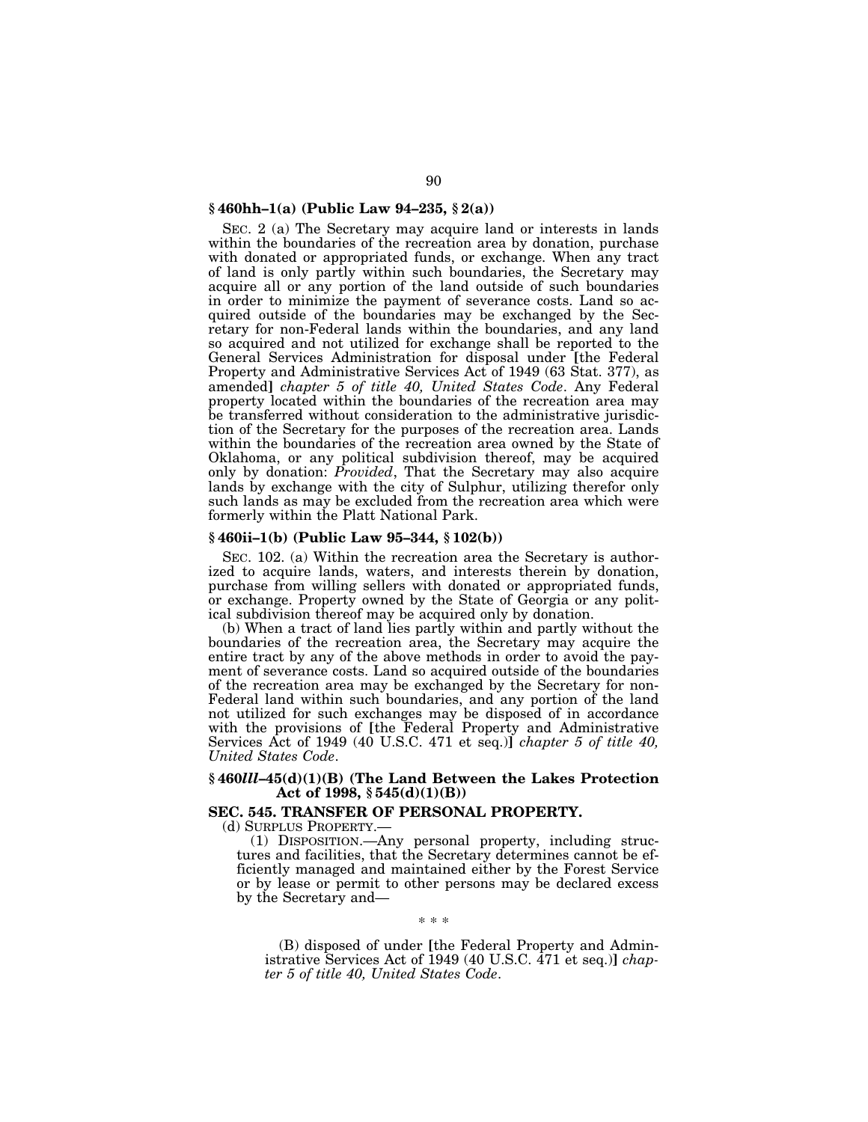#### **§ 460hh–1(a) (Public Law 94–235, § 2(a))**

SEC. 2 (a) The Secretary may acquire land or interests in lands within the boundaries of the recreation area by donation, purchase with donated or appropriated funds, or exchange. When any tract of land is only partly within such boundaries, the Secretary may acquire all or any portion of the land outside of such boundaries in order to minimize the payment of severance costs. Land so acquired outside of the boundaries may be exchanged by the Secretary for non-Federal lands within the boundaries, and any land so acquired and not utilized for exchange shall be reported to the General Services Administration for disposal under **[**the Federal Property and Administrative Services Act of 1949 (63 Stat. 377), as amended**]** *chapter 5 of title 40, United States Code*. Any Federal property located within the boundaries of the recreation area may be transferred without consideration to the administrative jurisdiction of the Secretary for the purposes of the recreation area. Lands within the boundaries of the recreation area owned by the State of Oklahoma, or any political subdivision thereof, may be acquired only by donation: *Provided*, That the Secretary may also acquire lands by exchange with the city of Sulphur, utilizing therefor only such lands as may be excluded from the recreation area which were formerly within the Platt National Park.

#### **§ 460ii–1(b) (Public Law 95–344, § 102(b))**

SEC. 102. (a) Within the recreation area the Secretary is authorized to acquire lands, waters, and interests therein by donation, purchase from willing sellers with donated or appropriated funds, or exchange. Property owned by the State of Georgia or any political subdivision thereof may be acquired only by donation.

(b) When a tract of land lies partly within and partly without the boundaries of the recreation area, the Secretary may acquire the entire tract by any of the above methods in order to avoid the payment of severance costs. Land so acquired outside of the boundaries of the recreation area may be exchanged by the Secretary for non-Federal land within such boundaries, and any portion of the land not utilized for such exchanges may be disposed of in accordance with the provisions of **[**the Federal Property and Administrative Services Act of 1949 (40 U.S.C. 471 et seq.)**]** *chapter 5 of title 40, United States Code*.

#### **§ 460***lll***–45(d)(1)(B) (The Land Between the Lakes Protection Act of 1998, § 545(d)(1)(B))**

# **SEC. 545. TRANSFER OF PERSONAL PROPERTY.**<br>(d) SURPLUS PROPERTY.—

(1) DISPOSITION.—Any personal property, including structures and facilities, that the Secretary determines cannot be efficiently managed and maintained either by the Forest Service or by lease or permit to other persons may be declared excess by the Secretary and—

\* \* \*

(B) disposed of under **[**the Federal Property and Administrative Services Act of 1949 (40 U.S.C. 471 et seq.)**]** *chapter 5 of title 40, United States Code*.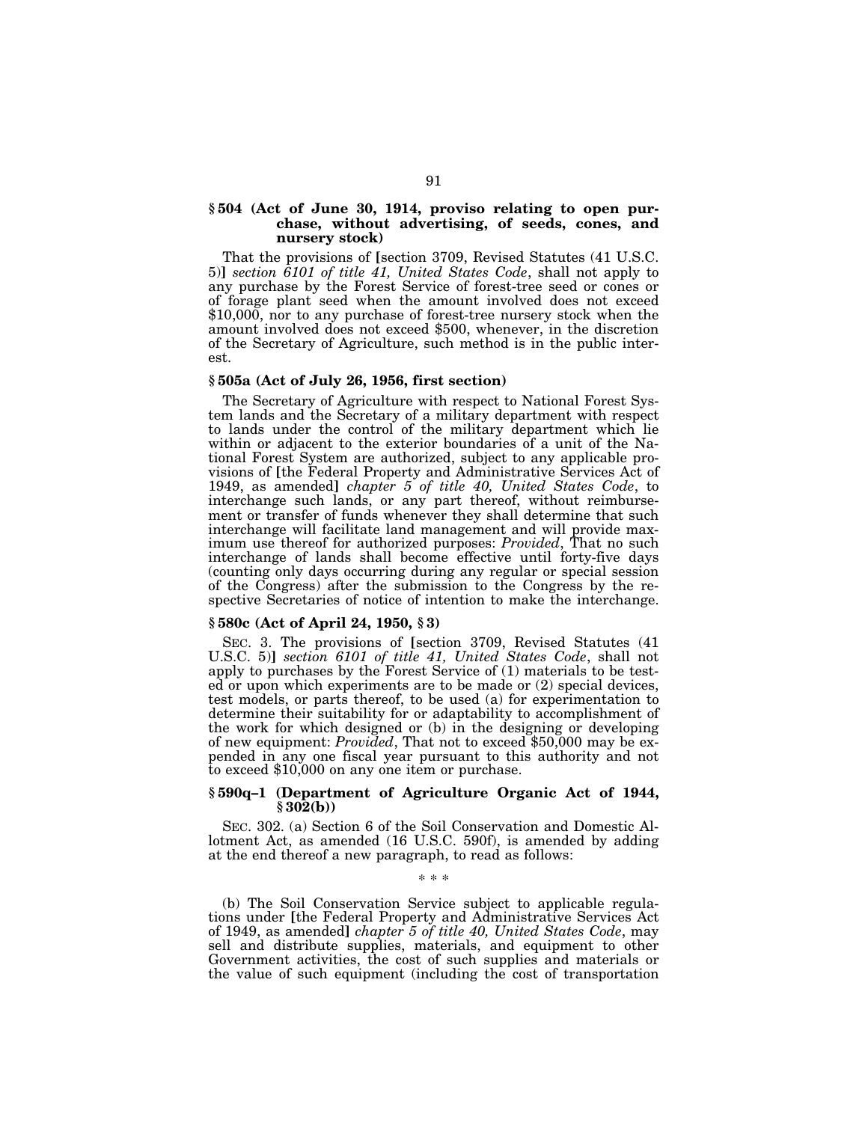## **§ 504 (Act of June 30, 1914, proviso relating to open purchase, without advertising, of seeds, cones, and nursery stock)**

That the provisions of **[**section 3709, Revised Statutes (41 U.S.C. 5)**]** *section 6101 of title 41, United States Code*, shall not apply to any purchase by the Forest Service of forest-tree seed or cones or of forage plant seed when the amount involved does not exceed \$10,000, nor to any purchase of forest-tree nursery stock when the amount involved does not exceed \$500, whenever, in the discretion of the Secretary of Agriculture, such method is in the public interest.

#### **§ 505a (Act of July 26, 1956, first section)**

The Secretary of Agriculture with respect to National Forest System lands and the Secretary of a military department with respect to lands under the control of the military department which lie within or adjacent to the exterior boundaries of a unit of the National Forest System are authorized, subject to any applicable provisions of **[**the Federal Property and Administrative Services Act of 1949, as amended**]** *chapter 5 of title 40, United States Code*, to interchange such lands, or any part thereof, without reimbursement or transfer of funds whenever they shall determine that such interchange will facilitate land management and will provide maximum use thereof for authorized purposes: *Provided*, That no such interchange of lands shall become effective until forty-five days (counting only days occurring during any regular or special session of the Congress) after the submission to the Congress by the respective Secretaries of notice of intention to make the interchange.

#### **§ 580c (Act of April 24, 1950, § 3)**

SEC. 3. The provisions of **[**section 3709, Revised Statutes (41 U.S.C. 5)**]** *section 6101 of title 41, United States Code*, shall not apply to purchases by the Forest Service of (1) materials to be tested or upon which experiments are to be made or (2) special devices, test models, or parts thereof, to be used (a) for experimentation to determine their suitability for or adaptability to accomplishment of the work for which designed or (b) in the designing or developing of new equipment: *Provided*, That not to exceed \$50,000 may be expended in any one fiscal year pursuant to this authority and not to exceed \$10,000 on any one item or purchase.

#### **§ 590q–1 (Department of Agriculture Organic Act of 1944, § 302(b))**

SEC. 302. (a) Section 6 of the Soil Conservation and Domestic Allotment Act, as amended (16 U.S.C. 590f), is amended by adding at the end thereof a new paragraph, to read as follows:

\* \* \*

(b) The Soil Conservation Service subject to applicable regulations under **[**the Federal Property and Administrative Services Act of 1949, as amended**]** *chapter 5 of title 40, United States Code*, may sell and distribute supplies, materials, and equipment to other Government activities, the cost of such supplies and materials or the value of such equipment (including the cost of transportation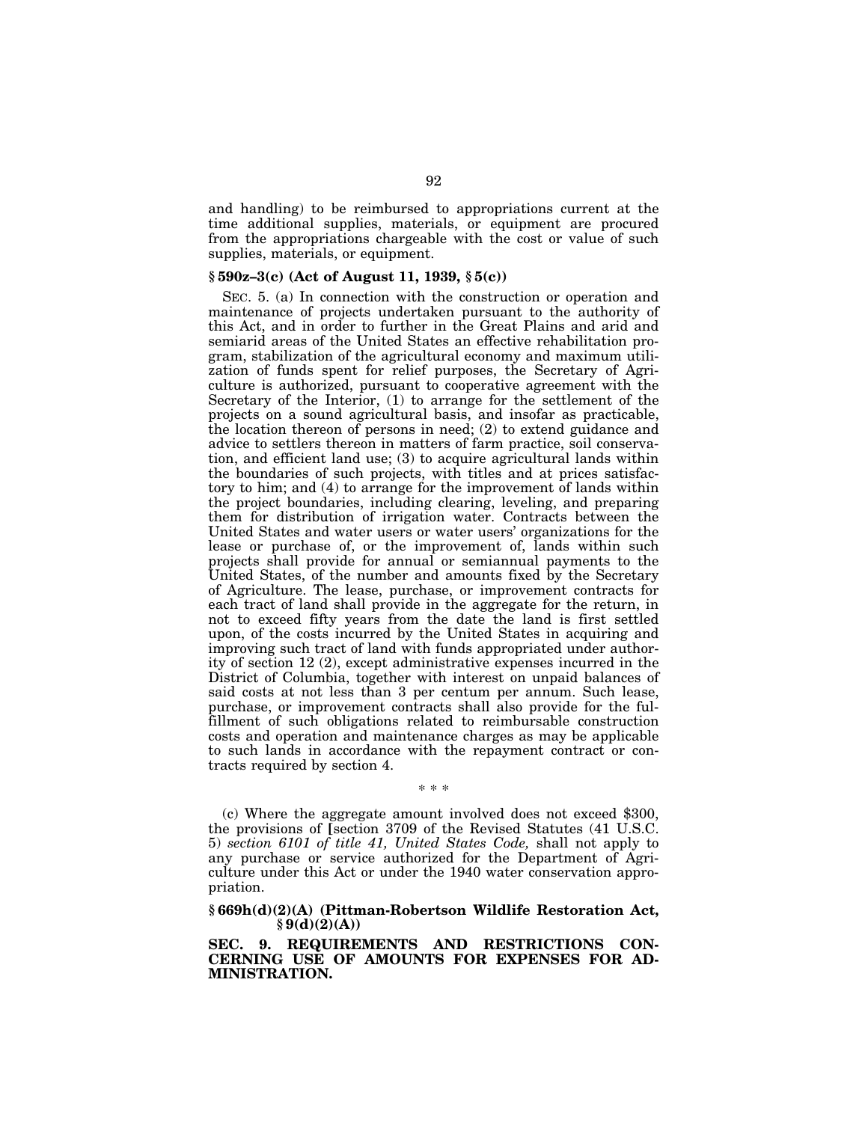and handling) to be reimbursed to appropriations current at the time additional supplies, materials, or equipment are procured from the appropriations chargeable with the cost or value of such supplies, materials, or equipment.

#### **§ 590z–3(c) (Act of August 11, 1939, § 5(c))**

SEC. 5. (a) In connection with the construction or operation and maintenance of projects undertaken pursuant to the authority of this Act, and in order to further in the Great Plains and arid and semiarid areas of the United States an effective rehabilitation program, stabilization of the agricultural economy and maximum utilization of funds spent for relief purposes, the Secretary of Agriculture is authorized, pursuant to cooperative agreement with the Secretary of the Interior, (1) to arrange for the settlement of the projects on a sound agricultural basis, and insofar as practicable, the location thereon of persons in need; (2) to extend guidance and advice to settlers thereon in matters of farm practice, soil conservation, and efficient land use; (3) to acquire agricultural lands within the boundaries of such projects, with titles and at prices satisfactory to him; and (4) to arrange for the improvement of lands within the project boundaries, including clearing, leveling, and preparing them for distribution of irrigation water. Contracts between the United States and water users or water users' organizations for the lease or purchase of, or the improvement of, lands within such projects shall provide for annual or semiannual payments to the United States, of the number and amounts fixed by the Secretary of Agriculture. The lease, purchase, or improvement contracts for each tract of land shall provide in the aggregate for the return, in not to exceed fifty years from the date the land is first settled upon, of the costs incurred by the United States in acquiring and improving such tract of land with funds appropriated under authority of section 12 (2), except administrative expenses incurred in the District of Columbia, together with interest on unpaid balances of said costs at not less than 3 per centum per annum. Such lease, purchase, or improvement contracts shall also provide for the fulfillment of such obligations related to reimbursable construction costs and operation and maintenance charges as may be applicable to such lands in accordance with the repayment contract or contracts required by section 4.

\* \* \*

(c) Where the aggregate amount involved does not exceed \$300, the provisions of **[**section 3709 of the Revised Statutes (41 U.S.C. 5) *section 6101 of title 41, United States Code,* shall not apply to any purchase or service authorized for the Department of Agriculture under this Act or under the 1940 water conservation appropriation.

#### **§ 669h(d)(2)(A) (Pittman-Robertson Wildlife Restoration Act,**   $§ 9(d)(2)(A))$

**SEC. 9. REQUIREMENTS AND RESTRICTIONS CON-CERNING USE OF AMOUNTS FOR EXPENSES FOR AD-MINISTRATION.**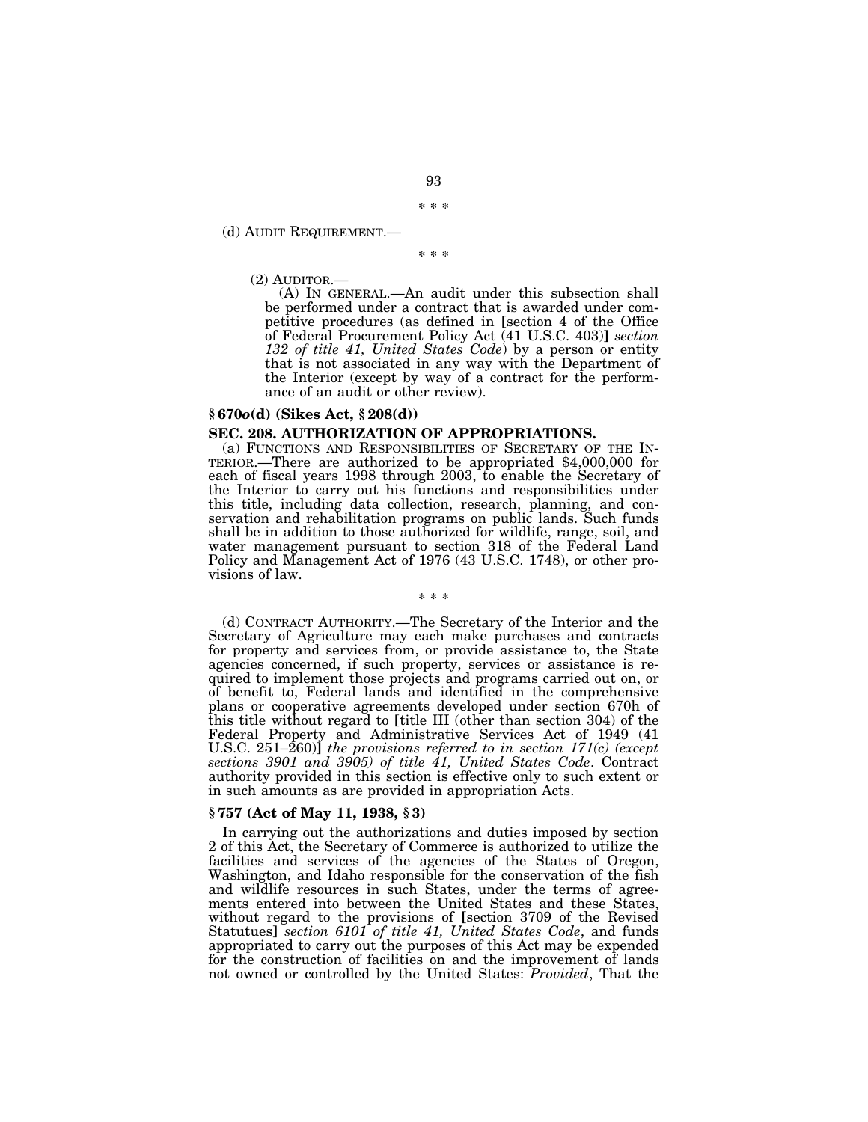\* \* \*

(d) AUDIT REQUIREMENT.—

\* \* \*

(2) AUDITOR.— (A) IN GENERAL.—An audit under this subsection shall be performed under a contract that is awarded under competitive procedures (as defined in **[**section 4 of the Office of Federal Procurement Policy Act (41 U.S.C. 403)**]** *section 132 of title 41, United States Code*) by a person or entity that is not associated in any way with the Department of the Interior (except by way of a contract for the performance of an audit or other review).

#### **§ 670***o***(d) (Sikes Act, § 208(d))**

# **SEC. 208. AUTHORIZATION OF APPROPRIATIONS.**<br>
(a) FUNCTIONS AND RESPONSIBILITIES OF SECRETARY OF THE IN-

TERIOR.—There are authorized to be appropriated  $$4,000,000$  for each of fiscal years 1998 through 2003, to enable the Secretary of the Interior to carry out his functions and responsibilities under this title, including data collection, research, planning, and conservation and rehabilitation programs on public lands. Such funds shall be in addition to those authorized for wildlife, range, soil, and water management pursuant to section 318 of the Federal Land Policy and Management Act of 1976 (43 U.S.C. 1748), or other provisions of law.

\* \* \*

(d) CONTRACT AUTHORITY.—The Secretary of the Interior and the Secretary of Agriculture may each make purchases and contracts for property and services from, or provide assistance to, the State agencies concerned, if such property, services or assistance is required to implement those projects and programs carried out on, or of benefit to, Federal lands and identified in the comprehensive plans or cooperative agreements developed under section 670h of this title without regard to **[**title III (other than section 304) of the Federal Property and Administrative Services Act of 1949 (41 U.S.C. 251–260)**]** *the provisions referred to in section 171(c) (except*  sections 3901 and 3905) of title 41, United States Code. Contract authority provided in this section is effective only to such extent or in such amounts as are provided in appropriation Acts.

# **§ 757 (Act of May 11, 1938, § 3)**

In carrying out the authorizations and duties imposed by section 2 of this Act, the Secretary of Commerce is authorized to utilize the facilities and services of the agencies of the States of Oregon, Washington, and Idaho responsible for the conservation of the fish and wildlife resources in such States, under the terms of agreements entered into between the United States and these States, without regard to the provisions of **[**section 3709 of the Revised Statutues**]** *section 6101 of title 41, United States Code*, and funds appropriated to carry out the purposes of this Act may be expended for the construction of facilities on and the improvement of lands not owned or controlled by the United States: *Provided*, That the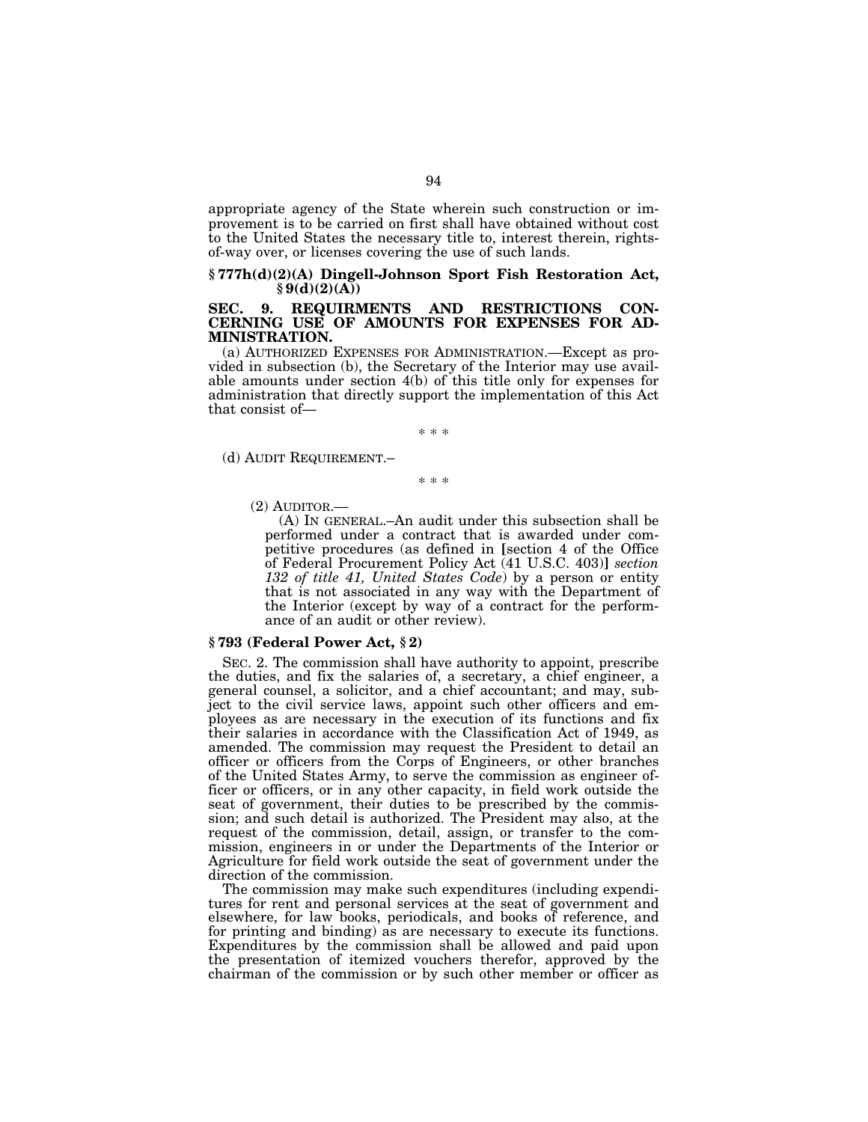appropriate agency of the State wherein such construction or improvement is to be carried on first shall have obtained without cost to the United States the necessary title to, interest therein, rightsof-way over, or licenses covering the use of such lands.

#### **§ 777h(d)(2)(A) Dingell-Johnson Sport Fish Restoration Act,**   $§ 9(d)(2)(A))$

#### **SEC. 9. REQUIRMENTS AND RESTRICTIONS CON-CERNING USE OF AMOUNTS FOR EXPENSES FOR AD-MINISTRATION.**

(a) AUTHORIZED EXPENSES FOR ADMINISTRATION.—Except as provided in subsection (b), the Secretary of the Interior may use available amounts under section 4(b) of this title only for expenses for administration that directly support the implementation of this Act that consist of—

\* \* \*

(d) AUDIT REQUIREMENT.–

\* \* \*

(2) AUDITOR.—

(A) IN GENERAL.–An audit under this subsection shall be performed under a contract that is awarded under competitive procedures (as defined in **[**section 4 of the Office of Federal Procurement Policy Act (41 U.S.C. 403)**]** *section 132 of title 41, United States Code*) by a person or entity that is not associated in any way with the Department of the Interior (except by way of a contract for the performance of an audit or other review).

#### **§ 793 (Federal Power Act, § 2)**

SEC. 2. The commission shall have authority to appoint, prescribe the duties, and fix the salaries of, a secretary, a chief engineer, a general counsel, a solicitor, and a chief accountant; and may, subject to the civil service laws, appoint such other officers and employees as are necessary in the execution of its functions and fix their salaries in accordance with the Classification Act of 1949, as amended. The commission may request the President to detail an officer or officers from the Corps of Engineers, or other branches of the United States Army, to serve the commission as engineer officer or officers, or in any other capacity, in field work outside the seat of government, their duties to be prescribed by the commission; and such detail is authorized. The President may also, at the request of the commission, detail, assign, or transfer to the commission, engineers in or under the Departments of the Interior or Agriculture for field work outside the seat of government under the direction of the commission.

The commission may make such expenditures (including expenditures for rent and personal services at the seat of government and elsewhere, for law books, periodicals, and books of reference, and for printing and binding) as are necessary to execute its functions. Expenditures by the commission shall be allowed and paid upon the presentation of itemized vouchers therefor, approved by the chairman of the commission or by such other member or officer as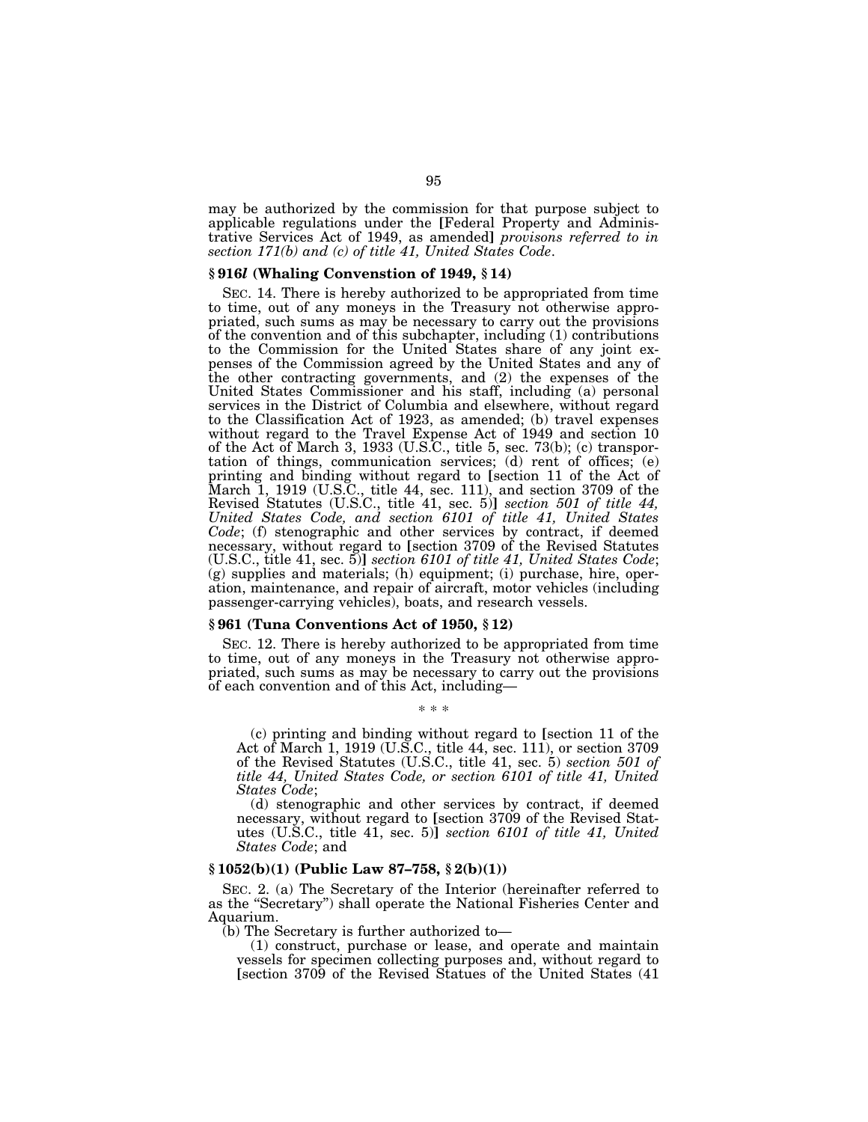may be authorized by the commission for that purpose subject to applicable regulations under the **[**Federal Property and Administrative Services Act of 1949, as amended**]** *provisons referred to in section 171(b) and (c) of title 41, United States Code*.

#### **§ 916***l* **(Whaling Convenstion of 1949, § 14)**

SEC. 14. There is hereby authorized to be appropriated from time to time, out of any moneys in the Treasury not otherwise appropriated, such sums as may be necessary to carry out the provisions of the convention and of this subchapter, including (1) contributions to the Commission for the United States share of any joint expenses of the Commission agreed by the United States and any of the other contracting governments, and (2) the expenses of the United States Commissioner and his staff, including (a) personal services in the District of Columbia and elsewhere, without regard to the Classification Act of 1923, as amended; (b) travel expenses without regard to the Travel Expense Act of 1949 and section 10 of the Act of March 3, 1933 (U.S.C., title 5, sec. 73(b); (c) transportation of things, communication services; (d) rent of offices; (e) printing and binding without regard to **[**section 11 of the Act of March 1, 1919 (U.S.C., title 44, sec. 111), and section 3709 of the Revised Statutes (U.S.C., title 41, sec. 5)**]** *section 501 of title 44, United States Code, and section 6101 of title 41, United States Code*; (f) stenographic and other services by contract, if deemed necessary, without regard to **[**section 3709 of the Revised Statutes (U.S.C., title 41, sec. 5)**]** *section 6101 of title 41, United States Code*; (g) supplies and materials; (h) equipment; (i) purchase, hire, operation, maintenance, and repair of aircraft, motor vehicles (including passenger-carrying vehicles), boats, and research vessels.

#### **§ 961 (Tuna Conventions Act of 1950, § 12)**

SEC. 12. There is hereby authorized to be appropriated from time to time, out of any moneys in the Treasury not otherwise appropriated, such sums as may be necessary to carry out the provisions of each convention and of this Act, including—

\* \* \*

(c) printing and binding without regard to **[**section 11 of the Act of March 1, 1919 (U.S.C., title 44, sec. 111), or section 3709 of the Revised Statutes (U.S.C., title 41, sec. 5) *section 501 of title 44, United States Code, or section 6101 of title 41, United States Code*;

(d) stenographic and other services by contract, if deemed necessary, without regard to **[**section 3709 of the Revised Statutes (U.S.C., title 41, sec. 5)**]** *section 6101 of title 41, United States Code*; and

#### **§ 1052(b)(1) (Public Law 87–758, § 2(b)(1))**

SEC. 2. (a) The Secretary of the Interior (hereinafter referred to as the ''Secretary'') shall operate the National Fisheries Center and Aquarium.

(b) The Secretary is further authorized to—

(1) construct, purchase or lease, and operate and maintain vessels for specimen collecting purposes and, without regard to **[**section 3709 of the Revised Statues of the United States (41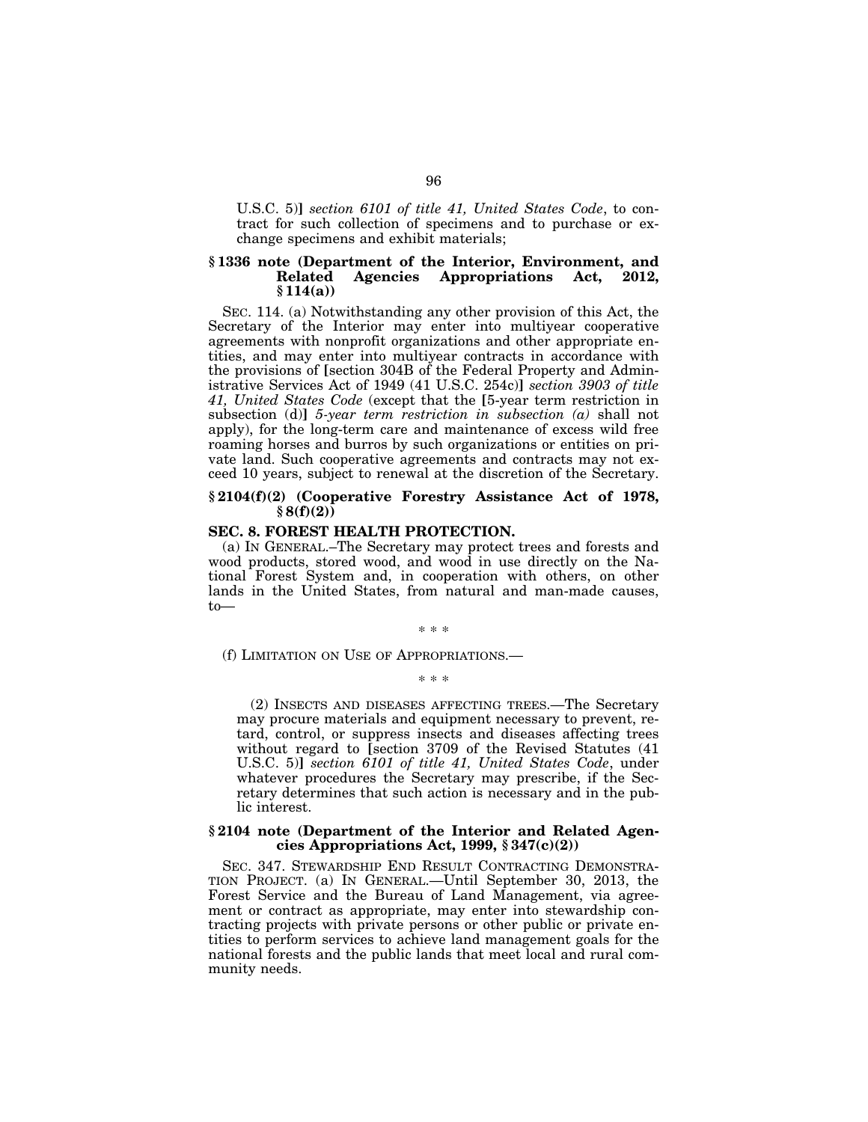U.S.C. 5)**]** *section 6101 of title 41, United States Code*, to contract for such collection of specimens and to purchase or exchange specimens and exhibit materials;

#### **§ 1336 note (Department of the Interior, Environment, and Related Agencies Appropriations Act, 2012, § 114(a))**

SEC. 114. (a) Notwithstanding any other provision of this Act, the Secretary of the Interior may enter into multiyear cooperative agreements with nonprofit organizations and other appropriate entities, and may enter into multiyear contracts in accordance with the provisions of **[**section 304B of the Federal Property and Administrative Services Act of 1949 (41 U.S.C. 254c)**]** *section 3903 of title 41, United States Code* (except that the **[**5-year term restriction in subsection (d)**]** *5-year term restriction in subsection (a)* shall not apply), for the long-term care and maintenance of excess wild free roaming horses and burros by such organizations or entities on private land. Such cooperative agreements and contracts may not exceed 10 years, subject to renewal at the discretion of the Secretary.

#### **§ 2104(f)(2) (Cooperative Forestry Assistance Act of 1978,**   $§ 8(f)(2)$

#### **SEC. 8. FOREST HEALTH PROTECTION.**

(a) IN GENERAL.–The Secretary may protect trees and forests and wood products, stored wood, and wood in use directly on the National Forest System and, in cooperation with others, on other lands in the United States, from natural and man-made causes, to—

\* \* \*

(f) LIMITATION ON USE OF APPROPRIATIONS.—

\* \* \*

(2) INSECTS AND DISEASES AFFECTING TREES.—The Secretary may procure materials and equipment necessary to prevent, retard, control, or suppress insects and diseases affecting trees without regard to **[**section 3709 of the Revised Statutes (41 U.S.C. 5)**]** *section 6101 of title 41, United States Code*, under whatever procedures the Secretary may prescribe, if the Secretary determines that such action is necessary and in the public interest.

#### **§ 2104 note (Department of the Interior and Related Agencies Appropriations Act, 1999, § 347(c)(2))**

SEC. 347. STEWARDSHIP END RESULT CONTRACTING DEMONSTRA-TION PROJECT. (a) IN GENERAL.—Until September 30, 2013, the Forest Service and the Bureau of Land Management, via agreement or contract as appropriate, may enter into stewardship contracting projects with private persons or other public or private entities to perform services to achieve land management goals for the national forests and the public lands that meet local and rural community needs.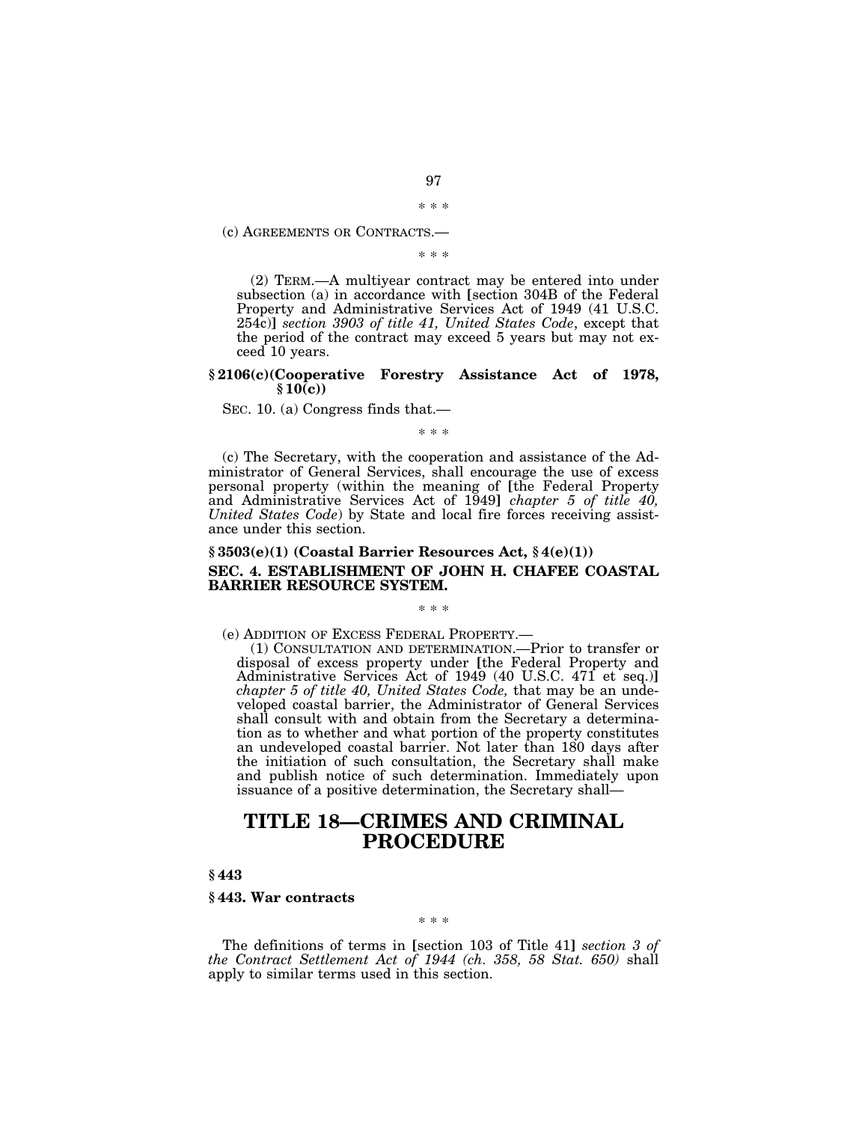(c) AGREEMENTS OR CONTRACTS.—

\* \* \*

(2) TERM.—A multiyear contract may be entered into under subsection (a) in accordance with **[**section 304B of the Federal Property and Administrative Services Act of 1949 (41 U.S.C. 254c)**]** *section 3903 of title 41, United States Code*, except that the period of the contract may exceed 5 years but may not exceed 10 years.

#### **§ 2106(c)(Cooperative Forestry Assistance Act of 1978, § 10(c))**

SEC. 10. (a) Congress finds that.—

\* \* \*

(c) The Secretary, with the cooperation and assistance of the Administrator of General Services, shall encourage the use of excess personal property (within the meaning of **[**the Federal Property and Administrative Services Act of 1949**]** *chapter 5 of title 40, United States Code*) by State and local fire forces receiving assistance under this section.

# **§ 3503(e)(1) (Coastal Barrier Resources Act, § 4(e)(1)) SEC. 4. ESTABLISHMENT OF JOHN H. CHAFEE COASTAL BARRIER RESOURCE SYSTEM.**

\* \* \*

(e) ADDITION OF EXCESS FEDERAL PROPERTY.— (1) CONSULTATION AND DETERMINATION.—Prior to transfer or disposal of excess property under **[**the Federal Property and Administrative Services Act of 1949 (40 U.S.C. 471 et seq.)**]**  *chapter 5 of title 40, United States Code,* that may be an undeveloped coastal barrier, the Administrator of General Services shall consult with and obtain from the Secretary a determination as to whether and what portion of the property constitutes an undeveloped coastal barrier. Not later than 180 days after the initiation of such consultation, the Secretary shall make and publish notice of such determination. Immediately upon issuance of a positive determination, the Secretary shall—

# **TITLE 18—CRIMES AND CRIMINAL PROCEDURE**

**§ 443** 

#### **§ 443. War contracts**

\* \* \*

The definitions of terms in **[**section 103 of Title 41**]** *section 3 of the Contract Settlement Act of 1944 (ch. 358, 58 Stat. 650)* shall apply to similar terms used in this section.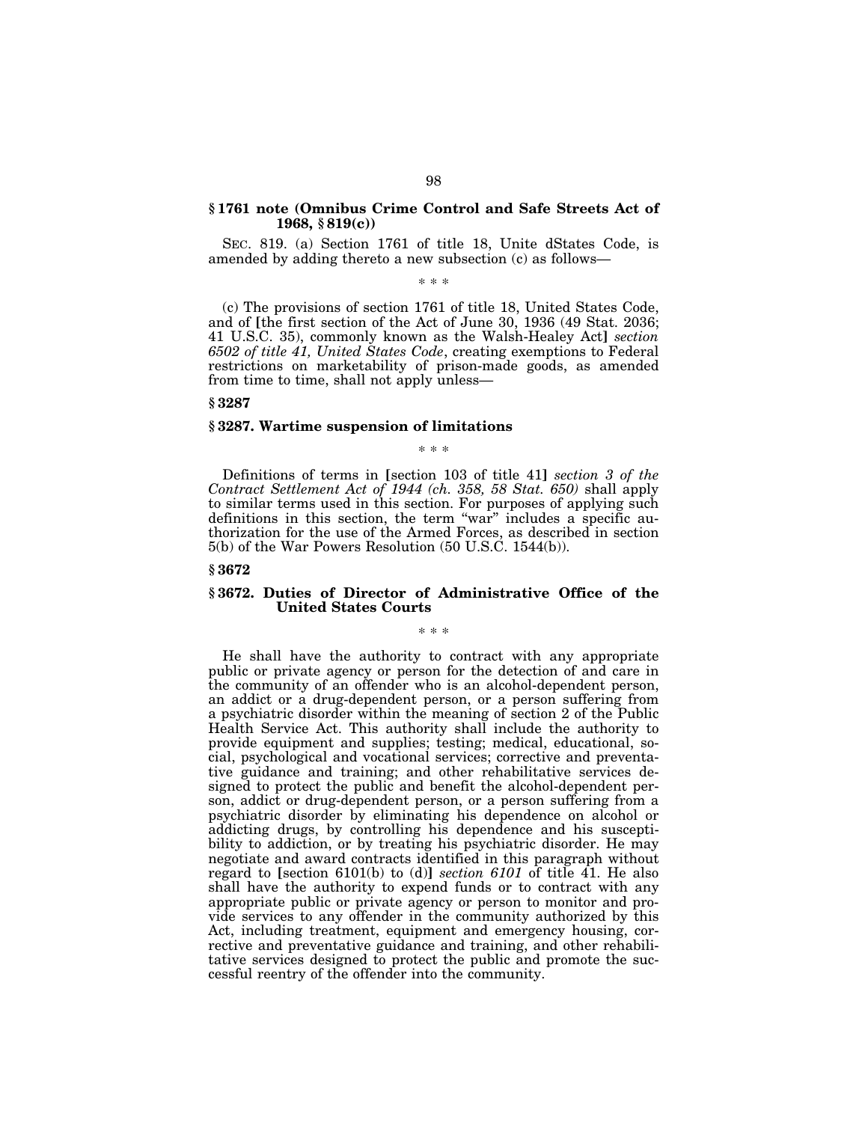#### **§ 1761 note (Omnibus Crime Control and Safe Streets Act of 1968, § 819(c))**

SEC. 819. (a) Section 1761 of title 18, Unite dStates Code, is amended by adding thereto a new subsection (c) as follows—

\* \* \*

(c) The provisions of section 1761 of title 18, United States Code, and of **[**the first section of the Act of June 30, 1936 (49 Stat. 2036; 41 U.S.C. 35), commonly known as the Walsh-Healey Act**]** *section 6502 of title 41, United States Code*, creating exemptions to Federal restrictions on marketability of prison-made goods, as amended from time to time, shall not apply unless—

#### **§ 3287**

#### **§ 3287. Wartime suspension of limitations**

\* \* \*

Definitions of terms in **[**section 103 of title 41**]** *section 3 of the Contract Settlement Act of 1944 (ch. 358, 58 Stat. 650)* shall apply to similar terms used in this section. For purposes of applying such definitions in this section, the term "war" includes a specific authorization for the use of the Armed Forces, as described in section 5(b) of the War Powers Resolution (50 U.S.C. 1544(b)).

#### **§ 3672**

#### **§ 3672. Duties of Director of Administrative Office of the United States Courts**

\* \* \*

He shall have the authority to contract with any appropriate public or private agency or person for the detection of and care in the community of an offender who is an alcohol-dependent person, an addict or a drug-dependent person, or a person suffering from a psychiatric disorder within the meaning of section 2 of the Public Health Service Act. This authority shall include the authority to provide equipment and supplies; testing; medical, educational, social, psychological and vocational services; corrective and preventative guidance and training; and other rehabilitative services designed to protect the public and benefit the alcohol-dependent person, addict or drug-dependent person, or a person suffering from a psychiatric disorder by eliminating his dependence on alcohol or addicting drugs, by controlling his dependence and his susceptibility to addiction, or by treating his psychiatric disorder. He may negotiate and award contracts identified in this paragraph without regard to **[**section 6101(b) to (d)**]** *section 6101* of title 41. He also shall have the authority to expend funds or to contract with any appropriate public or private agency or person to monitor and provide services to any offender in the community authorized by this Act, including treatment, equipment and emergency housing, corrective and preventative guidance and training, and other rehabilitative services designed to protect the public and promote the successful reentry of the offender into the community.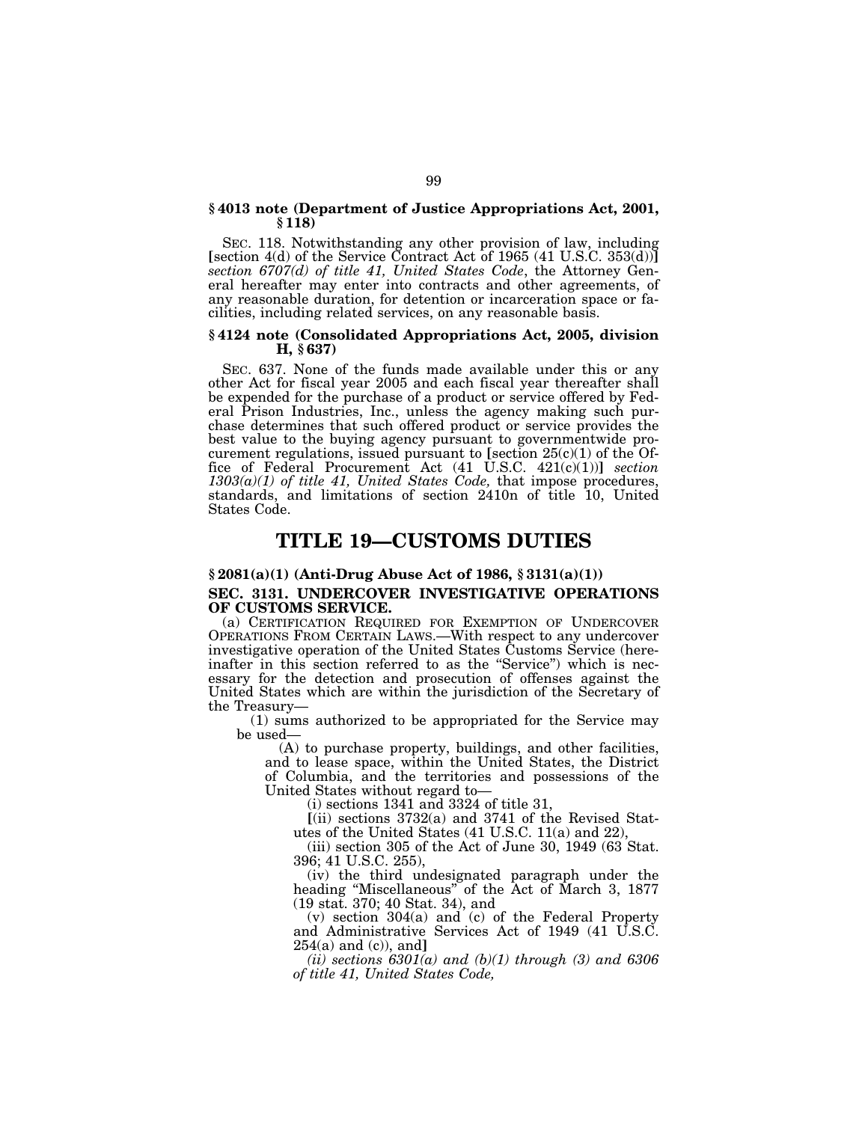#### **§ 4013 note (Department of Justice Appropriations Act, 2001, § 118)**

SEC. 118. Notwithstanding any other provision of law, including **[**section 4(d) of the Service Contract Act of 1965 (41 U.S.C. 353(d))**]**  *section 6707(d) of title 41, United States Code*, the Attorney General hereafter may enter into contracts and other agreements, of any reasonable duration, for detention or incarceration space or facilities, including related services, on any reasonable basis.

#### **§ 4124 note (Consolidated Appropriations Act, 2005, division H, § 637)**

SEC. 637. None of the funds made available under this or any other Act for fiscal year 2005 and each fiscal year thereafter shall be expended for the purchase of a product or service offered by Federal Prison Industries, Inc., unless the agency making such purchase determines that such offered product or service provides the best value to the buying agency pursuant to governmentwide procurement regulations, issued pursuant to **[**section 25(c)(1) of the Office of Federal Procurement Act (41 U.S.C. 421(c)(1))**]** *section 1303(a)(1) of title 41, United States Code,* that impose procedures, standards, and limitations of section 2410n of title 10, United States Code.

# **TITLE 19—CUSTOMS DUTIES**

#### **§ 2081(a)(1) (Anti-Drug Abuse Act of 1986, § 3131(a)(1))**

#### **SEC. 3131. UNDERCOVER INVESTIGATIVE OPERATIONS OF CUSTOMS SERVICE.**

(a) CERTIFICATION REQUIRED FOR EXEMPTION OF UNDERCOVER OPERATIONS FROM CERTAIN LAWS.—With respect to any undercover investigative operation of the United States Customs Service (hereinafter in this section referred to as the "Service") which is necessary for the detection and prosecution of offenses against the United States which are within the jurisdiction of the Secretary of the Treasury—

(1) sums authorized to be appropriated for the Service may be used—

(A) to purchase property, buildings, and other facilities, and to lease space, within the United States, the District of Columbia, and the territories and possessions of the United States without regard to—

(i) sections 1341 and 3324 of title 31,

**[**(ii) sections 3732(a) and 3741 of the Revised Statutes of the United States (41 U.S.C. 11(a) and 22),

(iii) section 305 of the Act of June 30, 1949 (63 Stat. 396; 41 U.S.C. 255),

(iv) the third undesignated paragraph under the heading ''Miscellaneous'' of the Act of March 3, 1877 (19 stat. 370; 40 Stat. 34), and

(v) section 304(a) and (c) of the Federal Property and Administrative Services Act of 1949 (41 U.S.C. 254(a) and (c)), and**]** 

 $(ii)$  sections  $6301(a)$  and  $(b)(1)$  through  $(3)$  and  $6306$ *of title 41, United States Code,*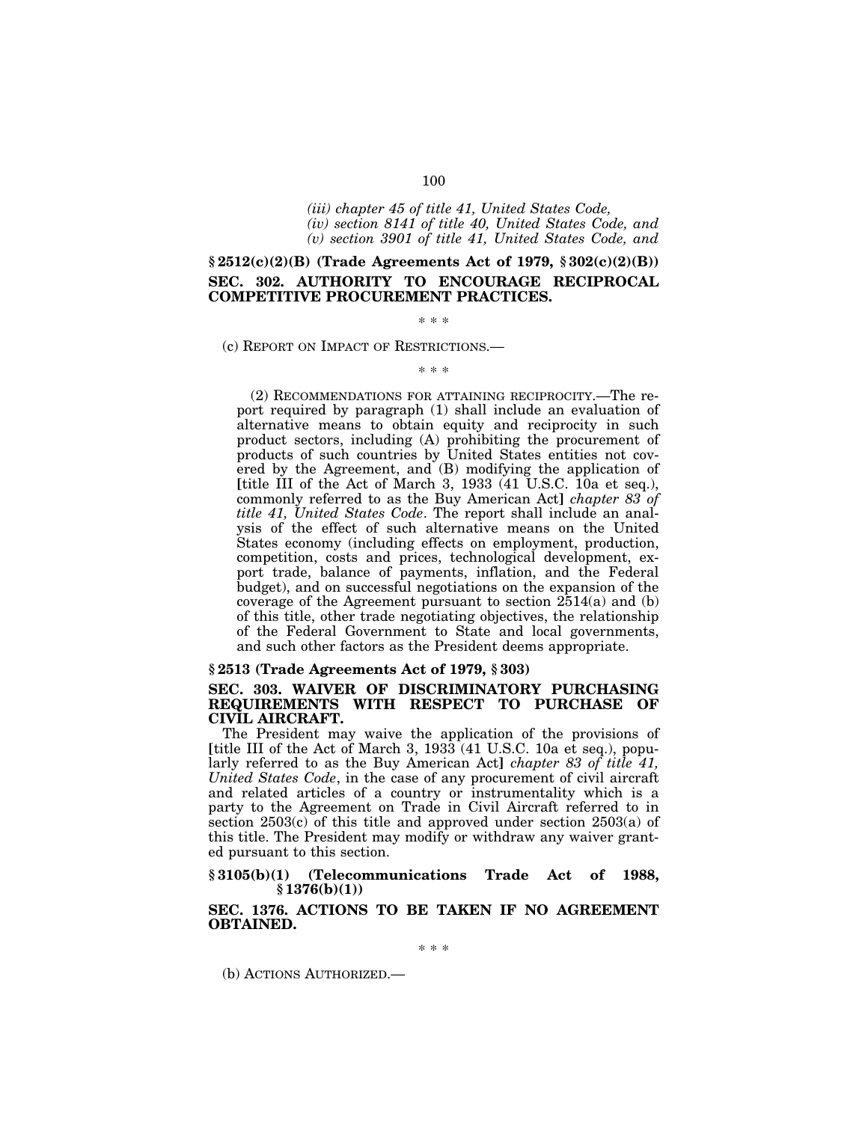*(iii) chapter 45 of title 41, United States Code, (iv) section 8141 of title 40, United States Code, and (v) section 3901 of title 41, United States Code, and* 

# **§ 2512(c)(2)(B) (Trade Agreements Act of 1979, § 302(c)(2)(B)) SEC. 302. AUTHORITY TO ENCOURAGE RECIPROCAL COMPETITIVE PROCUREMENT PRACTICES.**

\* \* \*

(c) REPORT ON IMPACT OF RESTRICTIONS.—

\* \* \*

(2) RECOMMENDATIONS FOR ATTAINING RECIPROCITY.—The report required by paragraph (1) shall include an evaluation of alternative means to obtain equity and reciprocity in such product sectors, including (A) prohibiting the procurement of products of such countries by United States entities not covered by the Agreement, and (B) modifying the application of **[**title III of the Act of March 3, 1933 (41 U.S.C. 10a et seq.), commonly referred to as the Buy American Act**]** *chapter 83 of title 41, United States Code*. The report shall include an analysis of the effect of such alternative means on the United States economy (including effects on employment, production, competition, costs and prices, technological development, export trade, balance of payments, inflation, and the Federal budget), and on successful negotiations on the expansion of the coverage of the Agreement pursuant to section 2514(a) and (b) of this title, other trade negotiating objectives, the relationship of the Federal Government to State and local governments, and such other factors as the President deems appropriate.

**§ 2513 (Trade Agreements Act of 1979, § 303)** 

### **SEC. 303. WAIVER OF DISCRIMINATORY PURCHASING REQUIREMENTS WITH RESPECT TO PURCHASE OF CIVIL AIRCRAFT.**

The President may waive the application of the provisions of **[**title III of the Act of March 3, 1933 (41 U.S.C. 10a et seq.), popularly referred to as the Buy American Act**]** *chapter 83 of title 41, United States Code*, in the case of any procurement of civil aircraft and related articles of a country or instrumentality which is a party to the Agreement on Trade in Civil Aircraft referred to in section 2503(c) of this title and approved under section 2503(a) of this title. The President may modify or withdraw any waiver granted pursuant to this section.

#### **§ 3105(b)(1) (Telecommunications Trade Act of 1988, § 1376(b)(1))**

## **SEC. 1376. ACTIONS TO BE TAKEN IF NO AGREEMENT OBTAINED.**

(b) ACTIONS AUTHORIZED.—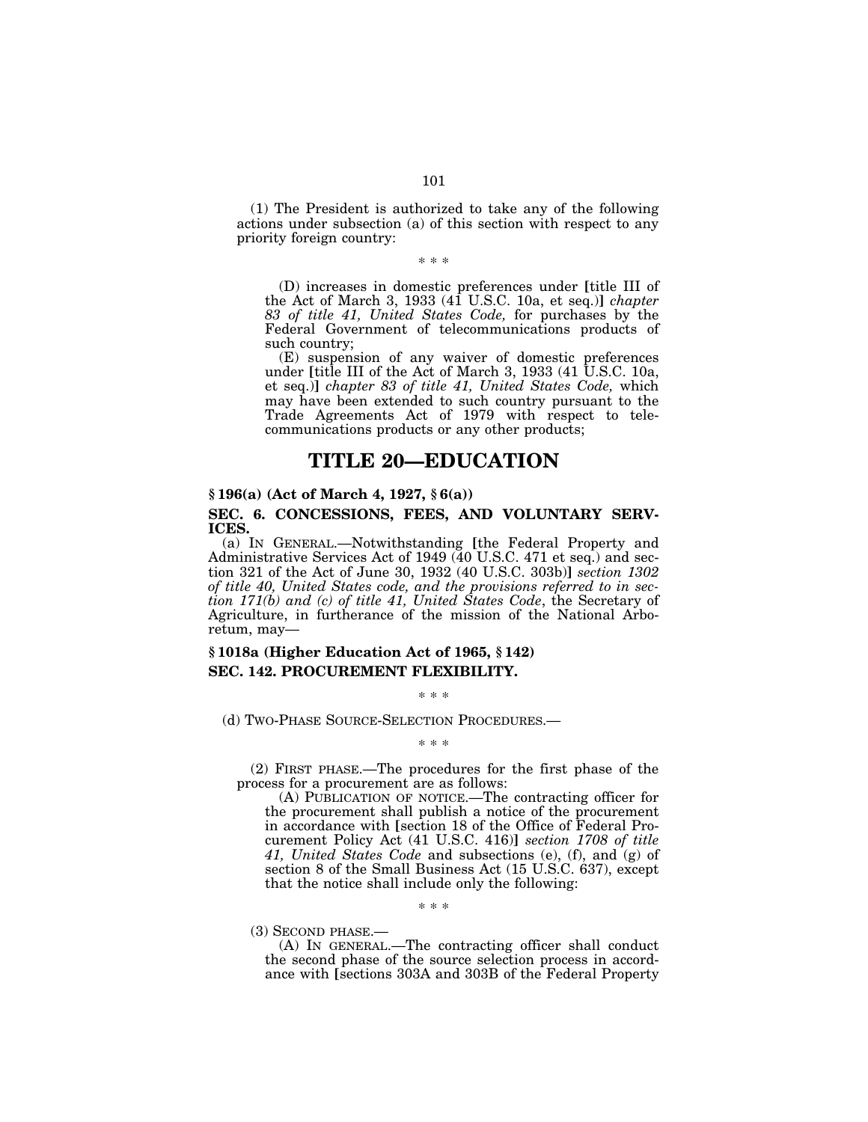(1) The President is authorized to take any of the following actions under subsection (a) of this section with respect to any priority foreign country:

\* \* \*

(D) increases in domestic preferences under **[**title III of the Act of March 3, 1933 (41 U.S.C. 10a, et seq.)**]** *chapter 83 of title 41, United States Code,* for purchases by the Federal Government of telecommunications products of such country;

(E) suspension of any waiver of domestic preferences under **[**title III of the Act of March 3, 1933 (41 U.S.C. 10a, et seq.)**]** *chapter 83 of title 41, United States Code,* which may have been extended to such country pursuant to the Trade Agreements Act of 1979 with respect to telecommunications products or any other products;

# **TITLE 20—EDUCATION**

## **§ 196(a) (Act of March 4, 1927, § 6(a))**

## **SEC. 6. CONCESSIONS, FEES, AND VOLUNTARY SERV-ICES.**

(a) IN GENERAL.—Notwithstanding **[**the Federal Property and Administrative Services Act of 1949 (40 U.S.C. 471 et seq.) and section 321 of the Act of June 30, 1932 (40 U.S.C. 303b)**]** *section 1302 of title 40, United States code, and the provisions referred to in section 171(b) and (c) of title 41, United States Code*, the Secretary of Agriculture, in furtherance of the mission of the National Arboretum, may—

# **§ 1018a (Higher Education Act of 1965, § 142) SEC. 142. PROCUREMENT FLEXIBILITY.**

#### \* \* \*

(d) TWO-PHASE SOURCE-SELECTION PROCEDURES.—

\* \* \*

(2) FIRST PHASE.—The procedures for the first phase of the process for a procurement are as follows:

(A) PUBLICATION OF NOTICE.—The contracting officer for the procurement shall publish a notice of the procurement in accordance with **[**section 18 of the Office of Federal Procurement Policy Act (41 U.S.C. 416)**]** *section 1708 of title 41, United States Code* and subsections (e), (f), and (g) of section 8 of the Small Business Act (15 U.S.C. 637), except that the notice shall include only the following:

\* \* \*

(3) SECOND PHASE.—

(A) IN GENERAL.—The contracting officer shall conduct the second phase of the source selection process in accordance with **[**sections 303A and 303B of the Federal Property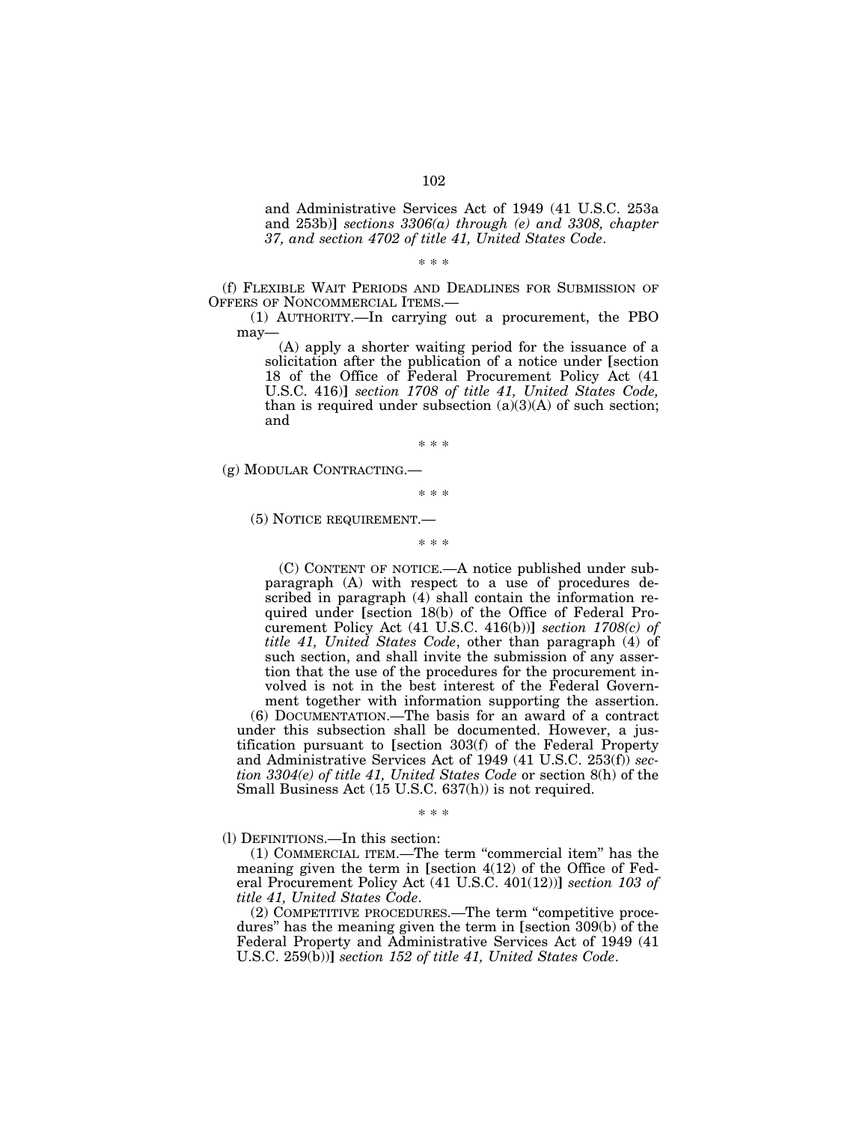and Administrative Services Act of 1949 (41 U.S.C. 253a and 253b)**]** *sections 3306(a) through (e) and 3308, chapter 37, and section 4702 of title 41, United States Code*.

\* \* \*

(f) FLEXIBLE WAIT PERIODS AND DEADLINES FOR SUBMISSION OF OFFERS OF NONCOMMERCIAL ITEMS.—

(1) AUTHORITY.—In carrying out a procurement, the PBO may—

(A) apply a shorter waiting period for the issuance of a solicitation after the publication of a notice under **[**section 18 of the Office of Federal Procurement Policy Act (41 U.S.C. 416)**]** *section 1708 of title 41, United States Code,*  than is required under subsection  $(a)(3)(A)$  of such section; and

\* \* \*

(g) MODULAR CONTRACTING.—

\* \* \*

(5) NOTICE REQUIREMENT.—

\* \* \*

(C) CONTENT OF NOTICE.—A notice published under subparagraph (A) with respect to a use of procedures described in paragraph (4) shall contain the information required under **[**section 18(b) of the Office of Federal Procurement Policy Act (41 U.S.C. 416(b))**]** *section 1708(c) of title 41, United States Code*, other than paragraph (4) of such section, and shall invite the submission of any assertion that the use of the procedures for the procurement involved is not in the best interest of the Federal Government together with information supporting the assertion.

(6) DOCUMENTATION.—The basis for an award of a contract under this subsection shall be documented. However, a justification pursuant to **[**section 303(f) of the Federal Property and Administrative Services Act of 1949 (41 U.S.C. 253(f)) *section 3304(e) of title 41, United States Code* or section 8(h) of the Small Business Act (15 U.S.C. 637(h)) is not required.

\* \* \*

(l) DEFINITIONS.—In this section:

(1) COMMERCIAL ITEM.—The term ''commercial item'' has the meaning given the term in **[**section 4(12) of the Office of Federal Procurement Policy Act (41 U.S.C. 401(12))**]** *section 103 of title 41, United States Code*.

(2) COMPETITIVE PROCEDURES.—The term ''competitive procedures'' has the meaning given the term in **[**section 309(b) of the Federal Property and Administrative Services Act of 1949 (41 U.S.C. 259(b))**]** *section 152 of title 41, United States Code*.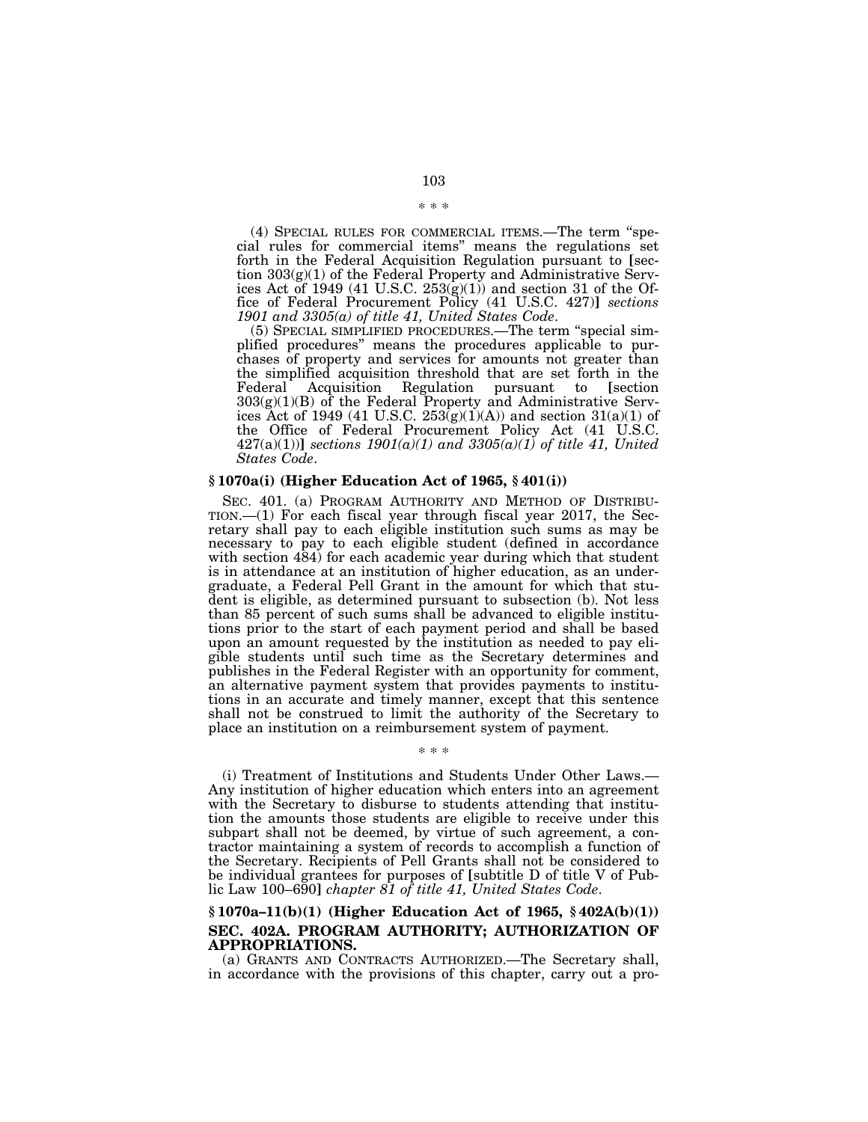(4) SPECIAL RULES FOR COMMERCIAL ITEMS.—The term ''special rules for commercial items'' means the regulations set forth in the Federal Acquisition Regulation pursuant to **[**section 303(g)(1) of the Federal Property and Administrative Services Act of 1949 (41 U.S.C.  $253(g)(1)$ ) and section 31 of the Office of Federal Procurement Policy (41 U.S.C. 427)**]** *sections 1901 and 3305(a) of title 41, United States Code*.

(5) SPECIAL SIMPLIFIED PROCEDURES.—The term ''special simplified procedures'' means the procedures applicable to purchases of property and services for amounts not greater than the simplified acquisition threshold that are set forth in the Federal Acquisition Regulation pursuant to **[**section  $303(g)(1)(B)$  of the Federal Property and Administrative Services Act of 1949 (41 U.S.C.  $253(g)(1)(A)$ ) and section  $31(a)(1)$  of the Office of Federal Procurement Policy Act (41 U.S.C. 427(a)(1))**]** *sections 1901(a)(1) and 3305(a)(1) of title 41, United States Code*.

#### **§ 1070a(i) (Higher Education Act of 1965, § 401(i))**

SEC. 401. (a) PROGRAM AUTHORITY AND METHOD OF DISTRIBU- $TION.$ — $(1)$  For each fiscal year through fiscal year 2017, the Secretary shall pay to each eligible institution such sums as may be necessary to pay to each eligible student (defined in accordance with section  $\overline{484}$  for each academic year during which that student is in attendance at an institution of higher education, as an undergraduate, a Federal Pell Grant in the amount for which that student is eligible, as determined pursuant to subsection (b). Not less than 85 percent of such sums shall be advanced to eligible institutions prior to the start of each payment period and shall be based upon an amount requested by the institution as needed to pay eligible students until such time as the Secretary determines and publishes in the Federal Register with an opportunity for comment, an alternative payment system that provides payments to institutions in an accurate and timely manner, except that this sentence shall not be construed to limit the authority of the Secretary to place an institution on a reimbursement system of payment.

(i) Treatment of Institutions and Students Under Other Laws.— Any institution of higher education which enters into an agreement with the Secretary to disburse to students attending that institution the amounts those students are eligible to receive under this subpart shall not be deemed, by virtue of such agreement, a contractor maintaining a system of records to accomplish a function of the Secretary. Recipients of Pell Grants shall not be considered to be individual grantees for purposes of **[**subtitle D of title V of Public Law 100–690**]** *chapter 81 of title 41, United States Code*.

\* \* \*

# **§ 1070a–11(b)(1) (Higher Education Act of 1965, § 402A(b)(1)) SEC. 402A. PROGRAM AUTHORITY; AUTHORIZATION OF APPROPRIATIONS.**

(a) GRANTS AND CONTRACTS AUTHORIZED.—The Secretary shall, in accordance with the provisions of this chapter, carry out a pro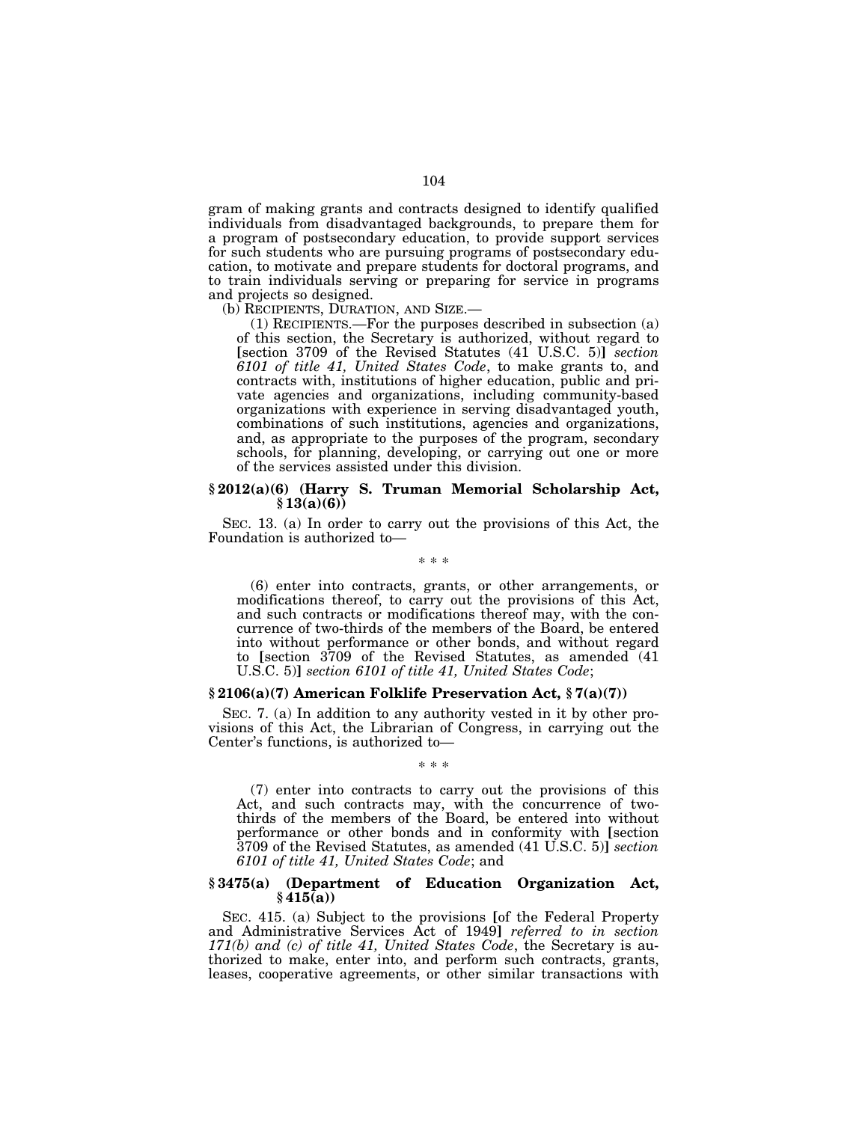gram of making grants and contracts designed to identify qualified individuals from disadvantaged backgrounds, to prepare them for a program of postsecondary education, to provide support services for such students who are pursuing programs of postsecondary education, to motivate and prepare students for doctoral programs, and to train individuals serving or preparing for service in programs and projects so designed.

(b) RECIPIENTS, DURATION, AND SIZE.—

(1) RECIPIENTS.—For the purposes described in subsection (a) of this section, the Secretary is authorized, without regard to **[**section 3709 of the Revised Statutes (41 U.S.C. 5)**]** *section 6101 of title 41, United States Code*, to make grants to, and contracts with, institutions of higher education, public and private agencies and organizations, including community-based organizations with experience in serving disadvantaged youth, combinations of such institutions, agencies and organizations, and, as appropriate to the purposes of the program, secondary schools, for planning, developing, or carrying out one or more of the services assisted under this division.

#### **§ 2012(a)(6) (Harry S. Truman Memorial Scholarship Act, § 13(a)(6))**

SEC. 13. (a) In order to carry out the provisions of this Act, the Foundation is authorized to—

\* \* \*

(6) enter into contracts, grants, or other arrangements, or modifications thereof, to carry out the provisions of this Act, and such contracts or modifications thereof may, with the concurrence of two-thirds of the members of the Board, be entered into without performance or other bonds, and without regard to **[**section 3709 of the Revised Statutes, as amended (41 U.S.C. 5)**]** *section 6101 of title 41, United States Code*;

## **§ 2106(a)(7) American Folklife Preservation Act, § 7(a)(7))**

SEC. 7. (a) In addition to any authority vested in it by other provisions of this Act, the Librarian of Congress, in carrying out the Center's functions, is authorized to—

\* \* \*

(7) enter into contracts to carry out the provisions of this Act, and such contracts may, with the concurrence of twothirds of the members of the Board, be entered into without performance or other bonds and in conformity with **[**section 3709 of the Revised Statutes, as amended (41 U.S.C. 5)**]** *section 6101 of title 41, United States Code*; and

#### **§ 3475(a) (Department of Education Organization Act,**   $§ 415(a)$

SEC. 415. (a) Subject to the provisions **[**of the Federal Property and Administrative Services Act of 1949**]** *referred to in section 171(b) and (c) of title 41, United States Code*, the Secretary is authorized to make, enter into, and perform such contracts, grants, leases, cooperative agreements, or other similar transactions with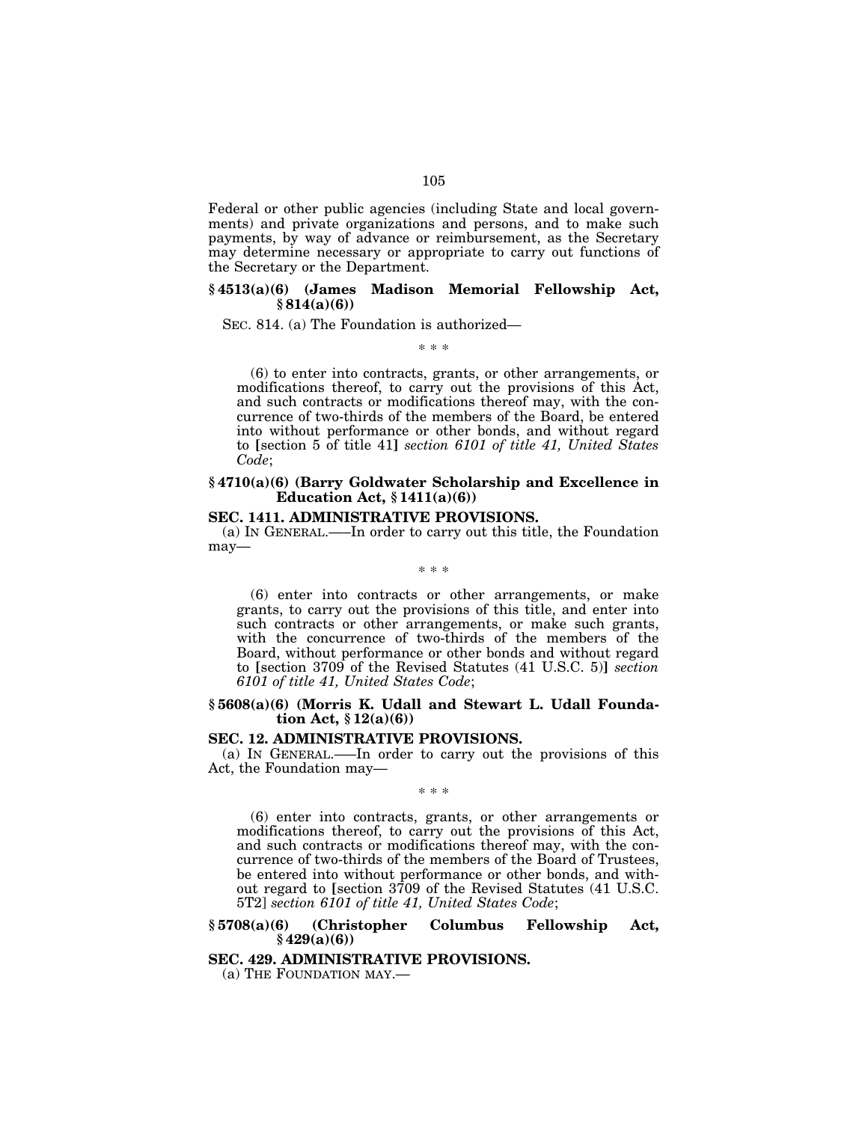Federal or other public agencies (including State and local governments) and private organizations and persons, and to make such payments, by way of advance or reimbursement, as the Secretary may determine necessary or appropriate to carry out functions of the Secretary or the Department.

## **§ 4513(a)(6) (James Madison Memorial Fellowship Act, § 814(a)(6))**

SEC. 814. (a) The Foundation is authorized—

(6) to enter into contracts, grants, or other arrangements, or modifications thereof, to carry out the provisions of this Act, and such contracts or modifications thereof may, with the concurrence of two-thirds of the members of the Board, be entered into without performance or other bonds, and without regard to **[**section 5 of title 41**]** *section 6101 of title 41, United States Code*;

## **§ 4710(a)(6) (Barry Goldwater Scholarship and Excellence in Education Act, § 1411(a)(6))**

## **SEC. 1411. ADMINISTRATIVE PROVISIONS.**

(a) IN GENERAL.—–In order to carry out this title, the Foundation may—

\* \* \*

(6) enter into contracts or other arrangements, or make grants, to carry out the provisions of this title, and enter into such contracts or other arrangements, or make such grants, with the concurrence of two-thirds of the members of the Board, without performance or other bonds and without regard to **[**section 3709 of the Revised Statutes (41 U.S.C. 5)**]** *section 6101 of title 41, United States Code*;

## **§ 5608(a)(6) (Morris K. Udall and Stewart L. Udall Foundation Act, § 12(a)(6))**

# **SEC. 12. ADMINISTRATIVE PROVISIONS.**

(a) IN GENERAL.—–In order to carry out the provisions of this Act, the Foundation may—

\* \* \*

(6) enter into contracts, grants, or other arrangements or modifications thereof, to carry out the provisions of this Act, and such contracts or modifications thereof may, with the concurrence of two-thirds of the members of the Board of Trustees, be entered into without performance or other bonds, and without regard to **[**section 3709 of the Revised Statutes (41 U.S.C. 5T2] *section 6101 of title 41, United States Code*;

#### **§ 5708(a)(6) (Christopher Columbus Fellowship Act,**   $§ 429(a)(6))$

#### **SEC. 429. ADMINISTRATIVE PROVISIONS.**

(a) THE FOUNDATION MAY.—

<sup>\* \* \*</sup>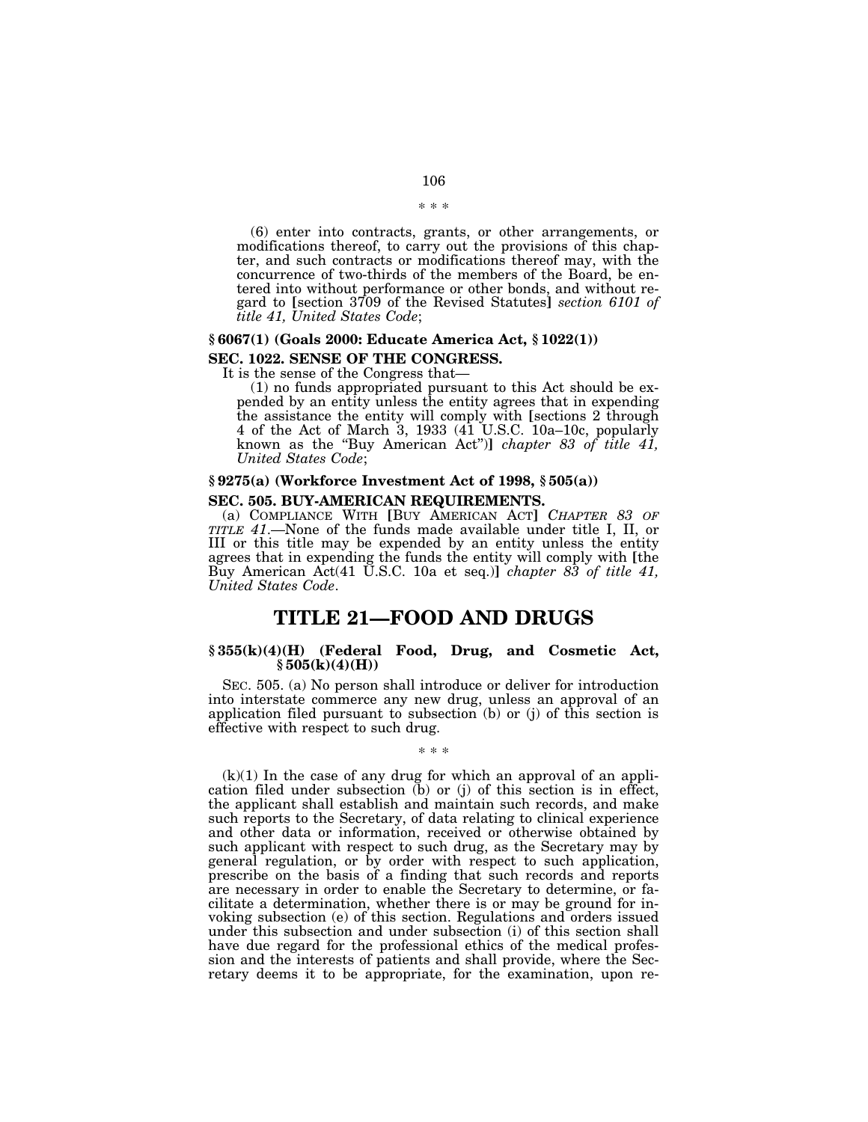(6) enter into contracts, grants, or other arrangements, or modifications thereof, to carry out the provisions of this chapter, and such contracts or modifications thereof may, with the concurrence of two-thirds of the members of the Board, be entered into without performance or other bonds, and without regard to **[**section 3709 of the Revised Statutes**]** *section 6101 of title 41, United States Code*;

#### **§ 6067(1) (Goals 2000: Educate America Act, § 1022(1))**

# **SEC. 1022. SENSE OF THE CONGRESS.**

It is the sense of the Congress that—

(1) no funds appropriated pursuant to this Act should be expended by an entity unless the entity agrees that in expending the assistance the entity will comply with **[**sections 2 through 4 of the Act of March  $3, 1933$  (41 U.S.C. 10a–10c, popularly known as the ''Buy American Act'')**]** *chapter 83 of title 41, United States Code*;

## **§ 9275(a) (Workforce Investment Act of 1998, § 505(a))**

#### **SEC. 505. BUY-AMERICAN REQUIREMENTS.**

(a) COMPLIANCE WITH **[**BUY AMERICAN ACT**]** *CHAPTER 83 OF TITLE 41*.—None of the funds made available under title I, II, or III or this title may be expended by an entity unless the entity agrees that in expending the funds the entity will comply with **[**the Buy American Act(41 U.S.C. 10a et seq.)**]** *chapter 83 of title 41, United States Code*.

# **TITLE 21—FOOD AND DRUGS**

#### **§ 355(k)(4)(H) (Federal Food, Drug, and Cosmetic Act,**   $§ 505(k)(4)(H))$

SEC. 505. (a) No person shall introduce or deliver for introduction into interstate commerce any new drug, unless an approval of an application filed pursuant to subsection (b) or (j) of this section is effective with respect to such drug.

#### \* \* \*

 $(k)(1)$  In the case of any drug for which an approval of an application filed under subsection  $(b)$  or  $(j)$  of this section is in effect, the applicant shall establish and maintain such records, and make such reports to the Secretary, of data relating to clinical experience and other data or information, received or otherwise obtained by such applicant with respect to such drug, as the Secretary may by general regulation, or by order with respect to such application, prescribe on the basis of a finding that such records and reports are necessary in order to enable the Secretary to determine, or facilitate a determination, whether there is or may be ground for invoking subsection (e) of this section. Regulations and orders issued under this subsection and under subsection (i) of this section shall have due regard for the professional ethics of the medical profession and the interests of patients and shall provide, where the Secretary deems it to be appropriate, for the examination, upon re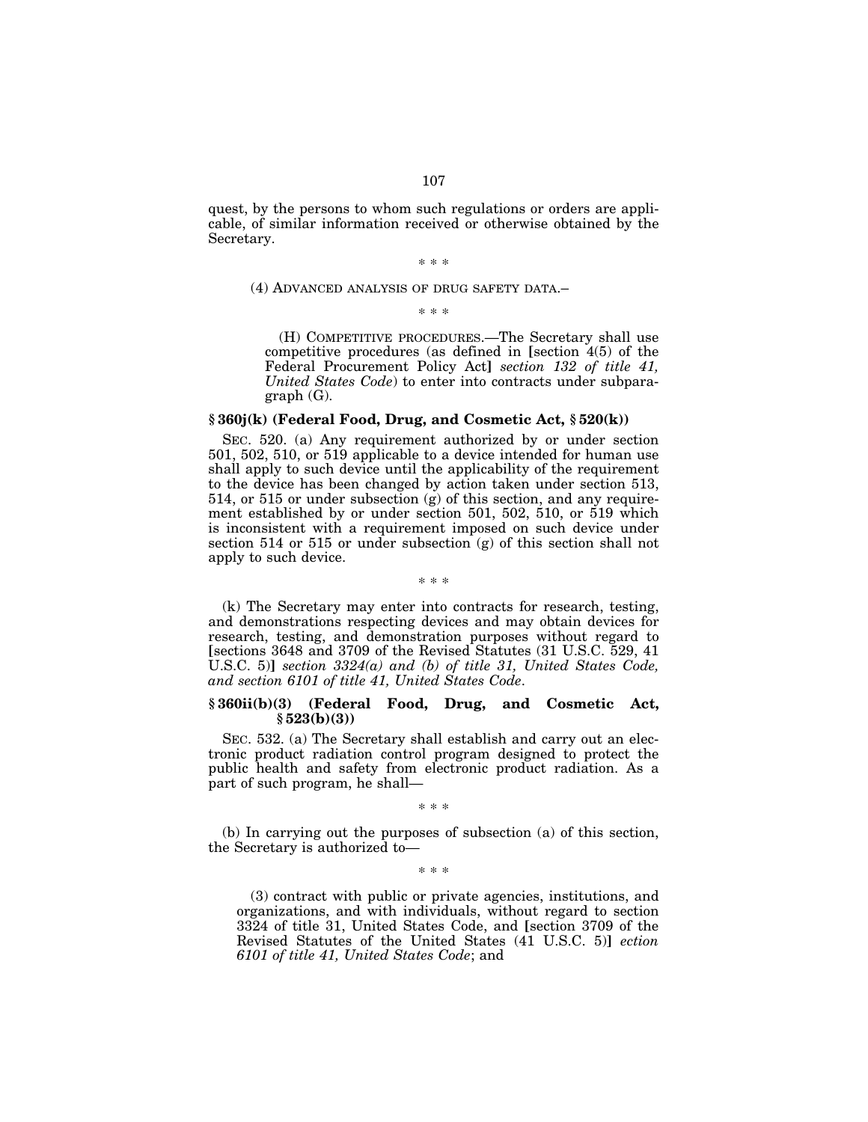quest, by the persons to whom such regulations or orders are applicable, of similar information received or otherwise obtained by the Secretary.

\* \* \*

#### (4) ADVANCED ANALYSIS OF DRUG SAFETY DATA.–

\* \* \*

(H) COMPETITIVE PROCEDURES.—The Secretary shall use competitive procedures (as defined in **[**section 4(5) of the Federal Procurement Policy Act**]** *section 132 of title 41, United States Code*) to enter into contracts under subparagraph (G).

## **§ 360j(k) (Federal Food, Drug, and Cosmetic Act, § 520(k))**

SEC. 520. (a) Any requirement authorized by or under section 501, 502, 510, or 519 applicable to a device intended for human use shall apply to such device until the applicability of the requirement to the device has been changed by action taken under section 513, 514, or 515 or under subsection (g) of this section, and any requirement established by or under section 501, 502, 510, or 519 which is inconsistent with a requirement imposed on such device under section 514 or 515 or under subsection (g) of this section shall not apply to such device.

\* \* \*

(k) The Secretary may enter into contracts for research, testing, and demonstrations respecting devices and may obtain devices for research, testing, and demonstration purposes without regard to **[**sections 3648 and 3709 of the Revised Statutes (31 U.S.C. 529, 41 U.S.C. 5)**]** *section 3324(a) and (b) of title 31, United States Code, and section 6101 of title 41, United States Code*.

#### **§ 360ii(b)(3) (Federal Food, Drug, and Cosmetic Act, § 523(b)(3))**

SEC. 532. (a) The Secretary shall establish and carry out an electronic product radiation control program designed to protect the public health and safety from electronic product radiation. As a part of such program, he shall—

\* \* \*

(b) In carrying out the purposes of subsection (a) of this section, the Secretary is authorized to—

\* \* \*

(3) contract with public or private agencies, institutions, and organizations, and with individuals, without regard to section 3324 of title 31, United States Code, and **[**section 3709 of the Revised Statutes of the United States (41 U.S.C. 5)**]** *ection 6101 of title 41, United States Code*; and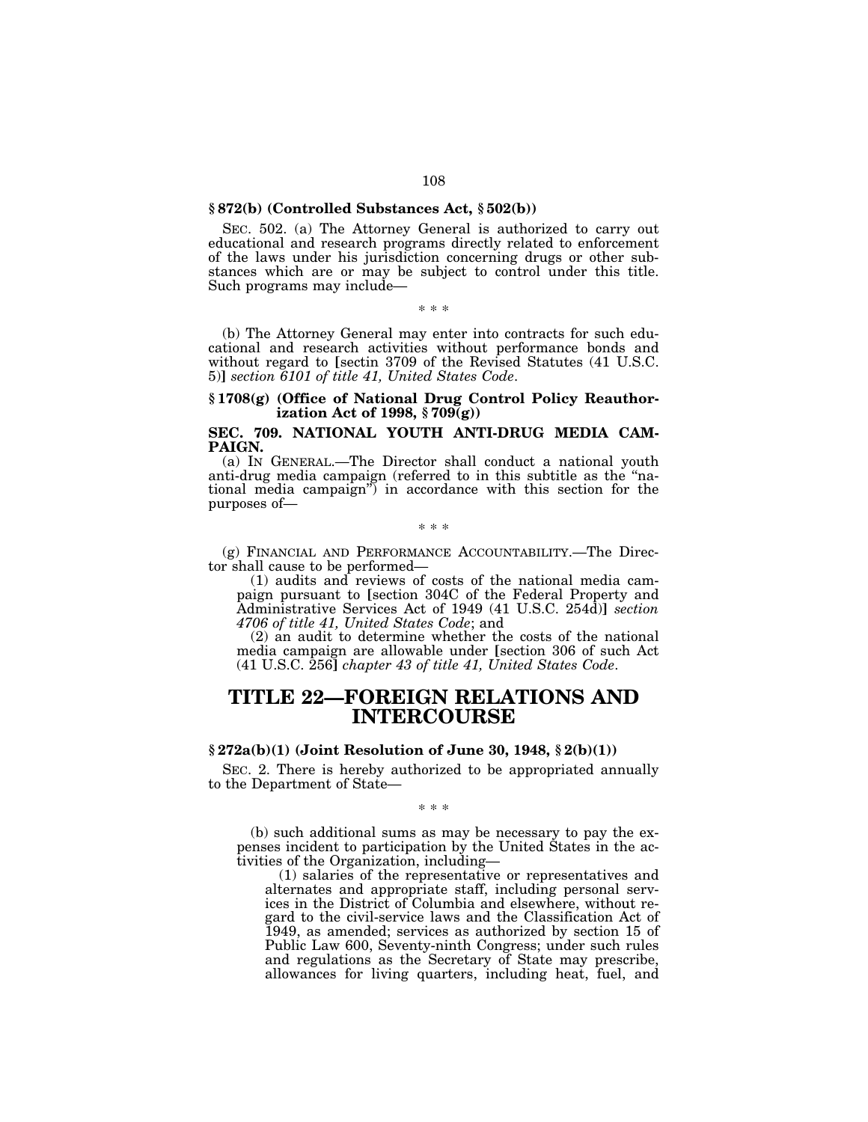#### **§ 872(b) (Controlled Substances Act, § 502(b))**

SEC. 502. (a) The Attorney General is authorized to carry out educational and research programs directly related to enforcement of the laws under his jurisdiction concerning drugs or other substances which are or may be subject to control under this title. Such programs may include—

\* \* \*

(b) The Attorney General may enter into contracts for such educational and research activities without performance bonds and without regard to **[**sectin 3709 of the Revised Statutes (41 U.S.C. 5)**]** *section 6101 of title 41, United States Code*.

#### **§ 1708(g) (Office of National Drug Control Policy Reauthorization Act of 1998, § 709(g))**

#### **SEC. 709. NATIONAL YOUTH ANTI-DRUG MEDIA CAM-PAIGN.**

(a) IN GENERAL.—The Director shall conduct a national youth anti-drug media campaign (referred to in this subtitle as the ''national media campaign") in accordance with this section for the purposes of—

\* \* \*

(g) FINANCIAL AND PERFORMANCE ACCOUNTABILITY.—The Director shall cause to be performed—

(1) audits and reviews of costs of the national media campaign pursuant to **[**section 304C of the Federal Property and Administrative Services Act of 1949 (41 U.S.C. 254d)**]** *section 4706 of title 41, United States Code*; and

(2) an audit to determine whether the costs of the national media campaign are allowable under **[**section 306 of such Act (41 U.S.C. 256**]** *chapter 43 of title 41, United States Code*.

# **TITLE 22—FOREIGN RELATIONS AND INTERCOURSE**

#### **§ 272a(b)(1) (Joint Resolution of June 30, 1948, § 2(b)(1))**

SEC. 2. There is hereby authorized to be appropriated annually to the Department of State—

\* \* \*

(b) such additional sums as may be necessary to pay the expenses incident to participation by the United States in the activities of the Organization, including—

(1) salaries of the representative or representatives and alternates and appropriate staff, including personal services in the District of Columbia and elsewhere, without regard to the civil-service laws and the Classification Act of 1949, as amended; services as authorized by section 15 of Public Law 600, Seventy-ninth Congress; under such rules and regulations as the Secretary of State may prescribe, allowances for living quarters, including heat, fuel, and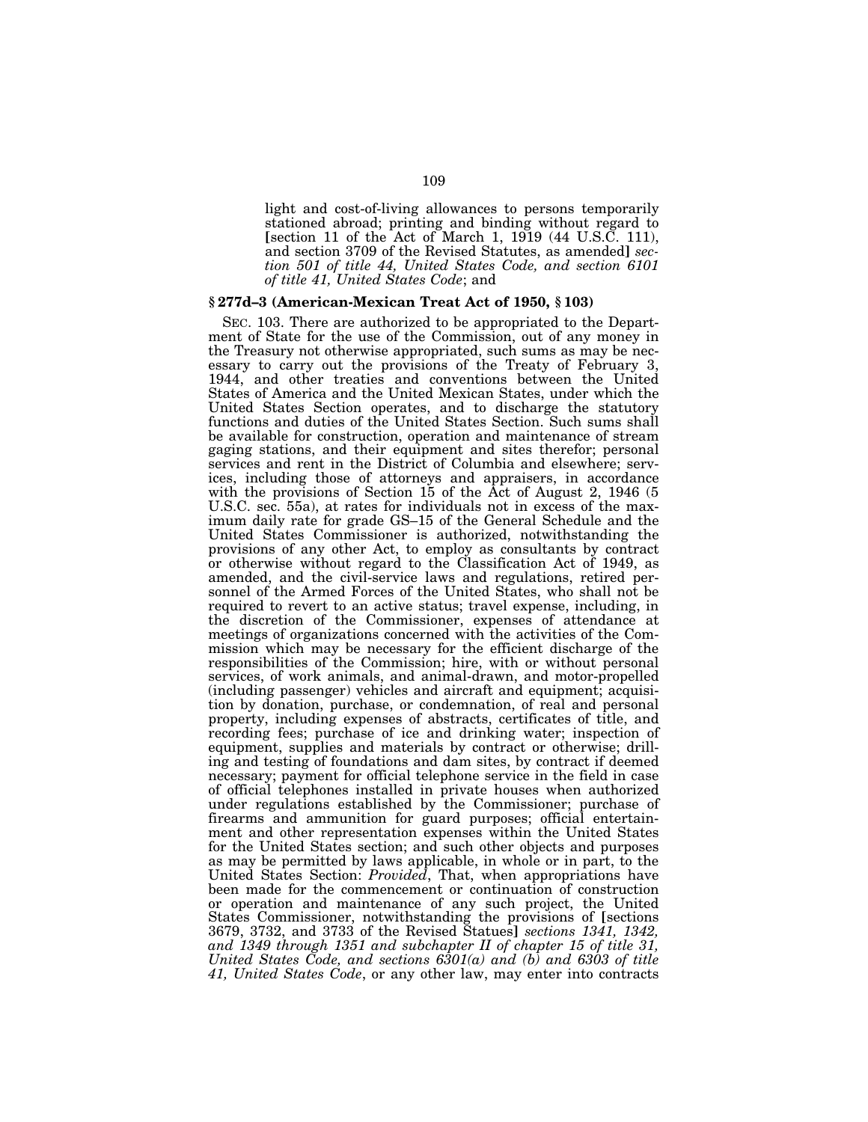light and cost-of-living allowances to persons temporarily stationed abroad; printing and binding without regard to **[**section 11 of the Act of March 1, 1919 (44 U.S.C. 111), and section 3709 of the Revised Statutes, as amended**]** *section 501 of title 44, United States Code, and section 6101 of title 41, United States Code*; and

#### **§ 277d–3 (American-Mexican Treat Act of 1950, § 103)**

SEC. 103. There are authorized to be appropriated to the Department of State for the use of the Commission, out of any money in the Treasury not otherwise appropriated, such sums as may be necessary to carry out the provisions of the Treaty of February 3, 1944, and other treaties and conventions between the United States of America and the United Mexican States, under which the United States Section operates, and to discharge the statutory functions and duties of the United States Section. Such sums shall be available for construction, operation and maintenance of stream gaging stations, and their equipment and sites therefor; personal services and rent in the District of Columbia and elsewhere; services, including those of attorneys and appraisers, in accordance with the provisions of Section 15 of the Act of August 2, 1946 (5 U.S.C. sec. 55a), at rates for individuals not in excess of the maximum daily rate for grade GS–15 of the General Schedule and the United States Commissioner is authorized, notwithstanding the provisions of any other Act, to employ as consultants by contract or otherwise without regard to the Classification Act of 1949, as amended, and the civil-service laws and regulations, retired personnel of the Armed Forces of the United States, who shall not be required to revert to an active status; travel expense, including, in the discretion of the Commissioner, expenses of attendance at meetings of organizations concerned with the activities of the Commission which may be necessary for the efficient discharge of the responsibilities of the Commission; hire, with or without personal services, of work animals, and animal-drawn, and motor-propelled (including passenger) vehicles and aircraft and equipment; acquisition by donation, purchase, or condemnation, of real and personal property, including expenses of abstracts, certificates of title, and recording fees; purchase of ice and drinking water; inspection of equipment, supplies and materials by contract or otherwise; drilling and testing of foundations and dam sites, by contract if deemed necessary; payment for official telephone service in the field in case of official telephones installed in private houses when authorized under regulations established by the Commissioner; purchase of firearms and ammunition for guard purposes; official entertainment and other representation expenses within the United States for the United States section; and such other objects and purposes as may be permitted by laws applicable, in whole or in part, to the United States Section: *Provided*, That, when appropriations have been made for the commencement or continuation of construction or operation and maintenance of any such project, the United States Commissioner, notwithstanding the provisions of **[**sections 3679, 3732, and 3733 of the Revised Statues**]** *sections 1341, 1342, and 1349 through 1351 and subchapter II of chapter 15 of title 31, United States Code, and sections 6301(a) and (b) and 6303 of title 41, United States Code*, or any other law, may enter into contracts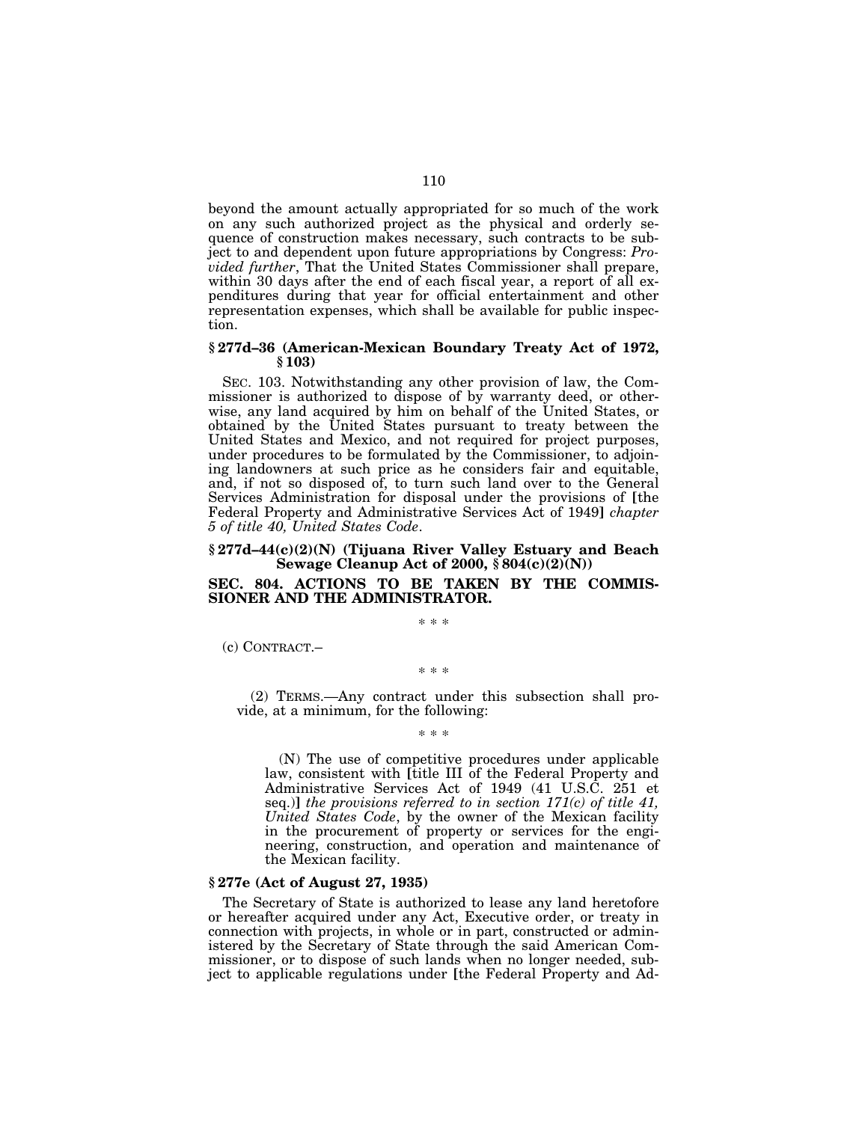beyond the amount actually appropriated for so much of the work on any such authorized project as the physical and orderly sequence of construction makes necessary, such contracts to be subject to and dependent upon future appropriations by Congress: *Provided further*, That the United States Commissioner shall prepare, within 30 days after the end of each fiscal year, a report of all expenditures during that year for official entertainment and other representation expenses, which shall be available for public inspection.

#### **§ 277d–36 (American-Mexican Boundary Treaty Act of 1972, § 103)**

SEC. 103. Notwithstanding any other provision of law, the Commissioner is authorized to dispose of by warranty deed, or otherwise, any land acquired by him on behalf of the United States, or obtained by the United States pursuant to treaty between the United States and Mexico, and not required for project purposes, under procedures to be formulated by the Commissioner, to adjoining landowners at such price as he considers fair and equitable, and, if not so disposed of, to turn such land over to the General Services Administration for disposal under the provisions of **[**the Federal Property and Administrative Services Act of 1949**]** *chapter 5 of title 40, United States Code*.

#### **§ 277d–44(c)(2)(N) (Tijuana River Valley Estuary and Beach Sewage Cleanup Act of 2000, § 804(c)(2)(N))**

# **SEC. 804. ACTIONS TO BE TAKEN BY THE COMMIS-SIONER AND THE ADMINISTRATOR.**

\* \* \*

(c) CONTRACT.–

# \* \* \*

(2) TERMS.—Any contract under this subsection shall provide, at a minimum, for the following:

#### \* \* \*

(N) The use of competitive procedures under applicable law, consistent with **[**title III of the Federal Property and Administrative Services Act of 1949 (41 U.S.C. 251 et seq.)**]** *the provisions referred to in section 171(c) of title 41, United States Code*, by the owner of the Mexican facility in the procurement of property or services for the engineering, construction, and operation and maintenance of the Mexican facility.

#### **§ 277e (Act of August 27, 1935)**

The Secretary of State is authorized to lease any land heretofore or hereafter acquired under any Act, Executive order, or treaty in connection with projects, in whole or in part, constructed or administered by the Secretary of State through the said American Commissioner, or to dispose of such lands when no longer needed, subject to applicable regulations under **[**the Federal Property and Ad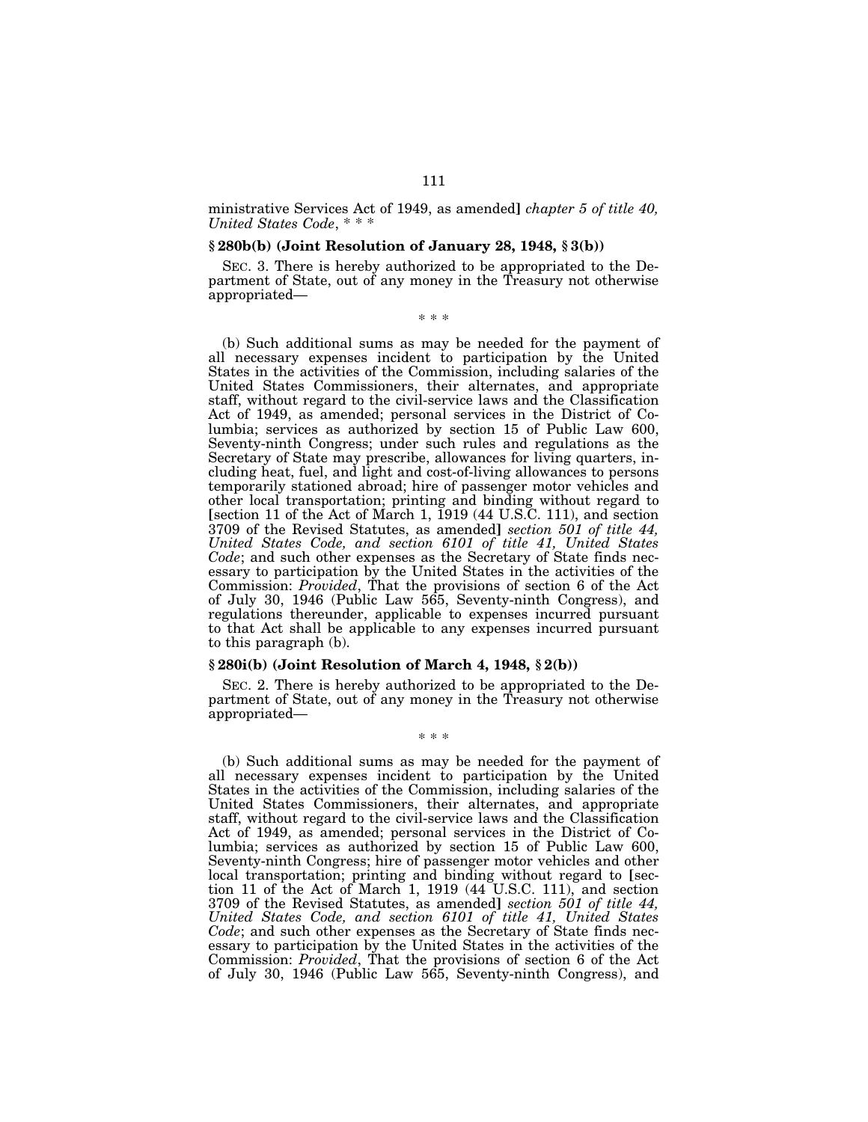ministrative Services Act of 1949, as amended**]** *chapter 5 of title 40, United States Code*, \* \* \*

#### **§ 280b(b) (Joint Resolution of January 28, 1948, § 3(b))**

SEC. 3. There is hereby authorized to be appropriated to the Department of State, out of any money in the Treasury not otherwise appropriated—

\* \* \*

(b) Such additional sums as may be needed for the payment of all necessary expenses incident to participation by the United States in the activities of the Commission, including salaries of the United States Commissioners, their alternates, and appropriate staff, without regard to the civil-service laws and the Classification Act of 1949, as amended; personal services in the District of Columbia; services as authorized by section 15 of Public Law 600, Seventy-ninth Congress; under such rules and regulations as the Secretary of State may prescribe, allowances for living quarters, including heat, fuel, and light and cost-of-living allowances to persons temporarily stationed abroad; hire of passenger motor vehicles and other local transportation; printing and binding without regard to **[**section 11 of the Act of March 1, 1919 (44 U.S.C. 111), and section 3709 of the Revised Statutes, as amended**]** *section 501 of title 44, United States Code, and section 6101 of title 41, United States Code*; and such other expenses as the Secretary of State finds necessary to participation by the United States in the activities of the Commission: *Provided*, That the provisions of section 6 of the Act of July 30, 1946 (Public Law 565, Seventy-ninth Congress), and regulations thereunder, applicable to expenses incurred pursuant to that Act shall be applicable to any expenses incurred pursuant to this paragraph (b).

#### **§ 280i(b) (Joint Resolution of March 4, 1948, § 2(b))**

SEC. 2. There is hereby authorized to be appropriated to the Department of State, out of any money in the Treasury not otherwise appropriated—

\* \* \*

(b) Such additional sums as may be needed for the payment of all necessary expenses incident to participation by the United States in the activities of the Commission, including salaries of the United States Commissioners, their alternates, and appropriate staff, without regard to the civil-service laws and the Classification Act of 1949, as amended; personal services in the District of Columbia; services as authorized by section 15 of Public Law 600, Seventy-ninth Congress; hire of passenger motor vehicles and other local transportation; printing and binding without regard to **[**section 11 of the Act of March 1, 1919 (44 U.S.C. 111), and section 3709 of the Revised Statutes, as amended**]** *section 501 of title 44, United States Code, and section 6101 of title 41, United States Code*; and such other expenses as the Secretary of State finds necessary to participation by the United States in the activities of the Commission: *Provided*, That the provisions of section 6 of the Act of July 30, 1946 (Public Law 565, Seventy-ninth Congress), and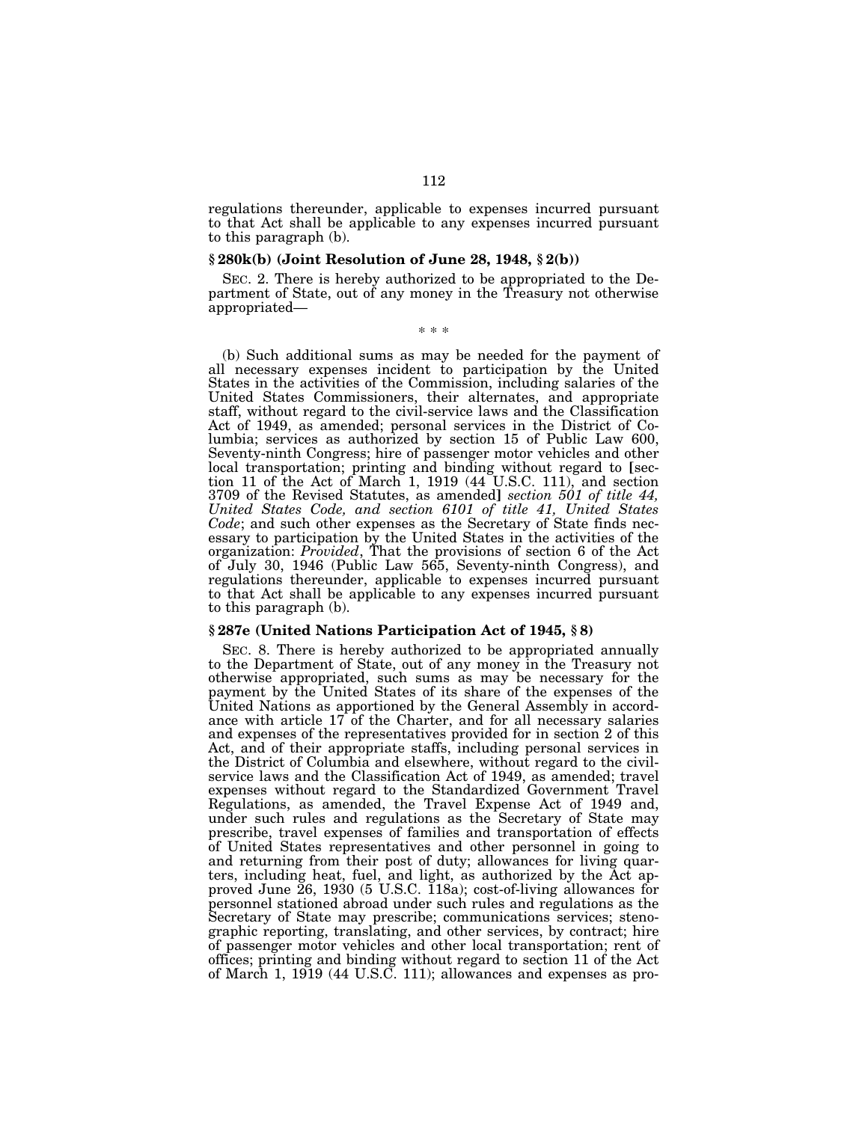regulations thereunder, applicable to expenses incurred pursuant to that Act shall be applicable to any expenses incurred pursuant to this paragraph (b).

#### **§ 280k(b) (Joint Resolution of June 28, 1948, § 2(b))**

SEC. 2. There is hereby authorized to be appropriated to the Department of State, out of any money in the Treasury not otherwise appropriated—

\* \* \*

(b) Such additional sums as may be needed for the payment of all necessary expenses incident to participation by the United States in the activities of the Commission, including salaries of the United States Commissioners, their alternates, and appropriate staff, without regard to the civil-service laws and the Classification Act of 1949, as amended; personal services in the District of Columbia; services as authorized by section 15 of Public Law 600, Seventy-ninth Congress; hire of passenger motor vehicles and other local transportation; printing and binding without regard to **[**section 11 of the Act of March 1, 1919 (44 U.S.C. 111), and section 3709 of the Revised Statutes, as amended**]** *section 501 of title 44, United States Code, and section 6101 of title 41, United States Code*; and such other expenses as the Secretary of State finds necessary to participation by the United States in the activities of the organization: *Provided*, That the provisions of section 6 of the Act of July 30, 1946 (Public Law 565, Seventy-ninth Congress), and regulations thereunder, applicable to expenses incurred pursuant to that Act shall be applicable to any expenses incurred pursuant to this paragraph (b).

#### **§ 287e (United Nations Participation Act of 1945, § 8)**

SEC. 8. There is hereby authorized to be appropriated annually to the Department of State, out of any money in the Treasury not otherwise appropriated, such sums as may be necessary for the payment by the United States of its share of the expenses of the United Nations as apportioned by the General Assembly in accordance with article 17 of the Charter, and for all necessary salaries and expenses of the representatives provided for in section 2 of this Act, and of their appropriate staffs, including personal services in the District of Columbia and elsewhere, without regard to the civilservice laws and the Classification Act of 1949, as amended; travel expenses without regard to the Standardized Government Travel Regulations, as amended, the Travel Expense Act of 1949 and, under such rules and regulations as the Secretary of State may prescribe, travel expenses of families and transportation of effects of United States representatives and other personnel in going to and returning from their post of duty; allowances for living quarters, including heat, fuel, and light, as authorized by the Act approved June 26, 1930 (5 U.S.C. 118a); cost-of-living allowances for personnel stationed abroad under such rules and regulations as the Secretary of State may prescribe; communications services; stenographic reporting, translating, and other services, by contract; hire of passenger motor vehicles and other local transportation; rent of offices; printing and binding without regard to section 11 of the Act of March 1, 1919 (44 U.S.C. 111); allowances and expenses as pro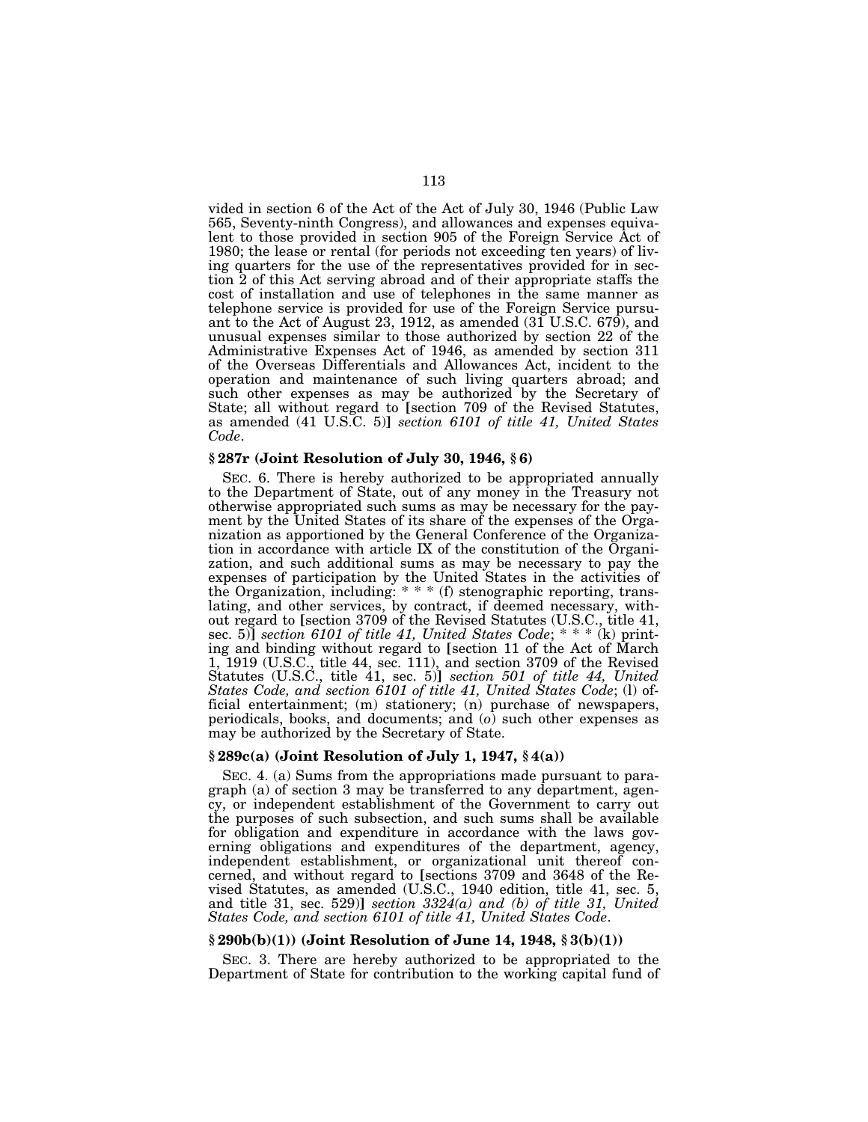vided in section 6 of the Act of the Act of July 30, 1946 (Public Law 565, Seventy-ninth Congress), and allowances and expenses equivalent to those provided in section 905 of the Foreign Service Act of 1980; the lease or rental (for periods not exceeding ten years) of living quarters for the use of the representatives provided for in section 2 of this Act serving abroad and of their appropriate staffs the cost of installation and use of telephones in the same manner as telephone service is provided for use of the Foreign Service pursuant to the Act of August 23, 1912, as amended (31 U.S.C. 679), and unusual expenses similar to those authorized by section 22 of the Administrative Expenses Act of 1946, as amended by section 311 of the Overseas Differentials and Allowances Act, incident to the operation and maintenance of such living quarters abroad; and such other expenses as may be authorized by the Secretary of State; all without regard to **[**section 709 of the Revised Statutes, as amended (41 U.S.C. 5)**]** *section 6101 of title 41, United States Code*.

#### **§ 287r (Joint Resolution of July 30, 1946, § 6)**

SEC. 6. There is hereby authorized to be appropriated annually to the Department of State, out of any money in the Treasury not otherwise appropriated such sums as may be necessary for the payment by the United States of its share of the expenses of the Organization as apportioned by the General Conference of the Organization in accordance with article IX of the constitution of the Organization, and such additional sums as may be necessary to pay the expenses of participation by the United States in the activities of the Organization, including: \* \* \* (f) stenographic reporting, translating, and other services, by contract, if deemed necessary, without regard to **[**section 3709 of the Revised Statutes (U.S.C., title 41, sec. 5)**]** *section 6101 of title 41, United States Code*; \* \* \* (k) printing and binding without regard to **[**section 11 of the Act of March 1, 1919 (U.S.C., title 44, sec. 111), and section 3709 of the Revised Statutes (U.S.C., title 41, sec. 5)**]** *section 501 of title 44, United States Code, and section 6101 of title 41, United States Code*; (l) official entertainment; (m) stationery; (n) purchase of newspapers, periodicals, books, and documents; and (*o*) such other expenses as may be authorized by the Secretary of State.

#### **§ 289c(a) (Joint Resolution of July 1, 1947, § 4(a))**

SEC. 4. (a) Sums from the appropriations made pursuant to paragraph (a) of section 3 may be transferred to any department, agency, or independent establishment of the Government to carry out the purposes of such subsection, and such sums shall be available for obligation and expenditure in accordance with the laws governing obligations and expenditures of the department, agency, independent establishment, or organizational unit thereof concerned, and without regard to **[**sections 3709 and 3648 of the Revised Statutes, as amended (U.S.C., 1940 edition, title 41, sec. 5, and title 31, sec. 529)**]** *section 3324(a) and (b) of title 31, United States Code, and section 6101 of title 41, United States Code*.

# **§ 290b(b)(1)) (Joint Resolution of June 14, 1948, § 3(b)(1))**

SEC. 3. There are hereby authorized to be appropriated to the Department of State for contribution to the working capital fund of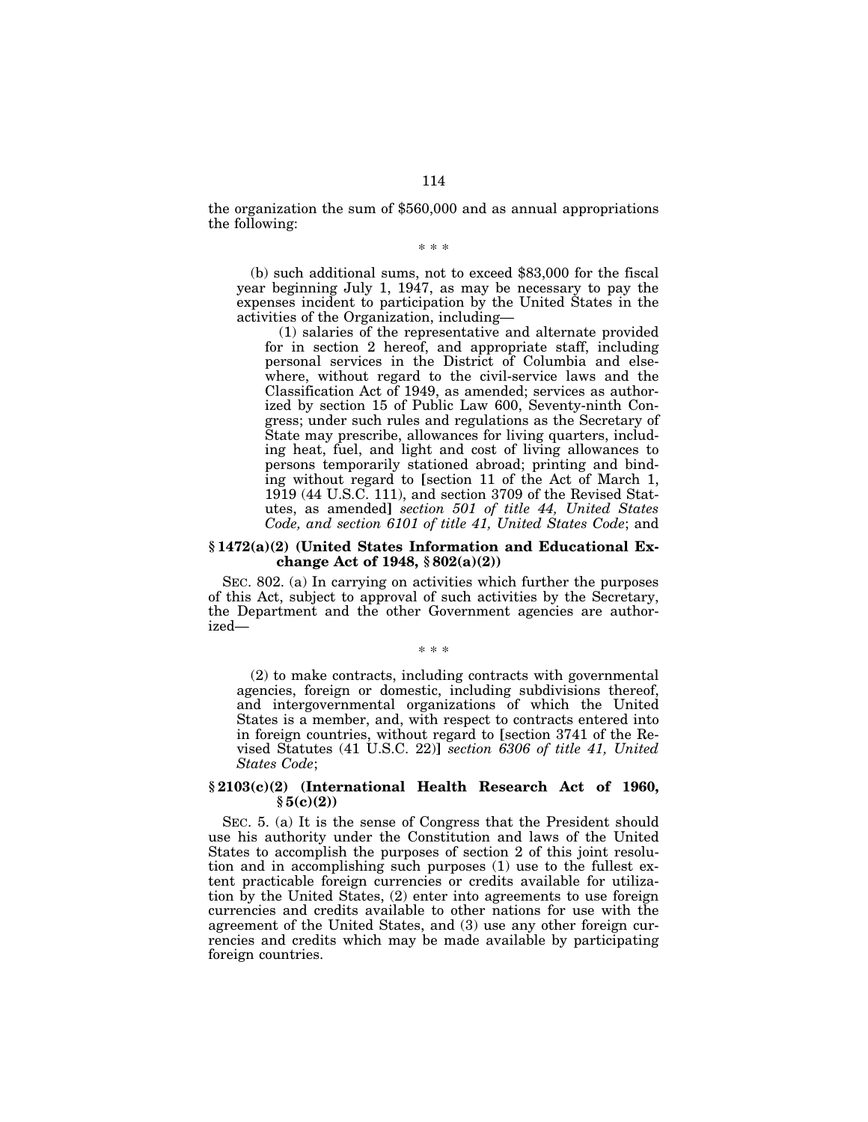the organization the sum of \$560,000 and as annual appropriations the following:

#### \* \* \*

(b) such additional sums, not to exceed \$83,000 for the fiscal year beginning July 1, 1947, as may be necessary to pay the expenses incident to participation by the United States in the activities of the Organization, including—

(1) salaries of the representative and alternate provided for in section 2 hereof, and appropriate staff, including personal services in the District of Columbia and elsewhere, without regard to the civil-service laws and the Classification Act of 1949, as amended; services as authorized by section 15 of Public Law 600, Seventy-ninth Congress; under such rules and regulations as the Secretary of State may prescribe, allowances for living quarters, including heat, fuel, and light and cost of living allowances to persons temporarily stationed abroad; printing and binding without regard to **[**section 11 of the Act of March 1, 1919 (44 U.S.C. 111), and section 3709 of the Revised Statutes, as amended**]** *section 501 of title 44, United States Code, and section 6101 of title 41, United States Code*; and

### **§ 1472(a)(2) (United States Information and Educational Exchange Act of 1948, § 802(a)(2))**

SEC. 802. (a) In carrying on activities which further the purposes of this Act, subject to approval of such activities by the Secretary, the Department and the other Government agencies are authorized—

#### \* \* \*

(2) to make contracts, including contracts with governmental agencies, foreign or domestic, including subdivisions thereof, and intergovernmental organizations of which the United States is a member, and, with respect to contracts entered into in foreign countries, without regard to **[**section 3741 of the Revised Statutes (41 U.S.C. 22)**]** *section 6306 of title 41, United States Code*;

# **§ 2103(c)(2) (International Health Research Act of 1960,**   $\S 5(c)(2)$

SEC. 5. (a) It is the sense of Congress that the President should use his authority under the Constitution and laws of the United States to accomplish the purposes of section 2 of this joint resolution and in accomplishing such purposes (1) use to the fullest extent practicable foreign currencies or credits available for utilization by the United States, (2) enter into agreements to use foreign currencies and credits available to other nations for use with the agreement of the United States, and (3) use any other foreign currencies and credits which may be made available by participating foreign countries.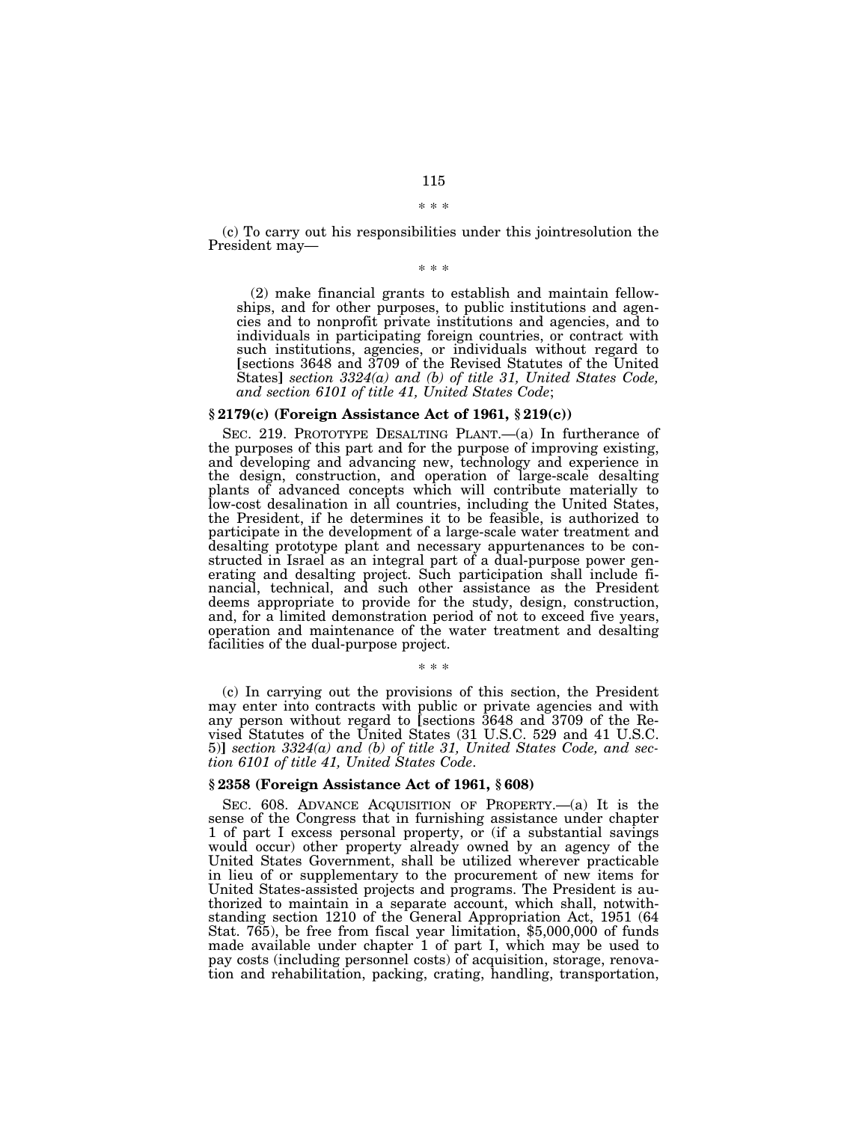(c) To carry out his responsibilities under this jointresolution the President may—

\* \* \*

(2) make financial grants to establish and maintain fellowships, and for other purposes, to public institutions and agencies and to nonprofit private institutions and agencies, and to individuals in participating foreign countries, or contract with such institutions, agencies, or individuals without regard to **[**sections 3648 and 3709 of the Revised Statutes of the United States**]** *section 3324(a) and (b) of title 31, United States Code, and section 6101 of title 41, United States Code*;

#### **§ 2179(c) (Foreign Assistance Act of 1961, § 219(c))**

SEC. 219. PROTOTYPE DESALTING PLANT.—(a) In furtherance of the purposes of this part and for the purpose of improving existing, and developing and advancing new, technology and experience in the design, construction, and operation of large-scale desalting plants of advanced concepts which will contribute materially to low-cost desalination in all countries, including the United States, the President, if he determines it to be feasible, is authorized to participate in the development of a large-scale water treatment and desalting prototype plant and necessary appurtenances to be constructed in Israel as an integral part of a dual-purpose power generating and desalting project. Such participation shall include financial, technical, and such other assistance as the President deems appropriate to provide for the study, design, construction, and, for a limited demonstration period of not to exceed five years, operation and maintenance of the water treatment and desalting facilities of the dual-purpose project.

#### \* \* \*

(c) In carrying out the provisions of this section, the President may enter into contracts with public or private agencies and with any person without regard to **[**sections 3648 and 3709 of the Revised Statutes of the United States (31 U.S.C. 529 and 41 U.S.C. 5)**]** *section 3324(a) and (b) of title 31, United States Code, and section 6101 of title 41, United States Code*.

#### **§ 2358 (Foreign Assistance Act of 1961, § 608)**

SEC. 608. ADVANCE ACQUISITION OF PROPERTY.—(a) It is the sense of the Congress that in furnishing assistance under chapter 1 of part I excess personal property, or (if a substantial savings would occur) other property already owned by an agency of the United States Government, shall be utilized wherever practicable in lieu of or supplementary to the procurement of new items for United States-assisted projects and programs. The President is authorized to maintain in a separate account, which shall, notwithstanding section 1210 of the General Appropriation Act, 1951 (64 Stat. 765), be free from fiscal year limitation, \$5,000,000 of funds made available under chapter 1 of part I, which may be used to pay costs (including personnel costs) of acquisition, storage, renovation and rehabilitation, packing, crating, handling, transportation,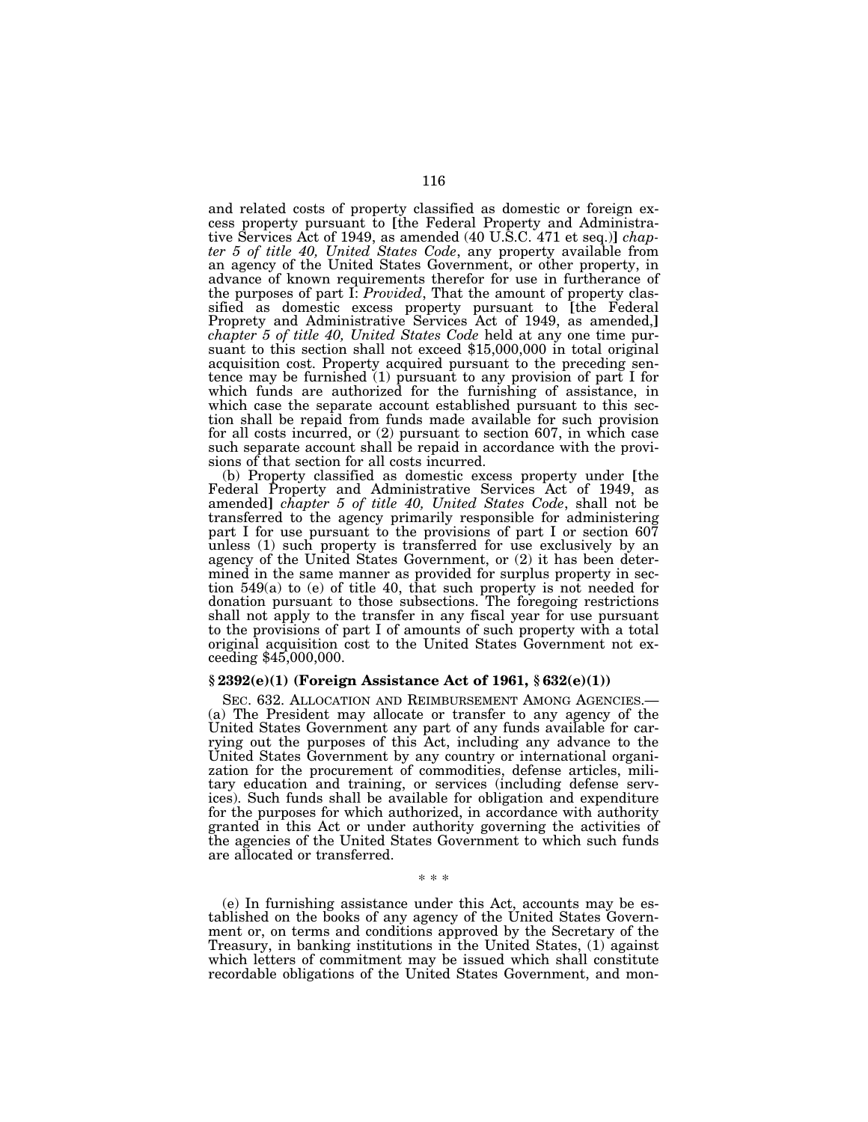and related costs of property classified as domestic or foreign excess property pursuant to **[**the Federal Property and Administrative Services Act of 1949, as amended (40 U.S.C. 471 et seq.)**]** *chapter 5 of title 40, United States Code*, any property available from an agency of the United States Government, or other property, in advance of known requirements therefor for use in furtherance of the purposes of part I: *Provided*, That the amount of property classified as domestic excess property pursuant to **[**the Federal Proprety and Administrative Services Act of 1949, as amended,**]**  *chapter 5 of title 40, United States Code* held at any one time pur- suant to this section shall not exceed \$15,000,000 in total original acquisition cost. Property acquired pursuant to the preceding sentence may be furnished (1) pursuant to any provision of part I for which funds are authorized for the furnishing of assistance, in which case the separate account established pursuant to this section shall be repaid from funds made available for such provision for all costs incurred, or (2) pursuant to section 607, in which case such separate account shall be repaid in accordance with the provisions of that section for all costs incurred.

(b) Property classified as domestic excess property under **[**the Federal Property and Administrative Services Act of 1949, as amended**]** *chapter 5 of title 40, United States Code*, shall not be transferred to the agency primarily responsible for administering part I for use pursuant to the provisions of part I or section 607 unless (1) such property is transferred for use exclusively by an agency of the United States Government, or (2) it has been determined in the same manner as provided for surplus property in section 549(a) to (e) of title 40, that such property is not needed for donation pursuant to those subsections. The foregoing restrictions shall not apply to the transfer in any fiscal year for use pursuant to the provisions of part I of amounts of such property with a total original acquisition cost to the United States Government not exceeding \$45,000,000.

#### **§ 2392(e)(1) (Foreign Assistance Act of 1961, § 632(e)(1))**

SEC. 632. ALLOCATION AND REIMBURSEMENT AMONG AGENCIES.— (a) The President may allocate or transfer to any agency of the United States Government any part of any funds available for carrying out the purposes of this Act, including any advance to the United States Government by any country or international organization for the procurement of commodities, defense articles, military education and training, or services (including defense services). Such funds shall be available for obligation and expenditure for the purposes for which authorized, in accordance with authority granted in this Act or under authority governing the activities of the agencies of the United States Government to which such funds are allocated or transferred.

(e) In furnishing assistance under this Act, accounts may be established on the books of any agency of the United States Government or, on terms and conditions approved by the Secretary of the Treasury, in banking institutions in the United States, (1) against which letters of commitment may be issued which shall constitute recordable obligations of the United States Government, and mon-

\* \* \*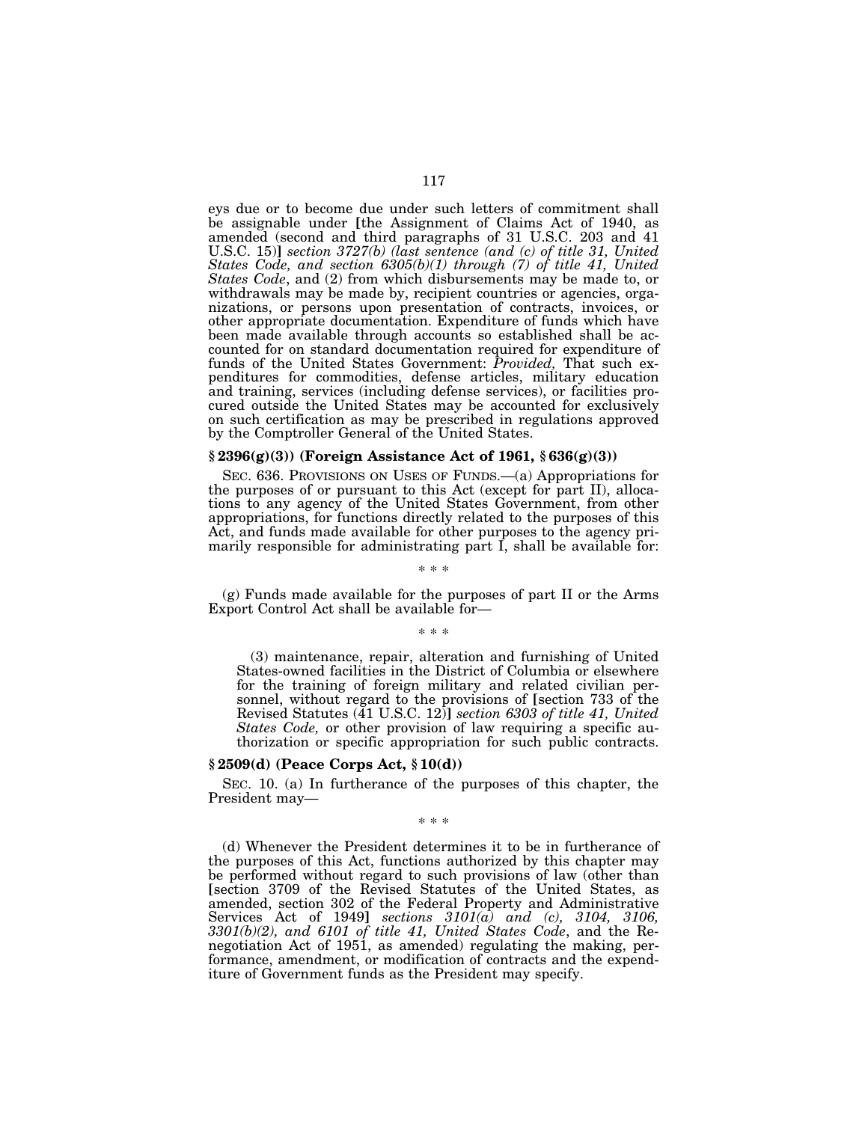eys due or to become due under such letters of commitment shall be assignable under **[**the Assignment of Claims Act of 1940, as amended (second and third paragraphs of 31 U.S.C. 203 and 41 U.S.C. 15)**]** *section 3727(b) (last sentence (and (c) of title 31, United States Code, and section 6305(b)(1) through (7) of title 41, United States Code*, and (2) from which disbursements may be made to, or withdrawals may be made by, recipient countries or agencies, organizations, or persons upon presentation of contracts, invoices, or other appropriate documentation. Expenditure of funds which have been made available through accounts so established shall be accounted for on standard documentation required for expenditure of funds of the United States Government: *Provided,* That such expenditures for commodities, defense articles, military education and training, services (including defense services), or facilities procured outside the United States may be accounted for exclusively on such certification as may be prescribed in regulations approved by the Comptroller General of the United States.

# **§ 2396(g)(3)) (Foreign Assistance Act of 1961, § 636(g)(3))**

SEC. 636. PROVISIONS ON USES OF FUNDS.—(a) Appropriations for the purposes of or pursuant to this Act (except for part II), allocations to any agency of the United States Government, from other appropriations, for functions directly related to the purposes of this Act, and funds made available for other purposes to the agency primarily responsible for administrating part I, shall be available for:

\* \* \*

(g) Funds made available for the purposes of part II or the Arms Export Control Act shall be available for—

\* \* \*

(3) maintenance, repair, alteration and furnishing of United States-owned facilities in the District of Columbia or elsewhere for the training of foreign military and related civilian personnel, without regard to the provisions of **[**section 733 of the Revised Statutes (41 U.S.C. 12)**]** *section 6303 of title 41, United States Code,* or other provision of law requiring a specific authorization or specific appropriation for such public contracts.

#### **§ 2509(d) (Peace Corps Act, § 10(d))**

SEC. 10. (a) In furtherance of the purposes of this chapter, the President may—

\* \* \*

(d) Whenever the President determines it to be in furtherance of the purposes of this Act, functions authorized by this chapter may be performed without regard to such provisions of law (other than **[**section 3709 of the Revised Statutes of the United States, as amended, section 302 of the Federal Property and Administrative Services Act of 1949**]** *sections 3101(a) and (c), 3104, 3106, 3301(b)(2), and 6101 of title 41, United States Code*, and the Renegotiation Act of 1951, as amended) regulating the making, performance, amendment, or modification of contracts and the expenditure of Government funds as the President may specify.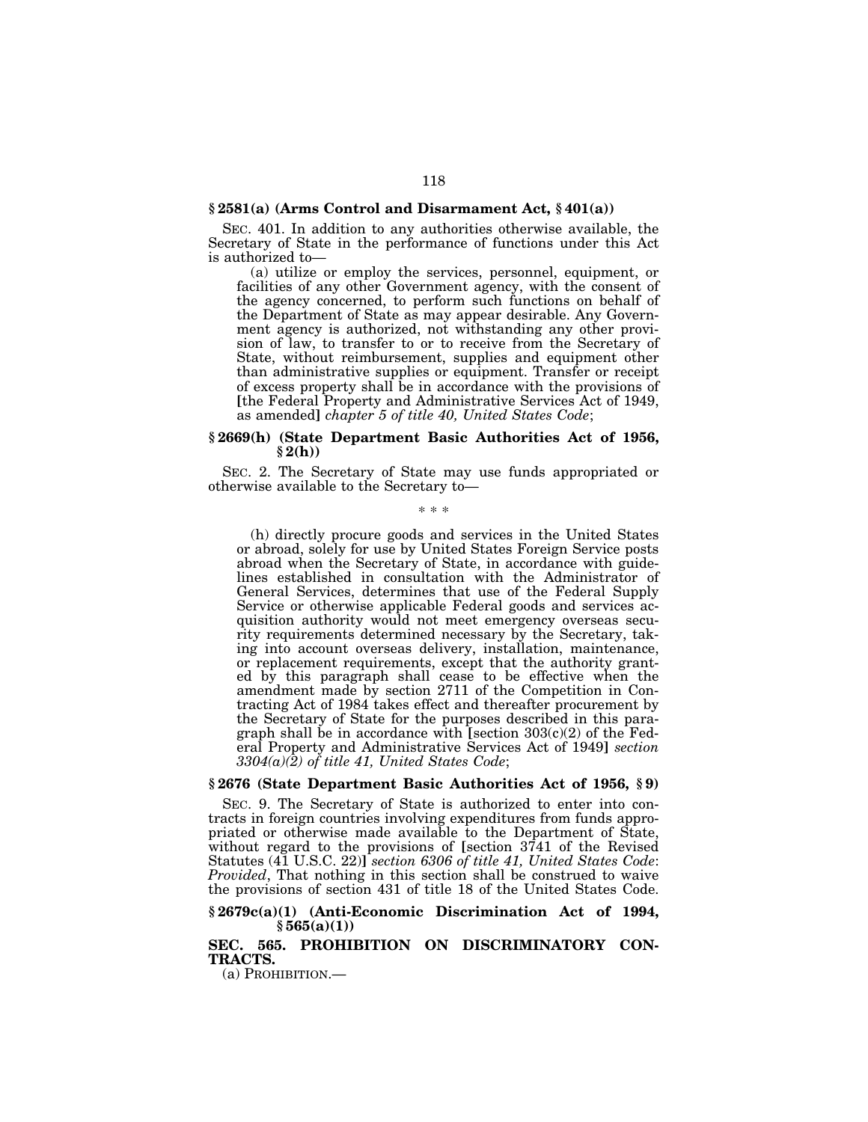#### **§ 2581(a) (Arms Control and Disarmament Act, § 401(a))**

SEC. 401. In addition to any authorities otherwise available, the Secretary of State in the performance of functions under this Act is authorized to—

(a) utilize or employ the services, personnel, equipment, or facilities of any other Government agency, with the consent of the agency concerned, to perform such functions on behalf of the Department of State as may appear desirable. Any Government agency is authorized, not withstanding any other provision of law, to transfer to or to receive from the Secretary of State, without reimbursement, supplies and equipment other than administrative supplies or equipment. Transfer or receipt of excess property shall be in accordance with the provisions of **[**the Federal Property and Administrative Services Act of 1949, as amended**]** *chapter 5 of title 40, United States Code*;

#### **§ 2669(h) (State Department Basic Authorities Act of 1956,**   $\S$  2(h))

SEC. 2. The Secretary of State may use funds appropriated or otherwise available to the Secretary to—

\* \* \*

(h) directly procure goods and services in the United States or abroad, solely for use by United States Foreign Service posts abroad when the Secretary of State, in accordance with guidelines established in consultation with the Administrator of General Services, determines that use of the Federal Supply Service or otherwise applicable Federal goods and services acquisition authority would not meet emergency overseas security requirements determined necessary by the Secretary, taking into account overseas delivery, installation, maintenance, or replacement requirements, except that the authority granted by this paragraph shall cease to be effective when the amendment made by section 2711 of the Competition in Contracting Act of 1984 takes effect and thereafter procurement by the Secretary of State for the purposes described in this paragraph shall be in accordance with **[**section 303(c)(2) of the Federal Property and Administrative Services Act of 1949**]** *section 3304(a)(2) of title 41, United States Code*;

# **§ 2676 (State Department Basic Authorities Act of 1956, § 9)**

SEC. 9. The Secretary of State is authorized to enter into contracts in foreign countries involving expenditures from funds appropriated or otherwise made available to the Department of State, without regard to the provisions of **[**section 3741 of the Revised Statutes (41 U.S.C. 22)**]** *section 6306 of title 41, United States Code*: *Provided*, That nothing in this section shall be construed to waive the provisions of section 431 of title 18 of the United States Code.

#### **§ 2679c(a)(1) (Anti-Economic Discrimination Act of 1994,**   $§ 565(a)(1))$

## **SEC. 565. PROHIBITION ON DISCRIMINATORY CON-TRACTS.**

(a) PROHIBITION.—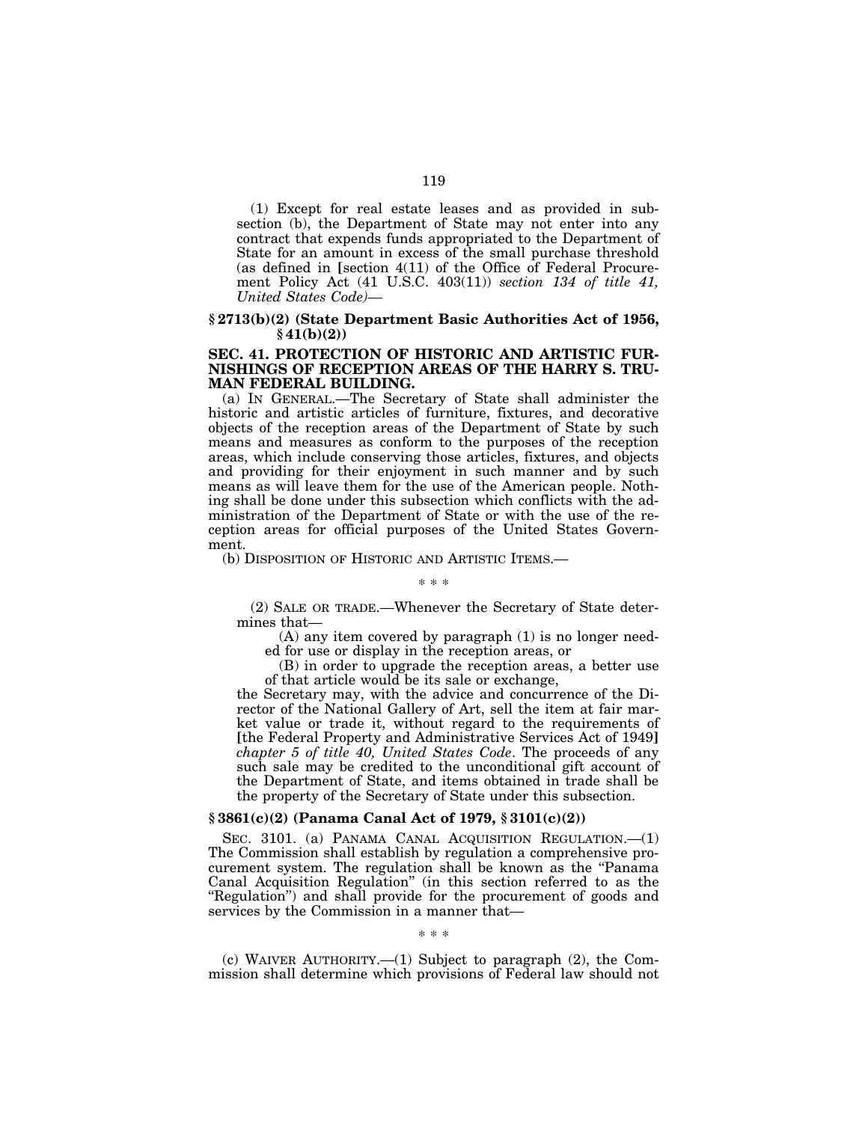(1) Except for real estate leases and as provided in subsection (b), the Department of State may not enter into any contract that expends funds appropriated to the Department of State for an amount in excess of the small purchase threshold (as defined in **[**section 4(11) of the Office of Federal Procurement Policy Act (41 U.S.C. 403(11)) *section 134 of title 41, United States Code)—* 

#### **§ 2713(b)(2) (State Department Basic Authorities Act of 1956,**   $§ 41(b)(2))$

# **SEC. 41. PROTECTION OF HISTORIC AND ARTISTIC FUR-NISHINGS OF RECEPTION AREAS OF THE HARRY S. TRU-MAN FEDERAL BUILDING.**

(a) IN GENERAL.—The Secretary of State shall administer the historic and artistic articles of furniture, fixtures, and decorative objects of the reception areas of the Department of State by such means and measures as conform to the purposes of the reception areas, which include conserving those articles, fixtures, and objects and providing for their enjoyment in such manner and by such means as will leave them for the use of the American people. Nothing shall be done under this subsection which conflicts with the administration of the Department of State or with the use of the reception areas for official purposes of the United States Government.

(b) DISPOSITION OF HISTORIC AND ARTISTIC ITEMS.—

(2) SALE OR TRADE.—Whenever the Secretary of State determines that—

(A) any item covered by paragraph (1) is no longer needed for use or display in the reception areas, or

(B) in order to upgrade the reception areas, a better use of that article would be its sale or exchange,

the Secretary may, with the advice and concurrence of the Director of the National Gallery of Art, sell the item at fair market value or trade it, without regard to the requirements of **[**the Federal Property and Administrative Services Act of 1949**]**  *chapter 5 of title 40, United States Code*. The proceeds of any such sale may be credited to the unconditional gift account of the Department of State, and items obtained in trade shall be the property of the Secretary of State under this subsection.

## **§ 3861(c)(2) (Panama Canal Act of 1979, § 3101(c)(2))**

SEC. 3101. (a) PANAMA CANAL ACQUISITION REGULATION.—(1) The Commission shall establish by regulation a comprehensive procurement system. The regulation shall be known as the ''Panama Canal Acquisition Regulation'' (in this section referred to as the ''Regulation'') and shall provide for the procurement of goods and services by the Commission in a manner that—

\* \* \*

(c) WAIVER AUTHORITY.—(1) Subject to paragraph (2), the Commission shall determine which provisions of Federal law should not

<sup>\* \* \*</sup>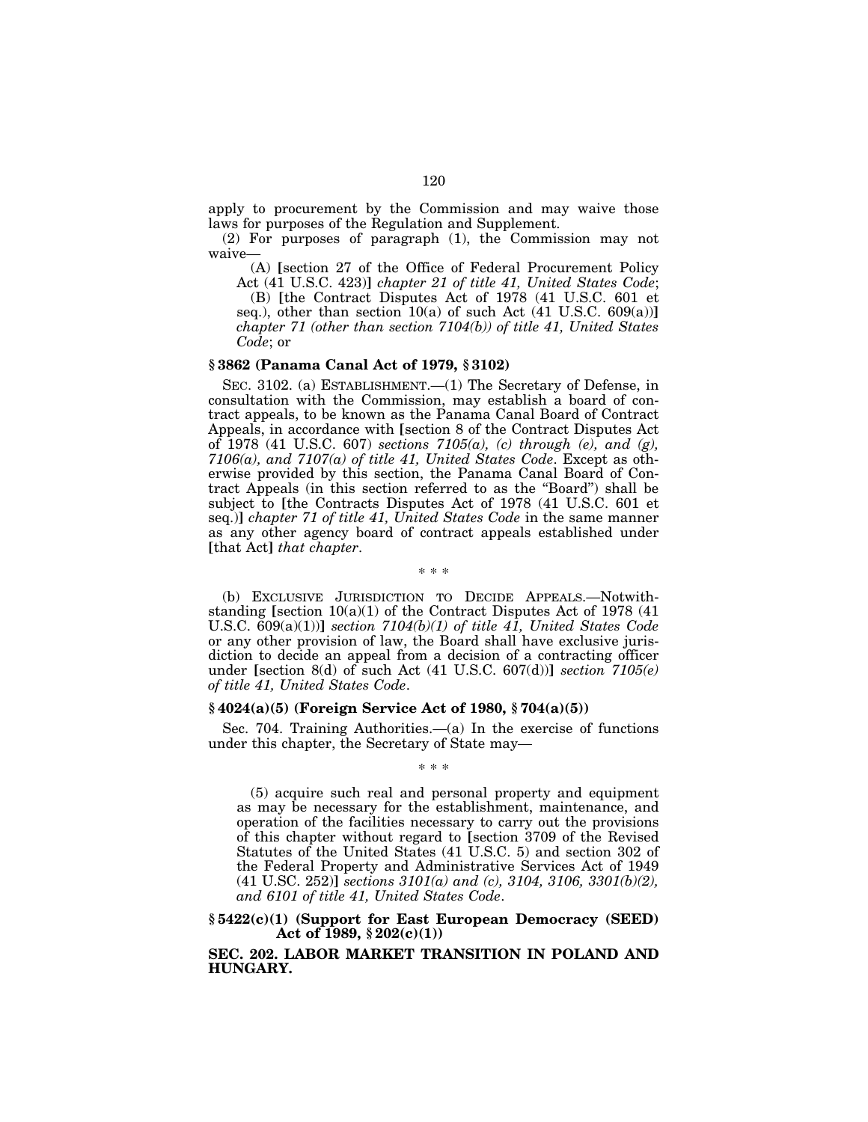apply to procurement by the Commission and may waive those laws for purposes of the Regulation and Supplement.

(2) For purposes of paragraph (1), the Commission may not waive—

(A) **[**section 27 of the Office of Federal Procurement Policy Act (41 U.S.C. 423)**]** *chapter 21 of title 41, United States Code*; (B) **[**the Contract Disputes Act of 1978 (41 U.S.C. 601 et seq.), other than section 10(a) of such Act (41 U.S.C. 609(a))**]**  *chapter 71 (other than section 7104(b)) of title 41, United States Code*; or

#### **§ 3862 (Panama Canal Act of 1979, § 3102)**

SEC. 3102. (a) ESTABLISHMENT.—(1) The Secretary of Defense, in consultation with the Commission, may establish a board of contract appeals, to be known as the Panama Canal Board of Contract Appeals, in accordance with **[**section 8 of the Contract Disputes Act of 1978 (41 U.S.C. 607) *sections 7105(a), (c) through (e), and (g), 7106(a), and 7107(a) of title 41, United States Code*. Except as otherwise provided by this section, the Panama Canal Board of Contract Appeals (in this section referred to as the ''Board'') shall be subject to **[**the Contracts Disputes Act of 1978 (41 U.S.C. 601 et seq.)**]** *chapter 71 of title 41, United States Code* in the same manner as any other agency board of contract appeals established under **[**that Act**]** *that chapter*.

\* \* \*

(b) EXCLUSIVE JURISDICTION TO DECIDE APPEALS.—Notwithstanding **[**section 10(a)(1) of the Contract Disputes Act of 1978 (41 U.S.C. 609(a)(1))**]** *section 7104(b)(1) of title 41, United States Code*  or any other provision of law, the Board shall have exclusive jurisdiction to decide an appeal from a decision of a contracting officer under **[**section 8(d) of such Act (41 U.S.C. 607(d))**]** *section 7105(e) of title 41, United States Code*.

#### **§ 4024(a)(5) (Foreign Service Act of 1980, § 704(a)(5))**

Sec. 704. Training Authorities.—(a) In the exercise of functions under this chapter, the Secretary of State may—

\* \* \*

(5) acquire such real and personal property and equipment as may be necessary for the establishment, maintenance, and operation of the facilities necessary to carry out the provisions of this chapter without regard to **[**section 3709 of the Revised Statutes of the United States (41 U.S.C. 5) and section 302 of the Federal Property and Administrative Services Act of 1949 (41 U.SC. 252)**]** *sections 3101(a) and (c), 3104, 3106, 3301(b)(2), and 6101 of title 41, United States Code*.

### **§ 5422(c)(1) (Support for East European Democracy (SEED) Act of 1989, § 202(c)(1))**

# **SEC. 202. LABOR MARKET TRANSITION IN POLAND AND HUNGARY.**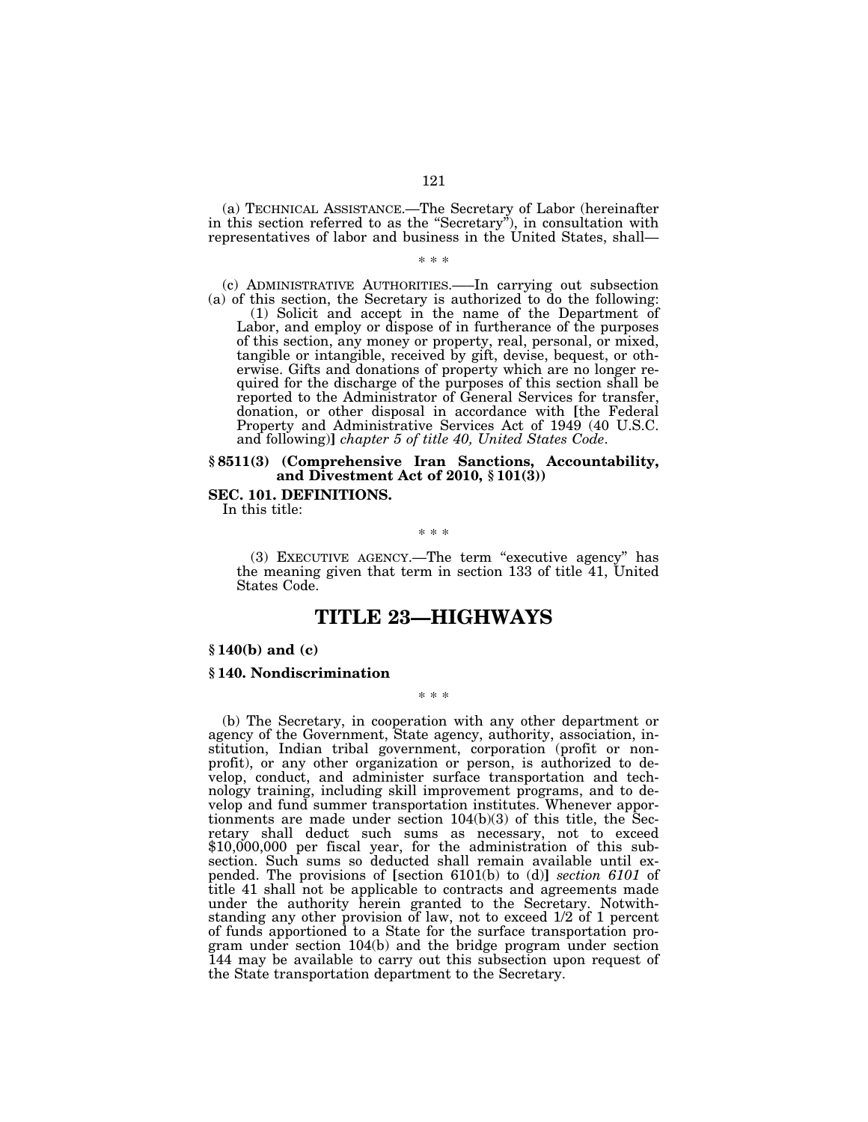(a) TECHNICAL ASSISTANCE.—The Secretary of Labor (hereinafter in this section referred to as the ''Secretary''), in consultation with representatives of labor and business in the United States, shall—

\* \* \*

(c) ADMINISTRATIVE AUTHORITIES.—–In carrying out subsection (a) of this section, the Secretary is authorized to do the following:

(1) Solicit and accept in the name of the Department of Labor, and employ or dispose of in furtherance of the purposes of this section, any money or property, real, personal, or mixed, tangible or intangible, received by gift, devise, bequest, or otherwise. Gifts and donations of property which are no longer required for the discharge of the purposes of this section shall be reported to the Administrator of General Services for transfer, donation, or other disposal in accordance with **[**the Federal Property and Administrative Services Act of 1949 (40 U.S.C. and following)**]** *chapter 5 of title 40, United States Code*.

# **§ 8511(3) (Comprehensive Iran Sanctions, Accountability, and Divestment Act of 2010, § 101(3))**

#### **SEC. 101. DEFINITIONS.**

In this title:

\* \* \*

(3) EXECUTIVE AGENCY.—The term ''executive agency'' has the meaning given that term in section 133 of title 41, United States Code.

# **TITLE 23—HIGHWAYS**

#### **§ 140(b) and (c)**

#### **§ 140. Nondiscrimination**

#### \* \* \*

(b) The Secretary, in cooperation with any other department or agency of the Government, State agency, authority, association, institution, Indian tribal government, corporation (profit or nonprofit), or any other organization or person, is authorized to develop, conduct, and administer surface transportation and technology training, including skill improvement programs, and to develop and fund summer transportation institutes. Whenever apportionments are made under section 104(b)(3) of this title, the Secretary shall deduct such sums as necessary, not to exceed \$10,000,000 per fiscal year, for the administration of this subsection. Such sums so deducted shall remain available until expended. The provisions of **[**section 6101(b) to (d)**]** *section 6101* of title 41 shall not be applicable to contracts and agreements made under the authority herein granted to the Secretary. Notwithstanding any other provision of law, not to exceed 1/2 of 1 percent of funds apportioned to a State for the surface transportation program under section 104(b) and the bridge program under section 144 may be available to carry out this subsection upon request of the State transportation department to the Secretary.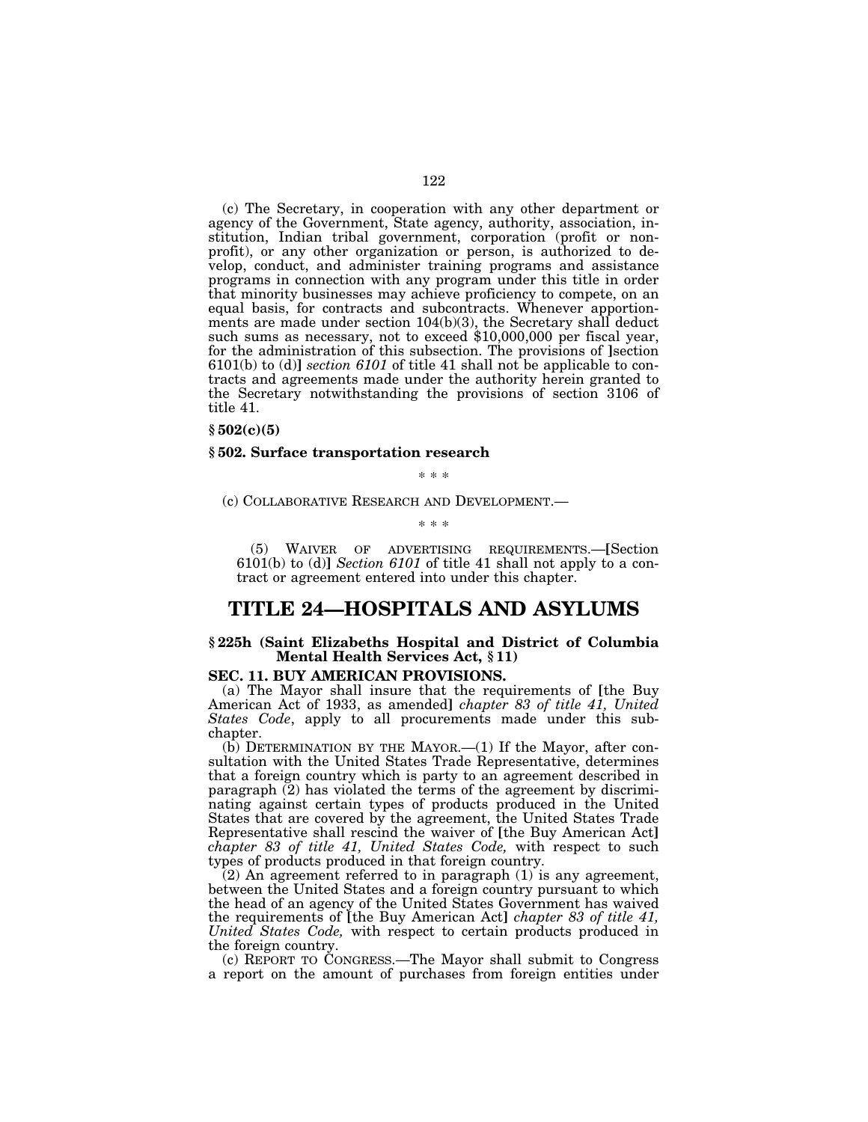(c) The Secretary, in cooperation with any other department or agency of the Government, State agency, authority, association, institution, Indian tribal government, corporation (profit or nonprofit), or any other organization or person, is authorized to develop, conduct, and administer training programs and assistance programs in connection with any program under this title in order that minority businesses may achieve proficiency to compete, on an equal basis, for contracts and subcontracts. Whenever apportionments are made under section 104(b)(3), the Secretary shall deduct such sums as necessary, not to exceed \$10,000,000 per fiscal year, for the administration of this subsection. The provisions of **]**section 6101(b) to (d)**]** *section 6101* of title 41 shall not be applicable to contracts and agreements made under the authority herein granted to the Secretary notwithstanding the provisions of section 3106 of title 41.

### **§ 502(c)(5)**

#### **§ 502. Surface transportation research**

$$
\ast\ast\ast
$$

(c) COLLABORATIVE RESEARCH AND DEVELOPMENT.—

\* \* \*

(5) WAIVER OF ADVERTISING REQUIREMENTS.—**[**Section 6101(b) to (d)**]** *Section 6101* of title 41 shall not apply to a contract or agreement entered into under this chapter.

# **TITLE 24—HOSPITALS AND ASYLUMS**

## **§ 225h (Saint Elizabeths Hospital and District of Columbia Mental Health Services Act, § 11)**

#### **SEC. 11. BUY AMERICAN PROVISIONS.**

(a) The Mayor shall insure that the requirements of **[**the Buy American Act of 1933, as amended**]** *chapter 83 of title 41, United States Code*, apply to all procurements made under this subchapter.

(b) DETERMINATION BY THE MAYOR.—(1) If the Mayor, after consultation with the United States Trade Representative, determines that a foreign country which is party to an agreement described in paragraph  $(2)$  has violated the terms of the agreement by discriminating against certain types of products produced in the United States that are covered by the agreement, the United States Trade Representative shall rescind the waiver of **[**the Buy American Act**]**  *chapter 83 of title 41, United States Code,* with respect to such types of products produced in that foreign country.

 $(2)$  An agreement referred to in paragraph  $(1)$  is any agreement, between the United States and a foreign country pursuant to which the head of an agency of the United States Government has waived the requirements of **[**the Buy American Act**]** *chapter 83 of title 41, United States Code,* with respect to certain products produced in the foreign country.

(c) REPORT TO CONGRESS.—The Mayor shall submit to Congress a report on the amount of purchases from foreign entities under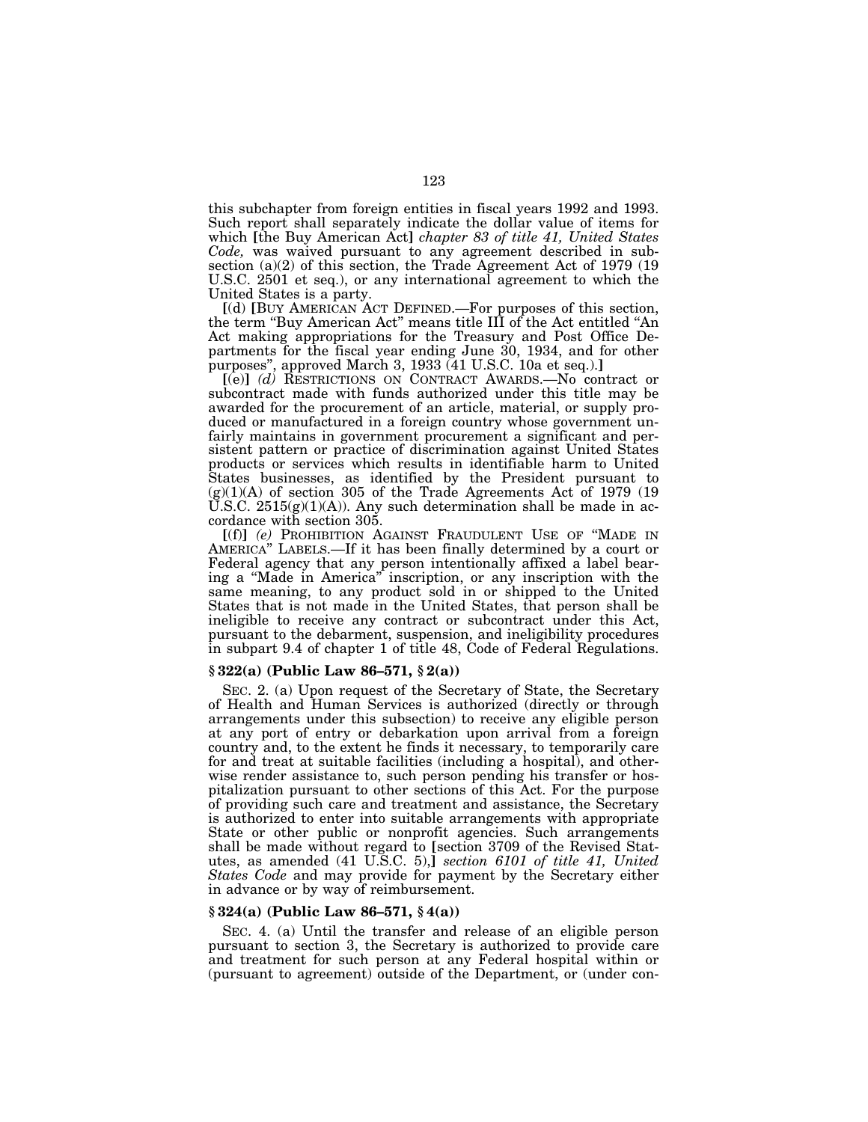this subchapter from foreign entities in fiscal years 1992 and 1993. Such report shall separately indicate the dollar value of items for which **[**the Buy American Act**]** *chapter 83 of title 41, United States Code,* was waived pursuant to any agreement described in subsection (a)(2) of this section, the Trade Agreement Act of 1979 (19 U.S.C. 2501 et seq.), or any international agreement to which the United States is a party.

**[**(d) **[**BUY AMERICAN ACT DEFINED.—For purposes of this section, the term ''Buy American Act'' means title III of the Act entitled ''An Act making appropriations for the Treasury and Post Office Departments for the fiscal year ending June 30, 1934, and for other purposes'', approved March 3, 1933 (41 U.S.C. 10a et seq.).**]** 

**[**(e)**]** *(d)* RESTRICTIONS ON CONTRACT AWARDS.—No contract or subcontract made with funds authorized under this title may be awarded for the procurement of an article, material, or supply produced or manufactured in a foreign country whose government unfairly maintains in government procurement a significant and persistent pattern or practice of discrimination against United States products or services which results in identifiable harm to United States businesses, as identified by the President pursuant to  $(g)(1)(A)$  of section 305 of the Trade Agreements Act of 1979 (19)  $\overline{U}$ .S.C. 2515(g)(1)(A)). Any such determination shall be made in accordance with section 305.

**[**(f)**]** *(e)* PROHIBITION AGAINST FRAUDULENT USE OF ''MADE IN AMERICA'' LABELS.—If it has been finally determined by a court or Federal agency that any person intentionally affixed a label bearing a ''Made in America'' inscription, or any inscription with the same meaning, to any product sold in or shipped to the United States that is not made in the United States, that person shall be ineligible to receive any contract or subcontract under this Act, pursuant to the debarment, suspension, and ineligibility procedures in subpart 9.4 of chapter 1 of title 48, Code of Federal Regulations.

#### **§ 322(a) (Public Law 86–571, § 2(a))**

SEC. 2. (a) Upon request of the Secretary of State, the Secretary of Health and Human Services is authorized (directly or through arrangements under this subsection) to receive any eligible person at any port of entry or debarkation upon arrival from a foreign country and, to the extent he finds it necessary, to temporarily care for and treat at suitable facilities (including a hospital), and otherwise render assistance to, such person pending his transfer or hospitalization pursuant to other sections of this Act. For the purpose of providing such care and treatment and assistance, the Secretary is authorized to enter into suitable arrangements with appropriate State or other public or nonprofit agencies. Such arrangements shall be made without regard to **[**section 3709 of the Revised Statutes, as amended (41 U.S.C. 5),**]** *section 6101 of title 41, United States Code* and may provide for payment by the Secretary either in advance or by way of reimbursement.

#### **§ 324(a) (Public Law 86–571, § 4(a))**

SEC. 4. (a) Until the transfer and release of an eligible person pursuant to section 3, the Secretary is authorized to provide care and treatment for such person at any Federal hospital within or (pursuant to agreement) outside of the Department, or (under con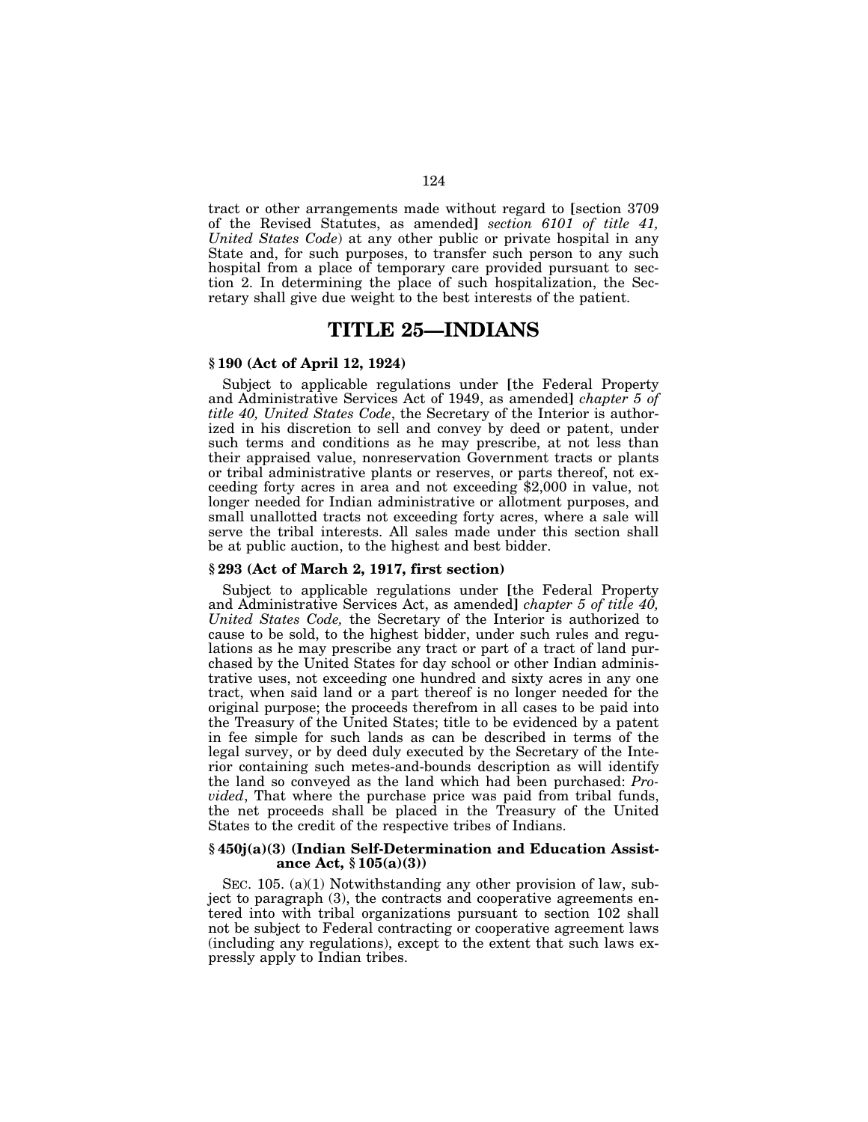tract or other arrangements made without regard to **[**section 3709 of the Revised Statutes, as amended**]** *section 6101 of title 41, United States Code*) at any other public or private hospital in any State and, for such purposes, to transfer such person to any such hospital from a place of temporary care provided pursuant to section 2. In determining the place of such hospitalization, the Secretary shall give due weight to the best interests of the patient.

# **TITLE 25—INDIANS**

#### **§ 190 (Act of April 12, 1924)**

Subject to applicable regulations under **[**the Federal Property and Administrative Services Act of 1949, as amended**]** *chapter 5 of title 40, United States Code*, the Secretary of the Interior is authorized in his discretion to sell and convey by deed or patent, under such terms and conditions as he may prescribe, at not less than their appraised value, nonreservation Government tracts or plants or tribal administrative plants or reserves, or parts thereof, not exceeding forty acres in area and not exceeding \$2,000 in value, not longer needed for Indian administrative or allotment purposes, and small unallotted tracts not exceeding forty acres, where a sale will serve the tribal interests. All sales made under this section shall be at public auction, to the highest and best bidder.

### **§ 293 (Act of March 2, 1917, first section)**

Subject to applicable regulations under **[**the Federal Property and Administrative Services Act, as amended**]** *chapter 5 of title 40, United States Code,* the Secretary of the Interior is authorized to cause to be sold, to the highest bidder, under such rules and regulations as he may prescribe any tract or part of a tract of land purchased by the United States for day school or other Indian administrative uses, not exceeding one hundred and sixty acres in any one tract, when said land or a part thereof is no longer needed for the original purpose; the proceeds therefrom in all cases to be paid into the Treasury of the United States; title to be evidenced by a patent in fee simple for such lands as can be described in terms of the legal survey, or by deed duly executed by the Secretary of the Interior containing such metes-and-bounds description as will identify the land so conveyed as the land which had been purchased: *Provided*, That where the purchase price was paid from tribal funds, the net proceeds shall be placed in the Treasury of the United States to the credit of the respective tribes of Indians.

#### **§ 450j(a)(3) (Indian Self-Determination and Education Assistance Act, § 105(a)(3))**

SEC. 105. (a)(1) Notwithstanding any other provision of law, subject to paragraph (3), the contracts and cooperative agreements entered into with tribal organizations pursuant to section 102 shall not be subject to Federal contracting or cooperative agreement laws (including any regulations), except to the extent that such laws expressly apply to Indian tribes.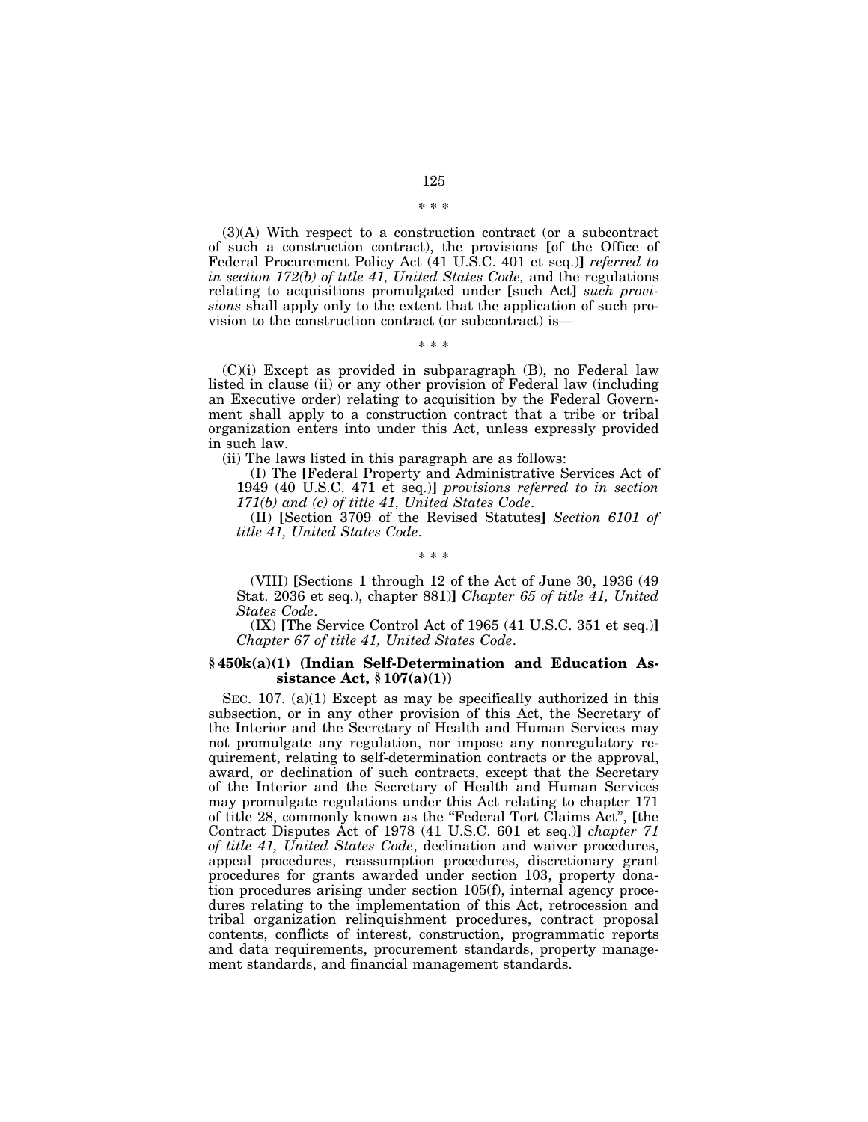$(3)(A)$  With respect to a construction contract (or a subcontract of such a construction contract), the provisions **[**of the Office of Federal Procurement Policy Act (41 U.S.C. 401 et seq.)**]** *referred to in section 172(b) of title 41, United States Code,* and the regulations relating to acquisitions promulgated under **[**such Act**]** *such provisions* shall apply only to the extent that the application of such provision to the construction contract (or subcontract) is—

\* \* \*

(C)(i) Except as provided in subparagraph (B), no Federal law listed in clause (ii) or any other provision of Federal law (including an Executive order) relating to acquisition by the Federal Government shall apply to a construction contract that a tribe or tribal organization enters into under this Act, unless expressly provided in such law.

(ii) The laws listed in this paragraph are as follows:

(I) The **[**Federal Property and Administrative Services Act of 1949 (40 U.S.C. 471 et seq.)**]** *provisions referred to in section 171(b) and (c) of title 41, United States Code*.

(II) **[**Section 3709 of the Revised Statutes**]** *Section 6101 of title 41, United States Code*.

\* \* \*

(VIII) **[**Sections 1 through 12 of the Act of June 30, 1936 (49 Stat. 2036 et seq.), chapter 881)**]** *Chapter 65 of title 41, United States Code*.

(IX) **[**The Service Control Act of 1965 (41 U.S.C. 351 et seq.)**]**  *Chapter 67 of title 41, United States Code*.

### **§ 450k(a)(1) (Indian Self-Determination and Education Assistance Act, § 107(a)(1))**

SEC. 107. (a)(1) Except as may be specifically authorized in this subsection, or in any other provision of this Act, the Secretary of the Interior and the Secretary of Health and Human Services may not promulgate any regulation, nor impose any nonregulatory requirement, relating to self-determination contracts or the approval, award, or declination of such contracts, except that the Secretary of the Interior and the Secretary of Health and Human Services may promulgate regulations under this Act relating to chapter 171 of title 28, commonly known as the ''Federal Tort Claims Act'', **[**the Contract Disputes Act of 1978 (41 U.S.C. 601 et seq.)**]** *chapter 71 of title 41, United States Code*, declination and waiver procedures, appeal procedures, reassumption procedures, discretionary grant procedures for grants awarded under section 103, property donation procedures arising under section 105(f), internal agency procedures relating to the implementation of this Act, retrocession and tribal organization relinquishment procedures, contract proposal contents, conflicts of interest, construction, programmatic reports and data requirements, procurement standards, property management standards, and financial management standards.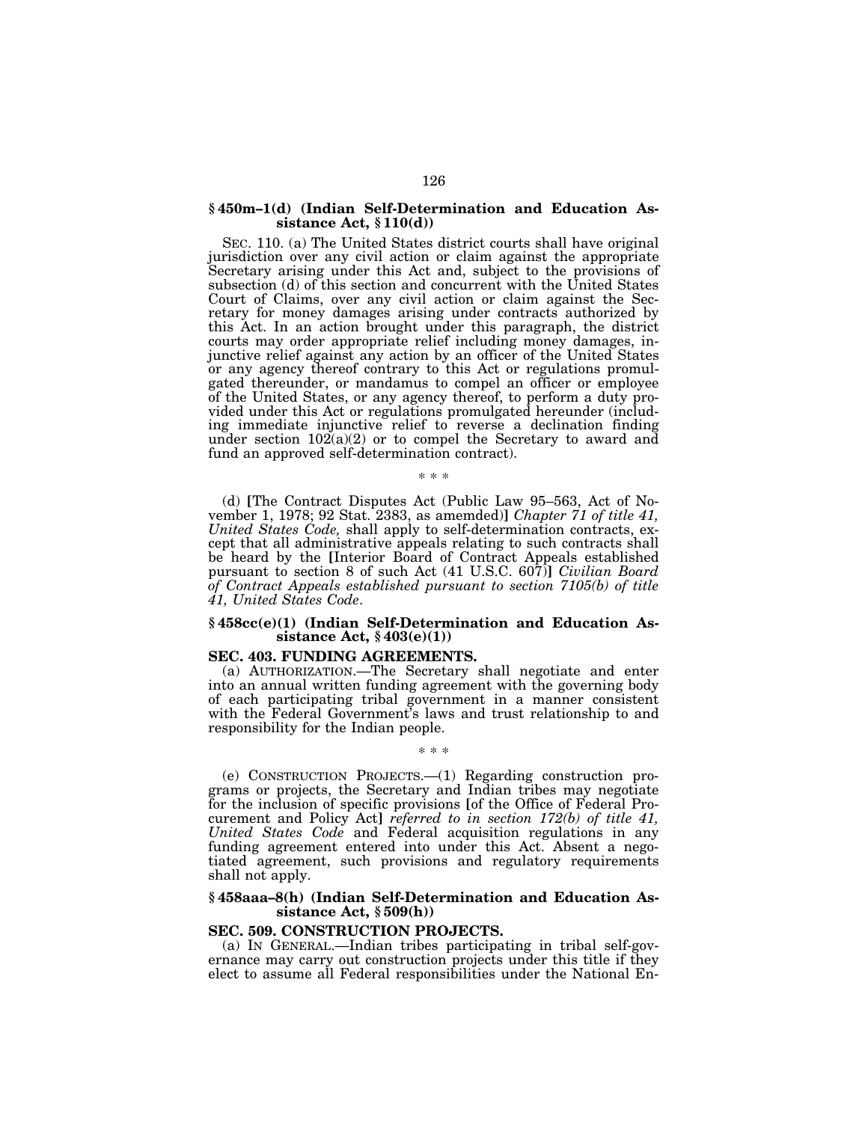#### **§ 450m–1(d) (Indian Self-Determination and Education Assistance Act, § 110(d))**

SEC. 110. (a) The United States district courts shall have original jurisdiction over any civil action or claim against the appropriate Secretary arising under this Act and, subject to the provisions of subsection (d) of this section and concurrent with the United States Court of Claims, over any civil action or claim against the Secretary for money damages arising under contracts authorized by this Act. In an action brought under this paragraph, the district courts may order appropriate relief including money damages, injunctive relief against any action by an officer of the United States or any agency thereof contrary to this Act or regulations promulgated thereunder, or mandamus to compel an officer or employee of the United States, or any agency thereof, to perform a duty provided under this Act or regulations promulgated hereunder (including immediate injunctive relief to reverse a declination finding under section  $102(a)(2)$  or to compel the Secretary to award and fund an approved self-determination contract).

\* \* \*

(d) **[**The Contract Disputes Act (Public Law 95–563, Act of November 1, 1978; 92 Stat. 2383, as amemded)**]** *Chapter 71 of title 41, United States Code,* shall apply to self-determination contracts, except that all administrative appeals relating to such contracts shall be heard by the **[**Interior Board of Contract Appeals established pursuant to section 8 of such Act (41 U.S.C. 607)**]** *Civilian Board of Contract Appeals established pursuant to section 7105(b) of title 41, United States Code*.

## **§ 458cc(e)(1) (Indian Self-Determination and Education Assistance Act, § 403(e)(1))**

#### **SEC. 403. FUNDING AGREEMENTS.**

(a) AUTHORIZATION.—The Secretary shall negotiate and enter into an annual written funding agreement with the governing body of each participating tribal government in a manner consistent with the Federal Government's laws and trust relationship to and responsibility for the Indian people.

\* \* \*

(e) CONSTRUCTION PROJECTS.—(1) Regarding construction programs or projects, the Secretary and Indian tribes may negotiate for the inclusion of specific provisions **[**of the Office of Federal Procurement and Policy Act**]** *referred to in section 172(b) of title 41, United States Code* and Federal acquisition regulations in any funding agreement entered into under this Act. Absent a negotiated agreement, such provisions and regulatory requirements shall not apply.

### **§ 458aaa–8(h) (Indian Self-Determination and Education Assistance Act, § 509(h))**

#### **SEC. 509. CONSTRUCTION PROJECTS.**

(a) IN GENERAL.—Indian tribes participating in tribal self-governance may carry out construction projects under this title if they elect to assume all Federal responsibilities under the National En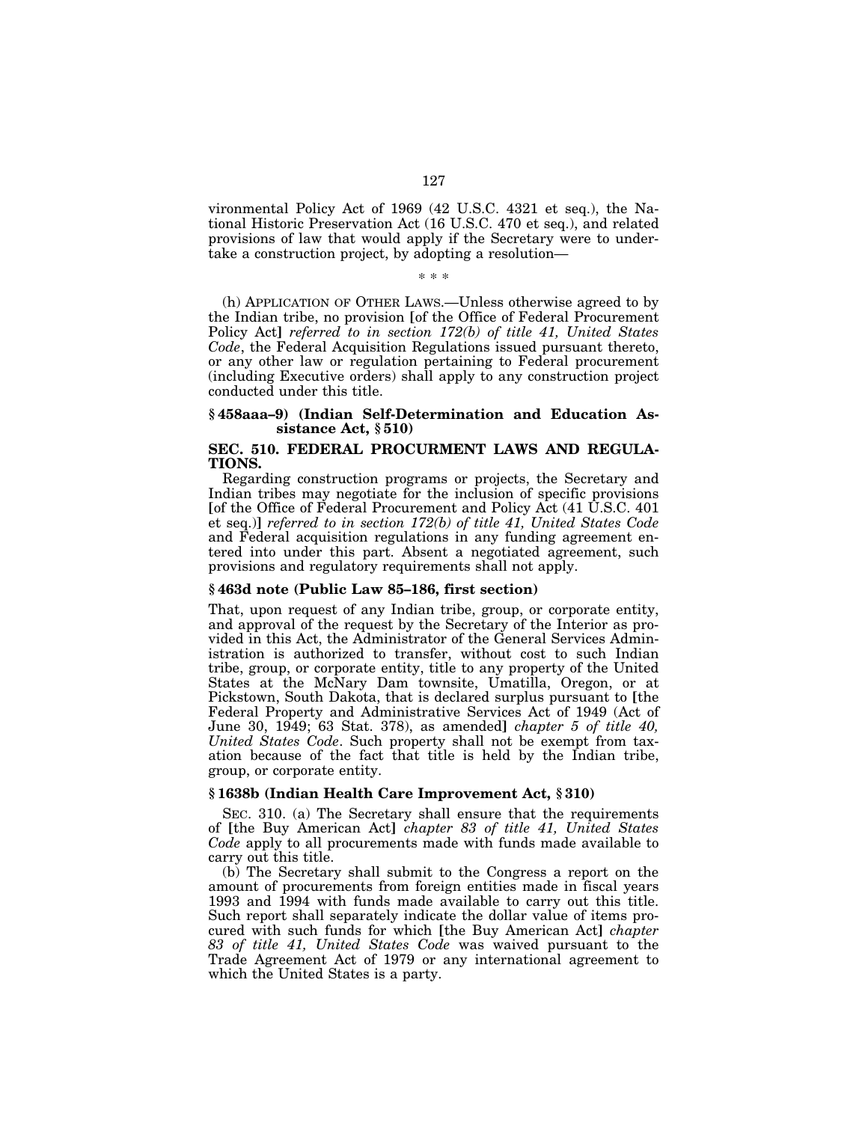vironmental Policy Act of 1969 (42 U.S.C. 4321 et seq.), the National Historic Preservation Act (16 U.S.C. 470 et seq.), and related provisions of law that would apply if the Secretary were to undertake a construction project, by adopting a resolution—

\* \* \*

(h) APPLICATION OF OTHER LAWS.—Unless otherwise agreed to by the Indian tribe, no provision **[**of the Office of Federal Procurement Policy Act**]** *referred to in section 172(b) of title 41, United States Code*, the Federal Acquisition Regulations issued pursuant thereto, or any other law or regulation pertaining to Federal procurement (including Executive orders) shall apply to any construction project conducted under this title.

## **§ 458aaa–9) (Indian Self-Determination and Education Assistance Act, § 510)**

## **SEC. 510. FEDERAL PROCURMENT LAWS AND REGULA-TIONS.**

Regarding construction programs or projects, the Secretary and Indian tribes may negotiate for the inclusion of specific provisions **[**of the Office of Federal Procurement and Policy Act (41 U.S.C. 401 et seq.)**]** *referred to in section 172(b) of title 41, United States Code*  and Federal acquisition regulations in any funding agreement entered into under this part. Absent a negotiated agreement, such provisions and regulatory requirements shall not apply.

# **§ 463d note (Public Law 85–186, first section)**

That, upon request of any Indian tribe, group, or corporate entity, and approval of the request by the Secretary of the Interior as provided in this Act, the Administrator of the General Services Administration is authorized to transfer, without cost to such Indian tribe, group, or corporate entity, title to any property of the United States at the McNary Dam townsite, Umatilla, Oregon, or at Pickstown, South Dakota, that is declared surplus pursuant to **[**the Federal Property and Administrative Services Act of 1949 (Act of June 30, 1949; 63 Stat. 378), as amended**]** *chapter 5 of title 40, United States Code*. Such property shall not be exempt from taxation because of the fact that title is held by the Indian tribe, group, or corporate entity.

### **§ 1638b (Indian Health Care Improvement Act, § 310)**

SEC. 310. (a) The Secretary shall ensure that the requirements of **[**the Buy American Act**]** *chapter 83 of title 41, United States Code* apply to all procurements made with funds made available to carry out this title.

(b) The Secretary shall submit to the Congress a report on the amount of procurements from foreign entities made in fiscal years 1993 and 1994 with funds made available to carry out this title. Such report shall separately indicate the dollar value of items procured with such funds for which **[**the Buy American Act**]** *chapter 83 of title 41, United States Code* was waived pursuant to the Trade Agreement Act of 1979 or any international agreement to which the United States is a party.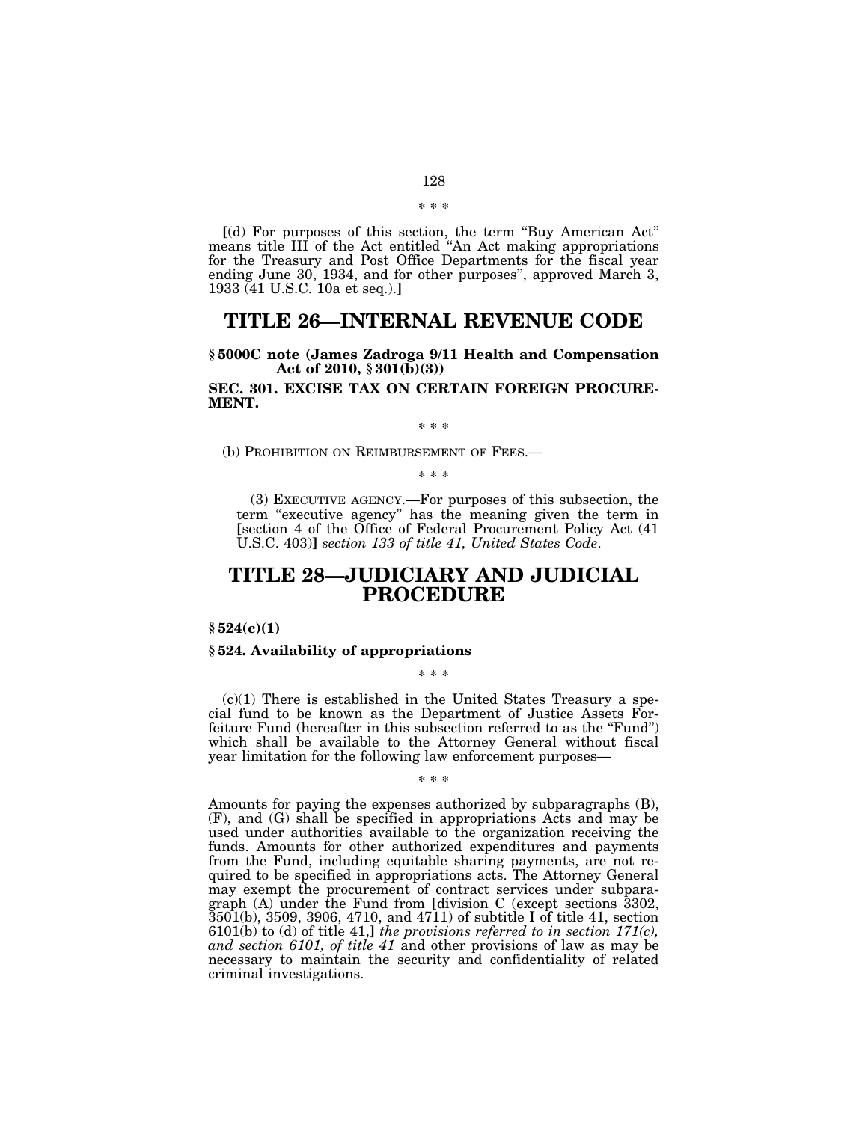**[**(d) For purposes of this section, the term ''Buy American Act'' means title III of the Act entitled ''An Act making appropriations for the Treasury and Post Office Departments for the fiscal year ending June 30, 1934, and for other purposes'', approved March 3, 1933 (41 U.S.C. 10a et seq.).**]** 

# **TITLE 26—INTERNAL REVENUE CODE**

#### **§ 5000C note (James Zadroga 9/11 Health and Compensation**  Act of  $2010, \, \frac{8}{301}$ (b)(3))

**SEC. 301. EXCISE TAX ON CERTAIN FOREIGN PROCURE-MENT.** 

\* \* \*

(b) PROHIBITION ON REIMBURSEMENT OF FEES.—

\* \* \*

(3) EXECUTIVE AGENCY.—For purposes of this subsection, the term ''executive agency'' has the meaning given the term in **[**section 4 of the Office of Federal Procurement Policy Act (41 U.S.C. 403)**]** *section 133 of title 41, United States Code*.

# **TITLE 28—JUDICIARY AND JUDICIAL PROCEDURE**

# **§ 524(c)(1)**

## **§ 524. Availability of appropriations**

 $(c)(1)$  There is established in the United States Treasury a special fund to be known as the Department of Justice Assets Forfeiture Fund (hereafter in this subsection referred to as the "Fund") which shall be available to the Attorney General without fiscal year limitation for the following law enforcement purposes—

\* \* \*

\* \* \*

Amounts for paying the expenses authorized by subparagraphs (B), (F), and (G) shall be specified in appropriations Acts and may be used under authorities available to the organization receiving the funds. Amounts for other authorized expenditures and payments from the Fund, including equitable sharing payments, are not required to be specified in appropriations acts. The Attorney General may exempt the procurement of contract services under subparagraph (A) under the Fund from **[**division C (except sections 3302, 3501(b), 3509, 3906, 4710, and 4711) of subtitle I of title 41, section 6101(b) to (d) of title 41,**]** *the provisions referred to in section 171(c), and section 6101, of title 41* and other provisions of law as may be necessary to maintain the security and confidentiality of related criminal investigations.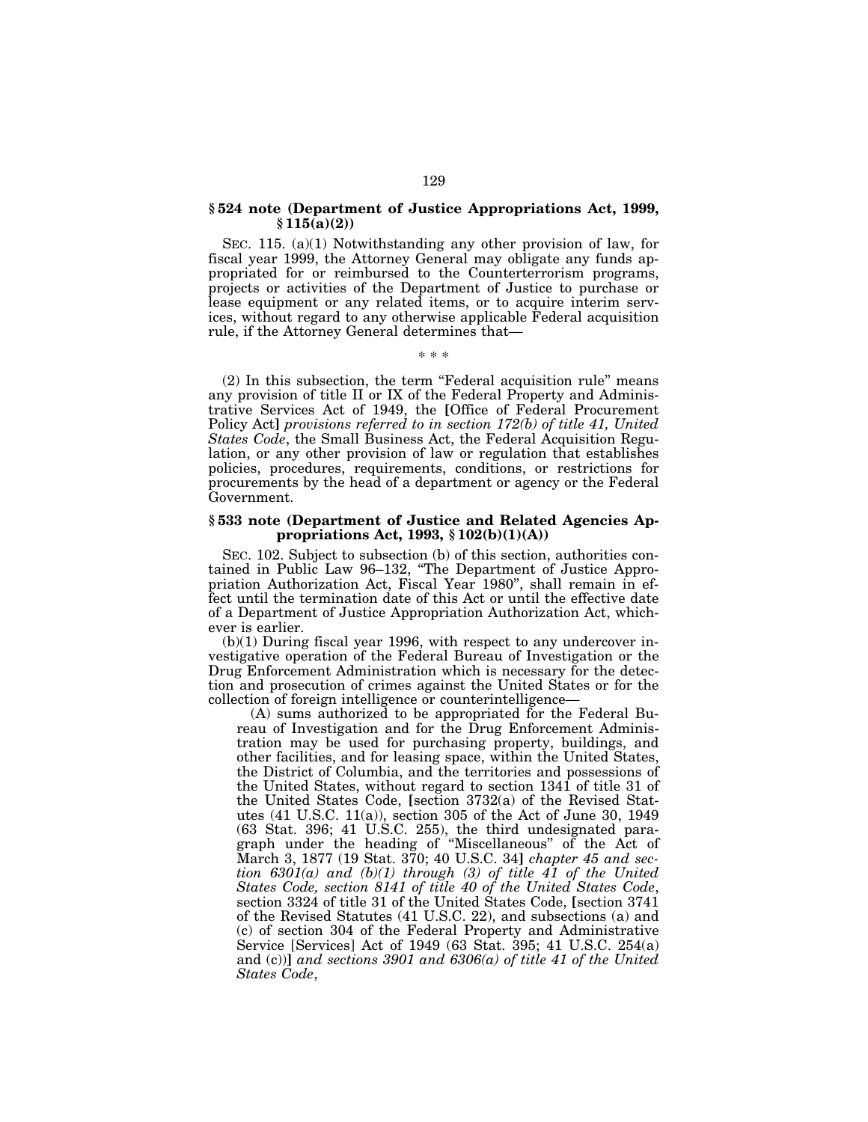### **§ 524 note (Department of Justice Appropriations Act, 1999,**   $$115(a)(2))$

SEC. 115. (a)(1) Notwithstanding any other provision of law, for fiscal year 1999, the Attorney General may obligate any funds appropriated for or reimbursed to the Counterterrorism programs, projects or activities of the Department of Justice to purchase or lease equipment or any related items, or to acquire interim services, without regard to any otherwise applicable Federal acquisition rule, if the Attorney General determines that—

\* \* \*

(2) In this subsection, the term "Federal acquisition rule" means any provision of title II or IX of the Federal Property and Administrative Services Act of 1949, the **[**Office of Federal Procurement Policy Act**]** *provisions referred to in section 172(b) of title 41, United States Code*, the Small Business Act, the Federal Acquisition Regulation, or any other provision of law or regulation that establishes policies, procedures, requirements, conditions, or restrictions for procurements by the head of a department or agency or the Federal Government.

### **§ 533 note (Department of Justice and Related Agencies Appropriations Act, 1993, § 102(b)(1)(A))**

SEC. 102. Subject to subsection (b) of this section, authorities contained in Public Law 96–132, ''The Department of Justice Appropriation Authorization Act, Fiscal Year 1980'', shall remain in effect until the termination date of this Act or until the effective date of a Department of Justice Appropriation Authorization Act, whichever is earlier.

(b)(1) During fiscal year 1996, with respect to any undercover investigative operation of the Federal Bureau of Investigation or the Drug Enforcement Administration which is necessary for the detection and prosecution of crimes against the United States or for the collection of foreign intelligence or counterintelligence-

(A) sums authorized to be appropriated for the Federal Bureau of Investigation and for the Drug Enforcement Administration may be used for purchasing property, buildings, and other facilities, and for leasing space, within the United States, the District of Columbia, and the territories and possessions of the United States, without regard to section 1341 of title 31 of the United States Code, **[**section 3732(a) of the Revised Statutes (41 U.S.C. 11(a)), section 305 of the Act of June 30, 1949 (63 Stat. 396; 41 U.S.C. 255), the third undesignated paragraph under the heading of ''Miscellaneous'' of the Act of March 3, 1877 (19 Stat. 370; 40 U.S.C. 34**]** *chapter 45 and section 6301(a) and (b)(1) through (3) of title 41 of the United States Code, section 8141 of title 40 of the United States Code*, section 3324 of title 31 of the United States Code, **[**section 3741 of the Revised Statutes (41 U.S.C. 22), and subsections (a) and (c) of section 304 of the Federal Property and Administrative Service [Services] Act of 1949 (63 Stat. 395; 41 U.S.C. 254(a) and (c))**]** *and sections 3901 and 6306(a) of title 41 of the United States Code*,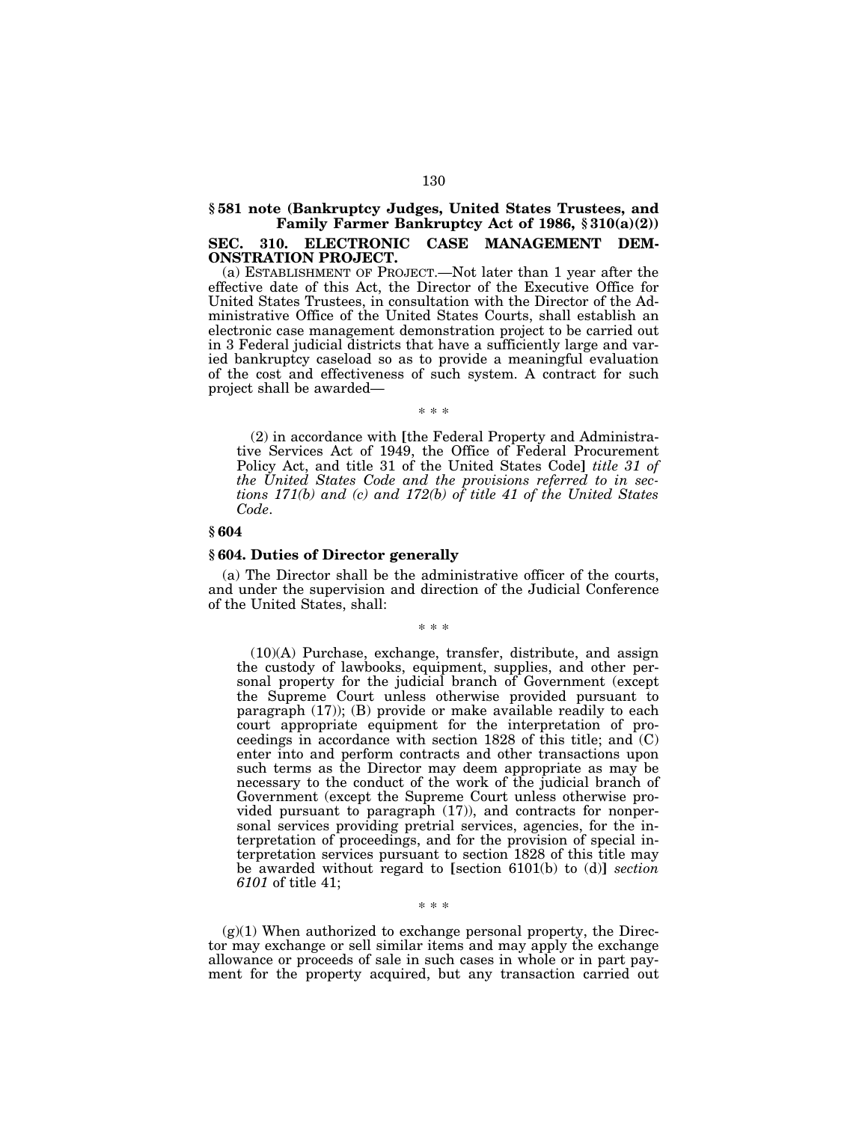## **§ 581 note (Bankruptcy Judges, United States Trustees, and Family Farmer Bankruptcy Act of 1986, § 310(a)(2))**

## **SEC. 310. ELECTRONIC CASE MANAGEMENT DEM-ONSTRATION PROJECT.**

(a) ESTABLISHMENT OF PROJECT.—Not later than 1 year after the effective date of this Act, the Director of the Executive Office for United States Trustees, in consultation with the Director of the Administrative Office of the United States Courts, shall establish an electronic case management demonstration project to be carried out in 3 Federal judicial districts that have a sufficiently large and varied bankruptcy caseload so as to provide a meaningful evaluation of the cost and effectiveness of such system. A contract for such project shall be awarded—

\* \* \*

(2) in accordance with **[**the Federal Property and Administrative Services Act of 1949, the Office of Federal Procurement Policy Act, and title 31 of the United States Code**]** *title 31 of the United States Code and the provisions referred to in sections 171(b) and (c) and 172(b) of title 41 of the United States Code*.

#### **§ 604**

#### **§ 604. Duties of Director generally**

(a) The Director shall be the administrative officer of the courts, and under the supervision and direction of the Judicial Conference of the United States, shall:

\* \* \*

(10)(A) Purchase, exchange, transfer, distribute, and assign the custody of lawbooks, equipment, supplies, and other personal property for the judicial branch of Government (except the Supreme Court unless otherwise provided pursuant to paragraph (17)); (B) provide or make available readily to each court appropriate equipment for the interpretation of proceedings in accordance with section 1828 of this title; and (C) enter into and perform contracts and other transactions upon such terms as the Director may deem appropriate as may be necessary to the conduct of the work of the judicial branch of Government (except the Supreme Court unless otherwise provided pursuant to paragraph (17)), and contracts for nonpersonal services providing pretrial services, agencies, for the interpretation of proceedings, and for the provision of special interpretation services pursuant to section 1828 of this title may be awarded without regard to **[**section 6101(b) to (d)**]** *section 6101* of title 41;

\* \* \*

 $(g)(1)$  When authorized to exchange personal property, the Director may exchange or sell similar items and may apply the exchange allowance or proceeds of sale in such cases in whole or in part payment for the property acquired, but any transaction carried out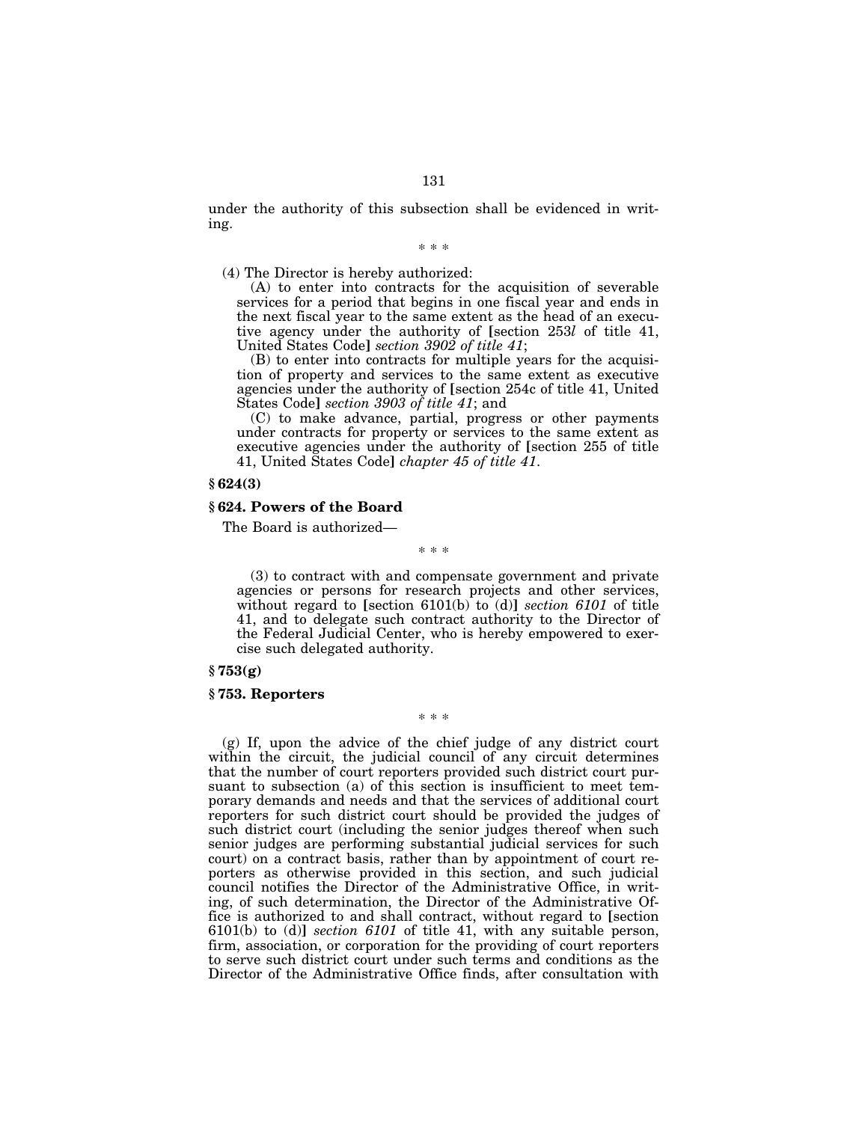under the authority of this subsection shall be evidenced in writing.

\* \* \*

(4) The Director is hereby authorized:

(A) to enter into contracts for the acquisition of severable services for a period that begins in one fiscal year and ends in the next fiscal year to the same extent as the head of an executive agency under the authority of **[**section 253*l* of title 41, United States Code**]** *section 3902 of title 41*;

(B) to enter into contracts for multiple years for the acquisition of property and services to the same extent as executive agencies under the authority of **[**section 254c of title 41, United States Code**]** *section 3903 of title 41*; and

(C) to make advance, partial, progress or other payments under contracts for property or services to the same extent as executive agencies under the authority of **[**section 255 of title 41, United States Code**]** *chapter 45 of title 41*.

#### **§ 624(3)**

#### **§ 624. Powers of the Board**

The Board is authorized—

\* \* \*

(3) to contract with and compensate government and private agencies or persons for research projects and other services, without regard to **[**section 6101(b) to (d)**]** *section 6101* of title 41, and to delegate such contract authority to the Director of the Federal Judicial Center, who is hereby empowered to exercise such delegated authority.

## **§ 753(g)**

#### **§ 753. Reporters**

\* \* \*

(g) If, upon the advice of the chief judge of any district court within the circuit, the judicial council of any circuit determines that the number of court reporters provided such district court pursuant to subsection (a) of this section is insufficient to meet temporary demands and needs and that the services of additional court reporters for such district court should be provided the judges of such district court (including the senior judges thereof when such senior judges are performing substantial judicial services for such court) on a contract basis, rather than by appointment of court reporters as otherwise provided in this section, and such judicial council notifies the Director of the Administrative Office, in writing, of such determination, the Director of the Administrative Office is authorized to and shall contract, without regard to **[**section 6101(b) to (d)**]** *section 6101* of title 41, with any suitable person, firm, association, or corporation for the providing of court reporters to serve such district court under such terms and conditions as the Director of the Administrative Office finds, after consultation with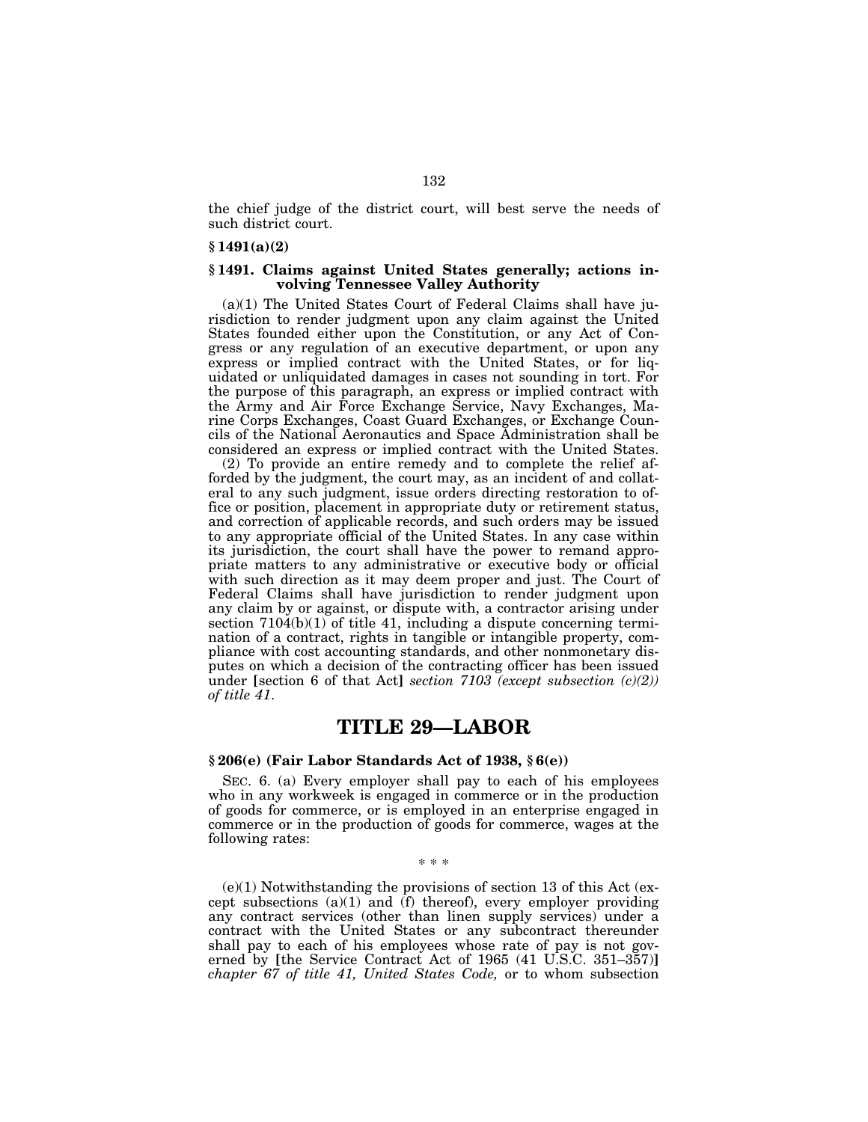the chief judge of the district court, will best serve the needs of such district court.

## **§ 1491(a)(2)**

## **§ 1491. Claims against United States generally; actions involving Tennessee Valley Authority**

(a)(1) The United States Court of Federal Claims shall have jurisdiction to render judgment upon any claim against the United States founded either upon the Constitution, or any Act of Congress or any regulation of an executive department, or upon any express or implied contract with the United States, or for liquidated or unliquidated damages in cases not sounding in tort. For the purpose of this paragraph, an express or implied contract with the Army and Air Force Exchange Service, Navy Exchanges, Marine Corps Exchanges, Coast Guard Exchanges, or Exchange Councils of the National Aeronautics and Space Administration shall be considered an express or implied contract with the United States.

(2) To provide an entire remedy and to complete the relief afforded by the judgment, the court may, as an incident of and collateral to any such judgment, issue orders directing restoration to office or position, placement in appropriate duty or retirement status, and correction of applicable records, and such orders may be issued to any appropriate official of the United States. In any case within its jurisdiction, the court shall have the power to remand appropriate matters to any administrative or executive body or official with such direction as it may deem proper and just. The Court of Federal Claims shall have jurisdiction to render judgment upon any claim by or against, or dispute with, a contractor arising under section  $7104(b)(1)$  of title 41, including a dispute concerning termination of a contract, rights in tangible or intangible property, compliance with cost accounting standards, and other nonmonetary disputes on which a decision of the contracting officer has been issued under **[**section 6 of that Act**]** *section 7103 (except subsection (c)(2)) of title 41*.

# **TITLE 29—LABOR**

#### **§ 206(e) (Fair Labor Standards Act of 1938, § 6(e))**

SEC. 6. (a) Every employer shall pay to each of his employees who in any workweek is engaged in commerce or in the production of goods for commerce, or is employed in an enterprise engaged in commerce or in the production of goods for commerce, wages at the following rates:

#### \* \* \*

(e)(1) Notwithstanding the provisions of section 13 of this Act (except subsections  $(a)(1)$  and  $(f)$  thereof), every employer providing any contract services (other than linen supply services) under a contract with the United States or any subcontract thereunder shall pay to each of his employees whose rate of pay is not governed by **[**the Service Contract Act of 1965 (41 U.S.C. 351–357)**]**  *chapter 67 of title 41, United States Code,* or to whom subsection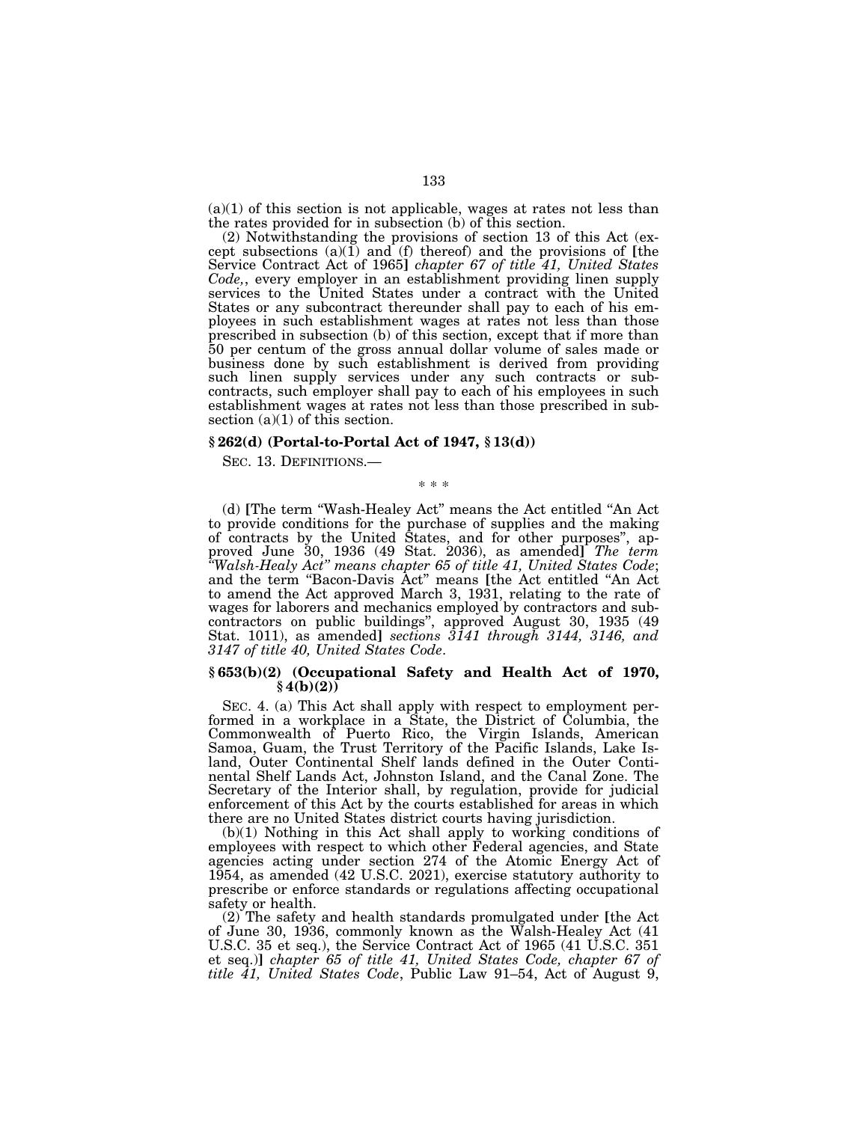$(a)(1)$  of this section is not applicable, wages at rates not less than the rates provided for in subsection (b) of this section.

(2) Notwithstanding the provisions of section 13 of this Act (except subsections  $(a)(1)$  and  $(f)$  thereof) and the provisions of [the Service Contract Act of 1965**]** *chapter 67 of title 41, United States Code,*, every employer in an establishment providing linen supply services to the United States under a contract with the United States or any subcontract thereunder shall pay to each of his employees in such establishment wages at rates not less than those prescribed in subsection (b) of this section, except that if more than 50 per centum of the gross annual dollar volume of sales made or business done by such establishment is derived from providing such linen supply services under any such contracts or subcontracts, such employer shall pay to each of his employees in such establishment wages at rates not less than those prescribed in subsection (a)(1) of this section.

#### **§ 262(d) (Portal-to-Portal Act of 1947, § 13(d))**

SEC. 13. DEFINITIONS.—

#### \* \* \*

(d) **[**The term ''Wash-Healey Act'' means the Act entitled ''An Act to provide conditions for the purchase of supplies and the making of contracts by the United States, and for other purposes'', approved June 30, 1936 (49 Stat. 2036), as amended**]** *The term ''Walsh-Healy Act'' means chapter 65 of title 41, United States Code*; and the term ''Bacon-Davis Act'' means **[**the Act entitled ''An Act to amend the Act approved March 3, 1931, relating to the rate of wages for laborers and mechanics employed by contractors and subcontractors on public buildings'', approved August 30, 1935 (49 Stat. 1011), as amended**]** *sections 3141 through 3144, 3146, and 3147 of title 40, United States Code*.

#### **§ 653(b)(2) (Occupational Safety and Health Act of 1970,**   $\frac{2}{9}$  4(b)(2))

SEC. 4. (a) This Act shall apply with respect to employment performed in a workplace in a State, the District of Columbia, the Commonwealth of Puerto Rico, the Virgin Islands, American Samoa, Guam, the Trust Territory of the Pacific Islands, Lake Island, Outer Continental Shelf lands defined in the Outer Continental Shelf Lands Act, Johnston Island, and the Canal Zone. The Secretary of the Interior shall, by regulation, provide for judicial enforcement of this Act by the courts established for areas in which there are no United States district courts having jurisdiction.

(b)(1) Nothing in this Act shall apply to working conditions of employees with respect to which other Federal agencies, and State agencies acting under section 274 of the Atomic Energy Act of 1954, as amended (42 U.S.C. 2021), exercise statutory authority to prescribe or enforce standards or regulations affecting occupational safety or health.

(2) The safety and health standards promulgated under **[**the Act of June 30, 1936, commonly known as the Walsh-Healey Act (41 U.S.C. 35 et seq.), the Service Contract Act of 1965 (41 U.S.C. 351 et seq.)**]** *chapter 65 of title 41, United States Code, chapter 67 of title 41, United States Code*, Public Law 91–54, Act of August 9,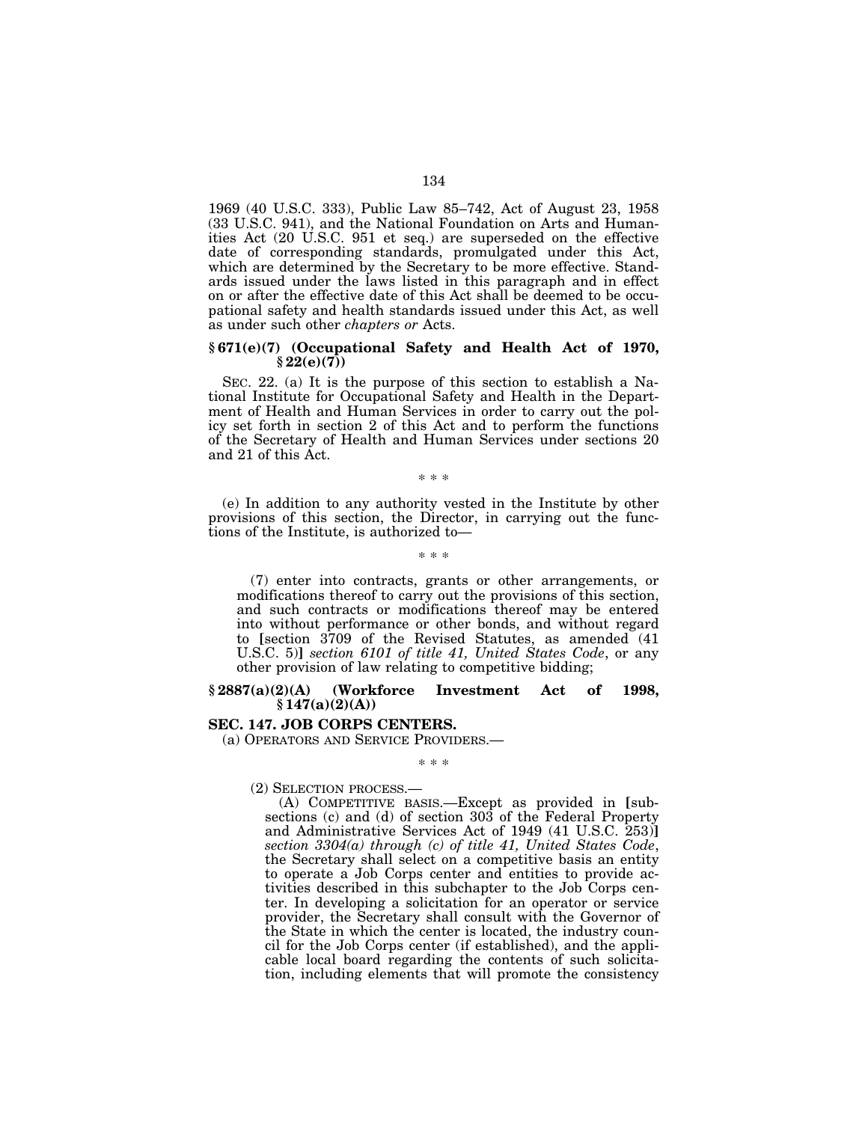1969 (40 U.S.C. 333), Public Law 85–742, Act of August 23, 1958 (33 U.S.C. 941), and the National Foundation on Arts and Humanities Act (20 U.S.C. 951 et seq.) are superseded on the effective date of corresponding standards, promulgated under this Act, which are determined by the Secretary to be more effective. Standards issued under the laws listed in this paragraph and in effect on or after the effective date of this Act shall be deemed to be occupational safety and health standards issued under this Act, as well as under such other *chapters or* Acts.

### **§ 671(e)(7) (Occupational Safety and Health Act of 1970,**   $§ 22(e)(7))$

SEC. 22. (a) It is the purpose of this section to establish a National Institute for Occupational Safety and Health in the Department of Health and Human Services in order to carry out the policy set forth in section 2 of this Act and to perform the functions of the Secretary of Health and Human Services under sections 20 and 21 of this Act.

#### \* \* \*

(e) In addition to any authority vested in the Institute by other provisions of this section, the Director, in carrying out the functions of the Institute, is authorized to—

#### \* \* \*

(7) enter into contracts, grants or other arrangements, or modifications thereof to carry out the provisions of this section, and such contracts or modifications thereof may be entered into without performance or other bonds, and without regard to **[**section 3709 of the Revised Statutes, as amended (41 U.S.C. 5)**]** *section 6101 of title 41, United States Code*, or any other provision of law relating to competitive bidding;

#### **§ 2887(a)(2)(A) (Workforce Investment Act of 1998,**   $§ 147(a)(2)(A))$

#### **SEC. 147. JOB CORPS CENTERS.**

(a) OPERATORS AND SERVICE PROVIDERS.—

#### \* \* \*

(2) SELECTION PROCESS.—

(A) COMPETITIVE BASIS.—Except as provided in **[**subsections (c) and (d) of section 303 of the Federal Property and Administrative Services Act of 1949 (41 U.S.C. 253)**]**  *section 3304(a) through (c) of title 41, United States Code*, the Secretary shall select on a competitive basis an entity to operate a Job Corps center and entities to provide activities described in this subchapter to the Job Corps center. In developing a solicitation for an operator or service provider, the Secretary shall consult with the Governor of the State in which the center is located, the industry council for the Job Corps center (if established), and the applicable local board regarding the contents of such solicitation, including elements that will promote the consistency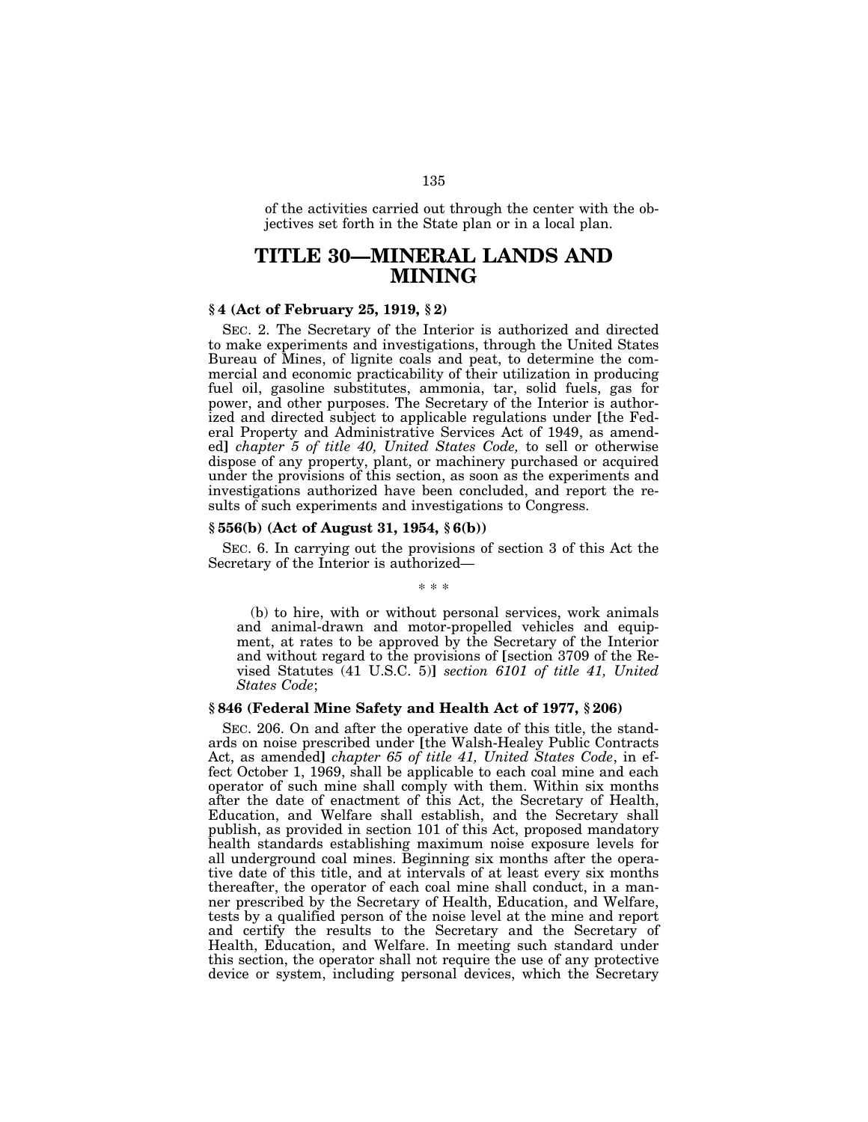of the activities carried out through the center with the objectives set forth in the State plan or in a local plan.

# **TITLE 30—MINERAL LANDS AND MINING**

#### **§ 4 (Act of February 25, 1919, § 2)**

SEC. 2. The Secretary of the Interior is authorized and directed to make experiments and investigations, through the United States Bureau of Mines, of lignite coals and peat, to determine the commercial and economic practicability of their utilization in producing fuel oil, gasoline substitutes, ammonia, tar, solid fuels, gas for power, and other purposes. The Secretary of the Interior is authorized and directed subject to applicable regulations under **[**the Federal Property and Administrative Services Act of 1949, as amended**]** *chapter 5 of title 40, United States Code,* to sell or otherwise dispose of any property, plant, or machinery purchased or acquired under the provisions of this section, as soon as the experiments and investigations authorized have been concluded, and report the results of such experiments and investigations to Congress.

#### **§ 556(b) (Act of August 31, 1954, § 6(b))**

SEC. 6. In carrying out the provisions of section 3 of this Act the Secretary of the Interior is authorized—

\* \* \*

(b) to hire, with or without personal services, work animals and animal-drawn and motor-propelled vehicles and equipment, at rates to be approved by the Secretary of the Interior and without regard to the provisions of **[**section 3709 of the Revised Statutes (41 U.S.C. 5)**]** *section 6101 of title 41, United States Code*;

# **§ 846 (Federal Mine Safety and Health Act of 1977, § 206)**

SEC. 206. On and after the operative date of this title, the standards on noise prescribed under **[**the Walsh-Healey Public Contracts Act, as amended**]** *chapter 65 of title 41, United States Code*, in effect October 1, 1969, shall be applicable to each coal mine and each operator of such mine shall comply with them. Within six months after the date of enactment of this Act, the Secretary of Health, Education, and Welfare shall establish, and the Secretary shall publish, as provided in section 101 of this Act, proposed mandatory health standards establishing maximum noise exposure levels for all underground coal mines. Beginning six months after the operative date of this title, and at intervals of at least every six months thereafter, the operator of each coal mine shall conduct, in a manner prescribed by the Secretary of Health, Education, and Welfare, tests by a qualified person of the noise level at the mine and report and certify the results to the Secretary and the Secretary of Health, Education, and Welfare. In meeting such standard under this section, the operator shall not require the use of any protective device or system, including personal devices, which the Secretary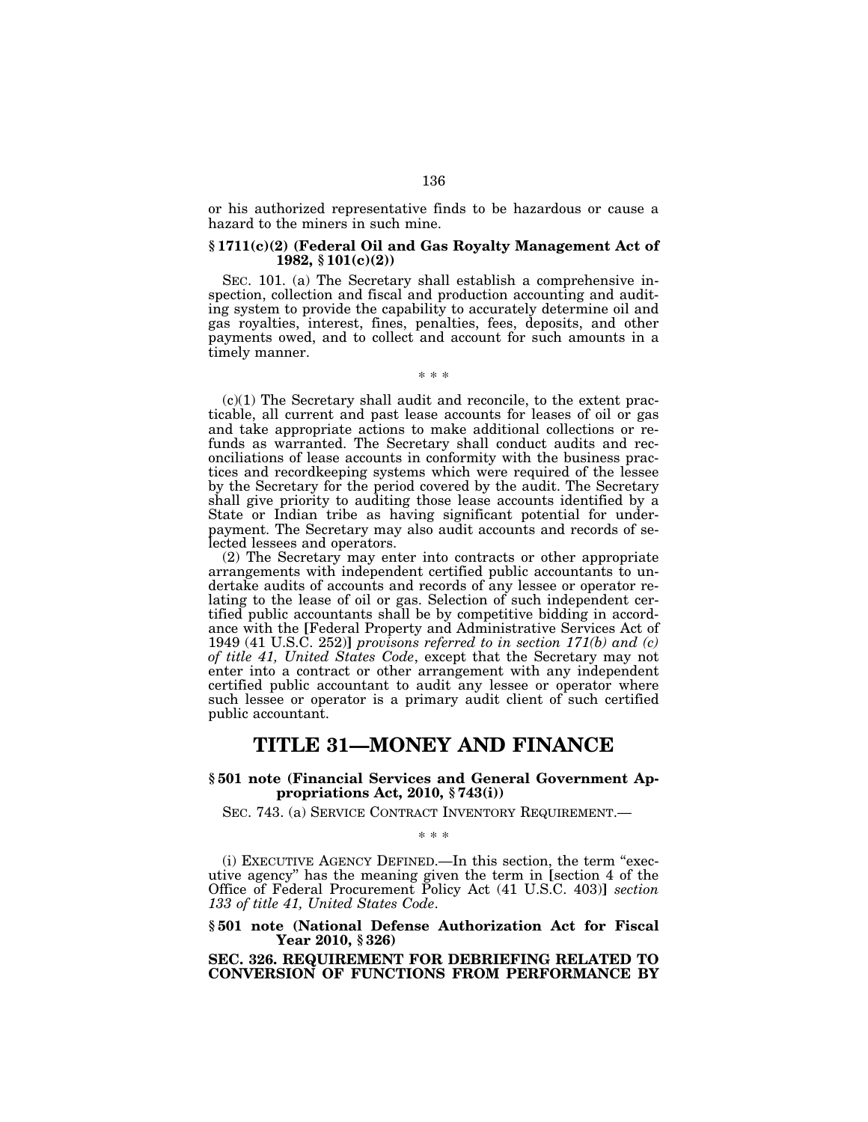or his authorized representative finds to be hazardous or cause a hazard to the miners in such mine.

#### **§ 1711(c)(2) (Federal Oil and Gas Royalty Management Act of 1982, § 101(c)(2))**

SEC. 101. (a) The Secretary shall establish a comprehensive inspection, collection and fiscal and production accounting and auditing system to provide the capability to accurately determine oil and gas royalties, interest, fines, penalties, fees, deposits, and other payments owed, and to collect and account for such amounts in a timely manner.

\* \* \*

 $(c)(1)$  The Secretary shall audit and reconcile, to the extent practicable, all current and past lease accounts for leases of oil or gas and take appropriate actions to make additional collections or refunds as warranted. The Secretary shall conduct audits and reconciliations of lease accounts in conformity with the business practices and recordkeeping systems which were required of the lessee by the Secretary for the period covered by the audit. The Secretary shall give priority to auditing those lease accounts identified by a State or Indian tribe as having significant potential for underpayment. The Secretary may also audit accounts and records of selected lessees and operators.

(2) The Secretary may enter into contracts or other appropriate arrangements with independent certified public accountants to undertake audits of accounts and records of any lessee or operator relating to the lease of oil or gas. Selection of such independent certified public accountants shall be by competitive bidding in accordance with the **[**Federal Property and Administrative Services Act of 1949 (41 U.S.C. 252)**]** *provisons referred to in section 171(b) and (c) of title 41, United States Code*, except that the Secretary may not enter into a contract or other arrangement with any independent certified public accountant to audit any lessee or operator where such lessee or operator is a primary audit client of such certified public accountant.

# **TITLE 31—MONEY AND FINANCE**

# **§ 501 note (Financial Services and General Government Appropriations Act, 2010, § 743(i))**

SEC. 743. (a) SERVICE CONTRACT INVENTORY REQUIREMENT.—

\* \* \*

(i) EXECUTIVE AGENCY DEFINED.—In this section, the term ''executive agency'' has the meaning given the term in **[**section 4 of the Office of Federal Procurement Policy Act (41 U.S.C. 403)**]** *section 133 of title 41, United States Code*.

### **§ 501 note (National Defense Authorization Act for Fiscal Year 2010, § 326)**

**SEC. 326. REQUIREMENT FOR DEBRIEFING RELATED TO CONVERSION OF FUNCTIONS FROM PERFORMANCE BY**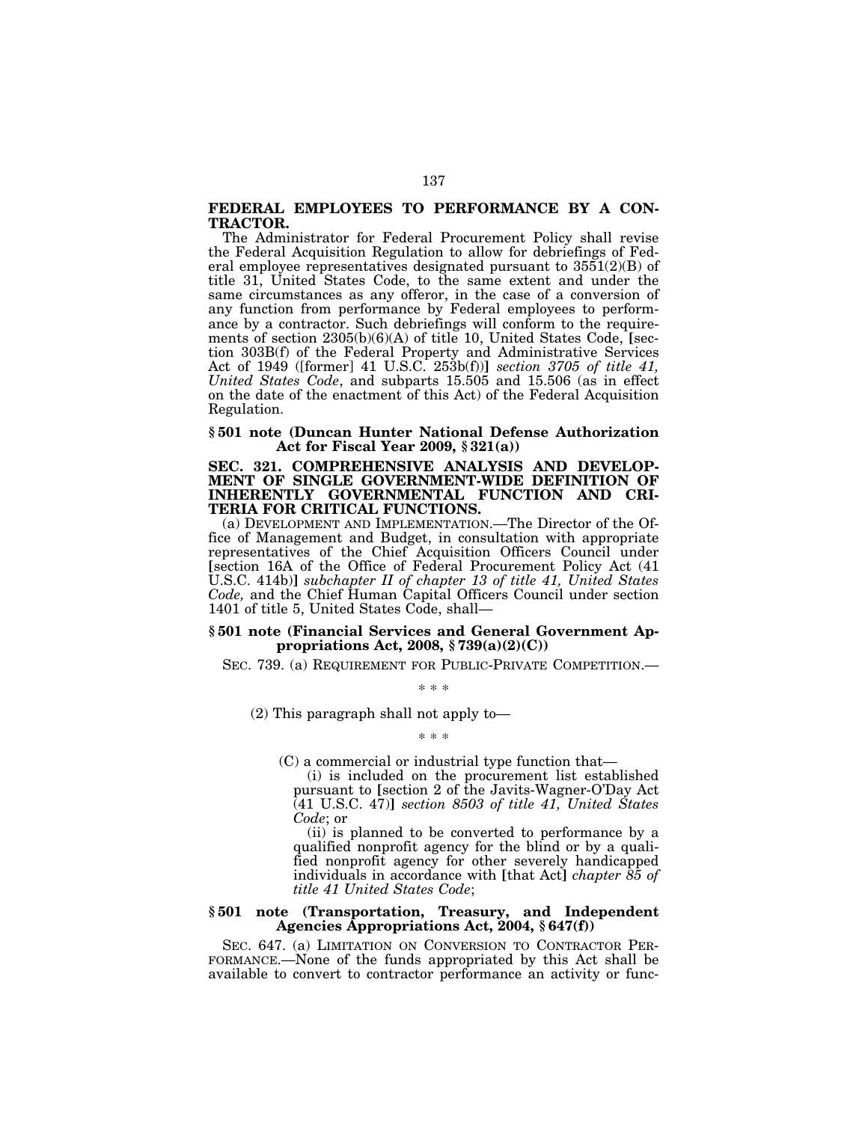# **FEDERAL EMPLOYEES TO PERFORMANCE BY A CON-TRACTOR.**

The Administrator for Federal Procurement Policy shall revise the Federal Acquisition Regulation to allow for debriefings of Federal employee representatives designated pursuant to  $3551(2)(B)$  of title 31, United States Code, to the same extent and under the same circumstances as any offeror, in the case of a conversion of any function from performance by Federal employees to performance by a contractor. Such debriefings will conform to the requirements of section 2305(b)(6)(A) of title 10, United States Code, **[**section 303B(f) of the Federal Property and Administrative Services Act of 1949 ([former] 41 U.S.C. 253b(f))**]** *section 3705 of title 41, United States Code*, and subparts 15.505 and 15.506 (as in effect on the date of the enactment of this Act) of the Federal Acquisition Regulation.

#### **§ 501 note (Duncan Hunter National Defense Authorization Act for Fiscal Year 2009, § 321(a))**

#### **SEC. 321. COMPREHENSIVE ANALYSIS AND DEVELOP-MENT OF SINGLE GOVERNMENT-WIDE DEFINITION OF INHERENTLY GOVERNMENTAL FUNCTION AND CRI-TERIA FOR CRITICAL FUNCTIONS.**

(a) DEVELOPMENT AND IMPLEMENTATION.—The Director of the Office of Management and Budget, in consultation with appropriate representatives of the Chief Acquisition Officers Council under **[**section 16A of the Office of Federal Procurement Policy Act (41 U.S.C. 414b)**]** *subchapter II of chapter 13 of title 41, United States Code,* and the Chief Human Capital Officers Council under section 1401 of title 5, United States Code, shall—

#### **§ 501 note (Financial Services and General Government Appropriations Act, 2008, § 739(a)(2)(C))**

SEC. 739. (a) REQUIREMENT FOR PUBLIC-PRIVATE COMPETITION.—

\* \* \*

(2) This paragraph shall not apply to—

\* \* \*

(C) a commercial or industrial type function that—

(i) is included on the procurement list established pursuant to **[**section 2 of the Javits-Wagner-O'Day Act (41 U.S.C. 47)**]** *section 8503 of title 41, United States Code*; or

(ii) is planned to be converted to performance by a qualified nonprofit agency for the blind or by a qualified nonprofit agency for other severely handicapped individuals in accordance with **[**that Act**]** *chapter 85 of title 41 United States Code*;

## **§ 501 note (Transportation, Treasury, and Independent Agencies Appropriations Act, 2004, § 647(f))**

SEC. 647. (a) LIMITATION ON CONVERSION TO CONTRACTOR PER-FORMANCE.—None of the funds appropriated by this Act shall be available to convert to contractor performance an activity or func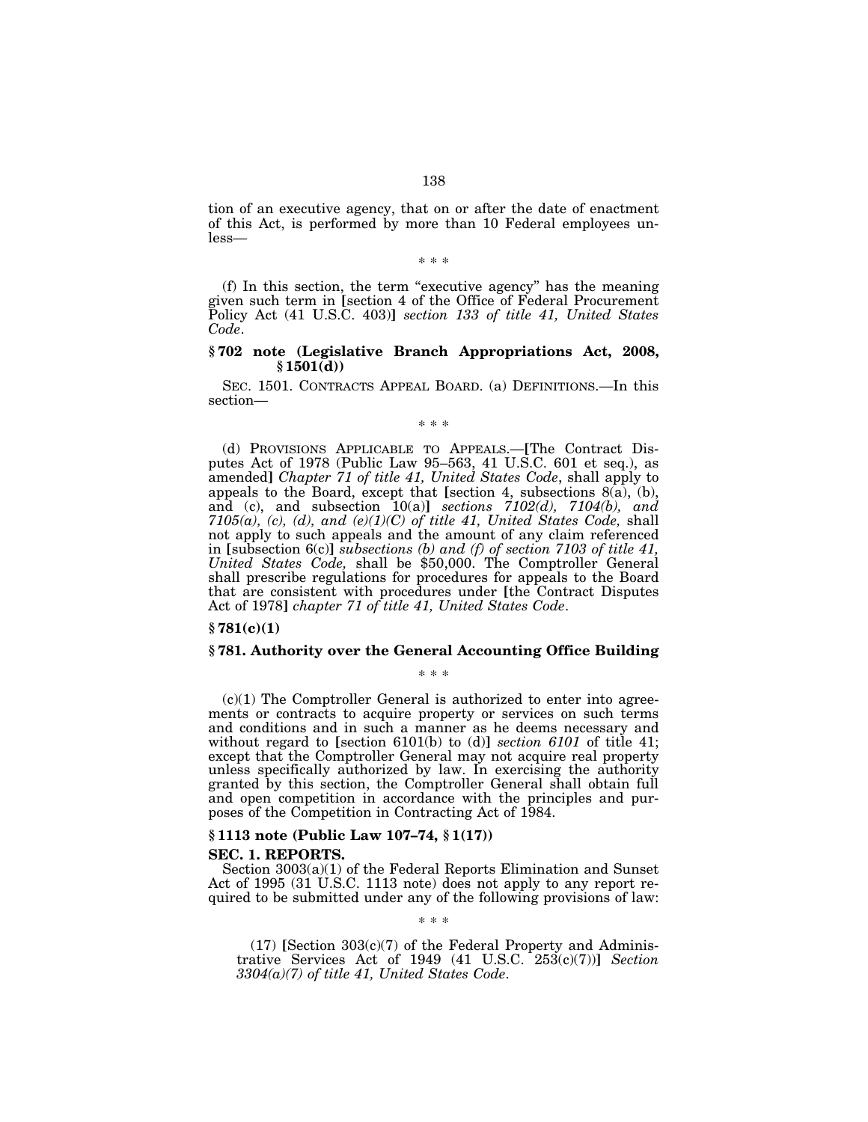tion of an executive agency, that on or after the date of enactment of this Act, is performed by more than 10 Federal employees unless—

\* \* \*

(f) In this section, the term ''executive agency'' has the meaning given such term in **[**section 4 of the Office of Federal Procurement Policy Act (41 U.S.C. 403)**]** *section 133 of title 41, United States Code*.

#### **§ 702 note (Legislative Branch Appropriations Act, 2008,**   $$1501(d)$

SEC. 1501. CONTRACTS APPEAL BOARD. (a) DEFINITIONS.—In this section—

(d) PROVISIONS APPLICABLE TO APPEALS.—**[**The Contract Disputes Act of 1978 (Public Law 95–563, 41 U.S.C. 601 et seq.), as amended**]** *Chapter 71 of title 41, United States Code*, shall apply to appeals to the Board, except that **[**section 4, subsections 8(a), (b), and (c), and subsection 10(a)**]** *sections 7102(d), 7104(b), and*   $7105(a)$ , (c), (d), and (e)(1)(C) of title 41, United States Code, shall not apply to such appeals and the amount of any claim referenced in **[**subsection 6(c)**]** *subsections (b) and (f) of section 7103 of title 41, United States Code*, shall be \$50,000. The Comptroller General shall prescribe regulations for procedures for appeals to the Board that are consistent with procedures under **[**the Contract Disputes Act of 1978**]** *chapter 71 of title 41, United States Code*.

#### **§ 781(c)(1)**

# **§ 781. Authority over the General Accounting Office Building**  \* \* \*

 $(c)(1)$  The Comptroller General is authorized to enter into agreements or contracts to acquire property or services on such terms and conditions and in such a manner as he deems necessary and without regard to **[**section 6101(b) to (d)**]** *section 6101* of title 41; except that the Comptroller General may not acquire real property unless specifically authorized by law. In exercising the authority granted by this section, the Comptroller General shall obtain full and open competition in accordance with the principles and purposes of the Competition in Contracting Act of 1984.

# **§ 1113 note (Public Law 107–74, § 1(17)) SEC. 1. REPORTS.**

Section 3003(a)(1) of the Federal Reports Elimination and Sunset Act of 1995 (31 U.S.C. 1113 note) does not apply to any report required to be submitted under any of the following provisions of law:

\* \* \*

(17) **[**Section 303(c)(7) of the Federal Property and Administrative Services Act of 1949 (41 U.S.C. 253(c)(7))**]** *Section 3304(a)(7) of title 41, United States Code*.

<sup>\* \* \*</sup>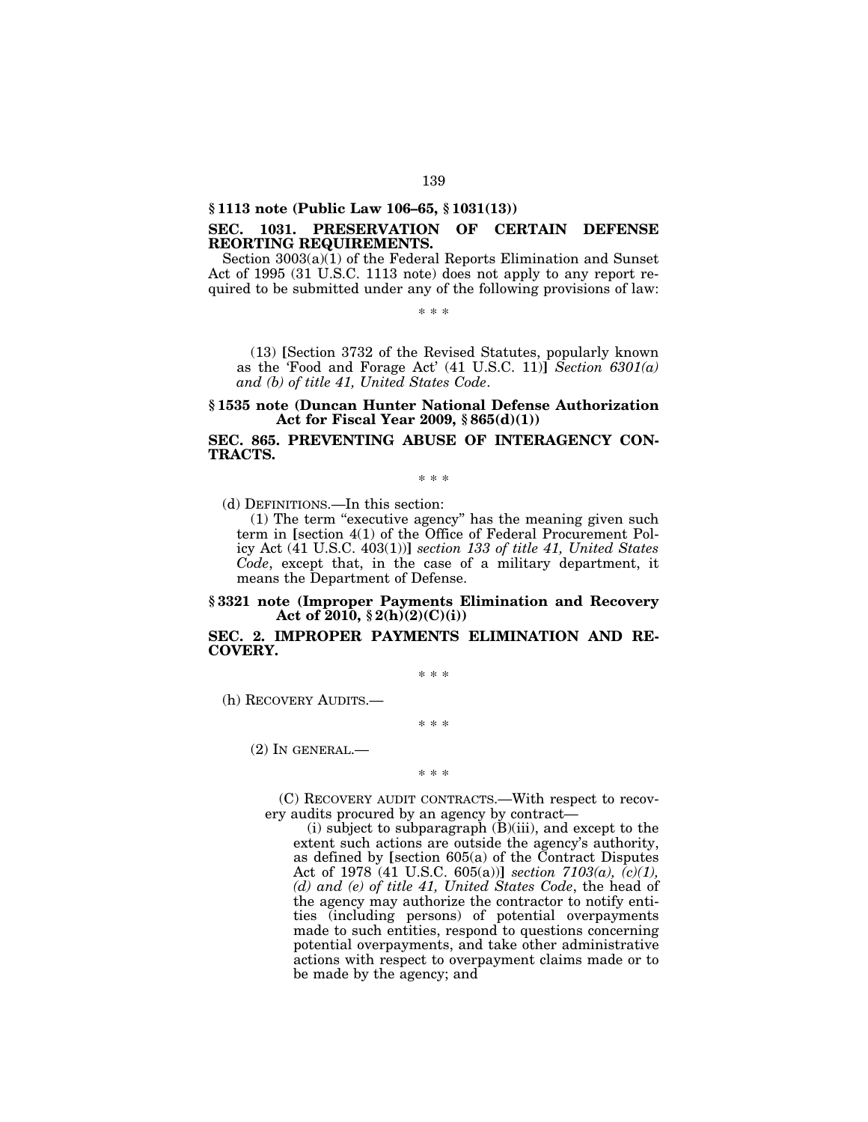#### **§ 1113 note (Public Law 106–65, § 1031(13))**

# **SEC. 1031. PRESERVATION OF CERTAIN DEFENSE REORTING REQUIREMENTS.**

Section  $3003(a)(1)$  of the Federal Reports Elimination and Sunset Act of 1995 (31 U.S.C. 1113 note) does not apply to any report required to be submitted under any of the following provisions of law:

\* \* \*

(13) **[**Section 3732 of the Revised Statutes, popularly known as the 'Food and Forage Act' (41 U.S.C. 11)**]** *Section 6301(a) and (b) of title 41, United States Code*.

# **§ 1535 note (Duncan Hunter National Defense Authorization Act for Fiscal Year 2009, § 865(d)(1))**

# **SEC. 865. PREVENTING ABUSE OF INTERAGENCY CON-TRACTS.**

\* \* \*

(d) DEFINITIONS.—In this section:

(1) The term ''executive agency'' has the meaning given such term in **[**section 4(1) of the Office of Federal Procurement Policy Act (41 U.S.C. 403(1))**]** *section 133 of title 41, United States Code*, except that, in the case of a military department, it means the Department of Defense.

## **§ 3321 note (Improper Payments Elimination and Recovery Act of 2010, § 2(h)(2)(C)(i))**

# **SEC. 2. IMPROPER PAYMENTS ELIMINATION AND RE-COVERY.**

\* \* \*

(h) RECOVERY AUDITS.—

\* \* \*

(2) IN GENERAL.—

#### \* \* \*

(C) RECOVERY AUDIT CONTRACTS.—With respect to recovery audits procured by an agency by contract—

 $(i)$  subject to subparagraph  $(B)(iii)$ , and except to the extent such actions are outside the agency's authority, as defined by **[**section 605(a) of the Contract Disputes Act of 1978 (41 U.S.C. 605(a))**]** *section 7103(a), (c)(1), (d) and (e) of title 41, United States Code*, the head of the agency may authorize the contractor to notify entities (including persons) of potential overpayments made to such entities, respond to questions concerning potential overpayments, and take other administrative actions with respect to overpayment claims made or to be made by the agency; and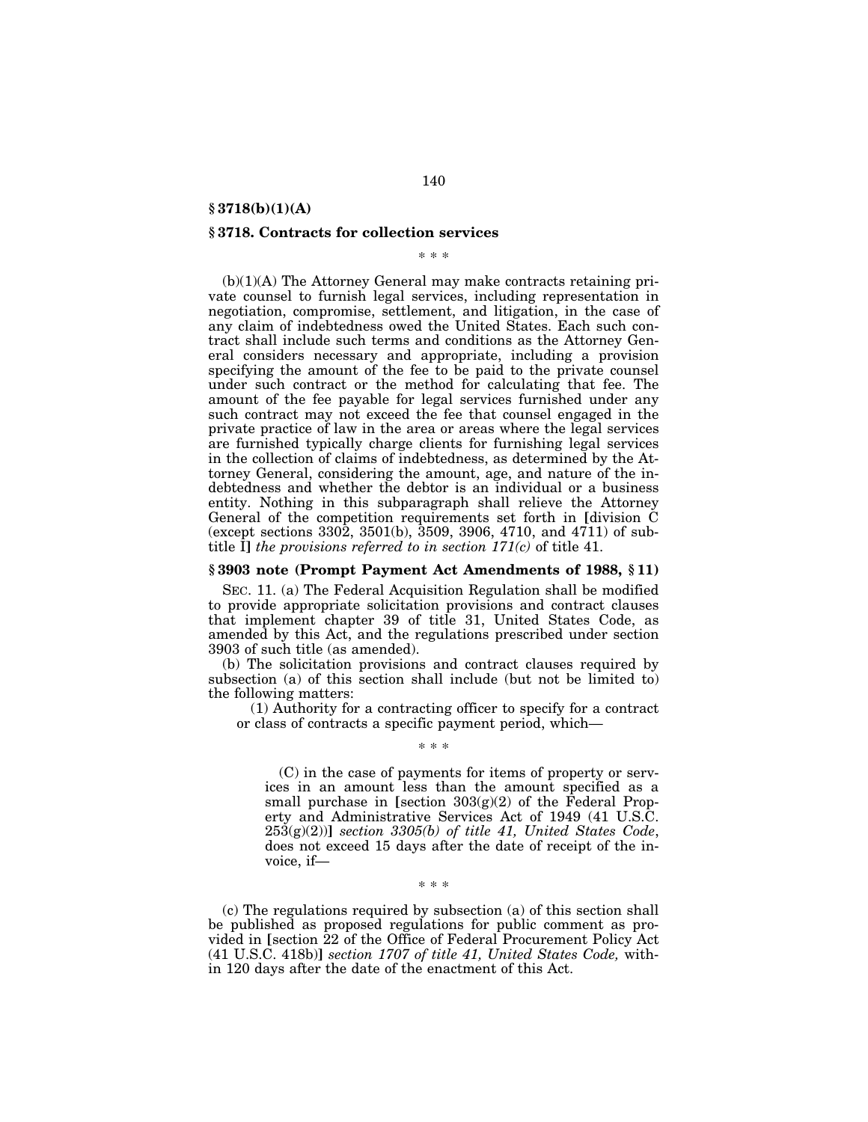**§ 3718(b)(1)(A)** 

#### **§ 3718. Contracts for collection services**

\* \* \*

(b)(1)(A) The Attorney General may make contracts retaining private counsel to furnish legal services, including representation in negotiation, compromise, settlement, and litigation, in the case of any claim of indebtedness owed the United States. Each such contract shall include such terms and conditions as the Attorney General considers necessary and appropriate, including a provision specifying the amount of the fee to be paid to the private counsel under such contract or the method for calculating that fee. The amount of the fee payable for legal services furnished under any such contract may not exceed the fee that counsel engaged in the private practice of law in the area or areas where the legal services are furnished typically charge clients for furnishing legal services in the collection of claims of indebtedness, as determined by the Attorney General, considering the amount, age, and nature of the indebtedness and whether the debtor is an individual or a business entity. Nothing in this subparagraph shall relieve the Attorney General of the competition requirements set forth in **[**division C (except sections 3302, 3501(b), 3509, 3906, 4710, and 4711) of subtitle I**]** *the provisions referred to in section 171(c)* of title 41.

#### **§ 3903 note (Prompt Payment Act Amendments of 1988, § 11)**

SEC. 11. (a) The Federal Acquisition Regulation shall be modified to provide appropriate solicitation provisions and contract clauses that implement chapter 39 of title 31, United States Code, as amended by this Act, and the regulations prescribed under section 3903 of such title (as amended).

(b) The solicitation provisions and contract clauses required by subsection (a) of this section shall include (but not be limited to) the following matters:

\* \* \*

(1) Authority for a contracting officer to specify for a contract or class of contracts a specific payment period, which—

(C) in the case of payments for items of property or services in an amount less than the amount specified as a small purchase in **[**section 303(g)(2) of the Federal Property and Administrative Services Act of 1949 (41 U.S.C. 253(g)(2))**]** *section 3305(b) of title 41, United States Code*, does not exceed 15 days after the date of receipt of the invoice, if—

\* \* \*

(c) The regulations required by subsection (a) of this section shall be published as proposed regulations for public comment as provided in **[**section 22 of the Office of Federal Procurement Policy Act (41 U.S.C. 418b)**]** *section 1707 of title 41, United States Code,* within 120 days after the date of the enactment of this Act.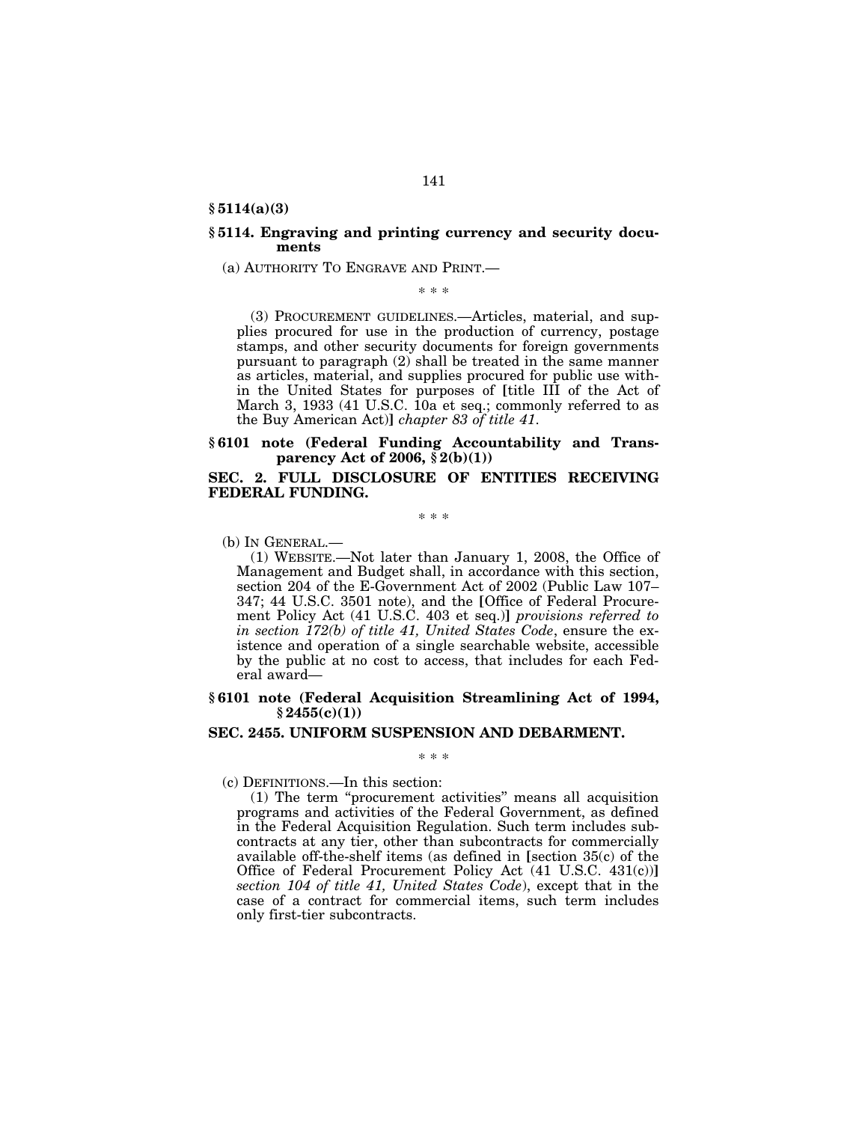**§ 5114(a)(3)** 

# **§ 5114. Engraving and printing currency and security documents**

(a) AUTHORITY TO ENGRAVE AND PRINT.—

\* \* \*

(3) PROCUREMENT GUIDELINES.—Articles, material, and supplies procured for use in the production of currency, postage stamps, and other security documents for foreign governments pursuant to paragraph (2) shall be treated in the same manner as articles, material, and supplies procured for public use within the United States for purposes of **[**title III of the Act of March 3, 1933 (41 U.S.C. 10a et seq.; commonly referred to as the Buy American Act)**]** *chapter 83 of title 41*.

## **§ 6101 note (Federal Funding Accountability and Transparency Act of 2006, § 2(b)(1))**

# **SEC. 2. FULL DISCLOSURE OF ENTITIES RECEIVING FEDERAL FUNDING.**

\* \* \*

(b) IN GENERAL.—

(1) WEBSITE.—Not later than January 1, 2008, the Office of Management and Budget shall, in accordance with this section, section 204 of the E-Government Act of 2002 (Public Law 107– 347; 44 U.S.C. 3501 note), and the **[**Office of Federal Procurement Policy Act (41 U.S.C. 403 et seq.)**]** *provisions referred to in section 172(b) of title 41, United States Code*, ensure the existence and operation of a single searchable website, accessible by the public at no cost to access, that includes for each Federal award—

### **§ 6101 note (Federal Acquisition Streamlining Act of 1994,**   $$2455(c)(1))$

# **SEC. 2455. UNIFORM SUSPENSION AND DEBARMENT.**

\* \* \*

(c) DEFINITIONS.—In this section:

(1) The term ''procurement activities'' means all acquisition programs and activities of the Federal Government, as defined in the Federal Acquisition Regulation. Such term includes subcontracts at any tier, other than subcontracts for commercially available off-the-shelf items (as defined in **[**section 35(c) of the Office of Federal Procurement Policy Act (41 U.S.C. 431(c))**]**  *section 104 of title 41, United States Code*), except that in the case of a contract for commercial items, such term includes only first-tier subcontracts.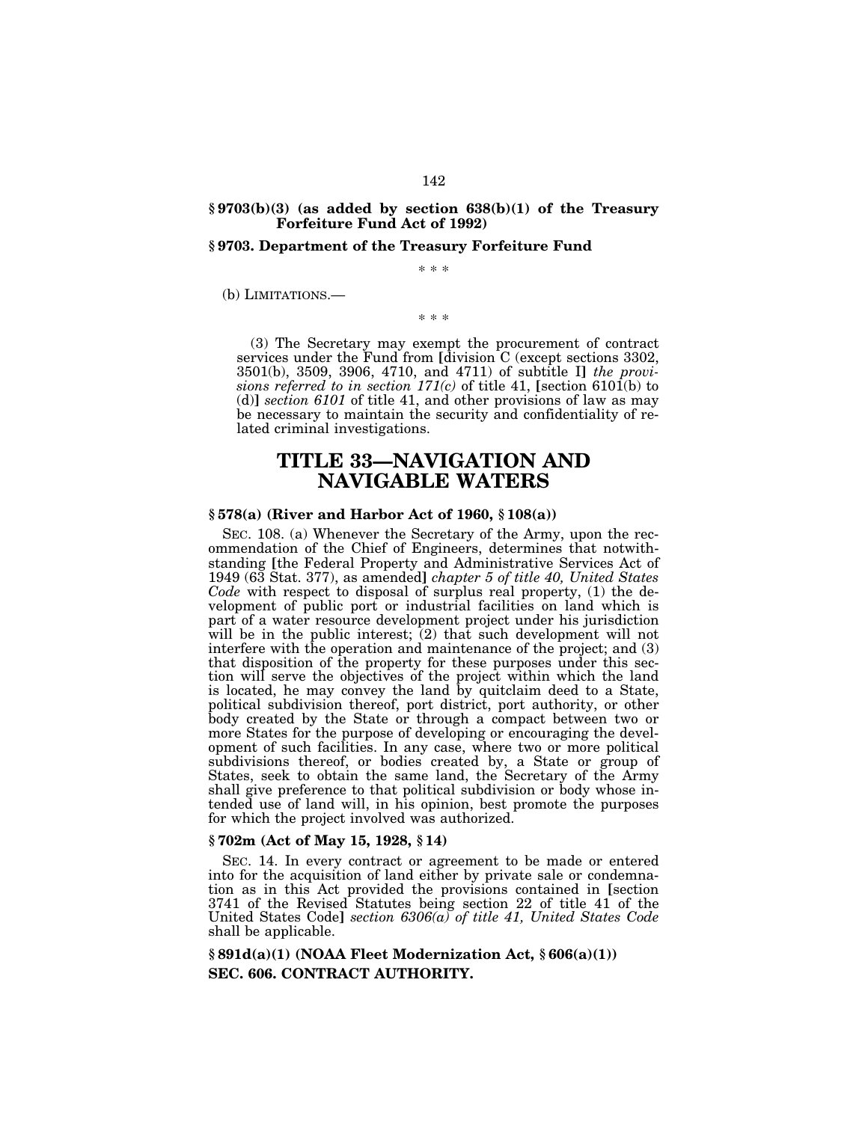## **§ 9703(b)(3) (as added by section 638(b)(1) of the Treasury Forfeiture Fund Act of 1992)**

#### **§ 9703. Department of the Treasury Forfeiture Fund**

\* \* \*

(b) LIMITATIONS.—

\* \* \*

(3) The Secretary may exempt the procurement of contract services under the Fund from *[division<sup>1</sup>C* (except sections 3302, 3501(b), 3509, 3906, 4710, and 4711) of subtitle I**]** *the provisions referred to in section*  $171(c)$  *of title 41, [section 6101(b) to* (d)**]** *section 6101* of title 41, and other provisions of law as may be necessary to maintain the security and confidentiality of related criminal investigations.

# **TITLE 33—NAVIGATION AND NAVIGABLE WATERS**

#### **§ 578(a) (River and Harbor Act of 1960, § 108(a))**

SEC. 108. (a) Whenever the Secretary of the Army, upon the recommendation of the Chief of Engineers, determines that notwithstanding **[**the Federal Property and Administrative Services Act of 1949 (63 Stat. 377), as amended**]** *chapter 5 of title 40, United States Code* with respect to disposal of surplus real property, (1) the development of public port or industrial facilities on land which is part of a water resource development project under his jurisdiction will be in the public interest; (2) that such development will not interfere with the operation and maintenance of the project; and (3) that disposition of the property for these purposes under this section will serve the objectives of the project within which the land is located, he may convey the land by quitclaim deed to a State, political subdivision thereof, port district, port authority, or other body created by the State or through a compact between two or more States for the purpose of developing or encouraging the development of such facilities. In any case, where two or more political subdivisions thereof, or bodies created by, a State or group of States, seek to obtain the same land, the Secretary of the Army shall give preference to that political subdivision or body whose intended use of land will, in his opinion, best promote the purposes for which the project involved was authorized.

#### **§ 702m (Act of May 15, 1928, § 14)**

SEC. 14. In every contract or agreement to be made or entered into for the acquisition of land either by private sale or condemnation as in this Act provided the provisions contained in **[**section 3741 of the Revised Statutes being section 22 of title 41 of the United States Code**]** *section 6306(a) of title 41, United States Code*  shall be applicable.

**§ 891d(a)(1) (NOAA Fleet Modernization Act, § 606(a)(1)) SEC. 606. CONTRACT AUTHORITY.**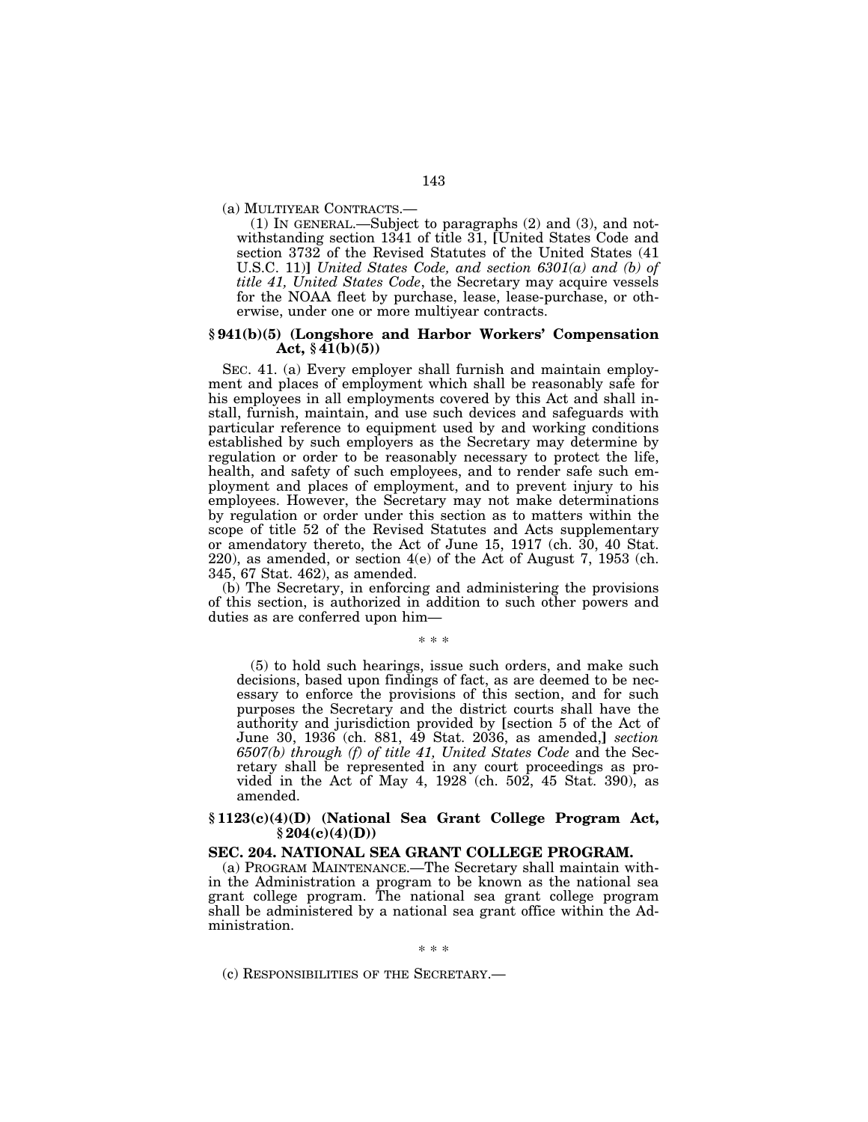(a) MULTIYEAR CONTRACTS.—

(1) IN GENERAL.—Subject to paragraphs (2) and (3), and notwithstanding section 1341 of title 31, **[**United States Code and section 3732 of the Revised Statutes of the United States (41 U.S.C. 11)**]** *United States Code, and section 6301(a) and (b) of title 41, United States Code*, the Secretary may acquire vessels for the NOAA fleet by purchase, lease, lease-purchase, or otherwise, under one or more multiyear contracts.

# **§ 941(b)(5) (Longshore and Harbor Workers' Compensation Act, § 41(b)(5))**

SEC. 41. (a) Every employer shall furnish and maintain employment and places of employment which shall be reasonably safe for his employees in all employments covered by this Act and shall install, furnish, maintain, and use such devices and safeguards with particular reference to equipment used by and working conditions established by such employers as the Secretary may determine by regulation or order to be reasonably necessary to protect the life, health, and safety of such employees, and to render safe such employment and places of employment, and to prevent injury to his employees. However, the Secretary may not make determinations by regulation or order under this section as to matters within the scope of title 52 of the Revised Statutes and Acts supplementary or amendatory thereto, the Act of June 15, 1917 (ch. 30, 40 Stat. 220), as amended, or section 4(e) of the Act of August 7, 1953 (ch. 345, 67 Stat. 462), as amended.

(b) The Secretary, in enforcing and administering the provisions of this section, is authorized in addition to such other powers and duties as are conferred upon him—

\* \* \*

(5) to hold such hearings, issue such orders, and make such decisions, based upon findings of fact, as are deemed to be necessary to enforce the provisions of this section, and for such purposes the Secretary and the district courts shall have the authority and jurisdiction provided by **[**section 5 of the Act of June 30, 1936 (ch. 881, 49 Stat. 2036, as amended,**]** *section 6507(b) through (f) of title 41, United States Code* and the Secretary shall be represented in any court proceedings as provided in the Act of May 4, 1928 (ch. 502, 45 Stat. 390), as amended.

### **§ 1123(c)(4)(D) (National Sea Grant College Program Act,**   $§ 204(c)(4)(D))$

### **SEC. 204. NATIONAL SEA GRANT COLLEGE PROGRAM.**

(a) PROGRAM MAINTENANCE.—The Secretary shall maintain within the Administration a program to be known as the national sea grant college program. The national sea grant college program shall be administered by a national sea grant office within the Administration.

(c) RESPONSIBILITIES OF THE SECRETARY.—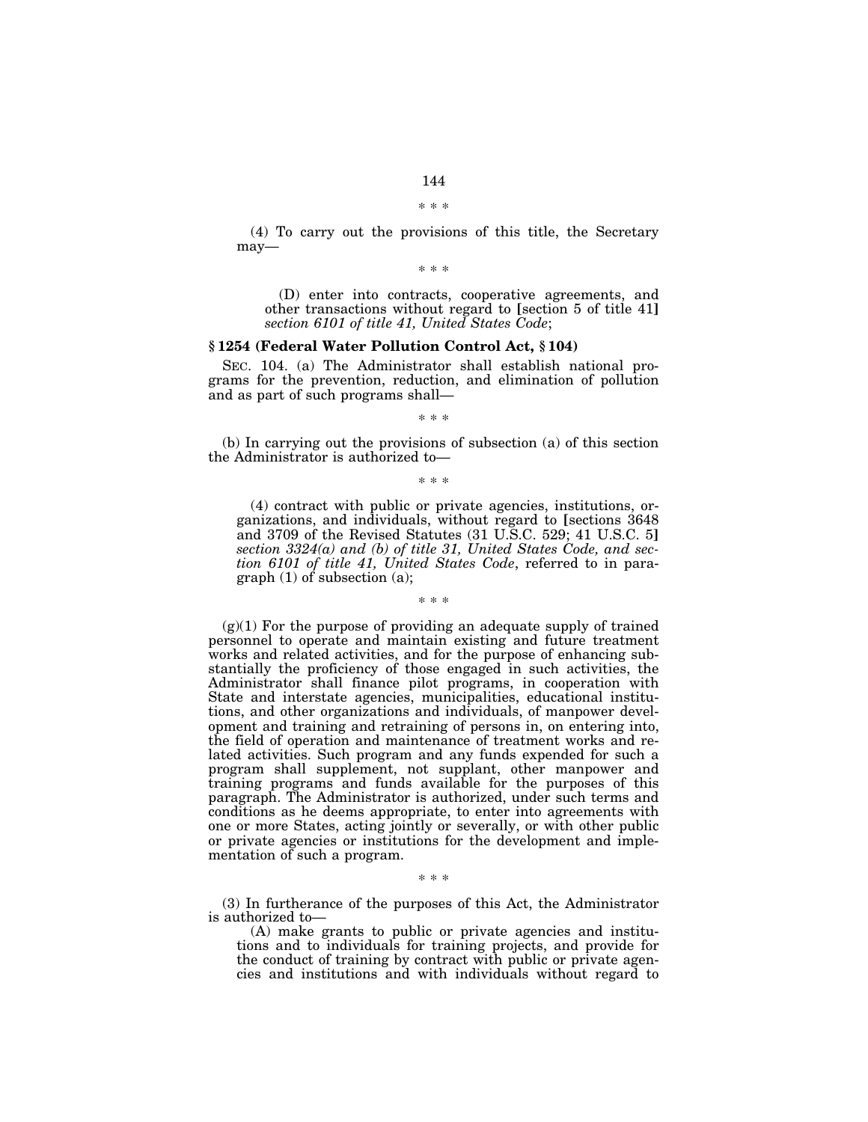(4) To carry out the provisions of this title, the Secretary may—

\* \* \*

(D) enter into contracts, cooperative agreements, and other transactions without regard to **[**section 5 of title 41**]**  *section 6101 of title 41, United States Code*;

#### **§ 1254 (Federal Water Pollution Control Act, § 104)**

SEC. 104. (a) The Administrator shall establish national programs for the prevention, reduction, and elimination of pollution and as part of such programs shall—

\* \* \*

(b) In carrying out the provisions of subsection (a) of this section the Administrator is authorized to—

\* \* \*

(4) contract with public or private agencies, institutions, organizations, and individuals, without regard to **[**sections 3648 and 3709 of the Revised Statutes (31 U.S.C. 529; 41 U.S.C. 5**]**  *section 3324(a) and (b) of title 31, United States Code, and section 6101 of title 41, United States Code*, referred to in paragraph (1) of subsection (a);

\* \* \*

 $(g)(1)$  For the purpose of providing an adequate supply of trained personnel to operate and maintain existing and future treatment works and related activities, and for the purpose of enhancing substantially the proficiency of those engaged in such activities, the Administrator shall finance pilot programs, in cooperation with State and interstate agencies, municipalities, educational institutions, and other organizations and individuals, of manpower development and training and retraining of persons in, on entering into, the field of operation and maintenance of treatment works and related activities. Such program and any funds expended for such a program shall supplement, not supplant, other manpower and training programs and funds available for the purposes of this paragraph. The Administrator is authorized, under such terms and conditions as he deems appropriate, to enter into agreements with one or more States, acting jointly or severally, or with other public or private agencies or institutions for the development and implementation of such a program.

(3) In furtherance of the purposes of this Act, the Administrator is authorized to—

\* \* \*

(A) make grants to public or private agencies and institutions and to individuals for training projects, and provide for the conduct of training by contract with public or private agencies and institutions and with individuals without regard to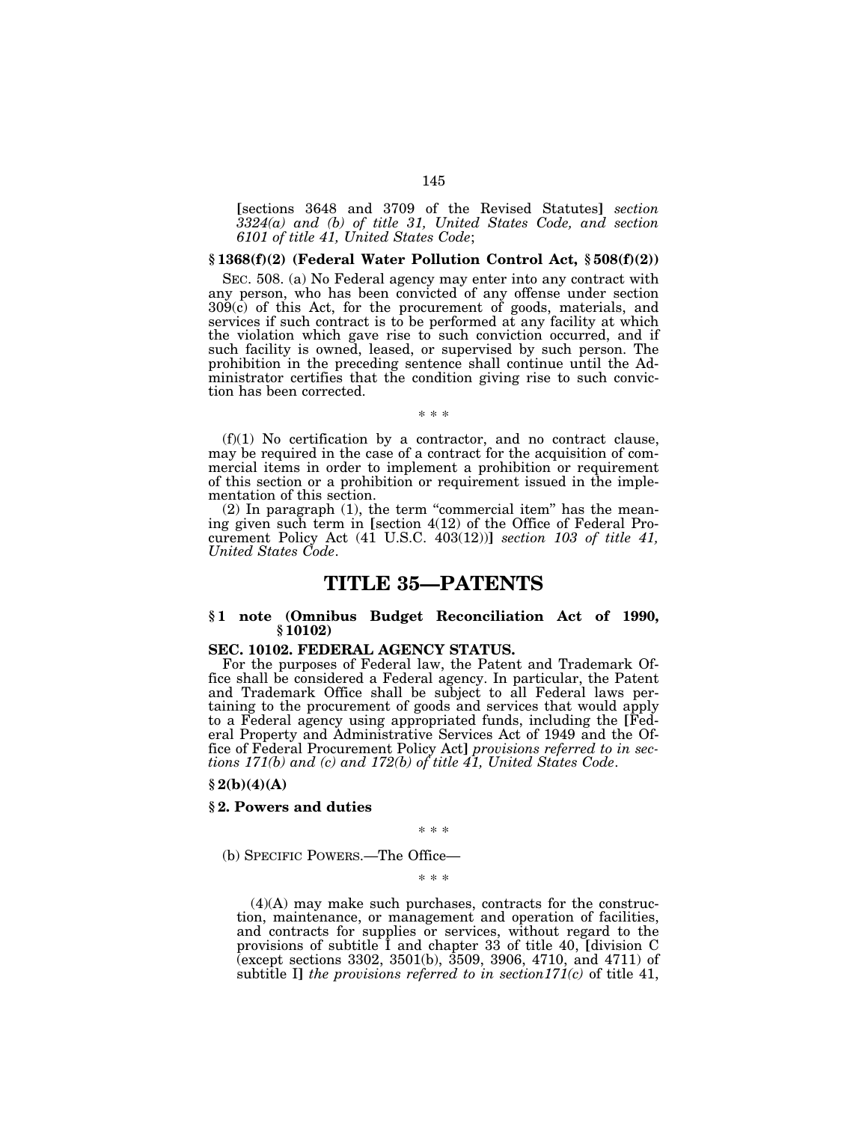**[**sections 3648 and 3709 of the Revised Statutes**]** *section 3324(a) and (b) of title 31, United States Code, and section 6101 of title 41, United States Code*;

# **§ 1368(f)(2) (Federal Water Pollution Control Act, § 508(f)(2))**

SEC. 508. (a) No Federal agency may enter into any contract with any person, who has been convicted of any offense under section  $309(c)$  of this Act, for the procurement of goods, materials, and services if such contract is to be performed at any facility at which the violation which gave rise to such conviction occurred, and if such facility is owned, leased, or supervised by such person. The prohibition in the preceding sentence shall continue until the Administrator certifies that the condition giving rise to such conviction has been corrected.

\* \* \*

 $(f)(1)$  No certification by a contractor, and no contract clause, may be required in the case of a contract for the acquisition of commercial items in order to implement a prohibition or requirement of this section or a prohibition or requirement issued in the implementation of this section.

 $(2)$  In paragraph  $(1)$ , the term "commercial item" has the meaning given such term in **[**section 4(12) of the Office of Federal Procurement Policy Act (41 U.S.C. 403(12))**]** *section 103 of title 41, United States Code*.

# **TITLE 35—PATENTS**

# **§ 1 note (Omnibus Budget Reconciliation Act of 1990, § 10102)**

# **SEC. 10102. FEDERAL AGENCY STATUS.**

For the purposes of Federal law, the Patent and Trademark Office shall be considered a Federal agency. In particular, the Patent and Trademark Office shall be subject to all Federal laws pertaining to the procurement of goods and services that would apply to a Federal agency using appropriated funds, including the **[**Federal Property and Administrative Services Act of 1949 and the Office of Federal Procurement Policy Act**]** *provisions referred to in sections 171(b) and (c) and 172(b) of title 41, United States Code*.

# $§ 2(b)(4)(A)$

### **§ 2. Powers and duties**

\* \* \*

(b) SPECIFIC POWERS.—The Office—

\* \* \*

(4)(A) may make such purchases, contracts for the construction, maintenance, or management and operation of facilities, and contracts for supplies or services, without regard to the provisions of subtitle I and chapter 33 of title 40, **[**division C (except sections 3302, 3501(b),  $3509$ , 3906, 4710, and 4711) of subtitle I**]** *the provisions referred to in section171(c)* of title 41,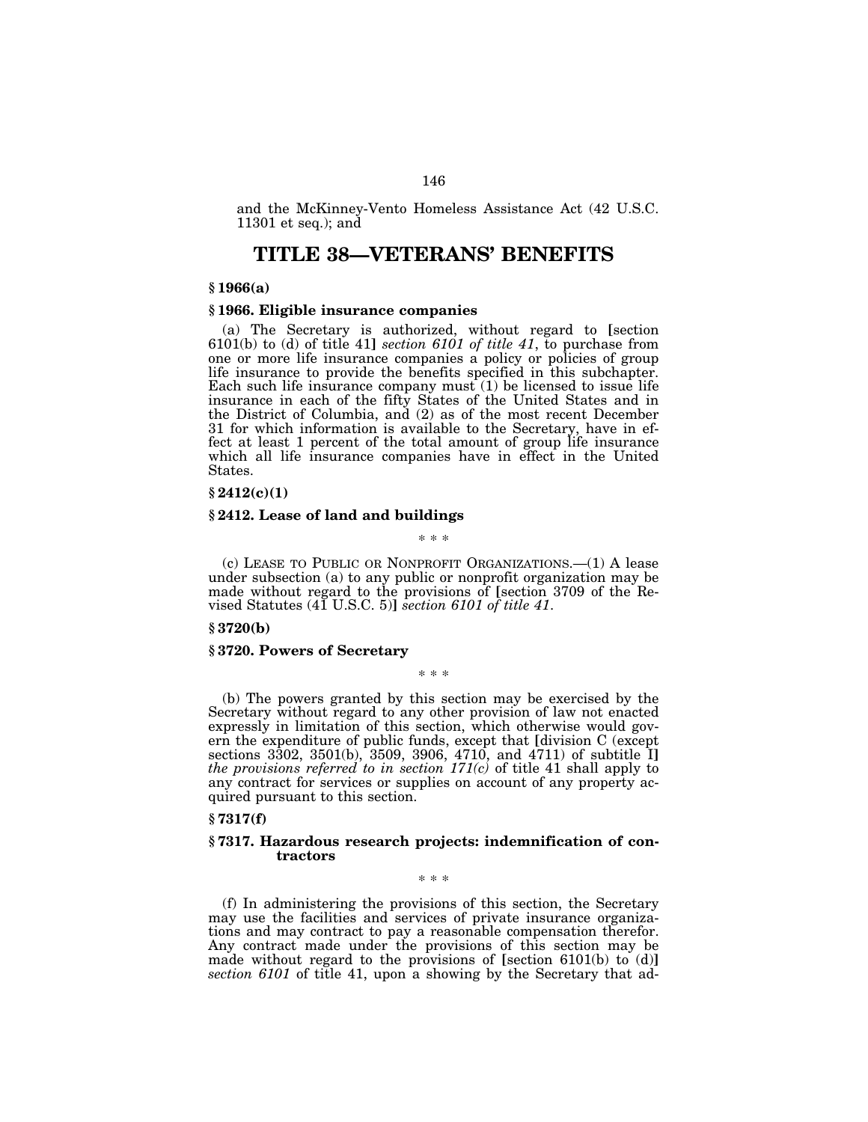and the McKinney-Vento Homeless Assistance Act (42 U.S.C. 11301 et seq.); and

# **TITLE 38—VETERANS' BENEFITS**

# **§ 1966(a)**

# **§ 1966. Eligible insurance companies**

(a) The Secretary is authorized, without regard to **[**section 6101(b) to (d) of title 41**]** *section 6101 of title 41*, to purchase from one or more life insurance companies a policy or policies of group life insurance to provide the benefits specified in this subchapter. Each such life insurance company must  $(1)$  be licensed to issue life insurance in each of the fifty States of the United States and in the District of Columbia, and (2) as of the most recent December 31 for which information is available to the Secretary, have in effect at least 1 percent of the total amount of group life insurance which all life insurance companies have in effect in the United States.

# **§ 2412(c)(1)**

## **§ 2412. Lease of land and buildings**

\* \* \*

(c) LEASE TO PUBLIC OR NONPROFIT ORGANIZATIONS.—(1) A lease under subsection (a) to any public or nonprofit organization may be made without regard to the provisions of **[**section 3709 of the Revised Statutes (41 U.S.C. 5)**]** *section 6101 of title 41*.

### **§ 3720(b)**

### **§ 3720. Powers of Secretary**

\* \* \*

(b) The powers granted by this section may be exercised by the Secretary without regard to any other provision of law not enacted expressly in limitation of this section, which otherwise would govern the expenditure of public funds, except that **[**division C (except sections 3302, 3501(b), 3509, 3906, 4710, and 4711) of subtitle I**]**  *the provisions referred to in section 171(c)* of title 41 shall apply to any contract for services or supplies on account of any property acquired pursuant to this section.

#### **§ 7317(f)**

### **§ 7317. Hazardous research projects: indemnification of contractors**

\* \* \*

(f) In administering the provisions of this section, the Secretary may use the facilities and services of private insurance organizations and may contract to pay a reasonable compensation therefor. Any contract made under the provisions of this section may be made without regard to the provisions of **[**section 6101(b) to (d)**]**  *section 6101* of title 41, upon a showing by the Secretary that ad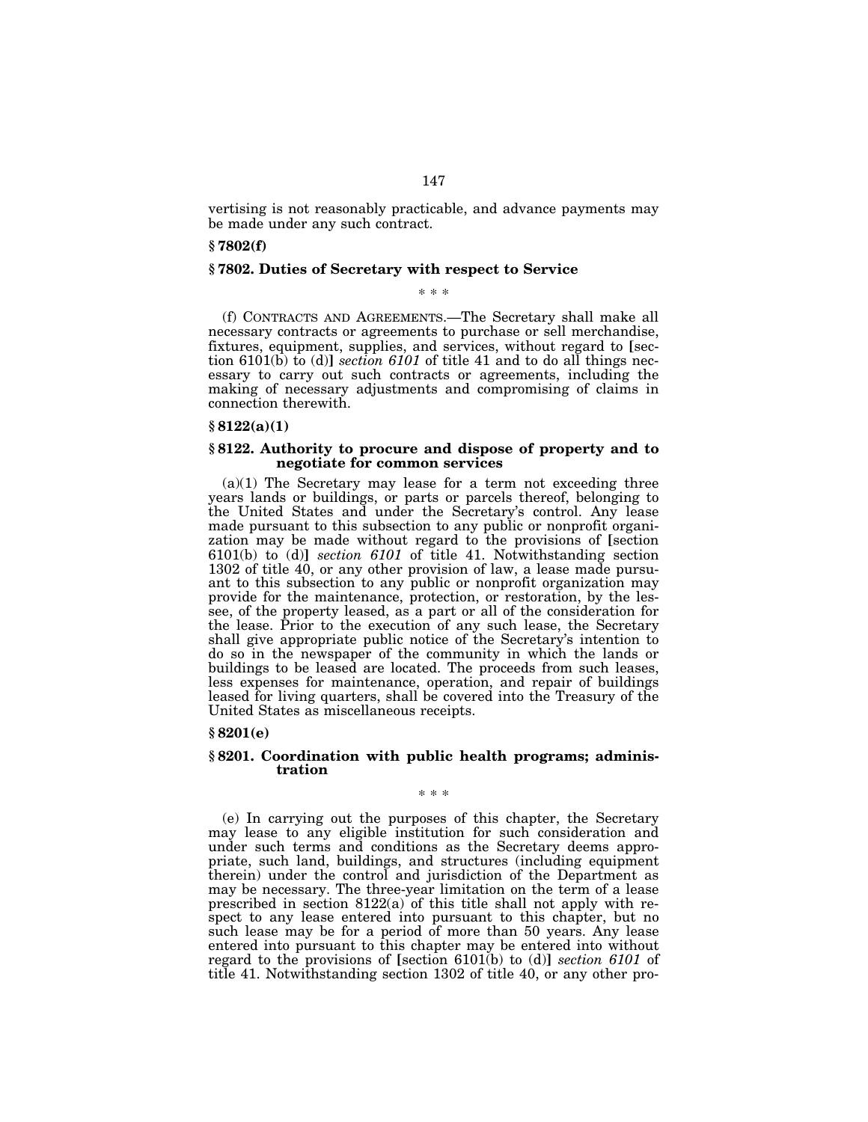vertising is not reasonably practicable, and advance payments may be made under any such contract.

#### **§ 7802(f)**

# **§ 7802. Duties of Secretary with respect to Service**

\* \* \*

(f) CONTRACTS AND AGREEMENTS.—The Secretary shall make all necessary contracts or agreements to purchase or sell merchandise, fixtures, equipment, supplies, and services, without regard to **[**section 6101(b) to (d)**]** *section 6101* of title 41 and to do all things necessary to carry out such contracts or agreements, including the making of necessary adjustments and compromising of claims in connection therewith.

# **§ 8122(a)(1)**

# **§ 8122. Authority to procure and dispose of property and to negotiate for common services**

(a)(1) The Secretary may lease for a term not exceeding three years lands or buildings, or parts or parcels thereof, belonging to the United States and under the Secretary's control. Any lease made pursuant to this subsection to any public or nonprofit organization may be made without regard to the provisions of **[**section 6101(b) to (d)**]** *section 6101* of title 41. Notwithstanding section 1302 of title 40, or any other provision of law, a lease made pursuant to this subsection to any public or nonprofit organization may provide for the maintenance, protection, or restoration, by the lessee, of the property leased, as a part or all of the consideration for the lease. Prior to the execution of any such lease, the Secretary shall give appropriate public notice of the Secretary's intention to do so in the newspaper of the community in which the lands or buildings to be leased are located. The proceeds from such leases, less expenses for maintenance, operation, and repair of buildings leased for living quarters, shall be covered into the Treasury of the United States as miscellaneous receipts.

### **§ 8201(e)**

### **§ 8201. Coordination with public health programs; administration**

\* \* \*

(e) In carrying out the purposes of this chapter, the Secretary may lease to any eligible institution for such consideration and under such terms and conditions as the Secretary deems appropriate, such land, buildings, and structures (including equipment therein) under the control and jurisdiction of the Department as may be necessary. The three-year limitation on the term of a lease prescribed in section  $8122(a)$  of this title shall not apply with respect to any lease entered into pursuant to this chapter, but no such lease may be for a period of more than 50 years. Any lease entered into pursuant to this chapter may be entered into without regard to the provisions of **[**section 6101(b) to (d)**]** *section 6101* of title 41. Notwithstanding section 1302 of title 40, or any other pro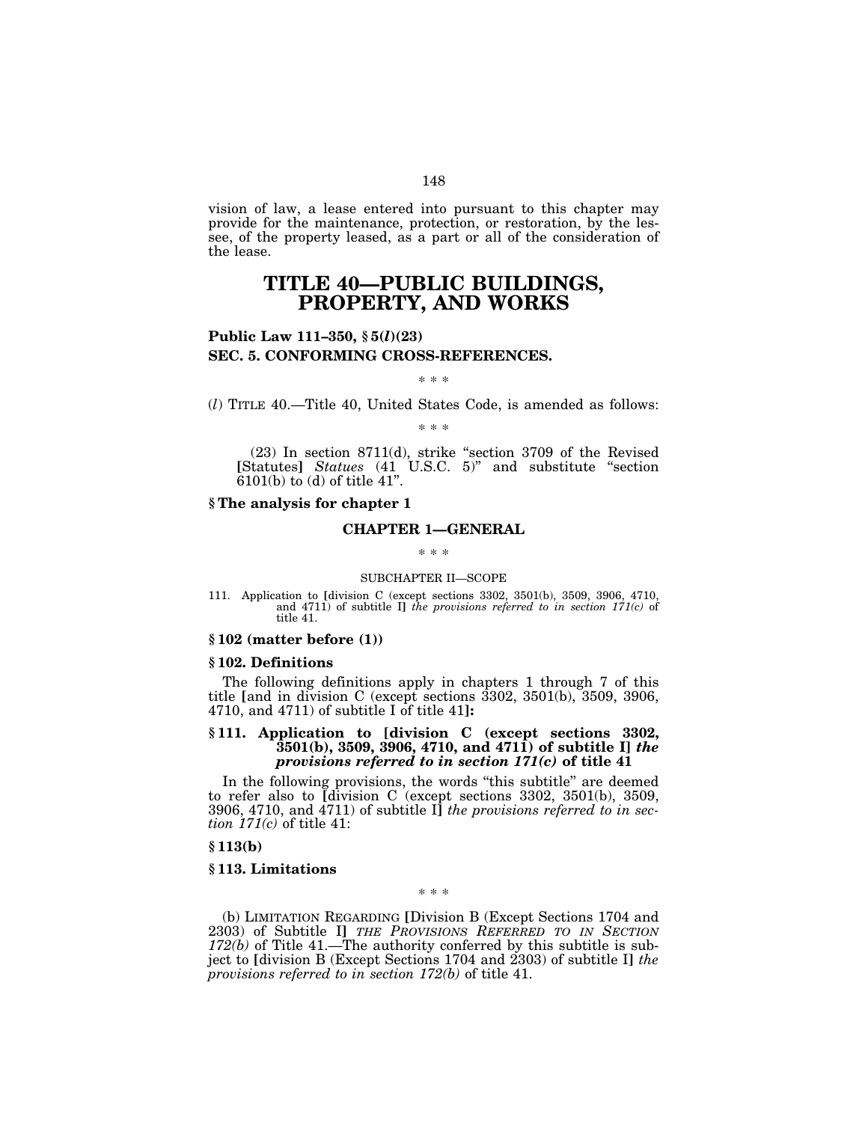vision of law, a lease entered into pursuant to this chapter may provide for the maintenance, protection, or restoration, by the lessee, of the property leased, as a part or all of the consideration of the lease.

# **TITLE 40—PUBLIC BUILDINGS, PROPERTY, AND WORKS**

# **Public Law 111–350, § 5(***l***)(23) SEC. 5. CONFORMING CROSS-REFERENCES.**

\* \* \*

(*l*) TITLE 40.—Title 40, United States Code, is amended as follows:

\* \* \*

(23) In section 8711(d), strike ''section 3709 of the Revised **[**Statutes**]** *Statues* (41 U.S.C. 5)'' and substitute ''section 6101(b) to (d) of title 41''.

# **§ The analysis for chapter 1**

# **CHAPTER 1—GENERAL**

\* \* \*

#### SUBCHAPTER II—SCOPE

111. Application to **[**division C (except sections 3302, 3501(b), 3509, 3906, 4710, and 4711) of subtitle I**]** *the provisions referred to in section 171(c)* of title 41.

# **§ 102 (matter before (1))**

### **§ 102. Definitions**

The following definitions apply in chapters 1 through 7 of this title **[**and in division C (except sections 3302, 3501(b), 3509, 3906, 4710, and 4711) of subtitle I of title 41**]:** 

# **§ 111. Application to [division C (except sections 3302, 3501(b), 3509, 3906, 4710, and 4711) of subtitle I]** *the provisions referred to in section 171(c)* **of title 41**

In the following provisions, the words ''this subtitle'' are deemed to refer also to **[**division C (except sections 3302, 3501(b), 3509, 3906, 4710, and 4711) of subtitle I**]** *the provisions referred to in section 171(c)* of title 41:

# **§ 113(b)**

#### **§ 113. Limitations**

\* \* \*

(b) LIMITATION REGARDING **[**Division B (Except Sections 1704 and 2303) of Subtitle I**]** *THE PROVISIONS REFERRED TO IN SECTION 172(b)* of Title 41.—The authority conferred by this subtitle is subject to **[**division B (Except Sections 1704 and 2303) of subtitle I**]** *the provisions referred to in section 172(b)* of title 41.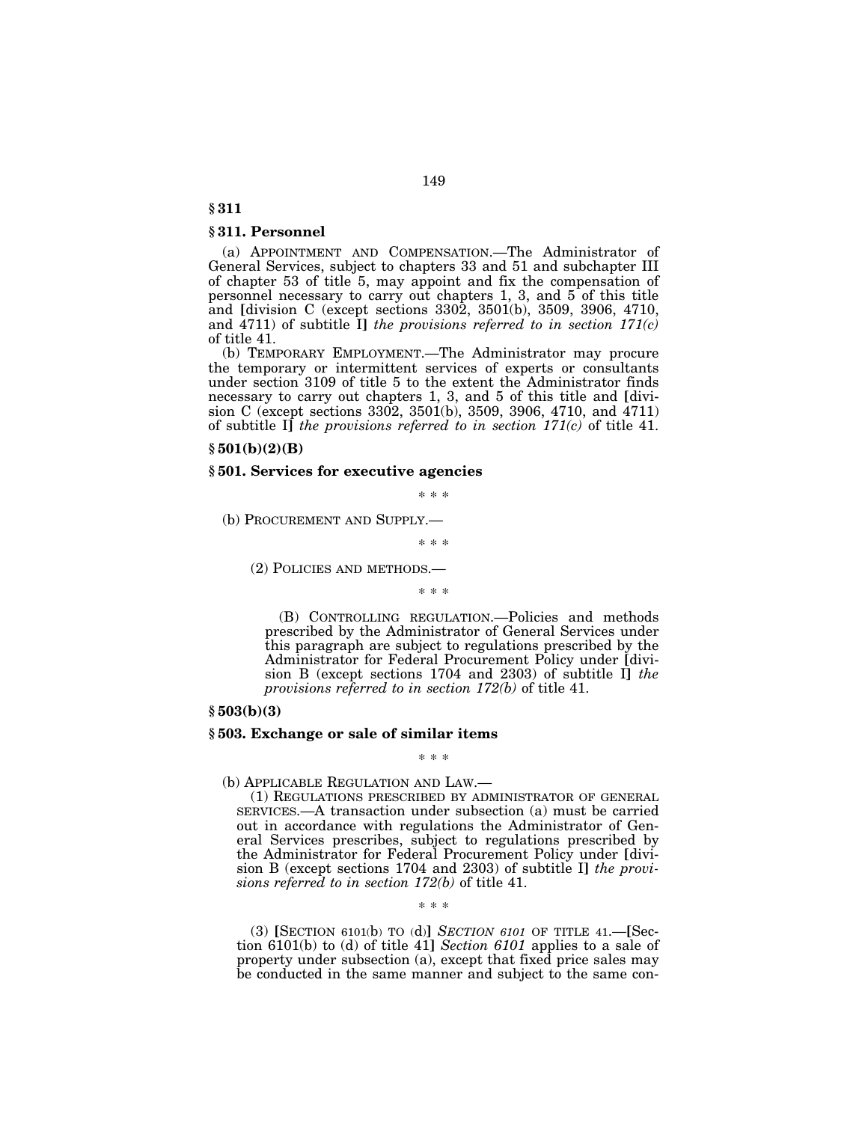# **§ 311. Personnel**

**§ 311** 

(a) APPOINTMENT AND COMPENSATION.—The Administrator of General Services, subject to chapters 33 and 51 and subchapter III of chapter 53 of title 5, may appoint and fix the compensation of personnel necessary to carry out chapters 1, 3, and 5 of this title and **[**division C (except sections 3302, 3501(b), 3509, 3906, 4710, and 4711) of subtitle I**]** *the provisions referred to in section 171(c)*  of title 41.

(b) TEMPORARY EMPLOYMENT.—The Administrator may procure the temporary or intermittent services of experts or consultants under section 3109 of title 5 to the extent the Administrator finds necessary to carry out chapters 1, 3, and 5 of this title and **[**division C (except sections 3302, 3501(b), 3509, 3906, 4710, and 4711) of subtitle I**]** *the provisions referred to in section 171(c)* of title 41.

# **§ 501(b)(2)(B)**

# **§ 501. Services for executive agencies**

\* \* \*

(b) PROCUREMENT AND SUPPLY.—

\* \* \*

(2) POLICIES AND METHODS.—

\* \* \*

(B) CONTROLLING REGULATION.—Policies and methods prescribed by the Administrator of General Services under this paragraph are subject to regulations prescribed by the Administrator for Federal Procurement Policy under **[**division B (except sections 1704 and 2303) of subtitle I**]** *the provisions referred to in section 172(b)* of title 41.

# **§ 503(b)(3)**

# **§ 503. Exchange or sale of similar items**

\* \* \*

(b) APPLICABLE REGULATION AND LAW.—

(1) REGULATIONS PRESCRIBED BY ADMINISTRATOR OF GENERAL SERVICES.—A transaction under subsection (a) must be carried out in accordance with regulations the Administrator of General Services prescribes, subject to regulations prescribed by the Administrator for Federal Procurement Policy under **[**division B (except sections 1704 and 2303) of subtitle I**]** *the provisions referred to in section 172(b)* of title 41.

\* \* \*

(3) **[**SECTION 6101(b) TO (d)**]** *SECTION 6101* OF TITLE 41.—**[**Section 6101(b) to (d) of title 41**]** *Section 6101* applies to a sale of property under subsection (a), except that fixed price sales may be conducted in the same manner and subject to the same con-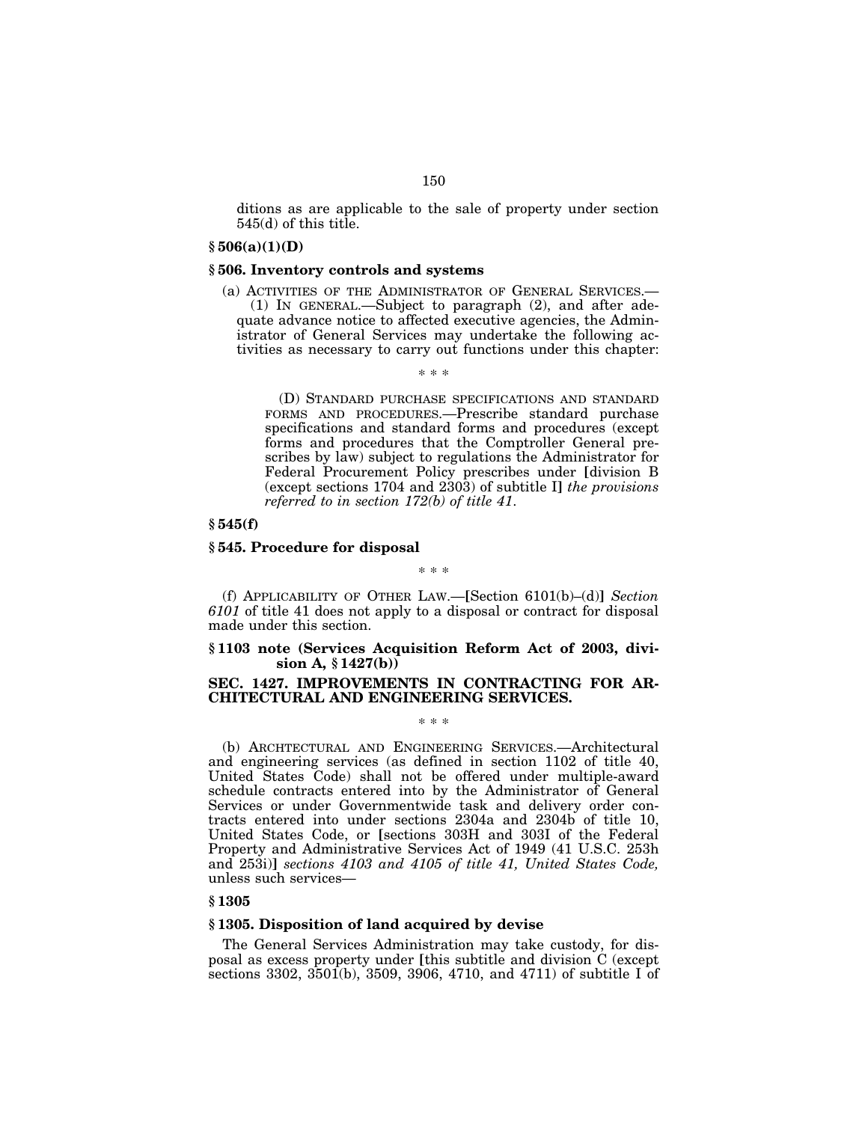ditions as are applicable to the sale of property under section 545(d) of this title.

### $§ 506(a)(1)(D)$

# **§ 506. Inventory controls and systems**

(a) ACTIVITIES OF THE ADMINISTRATOR OF GENERAL SERVICES.— (1) IN GENERAL.—Subject to paragraph (2), and after adequate advance notice to affected executive agencies, the Administrator of General Services may undertake the following activities as necessary to carry out functions under this chapter:

\* \* \*

(D) STANDARD PURCHASE SPECIFICATIONS AND STANDARD FORMS AND PROCEDURES.—Prescribe standard purchase specifications and standard forms and procedures (except forms and procedures that the Comptroller General prescribes by law) subject to regulations the Administrator for Federal Procurement Policy prescribes under **[**division B (except sections 1704 and 2303) of subtitle I**]** *the provisions referred to in section 172(b) of title 41*.

# **§ 545(f)**

### **§ 545. Procedure for disposal**

\* \* \*

(f) APPLICABILITY OF OTHER LAW.—**[**Section 6101(b)–(d)**]** *Section 6101* of title 41 does not apply to a disposal or contract for disposal made under this section.

# **§ 1103 note (Services Acquisition Reform Act of 2003, division A, § 1427(b))**

# **SEC. 1427. IMPROVEMENTS IN CONTRACTING FOR AR-CHITECTURAL AND ENGINEERING SERVICES.**  \* \* \*

# (b) ARCHTECTURAL AND ENGINEERING SERVICES.—Architectural and engineering services (as defined in section 1102 of title 40, United States Code) shall not be offered under multiple-award schedule contracts entered into by the Administrator of General Services or under Governmentwide task and delivery order contracts entered into under sections 2304a and 2304b of title 10, United States Code, or **[**sections 303H and 303I of the Federal Property and Administrative Services Act of 1949 (41 U.S.C. 253h and 253i)**]** *sections 4103 and 4105 of title 41, United States Code,*  unless such services—

# **§ 1305**

# **§ 1305. Disposition of land acquired by devise**

The General Services Administration may take custody, for disposal as excess property under **[**this subtitle and division C (except sections 3302,  $3501(b)$ , 3509, 3906, 4710, and 4711) of subtitle I of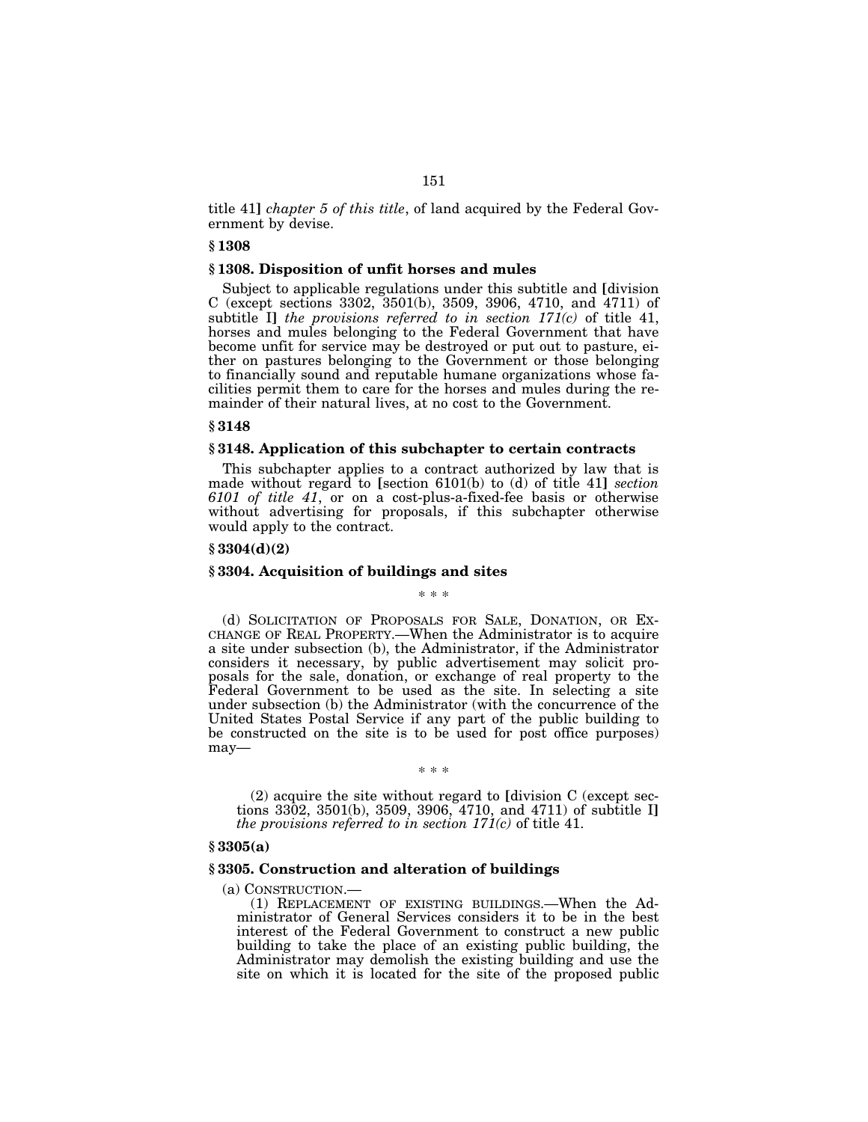title 41**]** *chapter 5 of this title*, of land acquired by the Federal Government by devise.

#### **§ 1308**

# **§ 1308. Disposition of unfit horses and mules**

Subject to applicable regulations under this subtitle and **[**division C (except sections 3302, 3501(b), 3509, 3906, 4710, and 4711) of subtitle I**]** *the provisions referred to in section 171(c)* of title 41, horses and mules belonging to the Federal Government that have become unfit for service may be destroyed or put out to pasture, either on pastures belonging to the Government or those belonging to financially sound and reputable humane organizations whose facilities permit them to care for the horses and mules during the remainder of their natural lives, at no cost to the Government.

### **§ 3148**

# **§ 3148. Application of this subchapter to certain contracts**

This subchapter applies to a contract authorized by law that is made without regard to **[**section 6101(b) to (d) of title 41**]** *section 6101 of title 41*, or on a cost-plus-a-fixed-fee basis or otherwise without advertising for proposals, if this subchapter otherwise would apply to the contract.

#### **§ 3304(d)(2)**

# **§ 3304. Acquisition of buildings and sites**

\* \* \*

(d) SOLICITATION OF PROPOSALS FOR SALE, DONATION, OR EX-CHANGE OF REAL PROPERTY.—When the Administrator is to acquire a site under subsection (b), the Administrator, if the Administrator considers it necessary, by public advertisement may solicit proposals for the sale, donation, or exchange of real property to the Federal Government to be used as the site. In selecting a site under subsection (b) the Administrator (with the concurrence of the United States Postal Service if any part of the public building to be constructed on the site is to be used for post office purposes) may—

\* \* \*

(2) acquire the site without regard to **[**division C (except sections 3302, 3501(b), 3509, 3906, 4710, and 4711) of subtitle I**]**  *the provisions referred to in section 171(c)* of title 41.

# **§ 3305(a)**

#### **§ 3305. Construction and alteration of buildings**

(a) CONSTRUCTION.—

(1) REPLACEMENT OF EXISTING BUILDINGS.—When the Administrator of General Services considers it to be in the best interest of the Federal Government to construct a new public building to take the place of an existing public building, the Administrator may demolish the existing building and use the site on which it is located for the site of the proposed public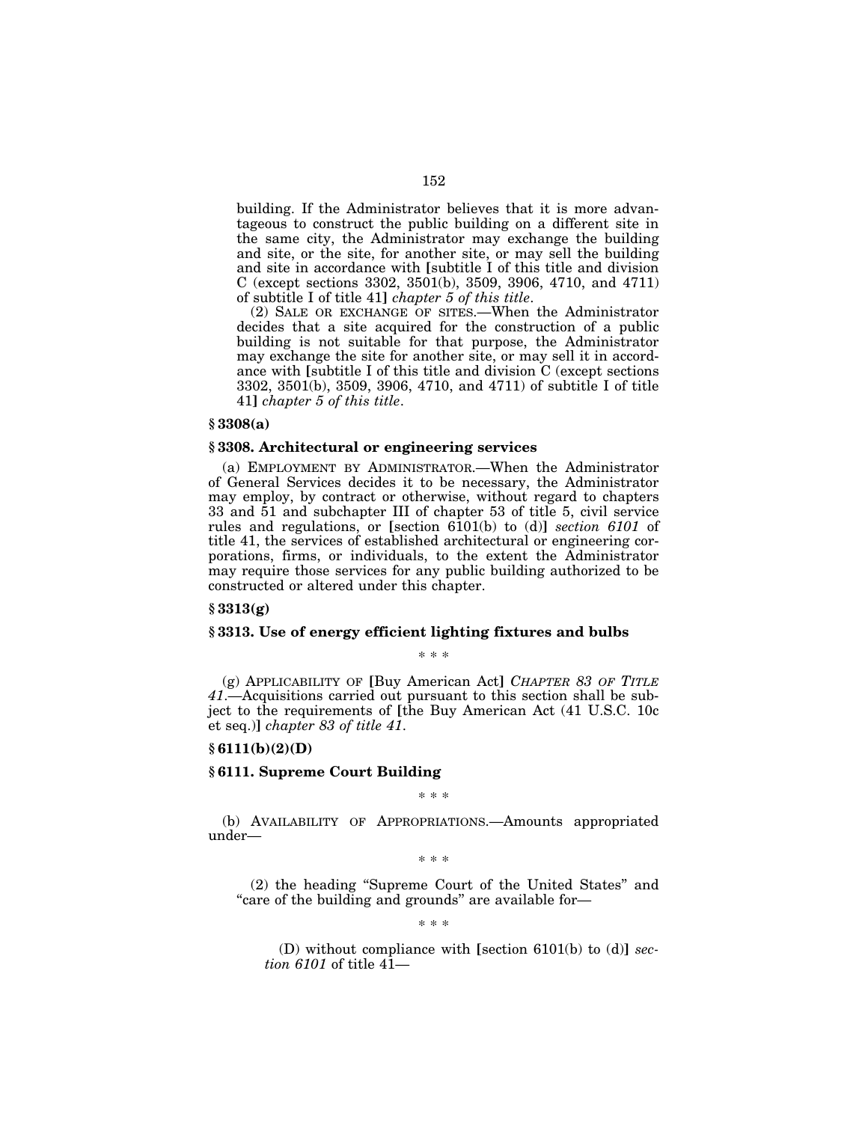building. If the Administrator believes that it is more advantageous to construct the public building on a different site in the same city, the Administrator may exchange the building and site, or the site, for another site, or may sell the building and site in accordance with **[**subtitle I of this title and division C (except sections 3302, 3501(b), 3509, 3906, 4710, and 4711) of subtitle I of title 41**]** *chapter 5 of this title*.

(2) SALE OR EXCHANGE OF SITES.—When the Administrator decides that a site acquired for the construction of a public building is not suitable for that purpose, the Administrator may exchange the site for another site, or may sell it in accordance with **[**subtitle I of this title and division C (except sections 3302, 3501(b), 3509, 3906, 4710, and 4711) of subtitle I of title 41**]** *chapter 5 of this title*.

### **§ 3308(a)**

# **§ 3308. Architectural or engineering services**

(a) EMPLOYMENT BY ADMINISTRATOR.—When the Administrator of General Services decides it to be necessary, the Administrator may employ, by contract or otherwise, without regard to chapters 33 and 51 and subchapter III of chapter 53 of title 5, civil service rules and regulations, or **[**section 6101(b) to (d)**]** *section 6101* of title 41, the services of established architectural or engineering corporations, firms, or individuals, to the extent the Administrator may require those services for any public building authorized to be constructed or altered under this chapter.

# **§ 3313(g)**

# **§ 3313. Use of energy efficient lighting fixtures and bulbs**

\* \* \*

(g) APPLICABILITY OF **[**Buy American Act**]** *CHAPTER 83 OF TITLE 41*.—Acquisitions carried out pursuant to this section shall be subject to the requirements of **[**the Buy American Act (41 U.S.C. 10c et seq.)**]** *chapter 83 of title 41*.

# **§ 6111(b)(2)(D)**

# **§ 6111. Supreme Court Building**

\* \* \*

(b) AVAILABILITY OF APPROPRIATIONS.—Amounts appropriated under—

# \* \* \*

(2) the heading ''Supreme Court of the United States'' and "care of the building and grounds" are available for-

\* \* \*

(D) without compliance with **[**section 6101(b) to (d)**]** *section 6101* of title 41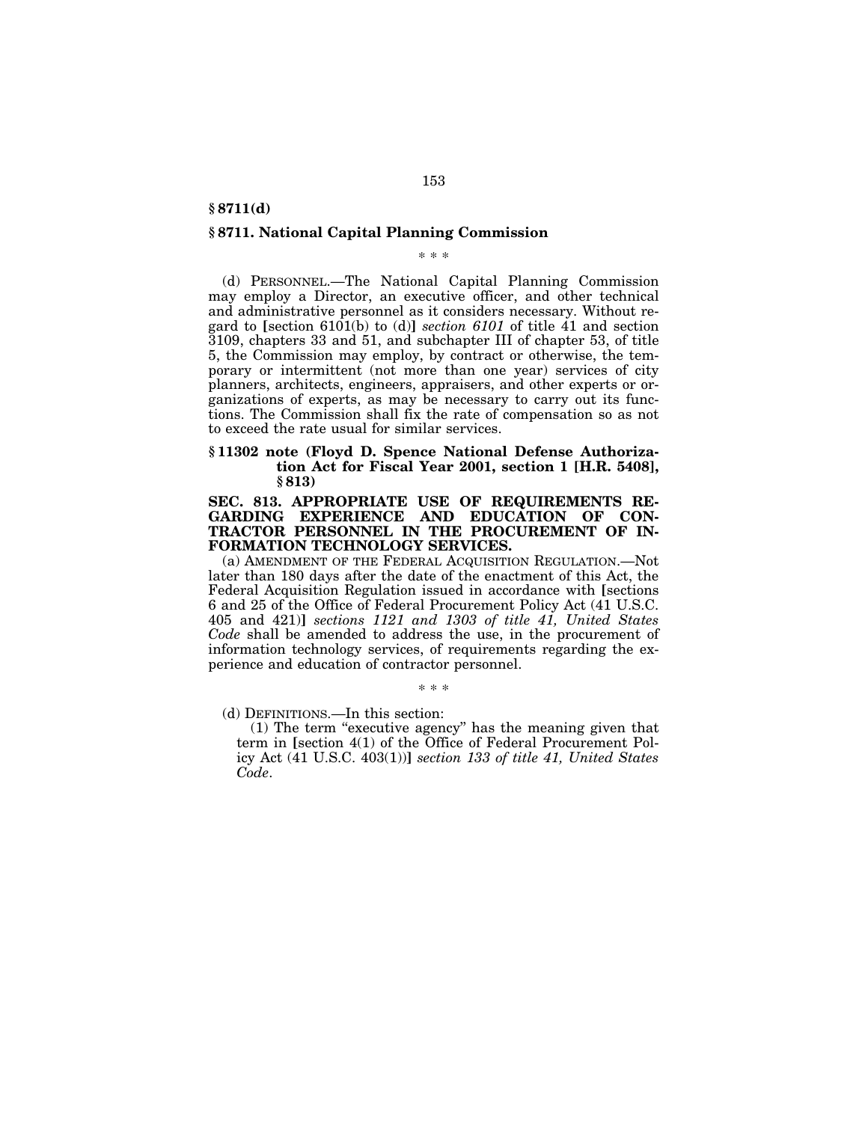**§ 8711(d)** 

# **§ 8711. National Capital Planning Commission**

\* \* \*

(d) PERSONNEL.—The National Capital Planning Commission may employ a Director, an executive officer, and other technical and administrative personnel as it considers necessary. Without regard to **[**section 6101(b) to (d)**]** *section 6101* of title 41 and section 3109, chapters 33 and 51, and subchapter III of chapter 53, of title 5, the Commission may employ, by contract or otherwise, the temporary or intermittent (not more than one year) services of city planners, architects, engineers, appraisers, and other experts or organizations of experts, as may be necessary to carry out its functions. The Commission shall fix the rate of compensation so as not to exceed the rate usual for similar services.

# **§ 11302 note (Floyd D. Spence National Defense Authorization Act for Fiscal Year 2001, section 1 [H.R. 5408], § 813)**

# **SEC. 813. APPROPRIATE USE OF REQUIREMENTS RE-GARDING EXPERIENCE AND EDUCATION OF CON-TRACTOR PERSONNEL IN THE PROCUREMENT OF IN-FORMATION TECHNOLOGY SERVICES.**

(a) AMENDMENT OF THE FEDERAL ACQUISITION REGULATION.—Not later than 180 days after the date of the enactment of this Act, the Federal Acquisition Regulation issued in accordance with **[**sections 6 and 25 of the Office of Federal Procurement Policy Act (41 U.S.C. 405 and 421)**]** *sections 1121 and 1303 of title 41, United States Code* shall be amended to address the use, in the procurement of information technology services, of requirements regarding the experience and education of contractor personnel.

\* \* \*

(d) DEFINITIONS.—In this section:

(1) The term ''executive agency'' has the meaning given that term in **[**section 4(1) of the Office of Federal Procurement Policy Act (41 U.S.C. 403(1))**]** *section 133 of title 41, United States Code*.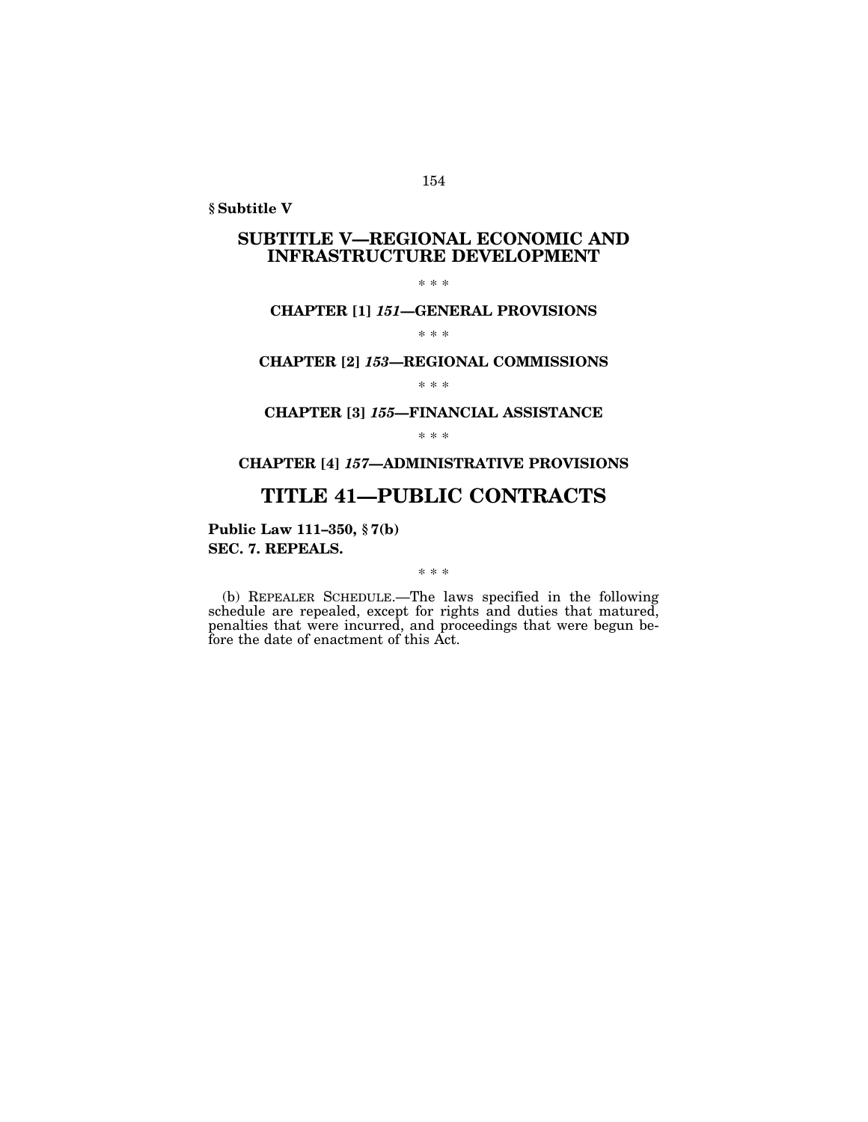154

**§ Subtitle V** 

# **SUBTITLE V—REGIONAL ECONOMIC AND INFRASTRUCTURE DEVELOPMENT**

\* \* \*

# **CHAPTER [1]** *151***—GENERAL PROVISIONS**

\* \* \*

# **CHAPTER [2]** *153***—REGIONAL COMMISSIONS**

\* \* \*

# **CHAPTER [3]** *155***—FINANCIAL ASSISTANCE**

\* \* \*

# **CHAPTER [4]** *157***—ADMINISTRATIVE PROVISIONS**

# **TITLE 41—PUBLIC CONTRACTS**

**Public Law 111–350, § 7(b) SEC. 7. REPEALS.** 

\* \* \*

(b) REPEALER SCHEDULE.—The laws specified in the following schedule are repealed, except for rights and duties that matured, penalties that were incurred, and proceedings that were begun before the date of enactment of this Act.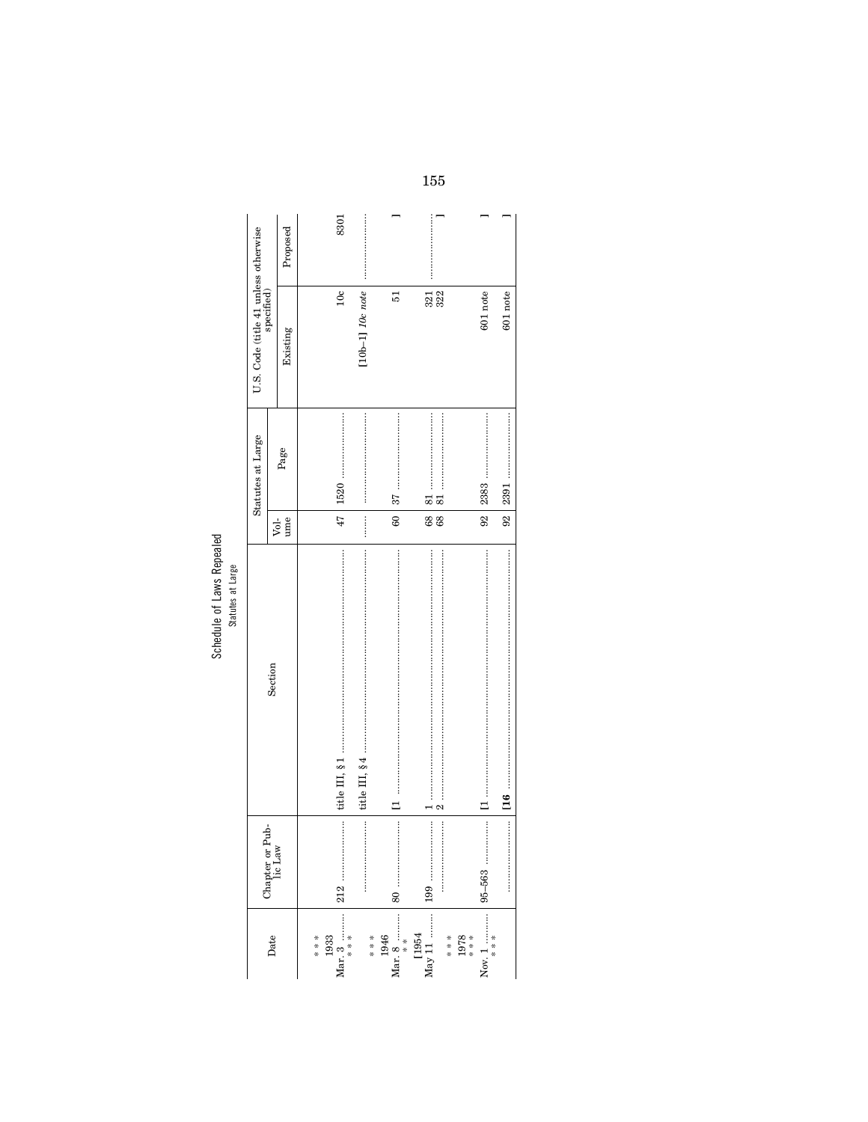Schedule of Laws Repealed<br>Statutes at Large

| Statures at Large |                                            |             | Proposed |       | 8301 |                                                                     |                                                                                                                                                                                                                               |                                                      |               |                 |                 |  |
|-------------------|--------------------------------------------|-------------|----------|-------|------|---------------------------------------------------------------------|-------------------------------------------------------------------------------------------------------------------------------------------------------------------------------------------------------------------------------|------------------------------------------------------|---------------|-----------------|-----------------|--|
|                   | U.S. Code (title 41 unless otherwise       | specificed) | Existing |       | 10c  | $[10b-1]$ 10c note                                                  | 51                                                                                                                                                                                                                            | 322                                                  |               | 601 note        | 601 note        |  |
|                   | Statutes at Large                          |             | Page     |       |      |                                                                     |                                                                                                                                                                                                                               |                                                      |               |                 | 2391            |  |
|                   |                                            | Vol-        | ume      |       | 47   | $\begin{array}{c} \vdots \\ \vdots \\ \vdots \\ \vdots \end{array}$ | $\overline{60}$                                                                                                                                                                                                               | $rac{8}{68}$                                         |               | $\overline{58}$ | $\overline{58}$ |  |
|                   | Section                                    |             |          |       |      |                                                                     | $[1]$ , and an anomalization of the continuum continuum continuum continuum continuum continuum continuum continuum continuum continuum continuum continuum continuum continuum continuum continuum continuum continuum conti |                                                      |               |                 | $\frac{6}{16}$  |  |
|                   | Pub-<br>Chapter or <del>I</del><br>lic Law |             |          |       |      |                                                                     |                                                                                                                                                                                                                               |                                                      |               |                 |                 |  |
|                   |                                            | Date        |          | * * * | 1933 | * * * *                                                             | $\begin{array}{c} 1946\\ \text{Mar. 8} \; \ldots \\ * \; * \end{array}$                                                                                                                                                       | $[1954] \label{eq:13}$ May 11 $\ldots \ldots \ldots$ | $1978$<br>*** |                 |                 |  |

155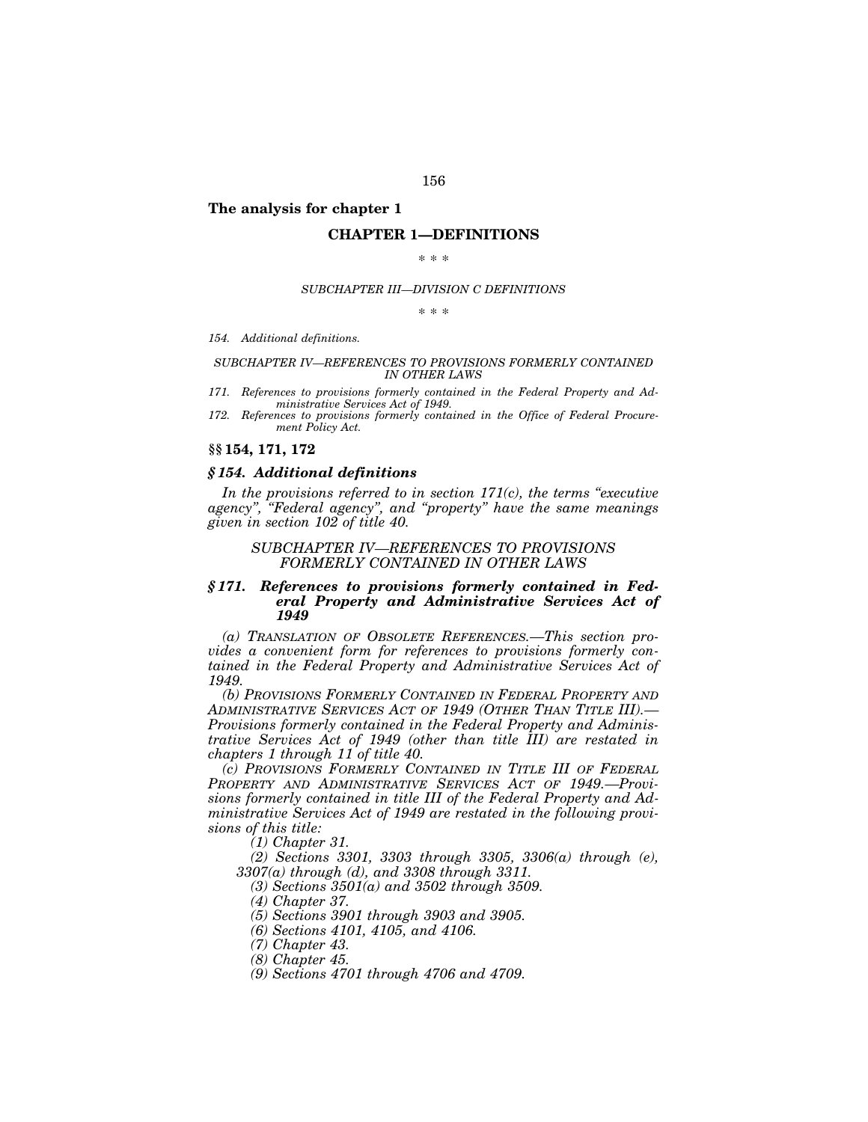# **The analysis for chapter 1**

# **CHAPTER 1—DEFINITIONS**

# \* \* \*

## *SUBCHAPTER III—DIVISION C DEFINITIONS*

\* \* \*

#### *154. Additional definitions.*

#### *SUBCHAPTER IV—REFERENCES TO PROVISIONS FORMERLY CONTAINED IN OTHER LAWS*

*171. References to provisions formerly contained in the Federal Property and Administrative Services Act of 1949.* 

*172. References to provisions formerly contained in the Office of Federal Procurement Policy Act.* 

# **§§ 154, 171, 172**

## *§ 154. Additional definitions*

*In the provisions referred to in section 171(c), the terms ''executive agency'', ''Federal agency'', and ''property'' have the same meanings given in section 102 of title 40.* 

# *SUBCHAPTER IV—REFERENCES TO PROVISIONS FORMERLY CONTAINED IN OTHER LAWS*

# *§ 171. References to provisions formerly contained in Federal Property and Administrative Services Act of 1949*

*(a) TRANSLATION OF OBSOLETE REFERENCES.—This section provides a convenient form for references to provisions formerly contained in the Federal Property and Administrative Services Act of 1949.* 

*(b) PROVISIONS FORMERLY CONTAINED IN FEDERAL PROPERTY AND ADMINISTRATIVE SERVICES ACT OF 1949 (OTHER THAN TITLE III).— Provisions formerly contained in the Federal Property and Administrative Services Act of 1949 (other than title III) are restated in chapters 1 through 11 of title 40.* 

*(c) PROVISIONS FORMERLY CONTAINED IN TITLE III OF FEDERAL PROPERTY AND ADMINISTRATIVE SERVICES ACT OF 1949.—Provisions formerly contained in title III of the Federal Property and Administrative Services Act of 1949 are restated in the following provisions of this title:* 

*(1) Chapter 31.* 

*(2) Sections 3301, 3303 through 3305, 3306(a) through (e), 3307(a) through (d), and 3308 through 3311.* 

*(3) Sections 3501(a) and 3502 through 3509.* 

*(4) Chapter 37.* 

*(5) Sections 3901 through 3903 and 3905.* 

- *(6) Sections 4101, 4105, and 4106.*
- *(7) Chapter 43.*
- *(8) Chapter 45.*
- *(9) Sections 4701 through 4706 and 4709.*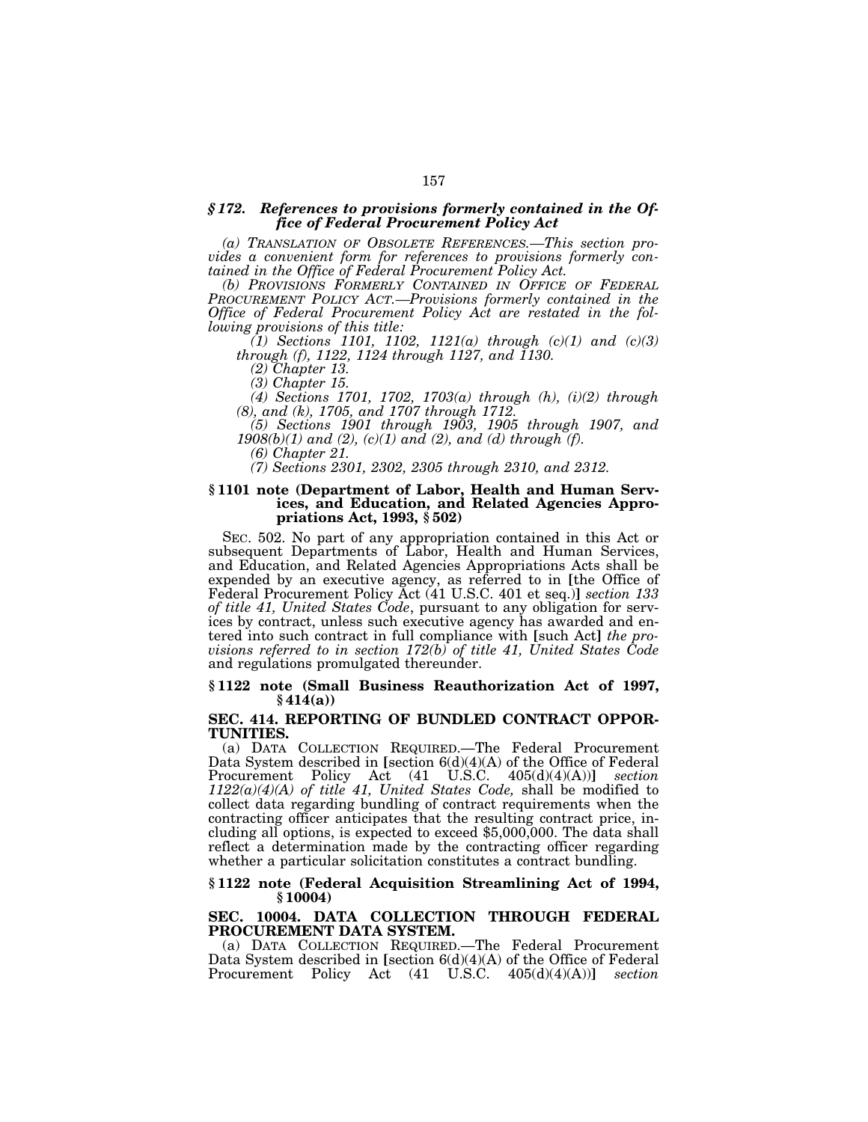# *§ 172. References to provisions formerly contained in the Office of Federal Procurement Policy Act*

*(a) TRANSLATION OF OBSOLETE REFERENCES.—This section provides a convenient form for references to provisions formerly contained in the Office of Federal Procurement Policy Act.* 

*(b) PROVISIONS FORMERLY CONTAINED IN OFFICE OF FEDERAL PROCUREMENT POLICY ACT.—Provisions formerly contained in the Office of Federal Procurement Policy Act are restated in the following provisions of this title:* 

*(1) Sections 1101, 1102, 1121(a) through (c)(1) and (c)(3) through (f), 1122, 1124 through 1127, and 1130.* 

*(2) Chapter 13.* 

*(3) Chapter 15.* 

*(4) Sections 1701, 1702, 1703(a) through (h), (i)(2) through (8), and (k), 1705, and 1707 through 1712.* 

*(5) Sections 1901 through 1903, 1905 through 1907, and*   $1908(b)(1)$  and (2), (c)(1) and (2), and (d) through (f).

*(6) Chapter 21.* 

*(7) Sections 2301, 2302, 2305 through 2310, and 2312.* 

# **§ 1101 note (Department of Labor, Health and Human Services, and Education, and Related Agencies Appropriations Act, 1993, § 502)**

SEC. 502. No part of any appropriation contained in this Act or subsequent Departments of Labor, Health and Human Services, and Education, and Related Agencies Appropriations Acts shall be expended by an executive agency, as referred to in **[**the Office of Federal Procurement Policy Act (41 U.S.C. 401 et seq.)**]** *section 133 of title 41, United States Code*, pursuant to any obligation for services by contract, unless such executive agency has awarded and entered into such contract in full compliance with **[**such Act**]** *the provisions referred to in section 172(b) of title 41, United States Code*  and regulations promulgated thereunder.

# **§ 1122 note (Small Business Reauthorization Act of 1997, § 414(a))**

# **SEC. 414. REPORTING OF BUNDLED CONTRACT OPPOR-TUNITIES.**

(a) DATA COLLECTION REQUIRED.—The Federal Procurement Data System described in [section 6(d)(4)(A) of the Office of Federal<br>Procurement Policy Act (41 U.S.C. 405(d)(4)(A))] section Procurement Policy Act (41 U.S.C. 405(d)(4)(A))**]** *section 1122(a)(4)(A) of title 41, United States Code,* shall be modified to collect data regarding bundling of contract requirements when the contracting officer anticipates that the resulting contract price, including all options, is expected to exceed \$5,000,000. The data shall reflect a determination made by the contracting officer regarding whether a particular solicitation constitutes a contract bundling.

# **§ 1122 note (Federal Acquisition Streamlining Act of 1994, § 10004)**

# **SEC. 10004. DATA COLLECTION THROUGH FEDERAL PROCUREMENT DATA SYSTEM.**

(a) DATA COLLECTION REQUIRED.—The Federal Procurement Data System described in **[**section 6(d)(4)(A) of the Office of Federal Procurement Policy Act (41 U.S.C. 405(d)(4)(A))**]** *section*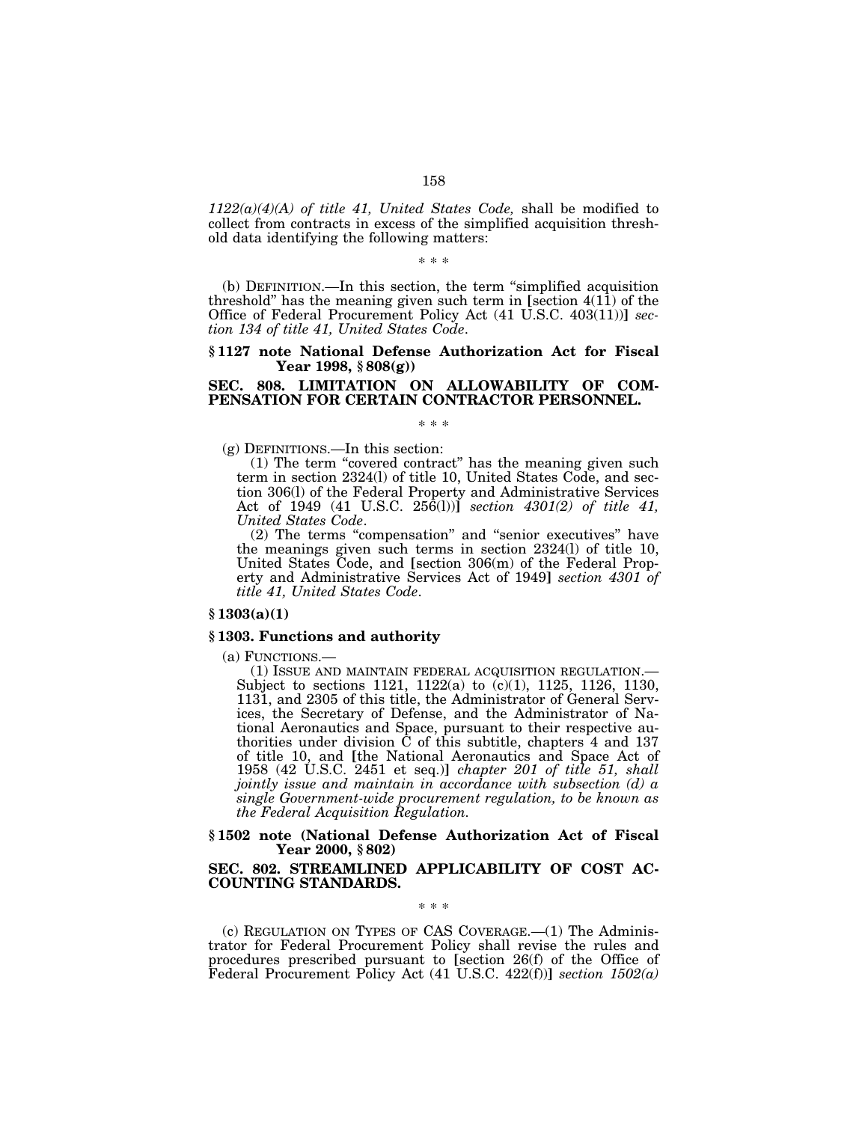*1122(a)(4)(A) of title 41, United States Code,* shall be modified to collect from contracts in excess of the simplified acquisition threshold data identifying the following matters:

\* \* \*

(b) DEFINITION.—In this section, the term ''simplified acquisition threshold'' has the meaning given such term in **[**section 4(11) of the Office of Federal Procurement Policy Act (41 U.S.C. 403(11))**]** *section 134 of title 41, United States Code*.

# **§ 1127 note National Defense Authorization Act for Fiscal Year 1998, § 808(g))**

# **SEC. 808. LIMITATION ON ALLOWABILITY OF COM-PENSATION FOR CERTAIN CONTRACTOR PERSONNEL.**

\* \* \*

(g) DEFINITIONS.—In this section:

(1) The term ''covered contract'' has the meaning given such term in section 2324(l) of title 10, United States Code, and section 306(l) of the Federal Property and Administrative Services Act of 1949 (41 U.S.C. 256(l))**]** *section 4301(2) of title 41, United States Code*.

(2) The terms ''compensation'' and ''senior executives'' have the meanings given such terms in section 2324(l) of title 10, United States Code, and **[**section 306(m) of the Federal Property and Administrative Services Act of 1949**]** *section 4301 of title 41, United States Code*.

# **§ 1303(a)(1)**

# **§ 1303. Functions and authority**

(a) FUNCTIONS.—

(1) ISSUE AND MAINTAIN FEDERAL ACQUISITION REGULATION.— Subject to sections 1121, 1122(a) to (c)(1), 1125, 1126, 1130, 1131, and 2305 of this title, the Administrator of General Services, the Secretary of Defense, and the Administrator of National Aeronautics and Space, pursuant to their respective authorities under division  $\hat{C}$  of this subtitle, chapters 4 and 137 of title 10, and **[**the National Aeronautics and Space Act of 1958 (42 U.S.C. 2451 et seq.)**]** *chapter 201 of title 51, shall jointly issue and maintain in accordance with subsection (d) a single Government-wide procurement regulation, to be known as the Federal Acquisition Regulation.* 

# **§ 1502 note (National Defense Authorization Act of Fiscal Year 2000, § 802)**

# **SEC. 802. STREAMLINED APPLICABILITY OF COST AC-COUNTING STANDARDS.**

\* \* \*

(c) REGULATION ON TYPES OF CAS COVERAGE.—(1) The Administrator for Federal Procurement Policy shall revise the rules and procedures prescribed pursuant to **[**section 26(f) of the Office of Federal Procurement Policy Act (41 U.S.C. 422(f))**]** *section 1502(a)*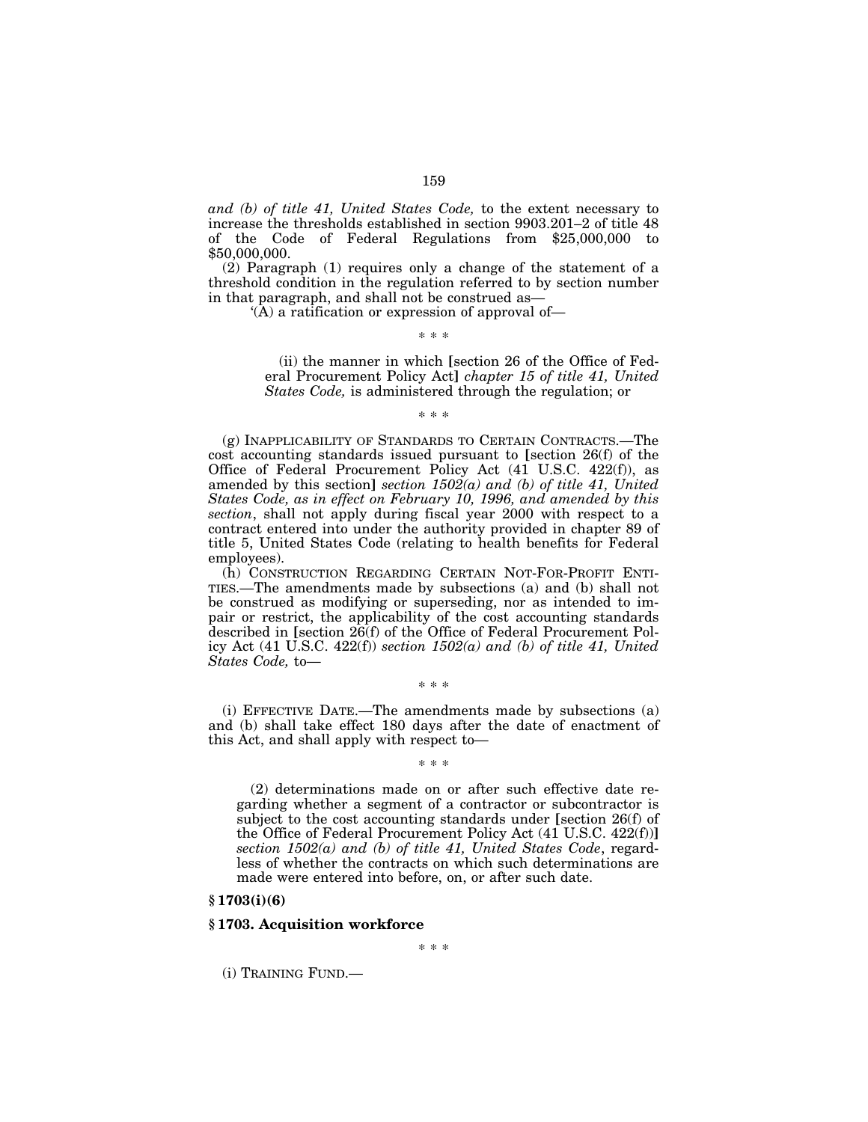*and (b) of title 41, United States Code,* to the extent necessary to increase the thresholds established in section 9903.201–2 of title 48 of the Code of Federal Regulations from \$25,000,000 to \$50,000,000.

(2) Paragraph (1) requires only a change of the statement of a threshold condition in the regulation referred to by section number in that paragraph, and shall not be construed as—

'(A) a ratification or expression of approval of—

#### \* \* \*

(ii) the manner in which **[**section 26 of the Office of Federal Procurement Policy Act**]** *chapter 15 of title 41, United States Code,* is administered through the regulation; or

#### \* \* \*

(g) INAPPLICABILITY OF STANDARDS TO CERTAIN CONTRACTS.—The cost accounting standards issued pursuant to **[**section 26(f) of the Office of Federal Procurement Policy Act (41 U.S.C. 422(f)), as amended by this section**]** *section 1502(a) and (b) of title 41, United States Code, as in effect on February 10, 1996, and amended by this section*, shall not apply during fiscal year 2000 with respect to a contract entered into under the authority provided in chapter 89 of title 5, United States Code (relating to health benefits for Federal employees).

(h) CONSTRUCTION REGARDING CERTAIN NOT-FOR-PROFIT ENTI-TIES.—The amendments made by subsections (a) and (b) shall not be construed as modifying or superseding, nor as intended to impair or restrict, the applicability of the cost accounting standards described in **[**section 26(f) of the Office of Federal Procurement Policy Act (41 U.S.C. 422(f)) *section 1502(a) and (b) of title 41, United States Code,* to—

(i) EFFECTIVE DATE.—The amendments made by subsections (a) and (b) shall take effect 180 days after the date of enactment of this Act, and shall apply with respect to—

\* \* \*

#### \* \* \*

(2) determinations made on or after such effective date regarding whether a segment of a contractor or subcontractor is subject to the cost accounting standards under **[**section 26(f) of the Office of Federal Procurement Policy Act (41 U.S.C. 422(f))**]**  *section 1502(a) and (b) of title 41, United States Code*, regardless of whether the contracts on which such determinations are made were entered into before, on, or after such date.

# **§ 1703(i)(6)**

#### **§ 1703. Acquisition workforce**

\* \* \*

(i) TRAINING FUND.—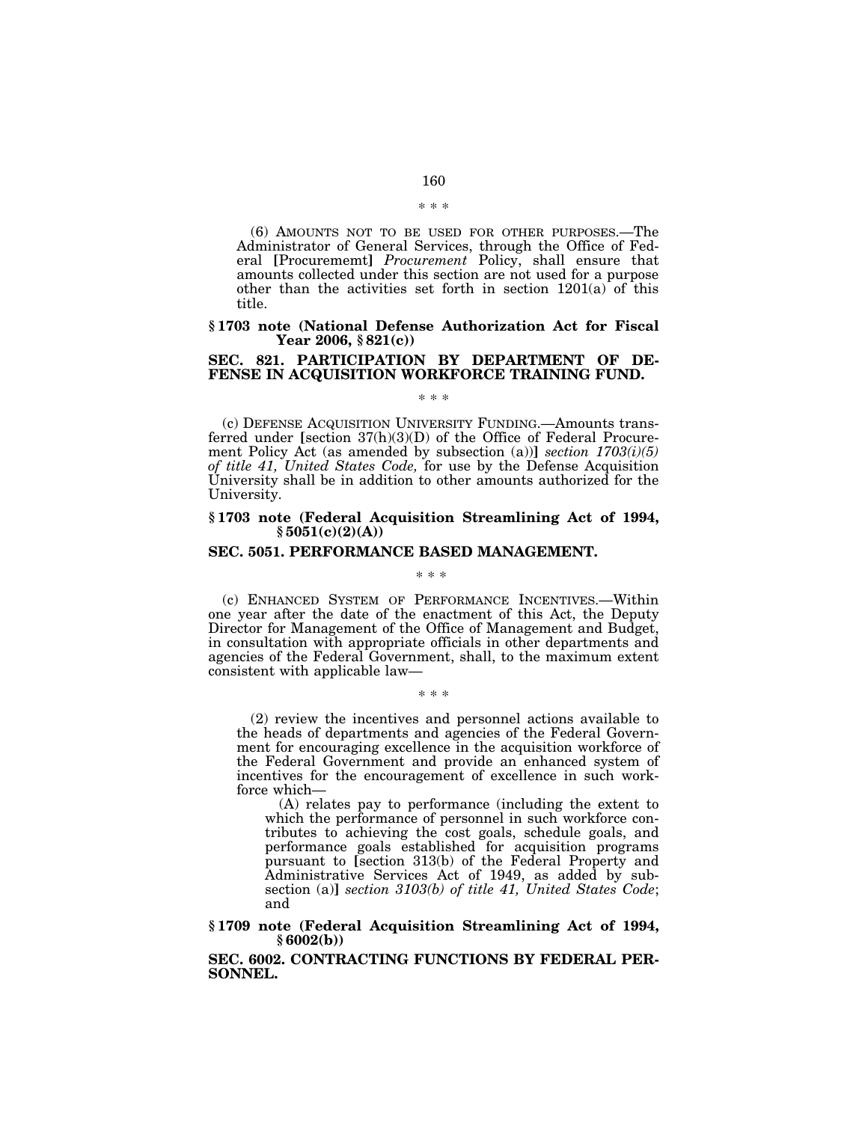(6) AMOUNTS NOT TO BE USED FOR OTHER PURPOSES.—The Administrator of General Services, through the Office of Federal **[**Procurememt**]** *Procurement* Policy, shall ensure that amounts collected under this section are not used for a purpose other than the activities set forth in section  $1201(a)$  of this title.

# **§ 1703 note (National Defense Authorization Act for Fiscal Year 2006, § 821(c))**

# **SEC. 821. PARTICIPATION BY DEPARTMENT OF DE-FENSE IN ACQUISITION WORKFORCE TRAINING FUND.**

\* \* \*

(c) DEFENSE ACQUISITION UNIVERSITY FUNDING.—Amounts transferred under **[**section 37(h)(3)(D) of the Office of Federal Procurement Policy Act (as amended by subsection (a))**]** *section 1703(i)(5) of title 41, United States Code,* for use by the Defense Acquisition University shall be in addition to other amounts authorized for the University.

### **§ 1703 note (Federal Acquisition Streamlining Act of 1994,**   $§ 5051(c)(2)(A))$

# **SEC. 5051. PERFORMANCE BASED MANAGEMENT.**

#### \* \* \*

(c) ENHANCED SYSTEM OF PERFORMANCE INCENTIVES.—Within one year after the date of the enactment of this Act, the Deputy Director for Management of the Office of Management and Budget, in consultation with appropriate officials in other departments and agencies of the Federal Government, shall, to the maximum extent consistent with applicable law—

\* \* \*

(2) review the incentives and personnel actions available to the heads of departments and agencies of the Federal Government for encouraging excellence in the acquisition workforce of the Federal Government and provide an enhanced system of incentives for the encouragement of excellence in such workforce which-

(A) relates pay to performance (including the extent to which the performance of personnel in such workforce contributes to achieving the cost goals, schedule goals, and performance goals established for acquisition programs pursuant to **[**section 313(b) of the Federal Property and Administrative Services Act of 1949, as added by subsection (a)**]** *section 3103(b) of title 41, United States Code*; and

# **§ 1709 note (Federal Acquisition Streamlining Act of 1994, § 6002(b))**

# **SEC. 6002. CONTRACTING FUNCTIONS BY FEDERAL PER-SONNEL.**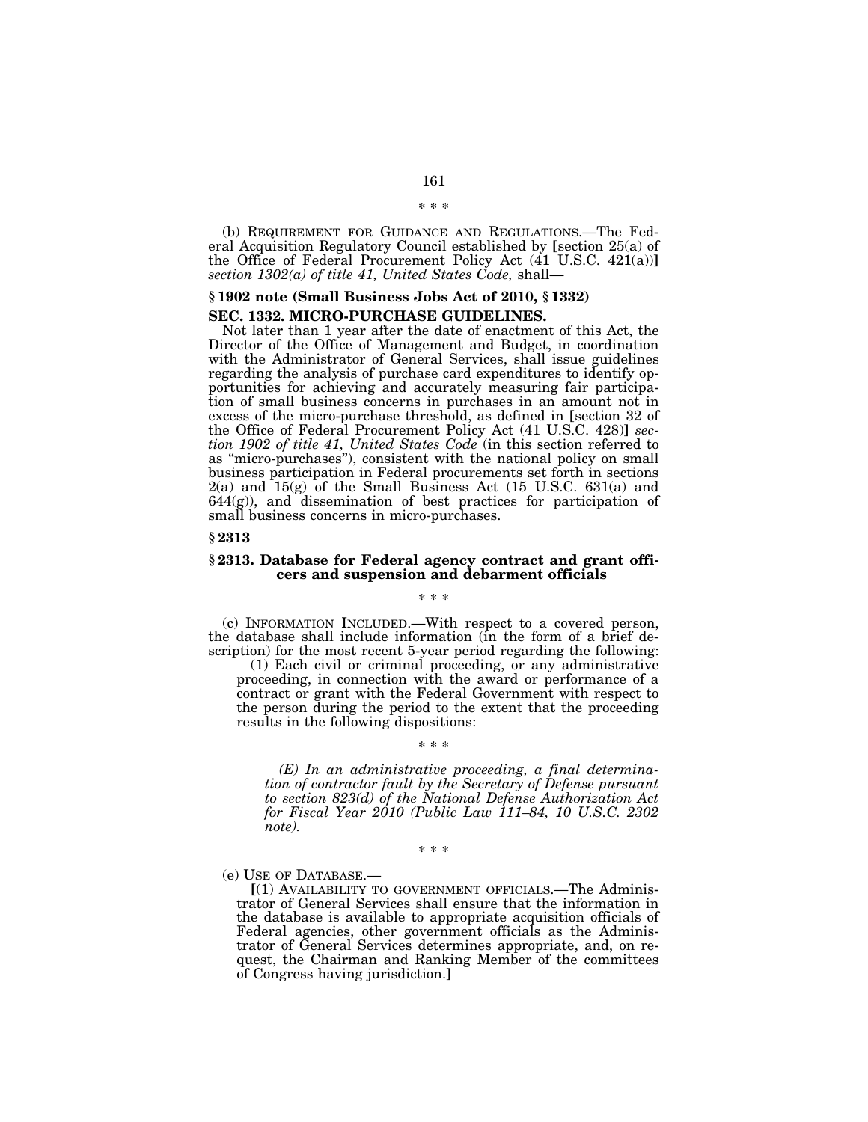(b) REQUIREMENT FOR GUIDANCE AND REGULATIONS.—The Federal Acquisition Regulatory Council established by **[**section 25(a) of the Office of Federal Procurement Policy Act (41 U.S.C. 421(a))**]**  *section 1302(a) of title 41, United States Code,* shall—

## **§ 1902 note (Small Business Jobs Act of 2010, § 1332)**

#### **SEC. 1332. MICRO-PURCHASE GUIDELINES.**

Not later than 1 year after the date of enactment of this Act, the Director of the Office of Management and Budget, in coordination with the Administrator of General Services, shall issue guidelines regarding the analysis of purchase card expenditures to identify opportunities for achieving and accurately measuring fair participation of small business concerns in purchases in an amount not in excess of the micro-purchase threshold, as defined in **[**section 32 of the Office of Federal Procurement Policy Act (41 U.S.C. 428)**]** *section 1902 of title 41, United States Code* (in this section referred to as ''micro-purchases''), consistent with the national policy on small business participation in Federal procurements set forth in sections  $2(a)$  and  $15(g)$  of the Small Business Act (15 U.S.C. 631(a) and 644(g)), and dissemination of best practices for participation of small business concerns in micro-purchases.

# **§ 2313**

# **§ 2313. Database for Federal agency contract and grant officers and suspension and debarment officials**

#### \* \* \*

(c) INFORMATION INCLUDED.—With respect to a covered person, the database shall include information (in the form of a brief description) for the most recent 5-year period regarding the following:

(1) Each civil or criminal proceeding, or any administrative proceeding, in connection with the award or performance of a contract or grant with the Federal Government with respect to the person during the period to the extent that the proceeding results in the following dispositions:

# \* \* \*

*(E) In an administrative proceeding, a final determination of contractor fault by the Secretary of Defense pursuant to section 823(d) of the National Defense Authorization Act for Fiscal Year 2010 (Public Law 111–84, 10 U.S.C. 2302 note).* 

\* \* \*

(e) USE OF DATABASE.—

**[**(1) AVAILABILITY TO GOVERNMENT OFFICIALS.—The Administrator of General Services shall ensure that the information in the database is available to appropriate acquisition officials of Federal agencies, other government officials as the Administrator of General Services determines appropriate, and, on request, the Chairman and Ranking Member of the committees of Congress having jurisdiction.**]**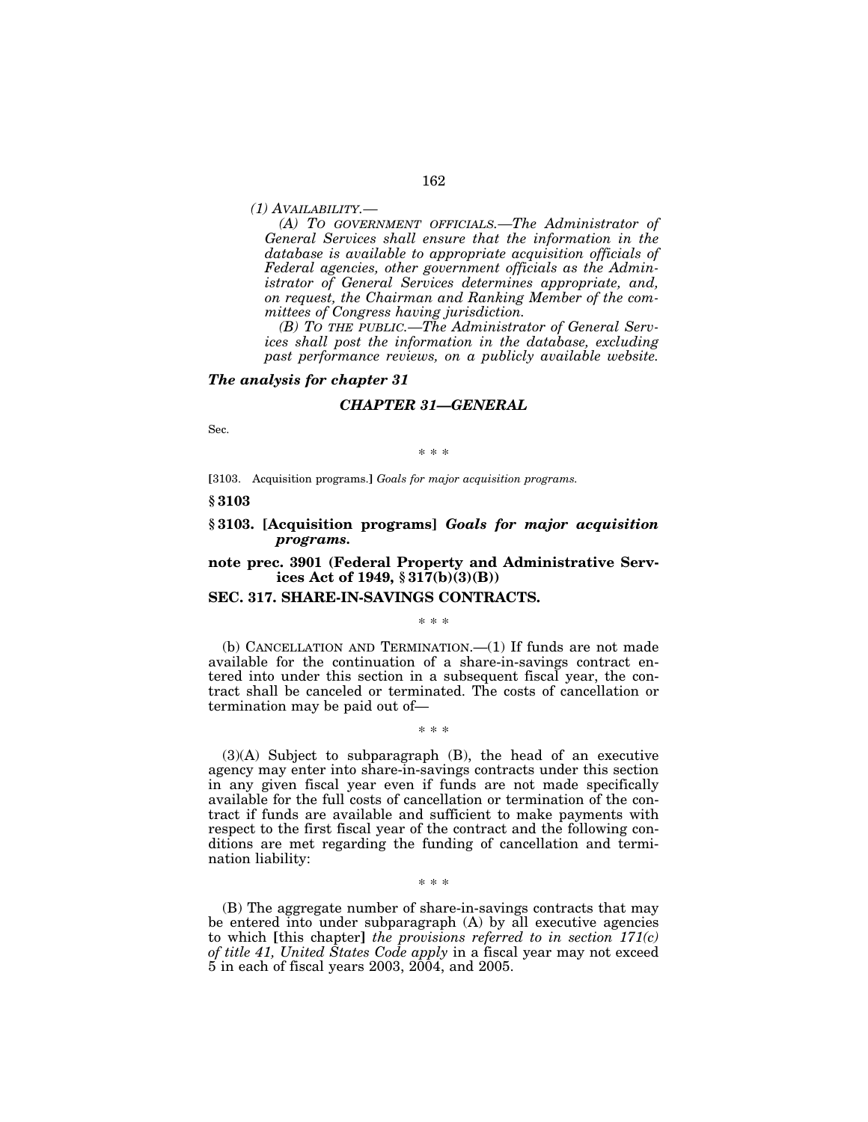*(1) AVAILABILITY.—* 

*(A) TO GOVERNMENT OFFICIALS.—The Administrator of General Services shall ensure that the information in the database is available to appropriate acquisition officials of Federal agencies, other government officials as the Administrator of General Services determines appropriate, and, on request, the Chairman and Ranking Member of the committees of Congress having jurisdiction.* 

*(B) TO THE PUBLIC.—The Administrator of General Services shall post the information in the database, excluding past performance reviews, on a publicly available website.* 

# *The analysis for chapter 31*

# *CHAPTER 31—GENERAL*

Sec.

\* \* \*

**[**3103. Acquisition programs.**]** *Goals for major acquisition programs.* 

**§ 3103** 

# **§ 3103. [Acquisition programs]** *Goals for major acquisition programs.*

**note prec. 3901 (Federal Property and Administrative Services Act of 1949, § 317(b)(3)(B))** 

### **SEC. 317. SHARE-IN-SAVINGS CONTRACTS.**

#### \* \* \*

(b) CANCELLATION AND TERMINATION.—(1) If funds are not made available for the continuation of a share-in-savings contract entered into under this section in a subsequent fiscal year, the contract shall be canceled or terminated. The costs of cancellation or termination may be paid out of—

#### \* \* \*

(3)(A) Subject to subparagraph (B), the head of an executive agency may enter into share-in-savings contracts under this section in any given fiscal year even if funds are not made specifically available for the full costs of cancellation or termination of the contract if funds are available and sufficient to make payments with respect to the first fiscal year of the contract and the following conditions are met regarding the funding of cancellation and termination liability:

\* \* \*

(B) The aggregate number of share-in-savings contracts that may be entered into under subparagraph (A) by all executive agencies to which **[**this chapter**]** *the provisions referred to in section 171(c) of title 41, United States Code apply* in a fiscal year may not exceed  $5$  in each of fiscal years 2003,  $2004$ , and 2005.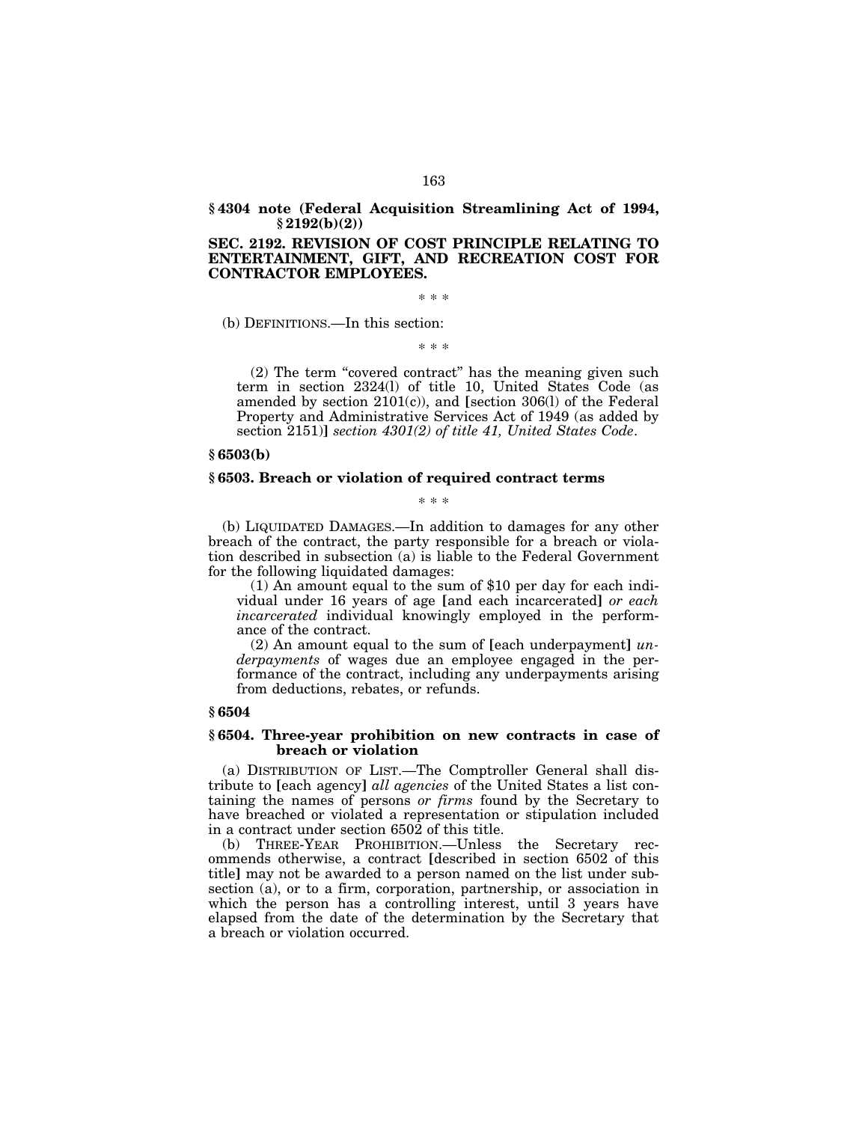# **§ 4304 note (Federal Acquisition Streamlining Act of 1994, § 2192(b)(2))**

**SEC. 2192. REVISION OF COST PRINCIPLE RELATING TO ENTERTAINMENT, GIFT, AND RECREATION COST FOR CONTRACTOR EMPLOYEES.** 

\* \* \*

(b) DEFINITIONS.—In this section:

\* \* \*

(2) The term ''covered contract'' has the meaning given such term in section 2324(l) of title 10, United States Code (as amended by section 2101(c)), and **[**section 306(l) of the Federal Property and Administrative Services Act of 1949 (as added by section 2151)**]** *section 4301(2) of title 41, United States Code*.

#### **§ 6503(b)**

# **§ 6503. Breach or violation of required contract terms**

### \* \* \*

(b) LIQUIDATED DAMAGES.—In addition to damages for any other breach of the contract, the party responsible for a breach or violation described in subsection (a) is liable to the Federal Government for the following liquidated damages:

(1) An amount equal to the sum of \$10 per day for each individual under 16 years of age **[**and each incarcerated**]** *or each incarcerated* individual knowingly employed in the performance of the contract.

(2) An amount equal to the sum of **[**each underpayment**]** *underpayments* of wages due an employee engaged in the performance of the contract, including any underpayments arising from deductions, rebates, or refunds.

# **§ 6504**

# **§ 6504. Three-year prohibition on new contracts in case of breach or violation**

(a) DISTRIBUTION OF LIST.—The Comptroller General shall distribute to **[**each agency**]** *all agencies* of the United States a list containing the names of persons *or firms* found by the Secretary to have breached or violated a representation or stipulation included in a contract under section 6502 of this title.

(b) THREE-YEAR PROHIBITION.—Unless the Secretary recommends otherwise, a contract **[**described in section 6502 of this title**]** may not be awarded to a person named on the list under subsection (a), or to a firm, corporation, partnership, or association in which the person has a controlling interest, until 3 years have elapsed from the date of the determination by the Secretary that a breach or violation occurred.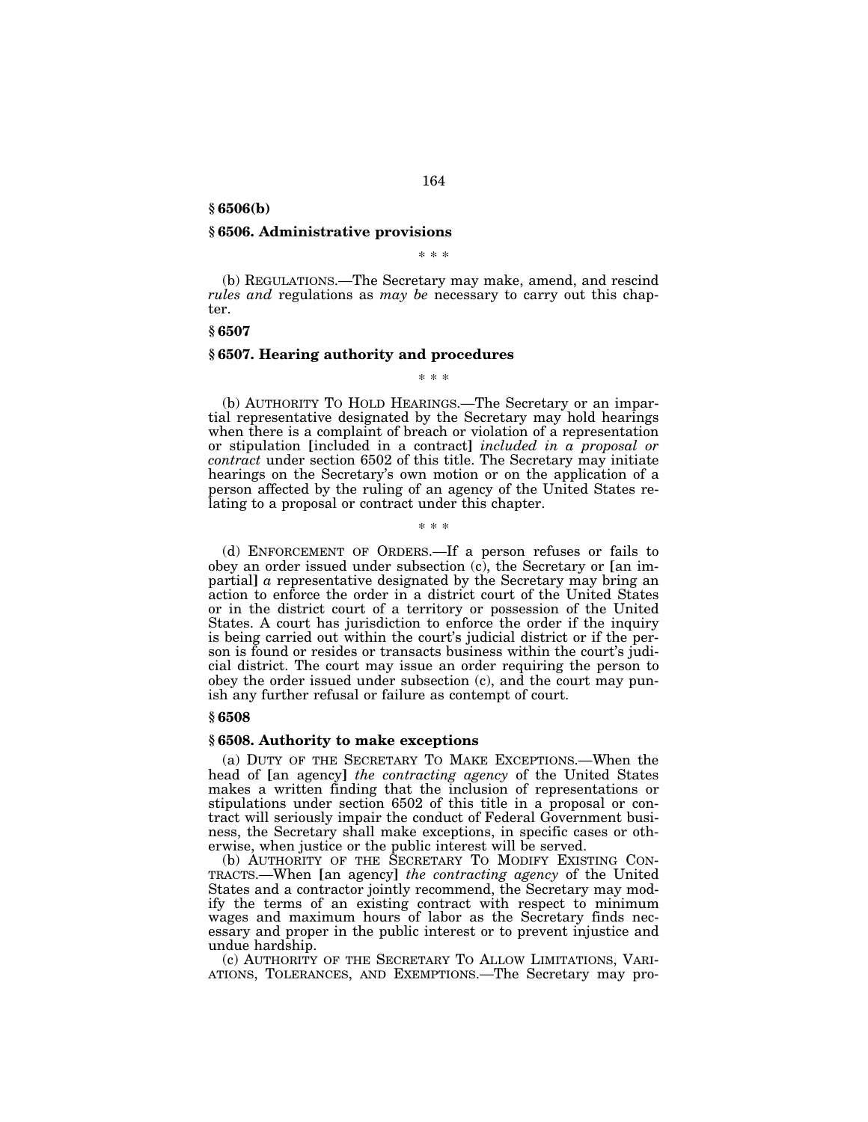**§ 6506(b)** 

# **§ 6506. Administrative provisions**

\* \* \*

(b) REGULATIONS.—The Secretary may make, amend, and rescind *rules and* regulations as *may be* necessary to carry out this chapter.

#### **§ 6507**

#### **§ 6507. Hearing authority and procedures**

\* \* \*

(b) AUTHORITY TO HOLD HEARINGS.—The Secretary or an impartial representative designated by the Secretary may hold hearings when there is a complaint of breach or violation of a representation or stipulation **[**included in a contract**]** *included in a proposal or contract* under section 6502 of this title. The Secretary may initiate hearings on the Secretary's own motion or on the application of a person affected by the ruling of an agency of the United States relating to a proposal or contract under this chapter.

\* \* \*

(d) ENFORCEMENT OF ORDERS.—If a person refuses or fails to obey an order issued under subsection (c), the Secretary or **[**an impartial**]** *a* representative designated by the Secretary may bring an action to enforce the order in a district court of the United States or in the district court of a territory or possession of the United States. A court has jurisdiction to enforce the order if the inquiry is being carried out within the court's judicial district or if the person is found or resides or transacts business within the court's judicial district. The court may issue an order requiring the person to obey the order issued under subsection (c), and the court may punish any further refusal or failure as contempt of court.

# **§ 6508**

# **§ 6508. Authority to make exceptions**

(a) DUTY OF THE SECRETARY TO MAKE EXCEPTIONS.—When the head of **[**an agency**]** *the contracting agency* of the United States makes a written finding that the inclusion of representations or stipulations under section 6502 of this title in a proposal or contract will seriously impair the conduct of Federal Government business, the Secretary shall make exceptions, in specific cases or otherwise, when justice or the public interest will be served.

(b) AUTHORITY OF THE SECRETARY TO MODIFY EXISTING CON-TRACTS.—When **[**an agency**]** *the contracting agency* of the United States and a contractor jointly recommend, the Secretary may modify the terms of an existing contract with respect to minimum wages and maximum hours of labor as the Secretary finds necessary and proper in the public interest or to prevent injustice and undue hardship.

(c) AUTHORITY OF THE SECRETARY TO ALLOW LIMITATIONS, VARI-ATIONS, TOLERANCES, AND EXEMPTIONS.—The Secretary may pro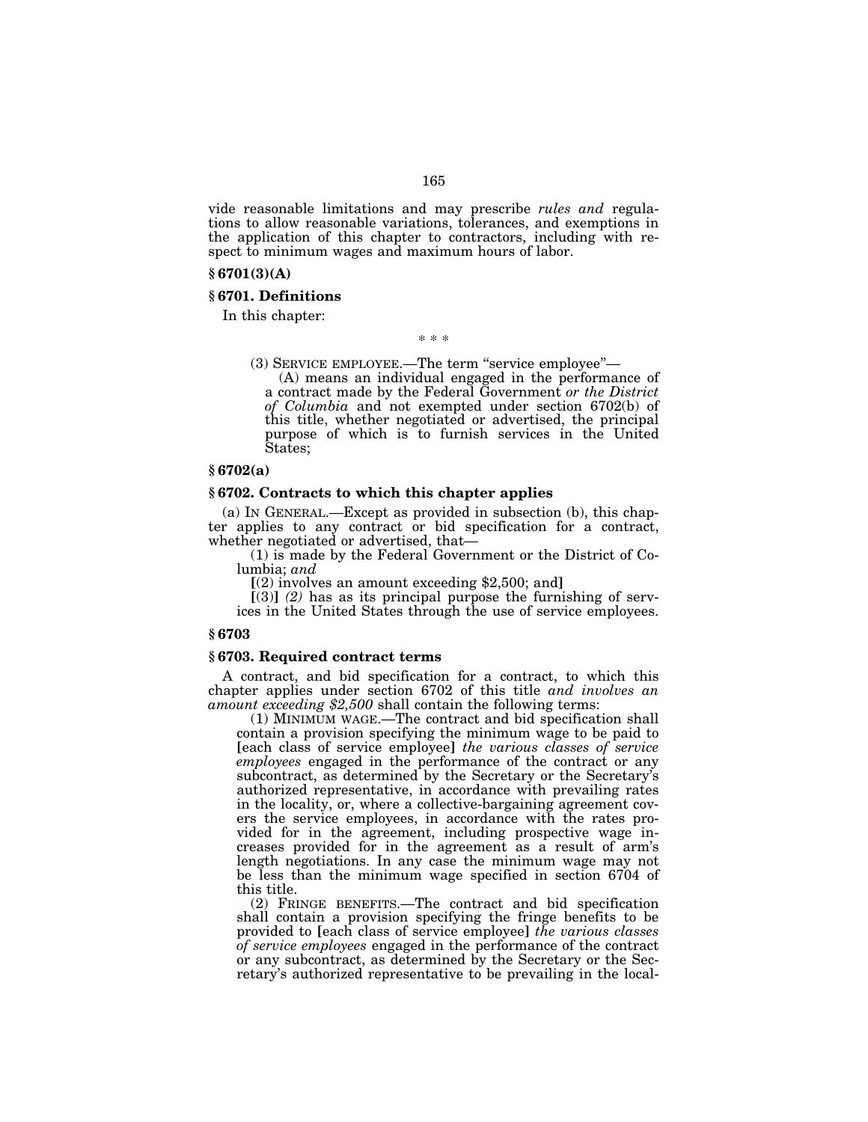vide reasonable limitations and may prescribe *rules and* regulations to allow reasonable variations, tolerances, and exemptions in the application of this chapter to contractors, including with respect to minimum wages and maximum hours of labor.

# **§ 6701(3)(A)**

#### **§ 6701. Definitions**

In this chapter:

\* \* \*

- (3) SERVICE EMPLOYEE.—The term ''service employee''—
	- (A) means an individual engaged in the performance of a contract made by the Federal Government *or the District of Columbia* and not exempted under section 6702(b) of this title, whether negotiated or advertised, the principal purpose of which is to furnish services in the United States;

# **§ 6702(a)**

### **§ 6702. Contracts to which this chapter applies**

(a) IN GENERAL.—Except as provided in subsection (b), this chapter applies to any contract or bid specification for a contract, whether negotiated or advertised, that—

(1) is made by the Federal Government or the District of Columbia; *and* 

**[**(2) involves an amount exceeding \$2,500; and**]** 

**[**(3)**]** *(2)* has as its principal purpose the furnishing of services in the United States through the use of service employees.

#### **§ 6703**

#### **§ 6703. Required contract terms**

A contract, and bid specification for a contract, to which this chapter applies under section 6702 of this title *and involves an amount exceeding \$2,500* shall contain the following terms:

(1) MINIMUM WAGE.—The contract and bid specification shall contain a provision specifying the minimum wage to be paid to **[**each class of service employee**]** *the various classes of service employees* engaged in the performance of the contract or any subcontract, as determined by the Secretary or the Secretary's authorized representative, in accordance with prevailing rates in the locality, or, where a collective-bargaining agreement covers the service employees, in accordance with the rates provided for in the agreement, including prospective wage increases provided for in the agreement as a result of arm's length negotiations. In any case the minimum wage may not be less than the minimum wage specified in section 6704 of this title.

(2) FRINGE BENEFITS.—The contract and bid specification shall contain a provision specifying the fringe benefits to be provided to **[**each class of service employee**]** *the various classes of service employees* engaged in the performance of the contract or any subcontract, as determined by the Secretary or the Secretary's authorized representative to be prevailing in the local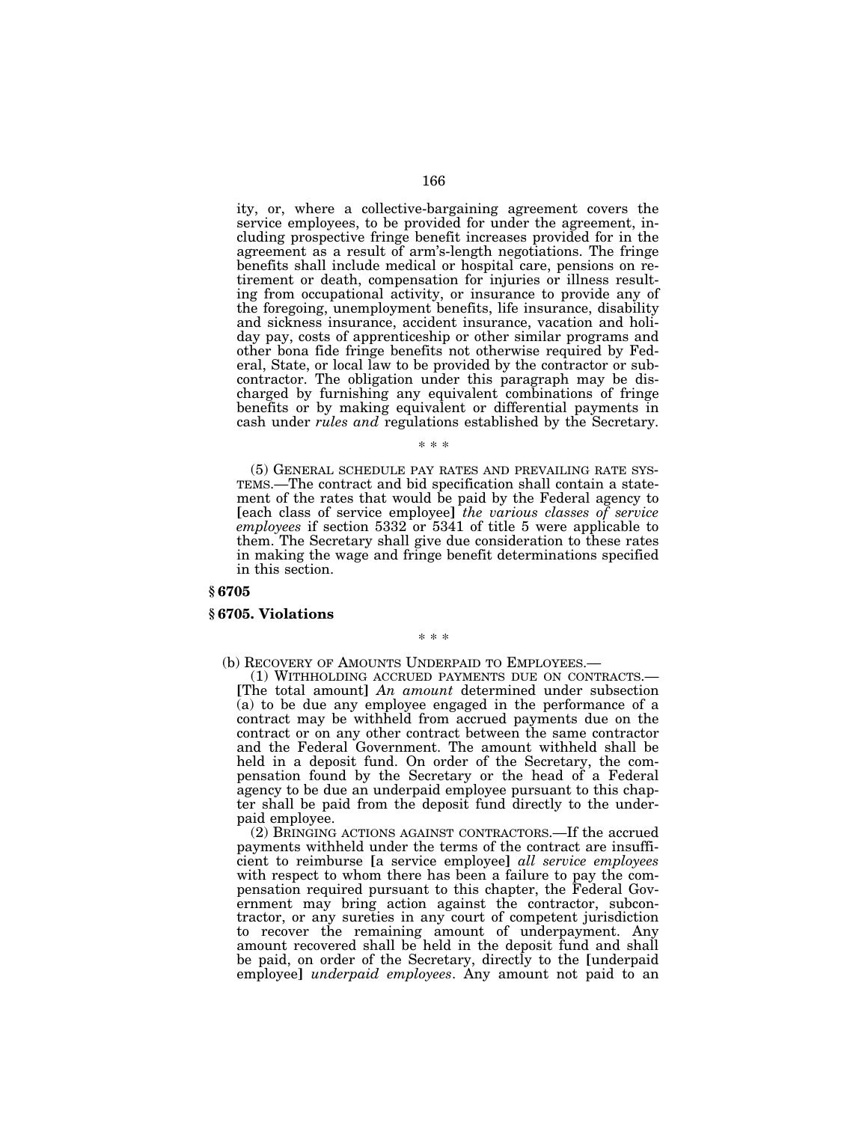ity, or, where a collective-bargaining agreement covers the service employees, to be provided for under the agreement, including prospective fringe benefit increases provided for in the agreement as a result of arm's-length negotiations. The fringe benefits shall include medical or hospital care, pensions on retirement or death, compensation for injuries or illness resulting from occupational activity, or insurance to provide any of the foregoing, unemployment benefits, life insurance, disability and sickness insurance, accident insurance, vacation and holiday pay, costs of apprenticeship or other similar programs and other bona fide fringe benefits not otherwise required by Federal, State, or local law to be provided by the contractor or subcontractor. The obligation under this paragraph may be discharged by furnishing any equivalent combinations of fringe benefits or by making equivalent or differential payments in cash under *rules and* regulations established by the Secretary.

(5) GENERAL SCHEDULE PAY RATES AND PREVAILING RATE SYS-TEMS.—The contract and bid specification shall contain a statement of the rates that would be paid by the Federal agency to **[**each class of service employee**]** *the various classes of service employees* if section 5332 or 5341 of title 5 were applicable to them. The Secretary shall give due consideration to these rates in making the wage and fringe benefit determinations specified in this section.

\* \* \*

### **§ 6705**

### **§ 6705. Violations**

\* \* \*

(b) RECOVERY OF AMOUNTS UNDERPAID TO EMPLOYEES.— (1) WITHHOLDING ACCRUED PAYMENTS DUE ON CONTRACTS.—

**[**The total amount**]** *An amount* determined under subsection (a) to be due any employee engaged in the performance of a contract may be withheld from accrued payments due on the contract or on any other contract between the same contractor and the Federal Government. The amount withheld shall be held in a deposit fund. On order of the Secretary, the compensation found by the Secretary or the head of a Federal agency to be due an underpaid employee pursuant to this chapter shall be paid from the deposit fund directly to the underpaid employee.

(2) BRINGING ACTIONS AGAINST CONTRACTORS.—If the accrued payments withheld under the terms of the contract are insufficient to reimburse **[**a service employee**]** *all service employees*  with respect to whom there has been a failure to pay the compensation required pursuant to this chapter, the Federal Government may bring action against the contractor, subcontractor, or any sureties in any court of competent jurisdiction to recover the remaining amount of underpayment. Any amount recovered shall be held in the deposit fund and shall be paid, on order of the Secretary, directly to the **[**underpaid employee**]** *underpaid employees*. Any amount not paid to an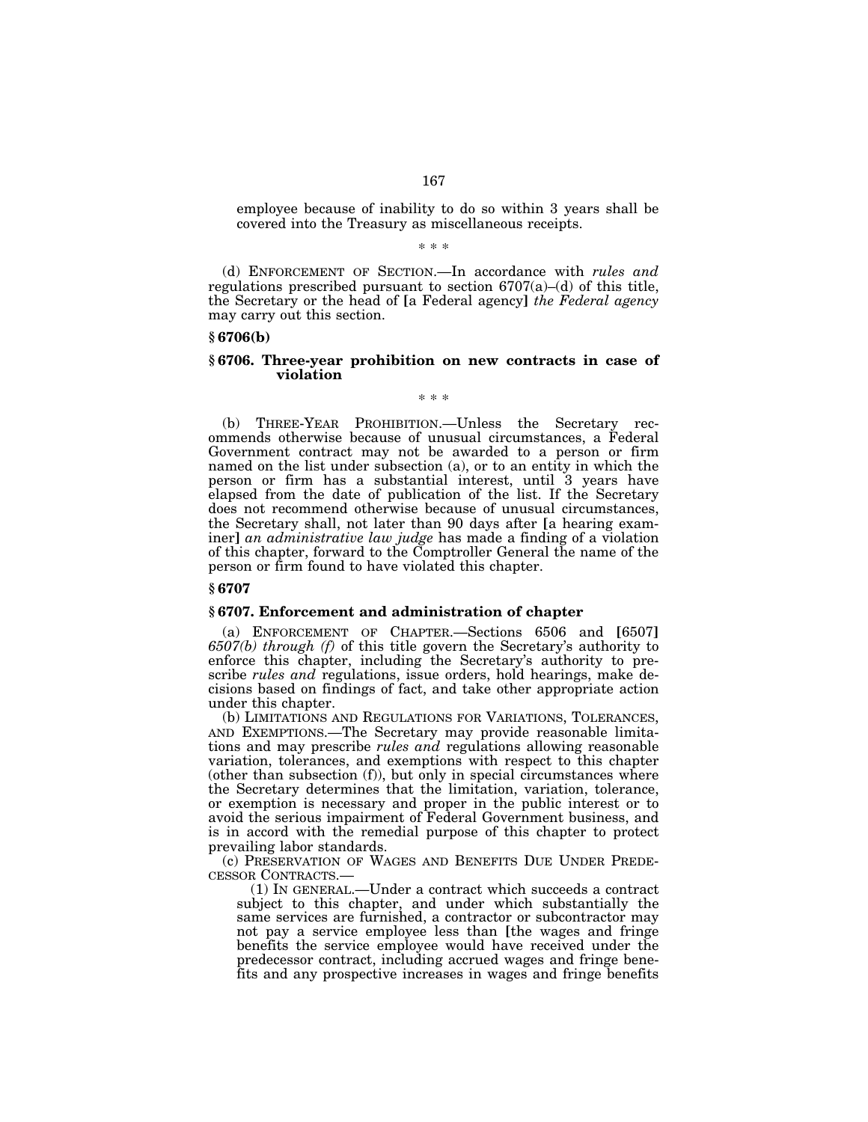employee because of inability to do so within 3 years shall be covered into the Treasury as miscellaneous receipts.

\* \* \*

(d) ENFORCEMENT OF SECTION.—In accordance with *rules and*  regulations prescribed pursuant to section  $6707(a)$ –(d) of this title, the Secretary or the head of **[**a Federal agency**]** *the Federal agency*  may carry out this section.

### **§ 6706(b)**

# **§ 6706. Three-year prohibition on new contracts in case of violation**

\* \* \*

(b) THREE-YEAR PROHIBITION.—Unless the Secretary recommends otherwise because of unusual circumstances, a Federal Government contract may not be awarded to a person or firm named on the list under subsection (a), or to an entity in which the person or firm has a substantial interest, until 3 years have elapsed from the date of publication of the list. If the Secretary does not recommend otherwise because of unusual circumstances, the Secretary shall, not later than 90 days after **[**a hearing examiner**]** *an administrative law judge* has made a finding of a violation of this chapter, forward to the Comptroller General the name of the person or firm found to have violated this chapter.

# **§ 6707**

### **§ 6707. Enforcement and administration of chapter**

(a) ENFORCEMENT OF CHAPTER.—Sections 6506 and **[**6507**]**  *6507(b) through (f)* of this title govern the Secretary's authority to enforce this chapter, including the Secretary's authority to prescribe *rules and* regulations, issue orders, hold hearings, make decisions based on findings of fact, and take other appropriate action under this chapter.

(b) LIMITATIONS AND REGULATIONS FOR VARIATIONS, TOLERANCES, AND EXEMPTIONS.—The Secretary may provide reasonable limitations and may prescribe *rules and* regulations allowing reasonable variation, tolerances, and exemptions with respect to this chapter (other than subsection (f)), but only in special circumstances where the Secretary determines that the limitation, variation, tolerance, or exemption is necessary and proper in the public interest or to avoid the serious impairment of Federal Government business, and is in accord with the remedial purpose of this chapter to protect prevailing labor standards.

(c) PRESERVATION OF WAGES AND BENEFITS DUE UNDER PREDE-CESSOR CONTRACTS.—

(1) IN GENERAL.—Under a contract which succeeds a contract subject to this chapter, and under which substantially the same services are furnished, a contractor or subcontractor may not pay a service employee less than **[**the wages and fringe benefits the service employee would have received under the predecessor contract, including accrued wages and fringe benefits and any prospective increases in wages and fringe benefits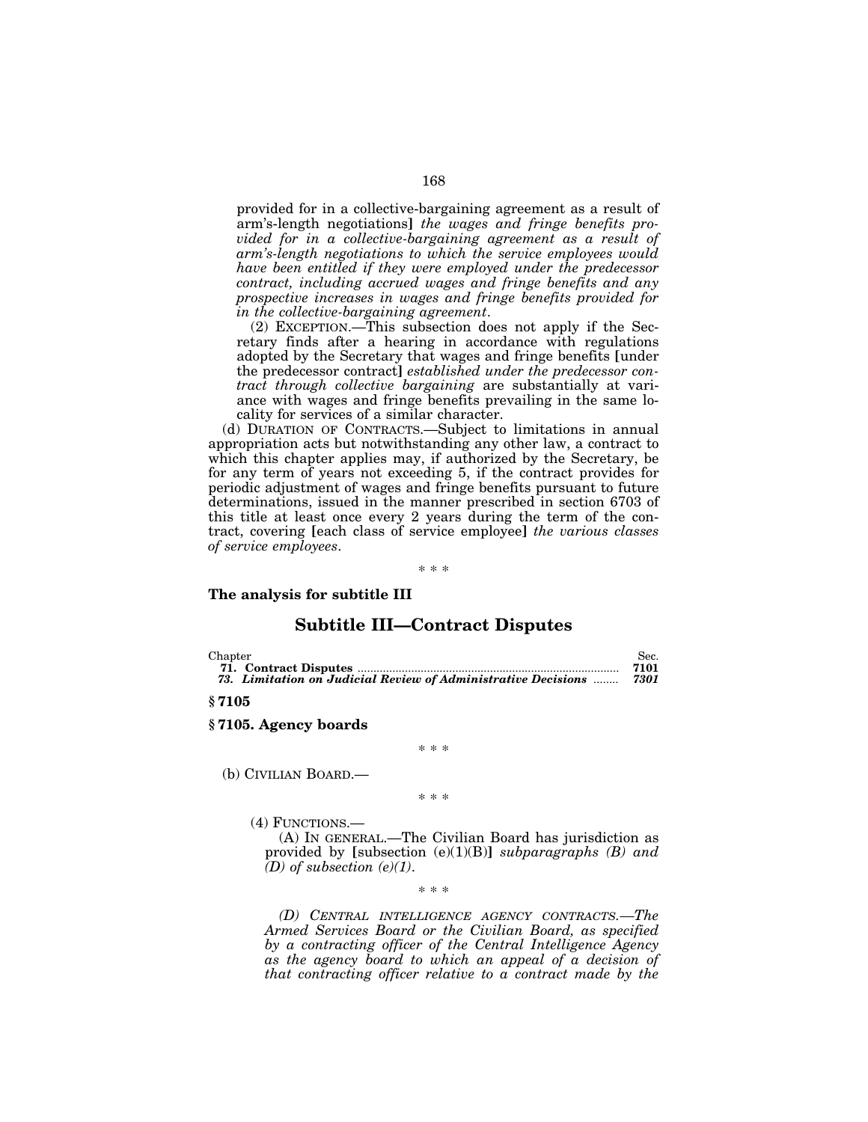provided for in a collective-bargaining agreement as a result of arm's-length negotiations**]** *the wages and fringe benefits provided for in a collective-bargaining agreement as a result of arm's-length negotiations to which the service employees would have been entitled if they were employed under the predecessor contract, including accrued wages and fringe benefits and any prospective increases in wages and fringe benefits provided for in the collective-bargaining agreement*.

(2) EXCEPTION.—This subsection does not apply if the Secretary finds after a hearing in accordance with regulations adopted by the Secretary that wages and fringe benefits **[**under the predecessor contract**]** *established under the predecessor contract through collective bargaining* are substantially at variance with wages and fringe benefits prevailing in the same locality for services of a similar character.

(d) DURATION OF CONTRACTS.—Subject to limitations in annual appropriation acts but notwithstanding any other law, a contract to which this chapter applies may, if authorized by the Secretary, be for any term of years not exceeding 5, if the contract provides for periodic adjustment of wages and fringe benefits pursuant to future determinations, issued in the manner prescribed in section 6703 of this title at least once every 2 years during the term of the contract, covering **[**each class of service employee**]** *the various classes of service employees*.

#### \* \* \*

# **The analysis for subtitle III**

# **Subtitle III—Contract Disputes**

| Chapter                                                             | Sec. |
|---------------------------------------------------------------------|------|
|                                                                     | 7101 |
| 73. Limitation on Judicial Review of Administrative Decisions  7301 |      |

# **§ 7105**

# **§ 7105. Agency boards**

\* \* \*

(b) CIVILIAN BOARD.—

\* \* \*

### (4) FUNCTIONS.—

(A) IN GENERAL.—The Civilian Board has jurisdiction as provided by **[**subsection (e)(1)(B)**]** *subparagraphs (B) and (D) of subsection (e)(1)*.

\* \* \*

*(D) CENTRAL INTELLIGENCE AGENCY CONTRACTS.—The Armed Services Board or the Civilian Board, as specified by a contracting officer of the Central Intelligence Agency as the agency board to which an appeal of a decision of that contracting officer relative to a contract made by the*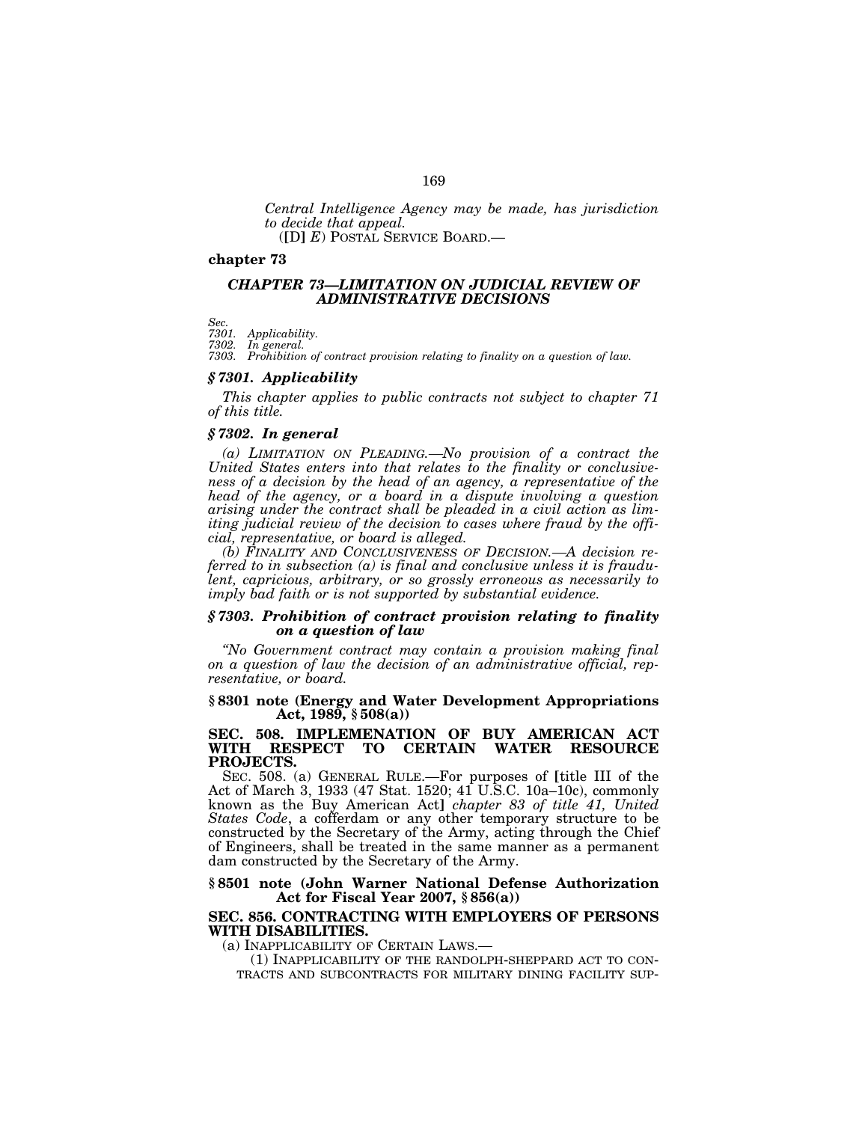*Central Intelligence Agency may be made, has jurisdiction to decide that appeal.* 

(**[**D**]** *E*) POSTAL SERVICE BOARD.—

# **chapter 73**

### *CHAPTER 73—LIMITATION ON JUDICIAL REVIEW OF ADMINISTRATIVE DECISIONS*

*Sec.* 

*7301. Applicability. 7302. In general. 7303. Prohibition of contract provision relating to finality on a question of law.* 

#### *§ 7301. Applicability*

*This chapter applies to public contracts not subject to chapter 71 of this title.* 

# *§ 7302. In general*

*(a) LIMITATION ON PLEADING.—No provision of a contract the United States enters into that relates to the finality or conclusiveness of a decision by the head of an agency, a representative of the head of the agency, or a board in a dispute involving a question arising under the contract shall be pleaded in a civil action as limiting judicial review of the decision to cases where fraud by the official, representative, or board is alleged.* 

*(b) FINALITY AND CONCLUSIVENESS OF DECISION.—A decision referred to in subsection (a) is final and conclusive unless it is fraudulent, capricious, arbitrary, or so grossly erroneous as necessarily to imply bad faith or is not supported by substantial evidence.* 

# *§ 7303. Prohibition of contract provision relating to finality on a question of law*

*''No Government contract may contain a provision making final on a question of law the decision of an administrative official, representative, or board.* 

# **§ 8301 note (Energy and Water Development Appropriations Act, 1989, § 508(a))**

**SEC. 508. IMPLEMENATION OF BUY AMERICAN ACT WITH RESPECT TO CERTAIN WATER RESOURCE PROJECTS.** 

SEC. 508. (a) GENERAL RULE.—For purposes of **[**title III of the Act of March 3, 1933 (47 Stat. 1520; 41 U.S.C. 10a–10c), commonly known as the Buy American Act**]** *chapter 83 of title 41, United States Code*, a cofferdam or any other temporary structure to be constructed by the Secretary of the Army, acting through the Chief of Engineers, shall be treated in the same manner as a permanent dam constructed by the Secretary of the Army.

# **§ 8501 note (John Warner National Defense Authorization Act for Fiscal Year 2007, § 856(a))**

# **SEC. 856. CONTRACTING WITH EMPLOYERS OF PERSONS WITH DISABILITIES.**

(a) INAPPLICABILITY OF CERTAIN LAWS.—

(1) INAPPLICABILITY OF THE RANDOLPH-SHEPPARD ACT TO CON-TRACTS AND SUBCONTRACTS FOR MILITARY DINING FACILITY SUP-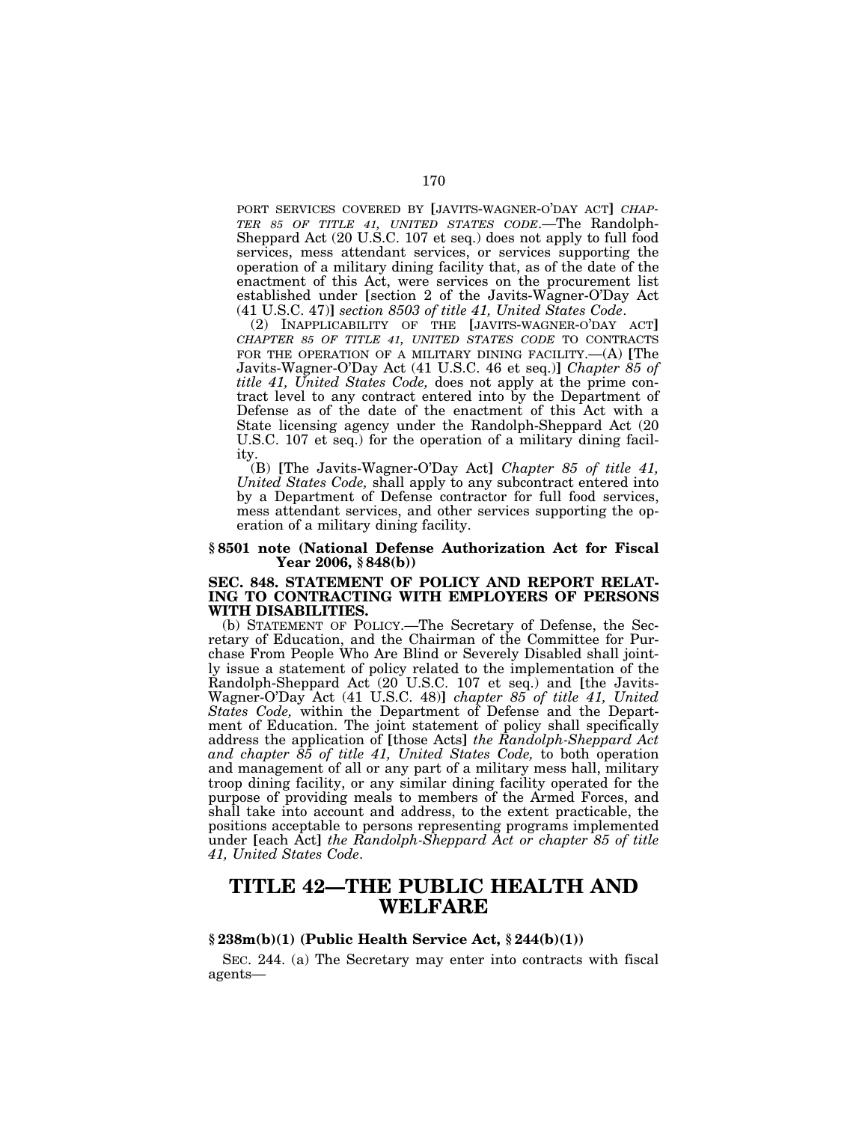PORT SERVICES COVERED BY **[**JAVITS-WAGNER-O'DAY ACT**]** *CHAP-TER 85 OF TITLE 41, UNITED STATES CODE*.—The Randolph-Sheppard Act (20 U.S.C. 107 et seq.) does not apply to full food services, mess attendant services, or services supporting the operation of a military dining facility that, as of the date of the enactment of this Act, were services on the procurement list established under **[**section 2 of the Javits-Wagner-O'Day Act (41 U.S.C. 47)**]** *section 8503 of title 41, United States Code*.

(2) INAPPLICABILITY OF THE **[**JAVITS-WAGNER-O'DAY ACT**]**  *CHAPTER 85 OF TITLE 41, UNITED STATES CODE* TO CONTRACTS FOR THE OPERATION OF A MILITARY DINING FACILITY.—(A) **[**The Javits-Wagner-O'Day Act (41 U.S.C. 46 et seq.)**]** *Chapter 85 of title 41, United States Code,* does not apply at the prime contract level to any contract entered into by the Department of Defense as of the date of the enactment of this Act with a State licensing agency under the Randolph-Sheppard Act (20 U.S.C. 107 et seq.) for the operation of a military dining facility.

(B) **[**The Javits-Wagner-O'Day Act**]** *Chapter 85 of title 41, United States Code,* shall apply to any subcontract entered into by a Department of Defense contractor for full food services, mess attendant services, and other services supporting the operation of a military dining facility.

#### **§ 8501 note (National Defense Authorization Act for Fiscal Year 2006, § 848(b))**

# **SEC. 848. STATEMENT OF POLICY AND REPORT RELAT-ING TO CONTRACTING WITH EMPLOYERS OF PERSONS WITH DISABILITIES.**

(b) STATEMENT OF POLICY.—The Secretary of Defense, the Secretary of Education, and the Chairman of the Committee for Purchase From People Who Are Blind or Severely Disabled shall jointly issue a statement of policy related to the implementation of the Randolph-Sheppard Act (20 U.S.C. 107 et seq.) and **[**the Javits-Wagner-O'Day Act (41 U.S.C. 48)**]** *chapter 85 of title 41, United States Code,* within the Department of Defense and the Department of Education. The joint statement of policy shall specifically address the application of **[**those Acts**]** *the Randolph-Sheppard Act and chapter 85 of title 41, United States Code,* to both operation and management of all or any part of a military mess hall, military troop dining facility, or any similar dining facility operated for the purpose of providing meals to members of the Armed Forces, and shall take into account and address, to the extent practicable, the positions acceptable to persons representing programs implemented under **[**each Act**]** *the Randolph-Sheppard Act or chapter 85 of title 41, United States Code*.

# **TITLE 42—THE PUBLIC HEALTH AND WELFARE**

# **§ 238m(b)(1) (Public Health Service Act, § 244(b)(1))**

SEC. 244. (a) The Secretary may enter into contracts with fiscal agents—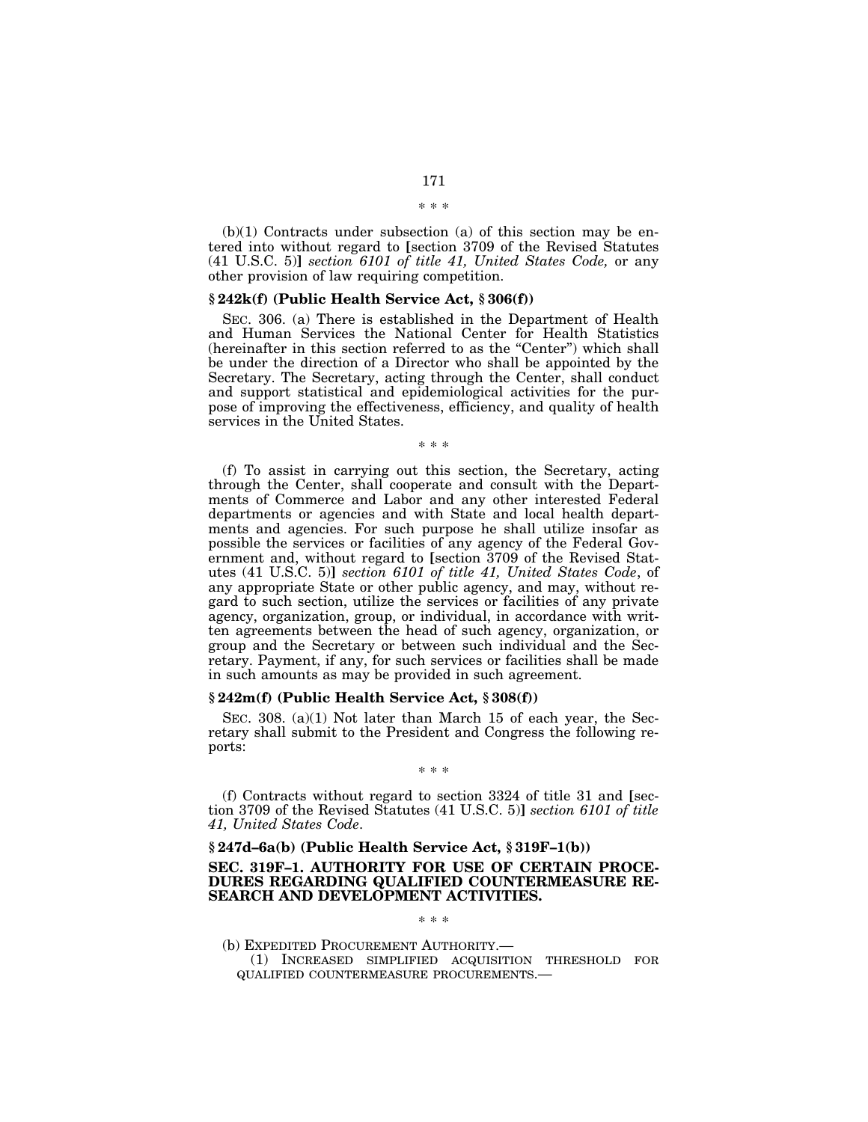$(b)(1)$  Contracts under subsection (a) of this section may be entered into without regard to **[**section 3709 of the Revised Statutes (41 U.S.C. 5)**]** *section 6101 of title 41, United States Code,* or any other provision of law requiring competition.

# **§ 242k(f) (Public Health Service Act, § 306(f))**

SEC. 306. (a) There is established in the Department of Health and Human Services the National Center for Health Statistics (hereinafter in this section referred to as the "Center") which shall be under the direction of a Director who shall be appointed by the Secretary. The Secretary, acting through the Center, shall conduct and support statistical and epidemiological activities for the purpose of improving the effectiveness, efficiency, and quality of health services in the United States.

\* \* \*

(f) To assist in carrying out this section, the Secretary, acting through the Center, shall cooperate and consult with the Departments of Commerce and Labor and any other interested Federal departments or agencies and with State and local health departments and agencies. For such purpose he shall utilize insofar as possible the services or facilities of any agency of the Federal Government and, without regard to **[**section 3709 of the Revised Statutes (41 U.S.C. 5)**]** *section 6101 of title 41, United States Code*, of any appropriate State or other public agency, and may, without regard to such section, utilize the services or facilities of any private agency, organization, group, or individual, in accordance with written agreements between the head of such agency, organization, or group and the Secretary or between such individual and the Secretary. Payment, if any, for such services or facilities shall be made in such amounts as may be provided in such agreement.

#### **§ 242m(f) (Public Health Service Act, § 308(f))**

SEC. 308. (a)(1) Not later than March 15 of each year, the Secretary shall submit to the President and Congress the following reports:

\* \* \*

(f) Contracts without regard to section 3324 of title 31 and **[**section 3709 of the Revised Statutes (41 U.S.C. 5)**]** *section 6101 of title 41, United States Code*.

**§ 247d–6a(b) (Public Health Service Act, § 319F–1(b))** 

# **SEC. 319F–1. AUTHORITY FOR USE OF CERTAIN PROCE-DURES REGARDING QUALIFIED COUNTERMEASURE RE-SEARCH AND DEVELOPMENT ACTIVITIES.**

\* \* \*

(b) EXPEDITED PROCUREMENT AUTHORITY.— (1) INCREASED SIMPLIFIED ACQUISITION THRESHOLD FOR QUALIFIED COUNTERMEASURE PROCUREMENTS.—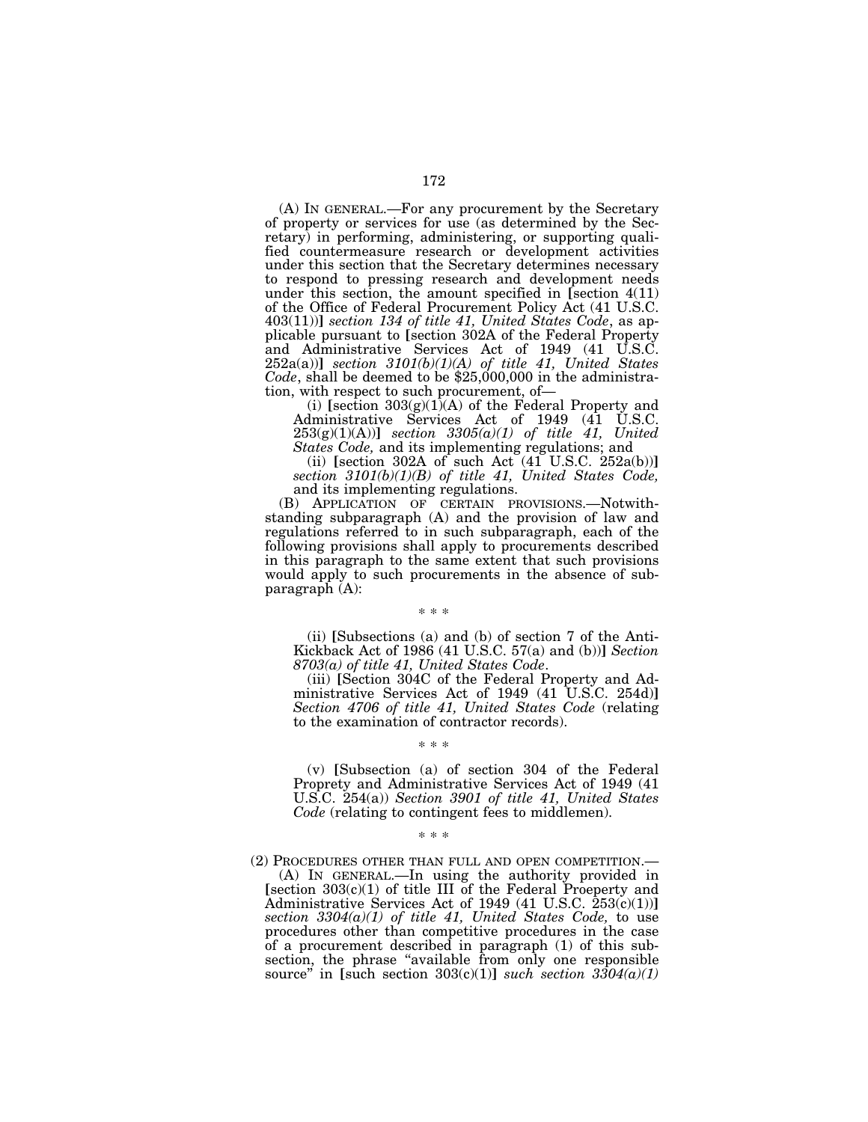(A) IN GENERAL.—For any procurement by the Secretary of property or services for use (as determined by the Secretary) in performing, administering, or supporting qualified countermeasure research or development activities under this section that the Secretary determines necessary to respond to pressing research and development needs under this section, the amount specified in **[**section 4(11) of the Office of Federal Procurement Policy Act (41 U.S.C. 403(11))**]** *section 134 of title 41, United States Code*, as applicable pursuant to **[**section 302A of the Federal Property and Administrative Services Act of 1949 (41 U.S.C. 252a(a))**]** *section 3101(b)(1)(A) of title 41, United States Code*, shall be deemed to be \$25,000,000 in the administration, with respect to such procurement, of—

(i)  $[section 303(g)(1)(A)$  of the Federal Property and Administrative Services Act of 1949 (41 U.S.C. 253(g)(1)(A))**]** *section 3305(a)(1) of title 41, United States Code,* and its implementing regulations; and

(ii) **[**section 302A of such Act (41 U.S.C. 252a(b))**]**  *section 3101(b)(1)(B) of title 41, United States Code,*  and its implementing regulations.

(B) APPLICATION OF CERTAIN PROVISIONS.—Notwithstanding subparagraph (A) and the provision of law and regulations referred to in such subparagraph, each of the following provisions shall apply to procurements described in this paragraph to the same extent that such provisions would apply to such procurements in the absence of subparagraph (A):

(ii) **[**Subsections (a) and (b) of section 7 of the Anti-Kickback Act of 1986 (41 U.S.C. 57(a) and (b))**]** *Section 8703(a) of title 41, United States Code*.

(iii) **[**Section 304C of the Federal Property and Administrative Services Act of 1949 (41 U.S.C. 254d)**]**  *Section 4706 of title 41, United States Code* (relating to the examination of contractor records).

\* \* \*

(v) **[**Subsection (a) of section 304 of the Federal Proprety and Administrative Services Act of 1949 (41 U.S.C. 254(a)) *Section 3901 of title 41, United States Code* (relating to contingent fees to middlemen).

#### \* \* \*

(2) PROCEDURES OTHER THAN FULL AND OPEN COMPETITION.—

(A) IN GENERAL.—In using the authority provided in **[**section 303(c)(1) of title III of the Federal Proeperty and Administrative Services Act of 1949 (41 U.S.C. 253(c)(1))**]**  *section 3304(a)(1) of title 41, United States Code,* to use procedures other than competitive procedures in the case of a procurement described in paragraph (1) of this subsection, the phrase "available from only one responsible source" in [such section 303(c)(1)] *such section 3304(a)(1)* 

<sup>\* \* \*</sup>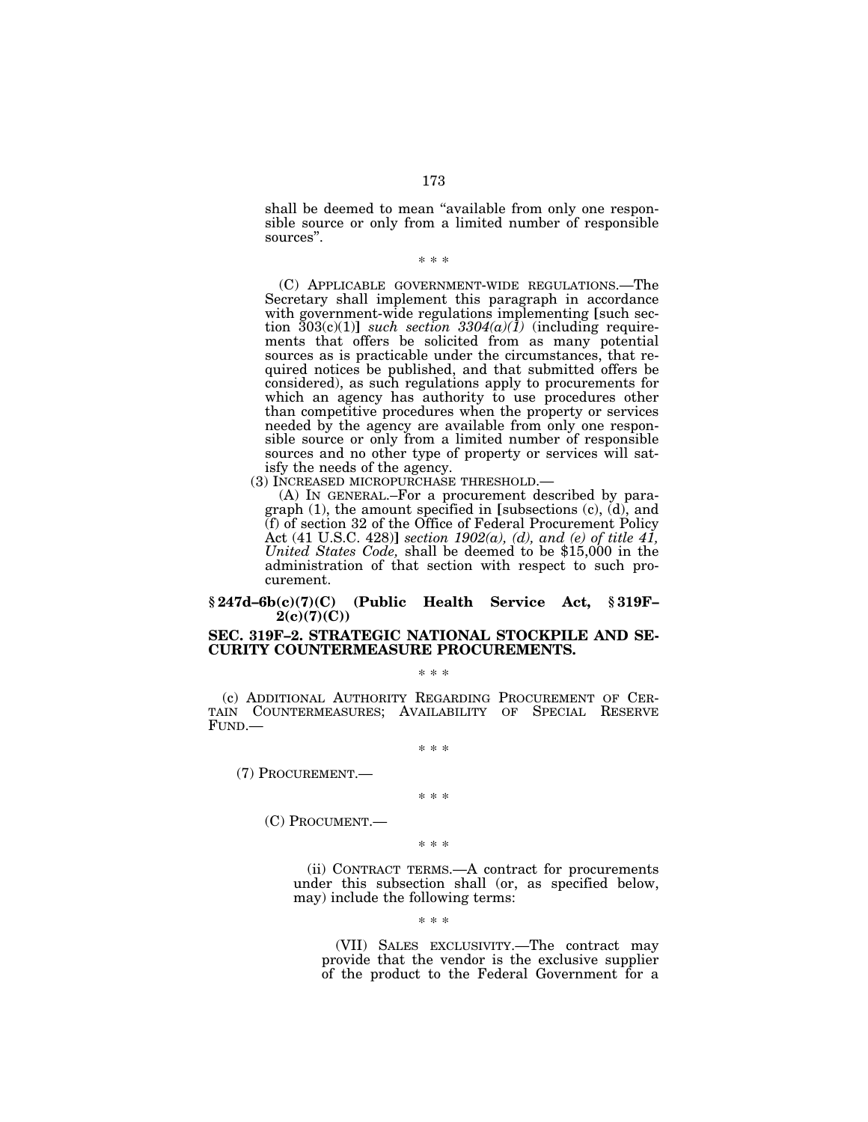shall be deemed to mean "available from only one responsible source or only from a limited number of responsible sources''.

\* \* \*

(C) APPLICABLE GOVERNMENT-WIDE REGULATIONS.—The Secretary shall implement this paragraph in accordance with government-wide regulations implementing **[**such section  $\overline{3}03(c)(1)$ ] *such section*  $3304(a)(1)$  (including requirements that offers be solicited from as many potential sources as is practicable under the circumstances, that required notices be published, and that submitted offers be considered), as such regulations apply to procurements for which an agency has authority to use procedures other than competitive procedures when the property or services needed by the agency are available from only one responsible source or only from a limited number of responsible sources and no other type of property or services will satisfy the needs of the agency.<br>(3) INCREASED MICROPURCHASE THRESHOLD.—

 $(A)$  In GENERAL.–For a procurement described by paragraph (1), the amount specified in **[**subsections (c), (d), and (f) of section 32 of the Office of Federal Procurement Policy Act (41 U.S.C. 428)**]** *section 1902(a), (d), and (e) of title 41, United States Code,* shall be deemed to be \$15,000 in the administration of that section with respect to such procurement.

# **§ 247d–6b(c)(7)(C) (Public Health Service Act, § 319F– 2(c)(7)(C))**

# **SEC. 319F–2. STRATEGIC NATIONAL STOCKPILE AND SE-CURITY COUNTERMEASURE PROCUREMENTS.**

\* \* \*

(c) ADDITIONAL AUTHORITY REGARDING PROCUREMENT OF CER- TAIN COUNTERMEASURES; AVAILABILITY OF SPECIAL RESERVE FUND.—

\* \* \*

(7) PROCUREMENT.—

\* \* \*

(C) PROCUMENT.—

\* \* \*

(ii) CONTRACT TERMS.—A contract for procurements under this subsection shall (or, as specified below, may) include the following terms:

\* \* \*

(VII) SALES EXCLUSIVITY.—The contract may provide that the vendor is the exclusive supplier of the product to the Federal Government for a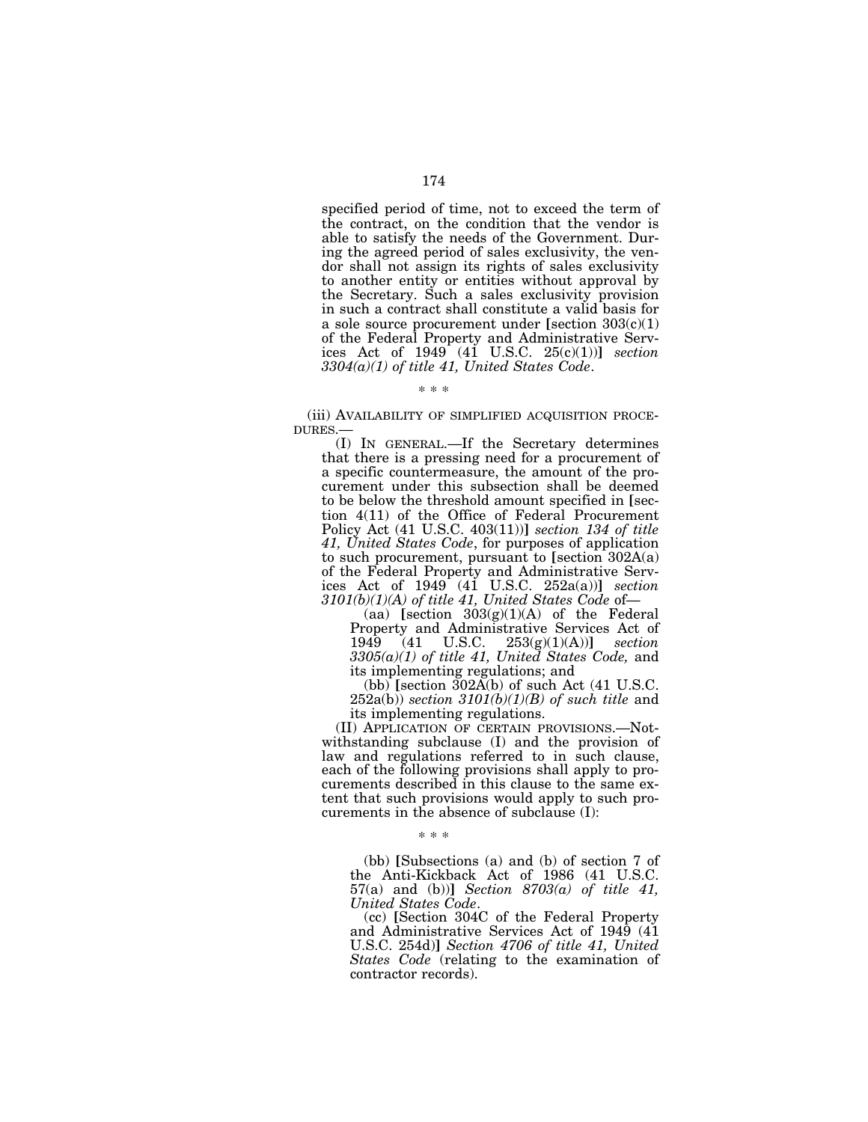specified period of time, not to exceed the term of the contract, on the condition that the vendor is able to satisfy the needs of the Government. During the agreed period of sales exclusivity, the vendor shall not assign its rights of sales exclusivity to another entity or entities without approval by the Secretary. Such a sales exclusivity provision in such a contract shall constitute a valid basis for a sole source procurement under **[**section 303(c)(1) of the Federal Property and Administrative Services Act of 1949 (41 U.S.C. 25(c)(1))**]** *section 3304(a)(1) of title 41, United States Code*.

(iii) AVAILABILITY OF SIMPLIFIED ACQUISITION PROCE-DURES.

(I) IN GENERAL.—If the Secretary determines that there is a pressing need for a procurement of a specific countermeasure, the amount of the procurement under this subsection shall be deemed to be below the threshold amount specified in **[**section 4(11) of the Office of Federal Procurement Policy Act (41 U.S.C. 403(11))**]** *section 134 of title 41, United States Code*, for purposes of application to such procurement, pursuant to **[**section 302A(a) of the Federal Property and Administrative Services Act of 1949 (41 U.S.C. 252a(a))**]** *section 3101(b)(1)(A) of title 41, United States Code* of—

(aa) **[**section 303(g)(1)(A) of the Federal Property and Administrative Services Act of 1949 (41 U.S.C. 253(g)(1)(A))**]** *section 3305(a)(1) of title 41, United States Code,* and its implementing regulations; and

 $(bb)$  [section  $\overline{302A(b)}$  of such Act (41 U.S.C.) 252a(b)) *section 3101(b)(1)(B) of such title* and its implementing regulations.

(II) APPLICATION OF CERTAIN PROVISIONS.—Notwithstanding subclause (I) and the provision of law and regulations referred to in such clause, each of the following provisions shall apply to procurements described in this clause to the same extent that such provisions would apply to such procurements in the absence of subclause (I):

\* \* \*

(bb) **[**Subsections (a) and (b) of section 7 of the Anti-Kickback Act of 1986 (41 U.S.C. 57(a) and (b))**]** *Section 8703(a) of title 41, United States Code*.

(cc) **[**Section 304C of the Federal Property and Administrative Services Act of 1949 (41 U.S.C. 254d)**]** *Section 4706 of title 41, United States Code* (relating to the examination of contractor records).

<sup>\* \* \*</sup>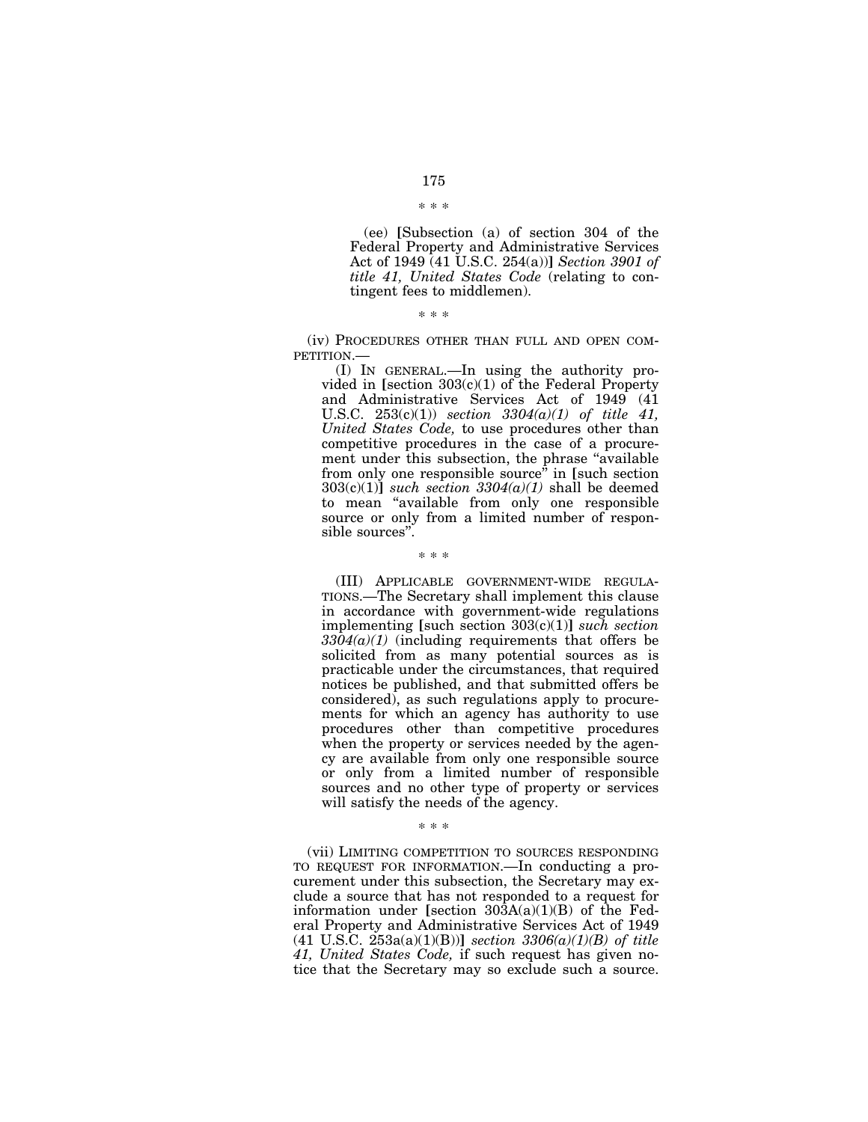(ee) **[**Subsection (a) of section 304 of the Federal Property and Administrative Services Act of 1949 (41 U.S.C. 254(a))**]** *Section 3901 of title 41, United States Code* (relating to contingent fees to middlemen).

\* \* \*

(iv) PROCEDURES OTHER THAN FULL AND OPEN COM-PETITION.—

(I) IN GENERAL.—In using the authority provided in **[**section 303(c)(1) of the Federal Property and Administrative Services Act of 1949 (41 U.S.C. 253(c)(1)) *section 3304(a)(1) of title 41, United States Code,* to use procedures other than competitive procedures in the case of a procurement under this subsection, the phrase "available from only one responsible source'' in **[**such section 303(c)(1)**]** *such section 3304(a)(1)* shall be deemed to mean ''available from only one responsible source or only from a limited number of responsible sources''.

\* \* \*

(III) APPLICABLE GOVERNMENT-WIDE REGULA-TIONS.—The Secretary shall implement this clause in accordance with government-wide regulations implementing **[**such section 303(c)(1)**]** *such section*   $3304(a)(1)$  (including requirements that offers be solicited from as many potential sources as is practicable under the circumstances, that required notices be published, and that submitted offers be considered), as such regulations apply to procurements for which an agency has authority to use procedures other than competitive procedures when the property or services needed by the agency are available from only one responsible source or only from a limited number of responsible sources and no other type of property or services will satisfy the needs of the agency.

\* \* \*

(vii) LIMITING COMPETITION TO SOURCES RESPONDING TO REQUEST FOR INFORMATION.—In conducting a procurement under this subsection, the Secretary may exclude a source that has not responded to a request for information under **[**section 303A(a)(1)(B) of the Federal Property and Administrative Services Act of 1949 (41 U.S.C. 253a(a)(1)(B))**]** *section 3306(a)(1)(B) of title 41, United States Code,* if such request has given notice that the Secretary may so exclude such a source.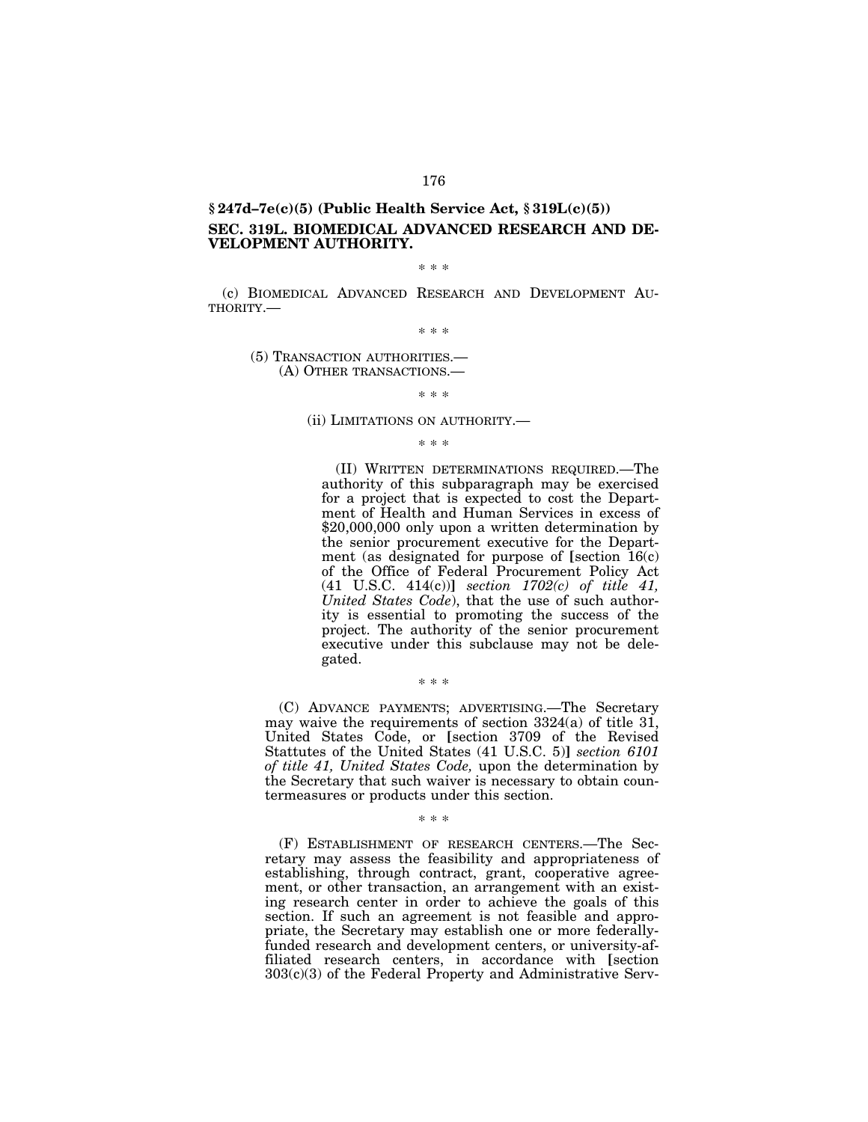# **§ 247d–7e(c)(5) (Public Health Service Act, § 319L(c)(5)) SEC. 319L. BIOMEDICAL ADVANCED RESEARCH AND DE-VELOPMENT AUTHORITY.**

\* \* \*

(c) BIOMEDICAL ADVANCED RESEARCH AND DEVELOPMENT AU-THORITY.—

\* \* \*

(5) TRANSACTION AUTHORITIES.— (A) OTHER TRANSACTIONS.—

#### \* \* \*

### (ii) LIMITATIONS ON AUTHORITY.—

\* \* \*

(II) WRITTEN DETERMINATIONS REQUIRED.—The authority of this subparagraph may be exercised for a project that is expected to cost the Department of Health and Human Services in excess of \$20,000,000 only upon a written determination by the senior procurement executive for the Department (as designated for purpose of **[**section 16(c) of the Office of Federal Procurement Policy Act (41 U.S.C. 414(c))**]** *section 1702(c) of title 41, United States Code*), that the use of such authority is essential to promoting the success of the project. The authority of the senior procurement executive under this subclause may not be delegated.

(C) ADVANCE PAYMENTS; ADVERTISING.—The Secretary may waive the requirements of section 3324(a) of title 31, United States Code, or **[**section 3709 of the Revised Stattutes of the United States (41 U.S.C. 5)**]** *section 6101 of title 41, United States Code,* upon the determination by the Secretary that such waiver is necessary to obtain countermeasures or products under this section.

\* \* \*

\* \* \*

(F) ESTABLISHMENT OF RESEARCH CENTERS.—The Secretary may assess the feasibility and appropriateness of establishing, through contract, grant, cooperative agreement, or other transaction, an arrangement with an existing research center in order to achieve the goals of this section. If such an agreement is not feasible and appropriate, the Secretary may establish one or more federallyfunded research and development centers, or university-affiliated research centers, in accordance with **[**section 303(c)(3) of the Federal Property and Administrative Serv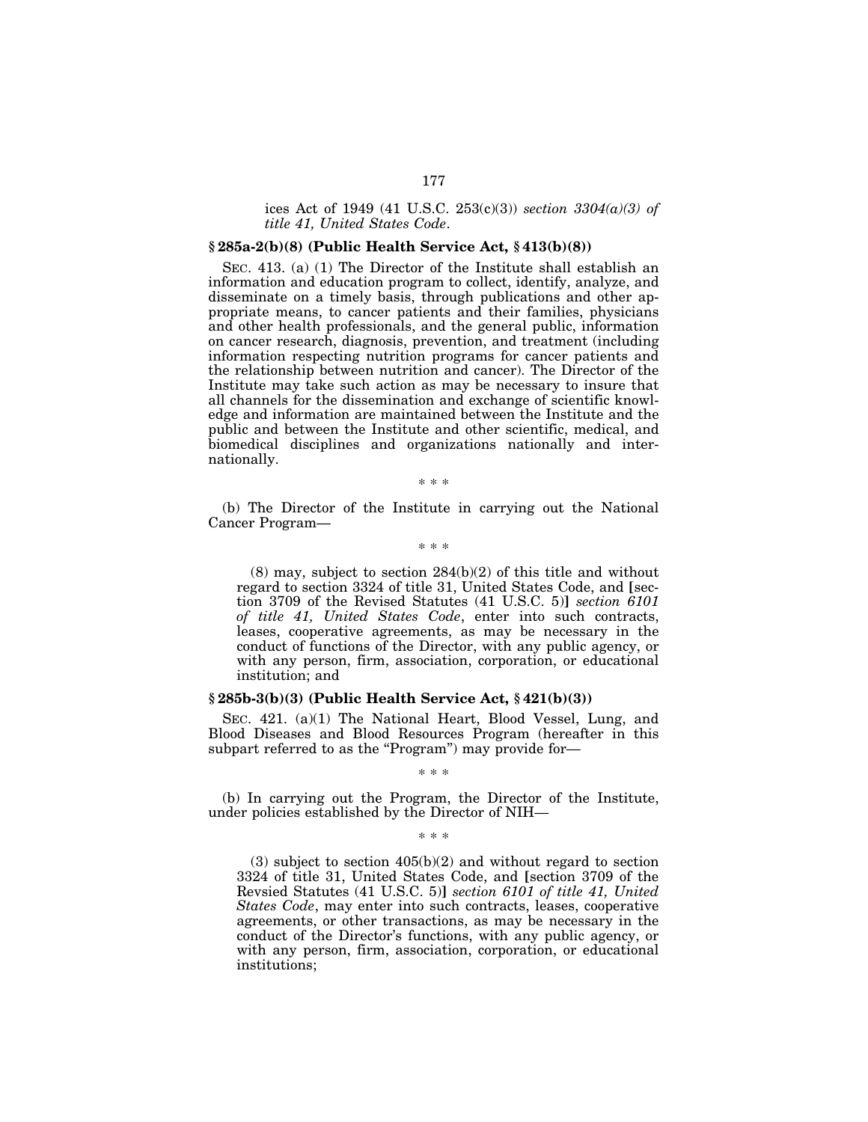ices Act of 1949 (41 U.S.C. 253(c)(3)) *section 3304(a)(3) of title 41, United States Code*.

# **§ 285a-2(b)(8) (Public Health Service Act, § 413(b)(8))**

SEC. 413. (a) (1) The Director of the Institute shall establish an information and education program to collect, identify, analyze, and disseminate on a timely basis, through publications and other appropriate means, to cancer patients and their families, physicians and other health professionals, and the general public, information on cancer research, diagnosis, prevention, and treatment (including information respecting nutrition programs for cancer patients and the relationship between nutrition and cancer). The Director of the Institute may take such action as may be necessary to insure that all channels for the dissemination and exchange of scientific knowledge and information are maintained between the Institute and the public and between the Institute and other scientific, medical, and biomedical disciplines and organizations nationally and internationally.

\* \* \*

(b) The Director of the Institute in carrying out the National Cancer Program—

\* \* \*

(8) may, subject to section 284(b)(2) of this title and without regard to section 3324 of title 31, United States Code, and **[**section 3709 of the Revised Statutes (41 U.S.C. 5)**]** *section 6101 of title 41, United States Code*, enter into such contracts, leases, cooperative agreements, as may be necessary in the conduct of functions of the Director, with any public agency, or with any person, firm, association, corporation, or educational institution; and

# **§ 285b-3(b)(3) (Public Health Service Act, § 421(b)(3))**

SEC. 421. (a)(1) The National Heart, Blood Vessel, Lung, and Blood Diseases and Blood Resources Program (hereafter in this subpart referred to as the "Program") may provide for-

\* \* \*

(b) In carrying out the Program, the Director of the Institute, under policies established by the Director of NIH—

#### \* \* \*

(3) subject to section 405(b)(2) and without regard to section 3324 of title 31, United States Code, and **[**section 3709 of the Revsied Statutes (41 U.S.C. 5)**]** *section 6101 of title 41, United States Code*, may enter into such contracts, leases, cooperative agreements, or other transactions, as may be necessary in the conduct of the Director's functions, with any public agency, or with any person, firm, association, corporation, or educational institutions;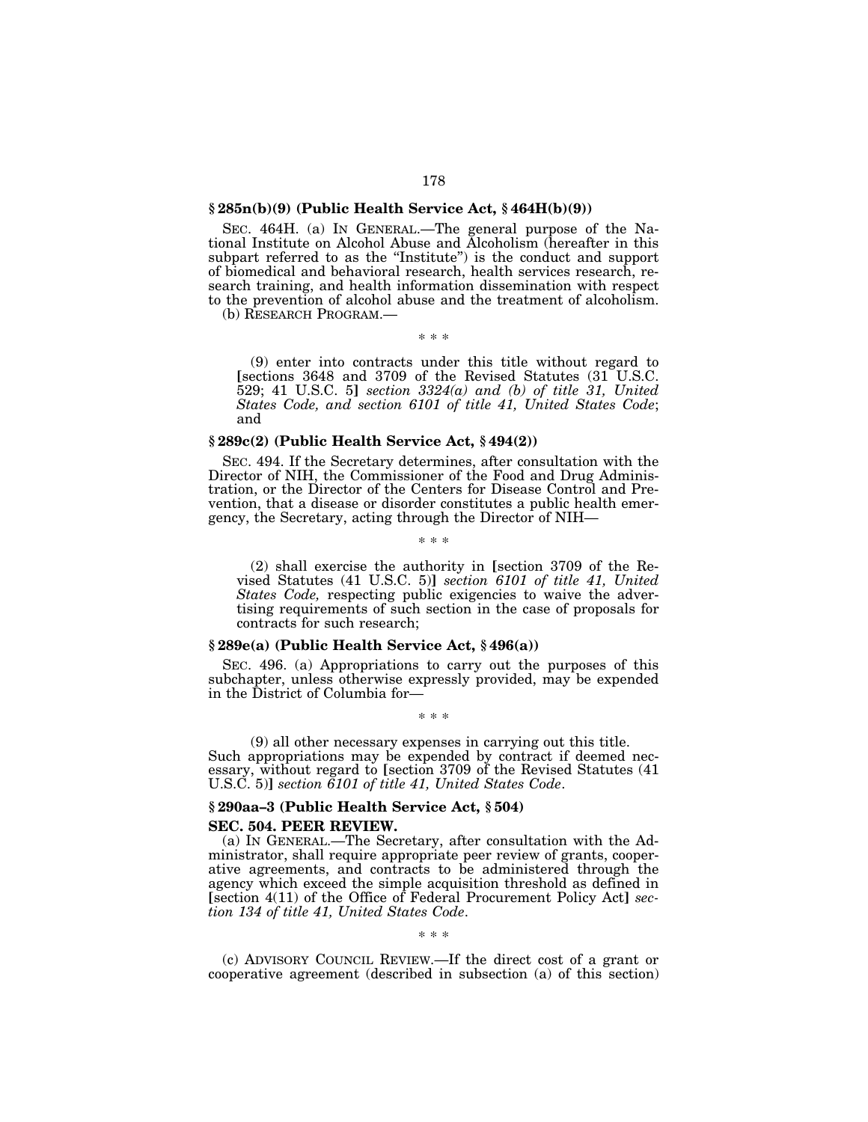## **§ 285n(b)(9) (Public Health Service Act, § 464H(b)(9))**

SEC. 464H. (a) IN GENERAL.—The general purpose of the National Institute on Alcohol Abuse and Alcoholism (hereafter in this subpart referred to as the "Institute" is the conduct and support of biomedical and behavioral research, health services research, research training, and health information dissemination with respect to the prevention of alcohol abuse and the treatment of alcoholism.

(b) RESEARCH PROGRAM.—

\* \* \*

(9) enter into contracts under this title without regard to **[**sections 3648 and 3709 of the Revised Statutes (31 U.S.C. 529; 41 U.S.C. 5**]** *section 3324(a) and (b) of title 31, United States Code, and section 6101 of title 41, United States Code*; and

### **§ 289c(2) (Public Health Service Act, § 494(2))**

SEC. 494. If the Secretary determines, after consultation with the Director of NIH, the Commissioner of the Food and Drug Administration, or the Director of the Centers for Disease Control and Prevention, that a disease or disorder constitutes a public health emergency, the Secretary, acting through the Director of NIH—

\* \* \*

(2) shall exercise the authority in **[**section 3709 of the Revised Statutes (41 U.S.C. 5)**]** *section 6101 of title 41, United States Code,* respecting public exigencies to waive the advertising requirements of such section in the case of proposals for contracts for such research;

# **§ 289e(a) (Public Health Service Act, § 496(a))**

SEC. 496. (a) Appropriations to carry out the purposes of this subchapter, unless otherwise expressly provided, may be expended in the District of Columbia for—

\* \* \*

(9) all other necessary expenses in carrying out this title. Such appropriations may be expended by contract if deemed necessary, without regard to **[**section 3709 of the Revised Statutes (41 U.S.C. 5)**]** *section 6101 of title 41, United States Code*.

#### **§ 290aa–3 (Public Health Service Act, § 504)**

#### **SEC. 504. PEER REVIEW.**

(a) IN GENERAL.—The Secretary, after consultation with the Administrator, shall require appropriate peer review of grants, cooperative agreements, and contracts to be administered through the agency which exceed the simple acquisition threshold as defined in **[**section 4(11) of the Office of Federal Procurement Policy Act**]** *section 134 of title 41, United States Code*.

\* \* \*

(c) ADVISORY COUNCIL REVIEW.—If the direct cost of a grant or cooperative agreement (described in subsection (a) of this section)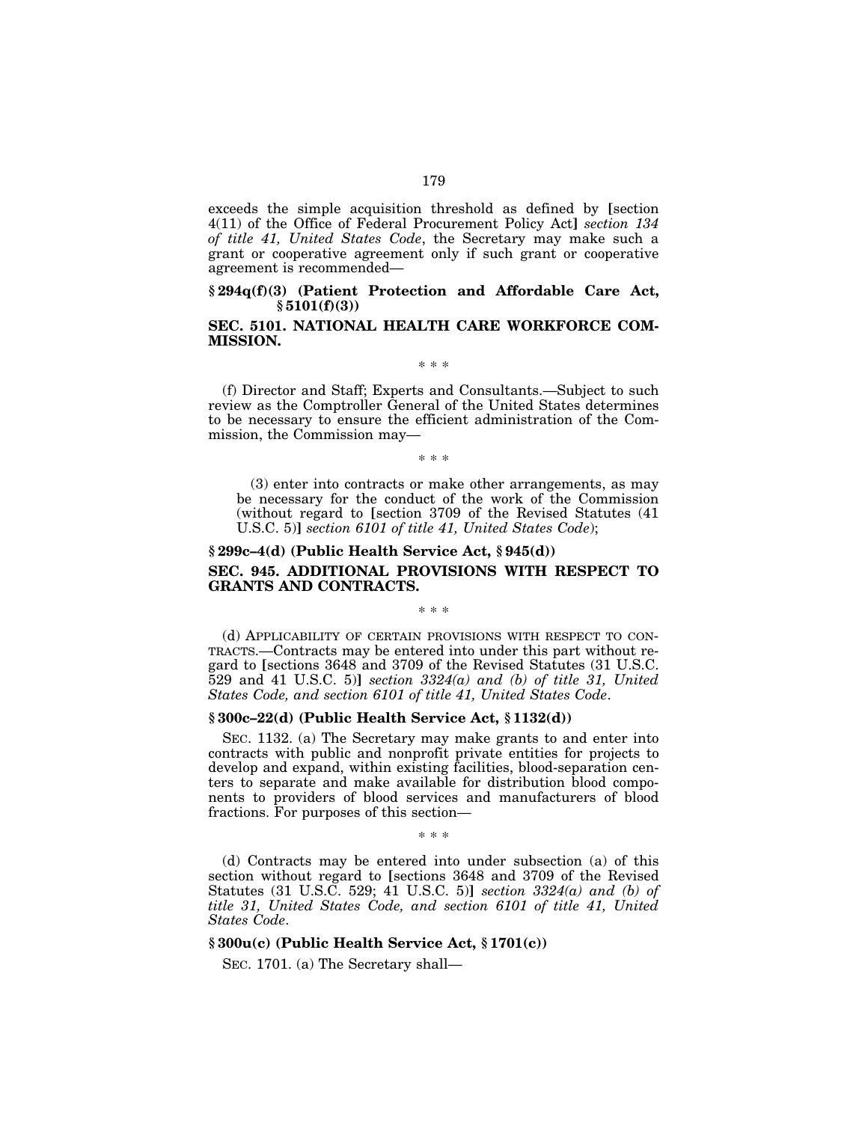exceeds the simple acquisition threshold as defined by **[**section 4(11) of the Office of Federal Procurement Policy Act**]** *section 134 of title 41, United States Code*, the Secretary may make such a grant or cooperative agreement only if such grant or cooperative agreement is recommended—

# **§ 294q(f)(3) (Patient Protection and Affordable Care Act, § 5101(f)(3))**

# **SEC. 5101. NATIONAL HEALTH CARE WORKFORCE COM-MISSION.**

\* \* \*

(f) Director and Staff; Experts and Consultants.—Subject to such review as the Comptroller General of the United States determines to be necessary to ensure the efficient administration of the Commission, the Commission may—

\* \* \*

(3) enter into contracts or make other arrangements, as may be necessary for the conduct of the work of the Commission (without regard to **[**section 3709 of the Revised Statutes (41 U.S.C. 5)**]** *section 6101 of title 41, United States Code*);

### **§ 299c–4(d) (Public Health Service Act, § 945(d))**

# **SEC. 945. ADDITIONAL PROVISIONS WITH RESPECT TO GRANTS AND CONTRACTS.**

\* \* \*

(d) APPLICABILITY OF CERTAIN PROVISIONS WITH RESPECT TO CON-TRACTS.—Contracts may be entered into under this part without regard to **[**sections 3648 and 3709 of the Revised Statutes (31 U.S.C. 529 and 41 U.S.C. 5)**]** *section 3324(a) and (b) of title 31, United States Code, and section 6101 of title 41, United States Code*.

# **§ 300c–22(d) (Public Health Service Act, § 1132(d))**

SEC. 1132. (a) The Secretary may make grants to and enter into contracts with public and nonprofit private entities for projects to develop and expand, within existing facilities, blood-separation centers to separate and make available for distribution blood components to providers of blood services and manufacturers of blood fractions. For purposes of this section—

\* \* \*

(d) Contracts may be entered into under subsection (a) of this section without regard to **[**sections 3648 and 3709 of the Revised Statutes (31 U.S.C. 529; 41 U.S.C. 5)**]** *section 3324(a) and (b) of title 31, United States Code, and section 6101 of title 41, United States Code*.

# **§ 300u(c) (Public Health Service Act, § 1701(c))**

SEC. 1701. (a) The Secretary shall—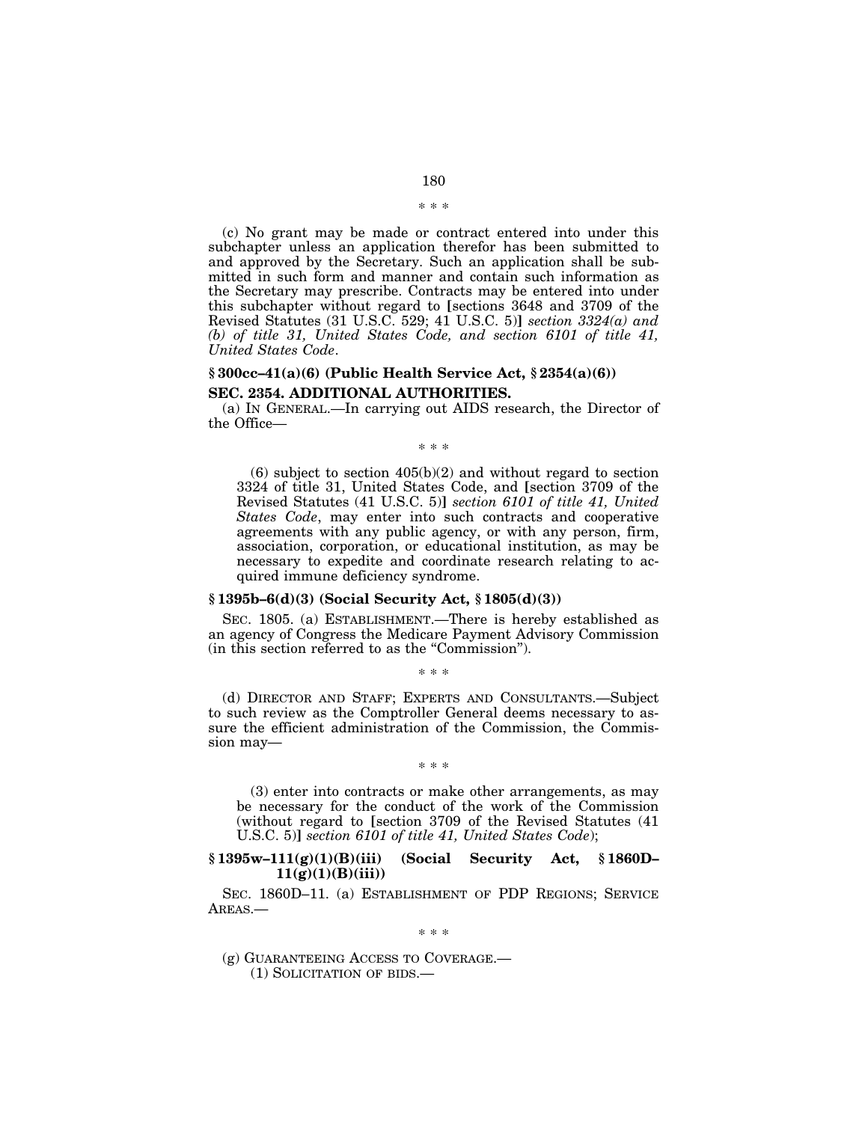(c) No grant may be made or contract entered into under this subchapter unless an application therefor has been submitted to and approved by the Secretary. Such an application shall be submitted in such form and manner and contain such information as the Secretary may prescribe. Contracts may be entered into under this subchapter without regard to **[**sections 3648 and 3709 of the Revised Statutes (31 U.S.C. 529; 41 U.S.C. 5)**]** *section 3324(a) and (b) of title 31, United States Code, and section 6101 of title 41, United States Code*.

# **§ 300cc–41(a)(6) (Public Health Service Act, § 2354(a)(6)) SEC. 2354. ADDITIONAL AUTHORITIES.**

(a) IN GENERAL.—In carrying out AIDS research, the Director of the Office—

\* \* \*

 $(6)$  subject to section  $405(b)(2)$  and without regard to section 3324 of title 31, United States Code, and **[**section 3709 of the Revised Statutes (41 U.S.C. 5)**]** *section 6101 of title 41, United States Code*, may enter into such contracts and cooperative agreements with any public agency, or with any person, firm, association, corporation, or educational institution, as may be necessary to expedite and coordinate research relating to acquired immune deficiency syndrome.

# **§ 1395b–6(d)(3) (Social Security Act, § 1805(d)(3))**

SEC. 1805. (a) ESTABLISHMENT.—There is hereby established as an agency of Congress the Medicare Payment Advisory Commission (in this section referred to as the ''Commission'').

# \* \* \*

(d) DIRECTOR AND STAFF; EXPERTS AND CONSULTANTS.—Subject to such review as the Comptroller General deems necessary to assure the efficient administration of the Commission, the Commission may—

\* \* \*

(3) enter into contracts or make other arrangements, as may be necessary for the conduct of the work of the Commission (without regard to **[**section 3709 of the Revised Statutes (41 U.S.C. 5)**]** *section 6101 of title 41, United States Code*);

# **§ 1395w–111(g)(1)(B)(iii) (Social Security Act, § 1860D– 11(g)(1)(B)(iii))**

SEC. 1860D-11. (a) ESTABLISHMENT OF PDP REGIONS; SERVICE AREAS.—

### \* \* \*

(g) GUARANTEEING ACCESS TO COVERAGE.—

(1) SOLICITATION OF BIDS.—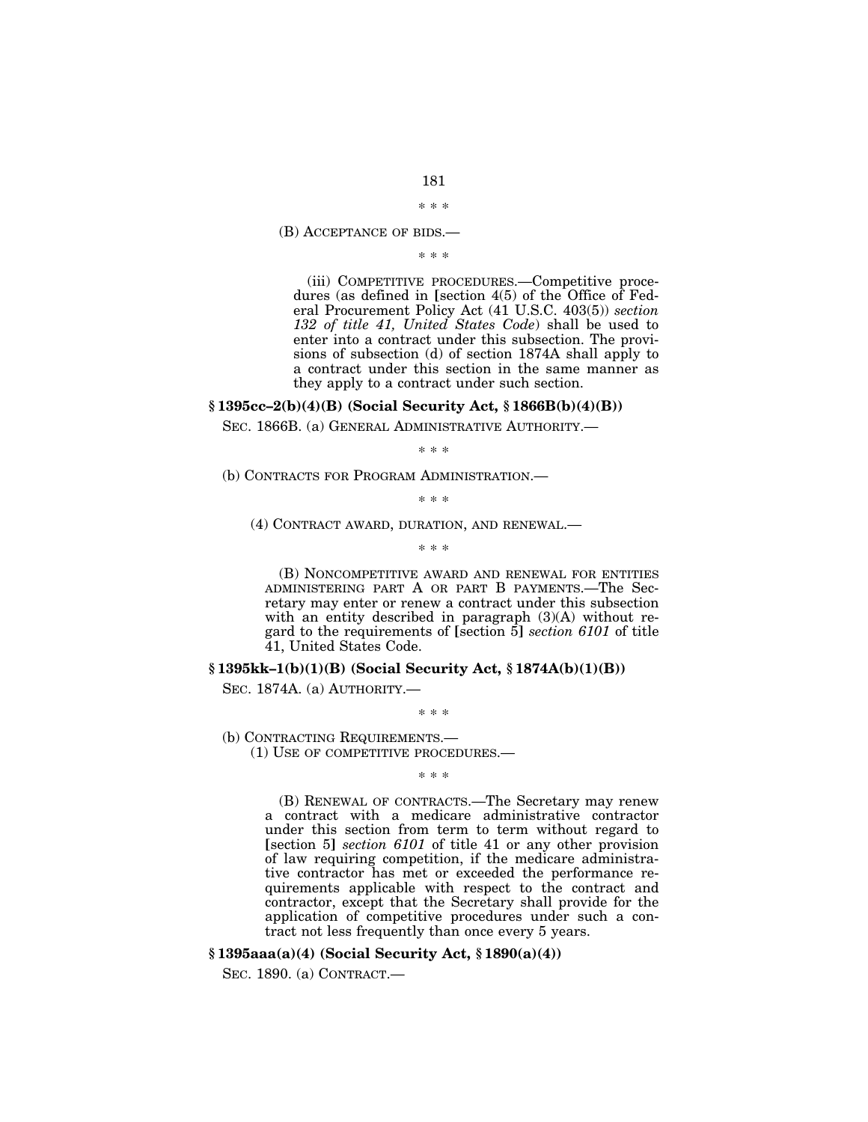181 \* \* \*

#### (B) ACCEPTANCE OF BIDS.—

\* \* \*

(iii) COMPETITIVE PROCEDURES.—Competitive procedures (as defined in **[**section 4(5) of the Office of Federal Procurement Policy Act (41 U.S.C. 403(5)) *section 132 of title 41, United States Code*) shall be used to enter into a contract under this subsection. The provisions of subsection (d) of section 1874A shall apply to a contract under this section in the same manner as they apply to a contract under such section.

# **§ 1395cc–2(b)(4)(B) (Social Security Act, § 1866B(b)(4)(B))**

SEC. 1866B. (a) GENERAL ADMINISTRATIVE AUTHORITY.—

\* \* \*

(b) CONTRACTS FOR PROGRAM ADMINISTRATION.—

\* \* \*

(4) CONTRACT AWARD, DURATION, AND RENEWAL.—

\* \* \*

(B) NONCOMPETITIVE AWARD AND RENEWAL FOR ENTITIES ADMINISTERING PART A OR PART B PAYMENTS.—The Secretary may enter or renew a contract under this subsection with an entity described in paragraph (3)(A) without regard to the requirements of **[**section 5**]** *section 6101* of title 41, United States Code.

# **§ 1395kk–1(b)(1)(B) (Social Security Act, § 1874A(b)(1)(B))**

SEC. 1874A. (a) AUTHORITY.—

\* \* \*

(b) CONTRACTING REQUIREMENTS.—

(1) USE OF COMPETITIVE PROCEDURES.—

\* \* \*

(B) RENEWAL OF CONTRACTS.—The Secretary may renew a contract with a medicare administrative contractor under this section from term to term without regard to **[**section 5**]** *section 6101* of title 41 or any other provision of law requiring competition, if the medicare administrative contractor has met or exceeded the performance requirements applicable with respect to the contract and contractor, except that the Secretary shall provide for the application of competitive procedures under such a contract not less frequently than once every 5 years.

#### **§ 1395aaa(a)(4) (Social Security Act, § 1890(a)(4))**

SEC. 1890. (a) CONTRACT.—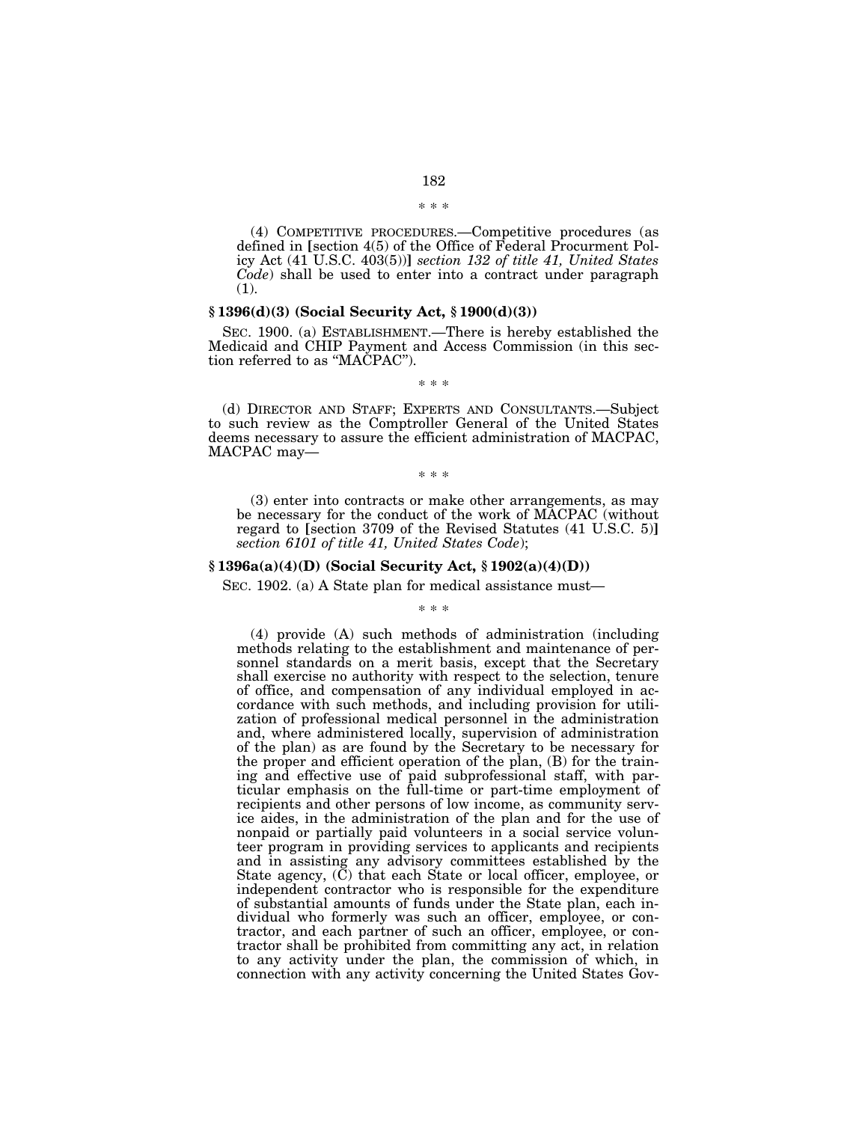(4) COMPETITIVE PROCEDURES.—Competitive procedures (as defined in **[**section 4(5) of the Office of Federal Procurment Policy Act (41 U.S.C. 403(5))**]** *section 132 of title 41, United States Code*) shall be used to enter into a contract under paragraph

# **§ 1396(d)(3) (Social Security Act, § 1900(d)(3))**

(1).

SEC. 1900. (a) ESTABLISHMENT.—There is hereby established the Medicaid and CHIP Payment and Access Commission (in this section referred to as ''MACPAC'').

\* \* \*

(d) DIRECTOR AND STAFF; EXPERTS AND CONSULTANTS.—Subject to such review as the Comptroller General of the United States deems necessary to assure the efficient administration of MACPAC, MACPAC may—

\* \* \*

(3) enter into contracts or make other arrangements, as may be necessary for the conduct of the work of MACPAC (without regard to **[**section 3709 of the Revised Statutes (41 U.S.C. 5)**]**  *section 6101 of title 41, United States Code*);

# **§ 1396a(a)(4)(D) (Social Security Act, § 1902(a)(4)(D))**

SEC. 1902. (a) A State plan for medical assistance must—

\* \* \*

(4) provide (A) such methods of administration (including methods relating to the establishment and maintenance of personnel standards on a merit basis, except that the Secretary shall exercise no authority with respect to the selection, tenure of office, and compensation of any individual employed in accordance with such methods, and including provision for utilization of professional medical personnel in the administration and, where administered locally, supervision of administration of the plan) as are found by the Secretary to be necessary for the proper and efficient operation of the plan, (B) for the training and effective use of paid subprofessional staff, with particular emphasis on the full-time or part-time employment of recipients and other persons of low income, as community service aides, in the administration of the plan and for the use of nonpaid or partially paid volunteers in a social service volunteer program in providing services to applicants and recipients and in assisting any advisory committees established by the State agency, (C) that each State or local officer, employee, or independent contractor who is responsible for the expenditure of substantial amounts of funds under the State plan, each individual who formerly was such an officer, employee, or contractor, and each partner of such an officer, employee, or contractor shall be prohibited from committing any act, in relation to any activity under the plan, the commission of which, in connection with any activity concerning the United States Gov-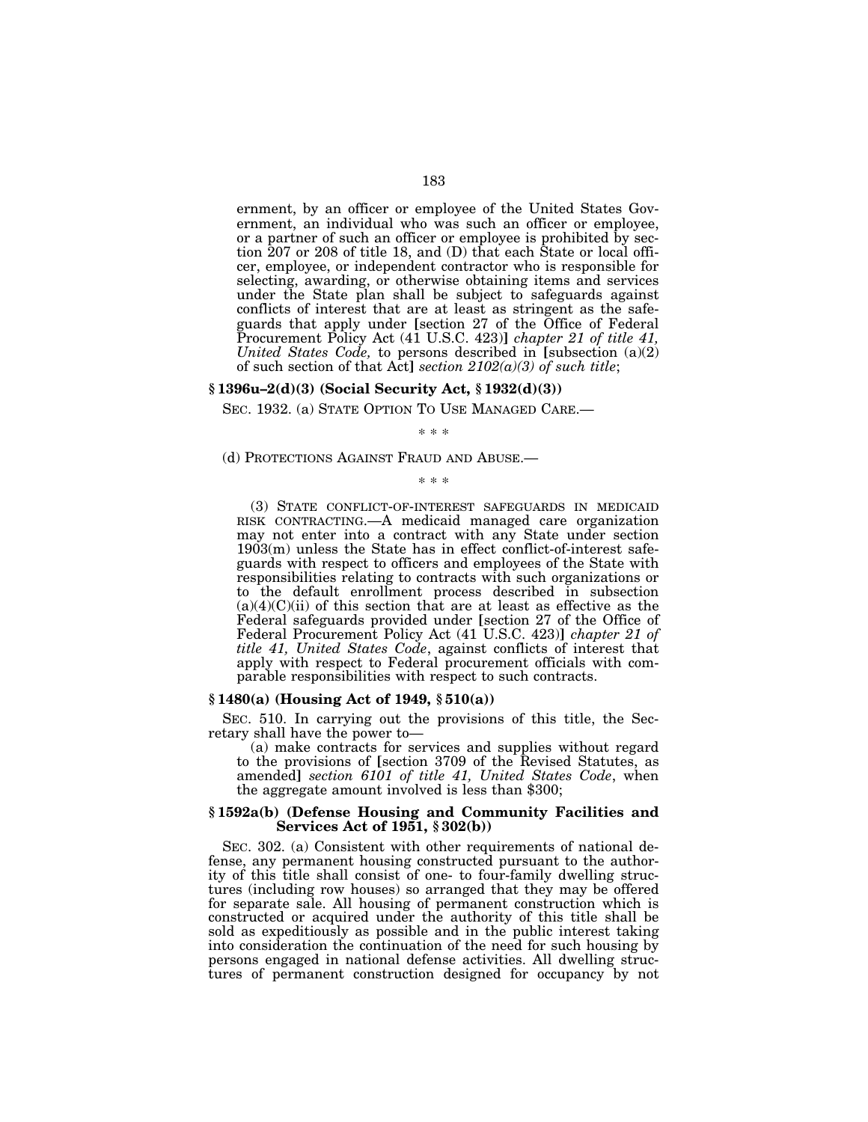ernment, by an officer or employee of the United States Government, an individual who was such an officer or employee, or a partner of such an officer or employee is prohibited by section 207 or 208 of title 18, and (D) that each State or local officer, employee, or independent contractor who is responsible for selecting, awarding, or otherwise obtaining items and services under the State plan shall be subject to safeguards against conflicts of interest that are at least as stringent as the safeguards that apply under **[**section 27 of the Office of Federal Procurement Policy Act (41 U.S.C. 423)**]** *chapter 21 of title 41, United States Code,* to persons described in **[**subsection (a)(2) of such section of that Act**]** *section 2102(a)(3) of such title*;

#### **§ 1396u–2(d)(3) (Social Security Act, § 1932(d)(3))**

SEC. 1932. (a) STATE OPTION TO USE MANAGED CARE.—

\* \* \*

(d) PROTECTIONS AGAINST FRAUD AND ABUSE.—

\* \* \*

(3) STATE CONFLICT-OF-INTEREST SAFEGUARDS IN MEDICAID RISK CONTRACTING.—A medicaid managed care organization may not enter into a contract with any State under section 1903(m) unless the State has in effect conflict-of-interest safeguards with respect to officers and employees of the State with responsibilities relating to contracts with such organizations or to the default enrollment process described in subsection  $(a)(4)(C)(ii)$  of this section that are at least as effective as the Federal safeguards provided under **[**section 27 of the Office of Federal Procurement Policy Act (41 U.S.C. 423)**]** *chapter 21 of title 41, United States Code*, against conflicts of interest that apply with respect to Federal procurement officials with comparable responsibilities with respect to such contracts.

## **§ 1480(a) (Housing Act of 1949, § 510(a))**

SEC. 510. In carrying out the provisions of this title, the Secretary shall have the power to—

(a) make contracts for services and supplies without regard to the provisions of **[**section 3709 of the Revised Statutes, as amended**]** *section 6101 of title 41, United States Code*, when the aggregate amount involved is less than \$300;

## **§ 1592a(b) (Defense Housing and Community Facilities and Services Act of 1951, § 302(b))**

SEC. 302. (a) Consistent with other requirements of national defense, any permanent housing constructed pursuant to the authority of this title shall consist of one- to four-family dwelling structures (including row houses) so arranged that they may be offered for separate sale. All housing of permanent construction which is constructed or acquired under the authority of this title shall be sold as expeditiously as possible and in the public interest taking into consideration the continuation of the need for such housing by persons engaged in national defense activities. All dwelling structures of permanent construction designed for occupancy by not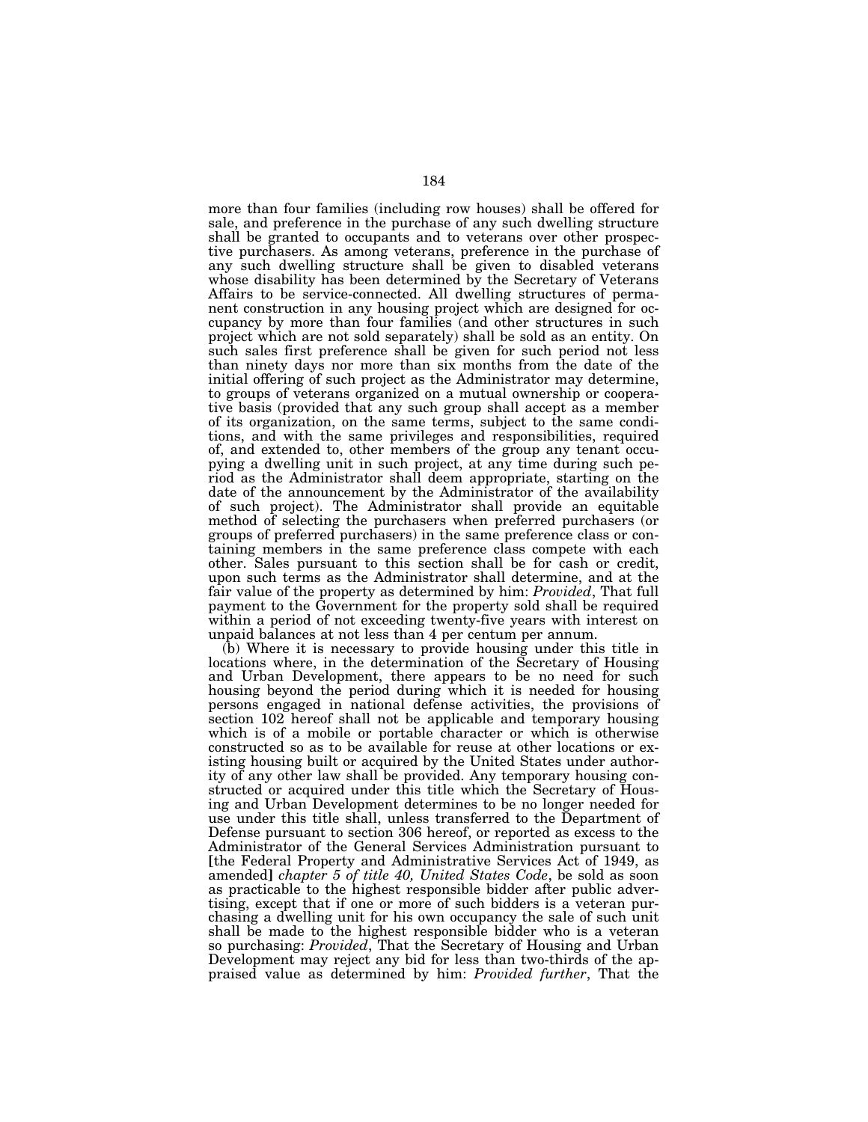more than four families (including row houses) shall be offered for sale, and preference in the purchase of any such dwelling structure shall be granted to occupants and to veterans over other prospective purchasers. As among veterans, preference in the purchase of any such dwelling structure shall be given to disabled veterans whose disability has been determined by the Secretary of Veterans Affairs to be service-connected. All dwelling structures of permanent construction in any housing project which are designed for occupancy by more than four families (and other structures in such project which are not sold separately) shall be sold as an entity. On such sales first preference shall be given for such period not less than ninety days nor more than six months from the date of the initial offering of such project as the Administrator may determine, to groups of veterans organized on a mutual ownership or cooperative basis (provided that any such group shall accept as a member of its organization, on the same terms, subject to the same conditions, and with the same privileges and responsibilities, required of, and extended to, other members of the group any tenant occupying a dwelling unit in such project, at any time during such period as the Administrator shall deem appropriate, starting on the date of the announcement by the Administrator of the availability of such project). The Administrator shall provide an equitable method of selecting the purchasers when preferred purchasers (or groups of preferred purchasers) in the same preference class or containing members in the same preference class compete with each other. Sales pursuant to this section shall be for cash or credit, upon such terms as the Administrator shall determine, and at the fair value of the property as determined by him: *Provided*, That full payment to the Government for the property sold shall be required within a period of not exceeding twenty-five years with interest on unpaid balances at not less than 4 per centum per annum.

(b) Where it is necessary to provide housing under this title in locations where, in the determination of the Secretary of Housing and Urban Development, there appears to be no need for such housing beyond the period during which it is needed for housing persons engaged in national defense activities, the provisions of section 102 hereof shall not be applicable and temporary housing which is of a mobile or portable character or which is otherwise constructed so as to be available for reuse at other locations or existing housing built or acquired by the United States under authority of any other law shall be provided. Any temporary housing constructed or acquired under this title which the Secretary of Housing and Urban Development determines to be no longer needed for use under this title shall, unless transferred to the Department of Defense pursuant to section 306 hereof, or reported as excess to the Administrator of the General Services Administration pursuant to **[**the Federal Property and Administrative Services Act of 1949, as amended**]** *chapter 5 of title 40, United States Code*, be sold as soon as practicable to the highest responsible bidder after public advertising, except that if one or more of such bidders is a veteran purchasing a dwelling unit for his own occupancy the sale of such unit shall be made to the highest responsible bidder who is a veteran so purchasing: *Provided*, That the Secretary of Housing and Urban Development may reject any bid for less than two-thirds of the appraised value as determined by him: *Provided further*, That the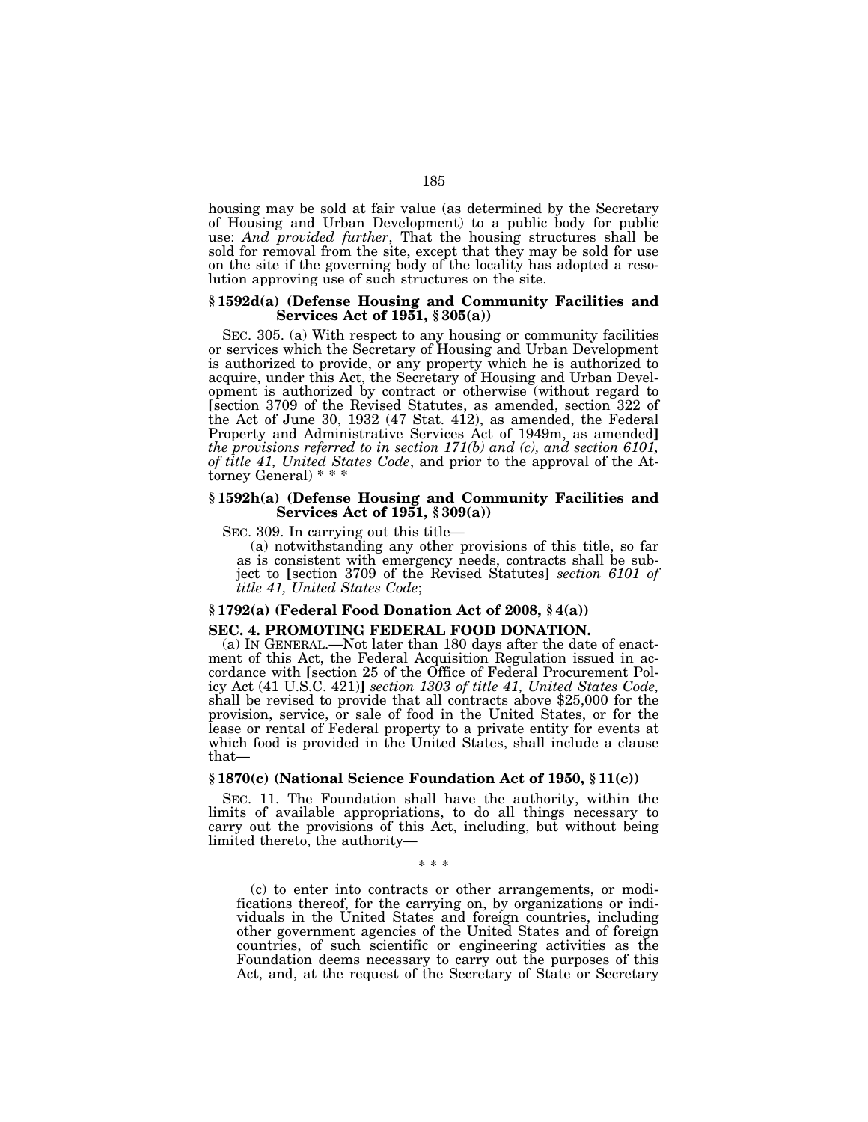housing may be sold at fair value (as determined by the Secretary of Housing and Urban Development) to a public body for public use: *And provided further*, That the housing structures shall be sold for removal from the site, except that they may be sold for use on the site if the governing body of the locality has adopted a resolution approving use of such structures on the site.

#### **§ 1592d(a) (Defense Housing and Community Facilities and Services Act of 1951, § 305(a))**

SEC. 305. (a) With respect to any housing or community facilities or services which the Secretary of Housing and Urban Development is authorized to provide, or any property which he is authorized to acquire, under this Act, the Secretary of Housing and Urban Development is authorized by contract or otherwise (without regard to **[**section 3709 of the Revised Statutes, as amended, section 322 of the Act of June 30, 1932 (47 Stat. 412), as amended, the Federal Property and Administrative Services Act of 1949m, as amended**]**  *the provisions referred to in section 171(b) and (c), and section 6101, of title 41, United States Code*, and prior to the approval of the Attorney General) \* \* \*

# **§ 1592h(a) (Defense Housing and Community Facilities and Services Act of 1951, § 309(a))**

SEC. 309. In carrying out this title—

(a) notwithstanding any other provisions of this title, so far as is consistent with emergency needs, contracts shall be subject to **[**section 3709 of the Revised Statutes**]** *section 6101 of title 41, United States Code*;

## **§ 1792(a) (Federal Food Donation Act of 2008, § 4(a))**

# **SEC. 4. PROMOTING FEDERAL FOOD DONATION.**

(a) IN GENERAL.—Not later than 180 days after the date of enactment of this Act, the Federal Acquisition Regulation issued in accordance with [section 25 of the Office of Federal Procurement Policy Act (41 U.S.C. 421)] section 1303 of title 41, United States Code, shall be revised to provide that all contracts above \$25,000 for the provision, service, or sale of food in the United States, or for the lease or rental of Federal property to a private entity for events at which food is provided in the United States, shall include a clause that—

# **§ 1870(c) (National Science Foundation Act of 1950, § 11(c))**

SEC. 11. The Foundation shall have the authority, within the limits of available appropriations, to do all things necessary to carry out the provisions of this Act, including, but without being limited thereto, the authority—

\* \* \*

(c) to enter into contracts or other arrangements, or modifications thereof, for the carrying on, by organizations or individuals in the United States and foreign countries, including other government agencies of the United States and of foreign countries, of such scientific or engineering activities as the Foundation deems necessary to carry out the purposes of this Act, and, at the request of the Secretary of State or Secretary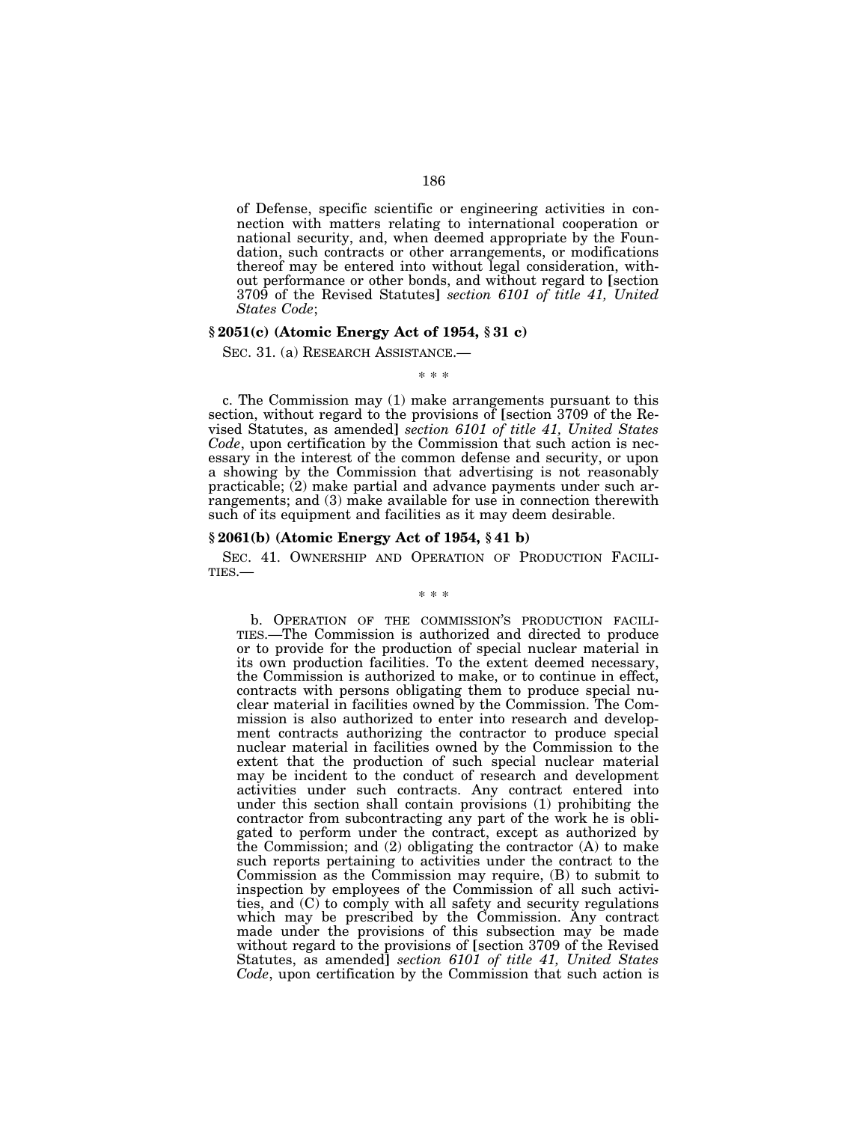of Defense, specific scientific or engineering activities in connection with matters relating to international cooperation or national security, and, when deemed appropriate by the Foundation, such contracts or other arrangements, or modifications thereof may be entered into without legal consideration, without performance or other bonds, and without regard to **[**section 3709 of the Revised Statutes**]** *section 6101 of title 41, United States Code*;

#### **§ 2051(c) (Atomic Energy Act of 1954, § 31 c)**

SEC. 31. (a) RESEARCH ASSISTANCE.—

\* \* \*

c. The Commission may (1) make arrangements pursuant to this section, without regard to the provisions of **[**section 3709 of the Revised Statutes, as amended**]** *section 6101 of title 41, United States Code*, upon certification by the Commission that such action is necessary in the interest of the common defense and security, or upon a showing by the Commission that advertising is not reasonably practicable; (2) make partial and advance payments under such arrangements; and (3) make available for use in connection therewith such of its equipment and facilities as it may deem desirable.

# **§ 2061(b) (Atomic Energy Act of 1954, § 41 b)**

SEC. 41. OWNERSHIP AND OPERATION OF PRODUCTION FACILI-TIES.—

\* \* \*

b. OPERATION OF THE COMMISSION'S PRODUCTION FACILI-TIES.—The Commission is authorized and directed to produce or to provide for the production of special nuclear material in its own production facilities. To the extent deemed necessary, the Commission is authorized to make, or to continue in effect, contracts with persons obligating them to produce special nuclear material in facilities owned by the Commission. The Commission is also authorized to enter into research and development contracts authorizing the contractor to produce special nuclear material in facilities owned by the Commission to the extent that the production of such special nuclear material may be incident to the conduct of research and development activities under such contracts. Any contract entered into under this section shall contain provisions (1) prohibiting the contractor from subcontracting any part of the work he is obligated to perform under the contract, except as authorized by the Commission; and (2) obligating the contractor (A) to make such reports pertaining to activities under the contract to the Commission as the Commission may require, (B) to submit to inspection by employees of the Commission of all such activities, and (C) to comply with all safety and security regulations which may be prescribed by the Commission. Any contract made under the provisions of this subsection may be made without regard to the provisions of **[**section 3709 of the Revised Statutes, as amended**]** *section 6101 of title 41, United States Code*, upon certification by the Commission that such action is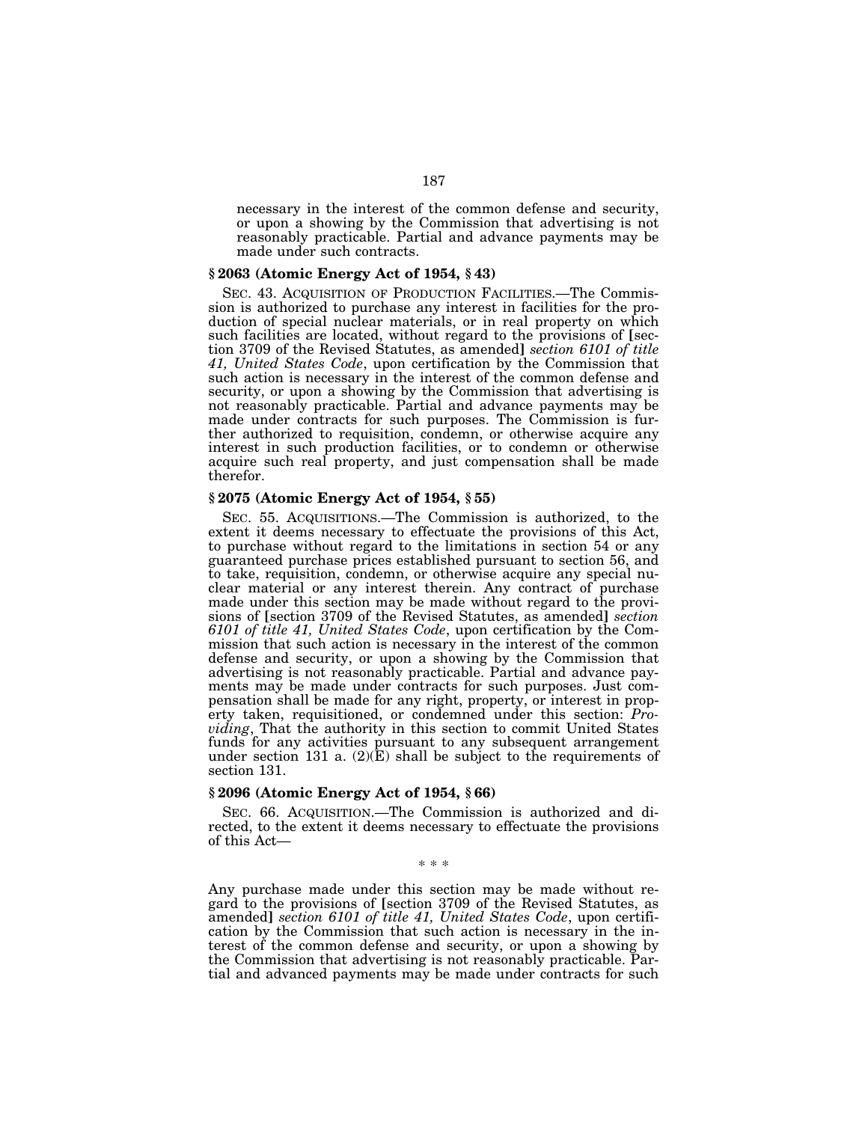necessary in the interest of the common defense and security, or upon a showing by the Commission that advertising is not reasonably practicable. Partial and advance payments may be made under such contracts.

# **§ 2063 (Atomic Energy Act of 1954, § 43)**

SEC. 43. ACQUISITION OF PRODUCTION FACILITIES.—The Commission is authorized to purchase any interest in facilities for the production of special nuclear materials, or in real property on which such facilities are located, without regard to the provisions of **[**section 3709 of the Revised Statutes, as amended**]** *section 6101 of title 41, United States Code*, upon certification by the Commission that such action is necessary in the interest of the common defense and security, or upon a showing by the Commission that advertising is not reasonably practicable. Partial and advance payments may be made under contracts for such purposes. The Commission is further authorized to requisition, condemn, or otherwise acquire any interest in such production facilities, or to condemn or otherwise acquire such real property, and just compensation shall be made therefor.

#### **§ 2075 (Atomic Energy Act of 1954, § 55)**

SEC. 55. ACQUISITIONS.—The Commission is authorized, to the extent it deems necessary to effectuate the provisions of this Act, to purchase without regard to the limitations in section 54 or any guaranteed purchase prices established pursuant to section 56, and to take, requisition, condemn, or otherwise acquire any special nuclear material or any interest therein. Any contract of purchase made under this section may be made without regard to the provisions of **[**section 3709 of the Revised Statutes, as amended**]** *section 6101 of title 41, United States Code*, upon certification by the Commission that such action is necessary in the interest of the common defense and security, or upon a showing by the Commission that advertising is not reasonably practicable. Partial and advance payments may be made under contracts for such purposes. Just compensation shall be made for any right, property, or interest in property taken, requisitioned, or condemned under this section: *Providing*, That the authority in this section to commit United States funds for any activities pursuant to any subsequent arrangement under section 131 a.  $(2)(E)$  shall be subject to the requirements of section 131.

# **§ 2096 (Atomic Energy Act of 1954, § 66)**

SEC. 66. ACQUISITION.—The Commission is authorized and directed, to the extent it deems necessary to effectuate the provisions of this Act—

\* \* \*

Any purchase made under this section may be made without regard to the provisions of **[**section 3709 of the Revised Statutes, as amended**]** *section 6101 of title 41, United States Code*, upon certification by the Commission that such action is necessary in the interest of the common defense and security, or upon a showing by the Commission that advertising is not reasonably practicable. Partial and advanced payments may be made under contracts for such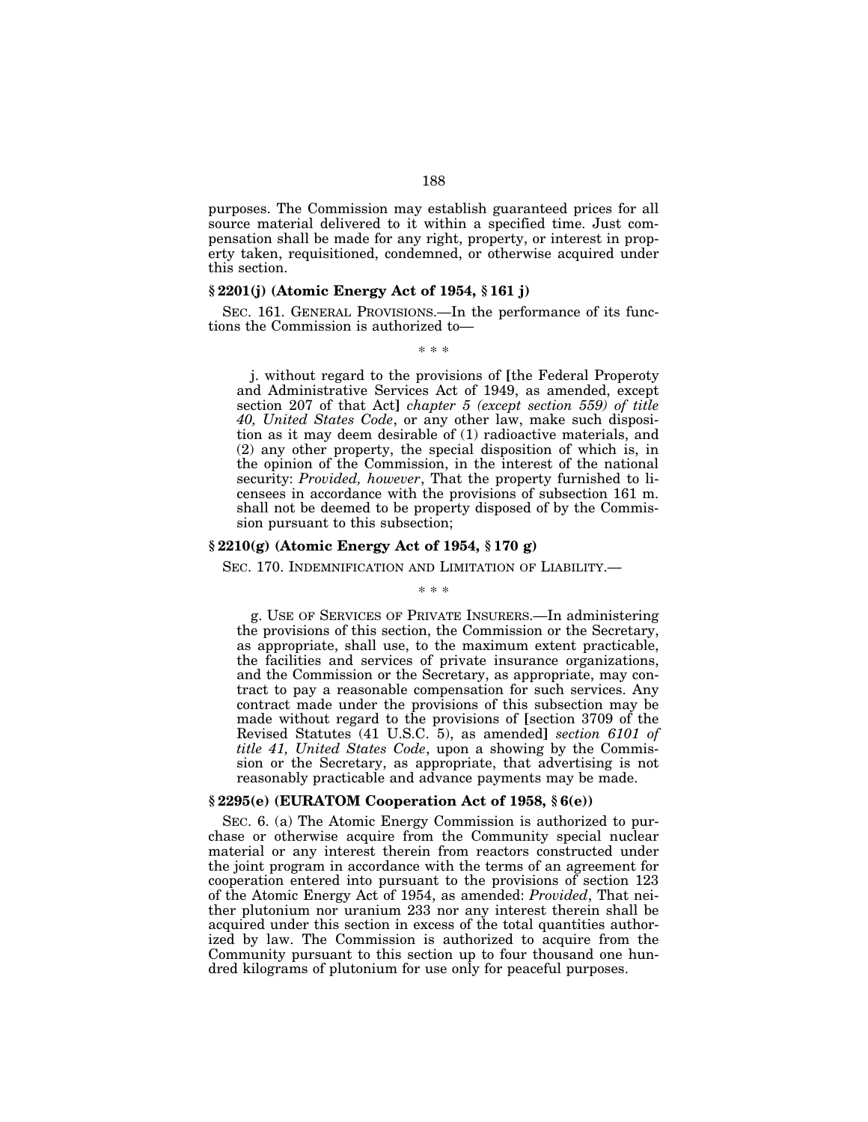purposes. The Commission may establish guaranteed prices for all source material delivered to it within a specified time. Just compensation shall be made for any right, property, or interest in property taken, requisitioned, condemned, or otherwise acquired under this section.

#### **§ 2201(j) (Atomic Energy Act of 1954, § 161 j)**

SEC. 161. GENERAL PROVISIONS.—In the performance of its functions the Commission is authorized to—

\* \* \*

j. without regard to the provisions of **[**the Federal Properoty and Administrative Services Act of 1949, as amended, except section 207 of that Act**]** *chapter 5 (except section 559) of title 40, United States Code*, or any other law, make such disposition as it may deem desirable of (1) radioactive materials, and (2) any other property, the special disposition of which is, in the opinion of the Commission, in the interest of the national security: *Provided, however*, That the property furnished to licensees in accordance with the provisions of subsection 161 m. shall not be deemed to be property disposed of by the Commission pursuant to this subsection;

# **§ 2210(g) (Atomic Energy Act of 1954, § 170 g)**

SEC. 170. INDEMNIFICATION AND LIMITATION OF LIABILITY.—

\* \* \*

g. USE OF SERVICES OF PRIVATE INSURERS.—In administering the provisions of this section, the Commission or the Secretary, as appropriate, shall use, to the maximum extent practicable, the facilities and services of private insurance organizations, and the Commission or the Secretary, as appropriate, may contract to pay a reasonable compensation for such services. Any contract made under the provisions of this subsection may be made without regard to the provisions of **[**section 3709 of the Revised Statutes (41 U.S.C. 5), as amended**]** *section 6101 of title 41, United States Code*, upon a showing by the Commission or the Secretary, as appropriate, that advertising is not reasonably practicable and advance payments may be made.

#### **§ 2295(e) (EURATOM Cooperation Act of 1958, § 6(e))**

SEC. 6. (a) The Atomic Energy Commission is authorized to purchase or otherwise acquire from the Community special nuclear material or any interest therein from reactors constructed under the joint program in accordance with the terms of an agreement for cooperation entered into pursuant to the provisions of section 123 of the Atomic Energy Act of 1954, as amended: *Provided*, That neither plutonium nor uranium 233 nor any interest therein shall be acquired under this section in excess of the total quantities authorized by law. The Commission is authorized to acquire from the Community pursuant to this section up to four thousand one hundred kilograms of plutonium for use only for peaceful purposes.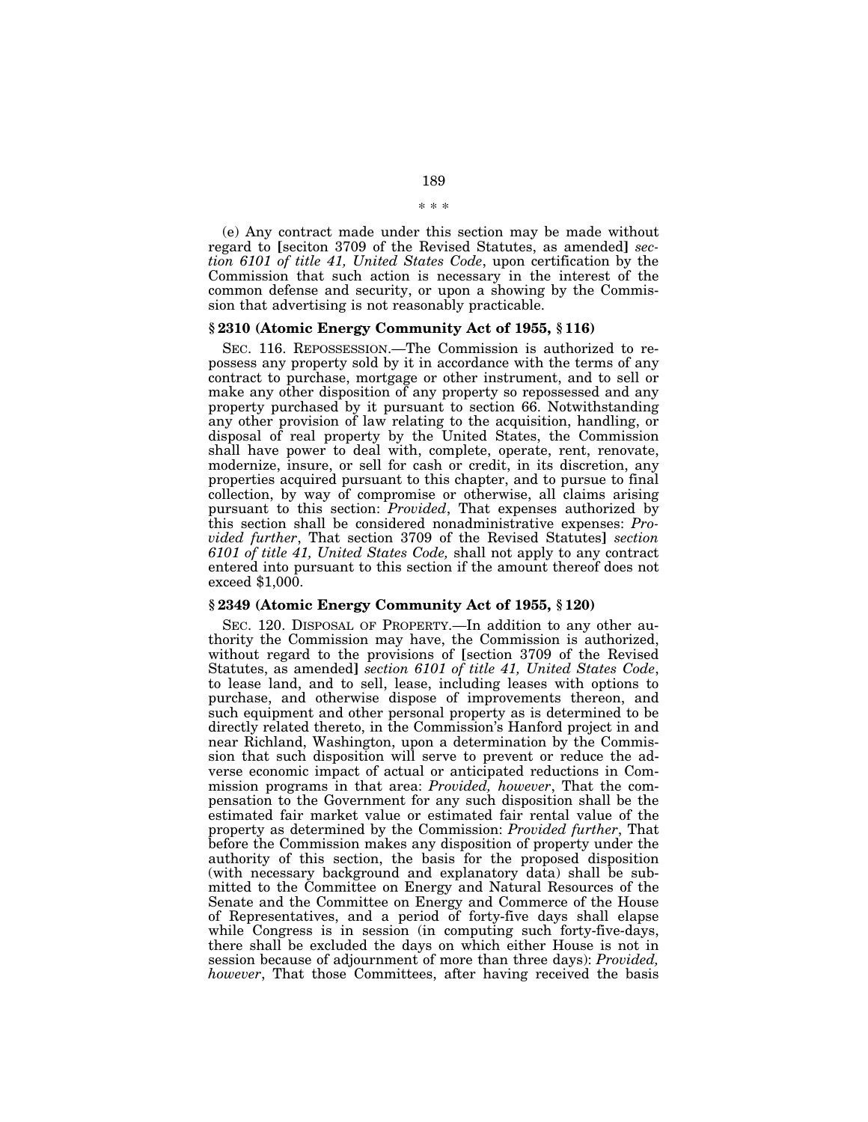(e) Any contract made under this section may be made without regard to **[**seciton 3709 of the Revised Statutes, as amended**]** *section 6101 of title 41, United States Code*, upon certification by the Commission that such action is necessary in the interest of the common defense and security, or upon a showing by the Commission that advertising is not reasonably practicable.

#### **§ 2310 (Atomic Energy Community Act of 1955, § 116)**

SEC. 116. REPOSSESSION.—The Commission is authorized to repossess any property sold by it in accordance with the terms of any contract to purchase, mortgage or other instrument, and to sell or make any other disposition of any property so repossessed and any property purchased by it pursuant to section 66. Notwithstanding any other provision of law relating to the acquisition, handling, or disposal of real property by the United States, the Commission shall have power to deal with, complete, operate, rent, renovate, modernize, insure, or sell for cash or credit, in its discretion, any properties acquired pursuant to this chapter, and to pursue to final collection, by way of compromise or otherwise, all claims arising pursuant to this section: *Provided*, That expenses authorized by this section shall be considered nonadministrative expenses: *Provided further*, That section 3709 of the Revised Statutes**]** *section 6101 of title 41, United States Code,* shall not apply to any contract entered into pursuant to this section if the amount thereof does not exceed \$1,000.

#### **§ 2349 (Atomic Energy Community Act of 1955, § 120)**

SEC. 120. DISPOSAL OF PROPERTY.—In addition to any other authority the Commission may have, the Commission is authorized, without regard to the provisions of **[**section 3709 of the Revised Statutes, as amended**]** *section 6101 of title 41, United States Code*, to lease land, and to sell, lease, including leases with options to purchase, and otherwise dispose of improvements thereon, and such equipment and other personal property as is determined to be directly related thereto, in the Commission's Hanford project in and near Richland, Washington, upon a determination by the Commission that such disposition will serve to prevent or reduce the adverse economic impact of actual or anticipated reductions in Commission programs in that area: *Provided, however*, That the compensation to the Government for any such disposition shall be the estimated fair market value or estimated fair rental value of the property as determined by the Commission: *Provided further*, That before the Commission makes any disposition of property under the authority of this section, the basis for the proposed disposition (with necessary background and explanatory data) shall be submitted to the Committee on Energy and Natural Resources of the Senate and the Committee on Energy and Commerce of the House of Representatives, and a period of forty-five days shall elapse while Congress is in session (in computing such forty-five-days, there shall be excluded the days on which either House is not in session because of adjournment of more than three days): *Provided, however*, That those Committees, after having received the basis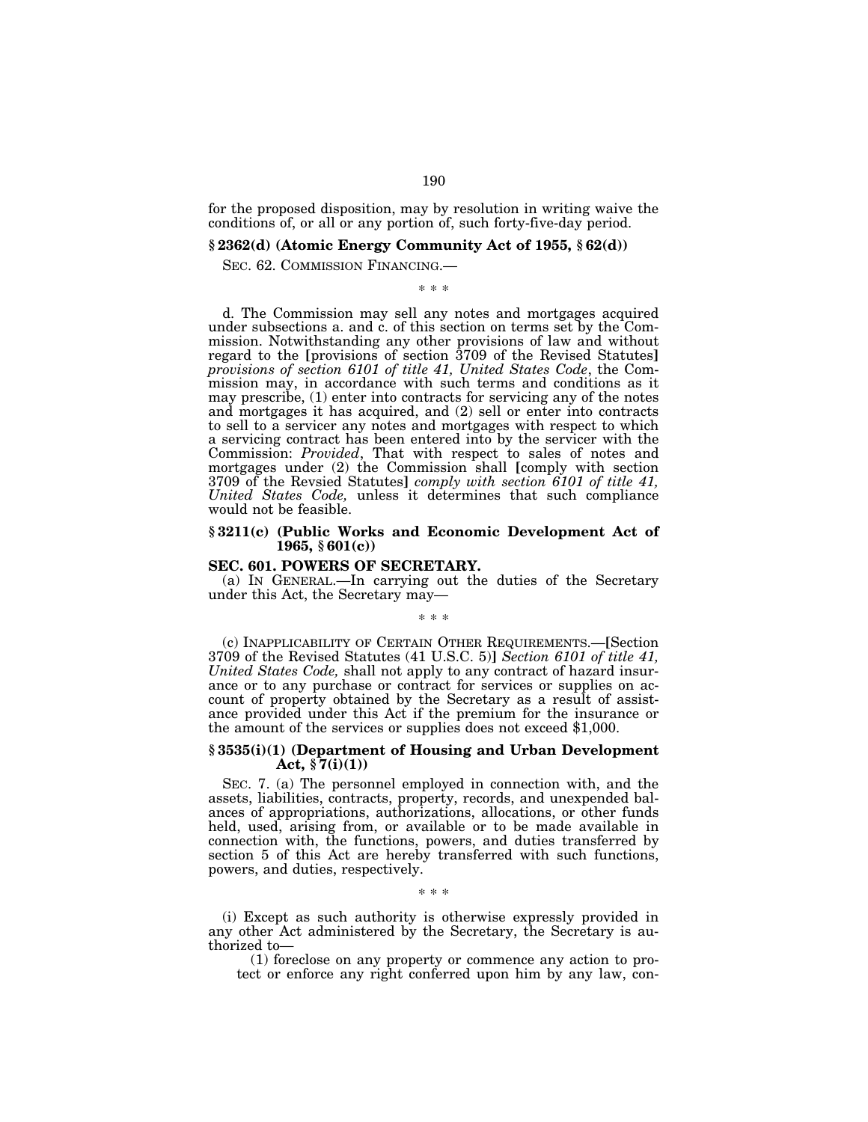for the proposed disposition, may by resolution in writing waive the conditions of, or all or any portion of, such forty-five-day period.

# **§ 2362(d) (Atomic Energy Community Act of 1955, § 62(d))**

SEC. 62. COMMISSION FINANCING.—

\* \* \*

d. The Commission may sell any notes and mortgages acquired under subsections a. and c. of this section on terms set by the Commission. Notwithstanding any other provisions of law and without regard to the **[**provisions of section 3709 of the Revised Statutes**]**  *provisions of section 6101 of title 41, United States Code*, the Commission may, in accordance with such terms and conditions as it may prescribe, (1) enter into contracts for servicing any of the notes and mortgages it has acquired, and (2) sell or enter into contracts to sell to a servicer any notes and mortgages with respect to which a servicing contract has been entered into by the servicer with the Commission: *Provided*, That with respect to sales of notes and mortgages under (2) the Commission shall **[**comply with section 3709 of the Revsied Statutes**]** *comply with section 6101 of title 41, United States Code,* unless it determines that such compliance would not be feasible.

# **§ 3211(c) (Public Works and Economic Development Act of 1965, § 601(c))**

#### **SEC. 601. POWERS OF SECRETARY.**

(a) IN GENERAL.—In carrying out the duties of the Secretary under this Act, the Secretary may—

\* \* \*

(c) INAPPLICABILITY OF CERTAIN OTHER REQUIREMENTS.—**[**Section 3709 of the Revised Statutes (41 U.S.C. 5)**]** *Section 6101 of title 41, United States Code,* shall not apply to any contract of hazard insurance or to any purchase or contract for services or supplies on account of property obtained by the Secretary as a result of assistance provided under this Act if the premium for the insurance or the amount of the services or supplies does not exceed \$1,000.

#### **§ 3535(i)(1) (Department of Housing and Urban Development Act, § 7(i)(1))**

SEC. 7. (a) The personnel employed in connection with, and the assets, liabilities, contracts, property, records, and unexpended balances of appropriations, authorizations, allocations, or other funds held, used, arising from, or available or to be made available in connection with, the functions, powers, and duties transferred by section 5 of this Act are hereby transferred with such functions, powers, and duties, respectively.

(i) Except as such authority is otherwise expressly provided in any other Act administered by the Secretary, the Secretary is authorized to—

\* \* \*

(1) foreclose on any property or commence any action to protect or enforce any right conferred upon him by any law, con-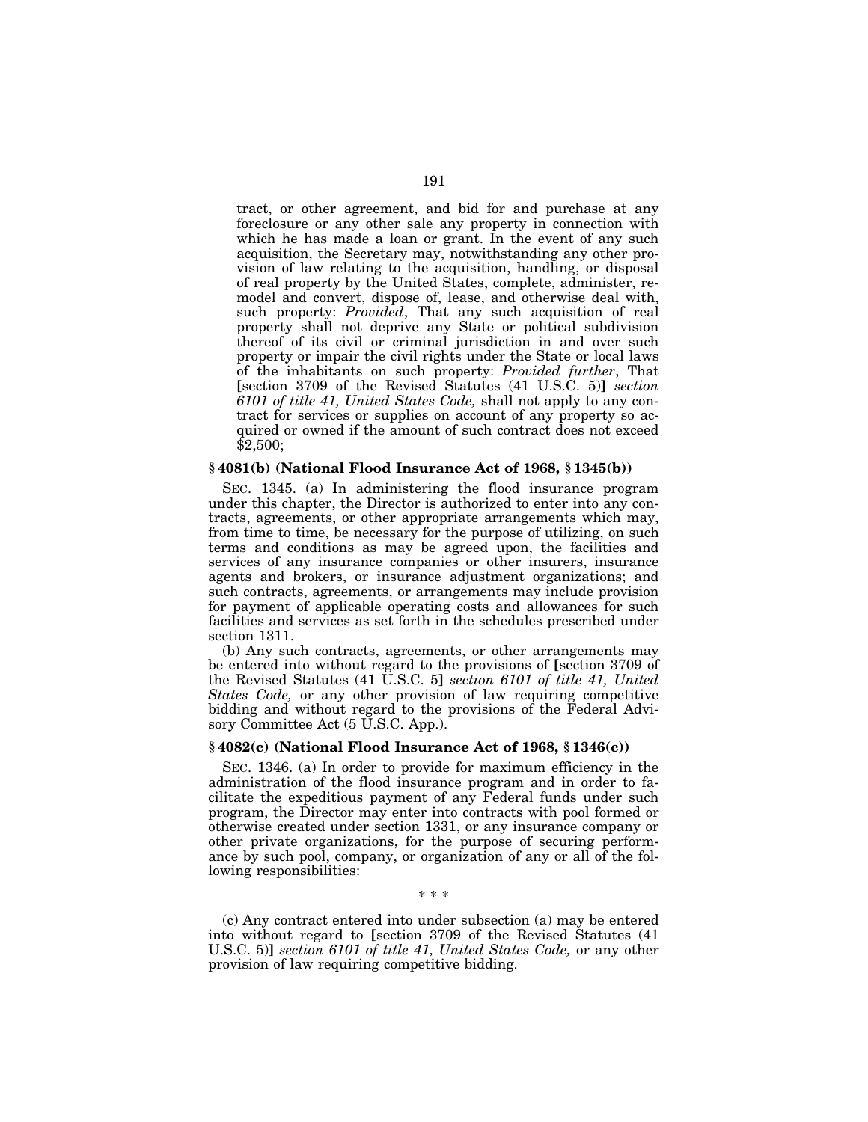tract, or other agreement, and bid for and purchase at any foreclosure or any other sale any property in connection with which he has made a loan or grant. In the event of any such acquisition, the Secretary may, notwithstanding any other provision of law relating to the acquisition, handling, or disposal of real property by the United States, complete, administer, remodel and convert, dispose of, lease, and otherwise deal with, such property: *Provided*, That any such acquisition of real property shall not deprive any State or political subdivision thereof of its civil or criminal jurisdiction in and over such property or impair the civil rights under the State or local laws of the inhabitants on such property: *Provided further*, That **[**section 3709 of the Revised Statutes (41 U.S.C. 5)**]** *section 6101 of title 41, United States Code,* shall not apply to any contract for services or supplies on account of any property so acquired or owned if the amount of such contract does not exceed  $$2,500;$ 

#### **§ 4081(b) (National Flood Insurance Act of 1968, § 1345(b))**

SEC. 1345. (a) In administering the flood insurance program under this chapter, the Director is authorized to enter into any contracts, agreements, or other appropriate arrangements which may, from time to time, be necessary for the purpose of utilizing, on such terms and conditions as may be agreed upon, the facilities and services of any insurance companies or other insurers, insurance agents and brokers, or insurance adjustment organizations; and such contracts, agreements, or arrangements may include provision for payment of applicable operating costs and allowances for such facilities and services as set forth in the schedules prescribed under section 1311.

(b) Any such contracts, agreements, or other arrangements may be entered into without regard to the provisions of **[**section 3709 of the Revised Statutes (41 U.S.C. 5**]** *section 6101 of title 41, United States Code,* or any other provision of law requiring competitive bidding and without regard to the provisions of the Federal Advisory Committee Act (5 U.S.C. App.).

#### **§ 4082(c) (National Flood Insurance Act of 1968, § 1346(c))**

SEC. 1346. (a) In order to provide for maximum efficiency in the administration of the flood insurance program and in order to facilitate the expeditious payment of any Federal funds under such program, the Director may enter into contracts with pool formed or otherwise created under section 1331, or any insurance company or other private organizations, for the purpose of securing performance by such pool, company, or organization of any or all of the following responsibilities:

\* \* \*

(c) Any contract entered into under subsection (a) may be entered into without regard to **[**section 3709 of the Revised Statutes (41 U.S.C. 5)**]** *section 6101 of title 41, United States Code,* or any other provision of law requiring competitive bidding.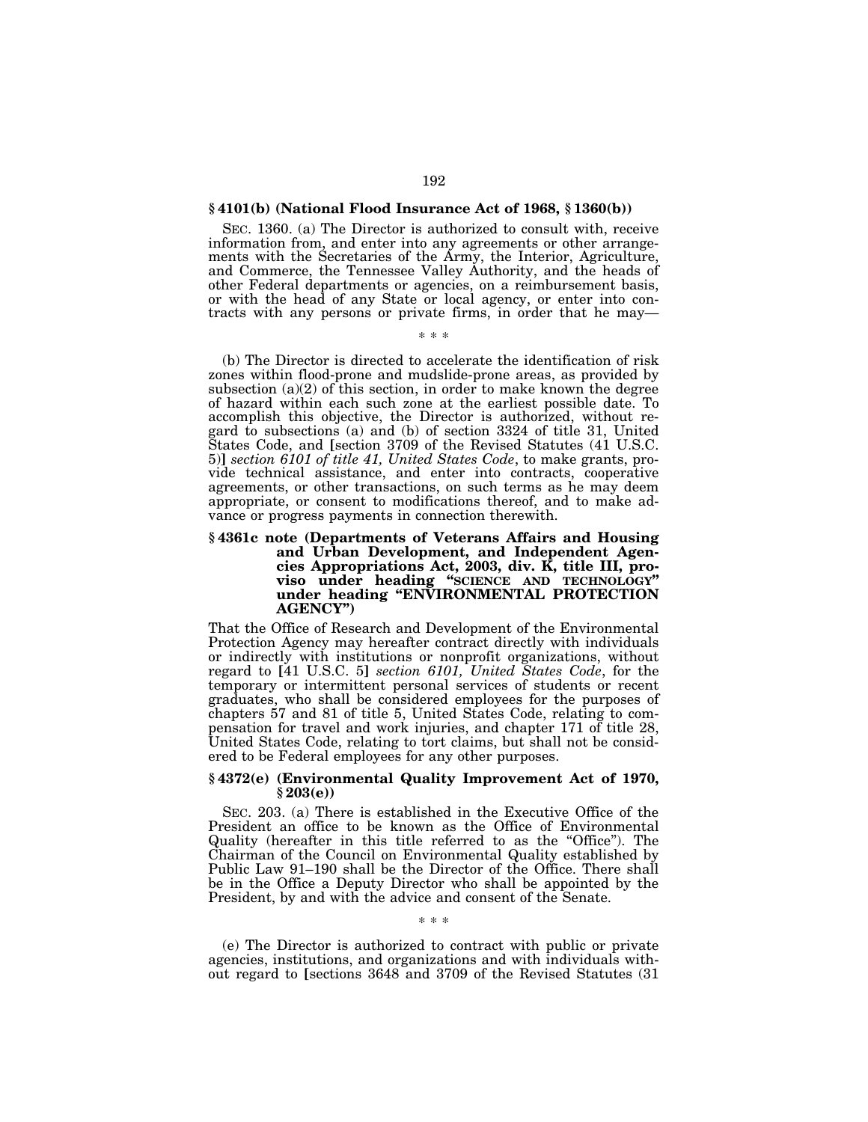#### **§ 4101(b) (National Flood Insurance Act of 1968, § 1360(b))**

SEC. 1360. (a) The Director is authorized to consult with, receive information from, and enter into any agreements or other arrangements with the Secretaries of the Army, the Interior, Agriculture, and Commerce, the Tennessee Valley Authority, and the heads of other Federal departments or agencies, on a reimbursement basis, or with the head of any State or local agency, or enter into contracts with any persons or private firms, in order that he may—

\* \* \*

(b) The Director is directed to accelerate the identification of risk zones within flood-prone and mudslide-prone areas, as provided by subsection  $(a)(2)$  of this section, in order to make known the degree of hazard within each such zone at the earliest possible date. To accomplish this objective, the Director is authorized, without regard to subsections (a) and (b) of section 3324 of title 31, United States Code, and **[**section 3709 of the Revised Statutes (41 U.S.C. 5)**]** *section 6101 of title 41, United States Code*, to make grants, provide technical assistance, and enter into contracts, cooperative agreements, or other transactions, on such terms as he may deem appropriate, or consent to modifications thereof, and to make advance or progress payments in connection therewith.

# **§ 4361c note (Departments of Veterans Affairs and Housing and Urban Development, and Independent Agencies Appropriations Act, 2003, div. K, title III, proviso under heading ''SCIENCE AND TECHNOLOGY'' under heading ''ENVIRONMENTAL PROTECTION AGENCY'')**

That the Office of Research and Development of the Environmental Protection Agency may hereafter contract directly with individuals or indirectly with institutions or nonprofit organizations, without regard to **[**41 U.S.C. 5**]** *section 6101, United States Code*, for the temporary or intermittent personal services of students or recent graduates, who shall be considered employees for the purposes of chapters 57 and 81 of title 5, United States Code, relating to compensation for travel and work injuries, and chapter 171 of title 28, United States Code, relating to tort claims, but shall not be considered to be Federal employees for any other purposes.

# **§ 4372(e) (Environmental Quality Improvement Act of 1970, § 203(e))**

SEC. 203. (a) There is established in the Executive Office of the President an office to be known as the Office of Environmental Quality (hereafter in this title referred to as the "Office"). The Chairman of the Council on Environmental Quality established by Public Law 91–190 shall be the Director of the Office. There shall be in the Office a Deputy Director who shall be appointed by the President, by and with the advice and consent of the Senate.

(e) The Director is authorized to contract with public or private agencies, institutions, and organizations and with individuals without regard to **[**sections 3648 and 3709 of the Revised Statutes (31

\* \* \*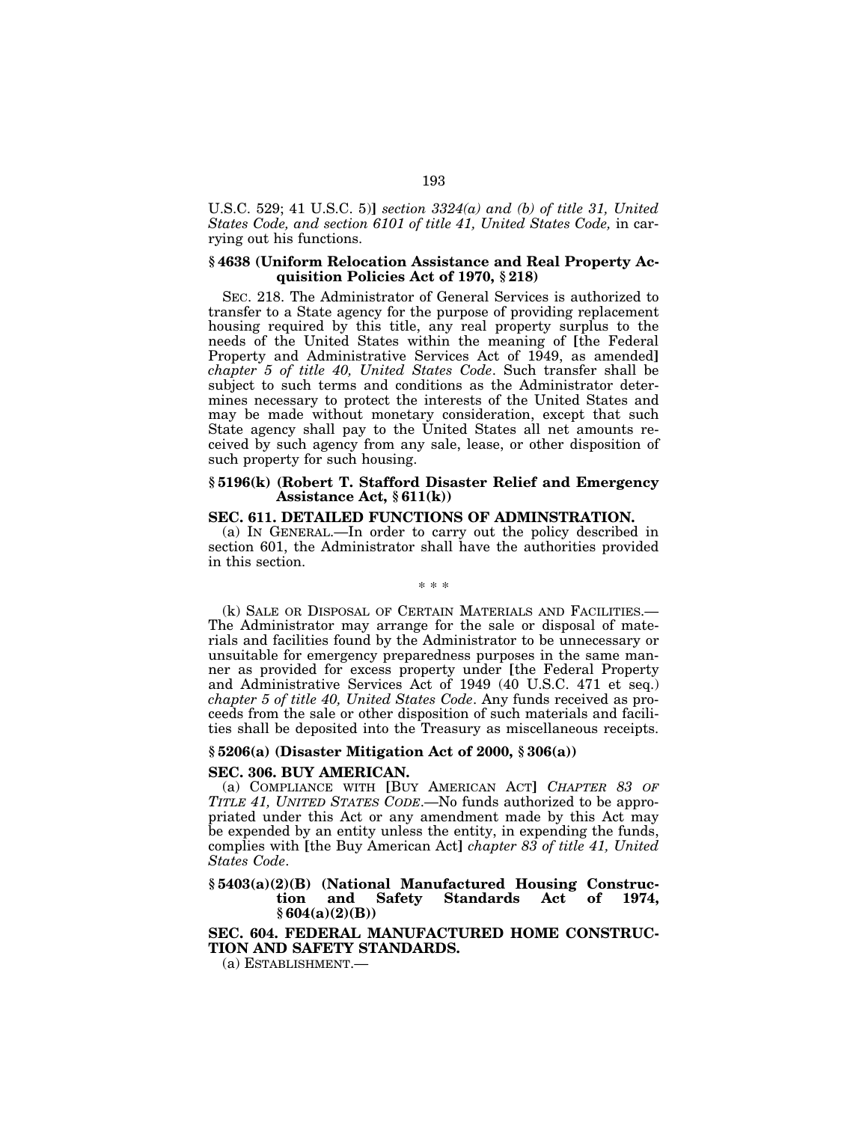U.S.C. 529; 41 U.S.C. 5)**]** *section 3324(a) and (b) of title 31, United States Code, and section 6101 of title 41, United States Code,* in carrying out his functions.

# **§ 4638 (Uniform Relocation Assistance and Real Property Acquisition Policies Act of 1970, § 218)**

SEC. 218. The Administrator of General Services is authorized to transfer to a State agency for the purpose of providing replacement housing required by this title, any real property surplus to the needs of the United States within the meaning of **[**the Federal Property and Administrative Services Act of 1949, as amended**]**  *chapter 5 of title 40, United States Code*. Such transfer shall be subject to such terms and conditions as the Administrator determines necessary to protect the interests of the United States and may be made without monetary consideration, except that such State agency shall pay to the United States all net amounts received by such agency from any sale, lease, or other disposition of such property for such housing.

# **§ 5196(k) (Robert T. Stafford Disaster Relief and Emergency Assistance Act, § 611(k))**

# **SEC. 611. DETAILED FUNCTIONS OF ADMINSTRATION.**

(a) IN GENERAL.—In order to carry out the policy described in section 601, the Administrator shall have the authorities provided in this section.

\* \* \*

(k) SALE OR DISPOSAL OF CERTAIN MATERIALS AND FACILITIES.— The Administrator may arrange for the sale or disposal of materials and facilities found by the Administrator to be unnecessary or unsuitable for emergency preparedness purposes in the same manner as provided for excess property under **[**the Federal Property and Administrative Services Act of 1949 (40 U.S.C. 471 et seq.) *chapter 5 of title 40, United States Code*. Any funds received as proceeds from the sale or other disposition of such materials and facilities shall be deposited into the Treasury as miscellaneous receipts.

## **§ 5206(a) (Disaster Mitigation Act of 2000, § 306(a))**

## **SEC. 306. BUY AMERICAN.**

(a) COMPLIANCE WITH **[**BUY AMERICAN ACT**]** *CHAPTER 83 OF TITLE 41, UNITED STATES CODE*.—No funds authorized to be appropriated under this Act or any amendment made by this Act may be expended by an entity unless the entity, in expending the funds, complies with **[**the Buy American Act**]** *chapter 83 of title 41, United States Code*.

# **§ 5403(a)(2)(B) (National Manufactured Housing Construc**and Safety Standards Act  $§ 604(a)(2)(B))$

**SEC. 604. FEDERAL MANUFACTURED HOME CONSTRUC-TION AND SAFETY STANDARDS.** 

(a) ESTABLISHMENT.—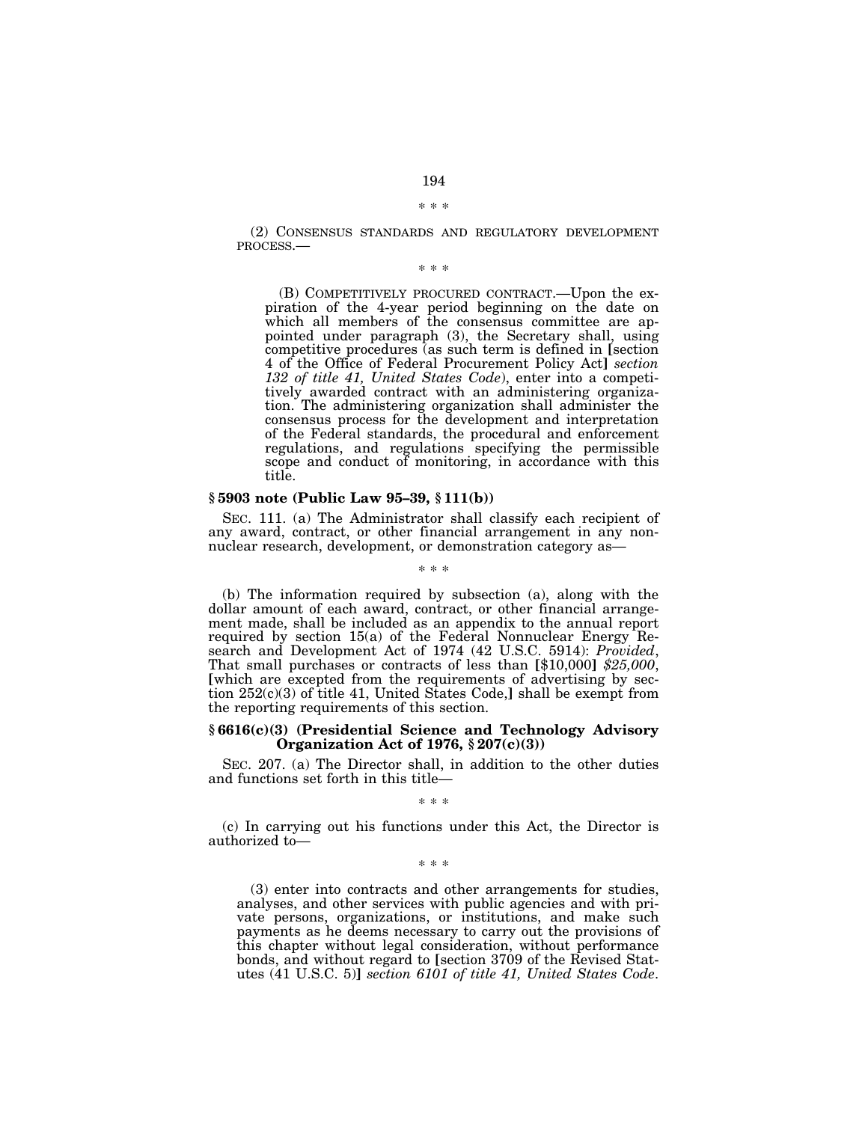(2) CONSENSUS STANDARDS AND REGULATORY DEVELOPMENT PROCESS.—

\* \* \*

(B) COMPETITIVELY PROCURED CONTRACT.—Upon the expiration of the 4-year period beginning on the date on which all members of the consensus committee are appointed under paragraph (3), the Secretary shall, using competitive procedures (as such term is defined in **[**section 4 of the Office of Federal Procurement Policy Act**]** *section 132 of title 41, United States Code*), enter into a competitively awarded contract with an administering organization. The administering organization shall administer the consensus process for the development and interpretation of the Federal standards, the procedural and enforcement regulations, and regulations specifying the permissible scope and conduct of monitoring, in accordance with this title.

#### **§ 5903 note (Public Law 95–39, § 111(b))**

SEC. 111. (a) The Administrator shall classify each recipient of any award, contract, or other financial arrangement in any nonnuclear research, development, or demonstration category as—

\* \* \*

(b) The information required by subsection (a), along with the dollar amount of each award, contract, or other financial arrangement made, shall be included as an appendix to the annual report required by section 15(a) of the Federal Nonnuclear Energy Research and Development Act of 1974 (42 U.S.C. 5914): *Provided*, That small purchases or contracts of less than **[**\$10,000**]** *\$25,000*, **[**which are excepted from the requirements of advertising by section 252(c)(3) of title 41, United States Code,**]** shall be exempt from the reporting requirements of this section.

#### **§ 6616(c)(3) (Presidential Science and Technology Advisory Organization Act of 1976, § 207(c)(3))**

SEC. 207. (a) The Director shall, in addition to the other duties and functions set forth in this title—

\* \* \*

(c) In carrying out his functions under this Act, the Director is authorized to—

\* \* \*

(3) enter into contracts and other arrangements for studies, analyses, and other services with public agencies and with private persons, organizations, or institutions, and make such payments as he deems necessary to carry out the provisions of this chapter without legal consideration, without performance bonds, and without regard to **[**section 3709 of the Revised Statutes (41 U.S.C. 5)**]** *section 6101 of title 41, United States Code*.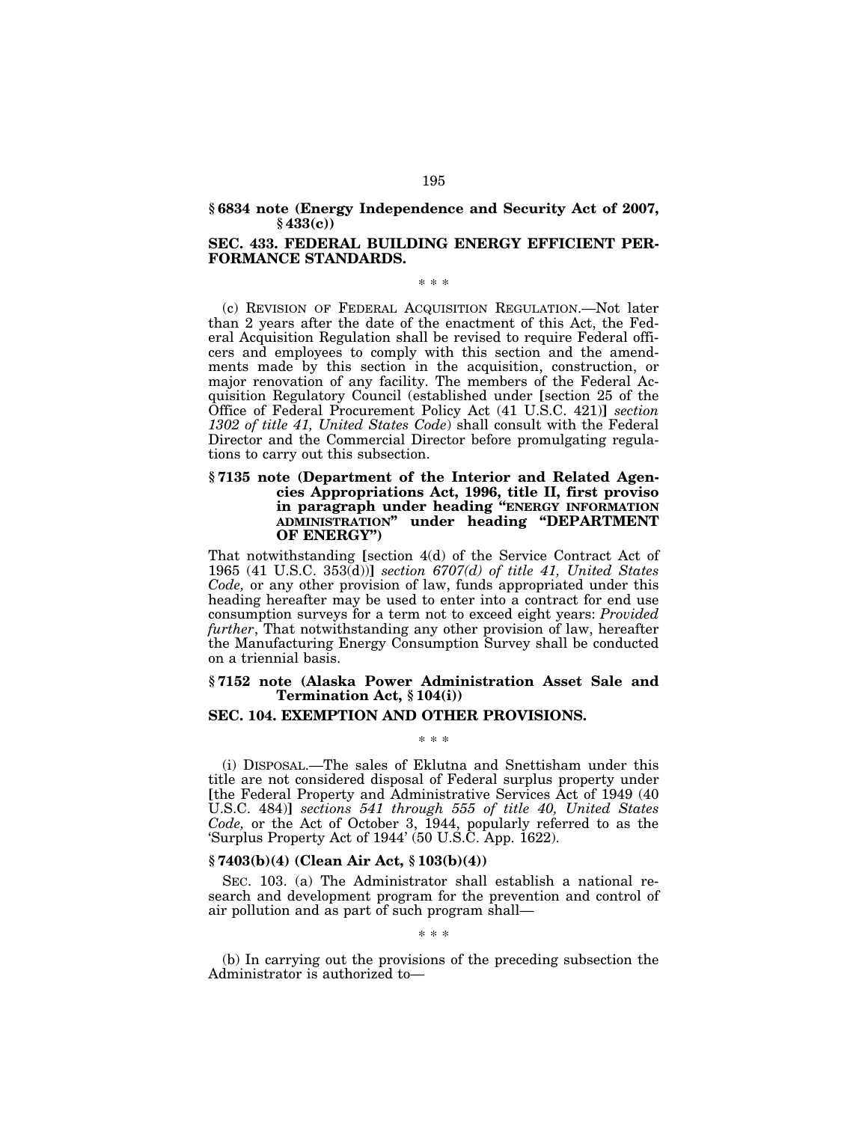## **§ 6834 note (Energy Independence and Security Act of 2007, § 433(c))**

# **SEC. 433. FEDERAL BUILDING ENERGY EFFICIENT PER-FORMANCE STANDARDS.**

\* \* \*

(c) REVISION OF FEDERAL ACQUISITION REGULATION.—Not later than 2 years after the date of the enactment of this Act, the Federal Acquisition Regulation shall be revised to require Federal officers and employees to comply with this section and the amendments made by this section in the acquisition, construction, or major renovation of any facility. The members of the Federal Acquisition Regulatory Council (established under **[**section 25 of the Office of Federal Procurement Policy Act (41 U.S.C. 421)**]** *section 1302 of title 41, United States Code*) shall consult with the Federal Director and the Commercial Director before promulgating regulations to carry out this subsection.

# **§ 7135 note (Department of the Interior and Related Agencies Appropriations Act, 1996, title II, first proviso in paragraph under heading ''ENERGY INFORMATION ADMINISTRATION'' under heading ''DEPARTMENT OF ENERGY'')**

That notwithstanding **[**section 4(d) of the Service Contract Act of 1965 (41 U.S.C. 353(d))**]** *section 6707(d) of title 41, United States Code,* or any other provision of law, funds appropriated under this heading hereafter may be used to enter into a contract for end use consumption surveys for a term not to exceed eight years: *Provided further*, That notwithstanding any other provision of law, hereafter the Manufacturing Energy Consumption Survey shall be conducted on a triennial basis.

## **§ 7152 note (Alaska Power Administration Asset Sale and Termination Act, § 104(i))**

\* \* \*

# **SEC. 104. EXEMPTION AND OTHER PROVISIONS.**

(i) DISPOSAL.—The sales of Eklutna and Snettisham under this title are not considered disposal of Federal surplus property under **[**the Federal Property and Administrative Services Act of 1949 (40 U.S.C. 484)**]** *sections 541 through 555 of title 40, United States Code,* or the Act of October 3, 1944, popularly referred to as the 'Surplus Property Act of 1944' (50 U.S.C. App. 1622).

# **§ 7403(b)(4) (Clean Air Act, § 103(b)(4))**

SEC. 103. (a) The Administrator shall establish a national research and development program for the prevention and control of air pollution and as part of such program shall—

\* \* \*

(b) In carrying out the provisions of the preceding subsection the Administrator is authorized to—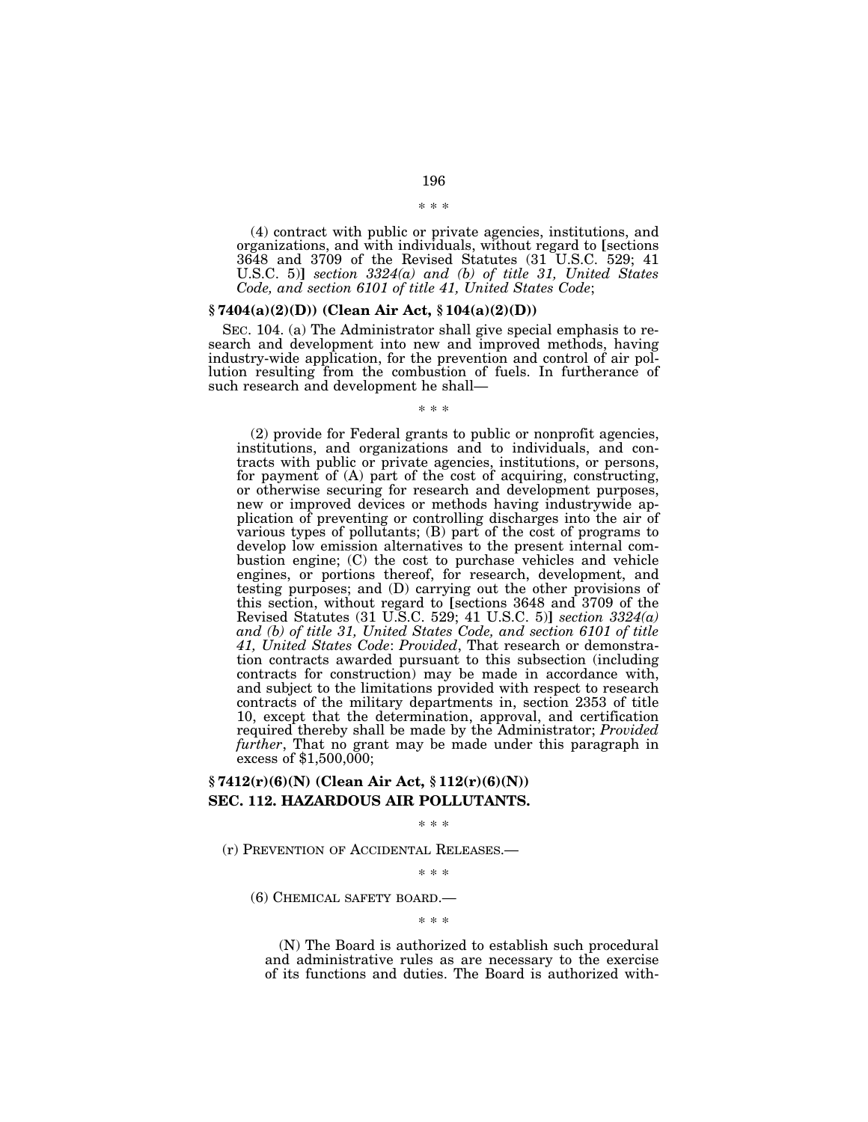(4) contract with public or private agencies, institutions, and organizations, and with individuals, without regard to **[**sections 3648 and 3709 of the Revised Statutes (31 U.S.C. 529; 41 U.S.C. 5)**]** *section 3324(a) and (b) of title 31, United States Code, and section 6101 of title 41, United States Code*;

#### **§ 7404(a)(2)(D)) (Clean Air Act, § 104(a)(2)(D))**

SEC. 104. (a) The Administrator shall give special emphasis to research and development into new and improved methods, having industry-wide application, for the prevention and control of air pollution resulting from the combustion of fuels. In furtherance of such research and development he shall—

\* \* \*

(2) provide for Federal grants to public or nonprofit agencies, institutions, and organizations and to individuals, and contracts with public or private agencies, institutions, or persons, for payment of (A) part of the cost of acquiring, constructing, or otherwise securing for research and development purposes, new or improved devices or methods having industrywide application of preventing or controlling discharges into the air of various types of pollutants; (B) part of the cost of programs to develop low emission alternatives to the present internal combustion engine; (C) the cost to purchase vehicles and vehicle engines, or portions thereof, for research, development, and testing purposes; and (D) carrying out the other provisions of this section, without regard to **[**sections 3648 and 3709 of the Revised Statutes (31 U.S.C. 529; 41 U.S.C. 5)**]** *section 3324(a) and (b) of title 31, United States Code, and section 6101 of title 41, United States Code*: *Provided*, That research or demonstration contracts awarded pursuant to this subsection (including contracts for construction) may be made in accordance with, and subject to the limitations provided with respect to research contracts of the military departments in, section 2353 of title 10, except that the determination, approval, and certification required thereby shall be made by the Administrator; *Provided further*, That no grant may be made under this paragraph in excess of \$1,500,000;

# **§ 7412(r)(6)(N) (Clean Air Act, § 112(r)(6)(N)) SEC. 112. HAZARDOUS AIR POLLUTANTS.**

\* \* \*

(r) PREVENTION OF ACCIDENTAL RELEASES.—

\* \* \*

(6) CHEMICAL SAFETY BOARD.—

\* \* \*

(N) The Board is authorized to establish such procedural and administrative rules as are necessary to the exercise of its functions and duties. The Board is authorized with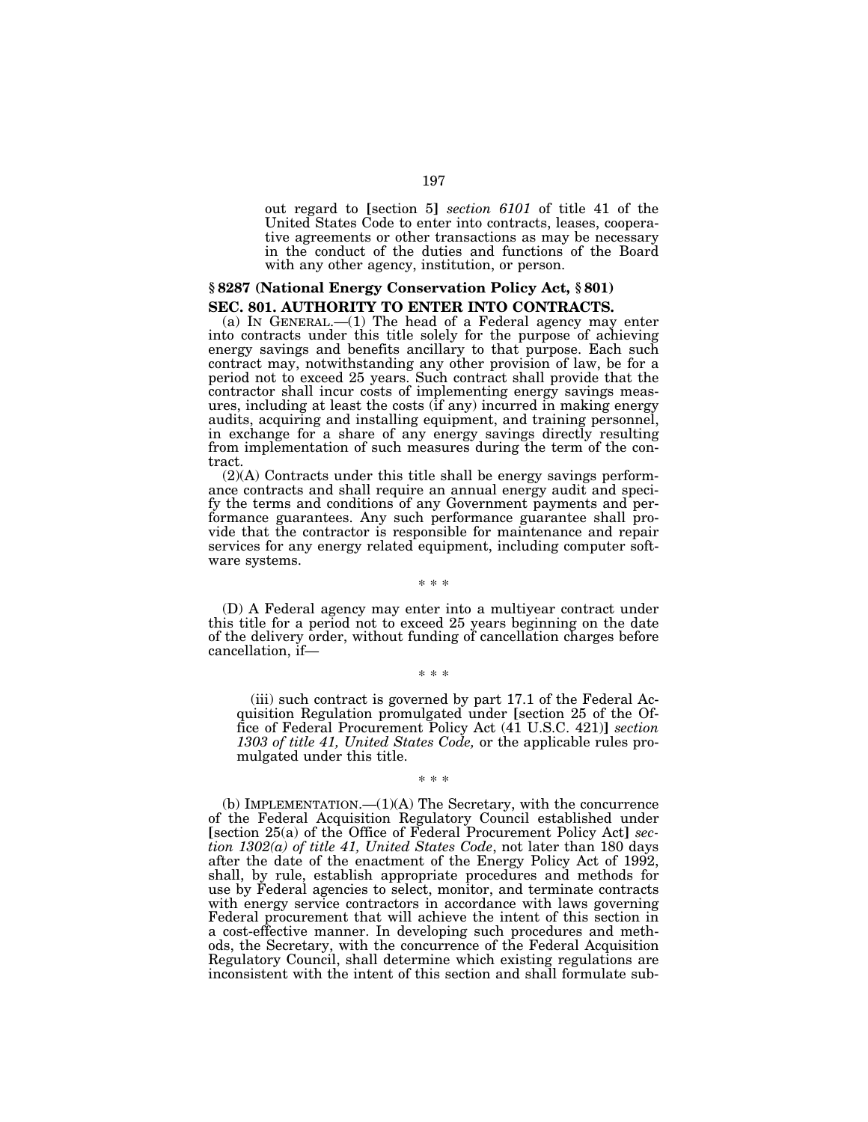out regard to **[**section 5**]** *section 6101* of title 41 of the United States Code to enter into contracts, leases, cooperative agreements or other transactions as may be necessary in the conduct of the duties and functions of the Board with any other agency, institution, or person.

# **§ 8287 (National Energy Conservation Policy Act, § 801) SEC. 801. AUTHORITY TO ENTER INTO CONTRACTS.**

(a) IN GENERAL.—(1) The head of a Federal agency may enter into contracts under this title solely for the purpose of achieving energy savings and benefits ancillary to that purpose. Each such contract may, notwithstanding any other provision of law, be for a period not to exceed 25 years. Such contract shall provide that the contractor shall incur costs of implementing energy savings measures, including at least the costs (if any) incurred in making energy audits, acquiring and installing equipment, and training personnel, in exchange for a share of any energy savings directly resulting from implementation of such measures during the term of the contract.

(2)(A) Contracts under this title shall be energy savings performance contracts and shall require an annual energy audit and specify the terms and conditions of any Government payments and performance guarantees. Any such performance guarantee shall provide that the contractor is responsible for maintenance and repair services for any energy related equipment, including computer software systems.

\* \* \*

(D) A Federal agency may enter into a multiyear contract under this title for a period not to exceed 25 years beginning on the date of the delivery order, without funding of cancellation charges before cancellation, if—

#### \* \* \*

(iii) such contract is governed by part 17.1 of the Federal Acquisition Regulation promulgated under **[**section 25 of the Office of Federal Procurement Policy Act (41 U.S.C. 421)**]** *section 1303 of title 41, United States Code,* or the applicable rules promulgated under this title.

\* \* \*

(b) IMPLEMENTATION.—(1)(A) The Secretary, with the concurrence of the Federal Acquisition Regulatory Council established under **[**section 25(a) of the Office of Federal Procurement Policy Act**]** *section 1302(a) of title 41, United States Code*, not later than 180 days after the date of the enactment of the Energy Policy Act of 1992, shall, by rule, establish appropriate procedures and methods for use by Federal agencies to select, monitor, and terminate contracts with energy service contractors in accordance with laws governing Federal procurement that will achieve the intent of this section in a cost-effective manner. In developing such procedures and methods, the Secretary, with the concurrence of the Federal Acquisition Regulatory Council, shall determine which existing regulations are inconsistent with the intent of this section and shall formulate sub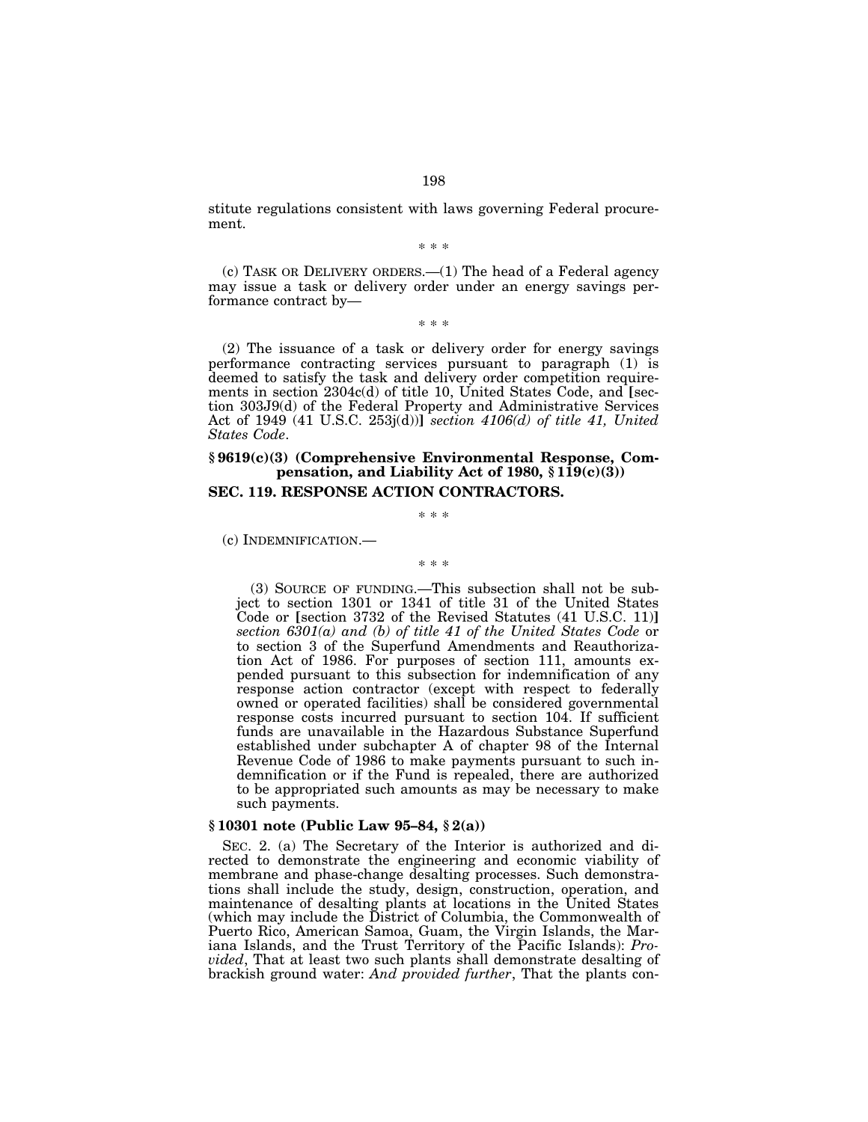stitute regulations consistent with laws governing Federal procurement.

\* \* \*

(c) TASK OR DELIVERY ORDERS.—(1) The head of a Federal agency may issue a task or delivery order under an energy savings performance contract by—

\* \* \*

(2) The issuance of a task or delivery order for energy savings performance contracting services pursuant to paragraph (1) is deemed to satisfy the task and delivery order competition requirements in section 2304c(d) of title 10, United States Code, and **[**section 303J9(d) of the Federal Property and Administrative Services Act of 1949 (41 U.S.C. 253j(d))**]** *section 4106(d) of title 41, United States Code*.

# **§ 9619(c)(3) (Comprehensive Environmental Response, Compensation, and Liability Act of 1980, § 119(c)(3)) SEC. 119. RESPONSE ACTION CONTRACTORS.**

\* \* \*

(c) INDEMNIFICATION.—

\* \* \*

(3) SOURCE OF FUNDING.—This subsection shall not be subject to section 1301 or 1341 of title 31 of the United States Code or **[**section 3732 of the Revised Statutes (41 U.S.C. 11)**]**  *section 6301(a) and (b) of title 41 of the United States Code* or to section 3 of the Superfund Amendments and Reauthorization Act of 1986. For purposes of section 111, amounts expended pursuant to this subsection for indemnification of any response action contractor (except with respect to federally owned or operated facilities) shall be considered governmental response costs incurred pursuant to section 104. If sufficient funds are unavailable in the Hazardous Substance Superfund established under subchapter A of chapter 98 of the Internal Revenue Code of 1986 to make payments pursuant to such indemnification or if the Fund is repealed, there are authorized to be appropriated such amounts as may be necessary to make such payments.

## **§ 10301 note (Public Law 95–84, § 2(a))**

SEC. 2. (a) The Secretary of the Interior is authorized and directed to demonstrate the engineering and economic viability of membrane and phase-change desalting processes. Such demonstrations shall include the study, design, construction, operation, and maintenance of desalting plants at locations in the United States (which may include the District of Columbia, the Commonwealth of Puerto Rico, American Samoa, Guam, the Virgin Islands, the Mariana Islands, and the Trust Territory of the Pacific Islands): *Provided*, That at least two such plants shall demonstrate desalting of brackish ground water: *And provided further*, That the plants con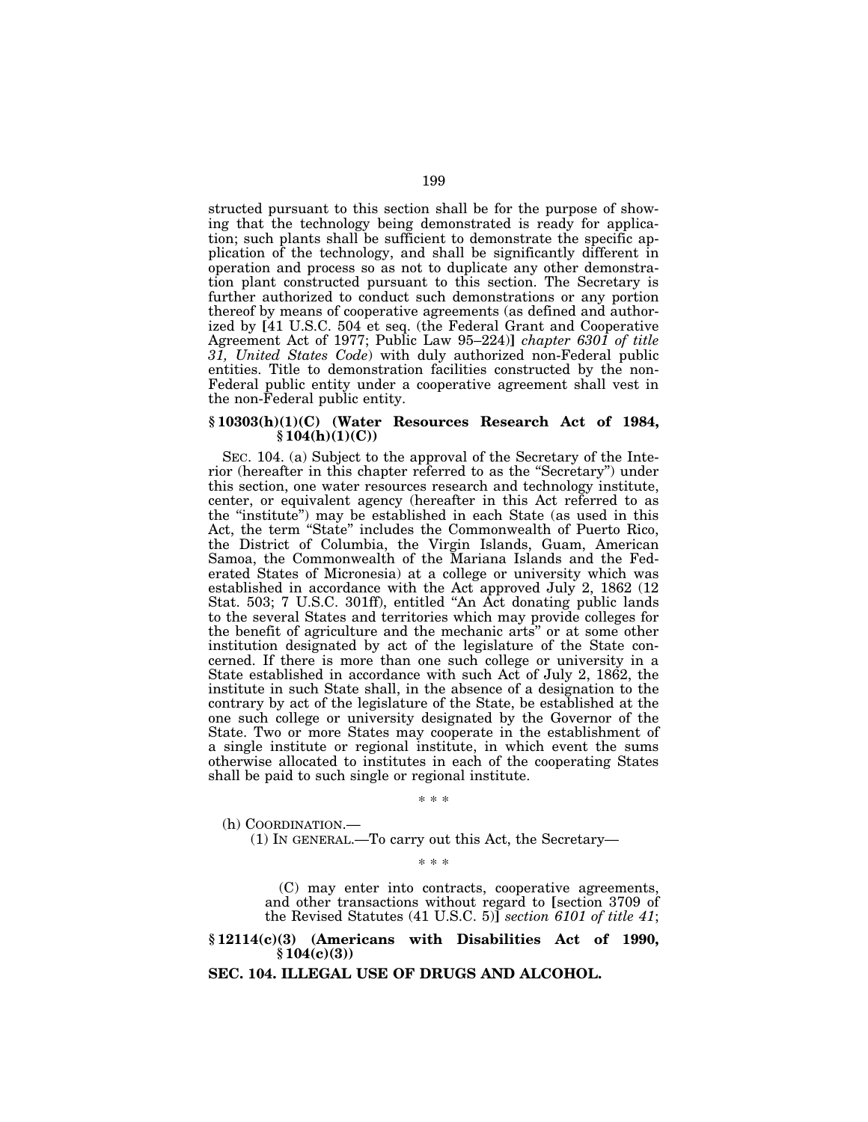structed pursuant to this section shall be for the purpose of showing that the technology being demonstrated is ready for application; such plants shall be sufficient to demonstrate the specific application of the technology, and shall be significantly different in operation and process so as not to duplicate any other demonstration plant constructed pursuant to this section. The Secretary is further authorized to conduct such demonstrations or any portion thereof by means of cooperative agreements (as defined and authorized by **[**41 U.S.C. 504 et seq. (the Federal Grant and Cooperative Agreement Act of 1977; Public Law 95–224)**]** *chapter 6301 of title 31, United States Code*) with duly authorized non-Federal public entities. Title to demonstration facilities constructed by the non-Federal public entity under a cooperative agreement shall vest in the non-Federal public entity.

#### **§ 10303(h)(1)(C) (Water Resources Research Act of 1984,**   $$104(h)(1)(C))$

SEC. 104. (a) Subject to the approval of the Secretary of the Interior (hereafter in this chapter referred to as the ''Secretary'') under this section, one water resources research and technology institute, center, or equivalent agency (hereafter in this Act referred to as the ''institute'') may be established in each State (as used in this Act, the term ''State'' includes the Commonwealth of Puerto Rico, the District of Columbia, the Virgin Islands, Guam, American Samoa, the Commonwealth of the Mariana Islands and the Federated States of Micronesia) at a college or university which was established in accordance with the Act approved July 2, 1862 (12 Stat. 503; 7 U.S.C. 301ff), entitled ''An Act donating public lands to the several States and territories which may provide colleges for the benefit of agriculture and the mechanic arts'' or at some other institution designated by act of the legislature of the State concerned. If there is more than one such college or university in a State established in accordance with such Act of July 2, 1862, the institute in such State shall, in the absence of a designation to the contrary by act of the legislature of the State, be established at the one such college or university designated by the Governor of the State. Two or more States may cooperate in the establishment of a single institute or regional institute, in which event the sums otherwise allocated to institutes in each of the cooperating States shall be paid to such single or regional institute.

\* \* \*

(h) COORDINATION.—

(1) IN GENERAL.—To carry out this Act, the Secretary— \* \* \*

(C) may enter into contracts, cooperative agreements, and other transactions without regard to **[**section 3709 of the Revised Statutes (41 U.S.C. 5)**]** *section 6101 of title 41*;

## **§ 12114(c)(3) (Americans with Disabilities Act of 1990, § 104(c)(3))**

**SEC. 104. ILLEGAL USE OF DRUGS AND ALCOHOL.**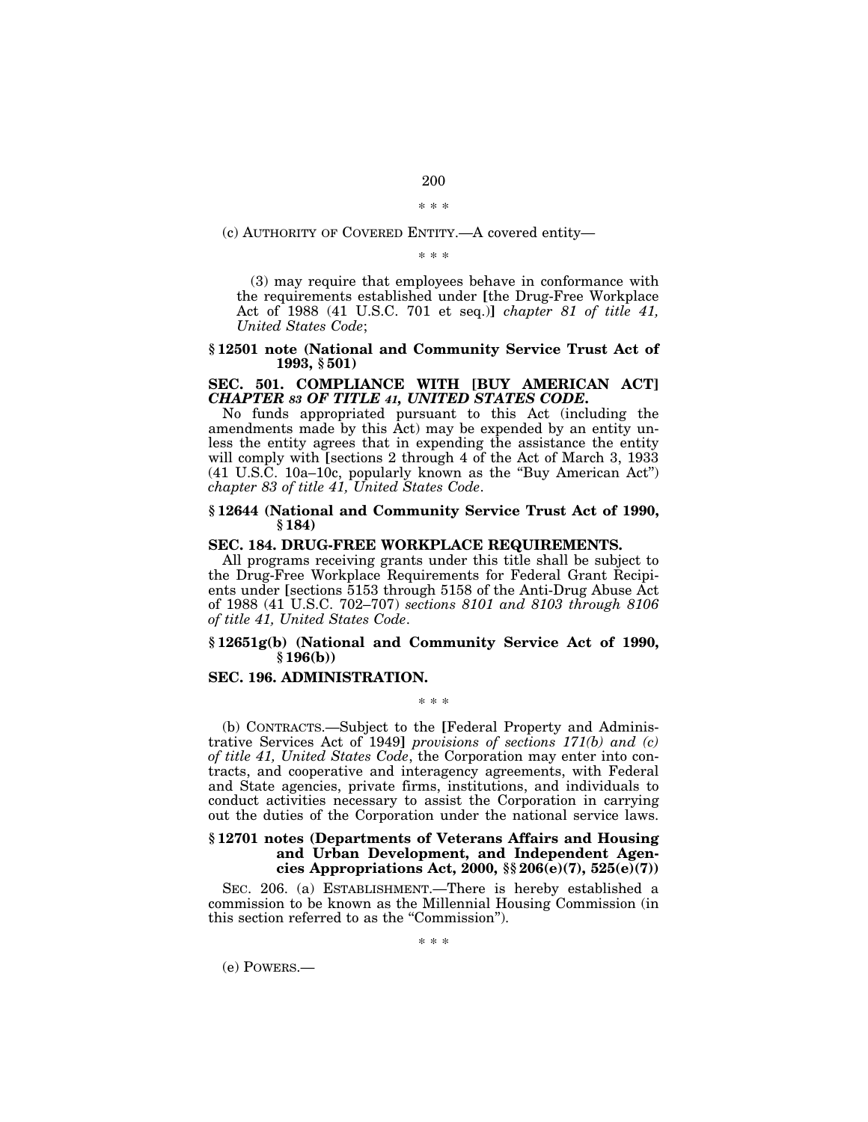## (c) AUTHORITY OF COVERED ENTITY.—A covered entity—

\* \* \*

(3) may require that employees behave in conformance with the requirements established under **[**the Drug-Free Workplace Act of 1988 (41 U.S.C. 701 et seq.)**]** *chapter 81 of title 41, United States Code*;

# **§ 12501 note (National and Community Service Trust Act of 1993, § 501)**

# **SEC. 501. COMPLIANCE WITH [BUY AMERICAN ACT]**  *CHAPTER 83 OF TITLE 41, UNITED STATES CODE***.**

No funds appropriated pursuant to this Act (including the amendments made by this Act) may be expended by an entity unless the entity agrees that in expending the assistance the entity will comply with **[**sections 2 through 4 of the Act of March 3, 1933 (41 U.S.C. 10a–10c, popularly known as the ''Buy American Act'') *chapter 83 of title 41, United States Code*.

# **§ 12644 (National and Community Service Trust Act of 1990, § 184)**

# **SEC. 184. DRUG-FREE WORKPLACE REQUIREMENTS.**

All programs receiving grants under this title shall be subject to the Drug-Free Workplace Requirements for Federal Grant Recipients under **[**sections 5153 through 5158 of the Anti-Drug Abuse Act of 1988 (41 U.S.C. 702–707) *sections 8101 and 8103 through 8106 of title 41, United States Code*.

# **§ 12651g(b) (National and Community Service Act of 1990, § 196(b))**

# **SEC. 196. ADMINISTRATION.**

\* \* \*

(b) CONTRACTS.—Subject to the **[**Federal Property and Administrative Services Act of 1949**]** *provisions of sections 171(b) and (c) of title 41, United States Code*, the Corporation may enter into contracts, and cooperative and interagency agreements, with Federal and State agencies, private firms, institutions, and individuals to conduct activities necessary to assist the Corporation in carrying out the duties of the Corporation under the national service laws.

# **§ 12701 notes (Departments of Veterans Affairs and Housing and Urban Development, and Independent Agencies Appropriations Act, 2000, §§ 206(e)(7), 525(e)(7))**

SEC. 206. (a) ESTABLISHMENT.—There is hereby established a commission to be known as the Millennial Housing Commission (in this section referred to as the ''Commission'').

(e) POWERS.—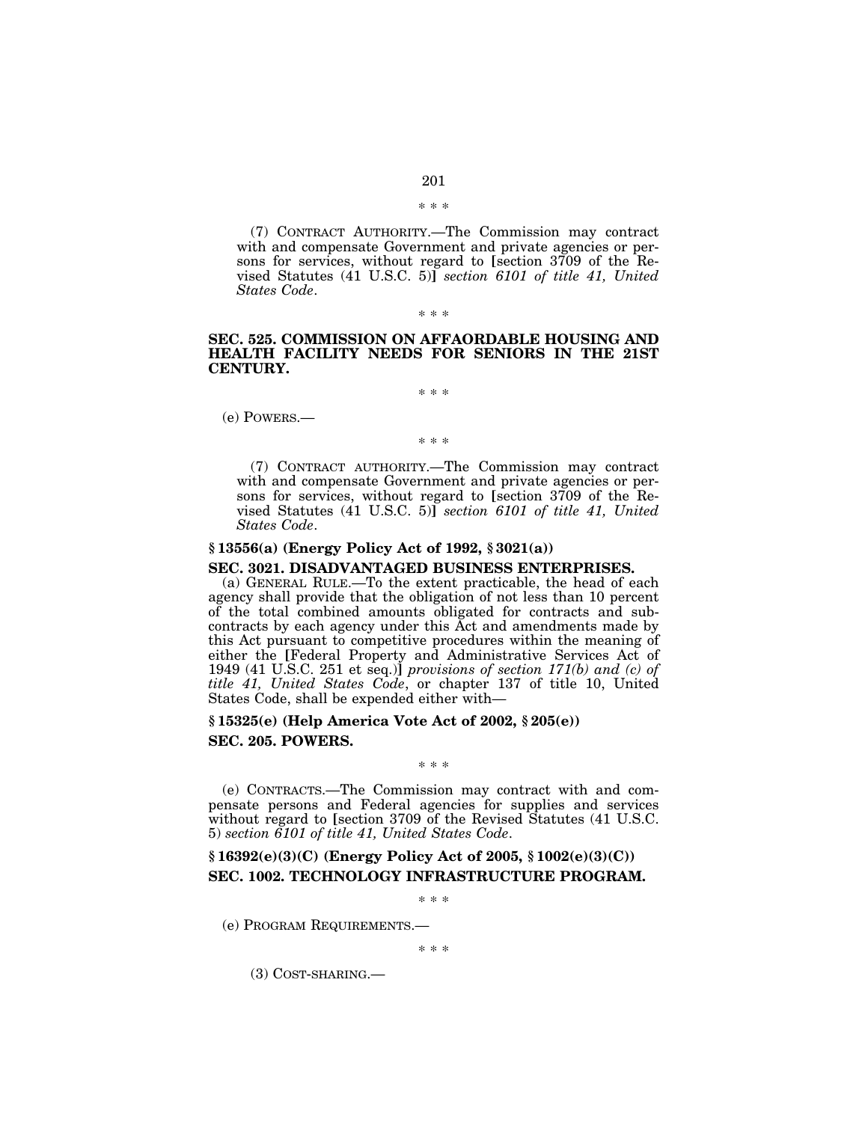(7) CONTRACT AUTHORITY.—The Commission may contract with and compensate Government and private agencies or persons for services, without regard to **[**section 3709 of the Revised Statutes (41 U.S.C. 5)**]** *section 6101 of title 41, United States Code*.

\* \* \*

# **SEC. 525. COMMISSION ON AFFAORDABLE HOUSING AND HEALTH FACILITY NEEDS FOR SENIORS IN THE 21ST CENTURY.**

\* \* \*

(e) POWERS.—

\* \* \*

(7) CONTRACT AUTHORITY.—The Commission may contract with and compensate Government and private agencies or persons for services, without regard to **[**section 3709 of the Revised Statutes (41 U.S.C. 5)**]** *section 6101 of title 41, United States Code*.

# **§ 13556(a) (Energy Policy Act of 1992, § 3021(a))**

# **SEC. 3021. DISADVANTAGED BUSINESS ENTERPRISES.**

(a) GENERAL RULE.—To the extent practicable, the head of each agency shall provide that the obligation of not less than 10 percent of the total combined amounts obligated for contracts and subcontracts by each agency under this Act and amendments made by this Act pursuant to competitive procedures within the meaning of either the **[**Federal Property and Administrative Services Act of 1949 (41 U.S.C. 251 et seq.)**]** *provisions of section 171(b) and (c) of title 41, United States Code*, or chapter 137 of title 10, United States Code, shall be expended either with—

**§ 15325(e) (Help America Vote Act of 2002, § 205(e)) SEC. 205. POWERS.** 

\* \* \*

(e) CONTRACTS.—The Commission may contract with and compensate persons and Federal agencies for supplies and services without regard to **[**section 3709 of the Revised Statutes (41 U.S.C. 5) *section 6101 of title 41, United States Code*.

# **§ 16392(e)(3)(C) (Energy Policy Act of 2005, § 1002(e)(3)(C)) SEC. 1002. TECHNOLOGY INFRASTRUCTURE PROGRAM.**

\* \* \*

(e) PROGRAM REQUIREMENTS.—

\* \* \*

(3) COST-SHARING.—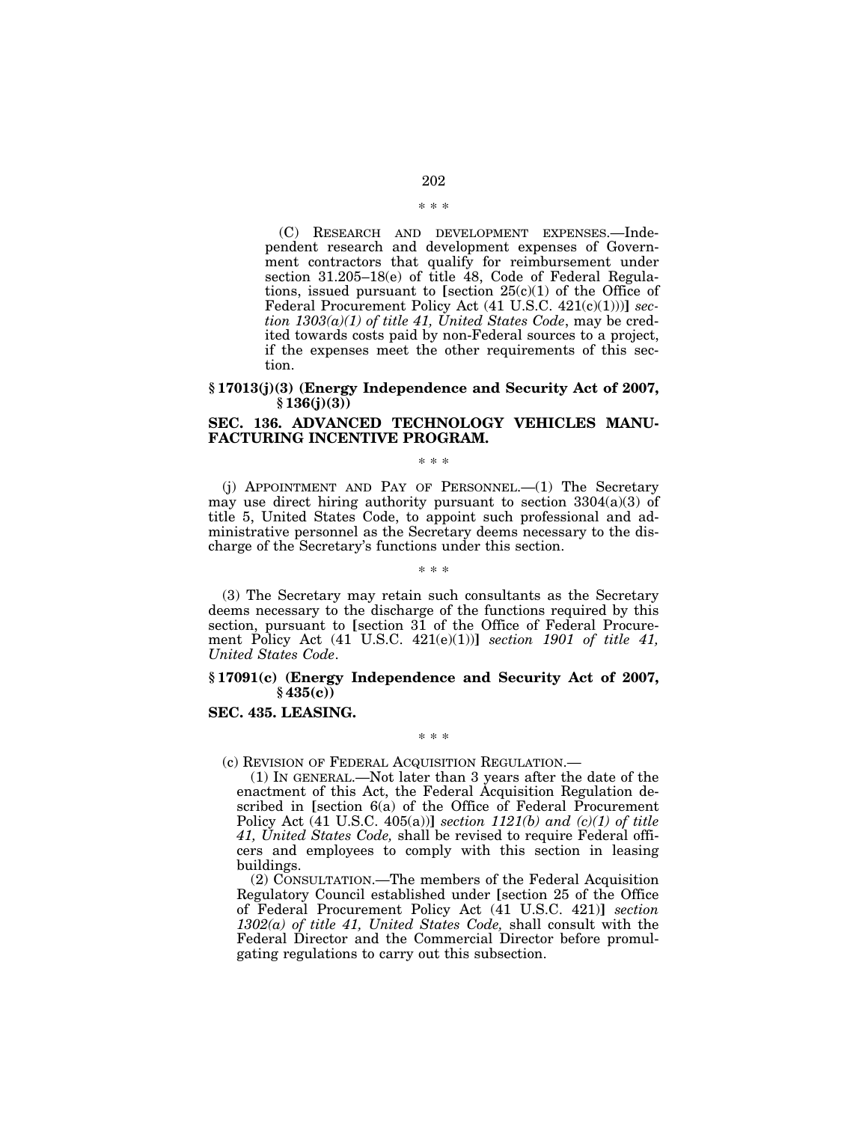(C) RESEARCH AND DEVELOPMENT EXPENSES.—Independent research and development expenses of Government contractors that qualify for reimbursement under section 31.205–18(e) of title 48, Code of Federal Regulations, issued pursuant to **[**section 25(c)(1) of the Office of Federal Procurement Policy Act (41 U.S.C. 421(c)(1)))**]** *section 1303(a)(1) of title 41, United States Code*, may be credited towards costs paid by non-Federal sources to a project, if the expenses meet the other requirements of this section.

# **§ 17013(j)(3) (Energy Independence and Security Act of 2007, § 136(j)(3))**

# **SEC. 136. ADVANCED TECHNOLOGY VEHICLES MANU-FACTURING INCENTIVE PROGRAM.**

#### \* \* \*

(j) APPOINTMENT AND PAY OF PERSONNEL.—(1) The Secretary may use direct hiring authority pursuant to section  $3304(a)(3)$  of title 5, United States Code, to appoint such professional and administrative personnel as the Secretary deems necessary to the discharge of the Secretary's functions under this section.

\* \* \*

(3) The Secretary may retain such consultants as the Secretary deems necessary to the discharge of the functions required by this section, pursuant to **[**section 31 of the Office of Federal Procurement Policy Act (41 U.S.C. 421(e)(1))**]** *section 1901 of title 41, United States Code*.

# **§ 17091(c) (Energy Independence and Security Act of 2007, § 435(c))**

#### **SEC. 435. LEASING.**

#### \* \* \*

(c) REVISION OF FEDERAL ACQUISITION REGULATION.—

(1) IN GENERAL.—Not later than 3 years after the date of the enactment of this Act, the Federal Acquisition Regulation described in [section 6(a) of the Office of Federal Procurement Policy Act (41 U.S.C. 405(a))**]** *section 1121(b) and (c)(1) of title 41, United States Code,* shall be revised to require Federal officers and employees to comply with this section in leasing buildings.

(2) CONSULTATION.—The members of the Federal Acquisition Regulatory Council established under **[**section 25 of the Office of Federal Procurement Policy Act (41 U.S.C. 421)**]** *section 1302(a) of title 41, United States Code,* shall consult with the Federal Director and the Commercial Director before promulgating regulations to carry out this subsection.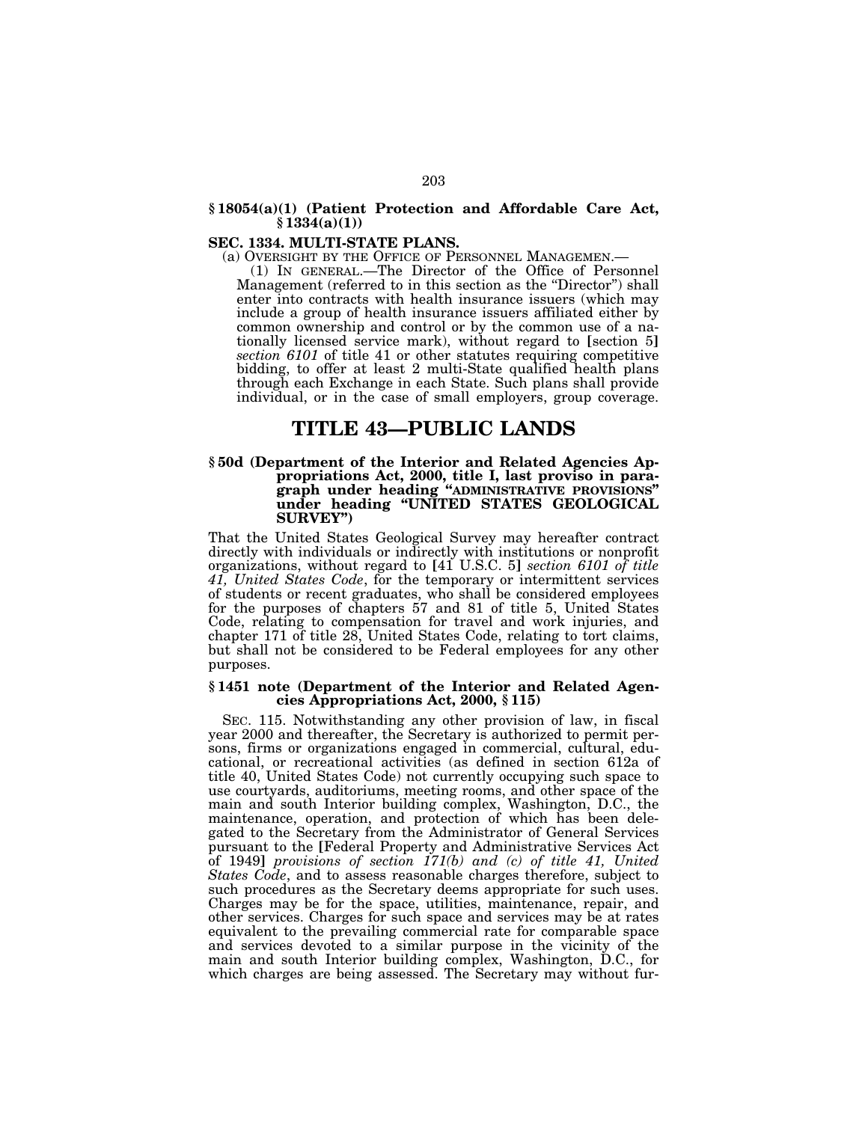## **§ 18054(a)(1) (Patient Protection and Affordable Care Act, § 1334(a)(1))**

**SEC. 1334. MULTI-STATE PLANS.**<br>
(a) OVERSIGHT BY THE OFFICE OF PERSONNEL MANAGEMEN.—

(1) IN GENERAL.—The Director of the Office of Personnel Management (referred to in this section as the "Director") shall enter into contracts with health insurance issuers (which may include a group of health insurance issuers affiliated either by common ownership and control or by the common use of a nationally licensed service mark), without regard to **[**section 5**]**  *section 6101* of title 41 or other statutes requiring competitive bidding, to offer at least 2 multi-State qualified health plans through each Exchange in each State. Such plans shall provide individual, or in the case of small employers, group coverage.

# **TITLE 43—PUBLIC LANDS**

## **§ 50d (Department of the Interior and Related Agencies Appropriations Act, 2000, title I, last proviso in paragraph under heading ''ADMINISTRATIVE PROVISIONS'' under heading ''UNITED STATES GEOLOGICAL SURVEY'')**

That the United States Geological Survey may hereafter contract directly with individuals or indirectly with institutions or nonprofit organizations, without regard to **[**41 U.S.C. 5**]** *section 6101 of title 41, United States Code*, for the temporary or intermittent services of students or recent graduates, who shall be considered employees for the purposes of chapters 57 and 81 of title 5, United States Code, relating to compensation for travel and work injuries, and chapter 171 of title 28, United States Code, relating to tort claims, but shall not be considered to be Federal employees for any other purposes.

## **§ 1451 note (Department of the Interior and Related Agencies Appropriations Act, 2000, § 115)**

SEC. 115. Notwithstanding any other provision of law, in fiscal year 2000 and thereafter, the Secretary is authorized to permit persons, firms or organizations engaged in commercial, cultural, educational, or recreational activities (as defined in section 612a of title 40, United States Code) not currently occupying such space to use courtyards, auditoriums, meeting rooms, and other space of the main and south Interior building complex, Washington, D.C., the maintenance, operation, and protection of which has been delegated to the Secretary from the Administrator of General Services pursuant to the **[**Federal Property and Administrative Services Act of 1949**]** *provisions of section 171(b) and (c) of title 41, United States Code*, and to assess reasonable charges therefore, subject to such procedures as the Secretary deems appropriate for such uses. Charges may be for the space, utilities, maintenance, repair, and other services. Charges for such space and services may be at rates equivalent to the prevailing commercial rate for comparable space and services devoted to a similar purpose in the vicinity of the main and south Interior building complex, Washington, D.C., for which charges are being assessed. The Secretary may without fur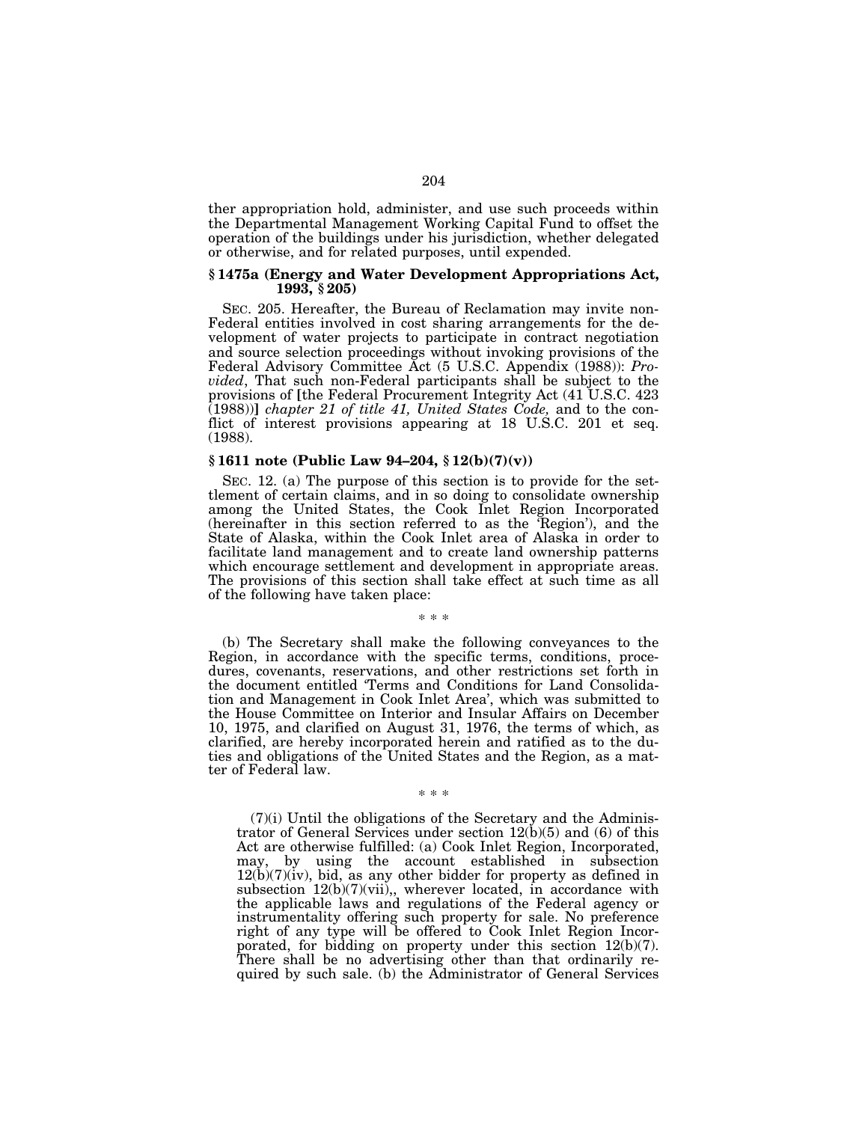ther appropriation hold, administer, and use such proceeds within the Departmental Management Working Capital Fund to offset the operation of the buildings under his jurisdiction, whether delegated or otherwise, and for related purposes, until expended.

# **§ 1475a (Energy and Water Development Appropriations Act, 1993, § 205)**

SEC. 205. Hereafter, the Bureau of Reclamation may invite non-Federal entities involved in cost sharing arrangements for the development of water projects to participate in contract negotiation and source selection proceedings without invoking provisions of the Federal Advisory Committee Act (5 U.S.C. Appendix (1988)): *Provided*, That such non-Federal participants shall be subject to the provisions of **[**the Federal Procurement Integrity Act (41 U.S.C. 423 (1988))**]** *chapter 21 of title 41, United States Code,* and to the conflict of interest provisions appearing at 18 U.S.C. 201 et seq. (1988).

# **§ 1611 note (Public Law 94–204, § 12(b)(7)(v))**

SEC. 12. (a) The purpose of this section is to provide for the settlement of certain claims, and in so doing to consolidate ownership among the United States, the Cook Inlet Region Incorporated (hereinafter in this section referred to as the 'Region'), and the State of Alaska, within the Cook Inlet area of Alaska in order to facilitate land management and to create land ownership patterns which encourage settlement and development in appropriate areas. The provisions of this section shall take effect at such time as all of the following have taken place:

#### \* \* \*

(b) The Secretary shall make the following conveyances to the Region, in accordance with the specific terms, conditions, procedures, covenants, reservations, and other restrictions set forth in the document entitled 'Terms and Conditions for Land Consolidation and Management in Cook Inlet Area', which was submitted to the House Committee on Interior and Insular Affairs on December 10, 1975, and clarified on August 31, 1976, the terms of which, as clarified, are hereby incorporated herein and ratified as to the duties and obligations of the United States and the Region, as a matter of Federal law.

## \* \* \*

(7)(i) Until the obligations of the Secretary and the Administrator of General Services under section 12(b)(5) and (6) of this Act are otherwise fulfilled: (a) Cook Inlet Region, Incorporated, may, by using the account established in subsection 12(b)(7)(iv), bid, as any other bidder for property as defined in subsection  $12(b)(7)(vii)$ , wherever located, in accordance with the applicable laws and regulations of the Federal agency or instrumentality offering such property for sale. No preference right of any type will be offered to Cook Inlet Region Incorporated, for bidding on property under this section 12(b)(7). There shall be no advertising other than that ordinarily required by such sale. (b) the Administrator of General Services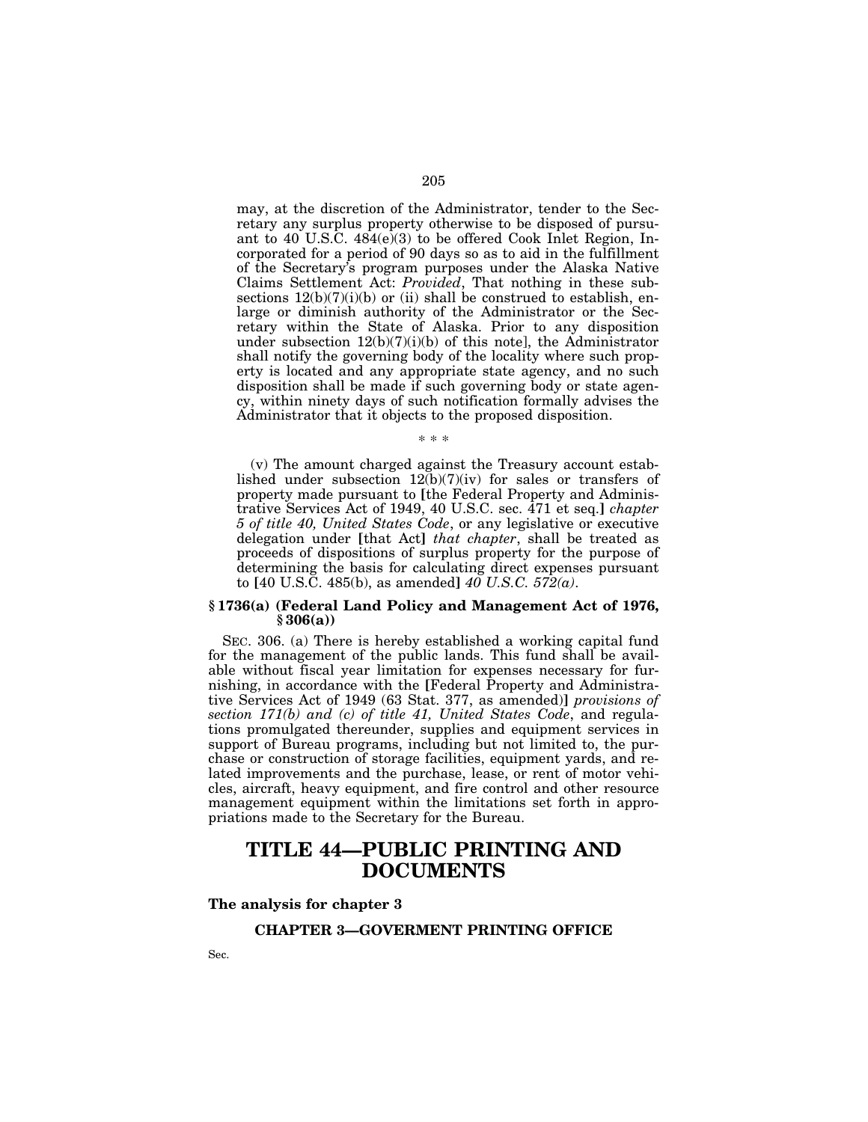may, at the discretion of the Administrator, tender to the Secretary any surplus property otherwise to be disposed of pursuant to 40 U.S.C. 484(e)(3) to be offered Cook Inlet Region, Incorporated for a period of 90 days so as to aid in the fulfillment of the Secretary's program purposes under the Alaska Native Claims Settlement Act: *Provided*, That nothing in these subsections  $12(b)(7)(i)(b)$  or (ii) shall be construed to establish, enlarge or diminish authority of the Administrator or the Secretary within the State of Alaska. Prior to any disposition under subsection  $12(b)(7)(i)(b)$  of this note], the Administrator shall notify the governing body of the locality where such property is located and any appropriate state agency, and no such disposition shall be made if such governing body or state agency, within ninety days of such notification formally advises the Administrator that it objects to the proposed disposition.

\* \* \*

(v) The amount charged against the Treasury account established under subsection  $12(b)(7)(iv)$  for sales or transfers of property made pursuant to **[**the Federal Property and Administrative Services Act of 1949, 40 U.S.C. sec. 471 et seq.**]** *chapter 5 of title 40, United States Code*, or any legislative or executive delegation under **[**that Act**]** *that chapter*, shall be treated as proceeds of dispositions of surplus property for the purpose of determining the basis for calculating direct expenses pursuant to **[**40 U.S.C. 485(b), as amended**]** *40 U.S.C. 572(a)*.

# **§ 1736(a) (Federal Land Policy and Management Act of 1976, § 306(a))**

SEC. 306. (a) There is hereby established a working capital fund for the management of the public lands. This fund shall be available without fiscal year limitation for expenses necessary for furnishing, in accordance with the [Federal Property and Administrative Services Act of 1949 (63 Stat. 377, as amended)**]** *provisions of section 171(b) and (c) of title 41, United States Code*, and regulations promulgated thereunder, supplies and equipment services in support of Bureau programs, including but not limited to, the purchase or construction of storage facilities, equipment yards, and related improvements and the purchase, lease, or rent of motor vehicles, aircraft, heavy equipment, and fire control and other resource management equipment within the limitations set forth in appropriations made to the Secretary for the Bureau.

# **TITLE 44—PUBLIC PRINTING AND DOCUMENTS**

**The analysis for chapter 3** 

#### **CHAPTER 3—GOVERMENT PRINTING OFFICE**

Sec.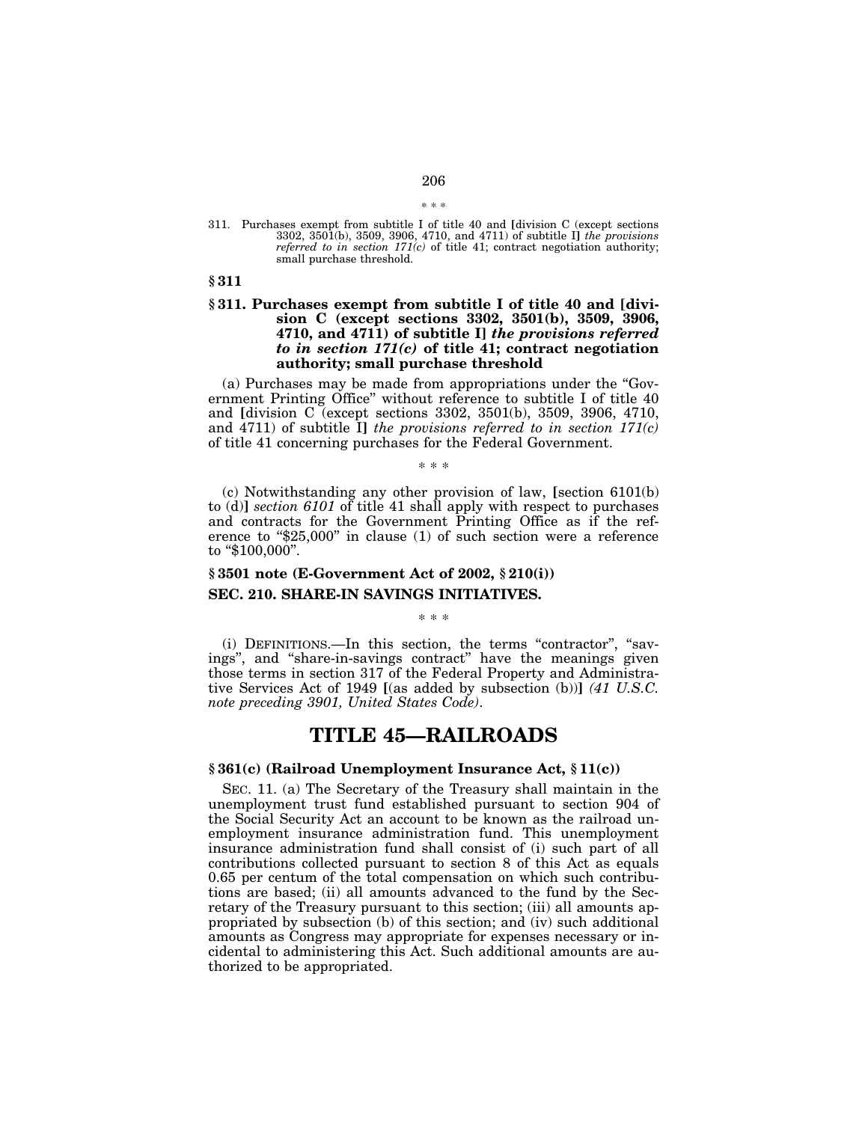# 206 \* \* \*

311. Purchases exempt from subtitle I of title 40 and **[**division C (except sections 3302, 3501(b), 3509, 3906, 4710, and 4711) of subtitle I**]** *the provisions referred to in section 171(c)* of title 41; contract negotiation authority; small purchase threshold.

# **§ 311**

# **§ 311. Purchases exempt from subtitle I of title 40 and [division C (except sections 3302, 3501(b), 3509, 3906, 4710, and 4711) of subtitle I]** *the provisions referred to in section 171(c)* **of title 41; contract negotiation authority; small purchase threshold**

(a) Purchases may be made from appropriations under the ''Government Printing Office'' without reference to subtitle I of title 40 and **[**division C (except sections 3302, 3501(b), 3509, 3906, 4710, and 4711) of subtitle I**]** *the provisions referred to in section 171(c)*  of title 41 concerning purchases for the Federal Government.

\* \* \*

(c) Notwithstanding any other provision of law, **[**section 6101(b) to (d)**]** *section 6101* of title 41 shall apply with respect to purchases and contracts for the Government Printing Office as if the reference to "\$25,000" in clause (1) of such section were a reference to "\$100,000".

# **§ 3501 note (E-Government Act of 2002, § 210(i)) SEC. 210. SHARE-IN SAVINGS INITIATIVES.**

\* \* \*

(i) DEFINITIONS.—In this section, the terms ''contractor'', ''savings", and "share-in-savings contract" have the meanings given those terms in section 317 of the Federal Property and Administrative Services Act of 1949 **[**(as added by subsection (b))**]** *(41 U.S.C. note preceding 3901, United States Code)*.

# **TITLE 45—RAILROADS**

## **§ 361(c) (Railroad Unemployment Insurance Act, § 11(c))**

SEC. 11. (a) The Secretary of the Treasury shall maintain in the unemployment trust fund established pursuant to section 904 of the Social Security Act an account to be known as the railroad unemployment insurance administration fund. This unemployment insurance administration fund shall consist of (i) such part of all contributions collected pursuant to section 8 of this Act as equals 0.65 per centum of the total compensation on which such contributions are based; (ii) all amounts advanced to the fund by the Secretary of the Treasury pursuant to this section; (iii) all amounts appropriated by subsection (b) of this section; and (iv) such additional amounts as Congress may appropriate for expenses necessary or incidental to administering this Act. Such additional amounts are authorized to be appropriated.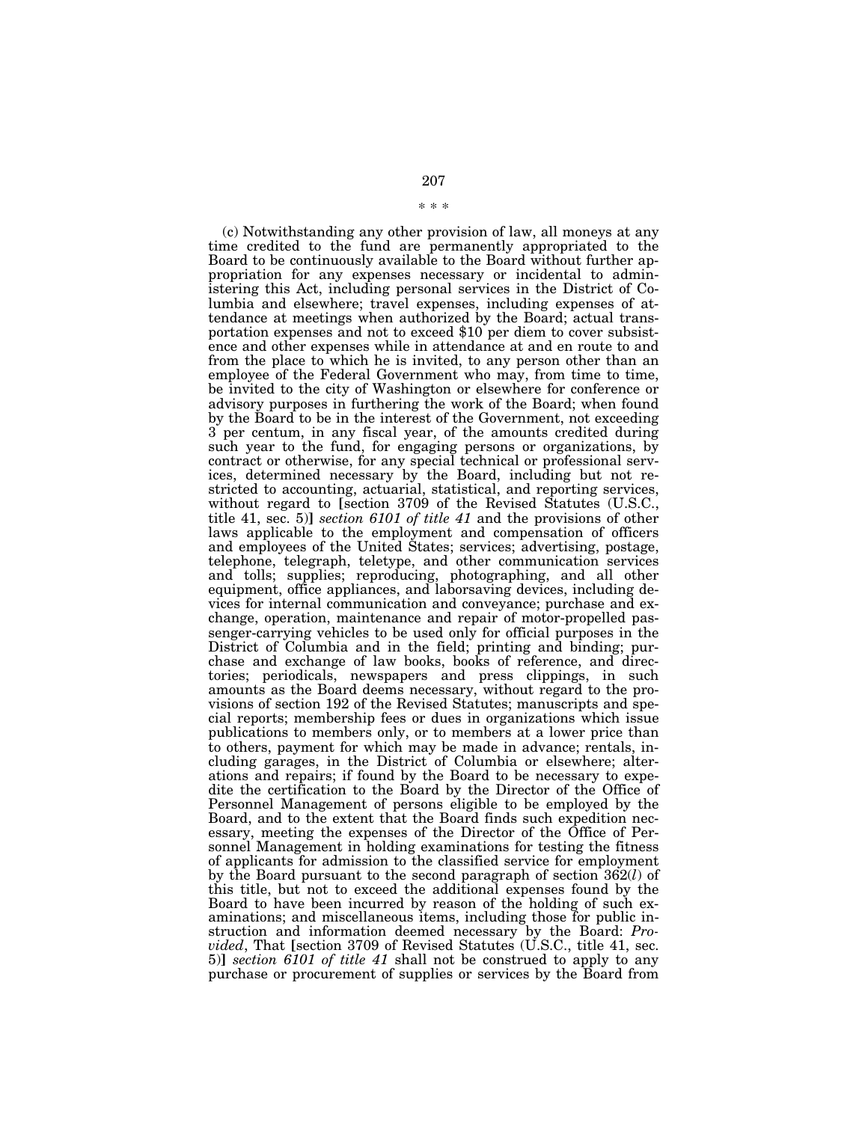(c) Notwithstanding any other provision of law, all moneys at any time credited to the fund are permanently appropriated to the Board to be continuously available to the Board without further appropriation for any expenses necessary or incidental to administering this Act, including personal services in the District of Columbia and elsewhere; travel expenses, including expenses of attendance at meetings when authorized by the Board; actual transportation expenses and not to exceed \$10 per diem to cover subsistence and other expenses while in attendance at and en route to and from the place to which he is invited, to any person other than an employee of the Federal Government who may, from time to time, be invited to the city of Washington or elsewhere for conference or advisory purposes in furthering the work of the Board; when found by the Board to be in the interest of the Government, not exceeding 3 per centum, in any fiscal year, of the amounts credited during such year to the fund, for engaging persons or organizations, by contract or otherwise, for any special technical or professional services, determined necessary by the Board, including but not restricted to accounting, actuarial, statistical, and reporting services, without regard to **[**section 3709 of the Revised Statutes (U.S.C., title 41, sec. 5)**]** *section 6101 of title 41* and the provisions of other laws applicable to the employment and compensation of officers and employees of the United States; services; advertising, postage, telephone, telegraph, teletype, and other communication services and tolls; supplies; reproducing, photographing, and all other equipment, office appliances, and laborsaving devices, including devices for internal communication and conveyance; purchase and exchange, operation, maintenance and repair of motor-propelled passenger-carrying vehicles to be used only for official purposes in the District of Columbia and in the field; printing and binding; purchase and exchange of law books, books of reference, and directories; periodicals, newspapers and press clippings, in such amounts as the Board deems necessary, without regard to the provisions of section 192 of the Revised Statutes; manuscripts and special reports; membership fees or dues in organizations which issue publications to members only, or to members at a lower price than to others, payment for which may be made in advance; rentals, including garages, in the District of Columbia or elsewhere; alterations and repairs; if found by the Board to be necessary to expedite the certification to the Board by the Director of the Office of Personnel Management of persons eligible to be employed by the Board, and to the extent that the Board finds such expedition necessary, meeting the expenses of the Director of the Office of Personnel Management in holding examinations for testing the fitness of applicants for admission to the classified service for employment by the Board pursuant to the second paragraph of section 362(*l*) of this title, but not to exceed the additional expenses found by the Board to have been incurred by reason of the holding of such examinations; and miscellaneous items, including those for public instruction and information deemed necessary by the Board: *Provided*, That **[**section 3709 of Revised Statutes (U.S.C., title 41, sec. 5)**]** *section 6101 of title 41* shall not be construed to apply to any purchase or procurement of supplies or services by the Board from

\* \* \*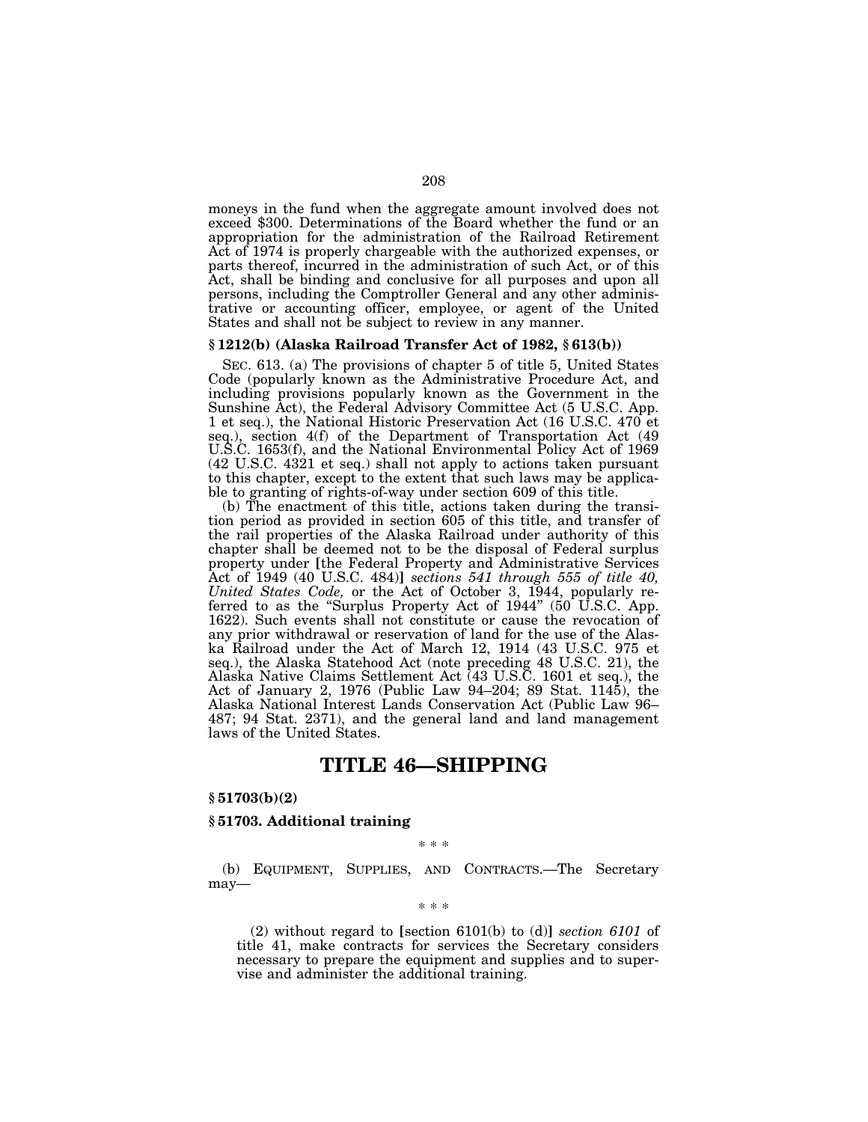moneys in the fund when the aggregate amount involved does not exceed \$300. Determinations of the Board whether the fund or an appropriation for the administration of the Railroad Retirement Act of 1974 is properly chargeable with the authorized expenses, or parts thereof, incurred in the administration of such Act, or of this Act, shall be binding and conclusive for all purposes and upon all persons, including the Comptroller General and any other administrative or accounting officer, employee, or agent of the United States and shall not be subject to review in any manner.

#### **§ 1212(b) (Alaska Railroad Transfer Act of 1982, § 613(b))**

SEC. 613. (a) The provisions of chapter 5 of title 5, United States Code (popularly known as the Administrative Procedure Act, and including provisions popularly known as the Government in the Sunshine Act), the Federal Advisory Committee Act (5 U.S.C. App. 1 et seq.), the National Historic Preservation Act (16 U.S.C. 470 et seq.), section 4(f) of the Department of Transportation Act (49 U.S.C. 1653(f), and the National Environmental Policy Act of 1969 (42 U.S.C. 4321 et seq.) shall not apply to actions taken pursuant to this chapter, except to the extent that such laws may be applicable to granting of rights-of-way under section 609 of this title.

(b) The enactment of this title, actions taken during the transition period as provided in section 605 of this title, and transfer of the rail properties of the Alaska Railroad under authority of this chapter shall be deemed not to be the disposal of Federal surplus property under **[**the Federal Property and Administrative Services Act of 1949 (40 U.S.C. 484)**]** *sections 541 through 555 of title 40, United States Code,* or the Act of October 3, 1944, popularly referred to as the "Surplus Property Act of  $1944$ " ( $50$  U.S.C. App. 1622). Such events shall not constitute or cause the revocation of any prior withdrawal or reservation of land for the use of the Alaska Railroad under the Act of March 12, 1914 (43 U.S.C. 975 et seq.), the Alaska Statehood Act (note preceding 48 U.S.C. 21), the Alaska Native Claims Settlement Act (43 U.S.C. 1601 et seq.), the Act of January 2, 1976 (Public Law 94–204; 89 Stat. 1145), the Alaska National Interest Lands Conservation Act (Public Law 96– 487; 94 Stat. 2371), and the general land and land management laws of the United States.

# **TITLE 46—SHIPPING**

# **§ 51703(b)(2)**

# **§ 51703. Additional training**

\* \* \*

(b) EQUIPMENT, SUPPLIES, AND CONTRACTS.—The Secretary may—

#### \* \* \*

(2) without regard to **[**section 6101(b) to (d)**]** *section 6101* of title 41, make contracts for services the Secretary considers necessary to prepare the equipment and supplies and to supervise and administer the additional training.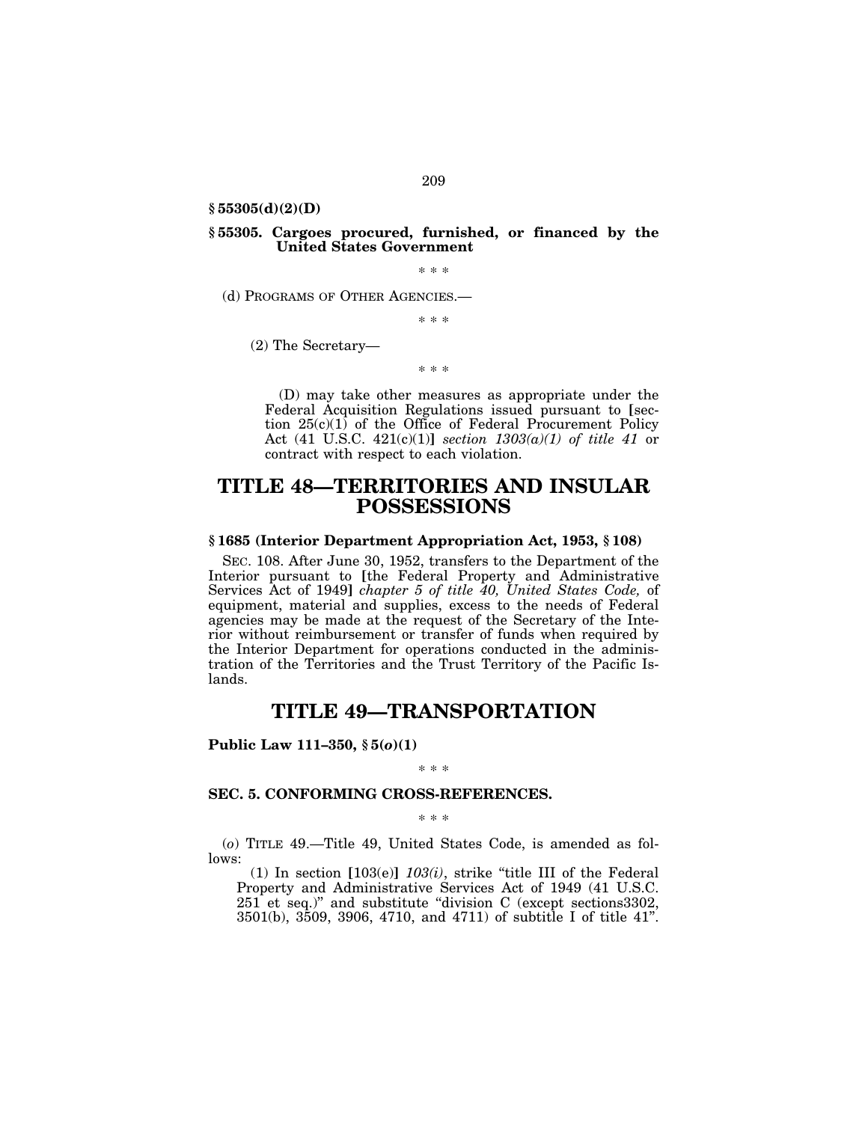#### **§ 55305(d)(2)(D)**

# **§ 55305. Cargoes procured, furnished, or financed by the United States Government**

\* \* \*

(d) PROGRAMS OF OTHER AGENCIES.—

\* \* \*

(2) The Secretary—

\* \* \*

(D) may take other measures as appropriate under the Federal Acquisition Regulations issued pursuant to **[**section  $25(c)(1)$  of the Office of Federal Procurement Policy Act (41 U.S.C. 421(c)(1)**]** *section 1303(a)(1) of title 41* or contract with respect to each violation.

# **TITLE 48—TERRITORIES AND INSULAR POSSESSIONS**

## **§ 1685 (Interior Department Appropriation Act, 1953, § 108)**

SEC. 108. After June 30, 1952, transfers to the Department of the Interior pursuant to **[**the Federal Property and Administrative Services Act of 1949**]** *chapter 5 of title 40, United States Code,* of equipment, material and supplies, excess to the needs of Federal agencies may be made at the request of the Secretary of the Interior without reimbursement or transfer of funds when required by the Interior Department for operations conducted in the administration of the Territories and the Trust Territory of the Pacific Islands.

# **TITLE 49—TRANSPORTATION**

**Public Law 111–350, § 5(***o***)(1)** 

#### \* \* \*

# **SEC. 5. CONFORMING CROSS-REFERENCES.**

\* \* \*

(*o*) TITLE 49.—Title 49, United States Code, is amended as follows:

(1) In section  $[103(e)]$   $103(i)$ , strike "title III of the Federal Property and Administrative Services Act of 1949 (41 U.S.C. 251 et seq.)'' and substitute ''division C (except sections3302, 3501(b), 3509, 3906, 4710, and 4711) of subtitle I of title 41''.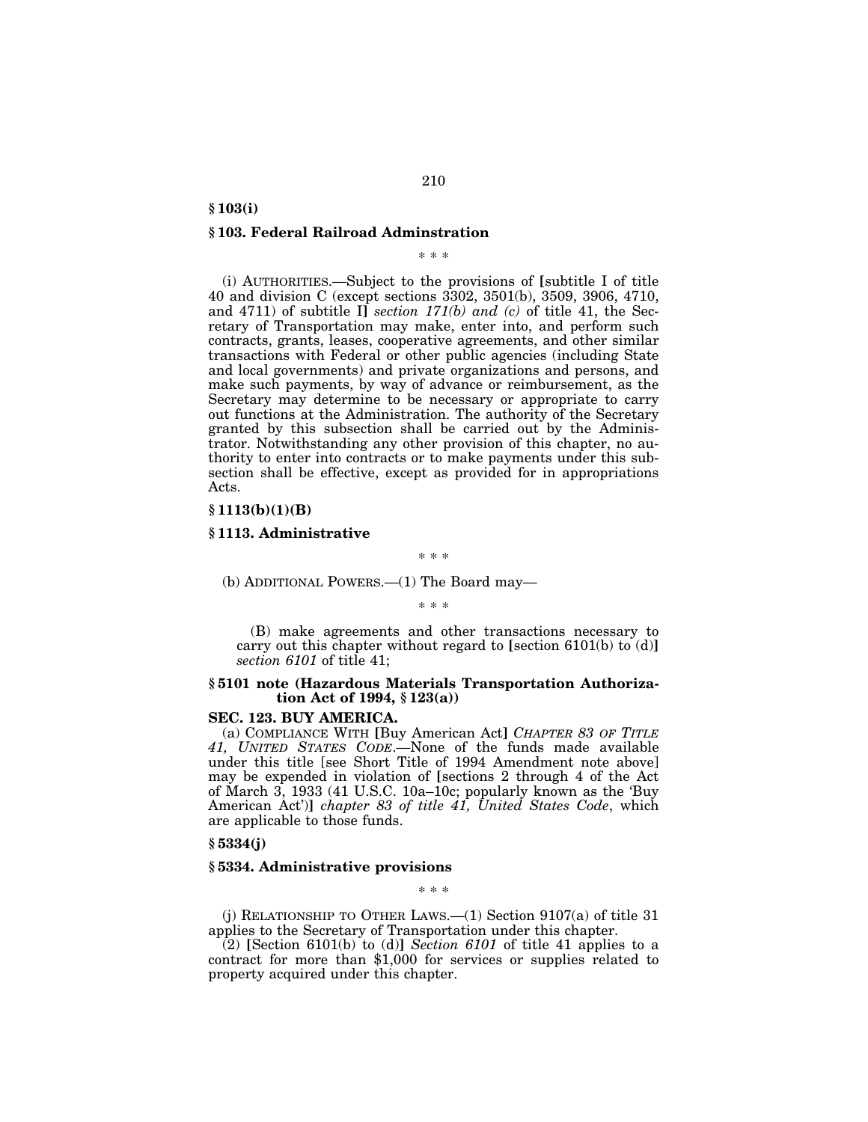**§ 103(i)** 

# **§ 103. Federal Railroad Adminstration**

\* \* \*

(i) AUTHORITIES.—Subject to the provisions of **[**subtitle I of title 40 and division C (except sections 3302, 3501(b), 3509, 3906, 4710, and 4711) of subtitle I**]** *section 171(b) and (c)* of title 41, the Secretary of Transportation may make, enter into, and perform such contracts, grants, leases, cooperative agreements, and other similar transactions with Federal or other public agencies (including State and local governments) and private organizations and persons, and make such payments, by way of advance or reimbursement, as the Secretary may determine to be necessary or appropriate to carry out functions at the Administration. The authority of the Secretary granted by this subsection shall be carried out by the Administrator. Notwithstanding any other provision of this chapter, no authority to enter into contracts or to make payments under this subsection shall be effective, except as provided for in appropriations Acts.

#### **§ 1113(b)(1)(B)**

# **§ 1113. Administrative**

\* \* \*

#### (b) ADDITIONAL POWERS.—(1) The Board may—

\* \* \*

(B) make agreements and other transactions necessary to carry out this chapter without regard to **[**section 6101(b) to (d)**]**  *section 6101* of title 41;

#### **§ 5101 note (Hazardous Materials Transportation Authorization Act of 1994, § 123(a))**

#### **SEC. 123. BUY AMERICA.**

(a) COMPLIANCE WITH **[**Buy American Act**]** *CHAPTER 83 OF TITLE 41, UNITED STATES CODE*.—None of the funds made available under this title [see Short Title of 1994 Amendment note above] may be expended in violation of **[**sections 2 through 4 of the Act of March 3, 1933 (41 U.S.C. 10a–10c; popularly known as the 'Buy American Act')**]** *chapter 83 of title 41, United States Code*, which are applicable to those funds.

#### **§ 5334(j)**

#### **§ 5334. Administrative provisions**

\* \* \*

 $(i)$  RELATIONSHIP TO OTHER LAWS.— $(1)$  Section 9107 $(a)$  of title 31 applies to the Secretary of Transportation under this chapter.

(2) **[**Section 6101(b) to (d)**]** *Section 6101* of title 41 applies to a contract for more than \$1,000 for services or supplies related to property acquired under this chapter.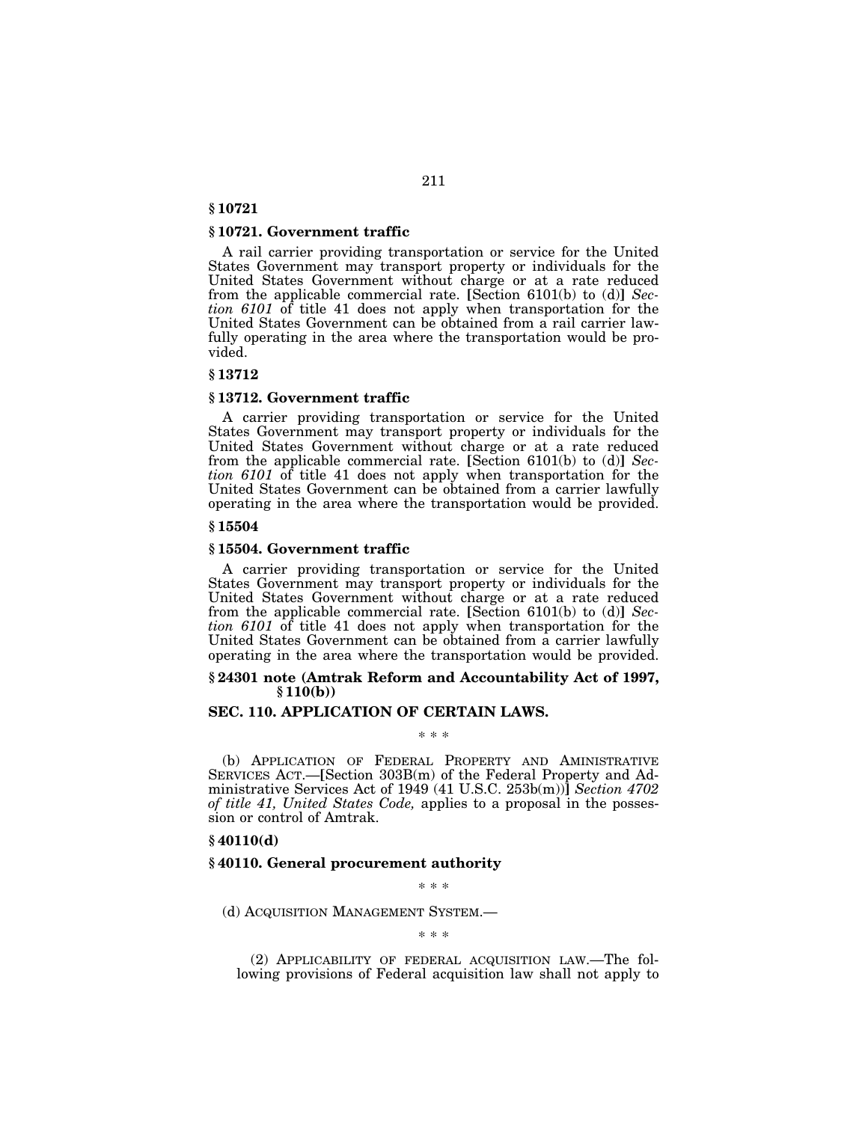# **§ 10721**

# **§ 10721. Government traffic**

A rail carrier providing transportation or service for the United States Government may transport property or individuals for the United States Government without charge or at a rate reduced from the applicable commercial rate. **[**Section 6101(b) to (d)**]** *Section 6101* of title 41 does not apply when transportation for the United States Government can be obtained from a rail carrier lawfully operating in the area where the transportation would be provided.

# **§ 13712**

# **§ 13712. Government traffic**

A carrier providing transportation or service for the United States Government may transport property or individuals for the United States Government without charge or at a rate reduced from the applicable commercial rate. **[**Section 6101(b) to (d)**]** *Section 6101* of title 41 does not apply when transportation for the United States Government can be obtained from a carrier lawfully operating in the area where the transportation would be provided.

# **§ 15504**

#### **§ 15504. Government traffic**

A carrier providing transportation or service for the United States Government may transport property or individuals for the United States Government without charge or at a rate reduced from the applicable commercial rate. **[**Section 6101(b) to (d)**]** *Section 6101* of title 41 does not apply when transportation for the United States Government can be obtained from a carrier lawfully operating in the area where the transportation would be provided.

# **§ 24301 note (Amtrak Reform and Accountability Act of 1997, § 110(b))**

# **SEC. 110. APPLICATION OF CERTAIN LAWS.**

\* \* \*

(b) APPLICATION OF FEDERAL PROPERTY AND AMINISTRATIVE SERVICES ACT.—**[**Section 303B(m) of the Federal Property and Administrative Services Act of 1949 (41 U.S.C. 253b(m))**]** *Section 4702 of title 41, United States Code,* applies to a proposal in the possession or control of Amtrak.

## **§ 40110(d)**

#### **§ 40110. General procurement authority**

#### \* \* \*

(d) ACQUISITION MANAGEMENT SYSTEM.—

\* \* \*

(2) APPLICABILITY OF FEDERAL ACQUISITION LAW.—The following provisions of Federal acquisition law shall not apply to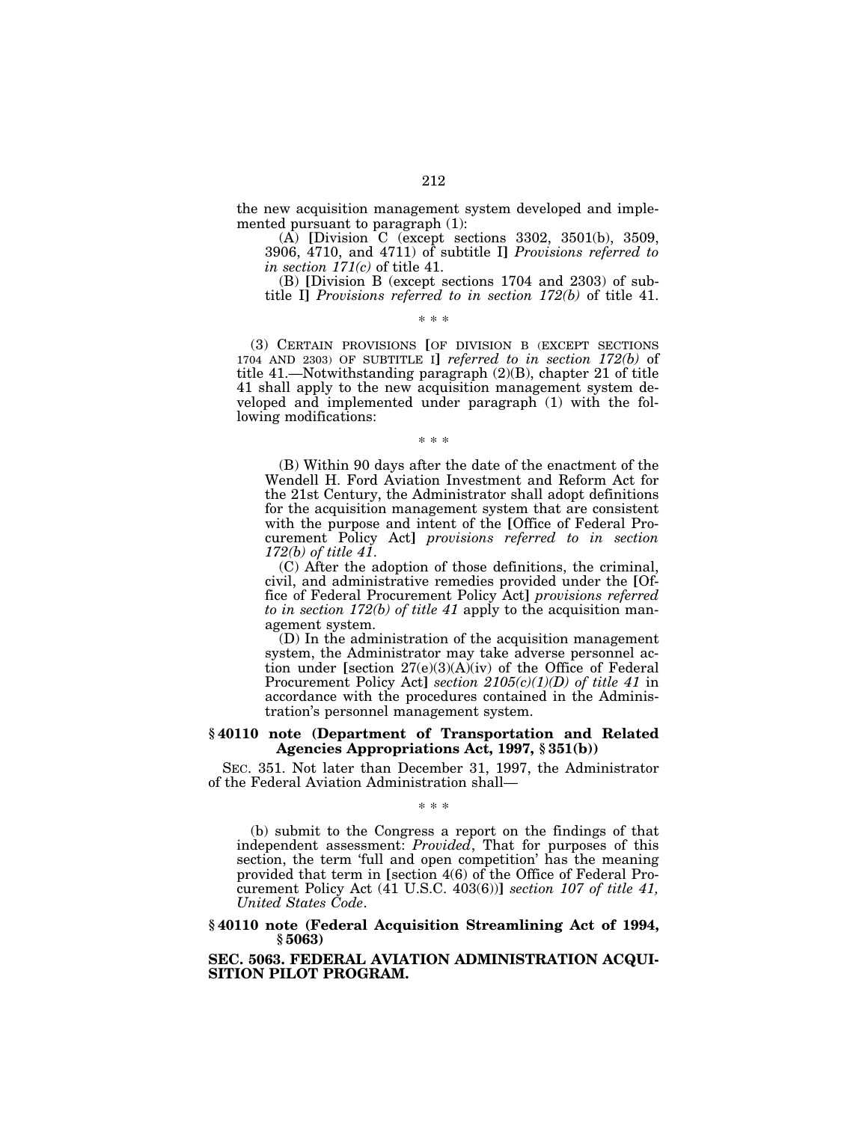the new acquisition management system developed and implemented pursuant to paragraph (1):

(A) **[**Division C (except sections 3302, 3501(b), 3509, 3906, 4710, and 4711) of subtitle I**]** *Provisions referred to in section 171(c)* of title 41.

(B) **[**Division B (except sections 1704 and 2303) of subtitle I**]** *Provisions referred to in section 172(b)* of title 41.

# \* \* \*

(3) CERTAIN PROVISIONS **[**OF DIVISION B (EXCEPT SECTIONS 1704 AND 2303) OF SUBTITLE I**]** *referred to in section 172(b)* of title 41.—Notwithstanding paragraph (2)(B), chapter 21 of title 41 shall apply to the new acquisition management system developed and implemented under paragraph (1) with the following modifications:

#### \* \* \*

(B) Within 90 days after the date of the enactment of the Wendell H. Ford Aviation Investment and Reform Act for the 21st Century, the Administrator shall adopt definitions for the acquisition management system that are consistent with the purpose and intent of the **[**Office of Federal Procurement Policy Act**]** *provisions referred to in section 172(b) of title 41*.

(C) After the adoption of those definitions, the criminal, civil, and administrative remedies provided under the **[**Office of Federal Procurement Policy Act**]** *provisions referred to in section 172(b) of title 41* apply to the acquisition management system.

(D) In the administration of the acquisition management system, the Administrator may take adverse personnel action under **[**section 27(e)(3)(A)(iv) of the Office of Federal Procurement Policy Act**]** *section 2105(c)(1)(D) of title 41* in accordance with the procedures contained in the Administration's personnel management system.

# **§ 40110 note (Department of Transportation and Related Agencies Appropriations Act, 1997, § 351(b))**

SEC. 351. Not later than December 31, 1997, the Administrator of the Federal Aviation Administration shall—

\* \* \*

(b) submit to the Congress a report on the findings of that independent assessment: *Provided*, That for purposes of this section, the term 'full and open competition' has the meaning provided that term in **[**section 4(6) of the Office of Federal Procurement Policy Act (41 U.S.C. 403(6))**]** *section 107 of title 41, United States Code*.

#### **§ 40110 note (Federal Acquisition Streamlining Act of 1994, § 5063)**

# **SEC. 5063. FEDERAL AVIATION ADMINISTRATION ACQUI-SITION PILOT PROGRAM.**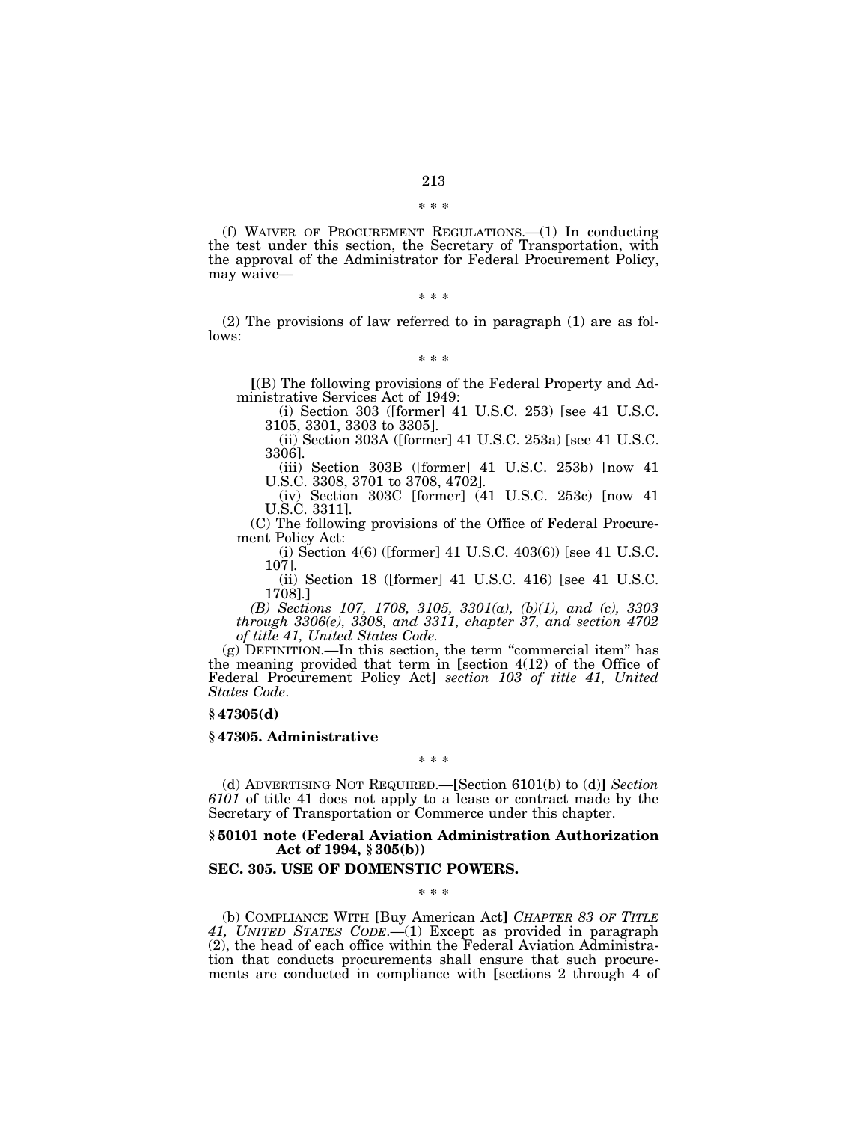(f) WAIVER OF PROCUREMENT REGULATIONS.—(1) In conducting the test under this section, the Secretary of Transportation, with the approval of the Administrator for Federal Procurement Policy, may waive—

# \* \* \*

(2) The provisions of law referred to in paragraph (1) are as follows:

\* \* \*

**[**(B) The following provisions of the Federal Property and Administrative Services Act of 1949:

(i) Section 303 ([former] 41 U.S.C. 253) [see 41 U.S.C. 3105, 3301, 3303 to 3305].

(ii) Section 303A ([former] 41 U.S.C. 253a) [see 41 U.S.C. 3306].

(iii) Section 303B ([former] 41 U.S.C. 253b) [now 41 U.S.C. 3308, 3701 to 3708, 4702].

(iv) Section 303C [former] (41 U.S.C. 253c) [now 41 U.S.C. 3311].

(C) The following provisions of the Office of Federal Procurement Policy Act:

(i) Section 4(6) ([former] 41 U.S.C. 403(6)) [see 41 U.S.C. 107].

(ii) Section 18 ([former] 41 U.S.C. 416) [see 41 U.S.C. 1708].**]** 

*(B) Sections 107, 1708, 3105, 3301(a), (b)(1), and (c), 3303 through 3306(e), 3308, and 3311, chapter 37, and section 4702 of title 41, United States Code.* 

(g) DEFINITION.—In this section, the term ''commercial item'' has the meaning provided that term in **[**section 4(12) of the Office of Federal Procurement Policy Act**]** *section 103 of title 41, United States Code*.

# **§ 47305(d)**

#### **§ 47305. Administrative**

\* \* \*

(d) ADVERTISING NOT REQUIRED.—**[**Section 6101(b) to (d)**]** *Section 6101* of title 41 does not apply to a lease or contract made by the Secretary of Transportation or Commerce under this chapter.

## **§ 50101 note (Federal Aviation Administration Authorization Act of 1994, § 305(b))**

# **SEC. 305. USE OF DOMENSTIC POWERS.**

\* \* \*

(b) COMPLIANCE WITH **[**Buy American Act**]** *CHAPTER 83 OF TITLE 41, UNITED STATES CODE*.—(1) Except as provided in paragraph (2), the head of each office within the Federal Aviation Administration that conducts procurements shall ensure that such procurements are conducted in compliance with **[**sections 2 through 4 of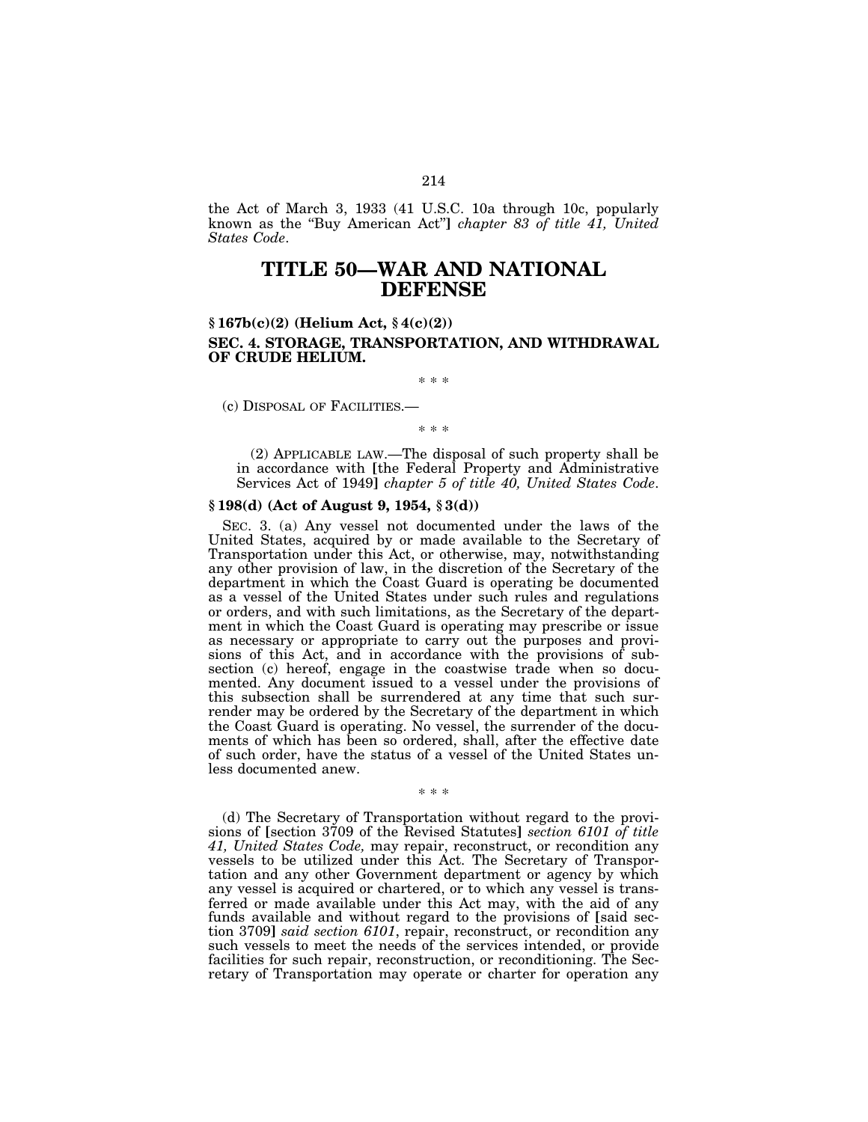the Act of March 3, 1933 (41 U.S.C. 10a through 10c, popularly known as the ''Buy American Act''**]** *chapter 83 of title 41, United States Code*.

# **TITLE 50—WAR AND NATIONAL DEFENSE**

# **§ 167b(c)(2) (Helium Act, § 4(c)(2)) SEC. 4. STORAGE, TRANSPORTATION, AND WITHDRAWAL OF CRUDE HELIUM.**

\* \* \*

(c) DISPOSAL OF FACILITIES.—

\* \* \*

(2) APPLICABLE LAW.—The disposal of such property shall be in accordance with **[**the Federal Property and Administrative Services Act of 1949**]** *chapter 5 of title 40, United States Code*.

## **§ 198(d) (Act of August 9, 1954, § 3(d))**

SEC. 3. (a) Any vessel not documented under the laws of the United States, acquired by or made available to the Secretary of Transportation under this Act, or otherwise, may, notwithstanding any other provision of law, in the discretion of the Secretary of the department in which the Coast Guard is operating be documented as a vessel of the United States under such rules and regulations or orders, and with such limitations, as the Secretary of the department in which the Coast Guard is operating may prescribe or issue as necessary or appropriate to carry out the purposes and provisions of this Act, and in accordance with the provisions of subsection (c) hereof, engage in the coastwise trade when so documented. Any document issued to a vessel under the provisions of this subsection shall be surrendered at any time that such surrender may be ordered by the Secretary of the department in which the Coast Guard is operating. No vessel, the surrender of the documents of which has been so ordered, shall, after the effective date of such order, have the status of a vessel of the United States unless documented anew.

\* \* \*

(d) The Secretary of Transportation without regard to the provisions of **[**section 3709 of the Revised Statutes**]** *section 6101 of title 41, United States Code,* may repair, reconstruct, or recondition any vessels to be utilized under this Act. The Secretary of Transportation and any other Government department or agency by which any vessel is acquired or chartered, or to which any vessel is transferred or made available under this Act may, with the aid of any funds available and without regard to the provisions of **[**said section 3709**]** *said section 6101*, repair, reconstruct, or recondition any such vessels to meet the needs of the services intended, or provide facilities for such repair, reconstruction, or reconditioning. The Secretary of Transportation may operate or charter for operation any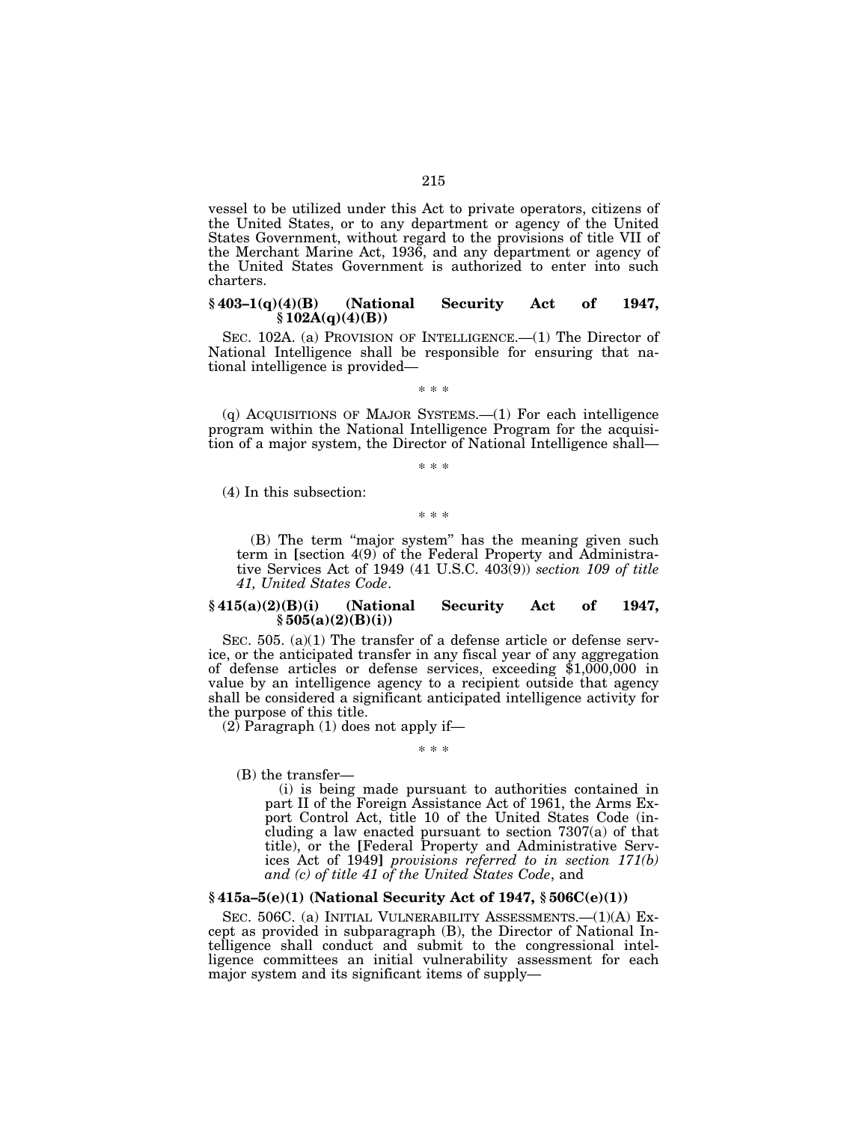vessel to be utilized under this Act to private operators, citizens of the United States, or to any department or agency of the United States Government, without regard to the provisions of title VII of the Merchant Marine Act, 1936, and any department or agency of the United States Government is authorized to enter into such charters.

#### **§ 403–1(q)(4)(B) (National Security Act of 1947,**   $§ 102A(q)(4)(B))$

SEC. 102A. (a) PROVISION OF INTELLIGENCE.—(1) The Director of National Intelligence shall be responsible for ensuring that national intelligence is provided—

\* \* \*

(q) ACQUISITIONS OF MAJOR SYSTEMS.—(1) For each intelligence program within the National Intelligence Program for the acquisition of a major system, the Director of National Intelligence shall—

\* \* \*

(4) In this subsection:

\* \* \*

(B) The term "major system" has the meaning given such term in **[**section 4(9) of the Federal Property and Administrative Services Act of 1949 (41 U.S.C. 403(9)) *section 109 of title 41, United States Code*.

## **§ 415(a)(2)(B)(i) (National Security Act of 1947,**   $§ 505(a)(2)(B)(i))$

SEC. 505. (a)(1) The transfer of a defense article or defense service, or the anticipated transfer in any fiscal year of any aggregation of defense articles or defense services, exceeding \$1,000,000 in value by an intelligence agency to a recipient outside that agency shall be considered a significant anticipated intelligence activity for the purpose of this title.

 $(2)$  Paragraph  $(1)$  does not apply if—

\* \* \*

(B) the transfer—

(i) is being made pursuant to authorities contained in part II of the Foreign Assistance Act of 1961, the Arms Export Control Act, title 10 of the United States Code (including a law enacted pursuant to section 7307(a) of that title), or the **[**Federal Property and Administrative Services Act of 1949**]** *provisions referred to in section 171(b) and (c) of title 41 of the United States Code*, and

# **§ 415a–5(e)(1) (National Security Act of 1947, § 506C(e)(1))**

SEC. 506C. (a) INITIAL VULNERABILITY ASSESSMENTS. - (1)(A) Except as provided in subparagraph (B), the Director of National Intelligence shall conduct and submit to the congressional intelligence committees an initial vulnerability assessment for each major system and its significant items of supply—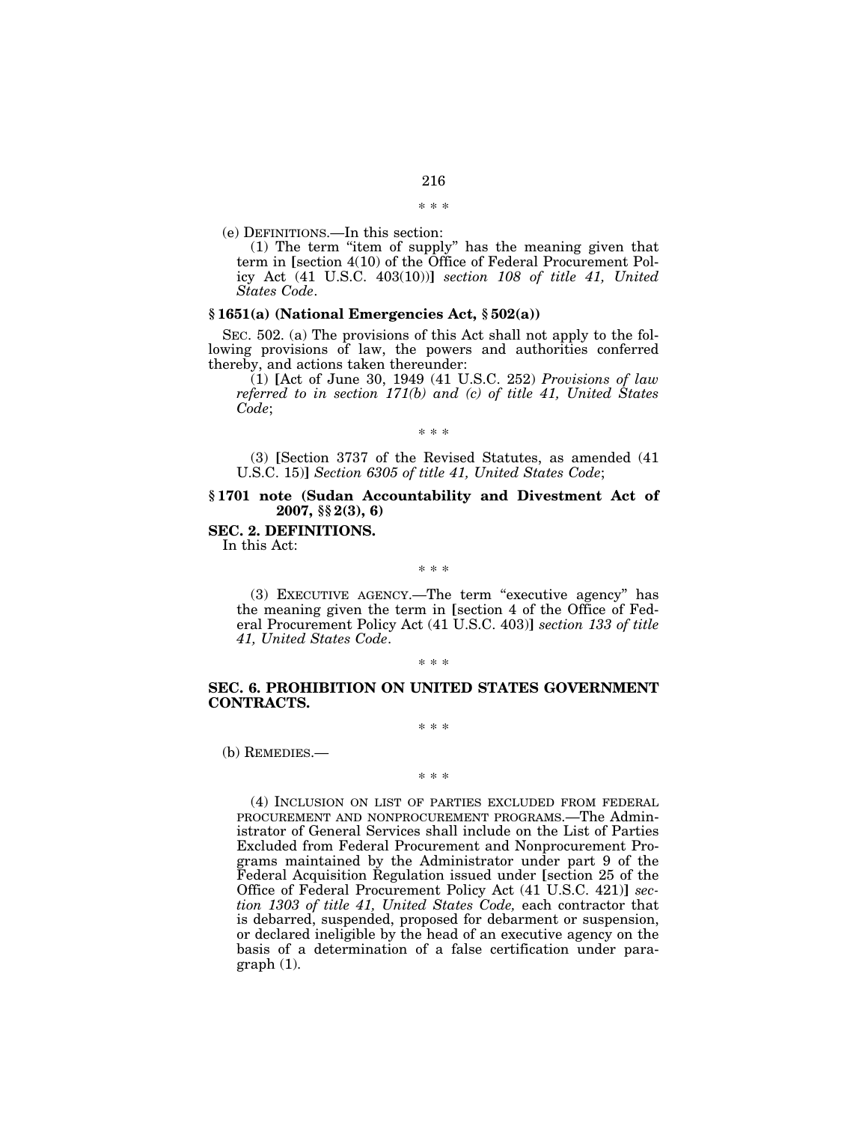216 \* \* \*

(e) DEFINITIONS.—In this section:

(1) The term ''item of supply'' has the meaning given that term in **[**section 4(10) of the Office of Federal Procurement Policy Act (41 U.S.C. 403(10))**]** *section 108 of title 41, United States Code*.

## **§ 1651(a) (National Emergencies Act, § 502(a))**

SEC. 502. (a) The provisions of this Act shall not apply to the following provisions of law, the powers and authorities conferred thereby, and actions taken thereunder:

(1) **[**Act of June 30, 1949 (41 U.S.C. 252) *Provisions of law referred to in section 171(b) and (c) of title 41, United States Code*;

\* \* \*

(3) **[**Section 3737 of the Revised Statutes, as amended (41 U.S.C. 15)**]** *Section 6305 of title 41, United States Code*;

# **§ 1701 note (Sudan Accountability and Divestment Act of 2007, §§ 2(3), 6)**

#### **SEC. 2. DEFINITIONS.**

In this Act:

#### \* \* \*

(3) EXECUTIVE AGENCY.—The term ''executive agency'' has the meaning given the term in **[**section 4 of the Office of Federal Procurement Policy Act (41 U.S.C. 403)**]** *section 133 of title 41, United States Code*.

\* \* \*

# **SEC. 6. PROHIBITION ON UNITED STATES GOVERNMENT CONTRACTS.**

\* \* \*

(b) REMEDIES.—

#### \* \* \*

(4) INCLUSION ON LIST OF PARTIES EXCLUDED FROM FEDERAL PROCUREMENT AND NONPROCUREMENT PROGRAMS.—The Administrator of General Services shall include on the List of Parties Excluded from Federal Procurement and Nonprocurement Programs maintained by the Administrator under part 9 of the Federal Acquisition Regulation issued under **[**section 25 of the Office of Federal Procurement Policy Act (41 U.S.C. 421)**]** *section 1303 of title 41, United States Code,* each contractor that is debarred, suspended, proposed for debarment or suspension, or declared ineligible by the head of an executive agency on the basis of a determination of a false certification under paragraph (1).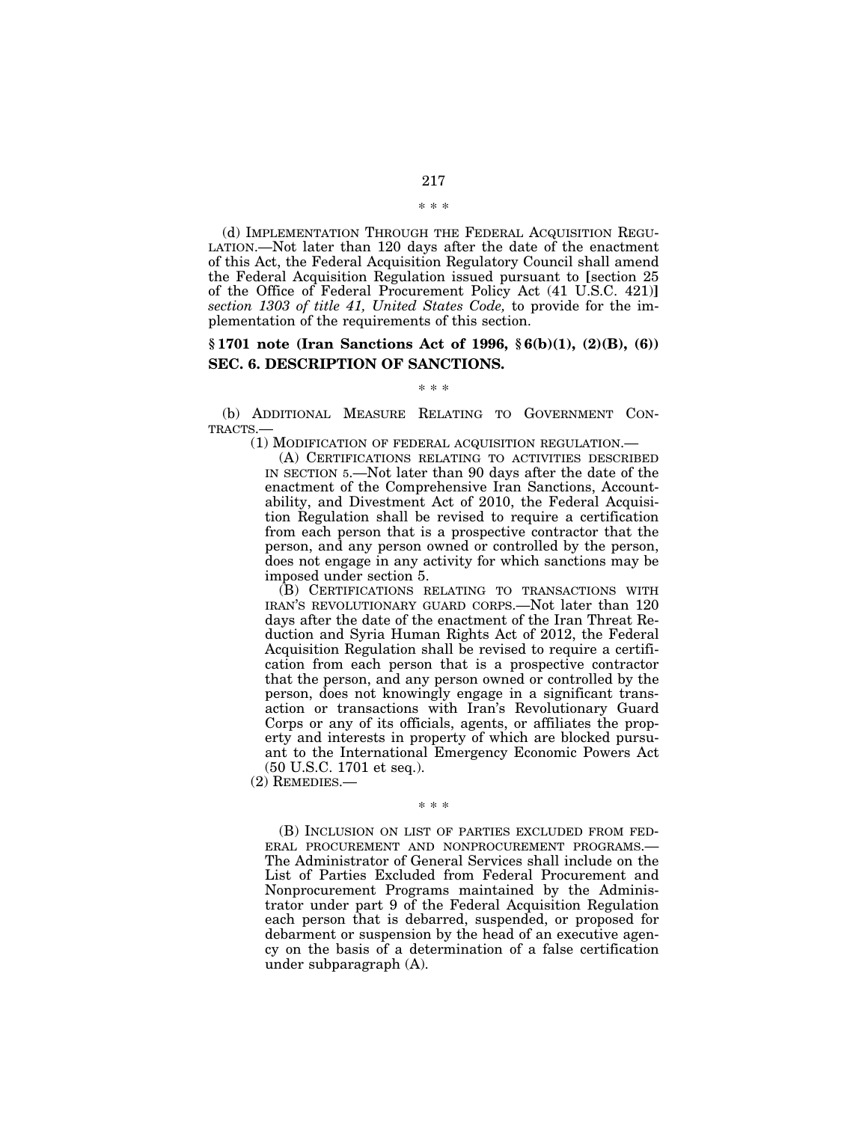(d) IMPLEMENTATION THROUGH THE FEDERAL ACQUISITION REGU-LATION.—Not later than 120 days after the date of the enactment of this Act, the Federal Acquisition Regulatory Council shall amend the Federal Acquisition Regulation issued pursuant to **[**section 25 of the Office of Federal Procurement Policy Act (41 U.S.C. 421)**]**  *section 1303 of title 41, United States Code,* to provide for the implementation of the requirements of this section.

## **§ 1701 note (Iran Sanctions Act of 1996, § 6(b)(1), (2)(B), (6)) SEC. 6. DESCRIPTION OF SANCTIONS.**

#### \* \* \*

(b) ADDITIONAL MEASURE RELATING TO GOVERNMENT CON-TRACTS.—

(1) MODIFICATION OF FEDERAL ACQUISITION REGULATION.—

(A) CERTIFICATIONS RELATING TO ACTIVITIES DESCRIBED IN SECTION 5.—Not later than 90 days after the date of the enactment of the Comprehensive Iran Sanctions, Accountability, and Divestment Act of 2010, the Federal Acquisition Regulation shall be revised to require a certification from each person that is a prospective contractor that the person, and any person owned or controlled by the person, does not engage in any activity for which sanctions may be imposed under section 5.

(B) CERTIFICATIONS RELATING TO TRANSACTIONS WITH IRAN'S REVOLUTIONARY GUARD CORPS.—Not later than 120 days after the date of the enactment of the Iran Threat Reduction and Syria Human Rights Act of 2012, the Federal Acquisition Regulation shall be revised to require a certification from each person that is a prospective contractor that the person, and any person owned or controlled by the person, does not knowingly engage in a significant transaction or transactions with Iran's Revolutionary Guard Corps or any of its officials, agents, or affiliates the property and interests in property of which are blocked pursuant to the International Emergency Economic Powers Act (50 U.S.C. 1701 et seq.).

(2) REMEDIES.—

\* \* \*

(B) INCLUSION ON LIST OF PARTIES EXCLUDED FROM FED-ERAL PROCUREMENT AND NONPROCUREMENT PROGRAMS.— The Administrator of General Services shall include on the List of Parties Excluded from Federal Procurement and Nonprocurement Programs maintained by the Administrator under part 9 of the Federal Acquisition Regulation each person that is debarred, suspended, or proposed for debarment or suspension by the head of an executive agency on the basis of a determination of a false certification under subparagraph (A).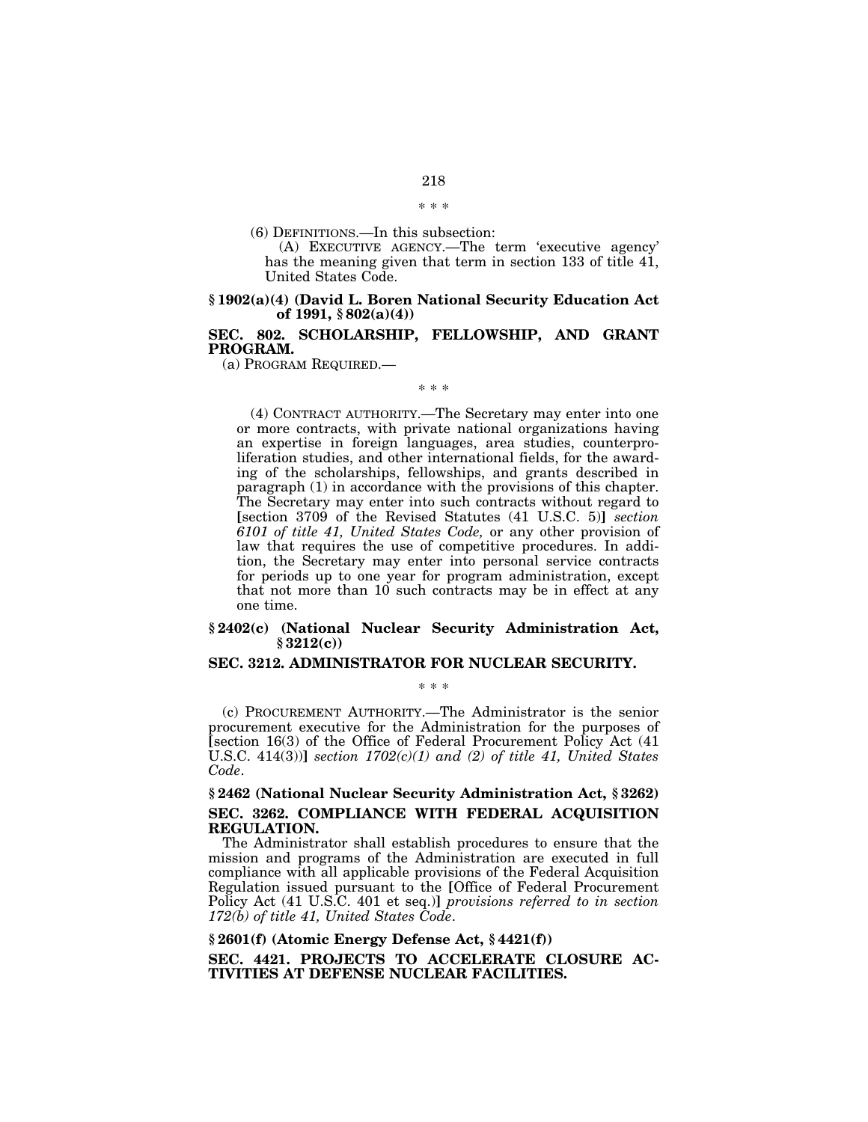(6) DEFINITIONS.—In this subsection:

(A) EXECUTIVE AGENCY.—The term 'executive agency' has the meaning given that term in section 133 of title 41, United States Code.

#### **§ 1902(a)(4) (David L. Boren National Security Education Act of 1991, § 802(a)(4))**

### **SEC. 802. SCHOLARSHIP, FELLOWSHIP, AND GRANT PROGRAM.**

(a) PROGRAM REQUIRED.—

\* \* \*

(4) CONTRACT AUTHORITY.—The Secretary may enter into one or more contracts, with private national organizations having an expertise in foreign languages, area studies, counterproliferation studies, and other international fields, for the awarding of the scholarships, fellowships, and grants described in paragraph (1) in accordance with the provisions of this chapter. The Secretary may enter into such contracts without regard to **[**section 3709 of the Revised Statutes (41 U.S.C. 5)**]** *section 6101 of title 41, United States Code,* or any other provision of law that requires the use of competitive procedures. In addition, the Secretary may enter into personal service contracts for periods up to one year for program administration, except that not more than 10 such contracts may be in effect at any one time.

#### **§ 2402(c) (National Nuclear Security Administration Act, § 3212(c))**

### **SEC. 3212. ADMINISTRATOR FOR NUCLEAR SECURITY.**

\* \* \*

(c) PROCUREMENT AUTHORITY.—The Administrator is the senior procurement executive for the Administration for the purposes of **[**section 16(3) of the Office of Federal Procurement Policy Act (41 U.S.C. 414(3))**]** *section 1702(c)(1) and (2) of title 41, United States Code*.

## **§ 2462 (National Nuclear Security Administration Act, § 3262) SEC. 3262. COMPLIANCE WITH FEDERAL ACQUISITION REGULATION.**

The Administrator shall establish procedures to ensure that the mission and programs of the Administration are executed in full compliance with all applicable provisions of the Federal Acquisition Regulation issued pursuant to the **[**Office of Federal Procurement Policy Act (41 U.S.C. 401 et seq.)**]** *provisions referred to in section 172(b) of title 41, United States Code*.

#### **§ 2601(f) (Atomic Energy Defense Act, § 4421(f))**

**SEC. 4421. PROJECTS TO ACCELERATE CLOSURE AC-TIVITIES AT DEFENSE NUCLEAR FACILITIES.**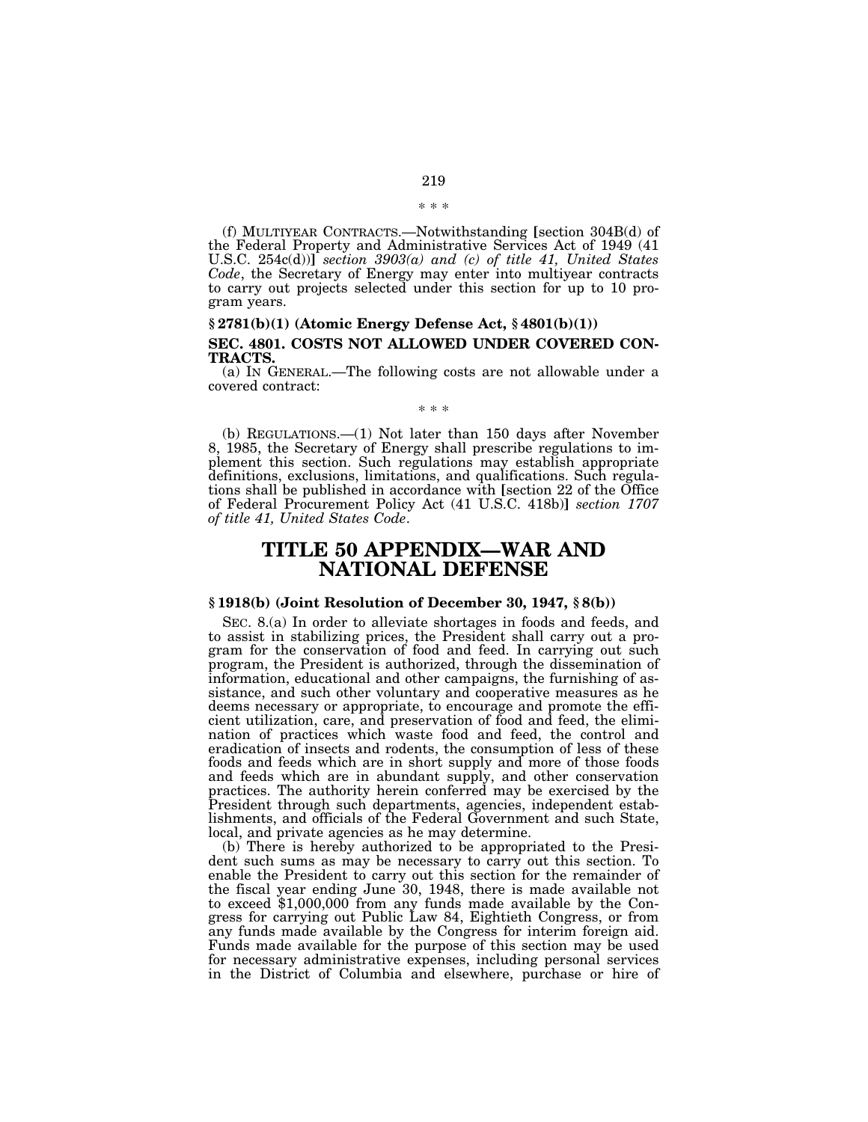(f) MULTIYEAR CONTRACTS.—Notwithstanding **[**section 304B(d) of the Federal Property and Administrative Services Act of 1949 (41 U.S.C. 254c(d))**]** *section 3903(a) and (c) of title 41, United States Code*, the Secretary of Energy may enter into multiyear contracts to carry out projects selected under this section for up to 10 program years.

## **§ 2781(b)(1) (Atomic Energy Defense Act, § 4801(b)(1)) SEC. 4801. COSTS NOT ALLOWED UNDER COVERED CON-TRACTS.**

(a) IN GENERAL.—The following costs are not allowable under a covered contract:

\* \* \*

(b) REGULATIONS.—(1) Not later than 150 days after November 8, 1985, the Secretary of Energy shall prescribe regulations to implement this section. Such regulations may establish appropriate definitions, exclusions, limitations, and qualifications. Such regulations shall be published in accordance with **[**section 22 of the Office of Federal Procurement Policy Act (41 U.S.C. 418b)**]** *section 1707 of title 41, United States Code*.

# **TITLE 50 APPENDIX—WAR AND NATIONAL DEFENSE**

#### **§ 1918(b) (Joint Resolution of December 30, 1947, § 8(b))**

SEC. 8.(a) In order to alleviate shortages in foods and feeds, and to assist in stabilizing prices, the President shall carry out a program for the conservation of food and feed. In carrying out such program, the President is authorized, through the dissemination of information, educational and other campaigns, the furnishing of assistance, and such other voluntary and cooperative measures as he deems necessary or appropriate, to encourage and promote the efficient utilization, care, and preservation of food and feed, the elimination of practices which waste food and feed, the control and eradication of insects and rodents, the consumption of less of these foods and feeds which are in short supply and more of those foods and feeds which are in abundant supply, and other conservation practices. The authority herein conferred may be exercised by the President through such departments, agencies, independent establishments, and officials of the Federal Government and such State, local, and private agencies as he may determine.

(b) There is hereby authorized to be appropriated to the President such sums as may be necessary to carry out this section. To enable the President to carry out this section for the remainder of the fiscal year ending June 30, 1948, there is made available not to exceed \$1,000,000 from any funds made available by the Congress for carrying out Public Law 84, Eightieth Congress, or from any funds made available by the Congress for interim foreign aid. Funds made available for the purpose of this section may be used for necessary administrative expenses, including personal services in the District of Columbia and elsewhere, purchase or hire of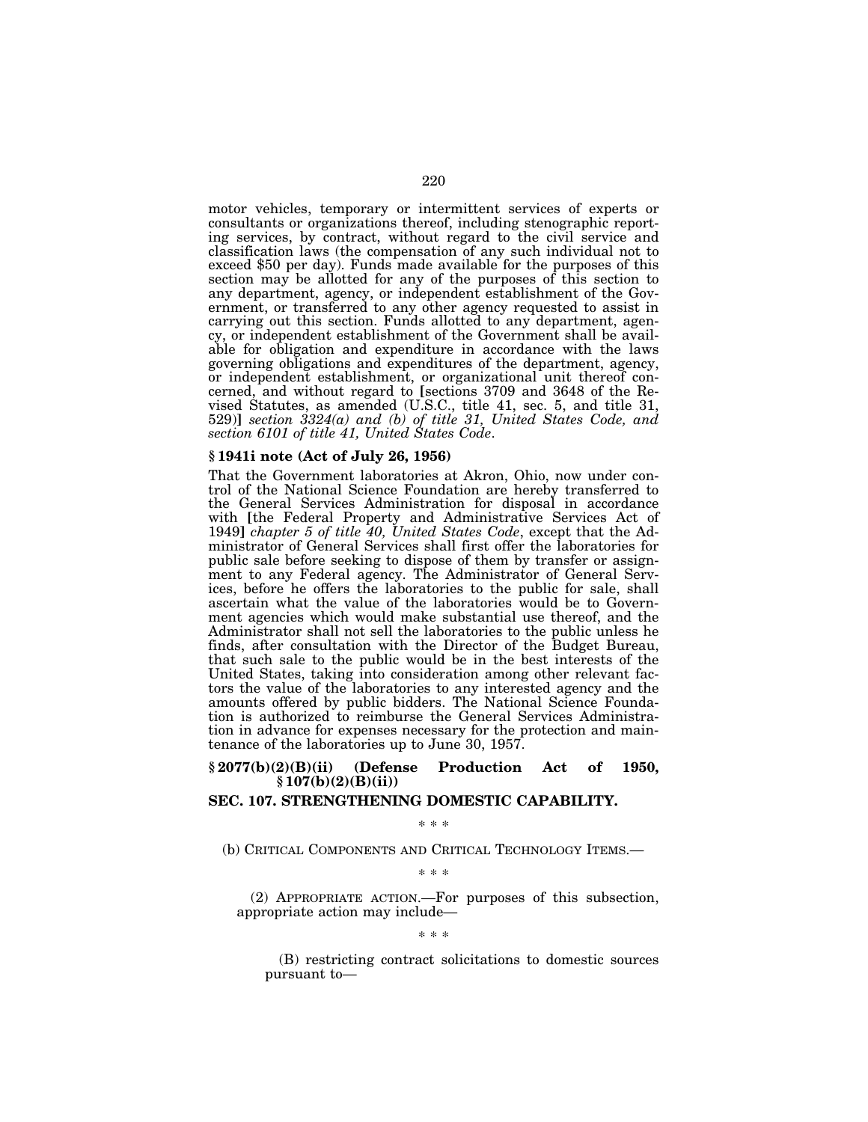motor vehicles, temporary or intermittent services of experts or consultants or organizations thereof, including stenographic reporting services, by contract, without regard to the civil service and classification laws (the compensation of any such individual not to exceed \$50 per day). Funds made available for the purposes of this section may be allotted for any of the purposes of this section to any department, agency, or independent establishment of the Government, or transferred to any other agency requested to assist in carrying out this section. Funds allotted to any department, agency, or independent establishment of the Government shall be available for obligation and expenditure in accordance with the laws governing obligations and expenditures of the department, agency, or independent establishment, or organizational unit thereof concerned, and without regard to **[**sections 3709 and 3648 of the Revised Statutes, as amended (U.S.C., title 41, sec. 5, and title 31, 529)**]** *section 3324(a) and (b) of title 31, United States Code, and section 6101 of title 41, United States Code*.

#### **§ 1941i note (Act of July 26, 1956)**

That the Government laboratories at Akron, Ohio, now under control of the National Science Foundation are hereby transferred to the General Services Administration for disposal in accordance with **[**the Federal Property and Administrative Services Act of 1949**]** *chapter 5 of title 40, United States Code*, except that the Administrator of General Services shall first offer the laboratories for public sale before seeking to dispose of them by transfer or assignment to any Federal agency. The Administrator of General Services, before he offers the laboratories to the public for sale, shall ascertain what the value of the laboratories would be to Government agencies which would make substantial use thereof, and the Administrator shall not sell the laboratories to the public unless he finds, after consultation with the Director of the Budget Bureau, that such sale to the public would be in the best interests of the United States, taking into consideration among other relevant factors the value of the laboratories to any interested agency and the amounts offered by public bidders. The National Science Foundation is authorized to reimburse the General Services Administration in advance for expenses necessary for the protection and maintenance of the laboratories up to June 30, 1957.

#### **§ 2077(b)(2)(B)(ii) (Defense Production Act of 1950, § 107(b)(2)(B)(ii))**

### **SEC. 107. STRENGTHENING DOMESTIC CAPABILITY.**

\* \* \*

(b) CRITICAL COMPONENTS AND CRITICAL TECHNOLOGY ITEMS.—

#### \* \* \*

(2) APPROPRIATE ACTION.—For purposes of this subsection, appropriate action may include—

\* \* \*

(B) restricting contract solicitations to domestic sources pursuant to—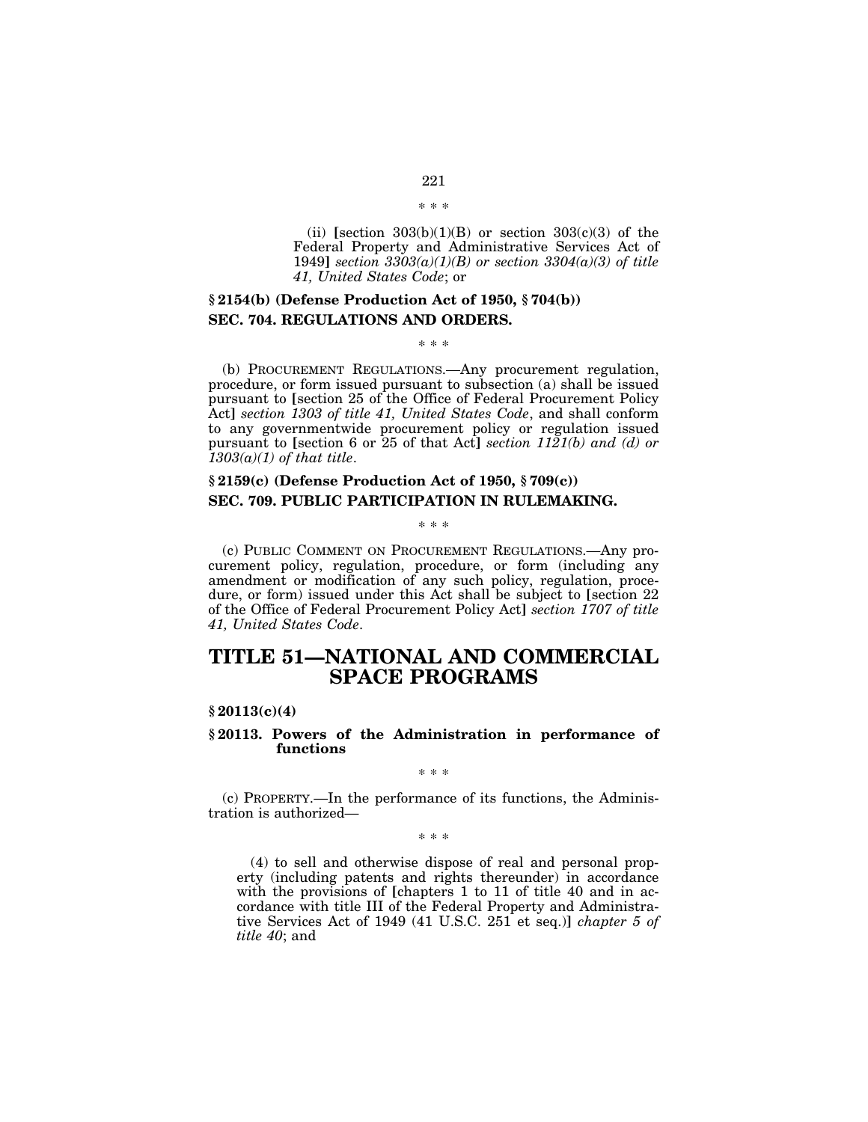## 221 \* \* \*

(ii)  $[section 303(b)(1)(B)$  or section  $303(c)(3)$  of the Federal Property and Administrative Services Act of 1949**]** *section 3303(a)(1)(B) or section 3304(a)(3) of title 41, United States Code*; or

## **§ 2154(b) (Defense Production Act of 1950, § 704(b)) SEC. 704. REGULATIONS AND ORDERS.**

## \* \* \*

(b) PROCUREMENT REGULATIONS.—Any procurement regulation, procedure, or form issued pursuant to subsection (a) shall be issued pursuant to **[**section 25 of the Office of Federal Procurement Policy Act**]** *section 1303 of title 41, United States Code*, and shall conform to any governmentwide procurement policy or regulation issued pursuant to **[**section 6 or 25 of that Act**]** *section 1121(b) and (d) or 1303(a)(1) of that title*.

## **§ 2159(c) (Defense Production Act of 1950, § 709(c)) SEC. 709. PUBLIC PARTICIPATION IN RULEMAKING.**

#### \* \* \*

(c) PUBLIC COMMENT ON PROCUREMENT REGULATIONS.—Any procurement policy, regulation, procedure, or form (including any amendment or modification of any such policy, regulation, procedure, or form) issued under this Act shall be subject to **[**section 22 of the Office of Federal Procurement Policy Act**]** *section 1707 of title 41, United States Code*.

# **TITLE 51—NATIONAL AND COMMERCIAL SPACE PROGRAMS**

#### **§ 20113(c)(4)**

#### **§ 20113. Powers of the Administration in performance of functions**

\* \* \*

(c) PROPERTY.—In the performance of its functions, the Administration is authorized—

## \* \* \*

(4) to sell and otherwise dispose of real and personal property (including patents and rights thereunder) in accordance with the provisions of [chapters 1 to 11 of title 40 and in accordance with title III of the Federal Property and Administrative Services Act of 1949 (41 U.S.C. 251 et seq.)**]** *chapter 5 of title 40*; and